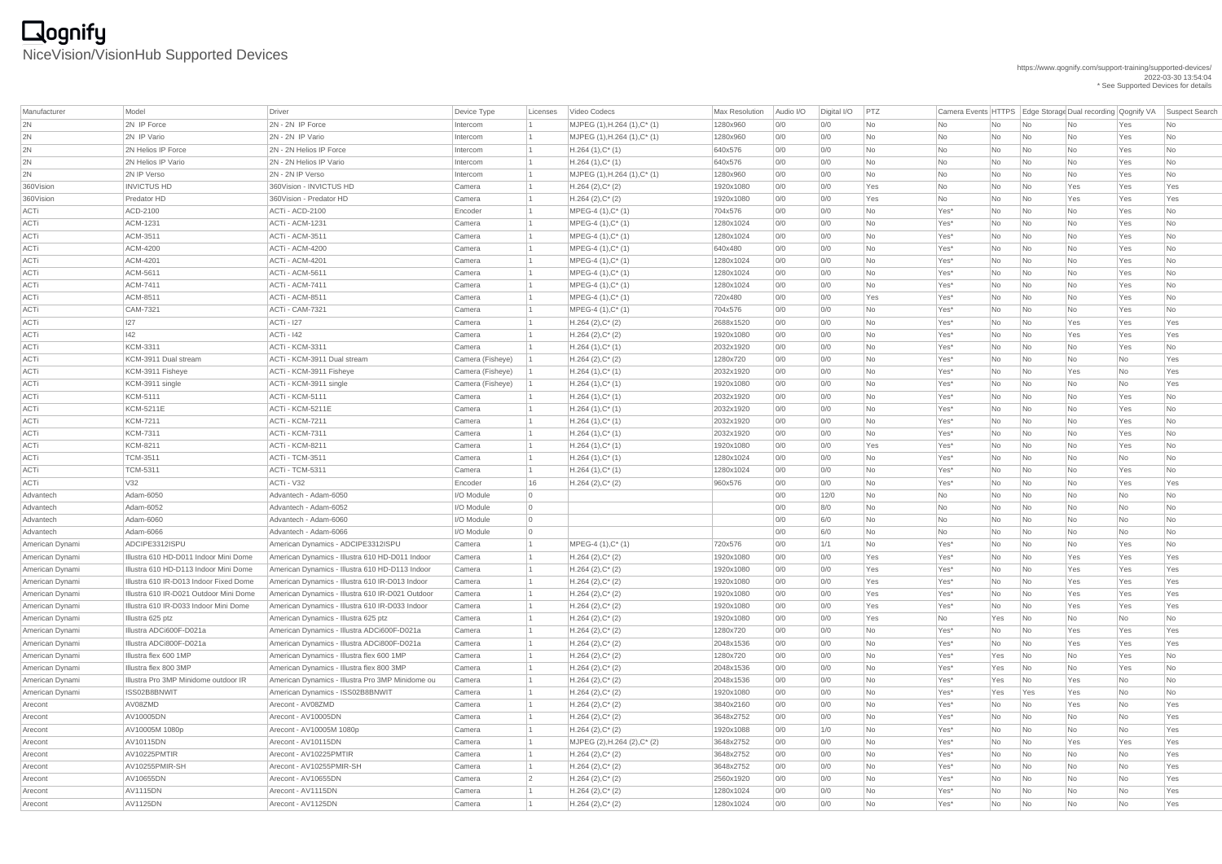### https://www.qognify.com/support-training/supported-devices/ 2022-03-30 13:54:04 \* See Supported Devices for details

# **Qognify**<br>NiceVision/VisionHub Supported Devices

| Manufacturer    | Model                                  | <b>Driver</b>                                    | Device Type      | Licenses       | Video Codecs                 | Max Resolution | Audio I/O | Digital I/O | PTZ       |         |                |                             | Camera Events HTTPS Edge Storage Dual recording Qognify VA |           | Suspect Search |
|-----------------|----------------------------------------|--------------------------------------------------|------------------|----------------|------------------------------|----------------|-----------|-------------|-----------|---------|----------------|-----------------------------|------------------------------------------------------------|-----------|----------------|
| 2N              | 2N IP Force                            | 2N - 2N IP Force                                 | Intercom         |                | MJPEG (1), H.264 (1), C* (1) | 1280x960       | 0/0       | 0/0         | <b>No</b> | No      | No             | No                          | No                                                         | Yes       | No             |
| 2N              | 2N IP Vario                            | 2N - 2N IP Vario                                 | Intercom         |                | MJPEG (1), H.264 (1), C* (1) | 1280x960       | 0/0       | 0/0         | No        | No      | No             | No                          | No                                                         | Yes       | No             |
| 2N              | 2N Helios IP Force                     | 2N - 2N Helios IP Force                          | Intercom         |                | $H.264(1),C^*(1)$            | 640x576        | 0/0       | 0/0         | No        | No      | No             | No                          | No                                                         | Yes       | No             |
| 2N              | 2N Helios IP Vario                     | 2N - 2N Helios IP Vario                          | Intercom         |                | $H.264(1),C^*(1)$            | 640x576        | 0/0       | 0/0         | <b>No</b> | No      | No             | No                          | No                                                         | Yes       | No             |
| 2N              | 2N IP Verso                            | 2N - 2N IP Verso                                 | Intercom         |                | MJPEG (1), H.264 (1), C* (1) | 1280x960       | 0/0       | 0/0         | No        | No      | No             | No                          | <b>No</b>                                                  | Yes       | No             |
| 360Vision       | <b>INVICTUS HD</b>                     | 360Vision - INVICTUS HD                          | Camera           |                | $H.264(2),C^*(2)$            | 1920x1080      | 0/0       | 0/0         | Yes       | No      | No             | No                          | Yes                                                        | Yes       | Yes            |
| 360Vision       | Predator HD                            | 360Vision - Predator HD                          | Camera           |                | $H.264(2),C^*(2)$            | 1920x1080      | 0/0       | 0/0         | Yes       | No      | No             | No                          | Yes                                                        | Yes       | Yes            |
| ACTi            | ACD-2100                               | ACTi - ACD-2100                                  | Encoder          |                | MPEG-4 $(1),C^*$ $(1)$       | 704x576        | 0/0       | 0/0         | No        | Yes*    | No             | No                          | No                                                         | Yes       | No             |
| <b>ACTi</b>     | ACM-1231                               | ACTi - ACM-1231                                  | Camera           |                | $MPEG-4 (1), C^*(1)$         | 1280x1024      | 0/0       | 0/0         | No        | Yes*    | No             | No                          | <b>No</b>                                                  | Yes       | No             |
| ACTi            | ACM-3511                               | <b>ACTi - ACM-3511</b>                           | Camera           |                | MPEG-4 $(1),C^*$ $(1)$       | 1280x1024      | 0/0       | 0/0         | No        | Yes*    | No             | No                          | No                                                         | Yes       | No             |
| <b>ACTi</b>     | <b>ACM-4200</b>                        | ACTi - ACM-4200                                  | Camera           |                | $MPEG-4 (1), C^*(1)$         | 640x480        | 0/0       | 0/0         | No        | Yes*    | No             | No                          | <b>No</b>                                                  | Yes       | No             |
| <b>ACTi</b>     | <b>ACM-4201</b>                        | <b>ACTi - ACM-4201</b>                           | Camera           |                | $MPEG-4 (1), C^*(1)$         | 1280x1024      | 0/0       | 0/0         | No        | Yes*    | No             | No                          | <b>No</b>                                                  | Yes       | No             |
| <b>ACTi</b>     | ACM-5611                               | ACTi - ACM-5611                                  | Camera           |                | $MPEG-4 (1), C^*(1)$         | 1280x1024      | 0/0       | 0/0         | <b>No</b> | Yes*    | No             | No                          | No                                                         | Yes       | No             |
| <b>ACTi</b>     | ACM-7411                               | <b>ACTi - ACM-7411</b>                           | Camera           |                | $MPEG-4 (1), C^*(1)$         | 1280x1024      | 0/0       | 0/0         | <b>No</b> | Yes*    | No             | No                          | <b>No</b>                                                  | Yes       | No             |
| ACTi            | ACM-8511                               | ACTi - ACM-8511                                  | Camera           |                | $MPEG-4 (1), C^*(1)$         | 720x480        | 0/0       | 0/0         | Yes       | Yes*    | No             | No                          | <b>No</b>                                                  | Yes       | No             |
| ACTi            | CAM-7321                               | ACTi - CAM-7321                                  | Camera           |                | $MPEG-4 (1), C^*(1)$         | 704x576        | 0/0       | 0/0         | No        | Yes*    | No             | No                          | No                                                         | Yes       | No             |
| <b>ACTi</b>     | 127                                    | <b>ACTi - 127</b>                                | Camera           |                | $H.264(2),C^*(2)$            | 2688x1520      | 0/0       | 0/0         | No        | Yes*    | No             | No                          | Yes                                                        | Yes       | Yes            |
| <b>ACTi</b>     | 42                                     | <b>ACTi - 142</b>                                | Camera           |                | $H.264(2),C^*(2)$            | 1920x1080      | 0/0       | 0/0         | No        | Yes*    | No             | No                          | Yes                                                        | Yes       | Yes            |
| ACTi            | <b>KCM-3311</b>                        | <b>ACTi - KCM-3311</b>                           | Camera           |                | $H.264(1),C^*(1)$            | 2032x1920      | 0/0       | 0/0         | <b>No</b> | Yes*    | N <sub>o</sub> | No                          | No                                                         | Yes       | No             |
| <b>ACTi</b>     | KCM-3911 Dual stream                   | ACTi - KCM-3911 Dual stream                      | Camera (Fisheye) |                | $H.264 (2), C^*(2)$          | 1280x720       | 0/0       | 0/0         | <b>No</b> | Yes*    | No             | No                          | <b>No</b>                                                  | No        | Yes            |
| <b>ACTi</b>     | KCM-3911 Fisheye                       | ACTi - KCM-3911 Fisheye                          | Camera (Fisheye) |                | $H.264(1),C^*(1)$            | 2032x1920      | 0/0       | 0/0         | No        | Yes*    | No             | No                          | Yes                                                        | No        | Yes            |
| ACTi            | KCM-3911 single                        | ACTi - KCM-3911 single                           | Camera (Fisheye) |                | $H.264(1),C^*(1)$            | 1920x1080      | 0/0       | 0/0         | No        | Yes*    | No             | No                          | No                                                         | No        | Yes            |
| <b>ACTi</b>     | <b>KCM-5111</b>                        | ACTi - KCM-5111                                  | Camera           |                | $H.264(1),C^*(1)$            | 2032x1920      | 0/0       | 0/0         | <b>No</b> | Yes*    | No             | No                          | <b>No</b>                                                  | Yes       | No             |
| <b>ACTi</b>     | <b>KCM-5211E</b>                       | <b>ACTi - KCM-5211E</b>                          | Camera           |                | $H.264(1),C^*(1)$            | 2032x1920      | 0/0       | 0/0         | No        | Yes*    | No             | No                          | No                                                         | Yes       | No             |
| <b>ACTi</b>     | <b>KCM-7211</b>                        | <b>ACTi - KCM-7211</b>                           | Camera           |                | $H.264(1),C^*(1)$            | 2032x1920      | 0/0       | 0/0         | No        | Yes*    | No             | No                          | No                                                         | Yes       | No             |
| <b>ACTi</b>     | <b>KCM-7311</b>                        | <b>ACTi - KCM-7311</b>                           | Camera           |                | $H.264(1),C^*(1)$            | 2032x1920      | 0/0       | 0/0         | No        | Yes*    | No.            | No                          | No                                                         | Yes       | No             |
| ACTi            | <b>KCM-8211</b>                        | <b>ACTi - KCM-8211</b>                           | Camera           |                | $H.264(1),C^*(1)$            | 1920x1080      | 0/0       | 0/0         | Yes       | Yes*    | No             | No                          | No                                                         | Yes       | No             |
| ACTi            | <b>TCM-3511</b>                        | <b>ACTi - TCM-3511</b>                           | Camera           |                | $H.264(1),C^*(1)$            | 1280x1024      | 0/0       | 0/0         | No        | Yes*    | No             | No                          | No                                                         | <b>No</b> | No             |
| <b>ACTi</b>     | <b>TCM-5311</b>                        | <b>ACTi - TCM-5311</b>                           | Camera           |                | $H.264(1),C^*(1)$            | 1280x1024      | 0/0       | 0/0         | <b>No</b> | Yes*    | No             | $\overline{\mathsf{No}}$    | No                                                         | Yes       | No             |
| <b>ACTi</b>     | V32                                    | ACTi - V32                                       | Encoder          | 16             | $H.264 (2), C^*(2)$          | 960x576        | 0/0       | 0/0         | <b>No</b> | Yes*    | No             | No                          | No                                                         | Yes       | Yes            |
| Advantech       | Adam-6050                              | Advantech - Adam-6050                            | I/O Module       | $\overline{0}$ |                              |                | 0/0       | $12/0$      | No        | No      | No             | No                          | No                                                         | No        | No             |
| Advantech       | Adam-6052                              | Advantech - Adam-6052                            | I/O Module       | $\overline{0}$ |                              |                | 0/0       | 8/0         | <b>No</b> | No.     | No             | No                          | No                                                         | No        | No             |
| Advantech       | Adam-6060                              | Advantech - Adam-6060                            | I/O Module       | $\overline{0}$ |                              |                | 0/0       | 6/0         | No        | No      | No             | No                          | No                                                         | No        | No             |
| Advantech       | Adam-6066                              | Advantech - Adam-6066                            | I/O Module       | $\overline{0}$ |                              |                | 0/0       | 6/0         | No        | No      | No             | No                          | No                                                         | No        | No             |
| American Dynami | ADCIPE3312ISPU                         | American Dynamics - ADCIPE3312ISPU               | Camera           |                | $MPEG-4 (1), C^*(1)$         | 720x576        | 0/0       | 1/1         | No        | Yes*    | No             | No                          | No                                                         | Yes       | No             |
| American Dynami | Illustra 610 HD-D011 Indoor Mini Dome  | American Dynamics - Illustra 610 HD-D011 Indoor  | Camera           |                | $H.264 (2), C^*(2)$          | 1920x1080      | 0/0       | 0/0         | Yes       | Yes*    | No             | No                          | Yes                                                        | Yes       | Yes            |
| American Dynami | Illustra 610 HD-D113 Indoor Mini Dome  | American Dynamics - Illustra 610 HD-D113 Indoor  | Camera           |                | $H.264 (2), C^*(2)$          | 1920x1080      | 0/0       | 0/0         | Yes       | Yes*    | No             | No                          | Yes                                                        | Yes       | Yes            |
| American Dynami | Illustra 610 IR-D013 Indoor Fixed Dome | American Dynamics - Illustra 610 IR-D013 Indoor  | Camera           |                | $H.264(2),C^*(2)$            | 1920x1080      | 0/0       | 0/0         | Yes       | Yes*    | No             | No                          | Yes                                                        | Yes       | Yes            |
| American Dynami | Illustra 610 IR-D021 Outdoor Mini Dome | American Dynamics - Illustra 610 IR-D021 Outdoor | Camera           |                | $H.264(2),C^*(2)$            | 1920x1080      | 0/0       | 0/0         | Yes       | Yes*    | No             | No                          | Yes                                                        | Yes       | Yes            |
| American Dynami | Illustra 610 IR-D033 Indoor Mini Dome  | American Dynamics - Illustra 610 IR-D033 Indoor  | Camera           |                | $H.264 (2), C^*(2)$          | 1920x1080      | 0/0       | 0/0         | Yes       | Yes*    | No             | No                          | Yes                                                        | Yes       | Yes            |
| American Dynami | Illustra 625 ptz                       | American Dynamics - Illustra 625 ptz             | Camera           |                | $H.264 (2), C^*(2)$          | 1920x1080      | 0/0       | 0/0         | Yes       | No      | Yes            | No                          | No                                                         | No        | No             |
| American Dynami | Illustra ADCi600F-D021a                | American Dynamics - Illustra ADCi600F-D021a      | Camera           |                | $H.264(2),C^*(2)$            | 1280x720       | 0/0       | 0/0         | <b>No</b> | Yes*    | No             | No                          | Yes                                                        | Yes       | Yes            |
| American Dynami | Illustra ADCi800F-D021a                | American Dynamics - Illustra ADCi800F-D021a      | Camera           |                | $H.264(2),C^*(2)$            | 2048x1536      | 0/0       | 0/0         | No        | Yes*    | No             | No                          | Yes                                                        | Yes       | Yes            |
| American Dynami | Illustra flex 600 1MP                  | American Dynamics - Illustra flex 600 1MP        | Camera           |                | $H.264 (2), C^*(2)$          | 1280x720       | 0/0       | 0/0         | <b>No</b> | Yes*    | Yes            | No                          | No                                                         | Yes       | No             |
| American Dynami | Illustra flex 800 3MP                  | American Dynamics - Illustra flex 800 3MP        | Camera           |                | $H.264(2),C^*(2)$            | 2048x1536      | 0/0       | 0/0         | <b>No</b> | Yes*    | Yes            | No                          | No                                                         | Yes       | No             |
| American Dynami | Illustra Pro 3MP Minidome outdoor IR   | American Dynamics - Illustra Pro 3MP Minidome ou | Camera           |                | $H.264 (2), C^*(2)$          | 2048x1536      | 0/0       | 0/0         | No        | Yes*    | Yes            | No                          | Yes                                                        | No        | No             |
| American Dynami | ISS02B8BNWIT                           | American Dynamics - ISS02B8BNWIT                 | Camera           |                | $H.264(2),C^*(2)$            | 1920x1080      | 0/0       | 0/0         | No        | Yes*    | Yes            | Yes                         | Yes                                                        | No        | No             |
| Arecont         | AV08ZMD                                | Arecont - AV08ZMD                                | Camera           |                | $H.264(2),C^*(2)$            | 3840x2160      | 0/0       | 0/0         | <b>No</b> | Yes*    | No             | No                          | Yes                                                        | No        | Yes            |
| Arecont         | AV10005DN                              | Arecont - AV10005DN                              | Camera           |                | $H.264(2),C^*(2)$            | 3648x2752      | 0/0       | 0/0         | <b>No</b> | Yes*    | No             | No                          | No                                                         | No        | Yes            |
| Arecont         | AV10005M 1080p                         | Arecont - AV10005M 1080p                         | Camera           |                | $H.264 (2), C^*(2)$          | 1920x1088      | 0/0       | 1/0         | <b>No</b> | Yes*    | No             | No                          | No                                                         | <b>No</b> | Yes            |
| Arecont         | AV10115DN                              | Arecont - AV10115DN                              | Camera           |                | MJPEG (2), H.264 (2), C* (2) | 3648x2752      | 0/0       | 0/0         | <b>No</b> | Yes*    | No             | No                          | Yes                                                        | Yes       | Yes            |
| Arecont         | AV10225PMTIR                           | Arecont - AV10225PMTIR                           | Camera           |                | $H.264 (2), C^*(2)$          | 3648x2752      | 0/0       | 0/0         | No        | $Yes^*$ | No             | No                          | <b>No</b>                                                  | No        | Yes            |
| Arecont         | AV10255PMIR-SH                         | Arecont - AV10255PMIR-SH                         | Camera           |                | $H.264 (2), C^*(2)$          | 3648x2752      | 0/0       | 0/0         | No        | Yes*    | No             | No                          | No l                                                       | No        | Yes            |
| Arecont         | AV10655DN                              | Arecont - AV10655DN                              | Camera           |                | $H.264 (2), C^*(2)$          | 2560x1920      | 0/0       | 0/0         | No l      | $Yes^*$ | No             | $\overline{\phantom{a}}$ No | No                                                         | No        | Yes            |
| Arecont         | <b>AV1115DN</b>                        | Arecont - AV1115DN                               | Camera           |                | $H.264 (2), C^*(2)$          | 1280x1024      | 0/0       | 0/0         | No        | $Yes^*$ | No             | $\overline{\mathsf{No}}$    | No                                                         | No        | Yes            |
| Arecont         | <b>AV1125DN</b>                        | Arecont - AV1125DN                               | Camera           |                | $H.264 (2), C^*(2)$          | 1280x1024      | 0/0       | 0/0         | No        | Yes*    | No             | $\overline{\phantom{a}}$ No | No                                                         | No        | Yes            |
|                 |                                        |                                                  |                  |                |                              |                |           |             |           |         |                |                             |                                                            |           |                |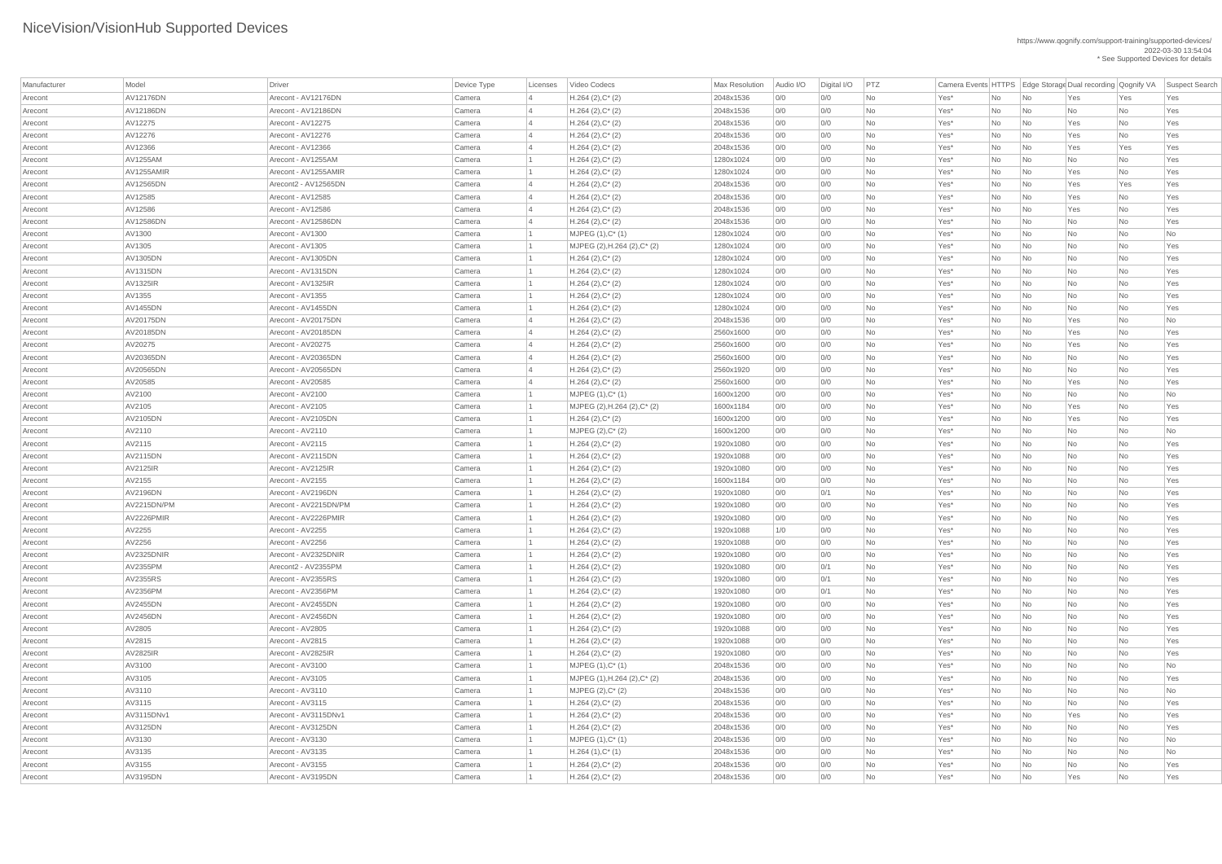| Manufacturer | Model            | <b>Driver</b>         | Device Type | Licenses       | Video Codecs                         | Max Resolution | Audio I/O | Digital I/O | PTZ       |        |     |                             |     |           | Camera Events HTTPS Edge Storage Dual recording Qognify VA Suspect Search |
|--------------|------------------|-----------------------|-------------|----------------|--------------------------------------|----------------|-----------|-------------|-----------|--------|-----|-----------------------------|-----|-----------|---------------------------------------------------------------------------|
| Arecont      | <b>AV12176DN</b> | Arecont - AV12176DN   | Camera      |                | $H.264 (2), C^*(2)$                  | 2048x1536      | 0/0       | 0/0         | No        | Yes*   | No  | No                          | Yes | Yes       | Yes                                                                       |
| Arecont      | AV12186DN        | Arecont - AV12186DN   | Camera      | $\overline{4}$ | $H.264 (2), C^*(2)$                  | 2048x1536      | 0/0       | 0/0         | No        | Yes*   | No  | No                          | No  | No        | Yes                                                                       |
| Arecont      | AV12275          | Arecont - AV12275     | Camera      |                | $H.264 (2), C^*(2)$                  | 2048x1536      | 0/0       | 0/0         | No        | Yes*   | No  | No                          | Yes | No        | Yes                                                                       |
| Arecont      | AV12276          | Arecont - AV12276     | Camera      |                | $H.264 (2), C^*(2)$                  | 2048x1536      | 0/0       | 0/0         | No        | Yes*   | No  | No                          | Yes | No        | Yes                                                                       |
| Arecont      | AV12366          | Arecont - AV12366     | Camera      |                | $H.264 (2), C^*(2)$                  | 2048x1536      | 0/0       | 0/0         | No        | Yes*   | No  | No                          | Yes | Yes       | Yes                                                                       |
| Arecont      | AV1255AM         | Arecont - AV1255AM    | Camera      |                | $H.264 (2), C^*(2)$                  | 1280x1024      | 0/0       | 0/0         | <b>No</b> | Yes*   | No  | No                          | No  | No        | Yes                                                                       |
| Arecont      | AV1255AMIR       | Arecont - AV1255AMIR  | Camera      |                | $H.264 (2), C^*(2)$                  | 1280x1024      | 0/0       | 0/0         | <b>No</b> | Yes*   | No  | No                          | Yes | No        | Yes                                                                       |
| Arecont      | AV12565DN        | Arecont2 - AV12565DN  | Camera      | $\vert 4$      | $H.264 (2), C^*(2)$                  | 2048x1536      | 0/0       | O/O         | No        | Yes*   | No  | No                          | Yes | Yes       | Yes                                                                       |
| Arecont      | AV12585          | Arecont - AV12585     | Camera      |                | $H.264 (2), C^*(2)$                  | 2048x1536      | 0/0       | 0/0         | No        | Yes*   | No  | No                          | Yes | No        | Yes                                                                       |
| Arecont      | AV12586          | Arecont - AV12586     | Camera      |                | $H.264 (2), C^*(2)$                  | 2048x1536      | 0/0       | 0/0         | No        | Yes*   | No  | $\overline{\mathsf{No}}$    | Yes | No        | Yes                                                                       |
| Arecont      | <b>AV12586DN</b> | Arecont - AV12586DN   | Camera      | $\overline{4}$ | $H.264 (2), C^*(2)$                  | 2048x1536      | 0/0       | 0/0         | No        | Yes*   | No  | No                          | No  | No        | Yes                                                                       |
| Arecont      | AV1300           | Arecont - AV1300      | Camera      |                | $MJPEG (1), C^*(1)$                  | 1280x1024      | 0/0       | O/O         | No        | Yes*   | No  | No                          | No  | No        | No                                                                        |
| Arecont      | AV1305           | Arecont - AV1305      | Camera      |                | MJPEG $(2)$ , H.264 $(2)$ , C* $(2)$ | 1280x1024      | 0/0       | 0/0         | No        | Yes*   | No  | No                          | No  | No        | Yes                                                                       |
| Arecont      | <b>AV1305DN</b>  | Arecont - AV1305DN    | Camera      |                | $H.264 (2), C^*(2)$                  | 1280x1024      | 0/0       | O/O         | No        | Yes*   | No  | No                          | No  | No        | Yes                                                                       |
| Arecont      | <b>AV1315DN</b>  | Arecont - AV1315DN    | Camera      |                | $H.264 (2), C^*(2)$                  | 1280x1024      | 0/0       | 0/0         | No        | Yes*   | No  | No                          | No  | No        | Yes                                                                       |
| Arecont      | <b>AV1325IR</b>  | Arecont - AV1325IR    | Camera      |                | $H.264 (2), C^*(2)$                  | 1280x1024      | 0/0       | 0/0         | No        | Yes*   | No  | No                          | No  | No        | Yes                                                                       |
| Arecont      | AV1355           | Arecont - AV1355      | Camera      |                | $H.264 (2), C^*(2)$                  | 1280x1024      | 0/0       | 0/0         | No        | Yes*   | No  | No                          | No  | <b>No</b> | Yes                                                                       |
| Arecont      | <b>AV1455DN</b>  | Arecont - AV1455DN    | Camera      |                | $H.264 (2), C^*(2)$                  | 1280x1024      | 0/0       | O/O         | No        | Yes*   | No  | No                          | No  | <b>No</b> | Yes                                                                       |
| Arecont      | AV20175DN        | Arecont - AV20175DN   | Camera      |                | $H.264 (2), C^*(2)$                  | 2048x1536      | 0/0       | 0/0         | <b>No</b> | Yes*   | No  | No                          | Yes | No        | No                                                                        |
| Arecont      | AV20185DN        | Arecont - AV20185DN   | Camera      | $\overline{4}$ | $H.264 (2), C^*(2)$                  | 2560x1600      | 0/0       | O/O         | No        | Yes*   | No  | No                          | Yes | No        | Yes                                                                       |
| Arecont      | AV20275          | Arecont - AV20275     | Camera      |                | $H.264 (2), C^*(2)$                  | 2560x1600      | 0/0       | O/O         | No        | Yes*   | No  | No                          | Yes | No        | Yes                                                                       |
| Arecont      | AV20365DN        | Arecont - AV20365DN   | Camera      |                | $H.264 (2), C^*(2)$                  | 2560x1600      | 0/0       | 0/0         | No        | Yes*   | No  | No                          | No  | No        | Yes                                                                       |
| Arecont      | AV20565DN        | Arecont - AV20565DN   | Camera      | $\overline{4}$ | $H.264 (2), C^*(2)$                  | 2560x1920      | 0/0       | O/O         | No        | Yes*   | No  | No                          | No  | No        | Yes                                                                       |
| Arecont      | AV20585          | Arecont - AV20585     | Camera      |                | $H.264 (2), C^*(2)$                  | 2560x1600      | 0/0       | O/O         | No        | Yes*   | No  | No                          | Yes | <b>No</b> | Yes                                                                       |
| Arecont      | AV2100           | Arecont - AV2100      | Camera      |                | $MJPEG (1), C^*(1)$                  | 1600x1200      | 0/0       | 0/0         | No        | Yes*   | No  | No                          | No  | No        | No                                                                        |
| Arecont      | AV2105           | Arecont - AV2105      | Camera      |                | MJPEG (2), H.264 (2), C* (2)         | 1600x1184      | 0/0       | 0/0         | No        | Yes*   | No. | No                          | Yes | No        | Yes                                                                       |
| Arecont      | AV2105DN         | Arecont - AV2105DN    | Camera      |                | $H.264 (2), C^*(2)$                  | 1600x1200      | 0/0       | O/O         | No        | Yes*   | No  | No                          | Yes | <b>No</b> | Yes                                                                       |
| Arecont      | AV2110           | Arecont - AV2110      | Camera      |                | MJPEG $(2),C^*$ $(2)$                | 1600x1200      | 0/0       | 0/0         | No        | Yes*   | No  | No                          | No  | No        | No                                                                        |
| Arecont      | AV2115           | Arecont - AV2115      | Camera      |                | $H.264 (2), C^*(2)$                  | 1920x1080      | 0/0       | 0/0         | No        | Yes*   | No  | No                          | No  | No        | Yes                                                                       |
| Arecont      | <b>AV2115DN</b>  | Arecont - AV2115DN    | Camera      |                | $H.264 (2), C^*(2)$                  | 1920x1088      | 0/0       | 0/0         | <b>No</b> | Yes*   | No  | No                          | No  | <b>No</b> | Yes                                                                       |
| Arecont      | <b>AV2125IR</b>  | Arecont - AV2125IR    | Camera      |                | $H.264 (2), C^*(2)$                  | 1920x1080      | 0/0       | 0/0         | No        | Yes*   | No  | No                          | No  | No        | Yes                                                                       |
| Arecont      | AV2155           | Arecont - AV2155      | Camera      |                | $H.264 (2), C^*(2)$                  | 1600x1184      | 0/0       | O/O         | No        | Yes*   | No  | No                          | No  | No        | Yes                                                                       |
| Arecont      | <b>AV2196DN</b>  | Arecont - AV2196DN    | Camera      |                | $H.264 (2), C^*(2)$                  | 1920x1080      | 0/0       | 0/1         | No        | Yes*   | No  | No                          | No  | No        | Yes                                                                       |
| Arecont      | AV2215DN/PM      | Arecont - AV2215DN/PM | Camera      |                | $H.264 (2), C^*(2)$                  | 1920x1080      | 0/0       | 0/0         | No        | Yes*   | No  | No                          | No  | <b>No</b> | Yes                                                                       |
| Arecont      | AV2226PMIR       | Arecont - AV2226PMIR  | Camera      |                | $H.264 (2), C^*(2)$                  | 1920x1080      | 0/0       | 0/0         | No        | Yes*   | No  | No                          | No  | <b>No</b> | Yes                                                                       |
| Arecont      | AV2255           | Arecont - AV2255      | Camera      |                | $H.264 (2), C^*(2)$                  | 1920x1088      | 1/0       | 0/0         | No        | Yes*   | No  | No                          | No  | <b>No</b> | Yes                                                                       |
| Arecont      | AV2256           | Arecont - AV2256      | Camera      |                | $H.264 (2), C^*(2)$                  | 1920x1088      | 0/0       | 0/0         | No        | Yes*   | No  | No                          | No  | <b>No</b> | Yes                                                                       |
| Arecont      | AV2325DNIR       | Arecont - AV2325DNIR  | Camera      |                | $H.264 (2), C^*(2)$                  | 1920x1080      | 0/0       | 0/0         | No        | Yes*   | No  | No                          | No  | No        | Yes                                                                       |
| Arecont      | AV2355PM         | Arecont2 - AV2355PM   | Camera      |                | $H.264 (2), C^*(2)$                  | 1920x1080      | 0/0       | 0/1         | No        | Yes*   | No  | No                          | No  | <b>No</b> | Yes                                                                       |
| Arecont      | AV2355RS         | Arecont - AV2355RS    | Camera      |                | $H.264 (2), C^*(2)$                  | 1920x1080      | 0/0       | 0/1         | No        | Yes*   | No  | No                          | No  | <b>No</b> | Yes                                                                       |
| Arecont      | AV2356PM         | Arecont - AV2356PM    | Camera      |                | $H.264 (2), C^*(2)$                  | 1920x1080      | 0/0       | 0/1         | No        | Yes*   | No  | No                          | No  | No        | Yes                                                                       |
| Arecont      | <b>AV2455DN</b>  | Arecont - AV2455DN    | Camera      |                | $H.264 (2), C^*(2)$                  | 1920x1080      | 0/0       | 0/0         | No        | Yes*   | No  | No                          | No  | <b>No</b> | Yes                                                                       |
| Arecont      | <b>AV2456DN</b>  | Arecont - AV2456DN    | Camera      |                | $H.264 (2), C^*(2)$                  | 1920x1080      | 0/0       | 0/0         | No        | Yes*   | No  | No                          | No  | No        | Yes                                                                       |
| Arecont      | AV2805           | Arecont - AV2805      | Camera      |                | $H.264 (2), C^*(2)$                  | 1920x1088      | 0/0       | 0/0         | No        | Yes*   | No  | No                          | No  | No        | Yes                                                                       |
| Arecont      | AV2815           | Arecont - AV2815      | Camera      |                | $H.264 (2), C^*(2)$                  | 1920x1088      | 0/0       | 0/0         | No        | Yes*   | No  | No                          | No  | <b>No</b> | Yes                                                                       |
| Arecont      | <b>AV2825IR</b>  | Arecont - AV2825IR    | Camera      |                | $H.264 (2), C^*(2)$                  | 1920x1080      | 0/0       | 0/0         | No        | Yes*   | No  | No                          | No  | <b>No</b> | Yes                                                                       |
| Arecont      | AV3100           | Arecont - AV3100      | Camera      |                | $MJPEG (1), C^* (1)$                 | 2048x1536      | 0/0       | 0/0         | No        | Yes*   | No  | No                          | No  | No        | No                                                                        |
| Arecont      | AV3105           | Arecont - AV3105      | Camera      |                | MJPEG (1), H.264 (2), C* (2)         | 2048x1536      | 0/0       | 0/0         | No        | Yes*   | No  | No                          | No  | <b>No</b> | Yes                                                                       |
| Arecont      | AV3110           | Arecont - AV3110      | Camera      |                | $MJPEG (2), C^*(2)$                  | 2048x1536      | 0/0       | O/O         | No        | Yes*   | No  | No                          | No  | <b>No</b> | No                                                                        |
| Arecont      | AV3115           | Arecont - AV3115      | Camera      |                | $H.264 (2), C^*(2)$                  | 2048x1536      | 0/0       | 0/0         | No        | Yes*   | No  | No                          | No  | No        | Yes                                                                       |
| Arecont      | AV3115DNv1       | Arecont - AV3115DNv1  | Camera      |                | $H.264 (2), C^*(2)$                  | 2048x1536      | 0/0       | O/O         | <b>No</b> | Yes*   | No  | No                          | Yes | No        | Yes                                                                       |
| Arecont      | AV3125DN         | Arecont - AV3125DN    | Camera      |                | H.264 (2), C* (2)                    | 2048x1536      | 0/0       | 0/0         | <b>No</b> | Yes*   | No  | No                          | No  | <b>No</b> | Yes                                                                       |
| Arecont      | AV3130           | Arecont - AV3130      | Camera      |                | $MJPEG (1), C^*(1)$                  | 2048x1536      | 0/0       | 0/0         | No        | $Yes*$ | No  | $\overline{\phantom{a}}$ No | No  | No        | No                                                                        |
| Arecont      | AV3135           | Arecont - AV3135      | Camera      |                | $H.264(1),C^*(1)$                    | 2048x1536      | 0/0       | 0/0         | No        | $Yes*$ | No  | $\overline{\mathsf{No}}$    | No  | No        | No                                                                        |
| Arecont      | AV3155           | Arecont - AV3155      | Camera      |                | $H.264 (2), C^*(2)$                  | 2048x1536      | 0/0       | 0/0         | No        | Yes*   | No  | No                          | No  | No        | Yes                                                                       |
| Arecont      | AV3195DN         | Arecont - AV3195DN    | Camera      |                | $H.264 (2), C^*(2)$                  | 2048x1536      | 0/0       | 0/0         | No        | $Yes*$ | No  | $\overline{\phantom{a}}$ No | Yes | <b>No</b> | Yes                                                                       |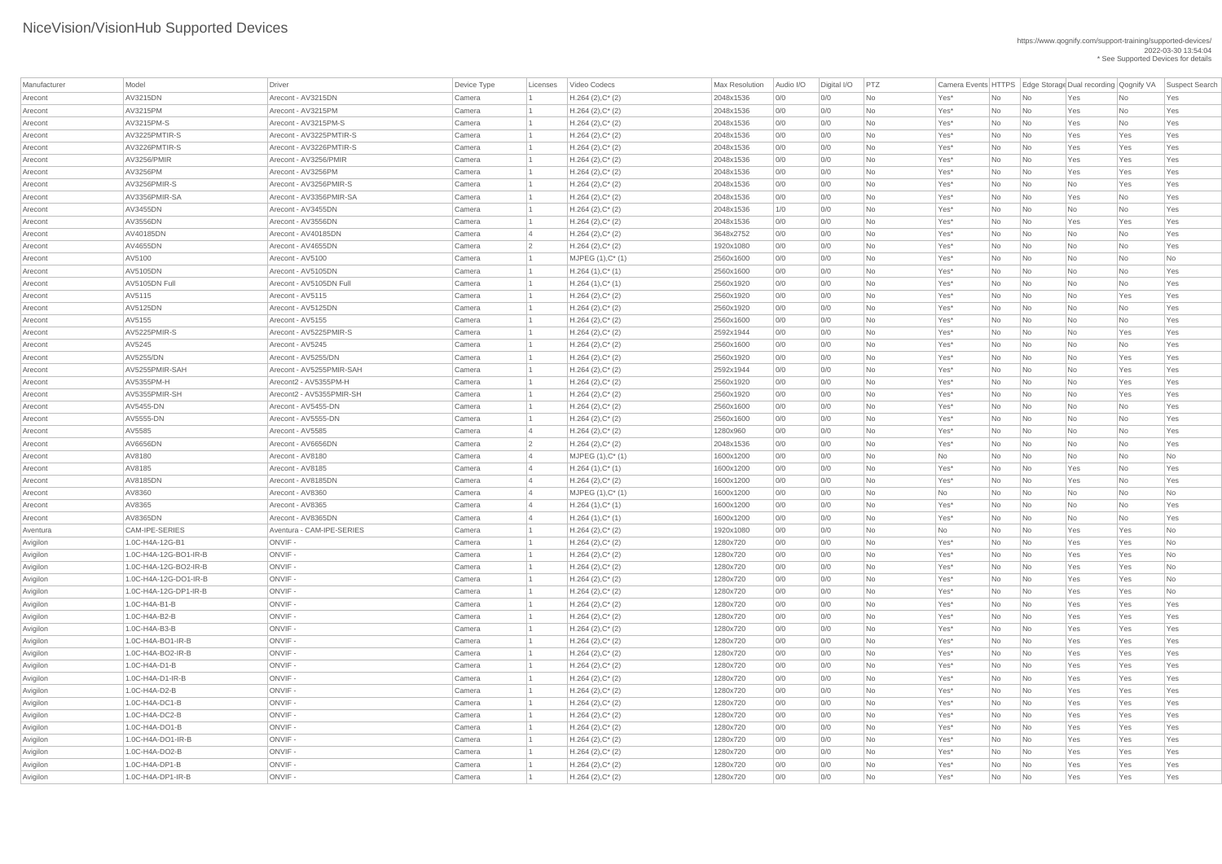| Manufacturer | Model                 | <b>Driver</b>             | Device Type      | Licenses | Video Codecs                               | <b>Max Resolution</b>  | Audio I/O  | Digital I/O | PTZ             |              |           |                             | Camera Events HTTPS   Edge Storage Dual recording   Qognify VA |           | Suspect Search  |
|--------------|-----------------------|---------------------------|------------------|----------|--------------------------------------------|------------------------|------------|-------------|-----------------|--------------|-----------|-----------------------------|----------------------------------------------------------------|-----------|-----------------|
| Arecont      | AV3215DN              | Arecont - AV3215DN        | Camera           |          | $H.264 (2), C^*(2)$                        | 2048x1536              | 0/0        | 0/0         | No              | Yes*         | No        | $\overline{\mathsf{No}}$    | Yes                                                            | No        | Yes             |
| Arecont      | AV3215PM              | Arecont - AV3215PM        | Camera           |          | $H.264 (2), C^*(2)$                        | 2048x1536              | 0/0        | 0/0         | <b>No</b>       | Yes*         | No        | $\overline{\mathsf{No}}$    | Yes                                                            | No        | Yes             |
| Arecont      | AV3215PM-S            | Arecont - AV3215PM-S      | Camera           |          | $H.264 (2), C^*(2)$                        | 2048x1536              | 0/0        | 0/0         | No              | Yes*         | No        | $\overline{\mathsf{No}}$    | Yes                                                            | No        | Yes             |
| Arecont      | AV3225PMTIR-S         | Arecont - AV3225PMTIR-S   | Camera           |          | $H.264 (2), C^*(2)$                        | 2048x1536              | 0/0        | 0/0         | No              | Yes*         | No        | No                          | Yes                                                            | Yes       | Yes             |
| Arecont      | AV3226PMTIR-S         | Arecont - AV3226PMTIR-S   | Camera           |          | $H.264 (2), C^*(2)$                        | 2048x1536              | 0/0        | 0/0         | No              | Yes*         | No        | $\overline{\mathsf{No}}$    | Yes                                                            | Yes       | Yes             |
| Arecont      | <b>AV3256/PMIR</b>    | Arecont - AV3256/PMIR     | Camera           |          | $H.264 (2), C^*(2)$                        | 2048x1536              | 0/0        | 0/0         | <b>No</b>       | Yes*         | No        | $\overline{\mathsf{No}}$    | Yes                                                            | Yes       | Yes             |
| Arecont      | AV3256PM              | Arecont - AV3256PM        | Camera           |          | $H.264 (2), C^*(2)$                        | 2048x1536              | 0/0        | 0/0         | No              | Yes*         | No        | No                          | Yes                                                            | Yes       | Yes             |
| Arecont      | AV3256PMIR-S          | Arecont - AV3256PMIR-S    | Camera           |          | $H.264 (2), C^*(2)$                        | 2048x1536              | 0/0        | 0/0         | No              | Yes*         | No        | $\overline{\mathsf{No}}$    | No                                                             | Yes       | Yes             |
| Arecont      | AV3356PMIR-SA         | Arecont - AV3356PMIR-SA   | Camera           |          | $H.264 (2), C^*(2)$                        | 2048x1536              | 0/0        | 0/0         | <b>No</b>       | Yes*         | No        | No                          | Yes                                                            | No        | Yes             |
| Arecont      | AV3455DN              | Arecont - AV3455DN        | Camera           |          | $H.264 (2), C^*(2)$                        | 2048x1536              | 1/0        | 0/0         | No              | Yes*         | No        | No                          | No                                                             | No        | Yes             |
| Arecont      | AV3556DN              | Arecont - AV3556DN        | Camera           |          | $H.264 (2), C^*(2)$                        | 2048x1536              | 0/0        | 0/0         | No              | Yes*         | No        | $\overline{\mathsf{No}}$    | Yes                                                            | Yes       | Yes             |
| Arecont      | AV40185DN             | Arecont - AV40185DN       | Camera           |          | $H.264 (2), C^*(2)$                        | 3648x2752              | 0/0        | 0/0         | <b>No</b>       | Yes*         | No        | $\overline{\mathsf{No}}$    | No                                                             | No        | Yes             |
| Arecont      | AV4655DN              | Arecont - AV4655DN        | Camera           |          | $H.264 (2), C^*(2)$                        | 1920x1080              | 0/0        | 0/0         | No              | Yes*         | No        | No                          | No                                                             | No        | Yes             |
| Arecont      | AV5100                | Arecont - AV5100          | Camera           |          | $MJPEG (1), C^* (1)$                       | 2560x1600              | 0/0        | 0/0         | No              | Yes*         | No        | No                          | No                                                             | No        | No              |
| Arecont      | AV5105DN              | Arecont - AV5105DN        | Camera           |          | $H.264(1),C^*(1)$                          | 2560x1600              | 0/0        | 0/0         | <b>No</b>       | Yes*         | No        | No                          | No                                                             | No        | Yes             |
| Arecont      | AV5105DN Full         | Arecont - AV5105DN Full   | Camera           |          | $H.264(1),C^*(1)$                          | 2560x1920              | 0/0        | 0/0         | No              | Yes*         | No        | No                          | No                                                             | No        | Yes             |
| Arecont      | AV5115                | Arecont - AV5115          | Camera           |          | $H.264 (2), C^*(2)$                        | 2560x1920              | 0/0        | 0/0         | No              | Yes*         | No        | $\overline{\mathsf{No}}$    | No                                                             | Yes       | Yes             |
| Arecont      | AV5125DN              | Arecont - AV5125DN        | Camera           |          | $H.264 (2), C^*(2)$                        | 2560x1920              | 0/0        | 0/0         | <b>No</b>       | Yes*         | No        | $\overline{\mathsf{No}}$    | No                                                             | No        | Yes             |
| Arecont      | AV5155                | Arecont - AV5155          | Camera           |          | $H.264 (2), C^*(2)$                        | 2560x1600              | 0/0        | 0/0         | <b>No</b>       | Yes*         | No        | No                          | No                                                             | No        | Yes             |
| Arecont      | AV5225PMIR-S          | Arecont - AV5225PMIR-S    | Camera           |          | $H.264 (2), C^*(2)$                        | 2592x1944              | 0/0        | 0/0         | No              | Yes*         | No        | No                          | No                                                             | Yes       | Yes             |
| Arecont      | AV5245                | Arecont - AV5245          | Camera           |          | $H.264 (2), C^*(2)$                        | 2560x1600              | 0/0        | 0/0         | <b>No</b>       | Yes*         | No        | No                          | No                                                             | No        | Yes             |
| Arecont      | AV5255/DN             | Arecont - AV5255/DN       | Camera           |          | $H.264 (2), C^*(2)$                        | 2560x1920              | 0/0        | 0/0         | No              | Yes*         | No        | $\overline{\mathsf{No}}$    | No                                                             | Yes       | Yes             |
| Arecont      | AV5255PMIR-SAH        | Arecont - AV5255PMIR-SAH  | Camera           |          | $H.264 (2), C^*(2)$                        | 2592x1944              | 0/0        | 0/0         | No              | Yes*         | No        | $\overline{\mathsf{No}}$    | No                                                             | Yes       | Yes             |
| Arecont      | AV5355PM-H            | Arecont2 - AV5355PM-H     | Camera           |          | $H.264 (2), C^*(2)$                        | 2560x1920              | 0/0        | 0/0         | No              | Yes*         | No        | $\overline{\mathsf{No}}$    | No                                                             | Yes       | Yes             |
| Arecont      | AV5355PMIR-SH         | Arecont2 - AV5355PMIR-SH  | Camera           |          | $H.264 (2), C^*(2)$                        | 2560x1920              | 0/0        | 0/0         | <b>No</b>       | Yes*         | No        | No                          | No                                                             | Yes       | Yes             |
| Arecont      | AV5455-DN             | Arecont - AV5455-DN       | Camera           |          | $H.264 (2), C^*(2)$                        | 2560x1600              | 0/0        | 0/0         | No              | Yes*         | No        | $\overline{\mathsf{No}}$    | No                                                             | No        | Yes             |
| Arecont      | AV5555-DN             | Arecont - AV5555-DN       | Camera           |          | $H.264 (2), C^*(2)$                        | 2560x1600              | 0/0        | 0/0         | No              | Yes*         | No        | $\overline{\mathsf{No}}$    | No                                                             | No        | Yes             |
|              | AV5585                | Arecont - AV5585          | Camera           |          | $H.264 (2), C^*(2)$                        | 1280x960               | 0/0        | 0/0         | No              | Yes*         |           | $\overline{\mathsf{No}}$    |                                                                | No        | Yes             |
| Arecont      | AV6656DN              | Arecont - AV6656DN        |                  |          |                                            | 2048x1536              |            |             | No              |              | No        |                             | No                                                             |           | Yes             |
| Arecont      | AV8180                | Arecont - AV8180          | Camera<br>Camera |          | $H.264 (2), C^*(2)$<br>$MJPEG (1), C^*(1)$ | 1600x1200              | 0/0<br>0/0 | 0/0<br>0/0  | No              | Yes*         | No        | $\overline{\mathsf{No}}$    | No<br>No                                                       | No<br>No  | No              |
| Arecont      | AV8185                | Arecont - AV8185          |                  |          |                                            |                        | 0/0        | 0/0         |                 | No           | No        | $\overline{\phantom{a}}$ No |                                                                |           |                 |
| Arecont      | AV8185DN              | Arecont - AV8185DN        | Camera<br>Camera |          | $H.264(1),C^*(1)$                          | 1600x1200<br>1600x1200 | 0/0        | 0/0         | No<br><b>No</b> | Yes*<br>Yes* | No        | $\overline{\mathsf{No}}$    | Yes                                                            | No        | Yes<br>Yes      |
| Arecont      | AV8360                | Arecont - AV8360          |                  |          | $H.264 (2), C^*(2)$                        | 1600x1200              | 0/0        |             | No              |              | No        | No                          | Yes                                                            | No        |                 |
| Arecont      | AV8365                | Arecont - AV8365          | Camera           |          | $MJPEG (1), C^*(1)$                        |                        | 0/0        | 0/0<br>0/0  |                 | No           | No        | $\overline{\mathsf{No}}$    | No                                                             | No        | No              |
| Arecont      | AV8365DN              | Arecont - AV8365DN        | Camera           |          | $H.264(1),C^*(1)$                          | 1600x1200              |            |             | No              | Yes*         | No        | $\overline{\mathsf{No}}$    | No                                                             | No        | Yes             |
| Arecont      | CAM-IPE-SERIES        | Aventura - CAM-IPE-SERIES | Camera           |          | $H.264(1),C^*(1)$                          | 1600x1200<br>1920x1080 | 0/0        | 0/0         | No              | Yes*         | No        | $\overline{\mathsf{No}}$    | No                                                             | No<br>Yes | Yes             |
| Aventura     | 1.0C-H4A-12G-B1       | ONVIF-                    | Camera           |          | $H.264 (2), C^*(2)$                        |                        | 0/0        | 0/0<br>0/0  | No<br><b>No</b> | No           | No        | $\overline{\mathsf{No}}$    | Yes                                                            |           | No<br><b>No</b> |
| Avigilon     |                       | ONVIF-                    | Camera           |          | $H.264 (2), C^*(2)$                        | 1280x720               | 0/0        |             |                 | Yes*         | No        | $\overline{\mathsf{No}}$    | Yes                                                            | Yes       |                 |
| Avigilon     | 1.0C-H4A-12G-BO1-IR-B | ONVIF-                    | Camera           |          | $H.264 (2), C^*(2)$                        | 1280x720               | 0/0        | 0/0         | No              | Yes*         | No        | $\overline{\mathsf{No}}$    | Yes                                                            | Yes       | No              |
| Avigilon     | 1.0C-H4A-12G-BO2-IR-B |                           | Camera           |          | $H.264 (2), C^*(2)$                        | 1280x720               | 0/0        | 0/0         | No              | Yes*         | No        | $\overline{\mathsf{No}}$    | Yes                                                            | Yes       | No              |
| Avigilon     | 1.0C-H4A-12G-DO1-IR-B | ONVIF-                    | Camera           |          | $H.264 (2), C^*(2)$                        | 1280x720               | 0/0        | 0/0         | No              | Yes*         | No        | No                          | Yes                                                            | Yes       | No              |
| Avigilon     | 1.0C-H4A-12G-DP1-IR-B | ONVIF-                    | Camera           |          | $H.264 (2), C^*(2)$                        | 1280x720               | 0/0        | 0/0         | No              | Yes*         | No        | $\overline{\mathsf{No}}$    | Yes                                                            | Yes       | No              |
| Avigilon     | 1.0C-H4A-B1-B         | ONVIF-                    | Camera           |          | $H.264 (2), C^*(2)$                        | 1280x720               | 0/0        | 0/0         | No              | Yes*         | No        | No                          | Yes                                                            | Yes       | Yes             |
| Avigilon     | 1.0C-H4A-B2-B         | ONVIF-                    | Camera           |          | $H.264 (2), C^*(2)$                        | 1280x720               | 0/0        | 0/0         | <b>No</b>       | Yes*         | No        | No                          | Yes                                                            | Yes       | Yes             |
| Avigilon     | 1.0C-H4A-B3-B         | ONVIF-                    | Camera           |          | $H.264 (2), C^*(2)$                        | 1280x720               | 0/0        | 0/0         | <b>No</b>       | Yes*         | No        | No                          | Yes                                                            | Yes       | Yes             |
| Avigilon     | 1.0C-H4A-BO1-IR-B     | ONVIF-                    | Camera           |          | $H.264 (2), C^*(2)$                        | 1280x720               | 0/0        | 0/0         | No              | Yes*         | No        | $\overline{\mathsf{No}}$    | Yes                                                            | Yes       | Yes             |
| Avigilon     | 1.0C-H4A-BO2-IR-B     | ONVIF-                    | Camera           |          | $H.264 (2), C^*(2)$                        | 1280x720               | 0/0        | 0/0         | No              | Yes*         | No        | $\overline{\mathsf{No}}$    | Yes                                                            | Yes       | Yes             |
| Avigilon     | 1.0C-H4A-D1-B         | ONVIF-                    | Camera           |          | $H.264 (2), C^*(2)$                        | 1280x720               | 0/0        | 0/0         | No              | Yes*         | No        | $\overline{\mathsf{No}}$    | Yes                                                            | Yes       | Yes             |
| Avigilon     | 1.0C-H4A-D1-IR-B      | ONVIF-                    | Camera           |          | $H.264 (2), C^*(2)$                        | 1280x720               | 0/0        | 0/0         | No              | Yes*         | No        | No                          | Yes                                                            | Yes       | Yes             |
| Avigilon     | 1.0C-H4A-D2-B         | ONVIF-                    | Camera           |          | $H.264 (2), C^*(2)$                        | 1280x720               | 0/0        | 0/0         | No              | Yes*         | No        | $\overline{\mathsf{No}}$    | Yes                                                            | Yes       | Yes             |
| Avigilon     | 1.0C-H4A-DC1-B        | ONVIF-                    | Camera           |          | $H.264 (2), C^*(2)$                        | 1280x720               | 0/0        | 0/0         | <b>No</b>       | Yes*         | No        | $\overline{\mathsf{No}}$    | Yes                                                            | Yes       | Yes             |
| Avigilon     | 1.0C-H4A-DC2-B        | ONVIF -                   | Camera           |          | $H.264 (2), C^*(2)$                        | 1280x720               | 0/0        | 0/0         | <b>No</b>       | Yes*         | No        | No                          | Yes                                                            | Yes       | Yes             |
| Avigilon     | 1.0C-H4A-DO1-B        | ONVIF                     | Camera           |          | $H.264 (2), C^*(2)$                        | 1280x720               | 0/0        | 0/0         | No              | Yes*         | No        | $\overline{\mathsf{No}}$    | Yes                                                            | Yes       | Yes             |
| Avigilon     | 1.0C-H4A-DO1-IR-B     | ONVIF -                   | Camera           |          | $H.264 (2), C^*(2)$                        | 1280x720               | 0/0        | 0/0         | No              | Yes*         | <b>No</b> | N <sub>o</sub>              | Yes                                                            | Yes       | Yes             |
| Avigilon     | 1.0C-H4A-DO2-B        | ONVIF-                    | Camera           |          | $H.264 (2), C^*(2)$                        | 1280x720               | 0/0        | 0/0         | No              | Yes*         | No        | $\overline{\mathsf{No}}$    | Yes                                                            | Yes       | Yes             |
| Avigilon     | $1.0C$ -H4A-DP1-B     | ONVIF -                   | Camera           |          | $H.264 (2), C^*(2)$                        | 1280x720               | 0/0        | 0/0         | No              | Yes*         | No        | N <sub>o</sub>              | Yes                                                            | Yes       | Yes             |
| Avigilon     | $1.0C-H4A-DP1-IR-B$   | ONVIF-                    | Camera           |          | $H.264 (2), C^*(2)$                        | 1280x720               | 0/0        | 0/0         | No              | Yes*         | No        | $\overline{\phantom{a}}$ No | Yes                                                            | Yes       | Yes             |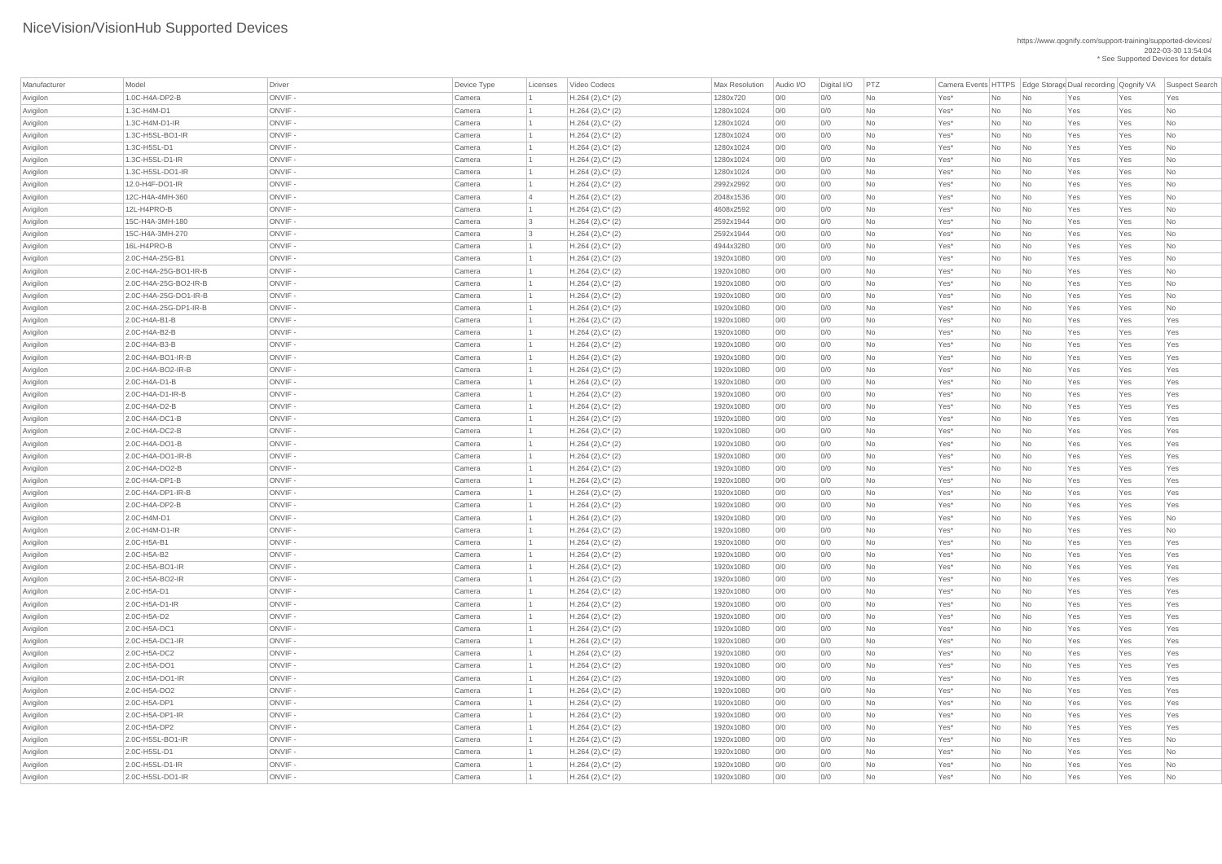| Manufacturer | Model                 | Driver  | Device Type | Licenses  | Video Codecs        | <b>Max Resolution</b> | Audio I/O | Digital I/O | PTZ       |         |                |                             |     |     | Camera Events HTTPS Edge Storage Dual recording Qognify VA Suspect Search |
|--------------|-----------------------|---------|-------------|-----------|---------------------|-----------------------|-----------|-------------|-----------|---------|----------------|-----------------------------|-----|-----|---------------------------------------------------------------------------|
| Avigilon     | 1.0C-H4A-DP2-B        | ONVIF-  | Camera      |           | $H.264 (2), C^*(2)$ | 1280x720              | 0/0       | 0/0         | <b>No</b> | Yes*    | No             | No                          | Yes | Yes | Yes                                                                       |
| Avigilon     | 1.3C-H4M-D1           | ONVIF-  | Camera      |           | $H.264 (2), C^*(2)$ | 1280x1024             | 0/0       | 0/0         | No        | Yes*    | No             | $\overline{\mathsf{No}}$    | Yes | Yes | No                                                                        |
| Avigilon     | 1.3C-H4M-D1-IR        | ONVIF-  | Camera      |           | $H.264 (2), C^*(2)$ | 1280x1024             | 0/0       | O/O         | No        | Yes*    | No             | $\overline{\mathsf{No}}$    | Yes | Yes | No                                                                        |
| Avigilon     | 1.3C-H5SL-BO1-IR      | ONVIF-  | Camera      |           | $H.264 (2), C^*(2)$ | 1280x1024             | 0/0       | 0/0         | No        | Yes*    | No             | No                          | Yes | Yes | <b>No</b>                                                                 |
| Avigilon     | 1.3C-H5SL-D1          | ONVIF-  | Camera      |           | $H.264 (2), C^*(2)$ | 1280x1024             | 0/0       | 0/0         | No        | Yes*    | No             | No                          | Yes | Yes | No                                                                        |
| Avigilon     | 1.3C-H5SL-D1-IR       | ONVIF-  | Camera      |           | $H.264 (2), C^*(2)$ | 1280x1024             | 0/0       | O/O         | No        | Yes*    | No             | $\overline{\mathsf{No}}$    | Yes | Yes | No                                                                        |
| Avigilon     | 1.3C-H5SL-DO1-IR      | ONVIF-  | Camera      |           | $H.264 (2), C^*(2)$ | 1280x1024             | 0/0       | O/O         | <b>No</b> | Yes*    | No             | No                          | Yes | Yes | <b>No</b>                                                                 |
| Avigilon     | 12.0-H4F-DO1-IR       | ONVIF-  | Camera      |           | $H.264 (2), C^*(2)$ | 2992x2992             | 0/0       | 0/0         | No        | Yes*    | No             | No                          | Yes | Yes | No                                                                        |
| Avigilon     | 12C-H4A-4MH-360       | ONVIF-  | Camera      | $\vert 4$ | $H.264 (2), C^*(2)$ | 2048x1536             | 0/0       | 0/0         | No        | Yes*    | No             | $\overline{\mathsf{No}}$    | Yes | Yes | No                                                                        |
| Avigilon     | 12L-H4PRO-B           | ONVIF-  | Camera      |           | $H.264 (2), C^*(2)$ | 4608x2592             | 0/0       | 0/0         | No        | Yes*    | No             | $\overline{\mathsf{No}}$    | Yes | Yes | No                                                                        |
| Avigilon     | 15C-H4A-3MH-180       | ONVIF-  | Camera      | 3         | $H.264 (2), C^*(2)$ | 2592x1944             | 0/0       | 0/0         | No        | Yes*    | No             | No                          | Yes | Yes | No                                                                        |
| Avigilon     | 15C-H4A-3MH-270       | ONVIF-  | Camera      | 3         | $H.264 (2), C^*(2)$ | 2592x1944             | 0/0       | O/O         | No        | Yes*    | No             | $\overline{\mathsf{No}}$    | Yes | Yes | No                                                                        |
| Avigilon     | 16L-H4PRO-B           | ONVIF-  | Camera      |           | $H.264 (2), C^*(2)$ | 4944x3280             | 0/0       | 0/0         | No        | Yes*    | No             | $\overline{\mathsf{No}}$    | Yes | Yes | No                                                                        |
| Avigilon     | 2.0C-H4A-25G-B1       | ONVIF-  | Camera      |           | $H.264 (2), C^*(2)$ | 1920x1080             | 0/0       | 0/0         | <b>No</b> | Yes*    | No             | No                          | Yes | Yes | <b>No</b>                                                                 |
| Avigilon     | 2.0C-H4A-25G-BO1-IR-B | ONVIF-  | Camera      |           | $H.264 (2), C^*(2)$ | 1920x1080             | 0/0       | 0/0         | No        | Yes*    | No             | $\overline{\mathsf{No}}$    | Yes | Yes | No                                                                        |
| Avigilon     | 2.0C-H4A-25G-BO2-IR-B | ONVIF-  | Camera      |           | $H.264 (2), C^*(2)$ | 1920x1080             | 0/0       | 0/0         | No        | Yes*    | No             | $\overline{\mathsf{No}}$    | Yes | Yes | No                                                                        |
| Avigilon     | 2.0C-H4A-25G-DO1-IR-B | ONVIF-  | Camera      |           | $H.264 (2), C^*(2)$ | 1920x1080             | 0/0       | 0/0         | No        | Yes*    | No             | No                          | Yes | Yes | No                                                                        |
| Avigilon     | 2.0C-H4A-25G-DP1-IR-B | ONVIF-  | Camera      |           | $H.264 (2), C^*(2)$ | 1920x1080             | 0/0       | 0/0         | No        | Yes*    | No             | $\overline{\mathsf{No}}$    | Yes | Yes | No                                                                        |
| Avigilon     | 2.0C-H4A-B1-B         | ONVIF-  | Camera      |           | $H.264 (2), C^*(2)$ | 1920x1080             | 0/0       | O/O         | No        | Yes*    | No             | $\overline{\mathsf{No}}$    | Yes | Yes | Yes                                                                       |
| Avigilon     | 2.0C-H4A-B2-B         | ONVIF-  | Camera      |           | $H.264 (2), C^*(2)$ | 1920x1080             | 0/0       | 0/0         | No        | Yes*    | No             | No                          | Yes | Yes | Yes                                                                       |
| Avigilon     | 2.0C-H4A-B3-B         | ONVIF-  | Camera      |           | $H.264 (2), C^*(2)$ | 1920x1080             | 0/0       | 0/0         | No        | Yes*    | No             | $\overline{\mathsf{No}}$    | Yes | Yes | Yes                                                                       |
| Avigilon     | 2.0C-H4A-BO1-IR-B     | ONVIF-  | Camera      |           | $H.264 (2), C^*(2)$ | 1920x1080             | 0/0       | 0/0         | No        | Yes*    | No             | $\overline{\mathsf{No}}$    | Yes | Yes | Yes                                                                       |
| Avigilon     | 2.0C-H4A-BO2-IR-B     | ONVIF-  | Camera      |           | $H.264 (2), C^*(2)$ | 1920x1080             | 0/0       | 0/0         | No        | Yes*    | No             | No                          | Yes | Yes | Yes                                                                       |
| Avigilon     | 2.0C-H4A-D1-B         | ONVIF-  | Camera      |           | $H.264 (2), C^*(2)$ | 1920x1080             | 0/0       | 0/0         | No        | Yes*    | <b>No</b>      | $\overline{\mathsf{No}}$    | Yes | Yes | Yes                                                                       |
| Avigilon     | $2.0C-H4A-D1-IR-B$    | ONVIF-  | Camera      |           | $H.264 (2), C^*(2)$ | 1920x1080             | 0/0       | 0/0         | No        | Yes*    | No             | No                          | Yes | Yes | Yes                                                                       |
| Avigilon     | 2.0C-H4A-D2-B         | ONVIF-  | Camera      |           | $H.264 (2), C^*(2)$ | 1920x1080             | 0/0       | 0/0         | No        | Yes*    | No             | No                          | Yes | Yes | Yes                                                                       |
| Avigilon     | 2.0C-H4A-DC1-B        | ONVIF - | Camera      |           | $H.264 (2), C^*(2)$ | 1920x1080             | 0/0       | 0/0         | No        | Yes*    | <b>No</b>      | $\overline{\mathsf{No}}$    | Yes | Yes | Yes                                                                       |
| Avigilon     | 2.0C-H4A-DC2-B        | ONVIF-  | Camera      |           | $H.264 (2), C^*(2)$ | 1920x1080             | 0/0       | 0/0         | No        | Yes*    | No             | $\overline{\mathsf{No}}$    | Yes | Yes | Yes                                                                       |
| Avigilon     | 2.0C-H4A-DO1-B        | ONVIF-  | Camera      |           | $H.264 (2), C^*(2)$ | 1920x1080             | 0/0       | 0/0         | No        | Yes*    | No             | No                          | Yes | Yes | Yes                                                                       |
| Avigilon     | 2.0C-H4A-DO1-IR-B     | ONVIF-  | Camera      |           | $H.264 (2), C^*(2)$ | 1920x1080             | 0/0       | 0/0         | No        | Yes*    | No             | No                          | Yes | Yes | Yes                                                                       |
| Avigilon     | 2.0C-H4A-DO2-B        | ONVIF-  | Camera      |           | $H.264 (2), C^*(2)$ | 1920x1080             | 0/0       | O/O         | No        | Yes*    | No             | $\overline{\mathsf{No}}$    | Yes | Yes | Yes                                                                       |
| Avigilon     | 2.0C-H4A-DP1-B        | ONVIF-  | Camera      |           | $H.264 (2), C^*(2)$ | 1920x1080             | 0/0       | 0/0         | <b>No</b> | Yes*    | No             | $\overline{\mathsf{No}}$    | Yes | Yes | Yes                                                                       |
| Avigilon     | 2.0C-H4A-DP1-IR-B     | ONVIF-  | Camera      |           | $H.264 (2), C^*(2)$ | 1920x1080             | 0/0       | 0/0         | No        | Yes*    | No             | $\overline{\mathsf{No}}$    | Yes | Yes | Yes                                                                       |
| Avigilon     | 2.0C-H4A-DP2-B        | ONVIF-  | Camera      |           | $H.264 (2), C^*(2)$ | 1920x1080             | 0/0       | 0/0         | No        | Yes*    | N <sub>o</sub> | $\overline{\mathsf{No}}$    | Yes | Yes | Yes                                                                       |
| Avigilon     | 2.0C-H4M-D1           | ONVIF-  | Camera      |           | $H.264 (2), C^*(2)$ | 1920x1080             | 0/0       | 0/0         | No        | Yes*    | No             | No                          | Yes | Yes | No                                                                        |
| Avigilon     | 2.0C-H4M-D1-IR        | ONVIF-  | Camera      |           | $H.264 (2), C^*(2)$ | 1920x1080             | 0/0       | 0/0         | No        | Yes*    | No             | $\overline{\mathsf{No}}$    | Yes | Yes | No                                                                        |
| Avigilon     | 2.0C-H5A-B1           | ONVIF-  | Camera      |           | $H.264 (2), C^*(2)$ | 1920x1080             | 0/0       | O/O         | No        | Yes*    | No             | $\overline{\mathsf{No}}$    | Yes | Yes | Yes                                                                       |
| Avigilon     | 2.0C-H5A-B2           | ONVIF-  | Camera      |           | $H.264 (2), C^*(2)$ | 1920x1080             | 0/0       | 0/0         | No        | Yes*    | No             | $\overline{\mathsf{No}}$    | Yes | Yes | Yes                                                                       |
| Avigilon     | 2.0C-H5A-BO1-IR       | ONVIF - | Camera      |           | $H.264 (2), C^*(2)$ | 1920x1080             | 0/0       | 0/0         | No        | Yes*    | No             | No                          | Yes | Yes | Yes                                                                       |
| Avigilon     | 2.0C-H5A-BO2-IR       | ONVIF-  | Camera      |           | $H.264 (2), C^*(2)$ | 1920x1080             | 0/0       | 0/0         | No        | Yes*    | No             | $\overline{\mathsf{No}}$    | Yes | Yes | Yes                                                                       |
| Avigilon     | 2.0C-H5A-D1           | ONVIF-  | Camera      |           | $H.264 (2), C^*(2)$ | 1920x1080             | 0/0       | 0/0         | No        | Yes*    | No             | $\overline{\mathsf{No}}$    | Yes | Yes | Yes                                                                       |
| Avigilon     | 2.0C-H5A-D1-IR        | ONVIF-  | Camera      |           | $H.264 (2), C^*(2)$ | 1920x1080             | 0/0       | 0/0         | No        | Yes*    | No             | No                          | Yes | Yes | Yes                                                                       |
| Avigilon     | 2.0C-H5A-D2           | ONVIF-  | Camera      |           | $H.264 (2), C^*(2)$ | 1920x1080             | 0/0       | 0/0         | No        | Yes*    | No             | $\overline{\mathsf{No}}$    | Yes | Yes | Yes                                                                       |
| Avigilon     | 2.0C-H5A-DC1          | ONVIF-  | Camera      |           | $H.264 (2), C^*(2)$ | 1920x1080             | 0/0       | 0/0         | No        | Yes*    | No             | $\overline{\mathsf{No}}$    | Yes | Yes | Yes                                                                       |
| Avigilon     | 2.0C-H5A-DC1-IR       | ONVIF-  | Camera      |           | $H.264 (2), C^*(2)$ | 1920x1080             | 0/0       | 0/0         | No        | Yes*    | No             | $\overline{\mathsf{No}}$    | Yes | Yes | Yes                                                                       |
| Avigilon     | 2.0C-H5A-DC2          | ONVIF-  | Camera      |           | $H.264 (2), C^*(2)$ | 1920x1080             | 0/0       | 0/0         | No        | Yes*    | No             | $\overline{\mathsf{No}}$    | Yes | Yes | Yes                                                                       |
| Avigilon     | 2.0C-H5A-DO1          | ONVIF-  | Camera      |           | $H.264 (2), C^*(2)$ | 1920x1080             | 0/0       | 0/0         | No        | Yes*    | No             | $\overline{\mathsf{No}}$    | Yes | Yes | Yes                                                                       |
| Avigilon     | 2.0C-H5A-DO1-IR       | ONVIF-  | Camera      |           | $H.264 (2), C^*(2)$ | 1920x1080             | 0/0       | 0/0         | No        | Yes*    | No             | No                          | Yes | Yes | Yes                                                                       |
| Avigilon     | 2.0C-H5A-DO2          | ONVIF-  | Camera      |           | $H.264 (2), C^*(2)$ | 1920x1080             | 0/0       | 0/0         | No        | Yes*    | No             | $\overline{\mathsf{No}}$    | Yes | Yes | Yes                                                                       |
| Avigilon     | 2.0C-H5A-DP1          | ONVIF-  | Camera      |           | $H.264 (2), C^*(2)$ | 1920x1080             | 0/0       | 0/0         | No        | Yes*    | No             | $\overline{\mathsf{No}}$    | Yes | Yes | Yes                                                                       |
| Avigilon     | 2.0C-H5A-DP1-IR       | ONVIF-  | Camera      |           | $H.264 (2), C^*(2)$ | 1920x1080             | 0/0       | O/O         | No        | Yes*    | <b>No</b>      | No                          | Yes | Yes | Yes                                                                       |
| Avigilon     | 2.0C-H5A-DP2          | ONVIF - | Camera      |           | $H.264 (2), C^*(2)$ | 1920x1080             | 0/0       | 0/0         | No        | $Yes^*$ | No             | No                          | Yes | Yes | Yes                                                                       |
| Avigilon     | 2.0C-H5SL-BO1-IR      | ONVIF-  | Camera      |           | $H.264 (2), C^*(2)$ | 1920x1080             | 0/0       | 0/0         | No        | $Yes^*$ | No             | $\overline{\phantom{a}}$ No | Yes | Yes | No                                                                        |
| Avigilon     | 2.0C-H5SL-D1          | ONVIF-  | Camera      |           | $H.264 (2), C^*(2)$ | 1920x1080             | 0/0       | 0/0         | No        | $Yes^*$ | <b>No</b>      | $\overline{\phantom{1}}$ No | Yes | Yes | No                                                                        |
| Avigilon     | 2.0C-H5SL-D1-IR       | ONVIF-  | Camera      |           | $H.264 (2), C^*(2)$ | 1920x1080             | 0/0       | 0/0         | No        | $Yes^*$ | No             | $\overline{\mathsf{No}}$    | Yes | Yes | No                                                                        |
| Avigilon     | 2.0C-H5SL-DO1-IR      | ONVIF-  | Camera      |           | $H.264 (2), C^*(2)$ | 1920x1080             | 0/0       | 0/0         | No        | $Yes^*$ | No             | $\overline{\phantom{a}}$ No | Yes | Yes | No                                                                        |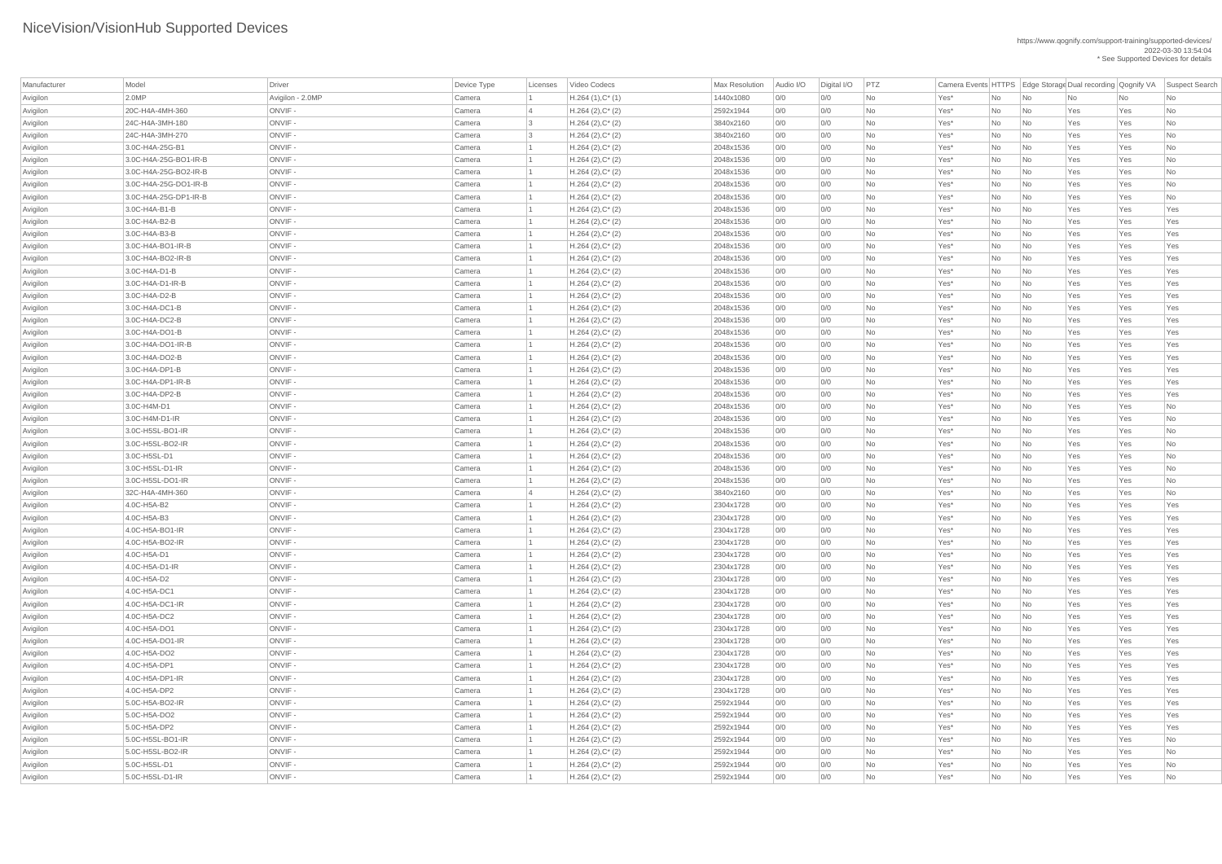| Manufacturer | Model                 | Driver           | Device Type | Licenses                | Video Codecs        | <b>Max Resolution</b> | Audio I/O | Digital I/O | PTZ       | Camera Events HTTPS   Edge Storage Dual recording   Qognify VA |           |                             |     |     | Suspect Search |
|--------------|-----------------------|------------------|-------------|-------------------------|---------------------|-----------------------|-----------|-------------|-----------|----------------------------------------------------------------|-----------|-----------------------------|-----|-----|----------------|
| Avigilon     | 2.0MP                 | Avigilon - 2.0MP | Camera      |                         | $H.264(1),C^*(1)$   | 1440x1080             | 0/0       | 0/0         | No        | Yes*                                                           | No        | No                          | No  | No  | No             |
| Avigilon     | 20C-H4A-4MH-360       | ONVIF-           | Camera      |                         | $H.264 (2), C^*(2)$ | 2592x1944             | 0/0       | 0/0         | <b>No</b> | Yes*                                                           | No        | No                          | Yes | Yes | No             |
| Avigilon     | 24C-H4A-3MH-180       | ONVIF-           | Camera      | $\overline{\mathbf{3}}$ | $H.264 (2), C^*(2)$ | 3840x2160             | 0/0       | 0/0         | No        | Yes*                                                           | No        | No                          | Yes | Yes | No             |
| Avigilon     | 24C-H4A-3MH-270       | ONVIF-           | Camera      |                         | $H.264 (2), C^*(2)$ | 3840x2160             | 0/0       | 0/0         | No        | Yes*                                                           | No        | No                          | Yes | Yes | No             |
| Avigilon     | 3.0C-H4A-25G-B1       | ONVIF-           | Camera      |                         | $H.264 (2), C^*(2)$ | 2048x1536             | 0/0       | 0/0         | No        | Yes*                                                           | No        | No                          | Yes | Yes | No             |
| Avigilon     | 3.0C-H4A-25G-BO1-IR-B | ONVIF-           | Camera      |                         | $H.264 (2), C^*(2)$ | 2048x1536             | 0/0       | 0/0         | No        | Yes*                                                           | No        | No                          | Yes | Yes | No             |
| Avigilon     | 3.0C-H4A-25G-BO2-IR-B | ONVIF-           | Camera      |                         | $H.264 (2), C^*(2)$ | 2048x1536             | 0/0       | 0/0         | No        | Yes*                                                           | No        | No                          | Yes | Yes | No             |
| Avigilon     | 3.0C-H4A-25G-DO1-IR-B | ONVIF-           | Camera      |                         | $H.264 (2), C^*(2)$ | 2048x1536             | 0/0       | 0/0         | <b>No</b> | Yes*                                                           | No        | No                          | Yes | Yes | <b>No</b>      |
| Avigilon     | 3.0C-H4A-25G-DP1-IR-B | ONVIF-           | Camera      |                         | $H.264 (2), C^*(2)$ | 2048x1536             | 0/0       | 0/0         | No        | Yes*                                                           | No        | No                          | Yes | Yes | No             |
| Avigilon     | 3.0C-H4A-B1-B         | ONVIF-           | Camera      |                         | $H.264 (2), C^*(2)$ | 2048x1536             | 0/0       | 0/0         | No        | Yes*                                                           | No        | No                          | Yes | Yes | Yes            |
| Avigilon     | 3.0C-H4A-B2-B         | ONVIF-           | Camera      |                         | $H.264 (2), C^*(2)$ | 2048x1536             | 0/0       | 0/0         | No        | Yes*                                                           | No        | No                          | Yes | Yes | Yes            |
| Avigilon     | 3.0C-H4A-B3-B         | ONVIF-           | Camera      |                         | $H.264 (2), C^*(2)$ | 2048x1536             | 0/0       | 0/0         | No        | Yes*                                                           | No        | No                          | Yes | Yes | Yes            |
| Avigilon     | 3.0C-H4A-BO1-IR-B     | ONVIF-           | Camera      |                         | $H.264 (2), C^*(2)$ | 2048x1536             | 0/0       | 0/0         | No        | Yes*                                                           | No        | No                          | Yes | Yes | Yes            |
| Avigilon     | 3.0C-H4A-BO2-IR-B     | ONVIF-           | Camera      |                         | $H.264 (2), C^*(2)$ | 2048x1536             | 0/0       | 0/0         | No        | Yes*                                                           | No        | No                          | Yes | Yes | Yes            |
| Avigilon     | 3.0C-H4A-D1-B         | ONVIF-           | Camera      |                         | $H.264 (2), C^*(2)$ | 2048x1536             | 0/0       | 0/0         | No        | Yes*                                                           | No        | No                          | Yes | Yes | Yes            |
| Avigilon     | $3.0C$ -H4A-D1-IR-B   | ONVIF-           | Camera      |                         | $H.264 (2), C^*(2)$ | 2048x1536             | 0/0       | 0/0         | No        | Yes*                                                           | No        | No                          | Yes | Yes | Yes            |
| Avigilon     | 3.0C-H4A-D2-B         | ONVIF-           | Camera      |                         | $H.264 (2), C^*(2)$ | 2048x1536             | 0/0       | 0/0         | <b>No</b> | Yes*                                                           | No        | No                          | Yes | Yes | Yes            |
| Avigilon     | $3.0C$ -H4A-DC1-B     | ONVIF-           | Camera      |                         | $H.264 (2), C^*(2)$ | 2048x1536             | 0/0       | 0/0         | No        | Yes*                                                           | No        | No                          | Yes | Yes | Yes            |
| Avigilon     | 3.0C-H4A-DC2-B        | ONVIF-           | Camera      |                         | $H.264 (2), C^*(2)$ | 2048x1536             | 0/0       | 0/0         | No        | Yes*                                                           | No        | No                          | Yes | Yes | Yes            |
| Avigilon     | 3.0C-H4A-DO1-B        | ONVIF-           | Camera      |                         | $H.264 (2), C^*(2)$ | 2048x1536             | 0/0       | 0/0         | No        | Yes*                                                           | No        | No                          | Yes | Yes | Yes            |
| Avigilon     | 3.0C-H4A-DO1-IR-B     | ONVIF-           | Camera      |                         | $H.264 (2), C^*(2)$ | 2048x1536             | 0/0       | 0/0         | <b>No</b> | Yes*                                                           | No        | No                          | Yes | Yes | Yes            |
| Avigilon     | 3.0C-H4A-DO2-B        | ONVIF-           | Camera      |                         | $H.264 (2), C^*(2)$ | 2048x1536             | 0/0       | 0/0         | No        | Yes*                                                           | No        | No                          | Yes | Yes | Yes            |
| Avigilon     | 3.0C-H4A-DP1-B        | ONVIF-           | Camera      |                         | $H.264 (2), C^*(2)$ | 2048x1536             | 0/0       | 0/0         | No        | Yes*                                                           | No        | No                          | Yes | Yes | Yes            |
| Avigilon     | $3.0C$ -H4A-DP1-IR-B  | ONVIF-           | Camera      |                         | $H.264 (2), C^*(2)$ | 2048x1536             | 0/0       | 0/0         | No        | Yes*                                                           | No        | No                          | Yes | Yes | Yes            |
| Avigilon     | 3.0C-H4A-DP2-B        | ONVIF-           | Camera      |                         | $H.264 (2), C^*(2)$ | 2048x1536             | 0/0       | 0/0         | <b>No</b> | Yes*                                                           | No        | No                          | Yes | Yes | Yes            |
| Avigilon     | 3.0C-H4M-D1           | ONVIF -          | Camera      |                         | $H.264 (2), C^*(2)$ | 2048x1536             | 0/0       | 0/0         | No        | Yes*                                                           | No        | No                          | Yes | Yes | No             |
| Avigilon     | 3.0C-H4M-D1-IR        | ONVIF -          | Camera      |                         | $H.264 (2), C^*(2)$ | 2048x1536             | 0/0       | 0/0         | No        | Yes*                                                           | No        | No                          | Yes | Yes | No             |
| Avigilon     | 3.0C-H5SL-BO1-IR      | ONVIF-           | Camera      |                         | $H.264 (2), C^*(2)$ | 2048x1536             | 0/0       | 0/0         | No        | Yes*                                                           | No        | No                          | Yes | Yes | No             |
| Avigilon     | 3.0C-H5SL-BO2-IR      | ONVIF -          | Camera      |                         | $H.264 (2), C^*(2)$ | 2048x1536             | 0/0       | 0/0         | <b>No</b> | Yes*                                                           | No        | No                          | Yes | Yes | No             |
| Avigilon     | 3.0C-H5SL-D1          | ONVIF-           | Camera      |                         | $H.264 (2), C^*(2)$ | 2048x1536             | 0/0       | 0/0         | No        | Yes*                                                           | No        | No                          | Yes | Yes | No             |
| Avigilon     | 3.0C-H5SL-D1-IR       | ONVIF-           | Camera      |                         | $H.264 (2), C^*(2)$ | 2048x1536             | 0/0       | 0/0         | No        | Yes*                                                           | No        | No                          | Yes | Yes | No             |
| Avigilon     | 3.0C-H5SL-DO1-IR      | ONVIF-           | Camera      |                         | $H.264 (2), C^*(2)$ | 2048x1536             | 0/0       | 0/0         | <b>No</b> | Yes*                                                           | No        | No                          | Yes | Yes | No             |
| Avigilon     | 32C-H4A-4MH-360       | ONVIF-           | Camera      | $\overline{4}$          | $H.264 (2), C^*(2)$ | 3840x2160             | 0/0       | 0/0         | No        | Yes*                                                           | No        | No                          | Yes | Yes | No             |
| Avigilon     | 4.0C-H5A-B2           | ONVIF-           | Camera      |                         | $H.264 (2), C^*(2)$ | 2304x1728             | 0/0       | 0/0         | No        | Yes*                                                           | No        | No                          | Yes | Yes | Yes            |
| Avigilon     | 4.0C-H5A-B3           | ONVIF-           | Camera      |                         | $H.264 (2), C^*(2)$ | 2304x1728             | 0/0       | 0/0         | No        | Yes*                                                           | No        | No                          | Yes | Yes | Yes            |
| Avigilon     | 4.0C-H5A-BO1-IR       | ONVIF-           | Camera      |                         | $H.264 (2), C^*(2)$ | 2304x1728             | 0/0       | 0/0         | No        | Yes*                                                           | No        | No                          | Yes | Yes | Yes            |
| Avigilon     | 4.0C-H5A-BO2-IR       | ONVIF-           | Camera      |                         | $H.264 (2), C^*(2)$ | 2304x1728             | 0/0       | 0/0         | No        | Yes*                                                           | No        | No                          | Yes | Yes | Yes            |
| Avigilon     | 4.0C-H5A-D1           | ONVIF-           | Camera      |                         | $H.264 (2), C^*(2)$ | 2304x1728             | 0/0       | 0/0         | <b>No</b> | Yes*                                                           | No        | No                          | Yes | Yes | Yes            |
| Avigilon     | 4.0C-H5A-D1-IR        | ONVIF-           | Camera      |                         | $H.264 (2), C^*(2)$ | 2304x1728             | 0/0       | 0/0         | No        | Yes*                                                           | No        | No                          | Yes | Yes | Yes            |
| Avigilon     | 4.0C-H5A-D2           | ONVIF-           | Camera      |                         | $H.264 (2), C^*(2)$ | 2304x1728             | 0/0       | 0/0         | No        | Yes*                                                           | No        | No                          | Yes | Yes | Yes            |
| Avigilon     | 4.0C-H5A-DC1          | ONVIF-           | Camera      |                         | $H.264 (2), C^*(2)$ | 2304x1728             | 0/0       | 0/0         | No        | Yes*                                                           | No        | No                          | Yes | Yes | Yes            |
| Avigilon     | 4.0C-H5A-DC1-IR       | ONVIF-           | Camera      |                         | $H.264 (2), C^*(2)$ | 2304x1728             | 0/0       | 0/0         | No        | Yes*                                                           | No        | No                          | Yes | Yes | Yes            |
| Avigilon     | 4.0C-H5A-DC2          | ONVIF-           | Camera      |                         | $H.264 (2), C^*(2)$ | 2304x1728             | 0/0       | 0/0         | No        | Yes*                                                           | No        | No                          | Yes | Yes | Yes            |
| Avigilon     | 4.0C-H5A-DO1          | ONVIF-           | Camera      |                         | $H.264 (2), C^*(2)$ | 2304x1728             | 0/0       | 0/0         | <b>No</b> | Yes*                                                           | No        | No                          | Yes | Yes | Yes            |
| Avigilon     | 4.0C-H5A-DO1-IR       | ONVIF-           | Camera      |                         | $H.264 (2), C^*(2)$ | 2304x1728             | 0/0       | 0/0         | No        | Yes*                                                           | No        | No                          | Yes | Yes | Yes            |
| Avigilon     | 4.0C-H5A-DO2          | ONVIF-           | Camera      |                         | $H.264 (2), C^*(2)$ | 2304x1728             | 0/0       | 0/0         | No        | Yes*                                                           | No        | No                          | Yes | Yes | Yes            |
| Avigilon     | 4.0C-H5A-DP1          | ONVIF-           | Camera      |                         | $H.264 (2), C^*(2)$ | 2304x1728             | 0/0       | 0/0         | No        | Yes*                                                           | No        | No                          | Yes | Yes | Yes            |
| Avigilon     | 4.0C-H5A-DP1-IR       | ONVIF-           | Camera      |                         | $H.264 (2), C^*(2)$ | 2304x1728             | 0/0       | 0/0         | No        | Yes*                                                           | No        | No                          | Yes | Yes | Yes            |
| Avigilon     | 4.0C-H5A-DP2          | ONVIF-           | Camera      |                         | $H.264 (2), C^*(2)$ | 2304x1728             | 0/0       | 0/0         | No        | Yes*                                                           | No        | No                          | Yes | Yes | Yes            |
| Avigilon     | 5.0C-H5A-BO2-IR       | ONVIF-           | Camera      |                         | $H.264 (2), C^*(2)$ | 2592x1944             | 0/0       | 0/0         | No        | Yes*                                                           | No        | No                          | Yes | Yes | Yes            |
| Avigilon     | 5.0C-H5A-DO2          | ONVIF -          | Camera      |                         | $H.264 (2), C^*(2)$ | 2592x1944             | 0/0       | 0/0         | <b>No</b> | Yes*                                                           | <b>No</b> | No                          | Yes | Yes | Yes            |
| Avigilon     | 5.0C-H5A-DP2          | <b>ONVIF</b>     | Camera      |                         | $H.264 (2), C^*(2)$ | 2592x1944             | 0/0       | 0/0         | No        | Yes*                                                           | No        | $\overline{\phantom{a}}$ No | Yes | Yes | Yes            |
| Avigilon     | 5.0C-H5SL-BO1-IR      | ONVIF-           | Camera      |                         | $H.264 (2), C^*(2)$ | 2592x1944             | 0/0       | 0/0         | No        | Yes*                                                           | No        | $\overline{\mathsf{No}}$    | Yes | Yes | No             |
| Avigilon     | 5.0C-H5SL-BO2-IR      | ONVIF-           | Camera      |                         | $H.264 (2), C^*(2)$ | 2592x1944             | 0/0       | 0/0         | No        | Yes*                                                           | No        | $\overline{\mathsf{No}}$    | Yes | Yes | No             |
| Avigilon     | 5.0C-H5SL-D1          | ONVIF-           | Camera      |                         | $H.264 (2), C^*(2)$ | 2592x1944             | 0/0       | 0/0         | No        | $Yes^*$                                                        | No        | $\overline{\mathsf{No}}$    | Yes | Yes | No             |
| Avigilon     | 5.0C-H5SL-D1-IR       | ONVIF-           | Camera      |                         | $H.264 (2), C^*(2)$ | 2592x1944             | 0/0       | 0/0         | No        | $Yes^*$                                                        | No        | $\overline{\phantom{1}}$ No | Yes | Yes | No             |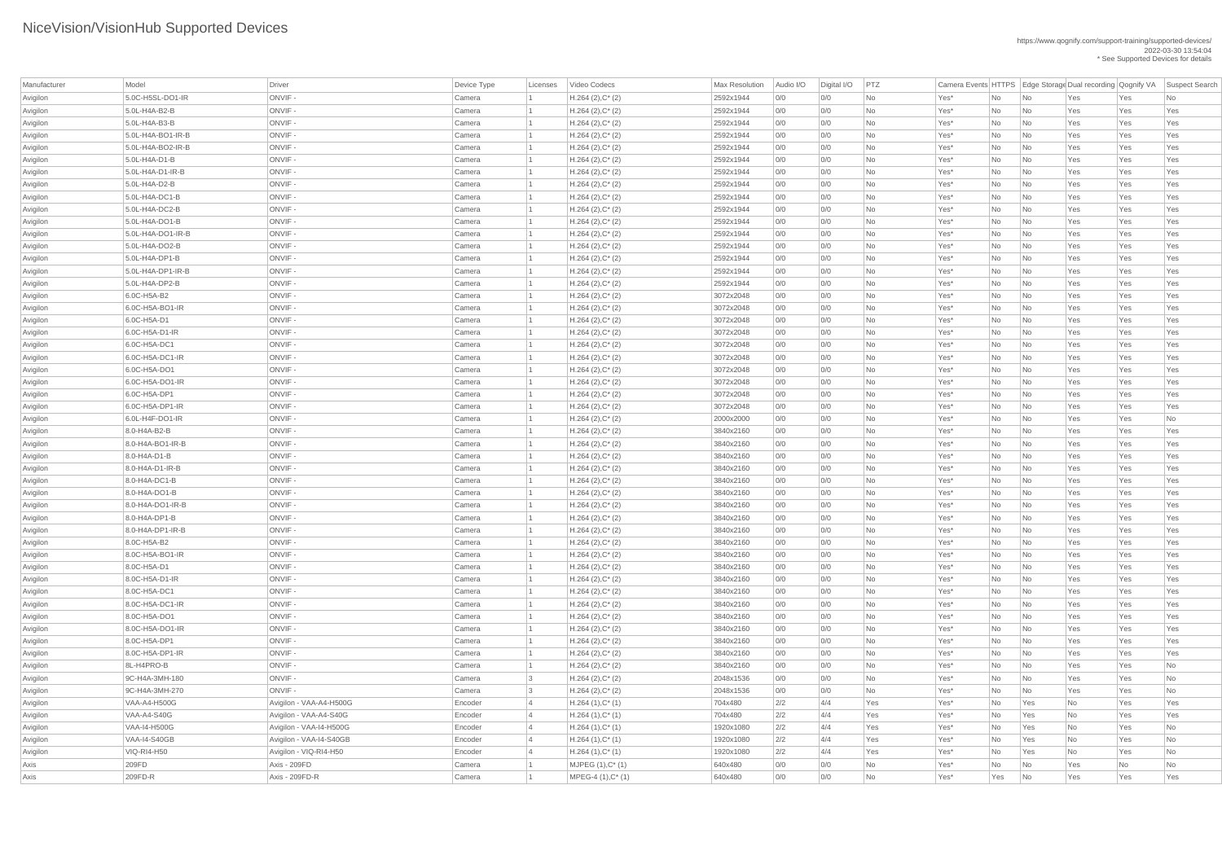| Manufacturer | Model                | Driver                  | Device Type | Licenses | Video Codecs           | Max Resolution | Audio I/O | Digital I/O | PTZ       | Camera Events HTTPS   Edge Storage Dual recording   Qognify VA |                |                          |     |     | Suspect Search |
|--------------|----------------------|-------------------------|-------------|----------|------------------------|----------------|-----------|-------------|-----------|----------------------------------------------------------------|----------------|--------------------------|-----|-----|----------------|
| Avigilon     | 5.0C-H5SL-DO1-IR     | ONVIF-                  | Camera      |          | $H.264 (2), C^*(2)$    | 2592x1944      | 0/0       | 0/0         | <b>No</b> | Yes*                                                           | No             | No                       | Yes | Yes | No             |
| Avigilon     | 5.0L-H4A-B2-B        | ONVIF-                  | Camera      |          | $H.264 (2), C^*(2)$    | 2592x1944      | 0/0       | 0/0         | <b>No</b> | Yes*                                                           | No             | No                       | Yes | Yes | Yes            |
| Avigilon     | 5.0L-H4A-B3-B        | ONVIF-                  | Camera      |          | $H.264$ (2), $C^*$ (2) | 2592x1944      | 0/0       | 0/0         | No        | Yes*                                                           | No             | No                       | Yes | Yes | Yes            |
| Avigilon     | 5.0L-H4A-BO1-IR-B    | ONVIF-                  | Camera      |          | $H.264 (2), C^*(2)$    | 2592x1944      | 0/0       | 0/0         | No        | Yes*                                                           | No             | No                       | Yes | Yes | Yes            |
| Avigilon     | 5.0L-H4A-BO2-IR-B    | ONVIF-                  | Camera      |          | $H.264 (2), C^*(2)$    | 2592x1944      | 0/0       | 0/0         | No        | Yes*                                                           | No             | No                       | Yes | Yes | Yes            |
| Avigilon     | 5.0L-H4A-D1-B        | ONVIF-                  | Camera      |          | $H.264 (2), C^*(2)$    | 2592x1944      | 0/0       | 0/0         | No        | Yes*                                                           | No             | No                       | Yes | Yes | Yes            |
| Avigilon     | 5.0L-H4A-D1-IR-B     | ONVIF-                  | Camera      |          | $H.264 (2), C^*(2)$    | 2592x1944      | 0/0       | 0/0         | <b>No</b> | Yes*                                                           | No             | No                       | Yes | Yes | Yes            |
| Avigilon     | 5.0L-H4A-D2-B        | ONVIF-                  | Camera      |          | $H.264 (2), C^*(2)$    | 2592x1944      | 0/0       | 0/0         | <b>No</b> | Yes*                                                           | No             | No                       | Yes | Yes | Yes            |
| Avigilon     | 5.0L-H4A-DC1-B       | ONVIF-                  | Camera      |          | $H.264 (2), C^*(2)$    | 2592x1944      | 0/0       | 0/0         | No        | Yes*                                                           | No             | No                       | Yes | Yes | Yes            |
| Avigilon     | 5.0L-H4A-DC2-B       | ONVIF-                  | Camera      |          | $H.264$ (2), $C^*$ (2) | 2592x1944      | 0/0       | 0/0         | No        | Yes*                                                           | No             | No                       | Yes | Yes | Yes            |
| Avigilon     | 5.0L-H4A-DO1-B       | ONVIF-                  | Camera      |          | $H.264(2),C^*(2)$      | 2592x1944      | 0/0       | 0/0         | No        | Yes*                                                           | No             | No                       | Yes | Yes | Yes            |
| Avigilon     | 5.0L-H4A-DO1-IR-B    | ONVIF-                  | Camera      |          | $H.264 (2), C^*(2)$    | 2592x1944      | 0/0       | 0/0         | No        | Yes*                                                           | No             | No                       | Yes | Yes | Yes            |
| Avigilon     | 5.0L-H4A-DO2-B       | ONVIF-                  | Camera      |          | $H.264 (2), C^*(2)$    | 2592x1944      | 0/0       | 0/0         | No        | Yes*                                                           | No             | No                       | Yes | Yes | Yes            |
| Avigilon     | 5.0L-H4A-DP1-B       | ONVIF-                  | Camera      |          | $H.264 (2), C^*(2)$    | 2592x1944      | 0/0       | 0/0         | <b>No</b> | Yes*                                                           | N <sub>o</sub> | No                       | Yes | Yes | Yes            |
| Avigilon     | $5.0L-H4A-DP1-IR-B$  | ONVIF-                  | Camera      |          | $H.264 (2), C^*(2)$    | 2592x1944      | 0/0       | 0/0         | No        | Yes*                                                           | No             | No                       | Yes | Yes | Yes            |
| Avigilon     | 5.0L-H4A-DP2-B       | ONVIF-                  | Camera      |          | $H.264 (2), C^*(2)$    | 2592x1944      | 0/0       | 0/0         | No        | Yes*                                                           | No             | No                       | Yes | Yes | Yes            |
| Avigilon     | 6.0C-H5A-B2          | ONVIF-                  | Camera      |          | $H.264(2),C^*(2)$      | 3072x2048      | 0/0       | 0/0         | No        | Yes*                                                           | N <sub>o</sub> | No                       | Yes | Yes | Yes            |
| Avigilon     | $6.0C$ -H5A-BO1-IR   | ONVIF-                  | Camera      |          | $H.264 (2), C^*(2)$    | 3072x2048      | 0/0       | 0/0         | No        | Yes*                                                           | No             | No                       | Yes | Yes | Yes            |
| Avigilon     | 6.0C-H5A-D1          | ONVIF-                  | Camera      |          | $H.264 (2), C^*(2)$    | 3072x2048      | 0/0       | 0/0         | No        | Yes*                                                           | No             | No                       | Yes | Yes | Yes            |
| Avigilon     | 6.0C-H5A-D1-IR       | ONVIF-                  | Camera      |          | $H.264 (2), C^*(2)$    | 3072x2048      | 0/0       | 0/0         | <b>No</b> | Yes*                                                           | N <sub>o</sub> | No                       | Yes | Yes | Yes            |
| Avigilon     | 6.0C-H5A-DC1         | ONVIF-                  | Camera      |          | $H.264 (2), C^*(2)$    | 3072x2048      | 0/0       | 0/0         | <b>No</b> | Yes*                                                           | No             | No                       | Yes | Yes | Yes            |
| Avigilon     | 6.0C-H5A-DC1-IR      | ONVIF-                  | Camera      |          | $H.264 (2), C^*(2)$    | 3072x2048      | 0/0       | 0/0         | No        | Yes*                                                           | No             | No                       | Yes | Yes | Yes            |
| Avigilon     | 6.0C-H5A-DO1         | ONVIF-                  | Camera      |          | $H.264(2),C^*(2)$      | 3072x2048      | 0/0       | 0/0         | No        | Yes*                                                           | No             | No                       | Yes | Yes | Yes            |
| Avigilon     | 6.0C-H5A-DO1-IR      | ONVIF-                  | Camera      |          | $H.264 (2), C^*(2)$    | 3072x2048      | 0/0       | 0/0         | No        | Yes*                                                           | No             | No                       | Yes | Yes | Yes            |
| Avigilon     | 6.0C-H5A-DP1         | ONVIF-                  | Camera      |          | $H.264 (2), C^*(2)$    | 3072x2048      | 0/0       | 0/0         | <b>No</b> | Yes*                                                           | No             | No                       | Yes | Yes | Yes            |
| Avigilon     | 6.0C-H5A-DP1-IR      | ONVIF -                 | Camera      |          | $H.264(2),C^*(2)$      | 3072x2048      | 0/0       | 0/0         | No        | Yes*                                                           | No             | No                       | Yes | Yes | Yes            |
| Avigilon     | 6.0L-H4F-DO1-IR      | ONVIF-                  | Camera      |          | $H.264 (2), C^*(2)$    | 2000x2000      | 0/0       | 0/0         | No        | Yes*                                                           | No             | No                       | Yes | Yes | No             |
| Avigilon     | 8.0-H4A-B2-B         | ONVIF-                  | Camera      |          | $H.264(2),C^*(2)$      | 3840x2160      | 0/0       | 0/0         | No        | Yes*                                                           | No             | No                       | Yes | Yes | Yes            |
| Avigilon     | 8.0-H4A-BO1-IR-B     | ONVIF-                  | Camera      |          | $H.264 (2), C^*(2)$    | 3840x2160      | 0/0       | 0/0         | No        | Yes*                                                           | No             | No                       | Yes | Yes | Yes            |
| Avigilon     | $8.0 - H4A - D1 - B$ | ONVIF-                  | Camera      |          | $H.264 (2), C^*(2)$    | 3840x2160      | 0/0       | 0/0         | No        | Yes*                                                           | No             | No                       | Yes | Yes | Yes            |
| Avigilon     | 8.0-H4A-D1-IR-B      | ONVIF-                  | Camera      |          | $H.264 (2), C^*(2)$    | 3840x2160      | 0/0       | 0/0         | No        | Yes*                                                           | No             | No                       | Yes | Yes | Yes            |
| Avigilon     | 8.0-H4A-DC1-B        | ONVIF-                  | Camera      |          | $H.264 (2), C^*(2)$    | 3840x2160      | 0/0       | 0/0         | No        | Yes*                                                           | No             | No                       | Yes | Yes | Yes            |
| Avigilon     | 8.0-H4A-DO1-B        | ONVIF-                  | Camera      |          | $H.264 (2), C^*(2)$    | 3840x2160      | 0/0       | 0/0         | No        | Yes*                                                           | No             | No                       | Yes | Yes | Yes            |
| Avigilon     | 8.0-H4A-DO1-IR-B     | ONVIF-                  | Camera      |          | $H.264(2),C^*(2)$      | 3840x2160      | 0/0       | 0/0         | No        | Yes*                                                           | No             | No                       | Yes | Yes | Yes            |
| Avigilon     | 8.0-H4A-DP1-B        | ONVIF-                  | Camera      |          | $H.264 (2), C^*(2)$    | 3840x2160      | 0/0       | 0/0         | No        | Yes*                                                           | No             | No                       | Yes | Yes | Yes            |
| Avigilon     | $8.0-H4A-DP1-IR-B$   | ONVIF-                  | Camera      |          | $H.264 (2), C^*(2)$    | 3840x2160      | 0/0       | 0/0         | No        | Yes*                                                           | No             | No                       | Yes | Yes | Yes            |
| Avigilon     | 8.0C-H5A-B2          | ONVIF-                  | Camera      |          | $H.264 (2), C^*(2)$    | 3840x2160      | 0/0       | 0/0         | No        | Yes*                                                           | No             | No                       | Yes | Yes | Yes            |
| Avigilon     | 8.0C-H5A-BO1-IR      | ONVIF-                  | Camera      |          | $H.264(2),C^*(2)$      | 3840x2160      | 0/0       | 0/0         | No        | Yes*                                                           | No             | No                       | Yes | Yes | Yes            |
| Avigilon     | 8.0C-H5A-D1          | ONVIF-                  | Camera      |          | $H.264 (2), C^*(2)$    | 3840x2160      | 0/0       | 0/0         | No        | Yes*                                                           | No             | No                       | Yes | Yes | Yes            |
| Avigilon     | 8.0C-H5A-D1-IR       | ONVIF-                  | Camera      |          | $H.264(2),C^*(2)$      | 3840x2160      | 0/0       | 0/0         | No        | Yes*                                                           | No             | No                       | Yes | Yes | Yes            |
| Avigilon     | 8.0C-H5A-DC1         | ONVIF-                  | Camera      |          | $H.264(2),C^*(2)$      | 3840x2160      | 0/0       | 0/0         | No        | Yes*                                                           | No             | No                       | Yes | Yes | Yes            |
| Avigilon     | 8.0C-H5A-DC1-IR      | ONVIF-                  | Camera      |          | $H.264 (2), C^*(2)$    | 3840x2160      | 0/0       | 0/0         | No        | Yes*                                                           | No             | No                       | Yes | Yes | Yes            |
| Avigilon     | 8.0C-H5A-DO1         | ONVIF-                  | Camera      |          | $H.264 (2), C^*(2)$    | 3840x2160      | 0/0       | 0/0         | No        | Yes*                                                           | No             | No                       | Yes | Yes | Yes            |
| Avigilon     | 8.0C-H5A-DO1-IR      | ONVIF-                  | Camera      |          | $H.264(2),C^*(2)$      | 3840x2160      | 0/0       | 0/0         | No        | Yes*                                                           | No             | No                       | Yes | Yes | Yes            |
| Avigilon     | 8.0C-H5A-DP1         | ONVIF-                  | Camera      |          | $H.264 (2), C^*(2)$    | 3840x2160      | 0/0       | 0/0         | No        | Yes*                                                           | No             | No                       | Yes | Yes | Yes            |
| Avigilon     | 8.0C-H5A-DP1-IR      | ONVIF-                  | Camera      |          | $H.264 (2), C^*(2)$    | 3840x2160      | 0/0       | 0/0         | No        | Yes*                                                           | No             | No                       | Yes | Yes | Yes            |
| Avigilon     | 8L-H4PRO-B           | ONVIF-                  | Camera      |          | $H.264(2),C^*(2)$      | 3840x2160      | 0/0       | 0/0         | No        | Yes*                                                           | No             | No                       | Yes | Yes | No             |
| Avigilon     | 9C-H4A-3MH-180       | ONVIF-                  | Camera      |          | $H.264 (2), C^*(2)$    | 2048x1536      | 0/0       | 0/0         | No        | Yes*                                                           | No             | No                       | Yes | Yes | No             |
| Avigilon     | 9C-H4A-3MH-270       | ONVIF-                  | Camera      |          | $H.264 (2), C^*(2)$    | 2048x1536      | 0/0       | 0/0         | No        | Yes*                                                           | No             | No                       | Yes | Yes | No             |
| Avigilon     | <b>VAA-A4-H500G</b>  | Avigilon - VAA-A4-H500G | Encoder     |          | $H.264(1),C^*(1)$      | 704x480        | 2/2       | 4/4         | Yes       | Yes*                                                           | No             | Yes                      | No  | Yes | Yes            |
| Avigilon     | VAA-A4-S40G          | Avigilon - VAA-A4-S40G  | Encoder     |          | $H.264(1),C^*(1)$      | 704x480        | 2/2       | 4/4         | Yes       | Yes*                                                           | <b>No</b>      | Yes                      | No  | Yes | Yes            |
| Avigilon     | <b>VAA-I4-H500G</b>  | Avigilon - VAA-I4-H500G | Encoder     |          | $H.264(1),C^*(1)$      | 1920x1080      | 2/2       | 4/4         | Yes       | Yes*                                                           | No             | Yes                      | No  | Yes | No             |
| Avigilon     | <b>VAA-I4-S40GB</b>  | Avigilon - VAA-I4-S40GB | Encoder     |          | $H.264(1),C^*(1)$      | 1920x1080      | 2/2       | 4/4         | Yes       | Yes*                                                           | No             | Yes                      | No  | Yes | No             |
| Avigilon     | <b>VIQ-RI4-H50</b>   | Avigilon - VIQ-RI4-H50  | Encoder     |          | $H.264(1),C^*(1)$      | 1920x1080      | 2/2       | 4/4         | Yes       | Yes*                                                           | No             | Yes                      | No  | Yes | No             |
| Axis         | 209FD                | Axis - 209FD            | Camera      |          | $MJPEG (1), C^*(1)$    | 640x480        | 0/0       | 0/0         | <b>No</b> | $Yes^*$                                                        | No             | $\overline{\mathsf{No}}$ | Yes | No  | No             |
| Axis         | 209FD-R              | Axis - 209FD-R          | Camera      |          | $MPEG-4 (1), C^*(1)$   | 640x480        | 0/0       | 0/0         | <b>No</b> | Yes*                                                           | Yes            | N <sub>o</sub>           | Yes | Yes | Yes            |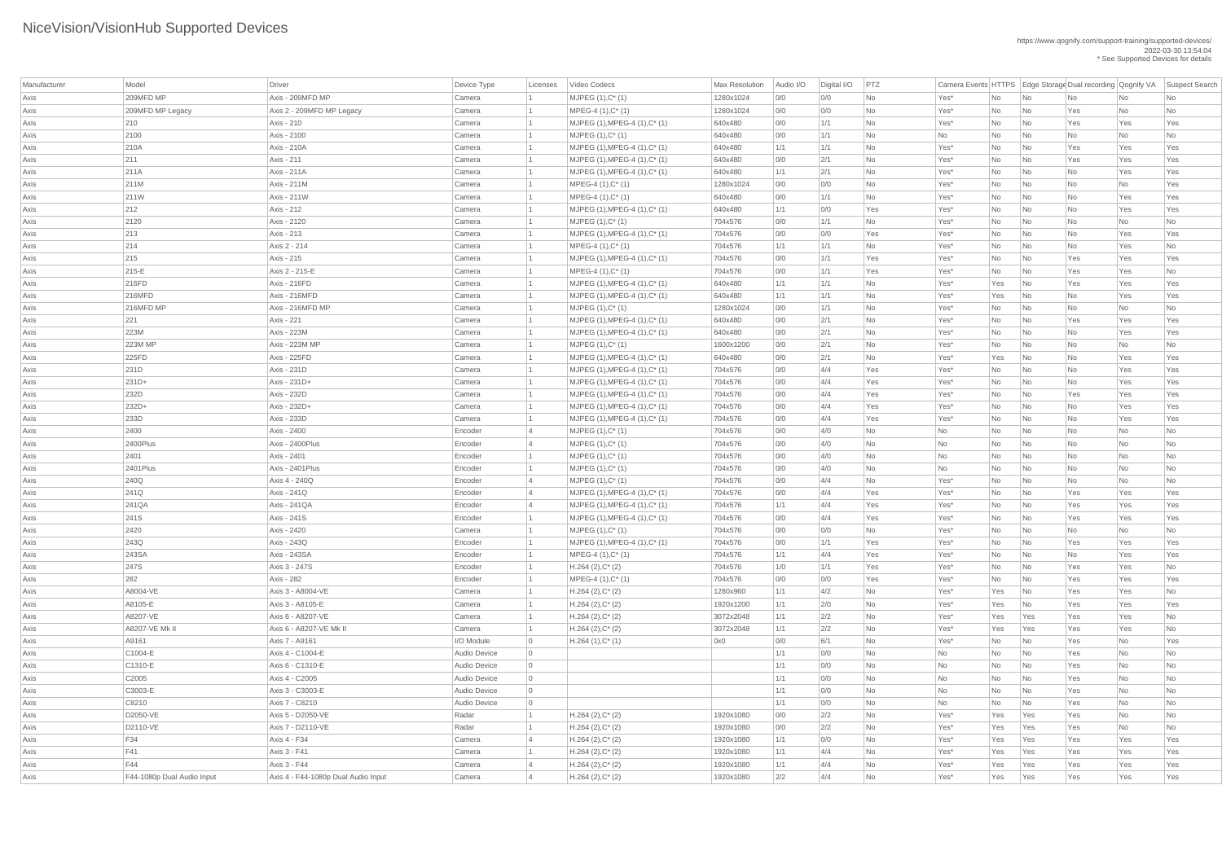| Manufacturer | Model                      | Driver                              | Device Type         | Licenses       | Video Codecs                                             | <b>Max Resolution</b> | Audio I/O  | Digital I/O | PTZ              | Camera Events HTTPS   Edge Storage Dual recording   Qognify VA |           |                          |           |           | Suspect Search   |
|--------------|----------------------------|-------------------------------------|---------------------|----------------|----------------------------------------------------------|-----------------------|------------|-------------|------------------|----------------------------------------------------------------|-----------|--------------------------|-----------|-----------|------------------|
| Axis         | 209MFD MP                  | Axis - 209MFD MP                    | Camera              |                | $MJPEG (1), C^* (1)$                                     | 1280x1024             | 0/0        | 0/0         | No               | Yes*                                                           | No        | No                       | <b>No</b> | <b>No</b> | <b>No</b>        |
| Axis         | 209MFD MP Legacy           | Axis 2 - 209MFD MP Legacy           | Camera              |                | $MPEG-4 (1), C^*(1)$                                     | 1280x1024             | 0/0        | 0/0         | No               | Yes*                                                           | No        | No                       | Yes       | No        | No               |
| Axis         | 210                        | Axis - 210                          | Camera              |                | $MJPEG (1), MPEG-4 (1), C^* (1)$                         | 640x480               | 0/0        | 1/1         | <b>No</b>        | Yes*                                                           | No        | No                       | Yes       | Yes       | Yes              |
| Axis         | 2100                       | Axis - 2100                         | Camera              |                | $MJPEG (1), C^* (1)$                                     | 640x480               | 0/0        | 1/1         | <b>No</b>        | No                                                             | No        | No                       | No        | <b>No</b> | <b>No</b>        |
| Axis         | 210A                       | Axis - 210A                         | Camera              |                | $MJPEG (1), MPEG-4 (1), C^* (1)$                         | 640x480               | 1/1        | 1/1         | <b>No</b>        | Yes*                                                           | No        | No                       | Yes       | Yes       | Yes              |
| Axis         | 211                        | Axis - 211                          | Camera              |                | $MJPEG (1), MPEG-4 (1), C^* (1)$                         | 640x480               | 0/0        | 2/1         | No               | Yes*                                                           | No        | No                       | Yes       | Yes       | Yes              |
| Axis         | 211A                       | <b>Axis - 211A</b>                  | Camera              |                | $MJPEG (1), MPEG-4 (1), C^* (1)$                         | 640x480               | 1/1        | 2/1         | <b>No</b>        | Yes*                                                           | <b>No</b> | No                       | No        | Yes       | Yes              |
| Axis         | 211M                       | <b>Axis - 211M</b>                  | Camera              |                | $MPEG-4 (1), C^*(1)$                                     | 1280x1024             | 0/0        | 0/0         | <b>No</b>        | Yes*                                                           | No        | No                       | No        | <b>No</b> | Yes              |
| Axis         | 211W                       | <b>Axis - 211W</b>                  | Camera              |                | $MPEG-4 (1), C^*(1)$                                     | 640x480               | 0/0        | 1/1         | <b>No</b>        | Yes*                                                           | No        | No                       | No        | Yes       | Yes              |
| Axis         | 212                        | Axis - 212                          | Camera              |                | $MJPEG (1), MPEG-4 (1), C^* (1)$                         | 640x480               | 1/1        | 0/0         | Yes              | Yes*                                                           | No        | No                       | <b>No</b> | Yes       | Yes              |
| Axis         | 2120                       | Axis - 2120                         | Camera              |                | $MJPEG (1), C^* (1)$                                     | 704x576               | 0/0        | 1/1         | <b>No</b>        | $Yes*$                                                         | No        | No                       | No        | No        | <b>No</b>        |
| Axis         | 213                        | Axis - 213                          | Camera              |                | $MJPEG (1), MPEG-4 (1), C^* (1)$                         | 704x576               | 0/0        | O/O         | Yes              | Yes*                                                           | No        | No                       | <b>No</b> | Yes       | Yes              |
| Axis         | 214                        | Axis 2 - 214                        | Camera              |                | $MPEG-4 (1), C^*(1)$                                     | 704x576               | 1/1        | 1/1         | <b>No</b>        | Yes*                                                           | No        | No                       | No        | Yes       | <b>No</b>        |
| Axis         | 215                        | Axis - 215                          | Camera              |                | MJPEG (1), MPEG-4 (1), C* (1)                            | 704x576               | 0/0        | 1/1         | Yes              | Yes*                                                           | No        | No                       | Yes       | Yes       | Yes              |
| Axis         | 215-E                      | Axis 2 - 215-E                      | Camera              |                | $MPEG-4 (1), C^*(1)$                                     | 704x576               | 0/0        | 1/1         | Yes              | Yes*                                                           | No        | No                       | Yes       | Yes       | <b>No</b>        |
| Axis         | 216FD                      | Axis - 216FD                        | Camera              |                | MJPEG (1), MPEG-4 (1), C* (1)                            | 640x480               | 1/1        | 1/1         | <b>No</b>        | Yes*                                                           | Yes       | No                       | Yes       | Yes       | Yes              |
| Axis         | 216MFD                     | Axis - 216MFD                       | Camera              |                | $MJPEG (1), MPEG-4 (1), C^* (1)$                         | 640x480               | 1/1        | 1/1         | <b>No</b>        | Yes*                                                           | Yes       | N <sub>0</sub>           | No        | Yes       | Yes              |
| Axis         | 216MFD MP                  | Axis - 216MFD MP                    | Camera              |                | $MJPEG (1), C^* (1)$                                     | 1280x1024             | 0/0        | 1/1         | No               | Yes*                                                           | No        | No                       | No        | No        | <b>No</b>        |
| Axis         | 221                        | Axis - 221                          | Camera              |                | $MJPEG (1), MPEG-4 (1), C^* (1)$                         | 640x480               | 0/0        | 2/1         | <b>No</b>        | Yes*                                                           | No        | No                       | Yes       | Yes       | Yes              |
| Axis         | 223M                       | <b>Axis - 223M</b>                  | Camera              |                | MJPEG (1), MPEG-4 (1), C* (1)                            | 640x480               | 0/0        | 2/1         | <b>No</b>        | Yes*                                                           | No        | No                       | No        | Yes       | Yes              |
| Axis         | 223M MP                    | Axis - 223M MP                      | Camera              |                | $MJPEG (1), C^* (1)$                                     | 1600x1200             | 0/0        | 2/1         | No               | Yes*                                                           | No        | No                       | No        | No        | No               |
| Axis         | 225FD                      | Axis - 225FD                        | Camera              |                | MJPEG (1), MPEG-4 (1), C* (1)                            | 640x480               | 0/0        | 2/1         | <b>No</b>        | Yes*                                                           | Yes       | No                       | No        | Yes       | Yes              |
| Axis         | 231D                       | <b>Axis - 231D</b>                  | Camera              |                | MJPEG (1), MPEG-4 (1), C* (1)                            | 704x576               | 0/0        | 4/4         | Yes              | Yes*                                                           | No        | No                       | No        | Yes       | Yes              |
| Axis         | $231D+$                    | Axis - 231D+                        | Camera              |                | $MJPEG (1), MPEG-4 (1), C^* (1)$                         | 704x576               | 0/0        | 4/4         | Yes              | Yes*                                                           | No        | No                       | No        | Yes       | Yes              |
| Axis         | 232D                       | <b>Axis - 232D</b>                  | Camera              |                | $MJPEG (1), MPEG-4 (1), C^* (1)$                         | 704x576               | 0/0        | 4/4         | Yes              | Yes*                                                           | No        | No                       | Yes       | Yes       | Yes              |
| Axis         | 232D+                      | Axis - 232D+                        | Camera              |                | MJPEG (1), MPEG-4 (1), C* (1)                            | 704x576               | 0/0        | 4/4         | Yes              | Yes*                                                           | No        | $\overline{\mathsf{No}}$ | No        | Yes       | Yes              |
| Axis         | 233D                       | Axis - 233D                         | Camera              |                | MJPEG (1), MPEG-4 (1), C* (1)                            | 704x576               | 0/0        | 4/4         | Yes              | Yes*                                                           | No        | No                       | No        | Yes       | Yes              |
| Axis         | 2400                       | Axis - 2400                         | Encoder             | $\vert$ 4      | $MJPEG (1), C^* (1)$                                     | 704x576               | 0/0        | 4/0         | No               | No                                                             | No        | No                       | No        | <b>No</b> | <b>No</b>        |
| Axis         | 2400Plus                   | Axis - 2400Plus                     | Encoder             |                | $MJPEG (1), C^* (1)$                                     | 704x576               | 0/0        | 4/0         | No               | No                                                             | No        | No                       | No        | <b>No</b> | <b>No</b>        |
| Axis         | 2401                       | Axis - 2401                         | Encoder             |                | $MJPEG (1), C^* (1)$                                     | 704x576               | 0/0        | 4/0         | No               | No                                                             | No        | No                       | No        | No        | <b>No</b>        |
| Axis         | 2401Plus                   | Axis - 2401 Plus                    | Encoder             |                | $MJPEG (1), C^* (1)$                                     | 704x576               | 0/0        | 4/0         | No               | No                                                             | No        | No                       | No        | <b>No</b> | <b>No</b>        |
| Axis         | 240Q                       | Axis 4 - 240Q                       | Encoder             | $\overline{4}$ | $MJPEG (1), C^* (1)$                                     | 704x576               | 0/0        | 4/4         | No               | Yes*                                                           | No        | No                       | No        | <b>No</b> | <b>No</b>        |
| Axis         | 241Q                       | Axis - 241Q                         | Encoder             |                | MJPEG (1), MPEG-4 (1), C* (1)                            | 704x576               | 0/0        | 4/4         | Yes              | Yes*                                                           | No        | No                       | Yes       | Yes       | Yes              |
| Axis         | 241QA                      | Axis - 241QA                        | Encoder             | $\overline{4}$ | $MJPEG (1), MPEG-4 (1), C^* (1)$                         | 704x576               | 1/1        | 4/4         | Yes              | Yes*                                                           | No        | No                       | Yes       | Yes       | Yes              |
| Axis         | 241S<br>2420               | Axis - 241S<br>Axis - 2420          | Encoder<br>Camera   |                | $MJPEG (1), MPEG-4 (1), C^* (1)$<br>$MJPEG (1), C^* (1)$ | 704x576               | 0/0        | 4/4<br>0/0  | Yes<br><b>No</b> | Yes*                                                           | No        | No                       | Yes       | Yes       | Yes<br><b>No</b> |
| Axis         | 243Q                       | <b>Axis - 243Q</b>                  | Encoder             |                | MJPEG (1), MPEG-4 (1), C* (1)                            | 704x576<br>704x576    | 0/0<br>0/0 | 1/1         | Yes              | Yes*<br>Yes*                                                   | No<br>No  | No<br>No                 | No<br>Yes | No<br>Yes | Yes              |
| Axis<br>Axis | 243SA                      | Axis - 243SA                        | Encoder             |                | MPEG-4 (1), C* (1)                                       | 704x576               | 1/1        | 4/4         | Yes              | Yes*                                                           | No        | No                       | No        | Yes       | Yes              |
| Axis         | 247S                       | Axis 3 - 247S                       | Encoder             |                | $H.264 (2), C^*(2)$                                      | 704x576               | 1/0        | 1/1         | Yes              | Yes*                                                           | No        | No                       | Yes       | Yes       | <b>No</b>        |
| Axis         | 282                        | <b>Axis - 282</b>                   | Encoder             |                | $MPEG-4 (1), C^*(1)$                                     | 704x576               | 0/0        | 0/0         | Yes              | Yes*                                                           | No        | No                       | Yes       | Yes       | Yes              |
| Axis         | A8004-VE                   | Axis 3 - A8004-VE                   | Camera              |                | $H.264 (2), C^*(2)$                                      | 1280x960              | 1/1        | 4/2         | No               | Yes*                                                           | Yes       | N <sub>0</sub>           | Yes       | Yes       | <b>No</b>        |
| Axis         | A8105-E                    | Axis 3 - A8105-E                    | Camera              |                | $H.264 (2), C^*(2)$                                      | 1920x1200             | 1/1        | 2/0         | No               | Yes*                                                           | Yes       | N <sub>0</sub>           | Yes       | Yes       | Yes              |
| Axis         | A8207-VE                   | Axis 6 - A8207-VE                   | Camera              |                | $H.264 (2), C^*(2)$                                      | 3072x2048             | 1/1        | 2/2         | No               | Yes*                                                           | Yes       | Yes                      | Yes       | Yes       | <b>No</b>        |
| Axis         | A8207-VE Mk II             | Axis 6 - A8207-VE Mk II             | Camera              |                | $H.264 (2), C^*(2)$                                      | 3072x2048             | 1/1        | 2/2         | <b>No</b>        | Yes*                                                           | Yes       | Yes                      | Yes       | Yes       | <b>No</b>        |
| Axis         | A9161                      | Axis 7 - A9161                      | I/O Module          | $\overline{0}$ | $H.264(1),C^*(1)$                                        | 0x0                   | 0/0        | 6/1         | <b>No</b>        | Yes*                                                           | No        | No                       | Yes       | No        | Yes              |
| Axis         | C1004-E                    | Axis 4 - C1004-E                    | <b>Audio Device</b> | $\overline{0}$ |                                                          |                       | 1/1        | 0/0         | No               | No                                                             | No        | No                       | Yes       | No        | <b>No</b>        |
| Axis         | C1310-E                    | Axis 6 - C1310-E                    | Audio Device        | $\overline{0}$ |                                                          |                       | 1/1        | 0/0         | No               | No                                                             | No        | No                       | Yes       | <b>No</b> | <b>No</b>        |
| Axis         | C2005                      | Axis 4 - C2005                      | <b>Audio Device</b> | $\overline{0}$ |                                                          |                       | 1/1        | 0/0         | <b>No</b>        | No                                                             | No        | No                       | Yes       | <b>No</b> | <b>No</b>        |
| Axis         | C3003-E                    | Axis 3 - C3003-E                    | Audio Device        | $\overline{0}$ |                                                          |                       | 1/1        | O/O         | No               | <b>No</b>                                                      | No        | No                       | Yes       | No        | <b>No</b>        |
| Axis         | C8210                      | Axis 7 - C8210                      | Audio Device        | $\overline{0}$ |                                                          |                       | 1/1        | 0/0         | No               | No                                                             | No        | No                       | Yes       | No        | <b>No</b>        |
| Axis         | D2050-VE                   | Axis 5 - D2050-VE                   | Radar               |                | $H.264 (2), C^*(2)$                                      | 1920x1080             | 0/0        | 2/2         | No               | Yes*                                                           | Yes       | Yes                      | Yes       | No        | <b>No</b>        |
| Axis         | D2110-VE                   | Axis 7 - D2110-VE                   | Radar               |                | $H.264 (2), C^*(2)$                                      | 1920x1080             | 0/0        | 2/2         | No               | $Yes*$                                                         | Yes       | Yes                      | Yes       | No        | <b>No</b>        |
| Axis         | F34                        | Axis 4 - F34                        | Camera              |                | $H.264 (2), C^*(2)$                                      | 1920x1080             | 1/1        | 0/0         | No               | $Yes^*$                                                        | Yes       | Yes                      | Yes       | Yes       | Yes              |
| Axis         | F41                        | Axis 3 - F41                        | Camera              |                | $H.264 (2), C^*(2)$                                      | 1920x1080             | 1/1        | 4/4         | No               | $Yes^*$                                                        | Yes       | Yes                      | Yes       | Yes       | Yes              |
| Axis         | F44                        | Axis 3 - F44                        | Camera              |                | $H.264 (2), C^*(2)$                                      | 1920x1080             | 1/1        | 4/4         | No               | $Yes*$                                                         | Yes       | Yes                      | Yes       | Yes       | Yes              |
| Axis         | F44-1080p Dual Audio Input | Axis 4 - F44-1080p Dual Audio Input | Camera              |                | $H.264 (2), C^*(2)$                                      | 1920x1080             | 2/2        | 4/4         | No               | $Yes*$                                                         | Yes       | Yes                      | Yes       | Yes       | Yes              |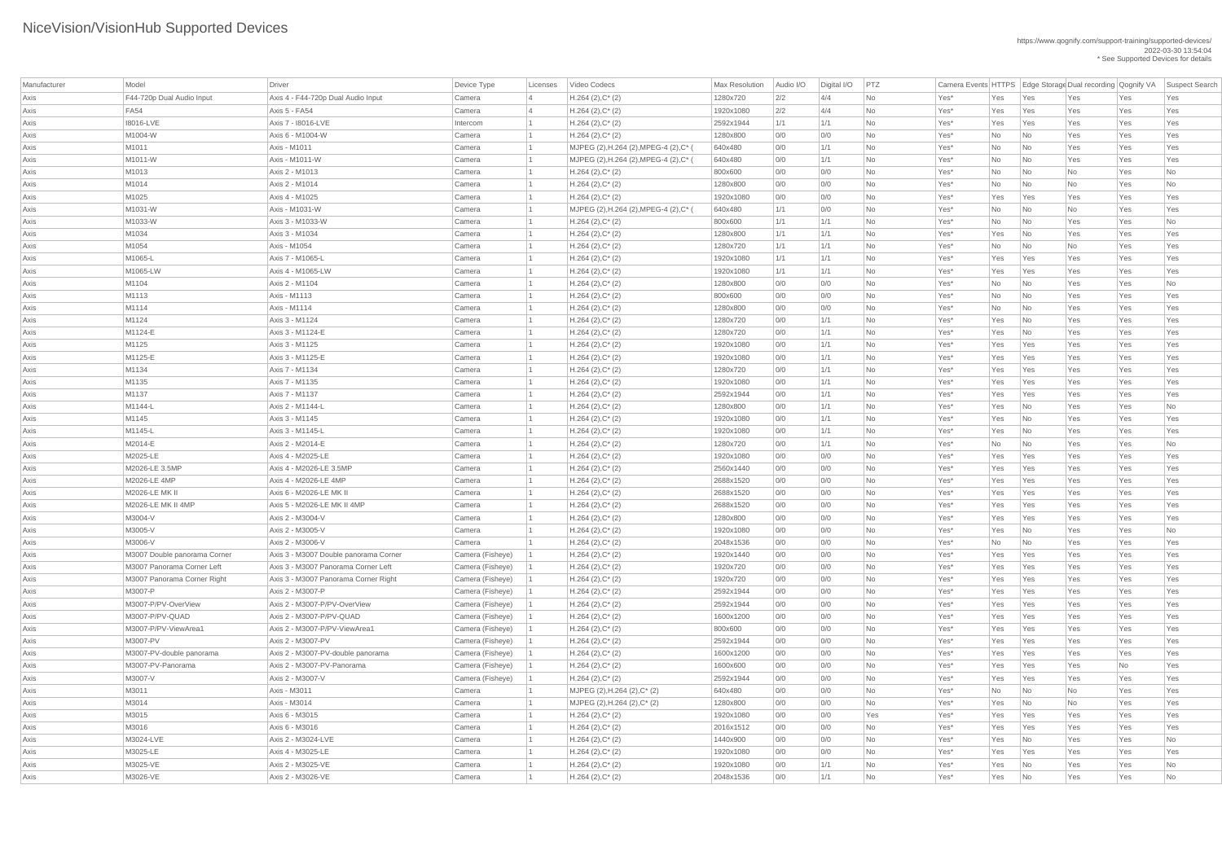| Manufacturer | Model                        | <b>Driver</b>                         | Device Type                | Licenses | Video Codecs                                        | <b>Max Resolution</b> | Audio I/O  | Digital I/O | PTZ       | Camera Events HTTPS   Edge Storage Dual recording   Qognify VA |            |                          |                  |            | Suspect Search           |
|--------------|------------------------------|---------------------------------------|----------------------------|----------|-----------------------------------------------------|-----------------------|------------|-------------|-----------|----------------------------------------------------------------|------------|--------------------------|------------------|------------|--------------------------|
| Axis         | F44-720p Dual Audio Input    | Axis 4 - F44-720p Dual Audio Input    | Camera                     |          | $H.264 (2), C^*(2)$                                 | 1280x720              | 2/2        | 4/4         | <b>No</b> | Yes*                                                           | Yes        | Yes                      | Yes              | Yes        | Yes                      |
| Axis         | <b>FA54</b>                  | Axis 5 - FA54                         | Camera                     |          | $H.264 (2), C^*(2)$                                 | 1920x1080             | 2/2        | 4/4         | <b>No</b> | Yes*                                                           | Yes        | Yes                      | Yes              | Yes        | Yes                      |
| Axis         | 18016-LVE                    | Axis 7 - 18016-LVE                    | Intercom                   |          | $H.264 (2), C^*(2)$                                 | 2592x1944             | 1/1        | 1/1         | <b>No</b> | Yes*                                                           | Yes        | Yes                      | Yes              | Yes        | Yes                      |
| Axis         | M1004-W                      | Axis 6 - M1004-W                      | Camera                     |          | $H.264 (2), C^*(2)$                                 | 1280x800              | 0/0        | 0/0         | No        | Yes*                                                           | No         | $\overline{\mathsf{No}}$ | Yes              | Yes        | Yes                      |
| Axis         | M1011                        | Axis - M1011                          | Camera                     |          | MJPEG (2), H.264 (2), MPEG-4 (2), C*                | 640x480               | 0/0        | 1/1         | <b>No</b> | Yes*                                                           | No         | $\overline{\mathsf{No}}$ | Yes              | Yes        | Yes                      |
| Axis         | M1011-W                      | Axis - M1011-W                        | Camera                     |          | MJPEG (2), H.264 (2), MPEG-4 (2), C*                | 640x480               | 0/0        | 1/1         | <b>No</b> | Yes*                                                           | No         | $\overline{\mathsf{No}}$ | Yes              | Yes        | Yes                      |
| Axis         | M1013                        | Axis 2 - M1013                        | Camera                     |          | $H.264 (2), C^*(2)$                                 | 800x600               | 0/0        | 0/0         | <b>No</b> | Yes*                                                           | No         | $\overline{\mathsf{No}}$ | No               | Yes        | No                       |
| Axis         | M1014                        | Axis 2 - M1014                        | Camera                     |          | $H.264$ (2), $C^*$ (2)                              | 1280x800              | 0/0        | 0/0         | <b>No</b> | Yes*                                                           | No         | No                       | No               | Yes        | $\overline{\mathsf{No}}$ |
| Axis         | M1025                        | Axis 4 - M1025                        | Camera                     |          | $H.264 (2), C^*(2)$                                 | 1920x1080             | 0/0        | 0/0         | <b>No</b> | Yes*                                                           | Yes        | Yes                      | Yes              | Yes        | Yes                      |
| Axis         | M1031-W                      | Axis - M1031-W                        | Camera                     |          | MJPEG (2), H.264 (2), MPEG-4 (2), C*                | 640x480               | 1/1        | 0/0         | No        | Yes*                                                           | No         | $\overline{\mathsf{No}}$ | No               | Yes        | Yes                      |
| Axis         | M1033-W                      | Axis 3 - M1033-W                      | Camera                     |          | $H.264 (2), C^*(2)$                                 | 800x600               | 1/1        | 1/1         | No        | Yes*                                                           | No         | $\overline{\mathsf{No}}$ | Yes              | Yes        | No                       |
| Axis         | M1034                        | Axis 3 - M1034                        | Camera                     |          | $H.264 (2), C^*(2)$                                 | 1280x800              | 1/1        | 1/1         | <b>No</b> | Yes*                                                           | Yes        | $\overline{\mathsf{No}}$ | Yes              | Yes        | Yes                      |
| Axis         | M1054                        | Axis - M1054                          | Camera                     |          | $H.264 (2), C^*(2)$                                 | 1280x720              | 1/1        | 1/1         | No        | Yes*                                                           | No         | $\overline{\mathsf{No}}$ | No               | Yes        | Yes                      |
| Axis         | M1065-L                      | Axis 7 - M1065-L                      | Camera                     |          | $H.264 (2), C^*(2)$                                 | 1920x1080             | 1/1        | 1/1         | <b>No</b> | Yes*                                                           | Yes        | Yes                      | Yes              | Yes        | Yes                      |
| Axis         | M1065-LW                     | Axis 4 - M1065-LW                     | Camera                     |          | $H.264 (2), C^*(2)$                                 | 1920x1080             | 1/1        | 1/1         | <b>No</b> | Yes*                                                           | Yes        | Yes                      | Yes              | Yes        | Yes                      |
| Axis         | M1104                        | Axis 2 - M1104                        | Camera                     |          | $H.264 (2), C^*(2)$                                 | 1280x800              | 0/0        | 0/0         | No        | Yes*                                                           | No         | No                       | Yes              | Yes        | No                       |
| Axis         | M1113                        | Axis - M1113                          | Camera                     |          | $H.264 (2), C^*(2)$                                 | 800x600               | 0/0        | 0/0         | No        | Yes*                                                           | No         | $\overline{\mathsf{No}}$ | Yes              | Yes        | Yes                      |
| Axis         | M1114                        | Axis - M1114                          | Camera                     |          | $H.264 (2), C^*(2)$                                 | 1280x800              | 0/0        | 0/0         | <b>No</b> | Yes*                                                           | No         | $\overline{\mathsf{No}}$ | Yes              | Yes        | Yes                      |
| Axis         | M1124                        | Axis 3 - M1124                        | Camera                     |          | $H.264 (2), C^*(2)$                                 | 1280x720              | 0/0        | 1/1         | <b>No</b> | Yes*                                                           | Yes        | $\overline{\mathsf{No}}$ | Yes              | Yes        | Yes                      |
| Axis         | M1124-E                      | Axis 3 - M1124-E                      | Camera                     |          | $H.264 (2), C^*(2)$                                 | 1280x720              | 0/0        | 1/1         | No        | Yes*                                                           | Yes        | No                       | Yes              | Yes        | Yes                      |
| Axis         | M1125                        | Axis 3 - M1125                        | Camera                     |          | $H.264 (2), C^*(2)$                                 | 1920x1080             | 0/0        | 1/1         | <b>No</b> | Yes*                                                           | Yes        | Yes                      | Yes              | Yes        | Yes                      |
| Axis         | M1125-E                      | Axis 3 - M1125-E                      | Camera                     |          | $H.264(2),C^*(2)$                                   | 1920x1080             | 0/0        | 1/1         | No        | Yes*                                                           | Yes        | Yes                      | Yes              | Yes        | Yes                      |
| Axis         | M1134                        | Axis 7 - M1134                        | Camera                     |          | $H.264 (2), C^*(2)$                                 | 1280x720              | 0/0        | 1/1         | No        | Yes*                                                           | Yes        | Yes                      | Yes              | Yes        | Yes                      |
| Axis         | M1135                        | Axis 7 - M1135                        | Camera                     |          | $H.264 (2), C^*(2)$                                 | 1920x1080             | 0/0        | 1/1         | No        | Yes*                                                           | Yes        | Yes                      | Yes              | Yes        | Yes                      |
| Axis         | M1137                        | Axis 7 - M1137                        | Camera                     |          | $H.264 (2), C^*(2)$                                 | 2592x1944             | 0/0        | 1/1         | <b>No</b> | Yes*                                                           | Yes        | Yes                      | Yes              | Yes        | Yes                      |
| Axis         | M1144-L                      | Axis 2 - M1144-L                      | Camera                     |          | $H.264 (2), C^*(2)$                                 | 1280x800              | 0/0        | 1/1         | No        | Yes*                                                           | Yes        | $\overline{\mathsf{No}}$ | Yes              | Yes        | No                       |
| Axis         | M1145                        | Axis 3 - M1145                        | Camera                     |          | $H.264 (2), C^*(2)$                                 | 1920x1080             | 0/0        | 1/1         | No        | Yes*                                                           | Yes        | $\overline{\mathsf{No}}$ | Yes              | Yes        | Yes                      |
| Axis         | M1145-L                      | Axis 3 - M1145-L                      | Camera                     |          | $H.264 (2), C^*(2)$                                 | 1920x1080             | 0/0        | 1/1         | No        | Yes*                                                           | Yes        | $\overline{\mathsf{No}}$ | Yes              | Yes        | Yes                      |
| Axis         | M2014-E                      | Axis 2 - M2014-E                      | Camera                     |          | $H.264 (2), C^*(2)$                                 | 1280x720              | 0/0        | 1/1         | No        | Yes*                                                           | No         | $\overline{\mathsf{No}}$ | Yes              | Yes        | No                       |
| Axis         | M2025-LE                     | Axis 4 - M2025-LE                     | Camera                     |          | $H.264 (2), C^*(2)$                                 | 1920x1080             | 0/0        | 0/0         | No        | Yes*                                                           | Yes        | Yes                      | Yes              | Yes        | Yes                      |
| Axis         | M2026-LE 3.5MP               | Axis 4 - M2026-LE 3.5MP               | Camera                     |          | $H.264 (2), C^*(2)$                                 | 2560x1440             | 0/0        | 0/0         | No        | Yes*                                                           | Yes        | Yes                      | Yes              | Yes        | Yes                      |
| Axis         | M2026-LE 4MP                 | Axis 4 - M2026-LE 4MP                 | Camera                     |          | $H.264 (2), C^*(2)$                                 | 2688x1520             | 0/0        | 0/0         | <b>No</b> | Yes*                                                           | Yes        | Yes                      | Yes              | Yes        | Yes                      |
| Axis         | M2026-LE MK II               | Axis 6 - M2026-LE MK II               | Camera                     |          | $H.264 (2), C^*(2)$                                 | 2688x1520             | 0/0        | 0/0         | No        | Yes*                                                           | Yes        | Yes                      | Yes              | Yes        | Yes                      |
| Axis         | M2026-LE MK II 4MP           | Axis 5 - M2026-LE MK II 4MP           | Camera                     |          | $H.264 (2), C^*(2)$                                 | 2688x1520             | 0/0        | 0/0         | No        | Yes*                                                           | Yes        | Yes                      | Yes              | Yes        | Yes                      |
| Axis         | M3004-V                      | Axis 2 - M3004-V                      | Camera                     |          | $H.264 (2), C^*(2)$                                 | 1280x800              | 0/0        | 0/0         | No        | Yes*                                                           | Yes        | Yes                      | Yes              | Yes        | Yes                      |
| Axis         | M3005-V                      | Axis 2 - M3005-V                      | Camera                     |          | $H.264 (2), C^*(2)$                                 | 1920x1080             | 0/0        | 0/0         | No        | Yes*                                                           | Yes        | No                       | Yes              | Yes        | No                       |
| Axis         | M3006-V                      | Axis 2 - M3006-V                      | Camera                     |          | $H.264 (2), C^*(2)$                                 | 2048x1536             | 0/0        | 0/0         | <b>No</b> | Yes*                                                           | No         | $\overline{\mathsf{No}}$ | Yes              | Yes        | Yes                      |
| Axis         | M3007 Double panorama Corner | Axis 3 - M3007 Double panorama Corner | Camera (Fisheye)           |          | $H.264(2),C^*(2)$                                   | 1920x1440             | 0/0        | 0/0         | <b>No</b> | Yes*                                                           | Yes        | Yes                      | Yes              | Yes        | Yes                      |
| Axis         | M3007 Panorama Corner Left   | Axis 3 - M3007 Panorama Corner Left   | Camera (Fisheye)           |          | $H.264 (2), C^*(2)$                                 | 1920x720              | 0/0        | 0/0         | No        | Yes*                                                           | Yes        | Yes                      | Yes              | Yes        | Yes                      |
| Axis         | M3007 Panorama Corner Right  | Axis 3 - M3007 Panorama Corner Right  | Camera (Fisheye)           |          | $H.264 (2), C^*(2)$                                 | 1920x720              | 0/0        | 0/0         | No        | Yes*                                                           | Yes        | Yes                      | Yes              | Yes        | Yes                      |
| Axis         | M3007-P                      | Axis 2 - M3007-P                      | Camera (Fisheye)           |          | $H.264 (2), C^*(2)$                                 | 2592x1944             | 0/0        | 0/0         | No        | Yes*                                                           | Yes        | Yes                      | Yes              | Yes        | Yes                      |
| Axis         | M3007-P/PV-OverView          | Axis 2 - M3007-P/PV-OverView          | Camera (Fisheye)           |          | $H.264 (2), C^*(2)$                                 | 2592x1944             | 0/0        | 0/0         | No        | Yes*                                                           | Yes        | Yes                      | Yes              | Yes        | Yes                      |
| Axis         | M3007-P/PV-QUAD              | Axis 2 - M3007-P/PV-QUAD              | Camera (Fisheye)           |          | $H.264 (2), C^*(2)$                                 | 1600x1200             | 0/0        | 0/0         | <b>No</b> | Yes*                                                           | Yes        | Yes                      | Yes              | Yes        | Yes                      |
| Axis         | M3007-P/PV-ViewArea1         | Axis 2 - M3007-P/PV-ViewArea1         | Camera (Fisheye)           |          | $H.264 (2), C^*(2)$                                 | 800x600               | 0/0        | 0/0         | <b>No</b> | Yes*                                                           | Yes        | Yes                      | Yes              | Yes        | Yes                      |
| Axis         | M3007-PV                     | Axis 2 - M3007-PV                     | Camera (Fisheye)           |          | $H.264 (2), C^*(2)$                                 | 2592x1944             | 0/0        | 0/0         | No        | Yes*                                                           | Yes        | Yes                      | Yes              | Yes        | Yes                      |
|              | M3007-PV-double panorama     | Axis 2 - M3007-PV-double panorama     | Camera (Fisheye)           |          | $H.264 (2), C^*(2)$                                 | 1600x1200             | 0/0        | 0/0         | <b>No</b> | Yes*                                                           | Yes        | Yes                      | Yes              | Yes        | Yes                      |
| Axis<br>Axis | M3007-PV-Panorama            | Axis 2 - M3007-PV-Panorama            | Camera (Fisheye)           |          | $H.264 (2), C^*(2)$                                 | 1600x600              | 0/0        | 0/0         | No        | Yes*                                                           | Yes        | Yes                      | Yes              | No         | Yes                      |
|              |                              |                                       |                            |          |                                                     |                       |            |             |           |                                                                |            |                          |                  |            |                          |
| Axis         | M3007-V<br>M3011             | Axis 2 - M3007-V<br>Axis - M3011      | Camera (Fisheye)<br>Camera |          | $H.264 (2), C^*(2)$<br>MJPEG (2), H.264 (2), C* (2) | 2592x1944<br>640x480  | 0/0<br>0/0 | 0/0<br>0/0  | No<br>No  | Yes*<br>Yes*                                                   | Yes<br>No  | Yes<br>No                | Yes<br><b>No</b> | Yes<br>Yes | Yes<br>Yes               |
| Axis         |                              |                                       |                            |          |                                                     |                       |            |             |           |                                                                |            |                          |                  |            |                          |
| Axis         | M3014                        | Axis - M3014                          | Camera                     |          | MJPEG (2), H.264 (2), C* (2)                        | 1280x800              | 0/0        | 0/0         | <b>No</b> | Yes*                                                           | Yes        | $\overline{\mathsf{No}}$ | No               | Yes        | Yes                      |
| Axis         | M3015                        | Axis 6 - M3015                        | Camera                     |          | $H.264 (2), C^*(2)$                                 | 1920x1080             | 0/0        | 0/0         | Yes       | Yes*                                                           | Yes        | Yes                      | Yes              | Yes        | Yes                      |
| Axis         | M3016                        | Axis 6 - M3016                        | Camera                     |          | $H.264 (2), C^*(2)$                                 | 2016x1512             | 0/0        | 0/0         | No        | Yes*                                                           | Yes        | Yes                      | Yes              | Yes        | Yes                      |
| Axis         | M3024-LVE                    | Axis 2 - M3024-LVE                    | Camera                     |          | $H.264 (2), C^*(2)$                                 | 1440x900              | 0/0        | 0/0         | No        | $Yes^*$                                                        | Yes        | N <sub>O</sub>           | Yes              | Yes        | No                       |
| Axis         | M3025-LE                     | Axis 4 - M3025-LE                     | Camera                     |          | $H.264 (2), C^*(2)$                                 | 1920x1080             | 0/0        | 0/0         | No        | Yes*                                                           | Yes        | Yes                      | Yes              | Yes        | Yes                      |
| Axis         | M3025-VE                     | Axis 2 - M3025-VE                     | Camera                     |          | $H.264 (2), C^*(2)$                                 | 1920x1080             | 0/0        | 1/1         | No        | $Yes^*$                                                        | Yes        | N <sub>o</sub>           | Yes              | Yes        | No                       |
| Axis         | M3026-VE                     | Axis 2 - M3026-VE                     | Camera                     |          | $H.264 (2), C^*(2)$                                 | 2048x1536             | 0/0        | 1/1         | No        | Yes*                                                           | $Yes$ $No$ |                          | Yes              | Yes        | $\overline{\mathsf{No}}$ |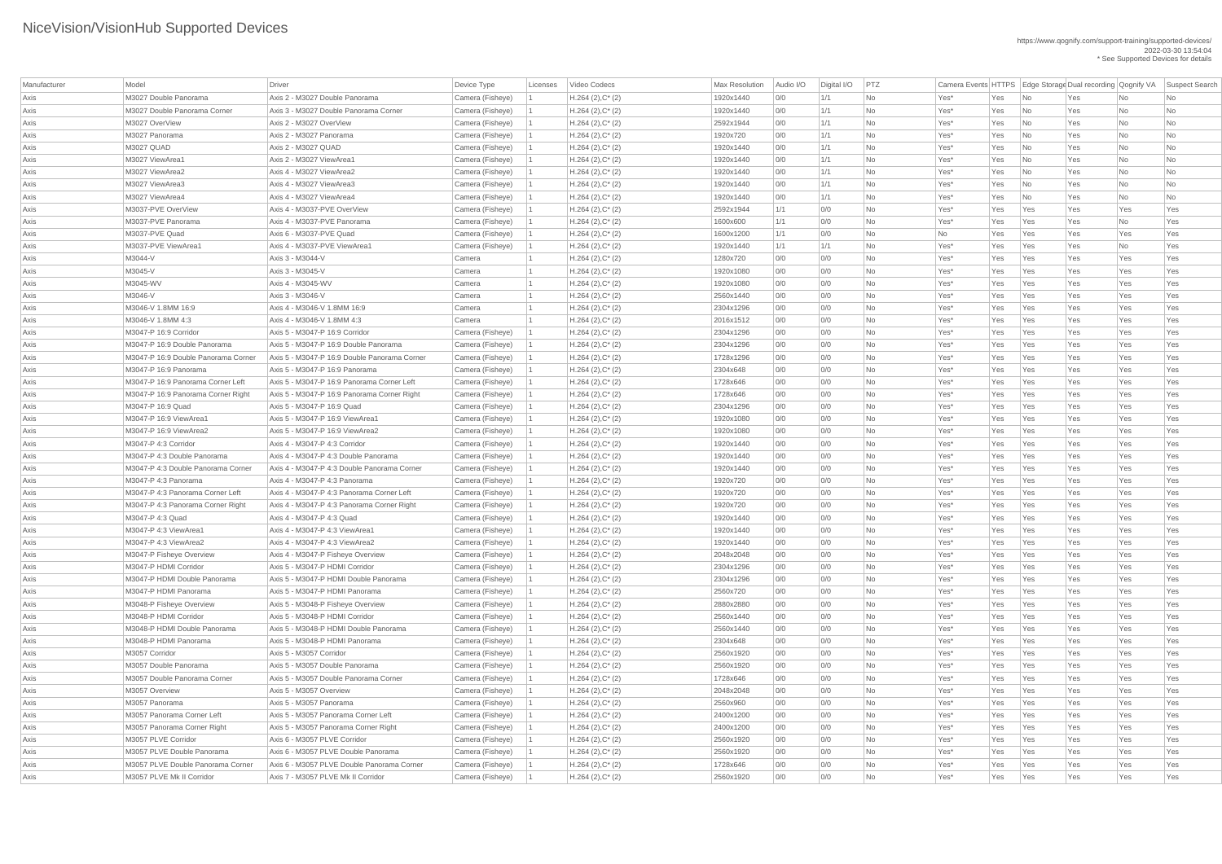| Manufacturer | Model                               | <b>Driver</b>                                      | Device Type      | Licenses | Video Codecs           | Max Resolution | Audio I/O | Digital I/O | PTZ       | Camera Events HTTPS   Edge Storage Dual recording   Qognify VA |     |                          |     |           | Suspect Search |
|--------------|-------------------------------------|----------------------------------------------------|------------------|----------|------------------------|----------------|-----------|-------------|-----------|----------------------------------------------------------------|-----|--------------------------|-----|-----------|----------------|
| Axis         | M3027 Double Panorama               | Axis 2 - M3027 Double Panorama                     | Camera (Fisheye) |          | $H.264 (2), C^*(2)$    | 1920x1440      | 0/0       | 1/1         | No        | Yes*                                                           | Yes | <b>No</b>                | Yes | No        | No             |
| Axis         | M3027 Double Panorama Corner        | Axis 3 - M3027 Double Panorama Corner              | Camera (Fisheye) |          | $H.264 (2), C^*(2)$    | 1920x1440      | 0/0       | 1/1         | <b>No</b> | Yes*                                                           | Yes | No                       | Yes | No        | No             |
| Axis         | M3027 OverView                      | Axis 2 - M3027 OverView                            | Camera (Fisheye) |          | $H.264 (2), C^*(2)$    | 2592x1944      | 0/0       | 1/1         | <b>No</b> | Yes*                                                           | Yes | No                       | Yes | No        | No             |
| Axis         | M3027 Panorama                      | Axis 2 - M3027 Panorama                            | Camera (Fisheye) |          | $H.264 (2), C^*(2)$    | 1920x720       | 0/0       | 1/1         | No        | Yes*                                                           | Yes | No                       | Yes | No        | No             |
| Axis         | M3027 QUAD                          | Axis 2 - M3027 QUAD                                | Camera (Fisheye) |          | $H.264 (2), C^*(2)$    | 1920x1440      | 0/0       | 1/1         | No        | Yes*                                                           | Yes | No                       | Yes | No        | No             |
| Axis         | M3027 ViewArea1                     | Axis 2 - M3027 ViewArea1                           | Camera (Fisheye) |          | $H.264 (2), C^*(2)$    | 1920x1440      | 0/0       | 1/1         | No        | Yes*                                                           | Yes | $\overline{\mathsf{No}}$ | Yes | No        | No             |
| Axis         | M3027 ViewArea2                     | Axis 4 - M3027 ViewArea2                           | Camera (Fisheye) |          | $H.264 (2), C^*(2)$    | 1920x1440      | 0/0       | 1/1         | <b>No</b> | Yes*                                                           | Yes | No                       | Yes | No        | No             |
| Axis         | M3027 ViewArea3                     | Axis 4 - M3027 ViewArea3                           | Camera (Fisheye) |          | $H.264 (2), C^*(2)$    | 1920x1440      | 0/0       | 1/1         | <b>No</b> | Yes*                                                           | Yes | No                       | Yes | No        | No             |
| Axis         | M3027 ViewArea4                     | Axis 4 - M3027 ViewArea4                           | Camera (Fisheye) |          | $H.264 (2), C^*(2)$    | 1920x1440      | 0/0       | 1/1         | No        | Yes*                                                           | Yes | No                       | Yes | <b>No</b> | No             |
| Axis         | M3037-PVE OverView                  | Axis 4 - M3037-PVE OverView                        | Camera (Fisheye) |          | $H.264 (2), C^*(2)$    | 2592x1944      | 1/1       | 0/0         | No        | Yes*                                                           | Yes | Yes                      | Yes | Yes       | Yes            |
| Axis         | M3037-PVE Panorama                  | Axis 4 - M3037-PVE Panorama                        | Camera (Fisheye) |          | $H.264 (2), C^*(2)$    | 1600x600       | 1/1       | 0/0         | No        | Yes*                                                           | Yes | Yes                      | Yes | No        | Yes            |
| Axis         | M3037-PVE Quad                      | Axis 6 - M3037-PVE Quad                            | Camera (Fisheye) |          | $H.264 (2), C^*(2)$    | 1600x1200      | 1/1       | 0/0         | No        | No                                                             | Yes | Yes                      | Yes | Yes       | Yes            |
| Axis         | M3037-PVE ViewArea1                 | Axis 4 - M3037-PVE ViewArea1                       | Camera (Fisheye) |          | $H.264 (2), C^*(2)$    | 1920x1440      | 1/1       | 1/1         | <b>No</b> | Yes*                                                           | Yes | Yes                      | Yes | No        | Yes            |
| Axis         | M3044-V                             | Axis 3 - M3044-V                                   | Camera           |          | $H.264 (2), C^*(2)$    | 1280x720       | 0/0       | 0/0         | <b>No</b> | Yes*                                                           | Yes | Yes                      | Yes | Yes       | Yes            |
| Axis         | M3045-V                             | Axis 3 - M3045-V                                   | Camera           |          | $H.264 (2), C^*(2)$    | 1920x1080      | 0/0       | 0/0         | <b>No</b> | Yes*                                                           | Yes | Yes                      | Yes | Yes       | Yes            |
| Axis         | M3045-WV                            | Axis 4 - M3045-WV                                  | Camera           |          | $H.264 (2), C^*(2)$    | 1920x1080      | 0/0       | 0/0         | No        | Yes*                                                           | Yes | Yes                      | Yes | Yes       | Yes            |
| Axis         | M3046-V                             | Axis 3 - M3046-V                                   | Camera           |          | $H.264(2),C^*(2)$      | 2560x1440      | 0/0       | 0/0         | No        | Yes*                                                           | Yes | Yes                      | Yes | Yes       | Yes            |
| Axis         | M3046-V 1.8MM 16:9                  | Axis 4 - M3046-V 1.8MM 16:9                        | Camera           |          | $H.264(2),C^*(2)$      | 2304x1296      | 0/0       | 0/0         | <b>No</b> | Yes*                                                           | Yes | Yes                      | Yes | Yes       | Yes            |
| Axis         | M3046-V 1.8MM 4:3                   | Axis 4 - M3046-V 1.8MM 4:3                         | Camera           |          | $H.264 (2), C^*(2)$    | 2016x1512      | 0/0       | 0/0         | <b>No</b> | Yes*                                                           | Yes | Yes                      | Yes | Yes       | Yes            |
| Axis         | M3047-P 16:9 Corridor               | Axis 5 - M3047-P 16:9 Corridor                     | Camera (Fisheye) |          | $H.264$ (2), $C^*$ (2) | 2304x1296      | 0/0       | 0/0         | <b>No</b> | Yes*                                                           | Yes | Yes                      | Yes | Yes       | Yes            |
| Axis         | M3047-P 16:9 Double Panorama        | Axis 5 - M3047-P 16:9 Double Panorama              | Camera (Fisheye) |          | $H.264 (2), C^*(2)$    | 2304x1296      | 0/0       | 0/0         | <b>No</b> | Yes*                                                           | Yes | Yes                      | Yes | Yes       | Yes            |
| Axis         | M3047-P 16:9 Double Panorama Corner | Axis 5 - M3047-P 16:9 Double Panorama Corner       | Camera (Fisheye) |          | $H.264 (2), C^*(2)$    | 1728x1296      | 0/0       | 0/0         | <b>No</b> | Yes*                                                           | Yes | Yes                      | Yes | Yes       | Yes            |
| Axis         | M3047-P 16:9 Panorama               | Axis 5 - M3047-P 16:9 Panorama                     | Camera (Fisheye) |          | $H.264 (2), C^*(2)$    | 2304x648       | 0/0       | 0/0         | No        | Yes*                                                           | Yes | Yes                      | Yes | Yes       | Yes            |
| Axis         | M3047-P 16:9 Panorama Corner Left   | Axis 5 - M3047-P 16:9 Panorama Corner Left         | Camera (Fisheye) |          | $H.264 (2), C^*(2)$    | 1728x646       | 0/0       | 0/0         | <b>No</b> | Yes*                                                           | Yes | Yes                      | Yes | Yes       | Yes            |
| Axis         | M3047-P 16:9 Panorama Corner Right  | Axis 5 - M3047-P 16:9 Panorama Corner Right        | Camera (Fisheye) |          | $H.264 (2), C^*(2)$    | 1728x646       | 0/0       | 0/0         | No.       | Yes <sup>*</sup>                                               | Yes | Yes                      | Yes | Yes       | Yes            |
| Axis         | M3047-P 16:9 Quad                   | Axis 5 - M3047-P 16:9 Quad                         | Camera (Fisheye) |          | $H.264 (2), C^*(2)$    | 2304x1296      | 0/0       | 0/0         | No        | Yes*                                                           | Yes | Yes                      | Yes | Yes       | Yes            |
| Axis         | M3047-P 16:9 ViewArea1              | Axis 5 - M3047-P 16:9 ViewArea1                    | Camera (Fisheye) |          | $H.264 (2), C^*(2)$    | 1920x1080      | 0/0       | 0/0         | <b>No</b> | Yes*                                                           | Yes | Yes                      | Yes | Yes       | Yes            |
| Axis         | M3047-P 16:9 ViewArea2              | Axis 5 - M3047-P 16:9 ViewArea2                    | Camera (Fisheye) |          | $H.264(2),C^*(2)$      | 1920x1080      | 0/0       | 0/0         | <b>No</b> | Yes*                                                           | Yes | Yes                      | Yes | Yes       | Yes            |
| Axis         | M3047-P 4:3 Corridor                | Axis 4 - M3047-P 4:3 Corridor                      | Camera (Fisheye) |          | $H.264 (2), C^*(2)$    | 1920x1440      | 0/0       | 0/0         | <b>No</b> | Yes*                                                           | Yes | Yes                      | Yes | Yes       | Yes            |
| Axis         | M3047-P 4:3 Double Panorama         | Axis 4 - M3047-P 4:3 Double Panorama               | Camera (Fisheye) |          | $H.264 (2), C^*(2)$    | 1920x1440      | 0/0       | 0/0         | <b>No</b> | Yes*                                                           | Yes | Yes                      | Yes | Yes       | Yes            |
| Axis         | M3047-P 4:3 Double Panorama Corner  | Axis 4 - M3047-P 4:3 Double Panorama Corner        | Camera (Fisheye) |          | $H.264 (2), C^*(2)$    | 1920x1440      | 0/0       | 0/0         | <b>No</b> | Yes*                                                           | Yes | Yes                      | Yes | Yes       | Yes            |
| Axis         | M3047-P 4:3 Panorama                | Axis 4 - M3047-P 4:3 Panorama                      | Camera (Fisheye) |          | $H.264 (2), C^*(2)$    | 1920x720       | 0/0       | 0/0         | <b>No</b> | Yes*                                                           | Yes | Yes                      | Yes | Yes       | Yes            |
| Axis         | M3047-P 4:3 Panorama Corner Left    | Axis 4 - M3047-P 4:3 Panorama Corner Left          | Camera (Fisheye) |          | $H.264 (2), C^*(2)$    | 1920x720       | 0/0       | 0/0         | <b>No</b> | Yes*                                                           | Yes | Yes                      | Yes | Yes       | Yes            |
| Axis         | M3047-P 4:3 Panorama Corner Right   | Axis 4 - M3047-P 4:3 Panorama Corner Right         | Camera (Fisheye) |          | $H.264 (2), C^*(2)$    | 1920x720       | 0/0       | 0/0         | No        | Yes*                                                           | Yes | Yes                      | Yes | Yes       | Yes            |
| Axis         | M3047-P 4:3 Quad                    | Axis 4 - M3047-P 4:3 Quad                          | Camera (Fisheye) |          | $H.264 (2), C^*(2)$    | 1920x1440      | 0/0       | 0/0         | No        | Yes*                                                           | Yes | Yes                      | Yes | Yes       | Yes            |
| Axis         | M3047-P 4:3 ViewArea1               | Axis 4 - M3047-P 4:3 ViewArea1                     | Camera (Fisheye) |          | $H.264 (2), C^*(2)$    | 1920x1440      | 0/0       | 0/0         | No        | Yes*                                                           | Yes | Yes                      | Yes | Yes       | Yes            |
| Axis         | M3047-P 4:3 ViewArea2               | Axis 4 - M3047-P 4:3 ViewArea2                     | Camera (Fisheye) |          | $H.264 (2), C^*(2)$    | 1920x1440      | 0/0       | 0/0         | No        | Yes*                                                           | Yes | Yes                      | Yes | Yes       | Yes            |
| Axis         | M3047-P Fisheye Overview            | Axis 4 - M3047-P Fisheye Overview                  | Camera (Fisheye) |          | $H.264 (2), C^*(2)$    | 2048x2048      | 0/0       | 0/0         | <b>No</b> | Yes*                                                           | Yes | Yes                      | Yes | Yes       | Yes            |
| Axis         | M3047-P HDMI Corridor               | Axis 5 - M3047-P HDMI Corridor                     | Camera (Fisheye) |          | $H.264 (2), C^*(2)$    | 2304x1296      | 0/0       | 0/0         | <b>No</b> | Yes*                                                           | Yes | Yes                      | Yes | Yes       | Yes            |
| Axis         | M3047-P HDMI Double Panorama        | Axis 5 - M3047-P HDMI Double Panorama              | Camera (Fisheye) |          | $H.264 (2), C^*(2)$    | 2304x1296      | 0/0       | 0/0         | No        | Yes*                                                           | Yes | Yes                      | Yes | Yes       | Yes            |
| Axis         | M3047-P HDMI Panorama               | Axis 5 - M3047-P HDMI Panorama                     | Camera (Fisheye) |          | $H.264 (2), C^*(2)$    | 2560x720       | 0/0       | 0/0         | <b>No</b> | Yes*                                                           | Yes | Yes                      | Yes | Yes       | Yes            |
| Axis         | M3048-P Fisheye Overview            | Axis 5 - M3048-P Fisheye Overview                  | Camera (Fisheye) |          | $H.264(2),C^*(2)$      | 2880x2880      | 0/0       | 0/0         | No        | Yes*                                                           | Yes | Yes                      | Yes | Yes       | Yes            |
|              | M3048-P HDMI Corridor               | Axis 5 - M3048-P HDMI Corridor                     | Camera (Fisheye) |          | $H.264 (2), C^*(2)$    | 2560x1440      | 0/0       | 0/0         | No        | Yes*                                                           | Yes | Yes                      | Yes | Yes       | Yes            |
| Axis         | M3048-P HDMI Double Panorama        | Axis 5 - M3048-P HDMI Double Panorama              | Camera (Fisheye) |          | $H.264 (2), C^*(2)$    | 2560x1440      | 0/0       | 0/0         | No        | Yes*                                                           | Yes | Yes                      | Yes | Yes       | Yes            |
| Axis         | M3048-P HDMI Panorama               | Axis 5 - M3048-P HDMI Panorama                     | Camera (Fisheye) |          | $H.264 (2), C^*(2)$    | 2304x648       | 0/0       | 0/0         | <b>No</b> | Yes*                                                           | Yes | Yes                      | Yes | Yes       | Yes            |
| Axis         | M3057 Corridor                      | Axis 5 - M3057 Corridor                            | Camera (Fisheye) |          | $H.264 (2), C^*(2)$    | 2560x1920      | 0/0       | 0/0         | No        | Yes*                                                           | Yes | Yes                      | Yes | Yes       | Yes            |
| Axis         | M3057 Double Panorama               | Axis 5 - M3057 Double Panorama                     | Camera (Fisheye) |          |                        | 2560x1920      | 0/0       | 0/0         | <b>No</b> | Yes*                                                           |     | Yes                      | Yes | Yes       | Yes            |
| Axis         | M3057 Double Panorama Corner        | Axis 5 - M3057 Double Panorama Corner              |                  |          | $H.264 (2), C^*(2)$    |                |           |             |           |                                                                | Yes |                          |     |           |                |
| Axis         |                                     |                                                    | Camera (Fisheye) |          | $H.264(2),C^*(2)$      | 1728x646       | 0/0       | 0/0         | No        | Yes*                                                           | Yes | Yes                      | Yes | Yes       | Yes            |
| Axis         | M3057 Overview<br>M3057 Panorama    | Axis 5 - M3057 Overview<br>Axis 5 - M3057 Panorama | Camera (Fisheye) |          | $H.264 (2), C^*(2)$    | 2048x2048      | 0/0       | 0/0         | No        | Yes*                                                           | Yes | Yes                      | Yes | Yes       | Yes            |
| Axis         |                                     |                                                    | Camera (Fisheye) |          | $H.264 (2), C^*(2)$    | 2560x960       | 0/0       | 0/0         | No        | Yes*                                                           | Yes | Yes                      | Yes | Yes       | Yes            |
| Axis         | M3057 Panorama Corner Left          | Axis 5 - M3057 Panorama Corner Left                | Camera (Fisheye) |          | $H.264 (2), C^*(2)$    | 2400x1200      | 0/0       | 0/0         | No        | Yes*                                                           | Yes | Yes                      | Yes | Yes       | Yes            |
| Axis         | M3057 Panorama Corner Right         | Axis 5 - M3057 Panorama Corner Right               | Camera (Fisheye) |          | $H.264 (2), C^*(2)$    | 2400x1200      | 0/0       | 0/0         | No        | Yes*                                                           | Yes | Yes                      | Yes | Yes       | Yes            |
| Axis         | M3057 PLVE Corridor                 | Axis 6 - M3057 PLVE Corridor                       | Camera (Fisheye) |          | $H.264 (2), C^*(2)$    | 2560x1920      | 0/0       | 0/0         | No        | Yes*                                                           | Yes | Yes                      | Yes | Yes       | Yes            |
| Axis         | M3057 PLVE Double Panorama          | Axis 6 - M3057 PLVE Double Panorama                | Camera (Fisheye) |          | $H.264 (2), C^*(2)$    | 2560x1920      | 0/0       | 0/0         | No        | Yes*                                                           | Yes | Yes                      | Yes | Yes       | Yes            |
| Axis         | M3057 PLVE Double Panorama Corner   | Axis 6 - M3057 PLVE Double Panorama Corner         | Camera (Fisheye) |          | $H.264 (2), C^*(2)$    | 1728x646       | 0/0       | 0/0         | <b>No</b> | Yes*                                                           | Yes | Yes                      | Yes | Yes       | Yes            |
| Axis         | M3057 PLVE Mk II Corridor           | Axis 7 - M3057 PLVE Mk II Corridor                 | Camera (Fisheye) |          | $H.264 (2), C^*(2)$    | 2560x1920      | 0/0       | 0/0         | No        | Yes*                                                           | Yes | Yes                      | Yes | Yes       | Yes            |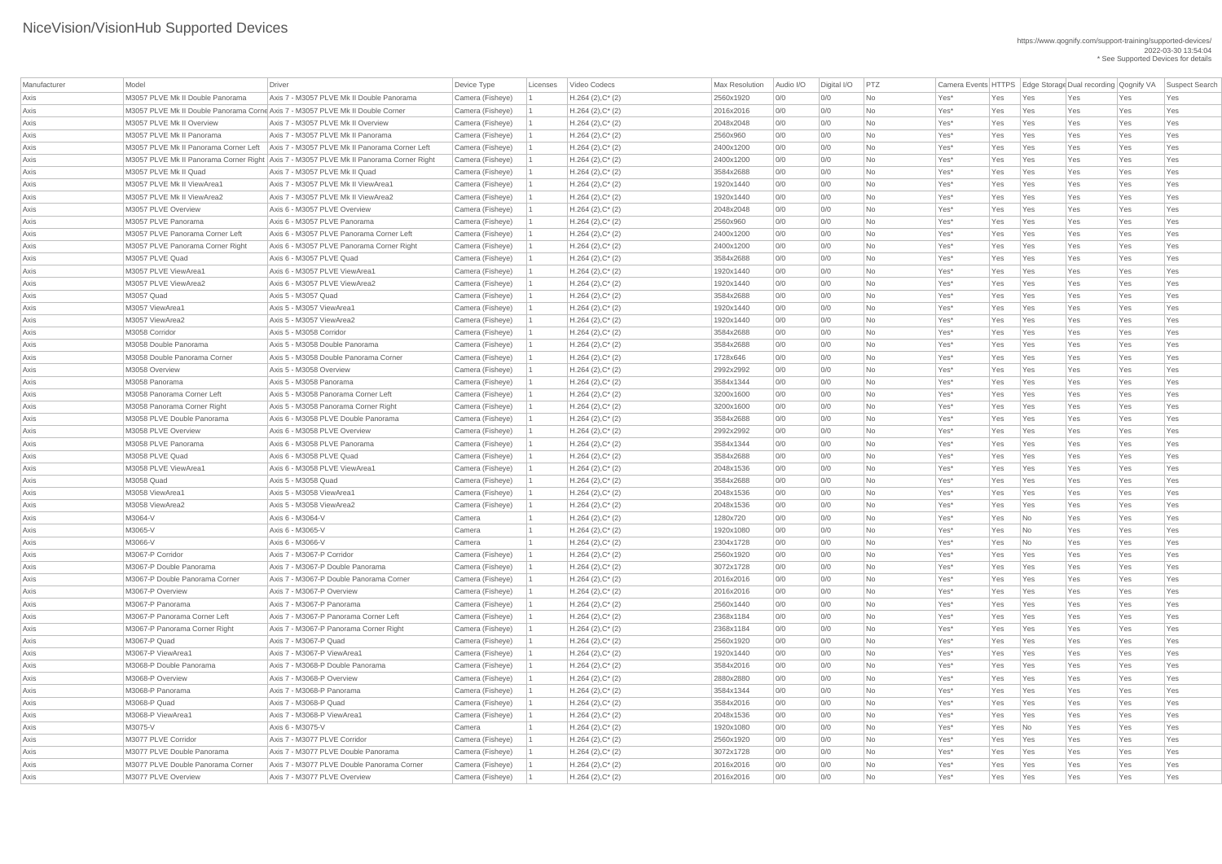| Manufacturer | Model                                 | Driver                                                                                   | Device Type      | Licenses | Video Codecs           | <b>Max Resolution</b> | Audio I/O | Digital I/O | PTZ       | Camera Events HTTPS   Edge Storage Dual recording   Qognify VA |     |                          |     |     | Suspect Search |
|--------------|---------------------------------------|------------------------------------------------------------------------------------------|------------------|----------|------------------------|-----------------------|-----------|-------------|-----------|----------------------------------------------------------------|-----|--------------------------|-----|-----|----------------|
| Axis         | M3057 PLVE Mk II Double Panorama      | Axis 7 - M3057 PLVE Mk II Double Panorama                                                | Camera (Fisheye) |          | $H.264(2),C^*(2)$      | 2560x1920             | 0/0       | 0/0         | No        | Yes*                                                           | Yes | Yes                      | Yes | Yes | Yes            |
| Axis         |                                       | M3057 PLVE Mk II Double Panorama Corne Axis 7 - M3057 PLVE Mk II Double Corner           | Camera (Fisheye) |          | $H.264 (2), C^*(2)$    | 2016x2016             | 0/0       | 0/0         | <b>No</b> | Yes*                                                           | Yes | Yes                      | Yes | Yes | Yes            |
| Axis         | M3057 PLVE Mk II Overview             | Axis 7 - M3057 PLVE Mk II Overview                                                       | Camera (Fisheye) |          | $H.264$ (2), $C^*$ (2) | 2048x2048             | 0/0       | 0/0         | <b>No</b> | Yes*                                                           | Yes | Yes                      | Yes | Yes | Yes            |
| Axis         | M3057 PLVE Mk II Panorama             | Axis 7 - M3057 PLVE Mk II Panorama                                                       | Camera (Fisheye) |          | $H.264 (2), C^*(2)$    | 2560x960              | 0/0       | 0/0         | <b>No</b> | Yes*                                                           | Yes | Yes                      | Yes | Yes | Yes            |
| Axis         | M3057 PLVE Mk II Panorama Corner Left | Axis 7 - M3057 PLVE Mk II Panorama Corner Left                                           | Camera (Fisheye) |          | $H.264(2),C^*(2)$      | 2400x1200             | 0/0       | 0/0         | No        | Yes*                                                           | Yes | Yes                      | Yes | Yes | Yes            |
| Axis         |                                       | M3057 PLVE Mk II Panorama Corner Right   Axis 7 - M3057 PLVE Mk II Panorama Corner Right | Camera (Fisheye) |          | $H.264(2),C^*(2)$      | 2400x1200             | 0/0       | 0/0         | No        | Yes*                                                           | Yes | Yes                      | Yes | Yes | Yes            |
| Axis         | M3057 PLVE Mk II Quad                 | Axis 7 - M3057 PLVE Mk II Quad                                                           | Camera (Fisheye) |          | $H.264 (2), C^*(2)$    | 3584x2688             | 0/0       | 0/0         | No        | Yes*                                                           | Yes | Yes                      | Yes | Yes | Yes            |
| Axis         | M3057 PLVE Mk II ViewArea1            | Axis 7 - M3057 PLVE Mk II ViewArea1                                                      | Camera (Fisheye) |          | $H.264(2),C^*(2)$      | 1920x1440             | 0/0       | 0/0         | <b>No</b> | Yes*                                                           | Yes | Yes                      | Yes | Yes | Yes            |
| Axis         | M3057 PLVE Mk II ViewArea2            | Axis 7 - M3057 PLVE Mk II ViewArea2                                                      | Camera (Fisheye) |          | $H.264(2),C^*(2)$      | 1920x1440             | 0/0       | 0/0         | <b>No</b> | Yes*                                                           | Yes | Yes                      | Yes | Yes | Yes            |
| Axis         | M3057 PLVE Overview                   | Axis 6 - M3057 PLVE Overview                                                             | Camera (Fisheye) |          | $H.264$ (2), $C^*$ (2) | 2048x2048             | 0/0       | 0/0         | No        | Yes*                                                           | Yes | Yes                      | Yes | Yes | Yes            |
| Axis         | M3057 PLVE Panorama                   | Axis 6 - M3057 PLVE Panorama                                                             | Camera (Fisheye) |          | $H.264(2),C^*(2)$      | 2560x960              | 0/0       | 0/0         | No        | Yes*                                                           | Yes | Yes                      | Yes | Yes | Yes            |
| Axis         | M3057 PLVE Panorama Corner Left       | Axis 6 - M3057 PLVE Panorama Corner Left                                                 | Camera (Fisheye) |          | $H.264(2),C^*(2)$      | 2400x1200             | 0/0       | 0/0         | <b>No</b> | Yes*                                                           | Yes | Yes                      | Yes | Yes | Yes            |
| Axis         | M3057 PLVE Panorama Corner Right      | Axis 6 - M3057 PLVE Panorama Corner Right                                                | Camera (Fisheye) |          | $H.264 (2), C^*(2)$    | 2400x1200             | 0/0       | 0/0         | No        | Yes*                                                           | Yes | Yes                      | Yes | Yes | Yes            |
| Axis         | M3057 PLVE Quad                       | Axis 6 - M3057 PLVE Quad                                                                 | Camera (Fisheye) |          | $H.264 (2), C^*(2)$    | 3584x2688             | 0/0       | 0/0         | <b>No</b> | Yes*                                                           | Yes | Yes                      | Yes | Yes | Yes            |
| Axis         | M3057 PLVE ViewArea1                  | Axis 6 - M3057 PLVE ViewArea1                                                            | Camera (Fisheye) |          | $H.264$ (2), $C^*$ (2) | 1920x1440             | 0/0       | 0/0         | <b>No</b> | Yes*                                                           | Yes | Yes                      | Yes | Yes | Yes            |
| Axis         | M3057 PLVE ViewArea2                  | Axis 6 - M3057 PLVE ViewArea2                                                            | Camera (Fisheye) |          | $H.264 (2), C^*(2)$    | 1920x1440             | 0/0       | 0/0         | No        | Yes*                                                           | Yes | Yes                      | Yes | Yes | Yes            |
| Axis         | M3057 Quad                            | Axis 5 - M3057 Quad                                                                      | Camera (Fisheye) |          | $H.264(2),C^*(2)$      | 3584x2688             | 0/0       | 0/0         | <b>No</b> | Yes*                                                           | Yes | Yes                      | Yes | Yes | Yes            |
| Axis         | M3057 ViewArea1                       | Axis 5 - M3057 ViewArea1                                                                 | Camera (Fisheye) |          | $H.264(2),C^*(2)$      | 1920x1440             | 0/0       | 0/0         | <b>No</b> | Yes*                                                           | Yes | Yes                      | Yes | Yes | Yes            |
| Axis         | M3057 ViewArea2                       | Axis 5 - M3057 ViewArea2                                                                 | Camera (Fisheye) |          | $H.264 (2), C^*(2)$    | 1920x1440             | 0/0       | 0/0         | No        | Yes*                                                           | Yes | Yes                      | Yes | Yes | Yes            |
| Axis         | M3058 Corridor                        | Axis 5 - M3058 Corridor                                                                  | Camera (Fisheye) |          | $H.264 (2), C^*(2)$    | 3584x2688             | 0/0       | 0/0         | No        | Yes*                                                           | Yes | Yes                      | Yes | Yes | Yes            |
|              | M3058 Double Panorama                 | Axis 5 - M3058 Double Panorama                                                           | Camera (Fisheye) |          | $H.264(2),C^*(2)$      | 3584x2688             | 0/0       | 0/0         | <b>No</b> | Yes*                                                           | Yes | Yes                      | Yes | Yes | Yes            |
| Axis<br>Axis | M3058 Double Panorama Corner          | Axis 5 - M3058 Double Panorama Corner                                                    | Camera (Fisheye) |          | $H.264$ (2), $C^*$ (2) | 1728x646              | 0/0       | 0/0         | No        | Yes*                                                           | Yes | Yes                      | Yes | Yes | Yes            |
|              | M3058 Overview                        | Axis 5 - M3058 Overview                                                                  |                  |          |                        | 2992x2992             | 0/0       | 0/0         | No        | Yes*                                                           |     |                          |     | Yes |                |
| Axis         | M3058 Panorama                        | Axis 5 - M3058 Panorama                                                                  | Camera (Fisheye) |          | $H.264 (2), C^*(2)$    | 3584x1344             |           |             |           |                                                                | Yes | Yes                      | Yes |     | Yes            |
| Axis         | M3058 Panorama Corner Left            | Axis 5 - M3058 Panorama Corner Left                                                      | Camera (Fisheye) |          | $H.264 (2), C^*(2)$    |                       | 0/0       | 0/0<br>0/0  | No        | Yes*<br>Yes*                                                   | Yes | Yes                      | Yes | Yes | Yes            |
| Axis         |                                       |                                                                                          | Camera (Fisheye) |          | $H.264 (2), C^*(2)$    | 3200x1600             | 0/0       |             | No        |                                                                | Yes | Yes                      | Yes | Yes | Yes            |
| Axis         | M3058 Panorama Corner Right           | Axis 5 - M3058 Panorama Corner Right                                                     | Camera (Fisheye) |          | $H.264 (2), C^*(2)$    | 3200x1600             | 0/0       | 0/0         | No        | Yes*                                                           | Yes | Yes                      | Yes | Yes | Yes            |
| Axis         | M3058 PLVE Double Panorama            | Axis 6 - M3058 PLVE Double Panorama                                                      | Camera (Fisheye) |          | $H.264 (2), C^*(2)$    | 3584x2688             | 0/0       | 0/0         | <b>No</b> | Yes*                                                           | Yes | Yes                      | Yes | Yes | Yes            |
| Axis         | M3058 PLVE Overview                   | Axis 6 - M3058 PLVE Overview                                                             | Camera (Fisheye) |          | $H.264$ (2), $C^*$ (2) | 2992x2992             | 0/0       | 0/0         | <b>No</b> | Yes*                                                           | Yes | Yes                      | Yes | Yes | Yes            |
| Axis         | M3058 PLVE Panorama                   | Axis 6 - M3058 PLVE Panorama                                                             | Camera (Fisheye) |          | $H.264(2),C^*(2)$      | 3584x1344             | 0/0       | 0/0         | <b>No</b> | Yes*                                                           | Yes | Yes                      | Yes | Yes | Yes            |
| Axis         | M3058 PLVE Quad                       | Axis 6 - M3058 PLVE Quad                                                                 | Camera (Fisheye) |          | $H.264(2),C^*(2)$      | 3584x2688             | 0/0       | 0/0         | No        | Yes*                                                           | Yes | Yes                      | Yes | Yes | Yes            |
| Axis         | M3058 PLVE ViewArea1                  | Axis 6 - M3058 PLVE ViewArea1                                                            | Camera (Fisheye) |          | $H.264(2),C^*(2)$      | 2048x1536             | 0/0       | 0/0         | <b>No</b> | Yes*                                                           | Yes | Yes                      | Yes | Yes | Yes            |
| Axis         | M3058 Quad                            | Axis 5 - M3058 Quad                                                                      | Camera (Fisheye) |          | $H.264 (2), C^*(2)$    | 3584x2688             | 0/0       | 0/0         | No        | Yes*                                                           | Yes | Yes                      | Yes | Yes | Yes            |
| Axis         | M3058 ViewArea1                       | Axis 5 - M3058 ViewArea1                                                                 | Camera (Fisheye) |          | $H.264(2),C^*(2)$      | 2048x1536             | 0/0       | 0/0         | <b>No</b> | Yes*                                                           | Yes | Yes                      | Yes | Yes | Yes            |
| Axis         | M3058 ViewArea2                       | Axis 5 - M3058 ViewArea2                                                                 | Camera (Fisheye) |          | $H.264(2),C^*(2)$      | 2048x1536             | 0/0       | 0/0         | <b>No</b> | Yes*                                                           | Yes | Yes                      | Yes | Yes | Yes            |
| Axis         | M3064-V                               | Axis 6 - M3064-V                                                                         | Camera           |          | $H.264 (2), C^*(2)$    | 1280x720              | 0/0       | 0/0         | <b>No</b> | Yes*                                                           | Yes | No                       | Yes | Yes | Yes            |
| Axis         | M3065-V                               | Axis 6 - M3065-V                                                                         | Camera           |          | $H.264(2),C^*(2)$      | 1920x1080             | 0/0       | 0/0         | No        | Yes*                                                           | Yes | No                       | Yes | Yes | Yes            |
| Axis         | M3066-V                               | Axis 6 - M3066-V                                                                         | Camera           |          | $H.264(2),C^*(2)$      | 2304x1728             | 0/0       | 0/0         | <b>No</b> | Yes*                                                           | Yes | No                       | Yes | Yes | Yes            |
| Axis         | M3067-P Corridor                      | Axis 7 - M3067-P Corridor                                                                | Camera (Fisheye) |          | $H.264 (2), C^*(2)$    | 2560x1920             | 0/0       | 0/0         | No        | Yes*                                                           | Yes | Yes                      | Yes | Yes | Yes            |
| Axis         | M3067-P Double Panorama               | Axis 7 - M3067-P Double Panorama                                                         | Camera (Fisheye) |          | $H.264(2),C^*(2)$      | 3072x1728             | 0/0       | 0/0         | <b>No</b> | Yes*                                                           | Yes | Yes                      | Yes | Yes | Yes            |
| Axis         | M3067-P Double Panorama Corner        | Axis 7 - M3067-P Double Panorama Corner                                                  | Camera (Fisheye) |          | $H.264$ (2), $C^*$ (2) | 2016x2016             | 0/0       | 0/0         | No        | Yes*                                                           | Yes | Yes                      | Yes | Yes | Yes            |
| Axis         | M3067-P Overview                      | Axis 7 - M3067-P Overview                                                                | Camera (Fisheye) |          | $H.264(2),C^*(2)$      | 2016x2016             | 0/0       | 0/0         | <b>No</b> | Yes*                                                           | Yes | Yes                      | Yes | Yes | Yes            |
| Axis         | M3067-P Panorama                      | Axis 7 - M3067-P Panorama                                                                | Camera (Fisheye) |          | $H.264(2),C^*(2)$      | 2560x1440             | 0/0       | 0/0         | No        | Yes*                                                           | Yes | Yes                      | Yes | Yes | Yes            |
| Axis         | M3067-P Panorama Corner Left          | Axis 7 - M3067-P Panorama Corner Left                                                    | Camera (Fisheye) |          | $H.264(2),C^*(2)$      | 2368x1184             | 0/0       | 0/0         | <b>No</b> | Yes*                                                           | Yes | Yes                      | Yes | Yes | Yes            |
| Axis         | M3067-P Panorama Corner Right         | Axis 7 - M3067-P Panorama Corner Right                                                   | Camera (Fisheye) |          | $H.264 (2), C^*(2)$    | 2368x1184             | 0/0       | 0/0         | No        | Yes*                                                           | Yes | Yes                      | Yes | Yes | Yes            |
| Axis         | M3067-P Quad                          | Axis 7 - M3067-P Quad                                                                    | Camera (Fisheye) |          | $H.264(2),C^*(2)$      | 2560x1920             | 0/0       | 0/0         | <b>No</b> | Yes*                                                           | Yes | Yes                      | Yes | Yes | Yes            |
| Axis         | M3067-P ViewArea1                     | Axis 7 - M3067-P ViewArea1                                                               | Camera (Fisheye) |          | $H.264(2),C^*(2)$      | 1920x1440             | 0/0       | 0/0         | <b>No</b> | Yes*                                                           | Yes | Yes                      | Yes | Yes | Yes            |
| Axis         | M3068-P Double Panorama               | Axis 7 - M3068-P Double Panorama                                                         | Camera (Fisheye) |          | $H.264 (2), C^*(2)$    | 3584x2016             | 0/0       | 0/0         | <b>No</b> | Yes*                                                           | Yes | Yes                      | Yes | Yes | Yes            |
| Axis         | M3068-P Overview                      | Axis 7 - M3068-P Overview                                                                | Camera (Fisheye) |          | $H.264(2),C^*(2)$      | 2880x2880             | 0/0       | 0/0         | No        | Yes*                                                           | Yes | Yes                      | Yes | Yes | Yes            |
| Axis         | M3068-P Panorama                      | Axis 7 - M3068-P Panorama                                                                | Camera (Fisheye) |          | $H.264 (2), C^*(2)$    | 3584x1344             | 0/0       | 0/0         | <b>No</b> | Yes*                                                           | Yes | Yes                      | Yes | Yes | Yes            |
| Axis         | M3068-P Quad                          | Axis 7 - M3068-P Quad                                                                    | Camera (Fisheye) |          | $H.264 (2), C^*(2)$    | 3584x2016             | 0/0       | 0/0         | No        | Yes*                                                           | Yes | Yes                      | Yes | Yes | Yes            |
| Axis         | M3068-P ViewArea1                     | Axis 7 - M3068-P ViewArea1                                                               | Camera (Fisheye) |          | $H.264 (2), C^*(2)$    | 2048x1536             | 0/0       | 0/0         | <b>No</b> | Yes*                                                           | Yes | Yes                      | Yes | Yes | Yes            |
| Axis         | M3075-V                               | Axis 6 - M3075-V                                                                         | Camera           |          | $H.264 (2), C^*(2)$    | 1920x1080             | 0/0       | 0/0         | No        | Yes*                                                           | Yes | $\overline{\mathsf{No}}$ | Yes | Yes | Yes            |
| Axis         | M3077 PLVE Corridor                   | Axis 7 - M3077 PLVE Corridor                                                             | Camera (Fisheye) |          | $H.264 (2), C^*(2)$    | 2560x1920             | 0/0       | 0/0         | No        | Yes*                                                           | Yes | Yes                      | Yes | Yes | Yes            |
| Axis         | M3077 PLVE Double Panorama            | Axis 7 - M3077 PLVE Double Panorama                                                      | Camera (Fisheye) |          | $H.264 (2), C^*(2)$    | 3072x1728             | 0/0       | 0/0         | No        | Yes*                                                           | Yes | Yes                      | Yes | Yes | Yes            |
| Axis         | M3077 PLVE Double Panorama Corner     | Axis 7 - M3077 PLVE Double Panorama Corner                                               | Camera (Fisheye) |          | $H.264 (2), C^*(2)$    | 2016x2016             | 0/0       | 0/0         | No        | Yes*                                                           | Yes | Yes                      | Yes | Yes | Yes            |
| Axis         | M3077 PLVE Overview                   | Axis 7 - M3077 PLVE Overview                                                             | Camera (Fisheye) |          | $H.264 (2), C^*(2)$    | 2016x2016             | 0/0       | 0/0         | No        | Yes*                                                           | Yes | Yes                      | Yes | Yes | Yes            |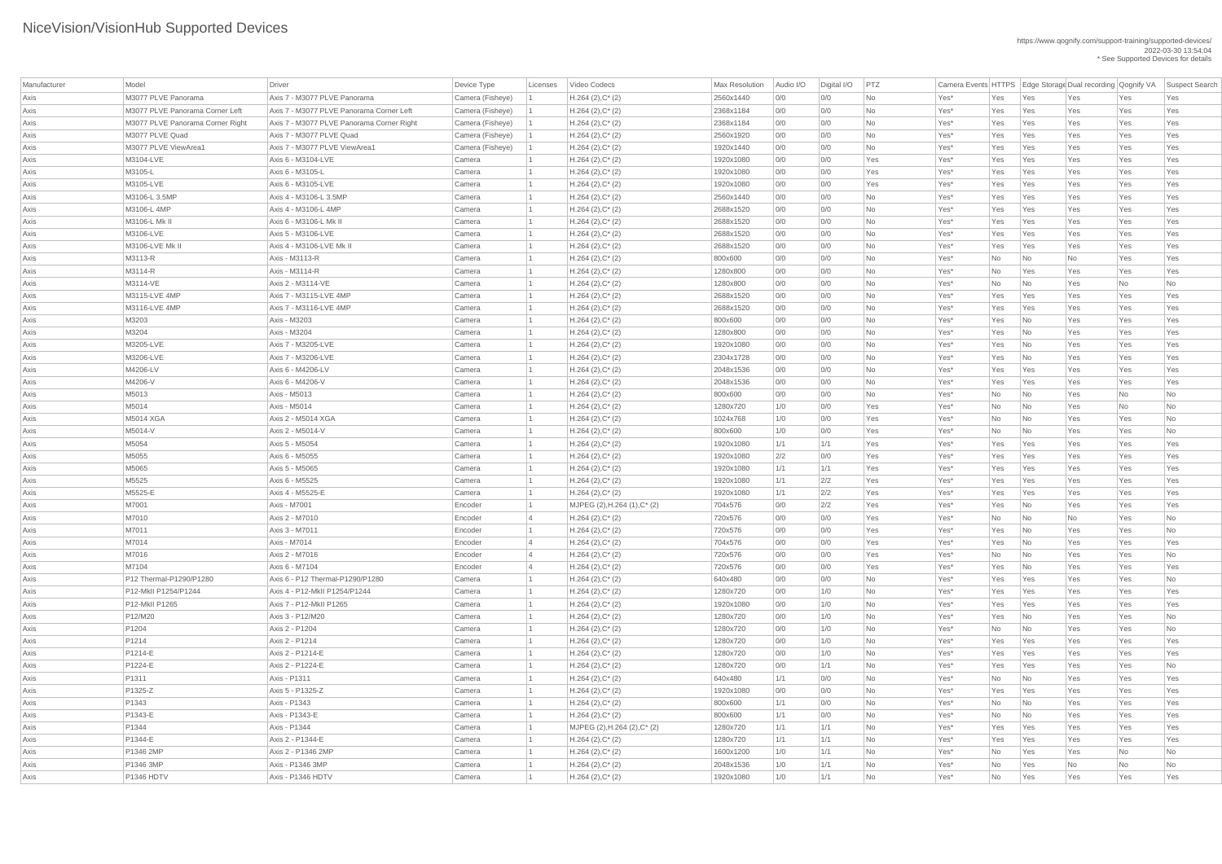| Manufacturer | Model                            | Driver                                    | Device Type      | Licenses | Video Codecs                    | <b>Max Resolution</b> | Audio I/O | Digital I/O | PTZ       |         |                |                             | Camera Events HTTPS Edge Storage Dual recording Qognify VA |     | Suspect Search |
|--------------|----------------------------------|-------------------------------------------|------------------|----------|---------------------------------|-----------------------|-----------|-------------|-----------|---------|----------------|-----------------------------|------------------------------------------------------------|-----|----------------|
| Axis         | M3077 PLVE Panorama              | Axis 7 - M3077 PLVE Panorama              | Camera (Fisheye) |          | $H.264 (2), C^*(2)$             | 2560x1440             | 0/0       | 0/0         | <b>No</b> | Yes*    | Yes            | Yes                         | Yes                                                        | Yes | Yes            |
| Axis         | M3077 PLVE Panorama Corner Left  | Axis 7 - M3077 PLVE Panorama Corner Left  | Camera (Fisheye) |          | $H.264 (2), C^*(2)$             | 2368x1184             | 0/0       | 0/0         | <b>No</b> | Yes*    | Yes            | Yes                         | Yes                                                        | Yes | Yes            |
| Axis         | M3077 PLVE Panorama Corner Right | Axis 7 - M3077 PLVE Panorama Corner Right | Camera (Fisheye) |          | $H.264 (2), C^*(2)$             | 2368x1184             | 0/0       | 0/0         | <b>No</b> | Yes*    | Yes            | Yes                         | Yes                                                        | Yes | Yes            |
| Axis         | M3077 PLVE Quad                  | Axis 7 - M3077 PLVE Quad                  | Camera (Fisheye) |          | $H.264 (2), C^*(2)$             | 2560x1920             | 0/0       | 0/0         | <b>No</b> | Yes*    | Yes            | Yes                         | Yes                                                        | Yes | Yes            |
| Axis         | M3077 PLVE ViewArea1             | Axis 7 - M3077 PLVE ViewArea1             | Camera (Fisheye) |          | $H.264 (2), C^*(2)$             | 1920x1440             | 0/0       | 0/0         | <b>No</b> | Yes*    | Yes            | Yes                         | Yes                                                        | Yes | Yes            |
| Axis         | M3104-LVE                        | Axis 6 - M3104-LVE                        | Camera           |          | $H.264 (2), C^*(2)$             | 1920x1080             | 0/0       | 0/0         | Yes       | $Yes^*$ | Yes            | Yes                         | Yes                                                        | Yes | Yes            |
| Axis         | M3105-L                          | Axis 6 - M3105-L                          | Camera           |          | $H.264 (2), C^*(2)$             | 1920x1080             | 0/0       | 0/0         | Yes       | Yes*    | Yes            | Yes                         | Yes                                                        | Yes | Yes            |
| Axis         | M3105-LVE                        | Axis 6 - M3105-LVE                        | Camera           |          | $H.264(2),C^*(2)$               | 1920x1080             | 0/0       | 0/0         | Yes       | Yes*    | Yes            | Yes                         | Yes                                                        | Yes | Yes            |
| Axis         | M3106-L 3.5MP                    | Axis 4 - M3106-L 3.5MP                    | Camera           |          | $H.264 (2), C^*(2)$             | 2560x1440             | 0/0       | 0/0         | <b>No</b> | Yes*    | Yes            | Yes                         | Yes                                                        | Yes | Yes            |
| Axis         | M3106-L 4MP                      | Axis 4 - M3106-L 4MP                      | Camera           |          | $H.264(2),C^*(2)$               | 2688x1520             | 0/0       | 0/0         | No        | Yes*    | Yes            | Yes                         | Yes                                                        | Yes | Yes            |
| Axis         | M3106-L Mk II                    | Axis 6 - M3106-L Mk II                    | Camera           |          | $H.264 (2), C^*(2)$             | 2688x1520             | 0/0       | 0/0         | <b>No</b> | Yes*    | Yes            | Yes                         | Yes                                                        | Yes | Yes            |
| Axis         | M3106-LVE                        | Axis 5 - M3106-LVE                        | Camera           |          | $H.264 (2), C^*(2)$             | 2688x1520             | 0/0       | 0/0         | No        | Yes*    | Yes            | Yes                         | Yes                                                        | Yes | Yes            |
| Axis         | M3106-LVE Mk II                  | Axis 4 - M3106-LVE Mk II                  | Camera           |          | $H.264 (2), C^*(2)$             | 2688x1520             | 0/0       | 0/0         | No        | Yes*    | Yes            | Yes                         | Yes                                                        | Yes | Yes            |
| Axis         | M3113-R                          | Axis - M3113-R                            | Camera           |          | $H.264 (2), C^*(2)$             | 800x600               | 0/0       | 0/0         | <b>No</b> | Yes*    | N <sub>o</sub> | No                          | No                                                         | Yes | Yes            |
| Axis         | M3114-R                          | Axis - M3114-R                            | Camera           |          | $H.264$ (2), $C^*$ (2)          | 1280x800              | 0/0       | 0/0         | <b>No</b> | Yes*    | No             | Yes                         | Yes                                                        | Yes | Yes            |
| Axis         | M3114-VE                         | Axis 2 - M3114-VE                         | Camera           |          | $H.264(2),C^*(2)$               | 1280x800              | 0/0       | 0/0         | No        | Yes*    | No             | No                          | Yes                                                        | No  | No             |
| Axis         | M3115-LVE 4MP                    | Axis 7 - M3115-LVE 4MP                    | Camera           |          | $H.264(2),C^*(2)$               | 2688x1520             | 0/0       | 0/0         | <b>No</b> | Yes*    | Yes            | Yes                         | Yes                                                        | Yes | Yes            |
| Axis         | M3116-LVE 4MP                    | Axis 7 - M3116-LVE 4MP                    | Camera           |          | $H.264 (2), C^*(2)$             | 2688x1520             | 0/0       | 0/0         | No        | Yes*    | Yes            | Yes                         | Yes                                                        | Yes | Yes            |
| Axis         | M3203                            | Axis - M3203                              | Camera           |          | $H.264 (2), C^*(2)$             | 800x600               | 0/0       | 0/0         | No        | Yes*    | Yes            | No                          | Yes                                                        | Yes | Yes            |
| Axis         | M3204                            | Axis - M3204                              | Camera           |          | $H.264(2),C^*(2)$               | 1280x800              | 0/0       | 0/0         | <b>No</b> | Yes*    | Yes            | No                          | Yes                                                        | Yes | Yes            |
| Axis         | M3205-LVE                        | Axis 7 - M3205-LVE                        | Camera           |          | $H.264 (2), C^*(2)$             | 1920x1080             | 0/0       | 0/0         | <b>No</b> | Yes*    | Yes            | No                          | Yes                                                        | Yes | Yes            |
| Axis         | M3206-LVE                        | Axis 7 - M3206-LVE                        | Camera           |          | $H.264(2),C^*(2)$               | 2304x1728             | 0/0       | 0/0         | No        | Yes*    | Yes            | No                          | Yes                                                        | Yes | Yes            |
| Axis         | M4206-LV                         | Axis 6 - M4206-LV                         | Camera           |          | $H.264(2),C^*(2)$               | 2048x1536             | 0/0       | 0/0         | <b>No</b> | Yes*    | Yes            | Yes                         | Yes                                                        | Yes | Yes            |
| Axis         | M4206-V                          | Axis 6 - M4206-V                          | Camera           |          | $H.264 (2), C^*(2)$             | 2048x1536             | 0/0       | 0/0         | No        | Yes*    | Yes            | Yes                         | Yes                                                        | Yes | Yes            |
| Axis         | M5013                            | Axis - M5013                              | Camera           |          | $H.264 (2), C^*(2)$             | 800x600               | 0/0       | 0/0         | <b>No</b> | Yes*    | No             | No                          | Yes                                                        | No  | No             |
| Axis         | M5014                            | Axis - M5014                              | Camera           |          | $H.264(2),C^*(2)$               | 1280x720              | 1/0       | 0/0         | Yes       | Yes*    | No             | No                          | Yes                                                        | No  | No             |
| Axis         | <b>M5014 XGA</b>                 | Axis 2 - M5014 XGA                        | Camera           |          | $H.264 (2), C^*(2)$             | 1024x768              | 1/0       | 0/0         | Yes       | Yes*    | No             | No                          | Yes                                                        | Yes | No             |
| Axis         | M5014-V                          | Axis 2 - M5014-V                          | Camera           |          | $H.264(2),C^*(2)$               | 800x600               | 1/0       | 0/0         | Yes       | Yes*    | No             | No                          | Yes                                                        | Yes | No             |
| Axis         | M5054                            | Axis 5 - M5054                            | Camera           |          | $H.264 (2), C^*(2)$             | 1920x1080             | 1/1       | 1/1         | Yes       | Yes*    | Yes            | Yes                         | Yes                                                        | Yes | Yes            |
| Axis         | M5055                            | Axis 6 - M5055                            | Camera           |          | $H.264 (2), C^*(2)$             | 1920x1080             | 2/2       | 0/0         | Yes       | Yes*    | Yes            | Yes                         | Yes                                                        | Yes | Yes            |
| Axis         | M5065                            | Axis 5 - M5065                            | Camera           |          | $H.264 (2), C^*(2)$             | 1920x1080             | 1/1       | 1/1         | Yes       | Yes*    | Yes            | Yes                         | Yes                                                        | Yes | Yes            |
| Axis         | M5525                            | Axis 6 - M5525                            | Camera           |          | $H.264 (2), C^*(2)$             | 1920x1080             | 1/1       | 2/2         | Yes       | Yes*    | Yes            | Yes                         | Yes                                                        | Yes | Yes            |
| Axis         | M5525-E                          | Axis 4 - M5525-E                          | Camera           |          | $H.264 (2), C^*(2)$             | 1920x1080             | 1/1       | 2/2         | Yes       | Yes*    | Yes            | Yes                         | Yes                                                        | Yes | Yes            |
| Axis         | M7001                            | Axis - M7001                              | Encoder          |          | MJPEG (2), H.264 (1), C* (2)    | 704x576               | 0/0       | 2/2         | Yes       | Yes*    | Yes            | No                          | Yes                                                        | Yes | Yes            |
| Axis         | M7010                            | Axis 2 - M7010                            | Encoder          |          | $H.264 (2), C^*(2)$             | 720x576               | 0/0       | 0/0         | Yes       | Yes*    | No             | No                          | <b>No</b>                                                  | Yes | No             |
| Axis         | M7011                            | Axis 3 - M7011                            | Encoder          |          | $H.264 (2), C^*(2)$             | 720x576               | 0/0       | 0/0         | Yes       | Yes*    | Yes            | $\overline{\mathsf{No}}$    | Yes                                                        | Yes | No             |
| Axis         | M7014                            | Axis - M7014                              | Encoder          |          | $H.264 (2), C^*(2)$             | 704x576               | 0/0       | 0/0         | Yes       | Yes*    | Yes            | $\overline{\phantom{a}}$ No | Yes                                                        | Yes | Yes            |
| Axis         | M7016                            | Axis 2 - M7016                            | Encoder          |          | $H.264(2),C^*(2)$               | 720x576               | 0/0       | 0/0         | Yes       | Yes*    | No             | No                          | Yes                                                        | Yes | No             |
| Axis         | M7104                            | Axis 6 - M7104                            | Encoder          |          | $H.264 (2), C^*(2)$             | 720x576               | 0/0       | 0/0         | Yes       | Yes*    | Yes            | No                          | Yes                                                        | Yes | Yes            |
| Axis         | P12 Thermal-P1290/P1280          | Axis 6 - P12 Thermal-P1290/P1280          | Camera           |          | $H.264(2),C^*(2)$               | 640x480               | 0/0       | 0/0         | No        | Yes*    | Yes            | Yes                         | Yes                                                        | Yes | No             |
| Axis         | P12-MkII P1254/P1244             | Axis 4 - P12-Mkll P1254/P1244             | Camera           |          | $H.264 (2), C^*(2)$             | 1280x720              | 0/0       | 1/0         | No        | Yes*    | Yes            | Yes                         | Yes                                                        | Yes | Yes            |
| Axis         | P12-MkII P1265                   | Axis 7 - P12-MkII P1265                   | Camera           |          | $H.264 (2), C^*(2)$             | 1920x1080             | 0/0       | 1/0         | No        | Yes*    | Yes            | Yes                         | Yes                                                        | Yes | Yes            |
| Axis         | P12/M20                          | Axis 3 - P12/M20                          | Camera           |          | $H.264 (2), C^*(2)$             | 1280x720              | 0/0       | 1/0         | No        | Yes*    | Yes            | No                          | Yes                                                        | Yes | No             |
| Axis         | P1204                            | Axis 2 - P1204                            | Camera           |          | $H.264(2),C^*(2)$               | 1280x720              | 0/0       | 1/0         | No        | Yes*    | No             | No                          | Yes                                                        | Yes | No             |
| Axis         | P1214                            | Axis 2 - P1214                            | Camera           |          | $H.264$ (2), $C^*$ (2)          | 1280x720              | 0/0       | 1/0         | <b>No</b> | Yes*    | Yes            | Yes                         | Yes                                                        | Yes | Yes            |
| Axis         | P1214-E                          | Axis 2 - P1214-E                          | Camera           |          | $H.264 (2), C^*(2)$             | 1280x720              | 0/0       | 1/0         | No        | Yes*    | Yes            | Yes                         | Yes                                                        | Yes | Yes            |
| Axis         | P1224-E                          | Axis 2 - P1224-E                          | Camera           |          | $H.264(2),C^*(2)$               | 1280x720              | 0/0       | 1/1         | No        | Yes*    | Yes            | Yes                         | Yes                                                        | Yes | No             |
| Axis         | P1311                            | Axis - P1311                              | Camera           |          | $H.264 (2), C^*(2)$             | 640x480               | 1/1       | 0/0         | No        | Yes*    | No             | No                          | Yes                                                        | Yes | Yes            |
| Axis         | P1325-Z                          | Axis 5 - P1325-Z                          | Camera           |          | $H.264 (2), C^*(2)$             | 1920x1080             | 0/0       | 0/0         | No        | Yes*    | Yes            | Yes                         | Yes                                                        | Yes | Yes            |
| Axis         | P1343                            | Axis - P1343                              | Camera           |          | $H.264(2),C^*(2)$               | 800x600               | 1/1       | 0/0         | No        | Yes*    | No             | No                          | Yes                                                        | Yes | Yes            |
| Axis         | P1343-E                          | Axis - P1343-E                            | Camera           |          | $H.264 (2), C^*(2)$             | 800x600               | 1/1       | 0/0         | <b>No</b> | Yes*    | No             | No                          | Yes                                                        | Yes | Yes            |
| Axis         | P1344                            | Axis - P1344                              | Camera           |          | MJPEG (2), H.264 (2), $C^*$ (2) | 1280x720              | 1/1       | 1/1         | No        | Yes*    | Yes            | Yes                         | Yes                                                        | Yes | Yes            |
| Axis         | P1344-E                          | Axis 2 - P1344-E                          | Camera           |          | $H.264 (2), C^*(2)$             | 1280x720              | 1/1       | 1/1         | No        | Yes*    | Yes            | Yes                         | Yes                                                        | Yes | Yes            |
| Axis         | P1346 2MP                        | Axis 2 - P1346 2MP                        | Camera           |          | $H.264 (2), C^*(2)$             | 1600x1200             | 1/0       | 1/1         | No        | Yes*    | No             | Yes                         | Yes                                                        | No  | No             |
| Axis         | P1346 3MP                        | Axis - P1346 3MP                          | Camera           |          | $H.264 (2), C^*(2)$             | 2048x1536             | 1/0       | 1/1         | <b>No</b> | $Yes^*$ | No             | Yes                         | No                                                         | No  | No             |
| Axis         | <b>P1346 HDTV</b>                | Axis - P1346 HDTV                         | Camera           |          | $H.264 (2), C^*(2)$             | 1920x1080             | 1/0       | 1/1         | No        | Yes*    | No             | Yes                         | Yes                                                        | Yes | Yes            |
|              |                                  |                                           |                  |          |                                 |                       |           |             |           |         |                |                             |                                                            |     |                |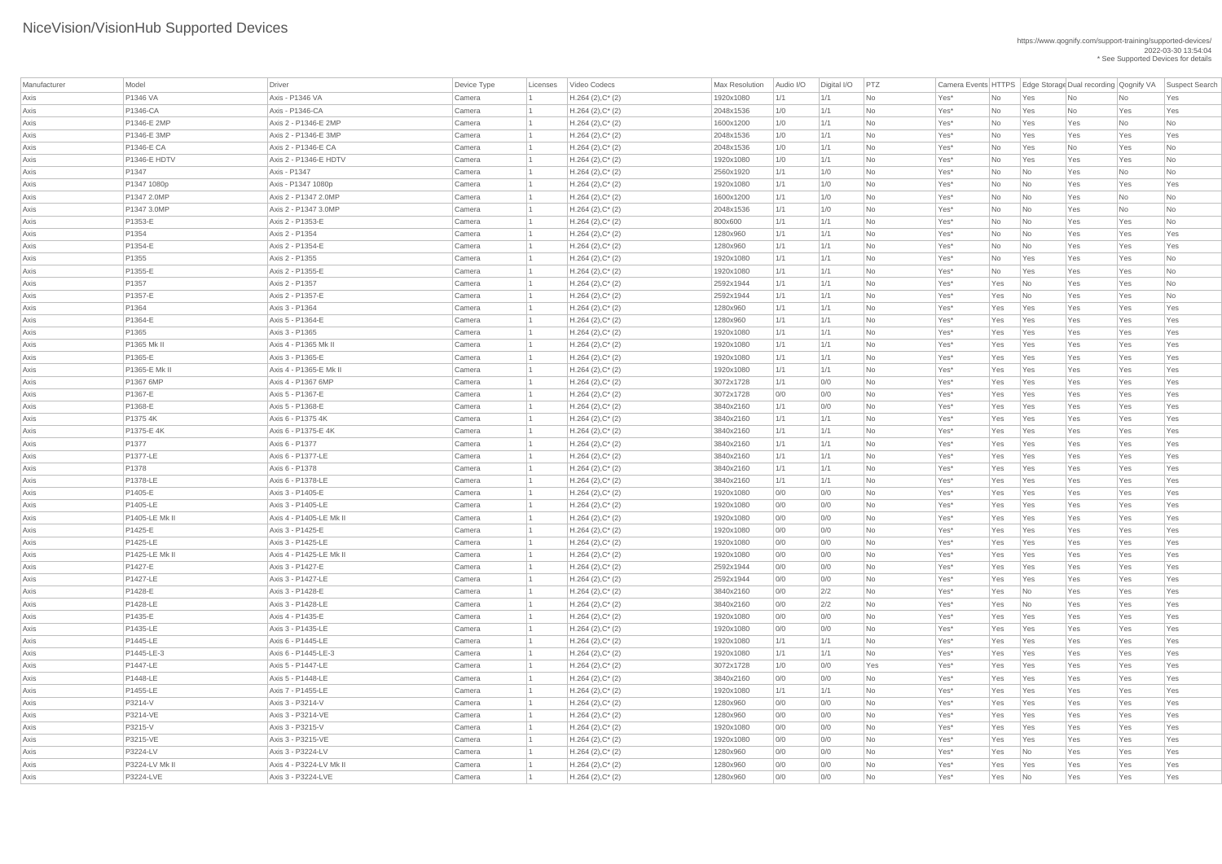| Manufacturer | Model                         | Driver                                   | Device Type      | Licenses | Video Codecs                               | Max Resolution        | Audio I/O  | Digital I/O | PTZ       | Camera Events HTTPS   Edge Storage Dual recording   Qognify VA |            |                             |            |            | Suspect Search           |
|--------------|-------------------------------|------------------------------------------|------------------|----------|--------------------------------------------|-----------------------|------------|-------------|-----------|----------------------------------------------------------------|------------|-----------------------------|------------|------------|--------------------------|
| Axis         | P1346 VA                      | Axis - P1346 VA                          | Camera           |          | $H.264 (2), C^*(2)$                        | 1920x1080             | 1/1        | 1/1         | <b>No</b> | Yes*                                                           | No         | Yes                         | No         | No         | Yes                      |
| Axis         | P1346-CA                      | Axis - P1346-CA                          | Camera           |          | $H.264 (2), C^*(2)$                        | 2048x1536             | 1/0        | 1/1         | <b>No</b> | Yes*                                                           | No         | Yes                         | No         | Yes        | Yes                      |
| Axis         | P1346-E 2MP                   | Axis 2 - P1346-E 2MP                     | Camera           |          | $H.264 (2), C^*(2)$                        | 1600x1200             | 1/0        | 1/1         | <b>No</b> | Yes*                                                           | No         | Yes                         | Yes        | No         | $\overline{\mathsf{No}}$ |
| Axis         | P1346-E 3MP                   | Axis 2 - P1346-E 3MP                     | Camera           |          | $H.264 (2), C^*(2)$                        | 2048x1536             | 1/0        | 1/1         | No        | Yes*                                                           | No         | Yes                         | Yes        | Yes        | Yes                      |
| Axis         | <b>P1346-E CA</b>             | Axis 2 - P1346-E CA                      | Camera           |          | $H.264 (2), C^*(2)$                        | 2048x1536             | 1/0        | 1/1         | No        | Yes*                                                           | No         | Yes                         | No         | Yes        | $\overline{\mathsf{No}}$ |
| Axis         | <b>P1346-E HDTV</b>           | Axis 2 - P1346-E HDTV                    | Camera           |          | $H.264 (2), C^*(2)$                        | 1920x1080             | 1/0        | 1/1         | No        | Yes*                                                           | No         | Yes                         | Yes        | Yes        | $\overline{\mathsf{No}}$ |
| Axis         | P1347                         | Axis - P1347                             | Camera           |          | $H.264 (2), C^*(2)$                        | 2560x1920             | 1/1        | 1/0         | No        | Yes*                                                           | No         | No                          | Yes        | No         | No                       |
| Axis         | P1347 1080p                   | Axis - P1347 1080p                       | Camera           |          | $H.264 (2), C^*(2)$                        | 1920x1080             | 1/1        | 1/0         | No        | Yes*                                                           | No         | No                          | Yes        | Yes        | Yes                      |
| Axis         | P1347 2.0MP                   | Axis 2 - P1347 2.0MP                     | Camera           |          | $H.264 (2), C^*(2)$                        | 1600x1200             | 1/1        | 1/0         | <b>No</b> | Yes*                                                           | No         | No                          | Yes        | No         | No                       |
| Axis         | P1347 3.0MP                   | Axis 2 - P1347 3.0MP                     | Camera           |          | $H.264 (2), C^*(2)$                        | 2048x1536             | 1/1        | 1/0         | No        | Yes*                                                           | No         | No                          | Yes        | No         | No                       |
| Axis         | P1353-E                       | Axis 2 - P1353-E                         | Camera           |          | $H.264 (2), C^*(2)$                        | 800x600               | 1/1        | 1/1         | No        | Yes*                                                           | No         | No                          | Yes        | Yes        | $\overline{\mathsf{No}}$ |
| Axis         | P1354                         | Axis 2 - P1354                           | Camera           |          | $H.264 (2), C^*(2)$                        | 1280x960              | 1/1        | 1/1         | No        | Yes*                                                           | No         | No                          | Yes        | Yes        | Yes                      |
| Axis         | P1354-E                       | Axis 2 - P1354-E                         | Camera           |          | $H.264 (2), C^*(2)$                        | 1280x960              | 1/1        | 1/1         | No        | Yes*                                                           | No         | No                          | Yes        | Yes        | Yes                      |
| Axis         | P1355                         | Axis 2 - P1355                           | Camera           |          | $H.264 (2), C^*(2)$                        | 1920x1080             | 1/1        | 1/1         | <b>No</b> | Yes*                                                           | No         | Yes                         | Yes        | Yes        | No                       |
| Axis         | P1355-E                       | Axis 2 - P1355-E                         | Camera           |          | $H.264 (2), C^*(2)$                        | 1920x1080             | 1/1        | 1/1         | No        | Yes*                                                           | No         | Yes                         | Yes        | Yes        | No                       |
| Axis         | P1357                         | Axis 2 - P1357                           | Camera           |          | $H.264 (2), C^*(2)$                        | 2592x1944             | 1/1        | 1/1         | No        | Yes*                                                           | Yes        | No                          | Yes        | Yes        | No                       |
| Axis         | P1357-E                       | Axis 2 - P1357-E                         | Camera           |          | $H.264 (2), C^*(2)$                        | 2592x1944             | 1/1        | 1/1         | <b>No</b> | Yes*                                                           | Yes        | N <sub>0</sub>              | Yes        | Yes        | $\overline{\mathsf{No}}$ |
| Axis         | P1364                         | Axis 3 - P1364                           | Camera           |          | $H.264 (2), C^*(2)$                        | 1280x960              | 1/1        | 1/1         | No        | Yes*                                                           | Yes        | Yes                         | Yes        | Yes        | Yes                      |
| Axis         | P1364-E                       | Axis 5 - P1364-E                         | Camera           |          | $H.264 (2), C^*(2)$                        | 1280x960              | 1/1        | 1/1         | No        | Yes*                                                           | Yes        | Yes                         | Yes        | Yes        | Yes                      |
| Axis         | P1365                         | Axis 3 - P1365                           | Camera           |          | $H.264 (2), C^*(2)$                        | 1920x1080             | 1/1        | 1/1         | <b>No</b> | Yes*                                                           | Yes        | Yes                         | Yes        | Yes        | Yes                      |
| Axis         | P1365 Mk II                   | Axis 4 - P1365 Mk II                     | Camera           |          | $H.264 (2), C^*(2)$                        | 1920x1080             | 1/1        | 1/1         | <b>No</b> | Yes*                                                           | Yes        | Yes                         | Yes        | Yes        | Yes                      |
| Axis         | P1365-E                       | Axis 3 - P1365-E                         | Camera           |          | $H.264 (2), C^*(2)$                        | 1920x1080             | 1/1        | 1/1         | No        | Yes*                                                           | Yes        | Yes                         | Yes        | Yes        | Yes                      |
| Axis         | P1365-E Mk II                 | Axis 4 - P1365-E Mk II                   | Camera           |          | $H.264 (2), C^*(2)$                        | 1920x1080             | 1/1        | 1/1         | No        | Yes*                                                           | Yes        | Yes                         | Yes        | Yes        | Yes                      |
| Axis         | P1367 6MP                     | Axis 4 - P1367 6MP                       | Camera           |          | $H.264 (2), C^*(2)$                        | 3072x1728             | 1/1        | 0/0         | No        | Yes*                                                           | Yes        | Yes                         | Yes        | Yes        | Yes                      |
| Axis         | P1367-E                       | Axis 5 - P1367-E                         | Camera           |          | $H.264 (2), C^*(2)$                        | 3072x1728             | 0/0        | 0/0         | <b>No</b> | Yes <sup>*</sup>                                               | Yes        | Yes                         | Yes        | Yes        | Yes                      |
| Axis         | P1368-E                       | Axis 5 - P1368-E                         | Camera           |          | $H.264 (2), C^*(2)$                        | 3840x2160             | 1/1        | 0/0         | No        | Yes*                                                           | Yes        | Yes                         | Yes        | Yes        | Yes                      |
| Axis         | P1375 4K                      | Axis 6 - P1375 4K                        | Camera           |          | $H.264 (2), C^*(2)$                        | 3840x2160             | 1/1        | 1/1         | No        | Yes*                                                           | Yes        | Yes                         | Yes        | Yes        | Yes                      |
| Axis         | P1375-E 4K                    | Axis 6 - P1375-E 4K                      | Camera           |          | $H.264 (2), C^*(2)$                        | 3840x2160             | 1/1        | 1/1         | No        | Yes*                                                           | Yes        | Yes                         | Yes        | Yes        | Yes                      |
| Axis         | P1377                         | Axis 6 - P1377                           | Camera           |          | $H.264 (2), C^*(2)$                        | 3840x2160             | 1/1        | 1/1         | No        | Yes*                                                           | Yes        | Yes                         | Yes        | Yes        | Yes                      |
| Axis         | <b>P1377-LE</b>               | Axis 6 - P1377-LE                        | Camera           |          | $H.264 (2), C^*(2)$                        | 3840x2160             | 1/1        | 1/1         | No        | Yes*                                                           | Yes        | Yes                         | Yes        | Yes        | Yes                      |
| Axis         | P1378                         | Axis 6 - P1378                           | Camera           |          | $H.264 (2), C^*(2)$                        | 3840x2160             | 1/1        | 1/1         | No        | Yes*                                                           | Yes        | Yes                         | Yes        | Yes        | Yes                      |
| Axis         | P1378-LE                      | Axis 6 - P1378-LE                        | Camera           |          | $H.264 (2), C^*(2)$                        | 3840x2160             | 1/1        | 1/1         | No        | Yes*                                                           | Yes        | Yes                         | Yes        | Yes        | Yes                      |
| Axis         | P1405-E                       | Axis 3 - P1405-E                         | Camera           |          | $H.264 (2), C^*(2)$                        | 1920x1080             | 0/0        | 0/0         | No        | Yes*                                                           | Yes        | Yes                         | Yes        | Yes        | Yes                      |
| Axis         | P1405-LE                      | Axis 3 - P1405-LE                        | Camera           |          | $H.264 (2), C^*(2)$                        | 1920x1080             | 0/0        | 0/0         | No        | Yes*                                                           | Yes        | Yes                         | Yes        | Yes        | Yes                      |
| Axis         | P1405-LE Mk II                | Axis 4 - P1405-LE Mk II                  | Camera           |          | $H.264 (2), C^*(2)$                        | 1920x1080             | 0/0        | 0/0         | No        | Yes*                                                           | Yes        | Yes                         | Yes        | Yes        | Yes                      |
| Axis         | P1425-E                       | Axis 3 - P1425-E                         | Camera           |          | $H.264 (2), C^*(2)$                        | 1920x1080             | 0/0        | 0/0         | No        | Yes*                                                           | Yes        | Yes                         | Yes        | Yes        | Yes                      |
| Axis         | P1425-LE                      | Axis 3 - P1425-LE                        | Camera           |          | $H.264 (2), C^*(2)$                        | 1920x1080             | 0/0        | 0/0         | No        | Yes*                                                           | Yes        | Yes                         | Yes        | Yes        | Yes                      |
| Axis         | P1425-LE Mk II                | Axis 4 - P1425-LE Mk II                  | Camera           |          | $H.264 (2), C^*(2)$                        | 1920x1080             | 0/0        | 0/0         | No        | Yes*                                                           | Yes        | Yes                         | Yes        | Yes        | Yes                      |
| Axis         | P1427-E                       | Axis 3 - P1427-E                         | Camera           |          | $H.264 (2), C^*(2)$                        | 2592x1944             | 0/0        | 0/0         | No        | Yes*                                                           | Yes        | Yes                         | Yes        | Yes        | Yes                      |
| Axis         | <b>P1427-LE</b>               | Axis 3 - P1427-LE                        | Camera           |          | $H.264 (2), C^*(2)$                        | 2592x1944             | 0/0        | 0/0         | No        | Yes*                                                           | Yes        | Yes                         | Yes        | Yes        | Yes                      |
| Axis         | P1428-E                       | Axis 3 - P1428-E                         | Camera           |          | $H.264 (2), C^*(2)$                        | 3840x2160             | 0/0        | 2/2         | No        | Yes*                                                           | Yes        | $\overline{\mathsf{No}}$    | Yes        | Yes        | Yes                      |
| Axis         | P1428-LE                      | Axis 3 - P1428-LE                        | Camera           |          | $H.264 (2), C^*(2)$                        | 3840x2160             | 0/0        | 2/2         | No        | Yes*                                                           | Yes        | $\overline{\mathsf{No}}$    | Yes        | Yes        | Yes                      |
| Axis         | P1435-E                       | Axis 4 - P1435-E                         | Camera           |          | $H.264 (2), C^*(2)$                        | 1920x1080             | 0/0        | 0/0         | No        | Yes*                                                           | Yes        | Yes                         | Yes        | Yes        | Yes                      |
| Axis         | P1435-LE                      | Axis 3 - P1435-LE                        | Camera           |          | $H.264 (2), C^*(2)$                        | 1920x1080             | 0/0        | 0/0         | No        | Yes*                                                           | Yes        | Yes                         | Yes        | Yes        | Yes                      |
| Axis         | P1445-LE                      | Axis 6 - P1445-LE                        | Camera           |          | $H.264 (2), C^*(2)$                        | 1920x1080             | 1/1        | 1/1         | No        | Yes*                                                           | Yes        | Yes                         | Yes        | Yes        | Yes                      |
| Axis         | P1445-LE-3<br><b>P1447-LE</b> | Axis 6 - P1445-LE-3<br>Axis 5 - P1447-LE | Camera           |          | $H.264 (2), C^*(2)$                        | 1920x1080             | 1/1        | 1/1         | No        | Yes*                                                           | Yes        | Yes                         | Yes        | Yes        | Yes                      |
| Axis         | P1448-LE                      | Axis 5 - P1448-LE                        | Camera           |          | $H.264 (2), C^*(2)$                        | 3072x1728             | 1/0        | 0/0         | Yes       | Yes*                                                           | Yes        | Yes                         | Yes        | Yes        | Yes                      |
| Axis         | P1455-LE                      |                                          | Camera           |          | $H.264 (2), C^*(2)$                        | 3840x2160             | 0/0        | 0/0         | No        | Yes*                                                           | Yes        | Yes                         | Yes        | Yes        | Yes<br>Yes               |
| Axis         | P3214-V                       | Axis 7 - P1455-LE<br>Axis 3 - P3214-V    | Camera           |          | $H.264 (2), C^*(2)$                        | 1920x1080             | 1/1        | 1/1         | No        | Yes*                                                           | Yes        | Yes                         | Yes        | Yes        |                          |
| Axis         |                               |                                          | Camera           |          | $H.264 (2), C^*(2)$                        | 1280x960              | 0/0        | 0/0         | No        | Yes*                                                           | Yes        | Yes                         | Yes        | Yes        | Yes                      |
| Axis         | P3214-VE                      | Axis 3 - P3214-VE                        | Camera           |          | $H.264 (2), C^*(2)$                        | 1280x960              | 0/0        | 0/0         | No        | Yes*                                                           | Yes        | Yes                         | Yes        | Yes        | Yes                      |
| Axis         | P3215-V                       | Axis 3 - P3215-V                         | Camera           |          | $H.264 (2), C^*(2)$                        | 1920x1080             | 0/0        | 0/0         | No        | Yes*                                                           | Yes        | Yes                         | Yes        | Yes        | Yes<br>Yes               |
| Axis         | P3215-VE<br>P3224-LV          | Axis 3 - P3215-VE<br>Axis 3 - P3224-LV   | Camera           |          | $H.264 (2), C^*(2)$                        | 1920x1080<br>1280x960 | 0/0        | 0/0         | No        | Yes*                                                           | Yes<br>Yes | Yes                         | Yes        | Yes<br>Yes | Yes                      |
| Axis         | P3224-LV Mk II                | Axis 4 - P3224-LV Mk II                  | Camera<br>Camera |          | $H.264 (2), C^*(2)$<br>$H.264 (2), C^*(2)$ | 1280x960              | 0/0<br>0/0 | 0/0<br>0/0  | No<br>No  | $Yes^*$<br>$Yes^*$                                             | Yes        | No<br>Yes                   | Yes<br>Yes | Yes        | Yes                      |
| Axis         | P3224-LVE                     | Axis 3 - P3224-LVE                       |                  |          |                                            |                       |            |             |           | Yes*                                                           |            |                             |            |            |                          |
| Axis         |                               |                                          | Camera           |          | $H.264 (2), C^*(2)$                        | 1280x960              | 0/0        | 0/0         | No        |                                                                | Yes        | $\overline{\phantom{a}}$ No | Yes        | Yes        | Yes                      |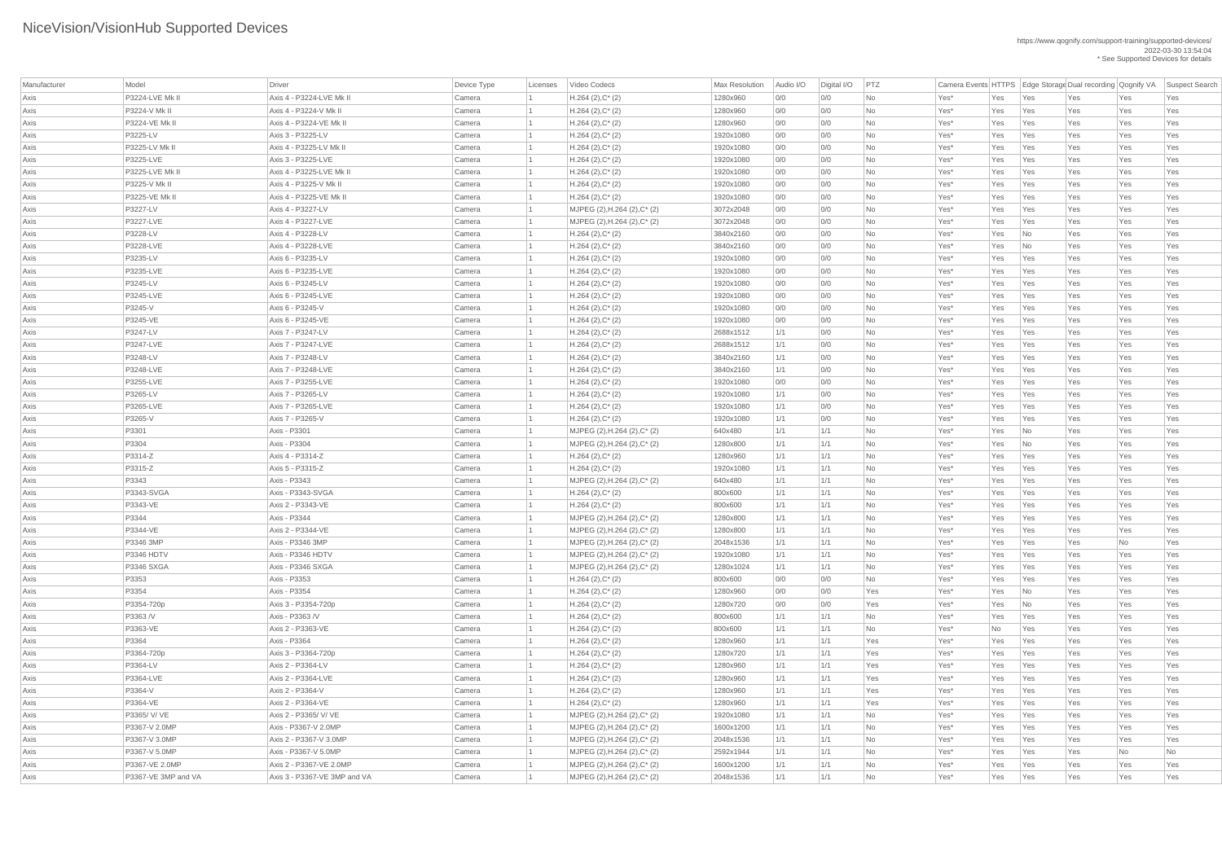| Manufacturer | Model                  | Driver                       | Device Type | Licenses | Video Codecs                                     | <b>Max Resolution</b> | Audio I/O | Digital I/O | PTZ       |        |     |     |     |     | Camera Events HTTPS   Edge Storage Dual recording   Qognify VA   Suspect Search |
|--------------|------------------------|------------------------------|-------------|----------|--------------------------------------------------|-----------------------|-----------|-------------|-----------|--------|-----|-----|-----|-----|---------------------------------------------------------------------------------|
| Axis         | <b>P3224-LVE Mk II</b> | Axis 4 - P3224-LVE Mk II     | Camera      |          | $H.264 (2), C^*(2)$                              | 1280x960              | 0/0       | 0/0         | No        | Yes*   | Yes | Yes | Yes | Yes | Yes                                                                             |
| Axis         | P3224-V Mk II          | Axis 4 - P3224-V Mk II       | Camera      |          | $H.264 (2), C^*(2)$                              | 1280x960              | 0/0       | O/O         | No        | Yes*   | Yes | Yes | Yes | Yes | Yes                                                                             |
| Axis         | P3224-VE Mk II         | Axis 4 - P3224-VE Mk II      | Camera      |          | $H.264 (2), C^*(2)$                              | 1280x960              | 0/0       | 0/0         | No        | Yes*   | Yes | Yes | Yes | Yes | Yes                                                                             |
| Axis         | P3225-LV               | Axis 3 - P3225-LV            | Camera      |          | $H.264 (2), C^*(2)$                              | 1920x1080             | 0/0       | 0/0         | No        | Yes*   | Yes | Yes | Yes | Yes | Yes                                                                             |
| Axis         | P3225-LV Mk II         | Axis 4 - P3225-LV Mk II      | Camera      |          | $H.264 (2), C^*(2)$                              | 1920x1080             | 0/0       | 0/0         | No        | Yes*   | Yes | Yes | Yes | Yes | Yes                                                                             |
| Axis         | P3225-LVE              | Axis 3 - P3225-LVE           | Camera      |          | $H.264 (2), C^*(2)$                              | 1920x1080             | 0/0       | 0/0         | No        | Yes*   | Yes | Yes | Yes | Yes | Yes                                                                             |
| Axis         | P3225-LVE Mk II        | Axis 4 - P3225-LVE Mk II     | Camera      |          | $H.264 (2), C^*(2)$                              | 1920x1080             | 0/0       | O/O         | No        | Yes*   | Yes | Yes | Yes | Yes | Yes                                                                             |
| Axis         | P3225-V Mk II          | Axis 4 - P3225-V Mk II       | Camera      |          | $H.264 (2), C^*(2)$                              | 1920x1080             | 0/0       | 0/0         | <b>No</b> | Yes*   | Yes | Yes | Yes | Yes | Yes                                                                             |
| Axis         | P3225-VE Mk II         | Axis 4 - P3225-VE Mk II      | Camera      |          | $H.264 (2), C^*(2)$                              | 1920x1080             | 0/0       | 0/0         | No        | Yes*   | Yes | Yes | Yes | Yes | Yes                                                                             |
| Axis         | P3227-LV               | Axis 4 - P3227-LV            | Camera      |          | MJPEG (2), H.264 (2), C* (2)                     | 3072x2048             | 0/0       | 0/0         | No        | Yes*   | Yes | Yes | Yes | Yes | Yes                                                                             |
| Axis         | P3227-LVE              | Axis 4 - P3227-LVE           | Camera      |          | MJPEG (2), H.264 (2), C* (2)                     | 3072x2048             | 0/0       | 0/0         | No        | Yes*   | Yes | Yes | Yes | Yes | Yes                                                                             |
| Axis         | P3228-LV               | Axis 4 - P3228-LV            | Camera      |          | $H.264 (2), C^*(2)$                              | 3840x2160             | 0/0       | 0/0         | No        | Yes*   | Yes | No  | Yes | Yes | Yes                                                                             |
| Axis         | P3228-LVE              | Axis 4 - P3228-LVE           | Camera      |          | $H.264 (2), C^*(2)$                              | 3840x2160             | 0/0       | 0/0         | No        | Yes*   | Yes | No  | Yes | Yes | Yes                                                                             |
| Axis         | P3235-LV               | Axis 6 - P3235-LV            | Camera      |          | $H.264 (2), C^*(2)$                              | 1920x1080             | 0/0       | O/O         | <b>No</b> | Yes*   | Yes | Yes | Yes | Yes | Yes                                                                             |
| Axis         | P3235-LVE              | Axis 6 - P3235-LVE           | Camera      |          | $H.264 (2), C^*(2)$                              | 1920x1080             | 0/0       | 0/0         | No        | Yes*   | Yes | Yes | Yes | Yes | Yes                                                                             |
| Axis         | P3245-LV               | Axis 6 - P3245-LV            | Camera      |          | $H.264 (2), C^*(2)$                              | 1920x1080             | 0/0       | 0/0         | No        | Yes*   | Yes | Yes | Yes | Yes | Yes                                                                             |
| Axis         | P3245-LVE              | Axis 6 - P3245-LVE           | Camera      |          | $H.264 (2), C^*(2)$                              | 1920x1080             | 0/0       | 0/0         | No        | Yes*   | Yes | Yes | Yes | Yes | Yes                                                                             |
| Axis         | P3245-V                | Axis 6 - P3245-V             | Camera      |          | $H.264 (2), C^*(2)$                              | 1920x1080             | 0/0       | 0/0         | No        | Yes*   | Yes | Yes | Yes | Yes | Yes                                                                             |
| Axis         | P3245-VE               | Axis 6 - P3245-VE            | Camera      |          | $H.264 (2), C^*(2)$                              | 1920x1080             | 0/0       | 0/0         | No        | Yes*   | Yes | Yes | Yes | Yes | Yes                                                                             |
| Axis         | P3247-LV               | Axis 7 - P3247-LV            | Camera      |          | $H.264 (2), C^*(2)$                              | 2688x1512             | 1/1       | O/O         | <b>No</b> | Yes*   | Yes | Yes | Yes | Yes | Yes                                                                             |
| Axis         | P3247-LVE              | Axis 7 - P3247-LVE           | Camera      |          | $H.264 (2), C^*(2)$                              | 2688x1512             | 1/1       | 0/0         | No        | Yes*   | Yes | Yes | Yes | Yes | Yes                                                                             |
| Axis         | P3248-LV               | Axis 7 - P3248-LV            | Camera      |          | $H.264 (2), C^*(2)$                              | 3840x2160             | 1/1       | 0/0         | No        | Yes*   | Yes | Yes | Yes | Yes | Yes                                                                             |
| Axis         | P3248-LVE              | Axis 7 - P3248-LVE           | Camera      |          | $H.264 (2), C^*(2)$                              | 3840x2160             | 1/1       | 0/0         | <b>No</b> | Yes*   | Yes | Yes | Yes | Yes | Yes                                                                             |
| Axis         | P3255-LVE              | Axis 7 - P3255-LVE           | Camera      |          | $H.264 (2), C^*(2)$                              | 1920x1080             | 0/0       | 0/0         | No        | Yes*   | Yes | Yes | Yes | Yes | Yes                                                                             |
| Axis         | P3265-LV               | Axis 7 - P3265-LV            | Camera      |          | $H.264 (2), C^*(2)$                              | 1920x1080             | 1/1       | 0/0         | <b>No</b> | Yes*   | Yes | Yes | Yes | Yes | Yes                                                                             |
| Axis         | P3265-LVE              | Axis 7 - P3265-LVE           | Camera      |          | $H.264 (2), C^*(2)$                              | 1920x1080             | 1/1       | 0/0         | No        | Yes*   | Yes | Yes | Yes | Yes | Yes                                                                             |
| Axis         | P3265-V                | Axis 7 - P3265-V             | Camera      |          | $H.264 (2), C^*(2)$                              | 1920x1080             | 1/1       | O/O         | No        | Yes*   | Yes | Yes | Yes | Yes | Yes                                                                             |
| Axis         | P3301                  | Axis - P3301                 | Camera      |          | MJPEG (2), H.264 (2), C* (2)                     | 640x480               | 1/1       | 1/1         | No        | Yes*   | Yes | No  | Yes | Yes | Yes                                                                             |
| Axis         | P3304                  | Axis - P3304                 | Camera      |          | MJPEG (2), H.264 (2), C* (2)                     | 1280x800              | 1/1       | 1/1         | No        | Yes*   | Yes | No  | Yes | Yes | Yes                                                                             |
| Axis         | P3314-Z                | Axis 4 - P3314-Z             | Camera      |          | $H.264 (2), C^*(2)$                              | 1280x960              | 1/1       | 1/1         | No        | Yes*   | Yes | Yes | Yes | Yes | Yes                                                                             |
| Axis         | P3315-Z                | Axis 5 - P3315-Z             | Camera      |          | $H.264 (2), C^*(2)$                              | 1920x1080             | 1/1       | 1/1         | No        | Yes*   | Yes | Yes | Yes | Yes | Yes                                                                             |
| Axis         | P3343                  | Axis - P3343                 | Camera      |          | MJPEG (2), H.264 (2), C* (2)                     | 640x480               | 1/1       | 1/1         | No        | Yes*   | Yes | Yes | Yes | Yes | Yes                                                                             |
| Axis         | P3343-SVGA             | Axis - P3343-SVGA            | Camera      |          | $H.264 (2), C^*(2)$                              | 800x600               | 1/1       | 1/1         | No        | Yes*   | Yes | Yes | Yes | Yes | Yes                                                                             |
| Axis         | P3343-VE               | Axis 2 - P3343-VE            | Camera      |          | $H.264 (2), C^*(2)$                              | 800x600               | 1/1       | 1/1         | No        | Yes*   | Yes | Yes | Yes | Yes | Yes                                                                             |
| Axis         | P3344                  | Axis - P3344                 | Camera      |          | MJPEG (2), H.264 (2), C* (2)                     | 1280x800              | 1/1       | 1/1         | No        | Yes*   | Yes | Yes | Yes | Yes | Yes                                                                             |
| Axis         | P3344-VE               | Axis 2 - P3344-VE            | Camera      |          | MJPEG (2), H.264 (2), C* (2)                     | 1280x800              | 1/1       | 1/1         | No        | Yes*   | Yes | Yes | Yes | Yes | Yes                                                                             |
| Axis         | P3346 3MP              | Axis - P3346 3MP             | Camera      |          | MJPEG $(2)$ , H.264 $(2)$ , C <sup>*</sup> $(2)$ | 2048x1536             | 1/1       | 1/1         | No        | Yes*   | Yes | Yes | Yes | No  | Yes                                                                             |
| Axis         | P3346 HDTV             | Axis - P3346 HDTV            | Camera      |          | MJPEG (2), H.264 (2), C* (2)                     | 1920x1080             | 1/1       | 1/1         | No        | Yes*   | Yes | Yes | Yes | Yes | Yes                                                                             |
| Axis         | <b>P3346 SXGA</b>      | Axis - P3346 SXGA            | Camera      |          | MJPEG (2), H.264 (2), C* (2)                     | 1280x1024             | 1/1       | 1/1         | <b>No</b> | Yes*   | Yes | Yes | Yes | Yes | Yes                                                                             |
| Axis         | P3353                  | Axis - P3353                 | Camera      |          | $H.264 (2), C^*(2)$                              | 800x600               | 0/0       | 0/0         | No        | Yes*   | Yes | Yes | Yes | Yes | Yes                                                                             |
| Axis         | P3354                  | Axis - P3354                 | Camera      |          | $H.264 (2), C^*(2)$                              | 1280x960              | 0/0       | O/O         | Yes       | Yes*   | Yes | No  | Yes | Yes | Yes                                                                             |
| Axis         | P3354-720p             | Axis 3 - P3354-720p          | Camera      |          | $H.264 (2), C^*(2)$                              | 1280x720              | 0/0       | 0/0         | Yes       | Yes*   | Yes | No  | Yes | Yes | Yes                                                                             |
| Axis         | P3363 /V               | Axis - P3363 /V              | Camera      |          | $H.264 (2), C^*(2)$                              | 800x600               | 1/1       | 1/1         | No        | Yes*   | Yes | Yes | Yes | Yes | Yes                                                                             |
| Axis         | P3363-VE               | Axis 2 - P3363-VE            | Camera      |          | $H.264 (2), C^*(2)$                              | 800x600               | 1/1       | 1/1         | No        | Yes*   | No  | Yes | Yes | Yes | Yes                                                                             |
| Axis         | P3364                  | Axis - P3364                 | Camera      |          | $H.264 (2), C^*(2)$                              | 1280x960              | 1/1       | 1/1         | Yes       | Yes*   | Yes | Yes | Yes | Yes | Yes                                                                             |
| Axis         | P3364-720p             | Axis 3 - P3364-720p          | Camera      |          | $H.264 (2), C^*(2)$                              | 1280x720              | 1/1       | 1/1         | Yes       | Yes*   | Yes | Yes | Yes | Yes | Yes                                                                             |
| Axis         | P3364-LV               | Axis 2 - P3364-LV            | Camera      |          | $H.264 (2), C^*(2)$                              | 1280x960              | 1/1       | 1/1         | Yes       | Yes*   | Yes | Yes | Yes | Yes | Yes                                                                             |
| Axis         | P3364-LVE              | Axis 2 - P3364-LVE           | Camera      |          | $H.264 (2), C^*(2)$                              | 1280x960              | 1/1       | 1/1         | Yes       | Yes*   | Yes | Yes | Yes | Yes | Yes                                                                             |
| Axis         | P3364-V                | Axis 2 - P3364-V             | Camera      |          | $H.264 (2), C^*(2)$                              | 1280x960              | 1/1       | 1/1         | Yes       | Yes*   | Yes | Yes | Yes | Yes | Yes                                                                             |
| Axis         | P3364-VE               | Axis 2 - P3364-VE            | Camera      |          | $H.264 (2), C^*(2)$                              | 1280x960              | 1/1       | 1/1         | Yes       | Yes*   | Yes | Yes | Yes | Yes | Yes                                                                             |
| Axis         | P3365/ V/ VE           | Axis 2 - P3365/ V/ VE        | Camera      |          | MJPEG (2), H.264 (2), C* (2)                     | 1920x1080             | 1/1       | 1/1         | <b>No</b> | Yes*   | Yes | Yes | Yes | Yes | Yes                                                                             |
| Axis         | P3367-V 2.0MP          | Axis - P3367-V 2.0MP         | Camera      |          | $MJPEG (2), H.264 (2), C^* (2)$                  | 1600x1200             | 1/1       | 1/1         | No        | Yes*   | Yes | Yes | Yes | Yes | Yes                                                                             |
| Axis         | P3367-V 3.0MP          | Axis 2 - P3367-V 3.0MP       | Camera      |          | MJPEG (2), H.264 (2), C* (2)                     | 2048x1536             | 1/1       | 1/1         | <b>No</b> | Yes*   | Yes | Yes | Yes | Yes | Yes                                                                             |
| Axis         | P3367-V 5.0MP          | Axis - P3367-V 5.0MP         | Camera      |          | MJPEG (2), H.264 (2), $C^*$ (2)                  | 2592x1944             | 1/1       | 1/1         | No        | Yes*   | Yes | Yes | Yes | No  | No                                                                              |
| Axis         | P3367-VE 2.0MP         | Axis 2 - P3367-VE 2.0MP      | Camera      |          | MJPEG (2), H.264 (2), $C^*$ (2)                  | 1600x1200             | 1/1       | 1/1         | No        | $Yes*$ | Yes | Yes | Yes | Yes | Yes                                                                             |
| Axis         | P3367-VE 3MP and VA    | Axis 3 - P3367-VE 3MP and VA | Camera      |          | MJPEG (2), H.264 (2), $C^*$ (2)                  | 2048x1536             | 1/1       | 1/1         | No        | $Yes*$ | Yes | Yes | Yes | Yes | Yes                                                                             |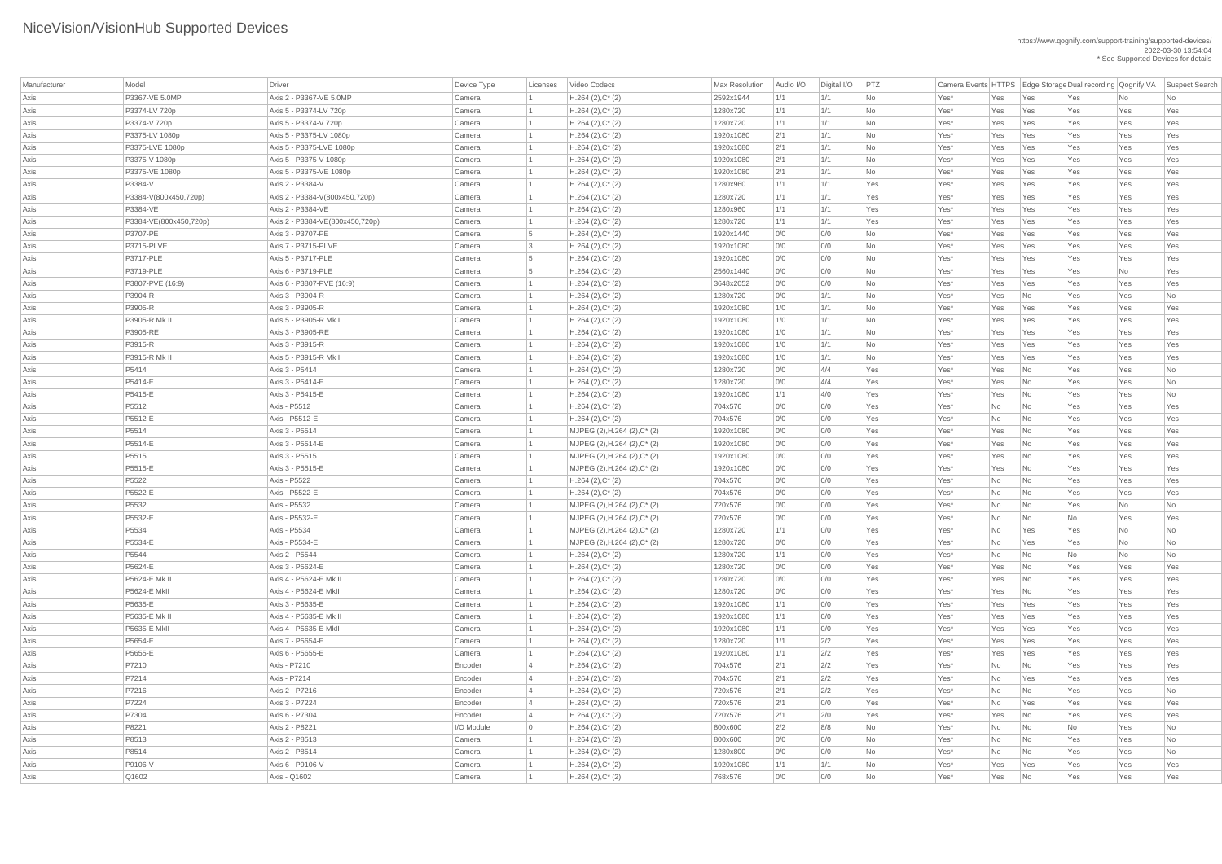| Manufacturer | Model                  | Driver                          | Device Type | Licenses       | Video Codecs                    | <b>Max Resolution</b> | Audio I/O | Digital I/O | PTZ       |      |     |                             |                          |           | Camera Events HTTPS Edge Storage Dual recording Qognify VA Suspect Search |
|--------------|------------------------|---------------------------------|-------------|----------------|---------------------------------|-----------------------|-----------|-------------|-----------|------|-----|-----------------------------|--------------------------|-----------|---------------------------------------------------------------------------|
| Axis         | P3367-VE 5.0MP         | Axis 2 - P3367-VE 5.0MP         | Camera      |                | $H.264 (2), C^*(2)$             | 2592x1944             | 1/1       | 1/1         | No        | Yes* | Yes | Yes                         | Yes                      | No        | No                                                                        |
| Axis         | P3374-LV 720p          | Axis 5 - P3374-LV 720p          | Camera      |                | $H.264 (2), C^*(2)$             | 1280x720              | 1/1       | 1/1         | No        | Yes* | Yes | Yes                         | Yes                      | Yes       | Yes                                                                       |
| Axis         | P3374-V 720p           | Axis 5 - P3374-V 720p           | Camera      |                | $H.264 (2), C^*(2)$             | 1280x720              | 1/1       | 1/1         | <b>No</b> | Yes* | Yes | Yes                         | Yes                      | Yes       | Yes                                                                       |
| Axis         | P3375-LV 1080p         | Axis 5 - P3375-LV 1080p         | Camera      |                | $H.264 (2), C^*(2)$             | 1920x1080             | 2/1       | 1/1         | No        | Yes* | Yes | Yes                         | Yes                      | Yes       | Yes                                                                       |
| Axis         | P3375-LVE 1080p        | Axis 5 - P3375-LVE 1080p        | Camera      |                | $H.264 (2), C^*(2)$             | 1920x1080             | 2/1       | 1/1         | No        | Yes* | Yes | Yes                         | Yes                      | Yes       | Yes                                                                       |
| Axis         | P3375-V 1080p          | Axis 5 - P3375-V 1080p          | Camera      |                | $H.264 (2), C^*(2)$             | 1920x1080             | 2/1       | 1/1         | No        | Yes* | Yes | Yes                         | Yes                      | Yes       | Yes                                                                       |
| Axis         | P3375-VE 1080p         | Axis 5 - P3375-VE 1080p         | Camera      |                | $H.264 (2), C^*(2)$             | 1920x1080             | 2/1       | 1/1         | No        | Yes* | Yes | Yes                         | Yes                      | Yes       | Yes                                                                       |
| Axis         | P3384-V                | Axis 2 - P3384-V                | Camera      |                | $H.264 (2), C^*(2)$             | 1280x960              | 1/1       | 1/1         | Yes       | Yes* | Yes | Yes                         | Yes                      | Yes       | Yes                                                                       |
| Axis         | P3384-V(800x450,720p)  | Axis 2 - P3384-V(800x450,720p)  | Camera      |                | $H.264 (2), C^*(2)$             | 1280x720              | 1/1       | 1/1         | Yes       | Yes* | Yes | Yes                         | Yes                      | Yes       | Yes                                                                       |
| Axis         | P3384-VE               | Axis 2 - P3384-VE               | Camera      |                | $H.264 (2), C^*(2)$             | 1280x960              | 1/1       | 1/1         | Yes       | Yes* | Yes | Yes                         | Yes                      | Yes       | Yes                                                                       |
| Axis         | P3384-VE(800x450,720p) | Axis 2 - P3384-VE(800x450,720p) | Camera      |                | $H.264 (2), C^*(2)$             | 1280x720              | 1/1       | 1/1         | Yes       | Yes* | Yes | Yes                         | Yes                      | Yes       | Yes                                                                       |
| Axis         | P3707-PE               | Axis 3 - P3707-PE               | Camera      | - 5            | $H.264 (2), C^*(2)$             | 1920x1440             | 0/0       | 0/0         | No        | Yes* | Yes | Yes                         | Yes                      | Yes       | Yes                                                                       |
| Axis         | P3715-PLVE             | Axis 7 - P3715-PLVE             | Camera      | - 3            | $H.264 (2), C^*(2)$             | 1920x1080             | 0/0       | 0/0         | No        | Yes* | Yes | Yes                         | Yes                      | Yes       | Yes                                                                       |
| Axis         | P3717-PLE              | Axis 5 - P3717-PLE              | Camera      | -5             | $H.264 (2), C^*(2)$             | 1920x1080             | 0/0       | 0/0         | No        | Yes* | Yes | Yes                         | Yes                      | Yes       | Yes                                                                       |
| Axis         | P3719-PLE              | Axis 6 - P3719-PLE              | Camera      | 5              | $H.264 (2), C^*(2)$             | 2560x1440             | 0/0       | 0/0         | No        | Yes* | Yes | Yes                         | Yes                      | No        | Yes                                                                       |
| Axis         | P3807-PVE (16:9)       | Axis 6 - P3807-PVE (16:9)       | Camera      |                | $H.264 (2), C^*(2)$             | 3648x2052             | 0/0       | 0/0         | No        | Yes* | Yes | Yes                         | Yes                      | Yes       | Yes                                                                       |
| Axis         | P3904-R                | Axis 3 - P3904-R                | Camera      |                | $H.264 (2), C^*(2)$             | 1280x720              | 0/0       | 1/1         | No        | Yes* | Yes | $\overline{\mathsf{No}}$    | Yes                      | Yes       | No                                                                        |
| Axis         | P3905-R                | Axis 3 - P3905-R                | Camera      |                | $H.264 (2), C^*(2)$             | 1920x1080             | 1/0       | 1/1         | No        | Yes* | Yes | Yes                         | Yes                      | Yes       | Yes                                                                       |
| Axis         | P3905-R Mk II          | Axis 5 - P3905-R Mk II          | Camera      |                | $H.264 (2), C^*(2)$             | 1920x1080             | 1/0       | 1/1         | No        | Yes* | Yes | Yes                         | Yes                      | Yes       | Yes                                                                       |
| Axis         | P3905-RE               | Axis 3 - P3905-RE               | Camera      |                | $H.264 (2), C^*(2)$             | 1920x1080             | 1/0       | 1/1         | No        | Yes* | Yes | Yes                         | Yes                      | Yes       | Yes                                                                       |
| Axis         | P3915-R                | Axis 3 - P3915-R                | Camera      |                | $H.264 (2), C^*(2)$             | 1920x1080             | 1/0       | 1/1         | No        | Yes* | Yes | Yes                         | Yes                      | Yes       | Yes                                                                       |
| Axis         | P3915-R Mk II          | Axis 5 - P3915-R Mk II          | Camera      |                | $H.264 (2), C^*(2)$             | 1920x1080             | 1/0       | 1/1         | No        | Yes* | Yes | Yes                         | Yes                      | Yes       | Yes                                                                       |
| Axis         | P5414                  | Axis 3 - P5414                  | Camera      |                | $H.264 (2), C^*(2)$             | 1280x720              | 0/0       | 4/4         | Yes       | Yes* | Yes | $\overline{\mathsf{No}}$    | Yes                      | Yes       | No                                                                        |
| Axis         | P5414-E                | Axis 3 - P5414-E                | Camera      |                | $H.264 (2), C^*(2)$             | 1280x720              | 0/0       | 4/4         | Yes       | Yes* | Yes | $\overline{\mathsf{No}}$    | Yes                      | Yes       | <b>No</b>                                                                 |
| Axis         | P5415-E                | Axis 3 - P5415-E                | Camera      |                | $H.264 (2), C^*(2)$             | 1920x1080             | 1/1       | 4/0         | Yes       | Yes* | Yes | No                          | Yes                      | Yes       | No                                                                        |
| Axis         | P5512                  | Axis - P5512                    | Camera      |                | $H.264 (2), C^*(2)$             | 704x576               | 0/0       | 0/0         | Yes       | Yes* | No  | $\overline{\mathsf{No}}$    | Yes                      | Yes       | Yes                                                                       |
| Axis         | P5512-E                | Axis - P5512-E                  | Camera      |                | $H.264 (2), C^*(2)$             | 704x576               | 0/0       | 0/0         | Yes       | Yes* | No  | $\overline{\mathsf{No}}$    | Yes                      | Yes       | Yes                                                                       |
| Axis         | P5514                  | Axis 3 - P5514                  | Camera      |                | MJPEG (2), H.264 (2), C* (2)    | 1920x1080             | 0/0       | 0/0         | Yes       | Yes* | Yes | $\overline{\mathsf{No}}$    | Yes                      | Yes       | Yes                                                                       |
| Axis         | P5514-E                | Axis 3 - P5514-E                | Camera      |                | MJPEG (2), H.264 (2), C* (2)    | 1920x1080             | 0/0       | 0/0         | Yes       | Yes* | Yes | No                          | Yes                      | Yes       | Yes                                                                       |
| Axis         | P5515                  | Axis 3 - P5515                  | Camera      |                | MJPEG (2), H.264 (2), C* (2)    | 1920x1080             | 0/0       | 0/0         | Yes       | Yes* | Yes | N <sub>o</sub>              | Yes                      | Yes       | Yes                                                                       |
| Axis         | P5515-E                | Axis 3 - P5515-E                | Camera      |                | $MJPEG (2), H.264 (2), C^* (2)$ | 1920x1080             | 0/0       | 0/0         | Yes       | Yes* | Yes | $\overline{\mathsf{No}}$    | Yes                      | Yes       | Yes                                                                       |
| Axis         | P5522                  | Axis - P5522                    | Camera      |                | $H.264 (2), C^*(2)$             | 704x576               | 0/0       | 0/0         | Yes       | Yes* | No  | No                          | Yes                      | Yes       | Yes                                                                       |
| Axis         | P5522-E                | Axis - P5522-E                  | Camera      |                | $H.264 (2), C^*(2)$             | 704x576               | 0/0       | 0/0         | Yes       | Yes* | No  | No                          | Yes                      | Yes       | Yes                                                                       |
| Axis         | P5532                  | Axis - P5532                    | Camera      |                | MJPEG (2), H.264 (2), C* (2)    | 720x576               | 0/0       | 0/0         | Yes       | Yes* | No  | $\overline{\mathsf{No}}$    | Yes                      | No        | <b>No</b>                                                                 |
| Axis         | P5532-E                | Axis - P5532-E                  | Camera      |                | MJPEG (2), H.264 (2), C* (2)    | 720x576               | 0/0       | 0/0         | Yes       | Yes* | No  | No                          | No                       | Yes       | Yes                                                                       |
| Axis         | P5534                  | Axis - P5534                    | Camera      |                | MJPEG (2), H.264 (2), C* (2)    | 1280x720              | 1/1       | 0/0         | Yes       | Yes* | No  | Yes                         | Yes                      | <b>No</b> | No                                                                        |
| Axis         | P5534-E                | Axis - P5534-E                  | Camera      |                | MJPEG (2), H.264 (2), C* (2)    | 1280x720              | 0/0       | 0/0         | Yes       | Yes* | No  | Yes                         | Yes                      | No        | <b>No</b>                                                                 |
| Axis         | P5544                  | Axis 2 - P5544                  | Camera      |                | $H.264 (2), C^*(2)$             | 1280x720              | 1/1       | 0/0         | Yes       | Yes* | No  | No                          | No                       | No        | <b>No</b>                                                                 |
| Axis         | P5624-E                | Axis 3 - P5624-E                | Camera      |                | $H.264 (2), C^*(2)$             | 1280x720              | 0/0       | 0/0         | Yes       | Yes* | Yes | $\overline{\mathsf{No}}$    | Yes                      | Yes       | Yes                                                                       |
| Axis         | P5624-E Mk II          | Axis 4 - P5624-E Mk II          | Camera      |                | $H.264 (2), C^*(2)$             | 1280x720              | 0/0       | 0/0         | Yes       | Yes* | Yes | $\overline{\mathsf{No}}$    | Yes                      | Yes       | Yes                                                                       |
| Axis         | <b>P5624-E MkII</b>    | Axis 4 - P5624-E MkII           | Camera      |                | $H.264 (2), C^*(2)$             | 1280x720              | 0/0       | 0/0         | Yes       | Yes* | Yes | No                          | Yes                      | Yes       | Yes                                                                       |
| Axis         | P5635-E                | Axis 3 - P5635-E                | Camera      |                | $H.264 (2), C^*(2)$             | 1920x1080             | 1/1       | 0/0         | Yes       | Yes* | Yes | Yes                         | Yes                      | Yes       | Yes                                                                       |
| Axis         | P5635-E Mk II          | Axis 4 - P5635-E Mk II          | Camera      |                | $H.264 (2), C^*(2)$             | 1920x1080             | 1/1       | 0/0         | Yes       | Yes* | Yes | Yes                         | Yes                      | Yes       | Yes                                                                       |
| Axis         | <b>P5635-E MkII</b>    | Axis 4 - P5635-E MkII           | Camera      |                | $H.264 (2), C^*(2)$             | 1920x1080             | 1/1       | 0/0         | Yes       | Yes* | Yes | Yes                         | Yes                      | Yes       | Yes                                                                       |
| Axis         | P5654-E                | Axis 7 - P5654-E                | Camera      |                | $H.264 (2), C^*(2)$             | 1280x720              | 1/1       | 2/2         | Yes       | Yes* | Yes | Yes                         | Yes                      | Yes       | Yes                                                                       |
| Axis         | P5655-E                | Axis 6 - P5655-E                | Camera      |                | $H.264 (2), C^*(2)$             | 1920x1080             | 1/1       | 2/2         | Yes       | Yes* | Yes | Yes                         | Yes                      | Yes       | Yes                                                                       |
| Axis         | P7210                  | Axis - P7210                    | Encoder     |                | $H.264 (2), C^*(2)$             | 704x576               | 2/1       | 2/2         | Yes       | Yes* | No  | No                          | Yes                      | Yes       | Yes                                                                       |
| Axis         | P7214                  | Axis - P7214                    | Encoder     |                | $H.264 (2), C^*(2)$             | 704x576               | 2/1       | 2/2         | Yes       | Yes* | No  | Yes                         | Yes                      | Yes       | Yes                                                                       |
| Axis         | P7216                  | Axis 2 - P7216                  | Encoder     |                | $H.264 (2), C^*(2)$             | 720x576               | 2/1       | 2/2         | Yes       | Yes* | No  | No                          | Yes                      | Yes       | No                                                                        |
| Axis         | P7224                  | Axis 3 - P7224                  | Encoder     |                | $H.264 (2), C^*(2)$             | 720x576               | 2/1       | 0/0         | Yes       | Yes* | No  | Yes                         | Yes                      | Yes       | Yes                                                                       |
| Axis         | P7304                  | Axis 6 - P7304                  | Encoder     |                | $H.264 (2), C^*(2)$             | 720x576               | 2/1       | 2/0         | Yes       | Yes* | Yes | No                          | Yes                      | Yes       | Yes                                                                       |
| Axis         | P8221                  | Axis 2 - P8221                  | I/O Module  | $\overline{0}$ | $H.264 (2), C^*(2)$             | 800x600               | 2/2       | 8/8         | No        | Yes* | No  | $\overline{\mathsf{No}}$    | $\overline{\mathsf{No}}$ | Yes       | No                                                                        |
| Axis         | P8513                  | Axis 2 - P8513                  | Camera      |                | $H.264 (2), C^*(2)$             | 800x600               | 0/0       | 0/0         | No        | Yes* | No  | $\overline{\phantom{1}}$ No | Yes                      | Yes       | <b>No</b>                                                                 |
| Axis         | P8514                  | Axis 2 - P8514                  | Camera      |                | $H.264 (2), C^*(2)$             | 1280x800              | 0/0       | 0/0         | No        | Yes* | No  | $\overline{\mathsf{No}}$    | Yes                      | Yes       | No                                                                        |
| Axis         | P9106-V                | Axis 6 - P9106-V                | Camera      |                | $H.264 (2), C^*(2)$             | 1920x1080             | 1/1       | 1/1         | No        | Yes* | Yes | Yes                         | Yes                      | Yes       | Yes                                                                       |
| Axis         | Q1602                  | Axis - Q1602                    | Camera      |                | $H.264 (2), C^*(2)$             | 768x576               | 0/0       | 0/0         | No        | Yes* | Yes | N <sub>O</sub>              | Yes                      | Yes       | Yes                                                                       |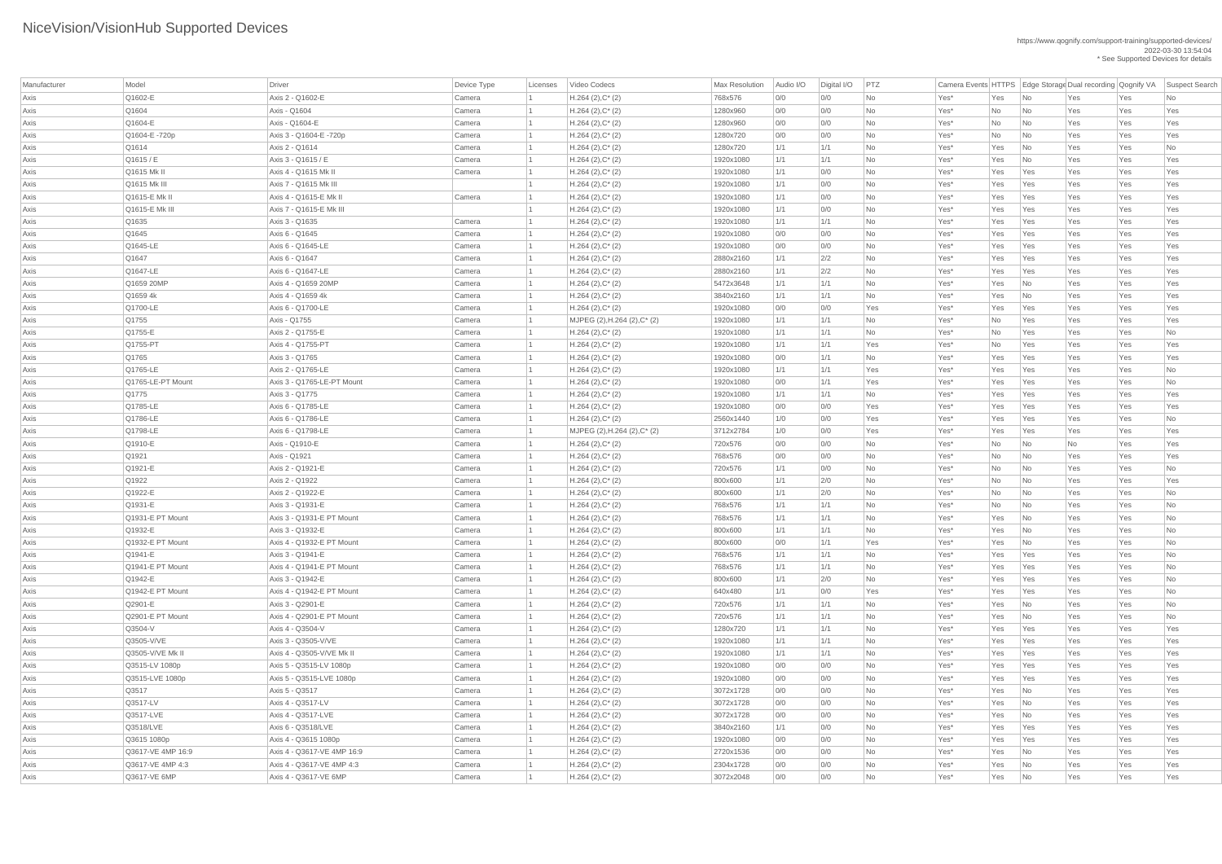| Manufacturer | Model                    | Driver                                     | Device Type      | Licenses | Video Codecs                 | <b>Max Resolution</b>  | Audio I/O   | Digital I/O | PTZ       |                  |     |                             | Camera Events HTTPS Edge Storage Dual recording Qognify VA |     | Suspect Search |
|--------------|--------------------------|--------------------------------------------|------------------|----------|------------------------------|------------------------|-------------|-------------|-----------|------------------|-----|-----------------------------|------------------------------------------------------------|-----|----------------|
| Axis         | Q1602-E                  | Axis 2 - Q1602-E                           | Camera           |          | $H.264 (2), C^*(2)$          | 768x576                | 0/0         | 0/0         | No        | Yes*             | Yes | $\overline{\mathsf{No}}$    | Yes                                                        | Yes | No             |
| Axis         | Q1604                    | Axis - Q1604                               | Camera           |          | $H.264 (2), C^*(2)$          | 1280x960               | 0/0         | 0/0         | No        | Yes*             | No  | $\overline{\mathsf{No}}$    | Yes                                                        | Yes | Yes            |
| Axis         | Q1604-E                  | Axis - Q1604-E                             | Camera           |          | $H.264 (2), C^*(2)$          | 1280x960               | 0/0         | 0/0         | No        | Yes*             | No  | $\overline{\mathsf{No}}$    | Yes                                                        | Yes | Yes            |
| Axis         | Q1604-E-720p             | Axis 3 - Q1604-E -720p                     | Camera           |          | $H.264 (2), C^*(2)$          | 1280x720               | 0/0         | 0/0         | No        | Yes*             | No  | $\overline{\mathsf{No}}$    | Yes                                                        | Yes | Yes            |
| Axis         | Q1614                    | Axis 2 - Q1614                             | Camera           |          | $H.264 (2), C^*(2)$          | 1280x720               | 1/1         | 1/1         | No        | Yes*             | Yes | $\overline{\mathsf{No}}$    | Yes                                                        | Yes | No             |
| Axis         | Q1615 / E                | Axis 3 - Q1615 / E                         | Camera           |          | $H.264 (2), C^*(2)$          | 1920x1080              | 1/1         | 1/1         | <b>No</b> | Yes*             | Yes | $\overline{\mathsf{No}}$    | Yes                                                        | Yes | Yes            |
| Axis         | Q1615 Mk II              | Axis 4 - Q1615 Mk II                       | Camera           |          | $H.264 (2), C^*(2)$          | 1920x1080              | 1/1         | 0/0         | No        | Yes*             | Yes | Yes                         | Yes                                                        | Yes | Yes            |
| Axis         | Q1615 Mk III             | Axis 7 - Q1615 Mk III                      |                  |          | $H.264 (2), C^*(2)$          | 1920x1080              | 1/1         | 0/0         | No        | Yes*             | Yes | Yes                         | Yes                                                        | Yes | Yes            |
| Axis         | Q1615-E Mk II            | Axis 4 - Q1615-E Mk II                     | Camera           |          | $H.264 (2), C^*(2)$          | 1920x1080              | 1/1         | 0/0         | No        | Yes*             | Yes | Yes                         | Yes                                                        | Yes | Yes            |
| Axis         | Q1615-E Mk III           | Axis 7 - Q1615-E Mk III                    |                  |          | $H.264 (2), C^*(2)$          | 1920x1080              | 1/1         | 0/0         | No        | Yes*             | Yes | Yes                         | Yes                                                        | Yes | Yes            |
| Axis         | Q1635                    | Axis 3 - Q1635                             | Camera           |          | $H.264 (2), C^*(2)$          | 1920x1080              | 1/1         | 1/1         | No        | Yes*             | Yes | Yes                         | Yes                                                        | Yes | Yes            |
| Axis         | Q1645                    | Axis 6 - Q1645                             | Camera           |          | $H.264 (2), C^*(2)$          | 1920x1080              | 0/0         | 0/0         | No        | Yes*             | Yes | Yes                         | Yes                                                        | Yes | Yes            |
| Axis         | Q1645-LE                 | Axis 6 - Q1645-LE                          | Camera           |          | $H.264 (2), C^*(2)$          | 1920x1080              | 0/0         | 0/0         | No        | Yes*             | Yes | Yes                         | Yes                                                        | Yes | Yes            |
| Axis         | Q1647                    | Axis 6 - Q1647                             | Camera           |          | $H.264 (2), C^*(2)$          | 2880x2160              | 1/1         | 2/2         | No        | Yes*             | Yes | Yes                         | Yes                                                        | Yes | Yes            |
| Axis         | Q1647-LE                 | Axis 6 - Q1647-LE                          | Camera           |          | $H.264 (2), C^*(2)$          | 2880x2160              | 1/1         | 2/2         | No        | Yes*             | Yes | Yes                         | Yes                                                        | Yes | Yes            |
| Axis         | Q1659 20MP               | Axis 4 - Q1659 20MP                        | Camera           |          | $H.264 (2), C^*(2)$          | 5472x3648              | 1/1         | 1/1         | No        | Yes*             | Yes | $\overline{\mathsf{No}}$    | Yes                                                        | Yes | Yes            |
| Axis         | Q1659 4k                 | Axis 4 - Q1659 4k                          | Camera           |          | $H.264 (2), C^*(2)$          | 3840x2160              | 1/1         | 1/1         | No        | Yes*             | Yes | No                          | Yes                                                        | Yes | Yes            |
| Axis         | Q1700-LE                 | Axis 6 - Q1700-LE                          | Camera           |          | $H.264 (2), C^*(2)$          | 1920x1080              | 0/0         | 0/0         | Yes       | Yes*             | Yes | Yes                         | Yes                                                        | Yes | Yes            |
| Axis         | Q1755                    | Axis - Q1755                               | Camera           |          | MJPEG (2), H.264 (2), C* (2) | 1920x1080              | 1/1         | 1/1         | No        | Yes*             | No  | Yes                         | Yes                                                        | Yes | Yes            |
| Axis         | Q1755-E                  | Axis 2 - Q1755-E                           | Camera           |          | $H.264 (2), C^*(2)$          | 1920x1080              | 1/1         | 1/1         | No        | Yes*             | No  | Yes                         | Yes                                                        | Yes | No             |
| Axis         | Q1755-PT                 | Axis 4 - Q1755-PT                          | Camera           |          | $H.264 (2), C^*(2)$          | 1920x1080              | 1/1         | 1/1         | Yes       | Yes*             | No  | Yes                         | Yes                                                        | Yes | Yes            |
| Axis         | Q1765                    | Axis 3 - Q1765                             | Camera           |          | $H.264 (2), C^*(2)$          | 1920x1080              | 0/0         | 1/1         | No        | Yes*             | Yes | Yes                         | Yes                                                        | Yes | Yes            |
| Axis         | Q1765-LE                 | Axis 2 - Q1765-LE                          | Camera           |          | $H.264 (2), C^*(2)$          | 1920x1080              | 1/1         | 1/1         | Yes       | Yes*             | Yes | Yes                         | Yes                                                        | Yes | No             |
| Axis         | Q1765-LE-PT Mount        | Axis 3 - Q1765-LE-PT Mount                 | Camera           |          | $H.264 (2), C^*(2)$          | 1920x1080              | 0/0         | 1/1         | Yes       | Yes*             | Yes | Yes                         | Yes                                                        | Yes | No             |
| Axis         | Q1775                    | Axis 3 - Q1775                             | Camera           |          | $H.264 (2), C^*(2)$          | 1920x1080              | 1/1         | 1/1         | No        | Yes*             | Yes | Yes                         | Yes                                                        | Yes | Yes            |
| Axis         | Q1785-LE                 | Axis 6 - Q1785-LE                          | Camera           |          | $H.264 (2), C^*(2)$          | 1920x1080              | 0/0         | 0/0         | Yes       | Yes <sup>*</sup> | Yes | Yes                         | Yes                                                        | Yes | Yes            |
| Axis         | Q1786-LE                 | Axis 6 - Q1786-LE                          | Camera           |          | $H.264 (2), C^*(2)$          | 2560x1440              | 1/0         | 0/0         | Yes       | Yes*             | Yes | Yes                         | Yes                                                        | Yes | No             |
| Axis         | Q1798-LE                 | Axis 6 - Q1798-LE                          | Camera           |          | MJPEG (2), H.264 (2), C* (2) | 3712x2784              | 1/0         | 0/0         | Yes       | Yes*             | Yes | Yes                         | Yes                                                        | Yes | Yes            |
| Axis         | Q1910-E                  | Axis - Q1910-E                             | Camera           |          | $H.264 (2), C^*(2)$          | 720x576                | 0/0         | 0/0         | No        | Yes*             | No  | $\overline{\mathsf{No}}$    | No                                                         | Yes | Yes            |
| Axis         | Q1921                    | Axis - Q1921                               | Camera           |          | $H.264 (2), C^*(2)$          | 768x576                | 0/0         | 0/0         | No        | Yes*             | No  | $\overline{\mathsf{No}}$    | Yes                                                        | Yes | Yes            |
| Axis         | Q1921-E                  | Axis 2 - Q1921-E                           | Camera           |          | $H.264 (2), C^*(2)$          | 720x576                | 1/1         | 0/0         | No        | Yes*             | No  | $\overline{\mathsf{No}}$    | Yes                                                        | Yes | No             |
| Axis         | Q1922                    | Axis 2 - Q1922                             | Camera           |          | $H.264 (2), C^*(2)$          | 800x600                | 1/1         | 2/0         | No        | Yes*             | No  | $\overline{\phantom{a}}$ No | Yes                                                        | Yes | Yes            |
| Axis         | Q1922-E                  | Axis 2 - Q1922-E                           | Camera           |          | $H.264 (2), C^*(2)$          | 800x600                | 1/1         | 2/0         | No        | Yes*             | No  | $\overline{\mathsf{No}}$    | Yes                                                        | Yes | No             |
| Axis         | Q1931-E                  | Axis 3 - Q1931-E                           | Camera           |          | $H.264 (2), C^*(2)$          | 768x576                | 1/1         | 1/1         | No        | Yes*             | No  | $\overline{\mathsf{No}}$    | Yes                                                        | Yes | No             |
| Axis         | Q1931-E PT Mount         | Axis 3 - Q1931-E PT Mount                  | Camera           |          | $H.264 (2), C^*(2)$          | 768x576                | $\vert$ 1/1 | 1/1         | No        | Yes*             | Yes | $\overline{\phantom{a}}$ No | Yes                                                        | Yes | No             |
| Axis         | Q1932-E                  | Axis 3 - Q1932-E                           | Camera           |          | $H.264 (2), C^*(2)$          | 800x600                | 1/1         | 1/1         | No        | Yes*             | Yes | $\overline{\mathsf{No}}$    | Yes                                                        | Yes | No             |
| Axis         | Q1932-E PT Mount         | Axis 4 - Q1932-E PT Mount                  | Camera           |          | $H.264 (2), C^*(2)$          | 800x600                | 0/0         | 1/1         | Yes       | Yes*             | Yes | No                          | Yes                                                        | Yes | <b>No</b>      |
| Axis         | Q1941-E                  | Axis 3 - Q1941-E                           | Camera           |          | $H.264 (2), C^*(2)$          | 768x576                | 1/1         | 1/1         | No        | Yes*             | Yes | Yes                         | Yes                                                        | Yes | No             |
| Axis         | Q1941-E PT Mount         | Axis 4 - Q1941-E PT Mount                  | Camera           |          | $H.264 (2), C^*(2)$          | 768x576                | 1/1         | 1/1         | No        | Yes*             | Yes | Yes                         | Yes                                                        | Yes | No             |
| Axis         | Q1942-E                  | Axis 3 - Q1942-E                           | Camera           |          | $H.264 (2), C^*(2)$          | 800x600                | 1/1         | 2/0         | No        | Yes*             | Yes | Yes                         | Yes                                                        | Yes | No             |
| Axis         | Q1942-E PT Mount         | Axis 4 - Q1942-E PT Mount                  | Camera           |          | $H.264 (2), C^*(2)$          | 640x480                | $\vert$ 1/1 | 0/0         | Yes       | Yes*             | Yes | Yes                         | Yes                                                        | Yes | No             |
| Axis         | Q2901-E                  | Axis 3 - Q2901-E                           | Camera           |          | $H.264 (2), C^*(2)$          | 720x576                | 1/1         | 1/1         | No        | Yes*             | Yes | $\overline{\mathsf{No}}$    | Yes                                                        | Yes | No             |
| Axis         | Q2901-E PT Mount         | Axis 4 - Q2901-E PT Mount                  | Camera           |          | $H.264 (2), C^*(2)$          | 720x576                | 1/1         | 1/1         | No        | Yes*             | Yes | No                          | Yes                                                        | Yes | No             |
| Axis         | Q3504-V                  | Axis 4 - Q3504-V                           | Camera           |          | $H.264 (2), C^*(2)$          | 1280x720               | 1/1         | 1/1         | No        | Yes*             | Yes | Yes                         | Yes                                                        | Yes | Yes            |
|              | Q3505-V/VE               | Axis 3 - Q3505-V/VE                        | Camera           |          | $H.264 (2), C^*(2)$          | 1920x1080              | 1/1         | 1/1         | No        | Yes*             | Yes | Yes                         | Yes                                                        | Yes | Yes            |
| Axis         | Q3505-V/VE Mk II         | Axis 4 - Q3505-V/VE Mk II                  | Camera           |          | $H.264 (2), C^*(2)$          | 1920x1080              | 1/1         | 1/1         | No        | Yes*             | Yes |                             |                                                            | Yes | Yes            |
| Axis         | Q3515-LV 1080p           | Axis 5 - Q3515-LV 1080p                    | Camera           |          | $H.264 (2), C^*(2)$          | 1920x1080              |             |             |           | Yes*             | Yes | Yes                         | Yes                                                        | Yes | Yes            |
| Axis         |                          |                                            |                  |          |                              |                        | 0/0         | 0/0         | No        |                  |     | Yes                         | Yes                                                        |     |                |
| Axis         | Q3515-LVE 1080p<br>Q3517 | Axis 5 - Q3515-LVE 1080p<br>Axis 5 - Q3517 | Camera<br>Camera |          | $H.264 (2), C^*(2)$          | 1920x1080<br>3072x1728 | 0/0<br>0/0  | 0/0         | No<br>No  | Yes*             | Yes | Yes                         | Yes                                                        | Yes | Yes            |
| Axis         | Q3517-LV                 |                                            |                  |          | $H.264 (2), C^*(2)$          |                        |             | 0/0         |           | Yes*             | Yes | No                          | Yes                                                        | Yes | Yes            |
| Axis         |                          | Axis 4 - Q3517-LV                          | Camera           |          | $H.264 (2), C^*(2)$          | 3072x1728              | 0/0         | 0/0         | No        | Yes*             | Yes | $\overline{\mathsf{No}}$    | Yes                                                        | Yes | Yes            |
| Axis         | Q3517-LVE                | Axis 4 - Q3517-LVE                         | Camera           |          | $H.264 (2), C^*(2)$          | 3072x1728              | 0/0         | 0/0         | No        | Yes*             | Yes | $\overline{\mathsf{No}}$    | Yes                                                        | Yes | Yes            |
| Axis         | Q3518/LVE                | Axis 6 - Q3518/LVE                         | Camera           |          | $H.264 (2), C^*(2)$          | 3840x2160              | 1/1         | 0/0         | <b>No</b> | Yes*             | Yes | Yes                         | Yes                                                        | Yes | Yes            |
| Axis         | Q3615 1080p              | Axis 4 - Q3615 1080p                       | Camera           |          | $H.264 (2), C^*(2)$          | 1920x1080              | 0/0         | 0/0         | No        | Yes*             | Yes | Yes                         | Yes                                                        | Yes | Yes            |
| Axis         | Q3617-VE 4MP 16:9        | Axis 4 - Q3617-VE 4MP 16:9                 | Camera           |          | $H.264 (2), C^*(2)$          | 2720x1536              | 0/0         | 0/0         | No        | $Yes^*$          | Yes | $\overline{\phantom{1}}$ No | Yes                                                        | Yes | Yes            |
| Axis         | Q3617-VE 4MP 4:3         | Axis 4 - Q3617-VE 4MP 4:3                  | Camera           |          | $H.264 (2), C^*(2)$          | 2304x1728              | 0/0         | 0/0         | No        | Yes*             | Yes | $\overline{\mathsf{No}}$    | Yes                                                        | Yes | Yes            |
| Axis         | Q3617-VE 6MP             | Axis 4 - Q3617-VE 6MP                      | Camera           |          | $H.264 (2), C^*(2)$          | 3072x2048              | 0/0         | 0/0         | No        | $Yes^*$          | Yes | $\overline{\phantom{a}}$ No | Yes                                                        | Yes | Yes            |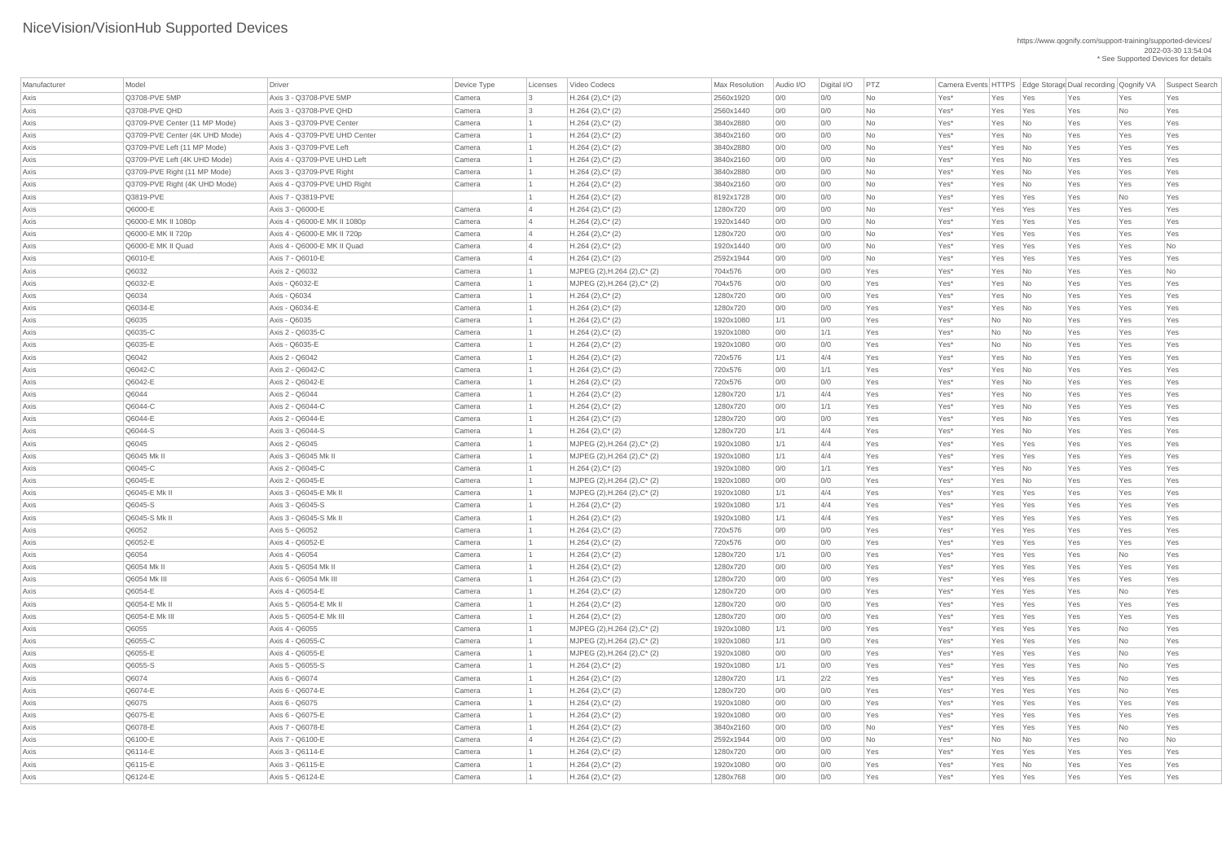| Manufacturer | Model                          | Driver                        | Device Type | Licenses       | Video Codecs                    | <b>Max Resolution</b> | Audio I/O | Digital I/O | PTZ       |         |     |                             | Camera Events HTTPS Edge Storage Dual recording Qognify VA |           | Suspect Search |
|--------------|--------------------------------|-------------------------------|-------------|----------------|---------------------------------|-----------------------|-----------|-------------|-----------|---------|-----|-----------------------------|------------------------------------------------------------|-----------|----------------|
| Axis         | Q3708-PVE 5MP                  | Axis 3 - Q3708-PVE 5MP        | Camera      | $\overline{3}$ | $H.264 (2), C^*(2)$             | 2560x1920             | 0/0       | 0/0         | <b>No</b> | Yes*    | Yes | Yes                         | Yes                                                        | Yes       | Yes            |
| Axis         | Q3708-PVE QHD                  | Axis 3 - Q3708-PVE QHD        | Camera      | -3             | $H.264 (2), C^*(2)$             | 2560x1440             | 0/0       | 0/0         | No        | Yes*    | Yes | Yes                         | Yes                                                        | No        | Yes            |
| Axis         | Q3709-PVE Center (11 MP Mode)  | Axis 3 - Q3709-PVE Center     | Camera      |                | $H.264 (2), C^*(2)$             | 3840x2880             | 0/0       | 0/0         | No        | Yes*    | Yes | No                          | Yes                                                        | Yes       | Yes            |
| Axis         | Q3709-PVE Center (4K UHD Mode) | Axis 4 - Q3709-PVE UHD Center | Camera      |                | $H.264 (2), C^*(2)$             | 3840x2160             | 0/0       | 0/0         | <b>No</b> | Yes*    | Yes | N <sub>0</sub>              | Yes                                                        | Yes       | Yes            |
| Axis         | Q3709-PVE Left (11 MP Mode)    | Axis 3 - Q3709-PVE Left       | Camera      |                | $H.264 (2), C^*(2)$             | 3840x2880             | 0/0       | 0/0         | <b>No</b> | Yes*    | Yes | $\overline{\mathsf{No}}$    | Yes                                                        | Yes       | Yes            |
| Axis         | Q3709-PVE Left (4K UHD Mode)   | Axis 4 - Q3709-PVE UHD Left   | Camera      |                | $H.264 (2), C^*(2)$             | 3840x2160             | 0/0       | 0/0         | <b>No</b> | Yes*    | Yes | No                          | Yes                                                        | Yes       | Yes            |
| Axis         | Q3709-PVE Right (11 MP Mode)   | Axis 3 - Q3709-PVE Right      | Camera      |                | $H.264 (2), C^*(2)$             | 3840x2880             | 0/0       | 0/0         | <b>No</b> | Yes*    | Yes | No                          | Yes                                                        | Yes       | Yes            |
| Axis         | Q3709-PVE Right (4K UHD Mode)  | Axis 4 - Q3709-PVE UHD Right  | Camera      |                | $H.264 (2), C^*(2)$             | 3840x2160             | 0/0       | 0/0         | No        | Yes*    | Yes | No                          | Yes                                                        | Yes       | Yes            |
| Axis         | Q3819-PVE                      | Axis 7 - Q3819-PVE            |             |                | $H.264 (2), C^*(2)$             | 8192x1728             | 0/0       | 0/0         | No        | Yes*    | Yes | Yes                         | Yes                                                        | No        | Yes            |
| Axis         | Q6000-E                        | Axis 3 - Q6000-E              | Camera      |                | $H.264 (2), C^*(2)$             | 1280x720              | 0/0       | 0/0         | <b>No</b> | Yes*    | Yes | Yes                         | Yes                                                        | Yes       | Yes            |
| Axis         | Q6000-E MK II 1080p            | Axis 4 - Q6000-E MK II 1080p  | Camera      |                | $H.264 (2), C^*(2)$             | 1920x1440             | 0/0       | 0/0         | No        | Yes*    | Yes | Yes                         | Yes                                                        | Yes       | Yes            |
| Axis         | Q6000-E MK II 720p             | Axis 4 - Q6000-E MK II 720p   | Camera      |                | $H.264 (2), C^*(2)$             | 1280x720              | 0/0       | 0/0         | No        | Yes*    | Yes | Yes                         | Yes                                                        | Yes       | Yes            |
| Axis         | Q6000-E MK II Quad             | Axis 4 - Q6000-E MK II Quad   | Camera      | 4              | $H.264 (2), C^*(2)$             | 1920x1440             | 0/0       | 0/0         | <b>No</b> | Yes*    | Yes | Yes                         | Yes                                                        | Yes       | No             |
| Axis         | Q6010-E                        | Axis 7 - Q6010-E              | Camera      | $\vert$ 4      | $H.264 (2), C^*(2)$             | 2592x1944             | 0/0       | 0/0         | <b>No</b> | Yes*    | Yes | Yes                         | Yes                                                        | Yes       | Yes            |
| Axis         | Q6032                          | Axis 2 - Q6032                | Camera      |                | MJPEG (2), H.264 (2), C* (2)    | 704x576               | 0/0       | 0/0         | Yes       | Yes*    | Yes | $\overline{\mathsf{No}}$    | Yes                                                        | Yes       | No             |
| Axis         | Q6032-E                        | Axis - Q6032-E                | Camera      |                | MJPEG (2), H.264 (2), C* (2)    | 704x576               | 0/0       | 0/0         | Yes       | Yes*    | Yes | $\overline{\mathsf{No}}$    | Yes                                                        | Yes       | Yes            |
| Axis         | Q6034                          | Axis - Q6034                  | Camera      |                | $H.264 (2), C^*(2)$             | 1280x720              | 0/0       | 0/0         | Yes       | Yes*    | Yes | $\overline{\mathsf{No}}$    | Yes                                                        | Yes       | Yes            |
| Axis         | Q6034-E                        | Axis - Q6034-E                | Camera      |                | $H.264 (2), C^*(2)$             | 1280x720              | 0/0       | 0/0         | Yes       | Yes*    | Yes | $\overline{\mathsf{No}}$    | Yes                                                        | Yes       | Yes            |
| Axis         | Q6035                          | Axis - Q6035                  | Camera      |                | $H.264 (2), C^*(2)$             | 1920x1080             | 1/1       | 0/0         | Yes       | Yes*    | No  | $\overline{\mathsf{No}}$    | Yes                                                        | Yes       | Yes            |
| Axis         | Q6035-C                        | Axis 2 - Q6035-C              | Camera      |                | $H.264 (2), C^*(2)$             | 1920x1080             | 0/0       | 1/1         | Yes       | Yes*    | No  | No                          | Yes                                                        | Yes       | Yes            |
| Axis         | Q6035-E                        | Axis - Q6035-E                | Camera      |                | $H.264 (2), C^*(2)$             | 1920x1080             | 0/0       | 0/0         | Yes       | Yes*    | No  | $\overline{\mathsf{No}}$    | Yes                                                        | Yes       | Yes            |
| Axis         | Q6042                          | Axis 2 - Q6042                | Camera      |                | $H.264 (2), C^*(2)$             | 720x576               | 1/1       | 4/4         | Yes       | Yes*    | Yes | $\overline{\mathsf{No}}$    | Yes                                                        | Yes       | Yes            |
| Axis         | Q6042-C                        | Axis 2 - Q6042-C              | Camera      |                | $H.264 (2), C^*(2)$             | 720x576               | 0/0       | 1/1         | Yes       | Yes*    | Yes | No                          | Yes                                                        | Yes       | Yes            |
| Axis         | Q6042-E                        | Axis 2 - Q6042-E              | Camera      |                | $H.264 (2), C^*(2)$             | 720x576               | 0/0       | 0/0         | Yes       | Yes*    | Yes | No                          | Yes                                                        | Yes       | Yes            |
| Axis         | Q6044                          | Axis 2 - Q6044                | Camera      |                | $H.264 (2), C^*(2)$             | 1280x720              | 1/1       | 4/4         | Yes       | Yes*    | Yes | No                          | Yes                                                        | Yes       | Yes            |
| Axis         | Q6044-C                        | Axis 2 - Q6044-C              | Camera      |                | $H.264 (2), C^*(2)$             | 1280x720              | 0/0       | 1/1         | Yes       | Yes*    | Yes | $\overline{\mathsf{No}}$    | Yes                                                        | Yes       | Yes            |
| Axis         | Q6044-E                        | Axis 2 - Q6044-E              | Camera      |                | $H.264 (2), C^*(2)$             | 1280x720              | 0/0       | 0/0         | Yes       | Yes*    | Yes | $\overline{\mathsf{No}}$    | Yes                                                        | Yes       | Yes            |
| Axis         | Q6044-S                        | Axis 3 - Q6044-S              | Camera      |                | $H.264 (2), C^*(2)$             | 1280x720              | 1/1       | 4/4         | Yes       | Yes*    | Yes | No                          | Yes                                                        | Yes       | Yes            |
| Axis         | Q6045                          | Axis 2 - Q6045                | Camera      |                | MJPEG (2), H.264 (2), C* (2)    | 1920x1080             | 1/1       | 4/4         | Yes       | Yes*    | Yes | Yes                         | Yes                                                        | Yes       | Yes            |
| Axis         | Q6045 Mk II                    | Axis 3 - Q6045 Mk II          | Camera      |                | $MJPEG (2), H.264 (2), C^* (2)$ | 1920x1080             | 1/1       | 4/4         | Yes       | Yes*    | Yes | Yes                         | Yes                                                        | Yes       | Yes            |
| Axis         | Q6045-C                        | Axis 2 - Q6045-C              | Camera      |                | $H.264 (2), C^*(2)$             | 1920x1080             | 0/0       | 1/1         | Yes       | Yes*    | Yes | No                          | Yes                                                        | Yes       | Yes            |
| Axis         | Q6045-E                        | Axis 2 - Q6045-E              | Camera      |                | MJPEG (2), H.264 (2), C* (2)    | 1920x1080             | 0/0       | 0/0         | Yes       | Yes*    | Yes | No                          | Yes                                                        | Yes       | Yes            |
| Axis         | Q6045-E Mk II                  | Axis 3 - Q6045-E Mk II        | Camera      |                | MJPEG (2), H.264 (2), C* (2)    | 1920x1080             | 1/1       | 4/4         | Yes       | Yes*    | Yes | Yes                         | Yes                                                        | Yes       | Yes            |
| Axis         | Q6045-S                        | Axis 3 - Q6045-S              | Camera      |                | $H.264 (2), C^*(2)$             | 1920x1080             | 1/1       | 4/4         | Yes       | Yes*    | Yes | Yes                         | Yes                                                        | Yes       | Yes            |
| Axis         | Q6045-S Mk II                  | Axis 3 - Q6045-S Mk II        | Camera      |                | $H.264 (2), C^*(2)$             | 1920x1080             | 1/1       | 4/4         | Yes       | Yes*    | Yes | Yes                         | Yes                                                        | Yes       | Yes            |
| Axis         | Q6052                          | Axis 5 - Q6052                | Camera      |                | $H.264 (2), C^*(2)$             | 720x576               | 0/0       | 0/0         | Yes       | Yes*    | Yes | Yes                         | Yes                                                        | Yes       | Yes            |
| Axis         | Q6052-E                        | Axis 4 - Q6052-E              | Camera      |                | $H.264 (2), C^*(2)$             | 720x576               | 0/0       | 0/0         | Yes       | Yes*    | Yes | Yes                         | Yes                                                        | Yes       | Yes            |
| Axis         | Q6054                          | Axis 4 - Q6054                | Camera      |                | $H.264 (2), C^*(2)$             | 1280x720              | 1/1       | 0/0         | Yes       | Yes*    | Yes | Yes                         | Yes                                                        | No        | Yes            |
| Axis         | Q6054 Mk II                    | Axis 5 - Q6054 Mk II          | Camera      |                | $H.264 (2), C^*(2)$             | 1280x720              | 0/0       | O/O         | Yes       | Yes*    | Yes | Yes                         | Yes                                                        | Yes       | Yes            |
| Axis         | Q6054 Mk III                   | Axis 6 - Q6054 Mk III         | Camera      |                | $H.264 (2), C^*(2)$             | 1280x720              | 0/0       | 0/0         | Yes       | Yes*    | Yes | Yes                         | Yes                                                        | Yes       | Yes            |
| Axis         | Q6054-E                        | Axis 4 - Q6054-E              | Camera      |                | $H.264 (2), C^*(2)$             | 1280x720              | 0/0       | 0/0         | Yes       | Yes*    | Yes | Yes                         | Yes                                                        | No        | Yes            |
| Axis         | Q6054-E Mk II                  | Axis 5 - Q6054-E Mk II        | Camera      |                | $H.264 (2), C^*(2)$             | 1280x720              | 0/0       | 0/0         | Yes       | Yes*    | Yes | Yes                         | Yes                                                        | Yes       | Yes            |
| Axis         | Q6054-E Mk III                 | Axis 5 - Q6054-E Mk III       | Camera      |                | $H.264 (2), C^*(2)$             | 1280x720              | 0/0       | 0/0         | Yes       | Yes*    | Yes | Yes                         | Yes                                                        | Yes       | Yes            |
| Axis         | Q6055                          | Axis 4 - Q6055                | Camera      |                | MJPEG (2), H.264 (2), C* (2)    | 1920x1080             | 1/1       | 0/0         | Yes       | Yes*    | Yes | Yes                         | Yes                                                        | <b>No</b> | Yes            |
| Axis         | Q6055-C                        | Axis 4 - Q6055-C              | Camera      |                | MJPEG (2), H.264 (2), C* (2)    | 1920x1080             | 1/1       | O/O         | Yes       | Yes*    | Yes | Yes                         | Yes                                                        | <b>No</b> | Yes            |
| Axis         | Q6055-E                        | Axis 4 - Q6055-E              | Camera      |                | MJPEG (2), H.264 (2), C* (2)    | 1920x1080             | 0/0       | 0/0         | Yes       | Yes*    | Yes | Yes                         | Yes                                                        | No        | Yes            |
| Axis         | Q6055-S                        | Axis 5 - Q6055-S              | Camera      |                | $H.264 (2), C^*(2)$             | 1920x1080             | 1/1       | 0/0         | Yes       | Yes*    | Yes | Yes                         | Yes                                                        | No        | Yes            |
| Axis         | Q6074                          | Axis 6 - Q6074                | Camera      |                | $H.264 (2), C^*(2)$             | 1280x720              | 1/1       | 2/2         | Yes       | Yes*    | Yes | Yes                         | Yes                                                        | <b>No</b> | Yes            |
| Axis         | Q6074-E                        | Axis 6 - Q6074-E              | Camera      |                | $H.264 (2), C^*(2)$             | 1280x720              | 0/0       | 0/0         | Yes       | Yes*    | Yes | Yes                         | Yes                                                        | No        | Yes            |
| Axis         | Q6075                          | Axis 6 - Q6075                | Camera      |                | $H.264 (2), C^*(2)$             | 1920x1080             | 0/0       | 0/0         | Yes       | Yes*    | Yes | Yes                         | Yes                                                        | Yes       | Yes            |
| Axis         | Q6075-E                        | Axis 6 - Q6075-E              | Camera      |                | $H.264 (2), C^*(2)$             | 1920x1080             | 0/0       | 0/0         | Yes       | Yes*    | Yes | Yes                         | Yes                                                        | Yes       | Yes            |
| Axis         | Q6078-E                        | Axis 7 - Q6078-E              | Camera      |                | $H.264 (2), C^*(2)$             | 3840x2160             | 0/0       | 0/0         | No        | $Yes^*$ | Yes | Yes                         | Yes                                                        | No        | Yes            |
| Axis         | Q6100-E                        | Axis 7 - Q6100-E              | Camera      |                | $H.264 (2), C^*(2)$             | 2592x1944             | 0/0       | 0/0         | No        | $Yes^*$ | No  | No                          | Yes                                                        | No        | No             |
| Axis         | Q6114-E                        | Axis 3 - Q6114-E              | Camera      |                | $H.264 (2), C^*(2)$             | 1280x720              | 0/0       | 0/0         | Yes       | $Yes^*$ | Yes | Yes                         | Yes                                                        | Yes       | Yes            |
| Axis         | Q6115-E                        | Axis 3 - Q6115-E              | Camera      |                | $H.264 (2), C^*(2)$             | 1920x1080             | 0/0       | 0/0         | Yes       | $Yes^*$ | Yes | $\overline{\phantom{a}}$ No | Yes                                                        | Yes       | Yes            |
| Axis         | Q6124-E                        | Axis 5 - Q6124-E              | Camera      |                | $H.264 (2), C^*(2)$             | 1280x768              | 0/0       | 0/0         | Yes       | Yes*    | Yes | Yes                         | Yes                                                        | Yes       | Yes            |
|              |                                |                               |             |                |                                 |                       |           |             |           |         |     |                             |                                                            |           |                |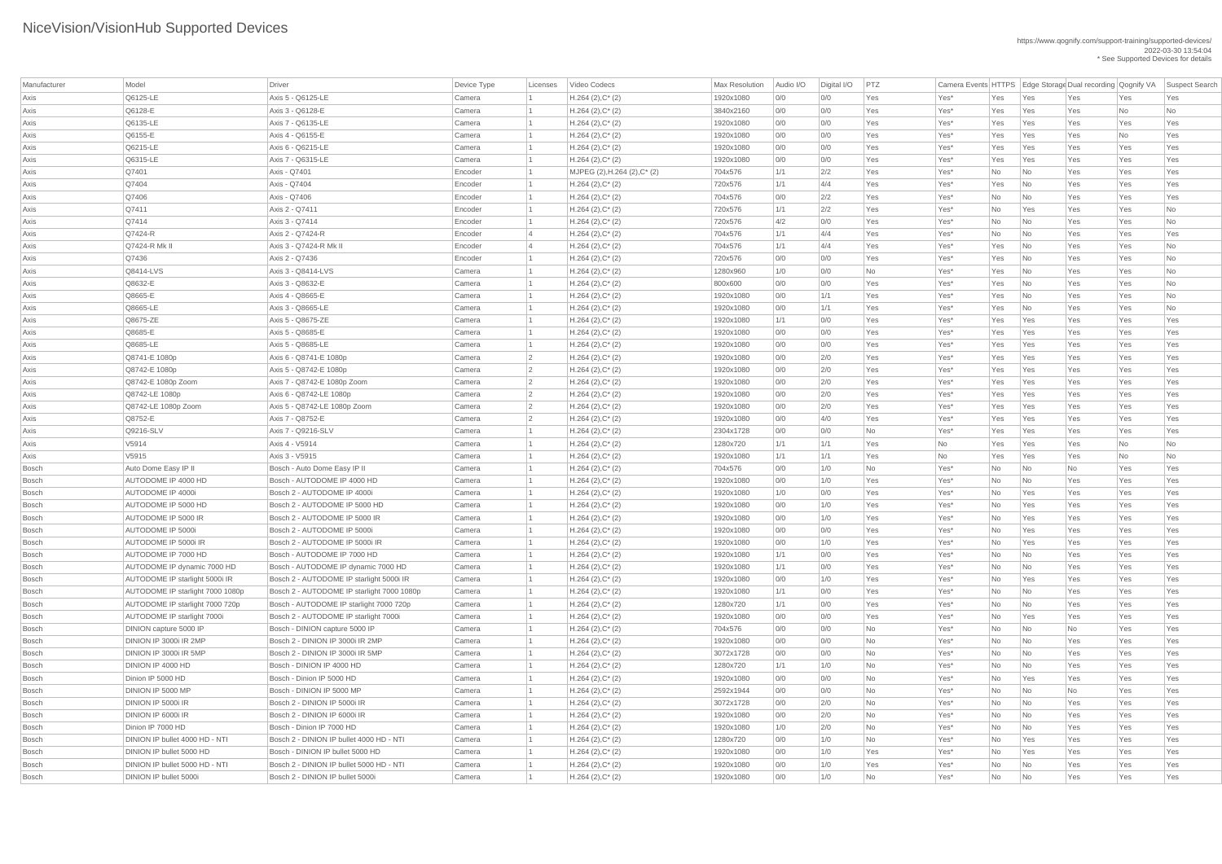| Manufacturer | Model                            | Driver                                                    | Device Type | Licenses | Video Codecs                 | Max Resolution | Audio I/O         | Digital I/O | PTZ       |         |     |                             | Camera Events HTTPS Edge Storage Dual recording Qognify VA |           | Suspect Search |
|--------------|----------------------------------|-----------------------------------------------------------|-------------|----------|------------------------------|----------------|-------------------|-------------|-----------|---------|-----|-----------------------------|------------------------------------------------------------|-----------|----------------|
| Axis         | Q6125-LE                         | Axis 5 - Q6125-LE                                         | Camera      |          | $H.264(2),C^*(2)$            | 1920x1080      | 0/0               | 0/0         | Yes       | Yes*    | Yes | Yes                         | Yes                                                        | Yes       | Yes            |
| Axis         | Q6128-E                          | Axis 3 - Q6128-E                                          | Camera      |          | $H.264 (2), C^*(2)$          | 3840x2160      | 0/0               | 0/0         | Yes       | Yes*    | Yes | Yes                         | Yes                                                        | No        | No             |
| Axis         | Q6135-LE                         | Axis 7 - Q6135-LE                                         | Camera      |          | $H.264 (2), C^*(2)$          | 1920x1080      | 0/0               | 0/0         | Yes       | Yes*    | Yes | Yes                         | Yes                                                        | Yes       | Yes            |
| Axis         | Q6155-E                          | Axis 4 - Q6155-E                                          | Camera      |          | $H.264 (2), C^*(2)$          | 1920x1080      | 0/0               | 0/0         | Yes       | Yes*    | Yes | Yes                         | Yes                                                        | No        | Yes            |
| Axis         | Q6215-LE                         | Axis 6 - Q6215-LE                                         | Camera      |          | $H.264 (2), C^*(2)$          | 1920x1080      | 0/0               | 0/0         | Yes       | Yes*    | Yes | Yes                         | Yes                                                        | Yes       | Yes            |
| Axis         | Q6315-LE                         | Axis 7 - Q6315-LE                                         | Camera      |          | $H.264 (2), C^*(2)$          | 1920x1080      | 0/0               | 0/0         | Yes       | Yes*    | Yes | Yes                         | Yes                                                        | Yes       | Yes            |
| Axis         | Q7401                            | Axis - Q7401                                              | Encoder     |          | MJPEG (2), H.264 (2), C* (2) | 704x576        | 1/1               | 2/2         | Yes       | Yes*    | No  | No                          | Yes                                                        | Yes       | Yes            |
| Axis         | Q7404                            | Axis - Q7404                                              | Encoder     |          | $H.264(2),C^*(2)$            | 720x576        | 1/1               | 4/4         | Yes       | Yes*    | Yes | No                          | Yes                                                        | Yes       | Yes            |
| Axis         | Q7406                            | Axis - Q7406                                              | Encoder     |          | $H.264 (2), C^*(2)$          | 704x576        | 0/0               | 2/2         | Yes       | Yes*    | No  | No                          | Yes                                                        | Yes       | Yes            |
| Axis         | Q7411                            | Axis 2 - Q7411                                            | Encoder     |          | $H.264 (2), C^*(2)$          | 720x576        | 1/1               | 2/2         | Yes       | Yes*    | No  | Yes                         | Yes                                                        | Yes       | No             |
| Axis         | Q7414                            | Axis 3 - Q7414                                            | Encoder     |          | $H.264 (2), C^*(2)$          | 720x576        | 4/2               | 0/0         | Yes       | Yes*    | No  | No                          | Yes                                                        | Yes       | No             |
| Axis         | $Q7424-R$                        | Axis 2 - Q7424-R                                          | Encoder     |          | $H.264 (2), C^*(2)$          | 704x576        | 1/1               | 4/4         | Yes       | Yes*    | No  | No                          | Yes                                                        | Yes       | Yes            |
| Axis         | Q7424-R Mk II                    | Axis 3 - Q7424-R Mk II                                    | Encoder     |          | $H.264 (2), C^*(2)$          | 704x576        | 1/1               | 4/4         | Yes       | Yes*    | Yes | No                          | Yes                                                        | Yes       | No             |
| Axis         | Q7436                            | Axis 2 - Q7436                                            | Encoder     |          | $H.264 (2), C^*(2)$          | 720x576        | 0/0               | 0/0         | Yes       | Yes*    | Yes | No                          | Yes                                                        | Yes       | No             |
| Axis         | Q8414-LVS                        | Axis 3 - Q8414-LVS                                        | Camera      |          | $H.264 (2), C^*(2)$          | 1280x960       | 1/0               | 0/0         | No        | Yes*    | Yes | No                          | Yes                                                        | Yes       | No             |
| Axis         | Q8632-E                          | Axis 3 - Q8632-E                                          | Camera      |          | $H.264 (2), C^*(2)$          | 800x600        | 0/0               | 0/0         | Yes       | Yes*    | Yes | No                          | Yes                                                        | Yes       | No             |
| Axis         | Q8665-E                          | Axis 4 - Q8665-E                                          | Camera      |          | $H.264 (2), C^*(2)$          | 1920x1080      | 0/0               | 1/1         | Yes       | Yes*    | Yes | No                          | Yes                                                        | Yes       | No             |
| Axis         | Q8665-LE                         | Axis 3 - Q8665-LE                                         | Camera      |          | $H.264 (2), C^*(2)$          | 1920x1080      | 0/0               | 1/1         | Yes       | Yes*    | Yes | No                          | Yes                                                        | Yes       | No             |
| Axis         | Q8675-ZE                         | Axis 5 - Q8675-ZE                                         | Camera      |          | $H.264 (2), C^*(2)$          | 1920x1080      | 1/1               | 0/0         | Yes       | Yes*    | Yes | Yes                         | Yes                                                        | Yes       | Yes            |
| Axis         | Q8685-E                          | Axis 5 - Q8685-E                                          | Camera      |          | $H.264 (2), C^*(2)$          | 1920x1080      | 0/0               | 0/0         | Yes       | Yes*    | Yes | Yes                         | Yes                                                        | Yes       | Yes            |
| Axis         | Q8685-LE                         | Axis 5 - Q8685-LE                                         | Camera      |          | $H.264 (2), C^*(2)$          | 1920x1080      | 0/0               | 0/0         | Yes       | Yes*    | Yes | Yes                         | Yes                                                        | Yes       | Yes            |
| Axis         | Q8741-E 1080p                    | Axis 6 - Q8741-E 1080p                                    | Camera      |          | $H.264 (2), C^*(2)$          | 1920x1080      | 0/0               | 2/0         | Yes       | Yes*    | Yes | Yes                         | Yes                                                        | Yes       | Yes            |
| Axis         | Q8742-E 1080p                    | Axis 5 - Q8742-E 1080p                                    | Camera      |          | $H.264 (2), C^*(2)$          | 1920x1080      | 0/0               | 2/0         | Yes       | Yes*    | Yes | Yes                         | Yes                                                        | Yes       | Yes            |
| Axis         | Q8742-E 1080p Zoom               | Axis 7 - Q8742-E 1080p Zoom                               | Camera      |          | $H.264 (2), C^*(2)$          | 1920x1080      | 0/0               | 2/0         | Yes       | Yes*    | Yes | Yes                         | Yes                                                        | Yes       | Yes            |
| Axis         | Q8742-LE 1080p                   | Axis 6 - Q8742-LE 1080p                                   | Camera      |          | $H.264 (2), C^*(2)$          | 1920x1080      | 0/0               | 2/0         | Yes       | Yes*    | Yes | Yes                         | Yes                                                        | Yes       | Yes            |
| Axis         | Q8742-LE 1080p Zoom              | Axis 5 - Q8742-LE 1080p Zoom                              | Camera      |          | $H.264 (2), C^*(2)$          | 1920x1080      | 0/0               | 2/0         | Yes       | Yes*    | Yes | Yes                         | Yes                                                        | Yes       | Yes            |
| Axis         | Q8752-E                          | Axis 7 - Q8752-E                                          | Camera      |          | $H.264 (2), C^*(2)$          | 1920x1080      | 0/0               | 4/0         | Yes       | Yes*    | Yes | Yes                         | Yes                                                        | Yes       | Yes            |
| Axis         | Q9216-SLV                        | Axis 7 - Q9216-SLV                                        | Camera      |          | $H.264(2),C^*(2)$            | 2304x1728      | 0/0               | 0/0         | No        | Yes*    | Yes | Yes                         | Yes                                                        | Yes       | Yes            |
| Axis         | V5914                            | Axis 4 - V5914                                            | Camera      |          | $H.264 (2), C^*(2)$          | 1280x720       | 1/1               | 1/1         | Yes       | No      | Yes | Yes                         | Yes                                                        | No        | No             |
| Axis         | V5915                            | Axis 3 - V5915                                            | Camera      |          | $H.264 (2), C^*(2)$          | 1920x1080      | 1/1               | 1/1         | Yes       | No      | Yes | Yes                         | Yes                                                        | <b>No</b> | No             |
| <b>Bosch</b> | Auto Dome Easy IP II             | Bosch - Auto Dome Easy IP II                              | Camera      |          | $H.264 (2), C^*(2)$          | 704x576        | 0/0               | 1/0         | No        | Yes*    | No  | No                          | <b>No</b>                                                  | Yes       | Yes            |
| Bosch        | <b>AUTODOME IP 4000 HD</b>       | Bosch - AUTODOME IP 4000 HD                               | Camera      |          | $H.264 (2), C^*(2)$          | 1920x1080      | 0/0               | 1/0         | Yes       | Yes*    | No  | No                          | Yes                                                        | Yes       | Yes            |
| <b>Bosch</b> | AUTODOME IP 4000i                | Bosch 2 - AUTODOME IP 4000i                               | Camera      |          | $H.264 (2), C^*(2)$          | 1920x1080      | 1/0               | 0/0         | Yes       | Yes*    | No  | Yes                         | Yes                                                        | Yes       | Yes            |
| Bosch        | AUTODOME IP 5000 HD              | Bosch 2 - AUTODOME IP 5000 HD                             | Camera      |          | $H.264 (2), C^*(2)$          | 1920x1080      | 0/0               | 1/0         | Yes       | Yes*    | No  | Yes                         | Yes                                                        | Yes       | Yes            |
| <b>Bosch</b> | <b>AUTODOME IP 5000 IR</b>       | Bosch 2 - AUTODOME IP 5000 IR                             | Camera      |          | $H.264 (2), C^*(2)$          | 1920x1080      | 0/0               | 1/0         | Yes       | Yes*    | No  | Yes                         | Yes                                                        | Yes       | Yes            |
| <b>Bosch</b> | <b>AUTODOME IP 5000i</b>         | Bosch 2 - AUTODOME IP 5000i                               | Camera      |          | $H.264 (2), C^*(2)$          | 1920x1080      | 0/0               | 0/0         | Yes       | Yes*    | No  | Yes                         | Yes                                                        | Yes       | Yes            |
| Bosch        | AUTODOME IP 5000i IR             | Bosch 2 - AUTODOME IP 5000i IR                            | Camera      |          | $H.264 (2), C^*(2)$          | 1920x1080      | 0/0               | 1/0         | Yes       | Yes*    | No  | Yes                         | Yes                                                        | Yes       | Yes            |
| Bosch        | <b>AUTODOME IP 7000 HD</b>       | Bosch - AUTODOME IP 7000 HD                               | Camera      |          | $H.264(2),C^*(2)$            | 1920x1080      | 1/1               | 0/0         | Yes       | Yes*    | No  | No                          | Yes                                                        | Yes       | Yes            |
| Bosch        | AUTODOME IP dynamic 7000 HD      | Bosch - AUTODOME IP dynamic 7000 HD                       | Camera      |          | $H.264 (2), C^*(2)$          | 1920x1080      | 1/1               | 0/0         | Yes       | Yes*    | No  | No                          | Yes                                                        | Yes       | Yes            |
| Bosch        | AUTODOME IP starlight 5000i IR   | Bosch 2 - AUTODOME IP starlight 5000i IR                  | Camera      |          | $H.264 (2), C^*(2)$          | 1920x1080      | 0/0               | 1/0         | Yes       | Yes*    | No  | Yes                         | Yes                                                        | Yes       | Yes            |
| Bosch        | AUTODOME IP starlight 7000 1080p | Bosch 2 - AUTODOME IP starlight 7000 1080p                | Camera      |          | $H.264 (2), C^*(2)$          | 1920x1080      | 1/1               | 0/0         | Yes       | Yes*    | No  | No                          | Yes                                                        | Yes       | Yes            |
| Bosch        | AUTODOME IP starlight 7000 720p  | Bosch - AUTODOME IP starlight 7000 720p                   | Camera      |          | $H.264 (2), C^*(2)$          | 1280x720       | 1/1               | 0/0         | Yes       | Yes*    | No  | No                          | Yes                                                        | Yes       | Yes            |
| Bosch        | AUTODOME IP starlight 7000i      | Bosch 2 - AUTODOME IP starlight 7000i                     | Camera      |          | $H.264 (2), C^*(2)$          | 1920x1080      | 0/0               | 0/0         | Yes       | Yes*    | No  | Yes                         | Yes                                                        | Yes       | Yes            |
| Bosch        | DINION capture 5000 IP           | Bosch - DINION capture 5000 IP                            | Camera      |          | $H.264 (2), C^*(2)$          | 704x576        | 0/0               | 0/0         | <b>No</b> | Yes*    | No  | No                          | No                                                         | Yes       | Yes            |
| <b>Bosch</b> | DINION IP 3000i IR 2MP           | Bosch 2 - DINION IP 3000i IR 2MP                          | Camera      |          | $H.264 (2), C^*(2)$          | 1920x1080      | 0/0               | 0/0         | No        | Yes*    | No  | No                          | Yes                                                        | Yes       | Yes            |
| Bosch        | DINION IP 3000i IR 5MP           | Bosch 2 - DINION IP 3000i IR 5MP                          | Camera      |          |                              | 3072x1728      | 0/0               | 0/0         | No        | Yes*    | No  | $\overline{\mathsf{No}}$    | Yes                                                        | Yes       | Yes            |
|              | DINION IP 4000 HD                | Bosch - DINION IP 4000 HD                                 |             |          | $H.264 (2), C^*(2)$          |                | 1/1               |             |           |         |     |                             | Yes                                                        |           |                |
| Bosch        | Dinion IP 5000 HD                | Bosch - Dinion IP 5000 HD                                 | Camera      |          | $H.264 (2), C^*(2)$          | 1280x720       | 0/0               | 1/0<br>0/0  | No<br>No  | Yes*    | No  | No                          |                                                            | Yes       | Yes<br>Yes     |
| Bosch        |                                  |                                                           | Camera      |          | $H.264 (2), C^*(2)$          | 1920x1080      |                   |             |           | Yes*    | No  | Yes                         | Yes                                                        | Yes       |                |
| <b>Bosch</b> | DINION IP 5000 MP                | Bosch - DINION IP 5000 MP<br>Bosch 2 - DINION IP 5000i IR | Camera      |          | $H.264 (2), C^*(2)$          | 2592x1944      | 0/0               | 0/0         | No        | Yes*    | No  | No                          | <b>No</b>                                                  | Yes       | Yes            |
| Bosch        | DINION IP 5000i IR               |                                                           | Camera      |          | $H.264 (2), C^*(2)$          | 3072x1728      | 0/0               | 2/0         | No        | Yes*    | No  | No                          | Yes                                                        | Yes       | Yes            |
| Bosch        | DINION IP 6000i IR               | Bosch 2 - DINION IP 6000i IR                              | Camera      |          | $H.264 (2), C^*(2)$          | 1920x1080      | 0/0<br>$1/\Omega$ | 2/0         | <b>No</b> | Yes*    | No  | No                          | Yes                                                        | Yes       | Yes            |
| Bosch        | Dinion IP 7000 HD                | Bosch - Dinion IP 7000 HD                                 | Camera      |          | $H.264(2),C^*(2)$            | 1920x1080      |                   | 2/0         | <b>No</b> | Yes*    | No  | No                          | Yes                                                        | Yes       | Yes            |
| Bosch        | DINION IP bullet 4000 HD - NTI   | Bosch 2 - DINION IP bullet 4000 HD - NTI                  | Camera      |          | $H.264 (2), C^*(2)$          | 1280x720       | 0/0               | 1/0         | <b>No</b> | $Yes^*$ | No  | Yes                         | Yes                                                        | Yes       | Yes            |
| Bosch        | DINION IP bullet 5000 HD         | Bosch - DINION IP bullet 5000 HD                          | Camera      |          | $H.264 (2), C^*(2)$          | 1920x1080      | 0/0               | 1/0         | Yes       | Yes*    | No  | Yes                         | Yes                                                        | Yes       | Yes            |
| Bosch        | DINION IP bullet 5000 HD - NTI   | Bosch 2 - DINION IP bullet 5000 HD - NTI                  | Camera      |          | $H.264 (2), C^*(2)$          | 1920x1080      | 0/0               | 1/0         | Yes       | Yes*    | No  | $\overline{\mathsf{No}}$    | Yes                                                        | Yes       | Yes            |
| Bosch        | DINION IP bullet 5000i           | Bosch 2 - DINION IP bullet 5000i                          | Camera      |          | $H.264 (2), C^*(2)$          | 1920x1080      | 0/0               | 1/0         | No        | Yes*    | No  | $\overline{\phantom{a}}$ No | Yes                                                        | Yes       | Yes            |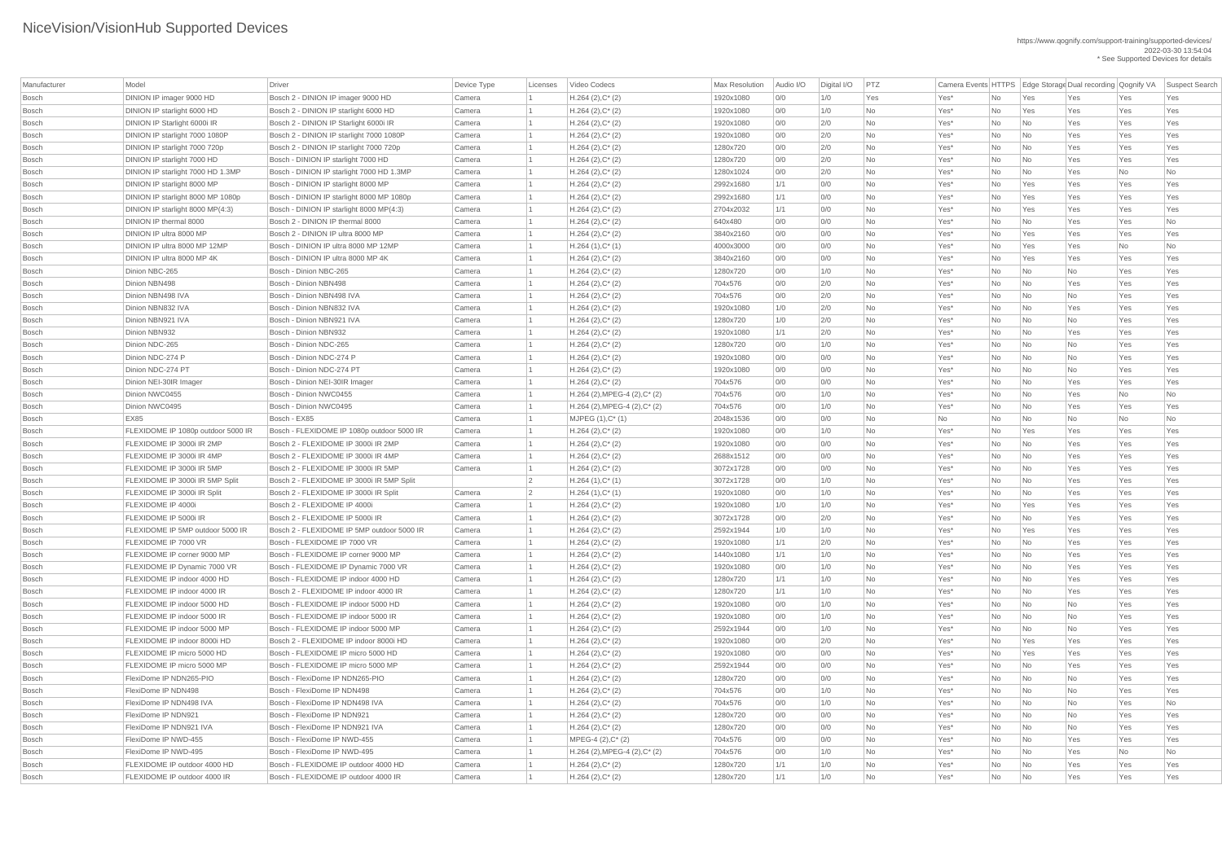| Manufacturer | Model                              | Driver                                     | Device Type | Licenses       | Video Codecs                                | <b>Max Resolution</b> | Audio I/O | Digital I/O | PTZ       | Camera Events HTTPS Edge Storage Dual recording Qognify VA |           |                             |           |           | Suspect Search |
|--------------|------------------------------------|--------------------------------------------|-------------|----------------|---------------------------------------------|-----------------------|-----------|-------------|-----------|------------------------------------------------------------|-----------|-----------------------------|-----------|-----------|----------------|
| <b>Bosch</b> | DINION IP imager 9000 HD           | Bosch 2 - DINION IP imager 9000 HD         | Camera      |                | $H.264 (2), C^*(2)$                         | 1920x1080             | 0/0       | 1/0         | Yes       | Yes*                                                       | No        | Yes                         | Yes       | Yes       | Yes            |
| <b>Bosch</b> | DINION IP starlight 6000 HD        | Bosch 2 - DINION IP starlight 6000 HD      | Camera      |                | $H.264 (2), C^*(2)$                         | 1920x1080             | 0/0       | 1/0         | No        | Yes <sup>*</sup>                                           | No        | Yes                         | Yes       | Yes       | Yes            |
| <b>Bosch</b> | DINION IP Starlight 6000i IR       | Bosch 2 - DINION IP Starlight 6000i IR     | Camera      |                | $H.264 (2), C^*(2)$                         | 1920x1080             | 0/0       | 2/0         | No        | Yes*                                                       | No        | No                          | Yes       | Yes       | Yes            |
| <b>Bosch</b> | DINION IP starlight 7000 1080P     | Bosch 2 - DINION IP starlight 7000 1080P   | Camera      |                | $H.264 (2), C^*(2)$                         | 1920x1080             | 0/0       | 2/0         | No        | Yes*                                                       | No        | No                          | Yes       | Yes       | Yes            |
| <b>Bosch</b> | DINION IP starlight 7000 720p      | Bosch 2 - DINION IP starlight 7000 720p    | Camera      |                | $H.264 (2), C^*(2)$                         | 1280x720              | 0/0       | 2/0         | No        | Yes*                                                       | No        | $\overline{\mathsf{No}}$    | Yes       | Yes       | Yes            |
| <b>Bosch</b> | DINION IP starlight 7000 HD        | Bosch - DINION IP starlight 7000 HD        | Camera      |                | $H.264 (2), C^*(2)$                         | 1280x720              | 0/0       | 2/0         | No        | Yes*                                                       | No        | No                          | Yes       | Yes       | Yes            |
| <b>Bosch</b> | DINION IP starlight 7000 HD 1.3MP  | Bosch - DINION IP starlight 7000 HD 1.3MP  | Camera      |                | $H.264 (2), C^*(2)$                         | 1280x1024             | 0/0       | 2/0         | No        | Yes*                                                       | No        | No                          | Yes       | No        | No             |
| <b>Bosch</b> |                                    | Bosch - DINION IP starlight 8000 MP        | Camera      |                |                                             |                       | 1/1       | 0/0         | No        |                                                            |           |                             |           |           | Yes            |
|              | DINION IP starlight 8000 MP        |                                            |             |                | $H.264 (2), C^*(2)$                         | 2992x1680             |           |             |           | Yes*                                                       | No        | Yes                         | Yes       | Yes       |                |
| <b>Bosch</b> | DINION IP starlight 8000 MP 1080p  | Bosch - DINION IP starlight 8000 MP 1080p  | Camera      |                | $H.264 (2), C^*(2)$                         | 2992x1680             | 1/1       | 0/0         | No        | Yes*                                                       | No        | Yes                         | Yes       | Yes       | Yes            |
| <b>Bosch</b> | DINION IP starlight 8000 MP(4:3)   | Bosch - DINION IP starlight 8000 MP(4:3)   | Camera      |                | $H.264 (2), C^*(2)$                         | 2704x2032             | 1/1       | 0/0         | No        | Yes*                                                       | No        | Yes                         | Yes       | Yes       | Yes            |
| <b>Bosch</b> | DINION IP thermal 8000             | Bosch 2 - DINION IP thermal 8000           | Camera      |                | $H.264 (2), C^*(2)$                         | 640x480               | 0/0       | 0/0         | No        | Yes*                                                       | No        | No                          | Yes       | Yes       | No             |
| <b>Bosch</b> | DINION IP ultra 8000 MP            | Bosch 2 - DINION IP ultra 8000 MP          | Camera      |                | $H.264 (2), C^*(2)$                         | 3840x2160             | 0/0       | 0/0         | No        | Yes*                                                       | No        | Yes                         | Yes       | Yes       | Yes            |
| <b>Bosch</b> | DINION IP ultra 8000 MP 12MP       | Bosch - DINION IP ultra 8000 MP 12MP       | Camera      |                | $H.264(1),C^*(1)$                           | 4000x3000             | 0/0       | 0/0         | No        | Yes*                                                       | No        | Yes                         | Yes       | No        | No             |
| <b>Bosch</b> | DINION IP ultra 8000 MP 4K         | Bosch - DINION IP ultra 8000 MP 4K         | Camera      |                | $H.264 (2), C^*(2)$                         | 3840x2160             | 0/0       | 0/0         | No        | Yes*                                                       | No        | Yes                         | Yes       | Yes       | Yes            |
| <b>Bosch</b> | Dinion NBC-265                     | Bosch - Dinion NBC-265                     | Camera      |                | $H.264 (2), C^*(2)$                         | 1280x720              | 0/0       | 1/0         | No        | Yes*                                                       | No        | No                          | No        | Yes       | Yes            |
| <b>Bosch</b> | Dinion NBN498                      | Bosch - Dinion NBN498                      | Camera      |                | $H.264 (2), C^*(2)$                         | 704x576               | 0/0       | 2/0         | No        | Yes*                                                       | No        | No                          | Yes       | Yes       | Yes            |
| <b>Bosch</b> | Dinion NBN498 IVA                  | Bosch - Dinion NBN498 IVA                  | Camera      |                | $H.264 (2), C^*(2)$                         | 704x576               | 0/0       | 2/0         | No        | Yes*                                                       | No        | No                          | No        | Yes       | Yes            |
| <b>Bosch</b> | Dinion NBN832 IVA                  | Bosch - Dinion NBN832 IVA                  | Camera      |                | $H.264 (2), C^*(2)$                         | 1920x1080             | 1/0       | 2/0         | No        | Yes*                                                       | No        | No                          | Yes       | Yes       | Yes            |
| <b>Bosch</b> | Dinion NBN921 IVA                  | Bosch - Dinion NBN921 IVA                  | Camera      |                | $H.264 (2), C^*(2)$                         | 1280x720              | 1/0       | 2/0         | No        | Yes*                                                       | No        | No                          | No        | Yes       | Yes            |
| <b>Bosch</b> | Dinion NBN932                      | Bosch - Dinion NBN932                      | Camera      |                | $H.264 (2), C^*(2)$                         | 1920x1080             | 1/1       | 2/0         | <b>No</b> | Yes*                                                       | No        | No                          | Yes       | Yes       | Yes            |
| <b>Bosch</b> | Dinion NDC-265                     | Bosch - Dinion NDC-265                     | Camera      |                | $H.264 (2), C^*(2)$                         | 1280x720              | 0/0       | 1/0         | No        | Yes*                                                       | No        | No                          | No        | Yes       | Yes            |
| <b>Bosch</b> | Dinion NDC-274 P                   | Bosch - Dinion NDC-274 P                   | Camera      |                | $H.264 (2), C^*(2)$                         | 1920x1080             | 0/0       | 0/0         | No        | Yes*                                                       | No        | No                          | No        | Yes       | Yes            |
| <b>Bosch</b> | Dinion NDC-274 PT                  | Bosch - Dinion NDC-274 PT                  | Camera      |                | $H.264 (2), C^*(2)$                         | 1920x1080             | 0/0       | 0/0         | No        | Yes*                                                       | No        | No                          | <b>No</b> | Yes       | Yes            |
| <b>Bosch</b> | Dinion NEI-30IR Imager             | Bosch - Dinion NEI-30IR Imager             | Camera      |                | $H.264 (2), C^*(2)$                         | 704x576               | 0/0       | 0/0         | No        | Yes*                                                       | No        | No                          | Yes       | Yes       | Yes            |
| <b>Bosch</b> | Dinion NWC0455                     | Bosch - Dinion NWC0455                     | Camera      |                | $H.264$ (2), MPEG-4 (2), C* (2)             | 704x576               | 0/0       | 1/0         | <b>No</b> | Yes*                                                       | No        | No                          | Yes       | No        | No             |
| <b>Bosch</b> | Dinion NWC0495                     | Bosch - Dinion NWC0495                     | Camera      |                | $H.264$ (2), MPEG-4 (2), C* (2)             | 704x576               | 0/0       | 1/0         | No        | Yes*                                                       | No        | $\overline{\mathsf{No}}$    | Yes       | Yes       | Yes            |
| <b>Bosch</b> | <b>EX85</b>                        | Bosch - EX85                               | Camera      |                | $MJPEG (1), C^* (1)$                        | 2048x1536             | 0/0       | 0/0         | No        | No                                                         | No        | No                          | No        | <b>No</b> | No             |
| <b>Bosch</b> | FLEXIDOME IP 1080p outdoor 5000 IR | Bosch - FLEXIDOME IP 1080p outdoor 5000 IR | Camera      |                | $H.264 (2), C^*(2)$                         | 1920x1080             | 0/0       | 1/0         | No        | Yes*                                                       | No        | Yes                         | Yes       | Yes       | Yes            |
| <b>Bosch</b> | FLEXIDOME IP 3000i IR 2MP          | Bosch 2 - FLEXIDOME IP 3000i IR 2MP        | Camera      |                | $H.264 (2), C^*(2)$                         | 1920x1080             | 0/0       | 0/0         | <b>No</b> | Yes*                                                       | No        | No                          | Yes       | Yes       | Yes            |
| <b>Bosch</b> | FLEXIDOME IP 3000i IR 4MP          | Bosch 2 - FLEXIDOME IP 3000i IR 4MP        | Camera      |                | $H.264 (2), C^*(2)$                         | 2688x1512             | 0/0       | 0/0         | No        | Yes*                                                       | No        | No                          | Yes       | Yes       | Yes            |
| <b>Bosch</b> | FLEXIDOME IP 3000i IR 5MP          | Bosch 2 - FLEXIDOME IP 3000i IR 5MP        | Camera      |                | $H.264 (2), C^*(2)$                         | 3072x1728             | 0/0       | 0/0         | No        | Yes*                                                       | No        | $\overline{\mathsf{No}}$    | Yes       | Yes       | Yes            |
| <b>Bosch</b> | FLEXIDOME IP 3000i IR 5MP Split    | Bosch 2 - FLEXIDOME IP 3000i IR 5MP Split  |             | $\overline{2}$ | $H.264(1),C^*(1)$                           | 3072x1728             | 0/0       | 1/0         | <b>No</b> | Yes*                                                       | <b>No</b> | $\overline{\mathsf{No}}$    | Yes       | Yes       | Yes            |
| <b>Bosch</b> | FLEXIDOME IP 3000i IR Split        | Bosch 2 - FLEXIDOME IP 3000i IR Split      | Camera      | $\vert$ 2      | $H.264(1),C^*(1)$                           | 1920x1080             | 0/0       | 1/0         | No        | Yes*                                                       | No        | No                          | Yes       | Yes       | Yes            |
| <b>Bosch</b> | FLEXIDOME IP 4000i                 | Bosch 2 - FLEXIDOME IP 4000i               | Camera      |                | $H.264 (2), C^*(2)$                         | 1920x1080             | 1/0       | 1/0         | No        | Yes*                                                       | No        | Yes                         | Yes       | Yes       | Yes            |
| <b>Bosch</b> | FLEXIDOME IP 5000i IR              | Bosch 2 - FLEXIDOME IP 5000i IR            | Camera      |                | $H.264 (2), C^*(2)$                         | 3072x1728             | 0/0       | 2/0         | <b>No</b> | Yes*                                                       | <b>No</b> | N <sub>o</sub>              | Yes       | Yes       | Yes            |
| <b>Bosch</b> | FLEXIDOME IP 5MP outdoor 5000 IR   | Bosch 2 - FLEXIDOME IP 5MP outdoor 5000 IR | Camera      |                | $H.264 (2), C^*(2)$                         | 2592x1944             | 1/0       | 1/0         | No        | Yes*                                                       | No        | Yes                         | Yes       | Yes       | Yes            |
| <b>Bosch</b> | FLEXIDOME IP 7000 VR               | Bosch - FLEXIDOME IP 7000 VR               | Camera      |                | $H.264 (2), C^*(2)$                         | 1920x1080             | 1/1       | 2/0         | No        | Yes*                                                       | No        | No                          | Yes       | Yes       | Yes            |
| <b>Bosch</b> | FLEXIDOME IP corner 9000 MP        | Bosch - FLEXIDOME IP corner 9000 MP        | Camera      |                | $H.264 (2), C^*(2)$                         | 1440x1080             | 1/1       | 1/0         | <b>No</b> | Yes*                                                       | <b>No</b> | $\overline{\mathsf{No}}$    | Yes       | Yes       | Yes            |
| <b>Bosch</b> | FLEXIDOME IP Dynamic 7000 VR       | Bosch - FLEXIDOME IP Dynamic 7000 VR       | Camera      |                | $H.264 (2), C^*(2)$                         | 1920x1080             | 0/0       | 1/0         | No        | Yes*                                                       | No        | $\overline{\mathsf{No}}$    | Yes       | Yes       | Yes            |
| <b>Bosch</b> | FLEXIDOME IP indoor 4000 HD        | Bosch - FLEXIDOME IP indoor 4000 HD        | Camera      |                | $H.264 (2), C^*(2)$                         | 1280x720              | 1/1       | 1/0         | No        | Yes*                                                       | No        | $\overline{\mathsf{No}}$    | Yes       | Yes       | Yes            |
| <b>Bosch</b> | FLEXIDOME IP indoor 4000 IR        | Bosch 2 - FLEXIDOME IP indoor 4000 IR      | Camera      |                | $H.264 (2), C^*(2)$                         | 1280x720              | 1/1       | 1/0         | <b>No</b> | Yes*                                                       | No        | No                          | Yes       | Yes       | Yes            |
| <b>Bosch</b> | FLEXIDOME IP indoor 5000 HD        | Bosch - FLEXIDOME IP indoor 5000 HD        | Camera      |                | $H.264 (2), C^*(2)$                         | 1920x1080             | 0/0       | 1/0         | No        | Yes*                                                       | No        | $\overline{\mathsf{No}}$    | No        | Yes       | Yes            |
| <b>Bosch</b> | FLEXIDOME IP indoor 5000 IR        | Bosch - FLEXIDOME IP indoor 5000 IR        | Camera      |                | $H.264 (2), C^*(2)$                         | 1920x1080             | 0/0       | 1/0         | No        | Yes*                                                       | No        | No                          | No        | Yes       | Yes            |
| <b>Bosch</b> | FLEXIDOME IP indoor 5000 MP        | Bosch - FLEXIDOME IP indoor 5000 MP        | Camera      |                | $H.264 (2), C^*(2)$                         | 2592x1944             | 0/0       | 1/0         | <b>No</b> | Yes*                                                       | <b>No</b> | No                          | <b>No</b> | Yes       | Yes            |
| <b>Bosch</b> | FLEXIDOME IP indoor 8000i HD       | Bosch 2 - FLEXIDOME IP indoor 8000i HD     | Camera      |                | $H.264 (2), C^*(2)$                         | 1920x1080             | 0/0       | 2/0         | No        | Yes*                                                       | No        | Yes                         | Yes       | Yes       | Yes            |
| <b>Bosch</b> | FLEXIDOME IP micro 5000 HD         | Bosch - FLEXIDOME IP micro 5000 HD         | Camera      |                | $H.264 (2), C^*(2)$                         | 1920x1080             | 0/0       | 0/0         | No        | Yes*                                                       | No        | Yes                         | Yes       | Yes       | Yes            |
| <b>Bosch</b> | FLEXIDOME IP micro 5000 MP         | Bosch - FLEXIDOME IP micro 5000 MP         | Camera      |                | $H.264 (2), C^*(2)$                         | 2592x1944             | 0/0       | 0/0         | No        | Yes*                                                       | No        | N <sub>o</sub>              | Yes       | Yes       | Yes            |
|              | FlexiDome IP NDN265-PIO            | Bosch - FlexiDome IP NDN265-PIO            |             |                |                                             |                       |           | 0/0         |           |                                                            |           |                             |           | Yes       |                |
| <b>Bosch</b> |                                    |                                            | Camera      |                | $H.264 (2), C^*(2)$                         | 1280x720              | 0/0       |             | No        | Yes*                                                       | <b>No</b> | $\overline{\mathsf{No}}$    | No        |           | Yes            |
| <b>Bosch</b> | FlexiDome IP NDN498                | Bosch - FlexiDome IP NDN498                | Camera      |                | $H.264 (2), C^*(2)$                         | 704x576               | 0/0       | 1/0         | No        | Yes*                                                       | No        | No                          | No        | Yes       | Yes            |
| <b>Bosch</b> | FlexiDome IP NDN498 IVA            | Bosch - FlexiDome IP NDN498 IVA            | Camera      |                | $H.264 (2), C^*(2)$                         | 704x576               | 0/0       | 1/0         | <b>No</b> | Yes*                                                       | No        | No                          | <b>No</b> | Yes       | No             |
| <b>Bosch</b> | FlexiDome IP NDN921                | Bosch - FlexiDome IP NDN921                | Camera      |                | $H.264 (2), C^*(2)$                         | 1280x720              | 0/0       | 0/0         | No        | Yes*                                                       | No        | N <sub>o</sub>              | <b>No</b> | Yes       | Yes            |
| Bosch        | FlexiDome IP NDN921 IVA            | Bosch - FlexiDome IP NDN921 IVA            | Camera      |                | $H.264 (2), C^*(2)$                         | 1280x720              | 0/0       | 0/0         | No        | $Yes^*$                                                    | No        | No                          | No        | Yes       | Yes            |
| Bosch        | FlexiDome IP NWD-455               | Bosch - FlexiDome IP NWD-455               | Camera      |                | MPEG-4 (2), C* (2)                          | 704x576               | 0/0       | 0/0         | No        | Yes*                                                       | No        | N <sub>o</sub>              | Yes       | Yes       | Yes            |
| Bosch        | FlexiDome IP NWD-495               | Bosch - FlexiDome IP NWD-495               | Camera      |                | $H.264$ (2), MPEG-4 (2), C <sup>*</sup> (2) | 704x576               | 0/0       | 1/0         | No        | Yes*                                                       | No        | No                          | Yes       | No        | No             |
| <b>Bosch</b> | FLEXIDOME IP outdoor 4000 HD       | Bosch - FLEXIDOME IP outdoor 4000 HD       | Camera      |                | $H.264 (2), C^*(2)$                         | 1280x720              | 1/1       | 1/0         | No        | $Yes^*$                                                    | No        | $\overline{\mathsf{No}}$    | Yes       | Yes       | Yes            |
| Bosch        | FLEXIDOME IP outdoor 4000 IR       | Bosch - FLEXIDOME IP outdoor 4000 IR       | Camera      |                | $H.264 (2), C^*(2)$                         | 1280x720              | 1/1       | 1/0         | No        | Yes*                                                       | No        | $\overline{\phantom{1}}$ No | Yes       | Yes       | Yes            |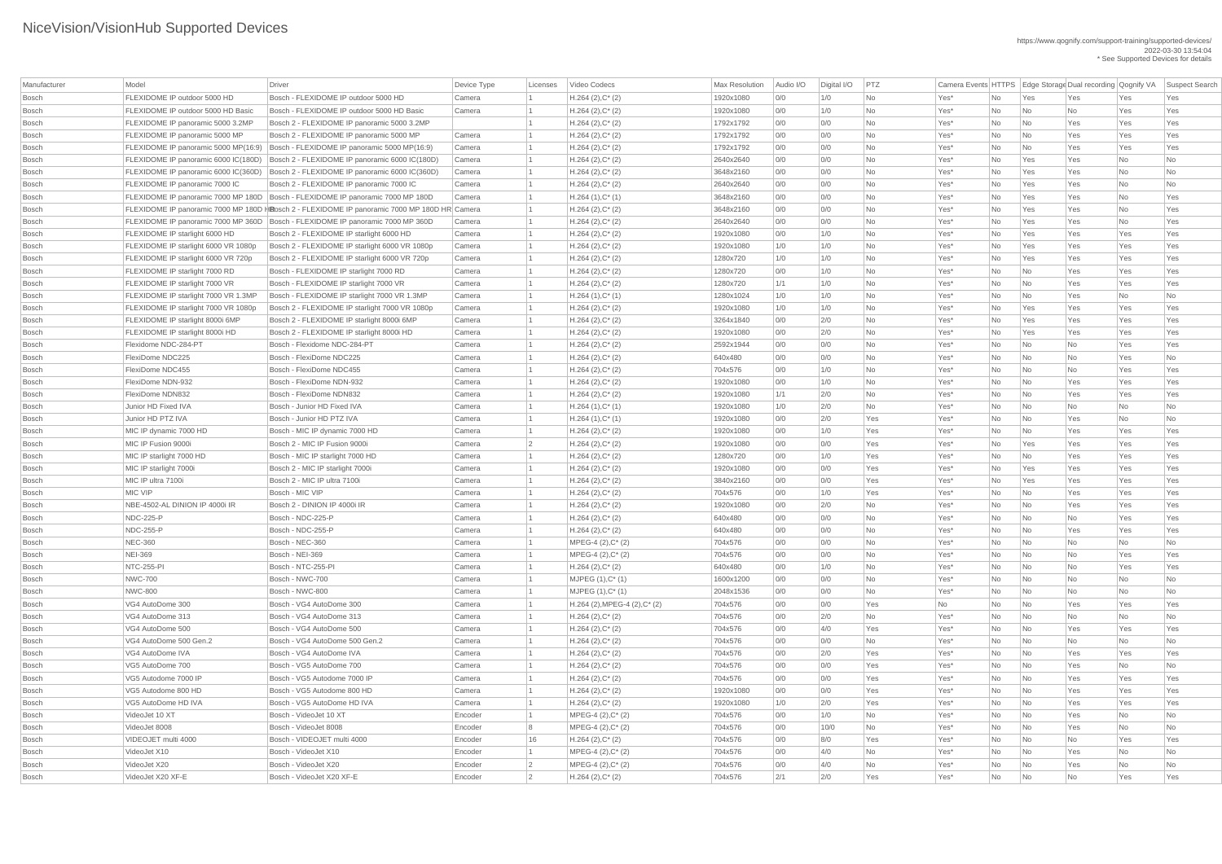| Manufacturer | Model                                 | Driver                                                                                       | Device Type | Licenses        | Video Codecs                                | Max Resolution | Audio I/O  | Digital I/O | PTZ       | Camera Events HTTPS Edge Storage Dual recording Qognify VA |           |                          |           |     | Suspect Search |
|--------------|---------------------------------------|----------------------------------------------------------------------------------------------|-------------|-----------------|---------------------------------------------|----------------|------------|-------------|-----------|------------------------------------------------------------|-----------|--------------------------|-----------|-----|----------------|
|              | FLEXIDOME IP outdoor 5000 HD          | Bosch - FLEXIDOME IP outdoor 5000 HD                                                         |             |                 |                                             |                |            |             |           |                                                            |           |                          |           |     |                |
| Bosch        |                                       |                                                                                              | Camera      |                 | $H.264 (2), C^*(2)$                         | 1920x1080      | 0/0        | 1/0         | <b>No</b> | Yes*                                                       | No        | Yes                      | Yes       | Yes | Yes            |
| Bosch        | FLEXIDOME IP outdoor 5000 HD Basic    | Bosch - FLEXIDOME IP outdoor 5000 HD Basic                                                   | Camera      |                 | $H.264 (2), C^*(2)$                         | 1920x1080      | 0/0        | 1/0         | <b>No</b> | Yes*                                                       | No        | No                       | No        | Yes | Yes            |
| Bosch        | FLEXIDOME IP panoramic 5000 3.2MP     | Bosch 2 - FLEXIDOME IP panoramic 5000 3.2MP                                                  |             |                 | $H.264 (2), C^*(2)$                         | 1792x1792      | 0/0        | 0/0         | <b>No</b> | Yes <sup>*</sup>                                           | No        | $\overline{\mathsf{No}}$ | Yes       | Yes | Yes            |
| Bosch        | FLEXIDOME IP panoramic 5000 MP        | Bosch 2 - FLEXIDOME IP panoramic 5000 MP                                                     | Camera      |                 | $H.264 (2), C^*(2)$                         | 1792x1792      | O/O        | 0/0         | <b>No</b> | Yes <sup>*</sup>                                           | No        | $\overline{\mathsf{No}}$ | Yes       | Yes | Yes            |
| Bosch        | FLEXIDOME IP panoramic 5000 MP(16:9)  | Bosch - FLEXIDOME IP panoramic 5000 MP(16:9)                                                 | Camera      |                 | $H.264 (2), C^*(2)$                         | 1792x1792      | 0/0        | 0/0         | <b>No</b> | Yes*                                                       | No        | $\overline{\mathsf{No}}$ | Yes       | Yes | Yes            |
| Bosch        | FLEXIDOME IP panoramic 6000 IC(180D)  | Bosch 2 - FLEXIDOME IP panoramic 6000 IC(180D)                                               | Camera      |                 | $H.264 (2), C^*(2)$                         | 2640x2640      | 0/0        | 0/0         | <b>No</b> | Yes*                                                       | No        | Yes                      | Yes       | No  | No             |
| Bosch        | FLEXIDOME IP panoramic 6000 IC(360D)  | Bosch 2 - FLEXIDOME IP panoramic 6000 IC(360D)                                               | Camera      |                 | $H.264 (2), C^*(2)$                         | 3648x2160      | 0/0        | 0/0         | <b>No</b> | Yes <sup>*</sup>                                           | No        | Yes                      | Yes       | No  | No             |
| Bosch        | <b>FLEXIDOME IP panoramic 7000 IC</b> | Bosch 2 - FLEXIDOME IP panoramic 7000 IC                                                     | Camera      |                 | $H.264 (2), C^*(2)$                         | 2640x2640      | 0/0        | 0/0         | <b>No</b> | Yes*                                                       | No        | Yes                      | Yes       | No  | No             |
| Bosch        |                                       | FLEXIDOME IP panoramic 7000 MP 180D   Bosch - FLEXIDOME IP panoramic 7000 MP 180D            | Camera      |                 | $H.264(1),C^*(1)$                           | 3648x2160      | 0/0        | 0/0         | <b>No</b> | Yes <sup>*</sup>                                           | No        | Yes                      | Yes       | No  | Yes            |
| Bosch        |                                       | FLEXIDOME IP panoramic 7000 MP 180D HBosch 2 - FLEXIDOME IP panoramic 7000 MP 180D HR Camera |             |                 | $H.264 (2), C^*(2)$                         | 3648x2160      | 0/0        | 0/0         | <b>No</b> | Yes*                                                       | No        | Yes                      | Yes       | No  | Yes            |
| Bosch        | FLEXIDOME IP panoramic 7000 MP 360D   | Bosch - FLEXIDOME IP panoramic 7000 MP 360D                                                  | Camera      |                 | $H.264 (2), C^*(2)$                         | 2640x2640      | O/O        | 0/0         | <b>No</b> | Yes*                                                       | No        | Yes                      | Yes       | No  | Yes            |
| Bosch        | FLEXIDOME IP starlight 6000 HD        | Bosch 2 - FLEXIDOME IP starlight 6000 HD                                                     | Camera      |                 | $H.264 (2), C^*(2)$                         | 1920x1080      | 0/0        | 1/0         | <b>No</b> | Yes*                                                       | No        | Yes                      | Yes       | Yes | Yes            |
| Bosch        | FLEXIDOME IP starlight 6000 VR 1080p  | Bosch 2 - FLEXIDOME IP starlight 6000 VR 1080p                                               | Camera      |                 | $H.264 (2), C^*(2)$                         | 1920x1080      | 1/0        | 1/0         | <b>No</b> | Yes <sup>*</sup>                                           | No        | Yes                      | Yes       | Yes | Yes            |
| Bosch        | FLEXIDOME IP starlight 6000 VR 720p   | Bosch 2 - FLEXIDOME IP starlight 6000 VR 720p                                                | Camera      |                 | $H.264 (2), C^*(2)$                         | 1280x720       | 1/0        | 1/0         | No.       | Yes*                                                       | No        | Yes                      | Yes       | Yes | Yes            |
| Bosch        | <b>FLEXIDOME IP starlight 7000 RD</b> | Bosch - FLEXIDOME IP starlight 7000 RD                                                       | Camera      |                 | $H.264 (2), C^*(2)$                         | 1280x720       | 0/0        | 1/0         | <b>No</b> | Yes <sup>*</sup>                                           | No        | $\overline{\mathsf{No}}$ | Yes       | Yes | Yes            |
| Bosch        | <b>FLEXIDOME IP starlight 7000 VR</b> | Bosch - FLEXIDOME IP starlight 7000 VR                                                       | Camera      |                 | $H.264 (2), C^*(2)$                         | 1280x720       | 1/1        | 1/0         | <b>No</b> | Yes <sup>*</sup>                                           | No        | $\overline{\mathsf{No}}$ | Yes       | Yes | Yes            |
| Bosch        | FLEXIDOME IP starlight 7000 VR 1.3MP  | Bosch - FLEXIDOME IP starlight 7000 VR 1.3MP                                                 | Camera      |                 | $H.264(1),C^*(1)$                           | 1280x1024      | 1/0        | 1/0         | <b>No</b> | Yes*                                                       | No        | $\overline{\mathsf{No}}$ | Yes       | No  | No             |
| Bosch        | FLEXIDOME IP starlight 7000 VR 1080p  | Bosch 2 - FLEXIDOME IP starlight 7000 VR 1080p                                               | Camera      |                 | $H.264 (2), C^*(2)$                         | 1920x1080      | 1/0        | 1/0         | <b>No</b> | Yes*                                                       | No        | Yes                      | Yes       | Yes | Yes            |
| Bosch        | FLEXIDOME IP starlight 8000i 6MP      | Bosch 2 - FLEXIDOME IP starlight 8000i 6MP                                                   | Camera      |                 | $H.264 (2), C^*(2)$                         | 3264x1840      | 0/0        | 2/0         | No        | Yes <sup>*</sup>                                           | No        | Yes                      | Yes       | Yes | Yes            |
| Bosch        | FLEXIDOME IP starlight 8000i HD       | Bosch 2 - FLEXIDOME IP starlight 8000i HD                                                    | Camera      |                 | $H.264 (2), C^*(2)$                         | 1920x1080      | 0/0        | 2/0         | <b>No</b> | Yes*                                                       | No        | Yes                      | Yes       | Yes | Yes            |
| Bosch        | Flexidome NDC-284-PT                  | Bosch - Flexidome NDC-284-PT                                                                 | Camera      |                 | $H.264 (2), C^*(2)$                         | 2592x1944      | 0/0        | 0/0         | <b>No</b> | Yes <sup>*</sup>                                           | No        | $\overline{\mathsf{No}}$ | No        | Yes | Yes            |
| Bosch        | FlexiDome NDC225                      | Bosch - FlexiDome NDC225                                                                     | Camera      |                 | $H.264 (2), C^*(2)$                         | 640x480        | 0/0        | 0/0         | <b>No</b> | Yes*                                                       | No        | $\overline{\mathsf{No}}$ | No        | Yes | No             |
| Bosch        | FlexiDome NDC455                      | Bosch - FlexiDome NDC455                                                                     | Camera      |                 | $H.264 (2), C^*(2)$                         | 704x576        | 0/0        | 1/0         | <b>No</b> | Yes*                                                       | No        | $\overline{\mathsf{No}}$ | No        | Yes | Yes            |
| Bosch        | FlexiDome NDN-932                     | Bosch - FlexiDome NDN-932                                                                    | Camera      |                 | $H.264 (2), C^*(2)$                         | 1920x1080      | 0/0        | 1/0         | No        | Yes*                                                       | No        | $\overline{\mathsf{No}}$ | Yes       | Yes | Yes            |
| Bosch        | FlexiDome NDN832                      | Bosch - FlexiDome NDN832                                                                     | Camera      |                 | $H.264 (2), C^*(2)$                         | 1920x1080      | 1/1        | 2/0         | <b>No</b> | Yes*                                                       | No        | $\overline{\mathsf{No}}$ | Yes       | Yes | Yes            |
| Bosch        | Junior HD Fixed IVA                   | Bosch - Junior HD Fixed IVA                                                                  | Camera      |                 | $H.264(1),C^*(1)$                           | 1920x1080      | 1/0        | 2/0         | <b>No</b> | Yes <sup>*</sup>                                           | No        | $\overline{\mathsf{No}}$ | <b>No</b> | No  | No             |
| Bosch        | Junior HD PTZ IVA                     | Bosch - Junior HD PTZ IVA                                                                    | Camera      |                 | $H.264(1),C^*(1)$                           | 1920x1080      | 0/0        | 2/0         | Yes       | Yes*                                                       | No        | $\overline{\mathsf{No}}$ | Yes       | No  | No             |
| Bosch        | MIC IP dynamic 7000 HD                | Bosch - MIC IP dynamic 7000 HD                                                               | Camera      |                 | $H.264 (2), C^*(2)$                         | 1920x1080      | 0/0        | 1/0         | Yes       | Yes <sup>*</sup>                                           | No        | $\overline{\mathsf{No}}$ | Yes       | Yes | Yes            |
| <b>Bosch</b> | MIC IP Fusion 9000i                   | Bosch 2 - MIC IP Fusion 9000i                                                                | Camera      | $\overline{2}$  | $H.264 (2), C^*(2)$                         | 1920x1080      | 0/0        | 0/0         | Yes       | Yes*                                                       | No        | Yes                      | Yes       | Yes | Yes            |
| Bosch        | MIC IP starlight 7000 HD              | Bosch - MIC IP starlight 7000 HD                                                             | Camera      |                 | $H.264 (2), C^*(2)$                         | 1280x720       | 0/0        | 1/0         | Yes       | Yes*                                                       | No        | $\overline{\mathsf{No}}$ | Yes       | Yes | Yes            |
| Bosch        | MIC IP starlight 7000i                | Bosch 2 - MIC IP starlight 7000i                                                             | Camera      |                 | $H.264 (2), C^*(2)$                         | 1920x1080      | 0/0        | 0/0         | Yes       | Yes*                                                       | No        | Yes                      | Yes       | Yes | Yes            |
| Bosch        | MIC IP ultra 7100i                    | Bosch 2 - MIC IP ultra 7100i                                                                 | Camera      |                 | $H.264 (2), C^*(2)$                         | 3840x2160      | 0/0        | 0/0         | Yes       | Yes <sup>*</sup>                                           | No        | Yes                      | Yes       | Yes | Yes            |
| Bosch        | MIC VIP                               | Bosch - MIC VIP                                                                              | Camera      |                 | $H.264 (2), C^*(2)$                         | 704x576        | 0/0        | 1/0         | Yes       | Yes*                                                       | No        | $\overline{\mathsf{No}}$ | Yes       | Yes | Yes            |
| Bosch        | NBE-4502-AL DINION IP 4000i IR        | Bosch 2 - DINION IP 4000i IR                                                                 | Camera      |                 |                                             | 1920x1080      | 0/0        | 2/0         | <b>No</b> | Yes <sup>*</sup>                                           |           | $\overline{\mathsf{No}}$ |           | Yes | Yes            |
| Bosch        | <b>NDC-225-P</b>                      | Bosch - NDC-225-P                                                                            | Camera      |                 | $H.264 (2), C^*(2)$                         | 640x480        |            | 0/0         | <b>No</b> | Yes*                                                       | No        |                          | Yes       |     | Yes            |
| Bosch        | <b>NDC-255-P</b>                      | Bosch - NDC-255-P                                                                            |             |                 | $H.264 (2), C^*(2)$                         | 640x480        | 0/0<br>0/0 | 0/0         | <b>No</b> | Yes*                                                       | No        | $\overline{\mathsf{No}}$ | No        | Yes | Yes            |
|              |                                       |                                                                                              | Camera      |                 | $H.264 (2), C^*(2)$                         |                |            |             |           |                                                            | No        | $\overline{\mathsf{No}}$ | Yes       | Yes |                |
| Bosch        | <b>NEC-360</b>                        | Bosch - NEC-360                                                                              | Camera      |                 | MPEG-4 (2), C* (2)                          | 704x576        | 0/0        | 0/0         | No        | Yes <sup>*</sup>                                           | No        | $\overline{\mathsf{No}}$ | No        | No  | No             |
| Bosch        | <b>NEI-369</b>                        | Bosch - NEI-369                                                                              | Camera      |                 | $MPEG-4 (2), C^*(2)$                        | 704x576        | O/O        | 0/0         | <b>No</b> | Yes <sup>*</sup>                                           | No        | $\overline{\mathsf{No}}$ | No        | Yes | Yes            |
| Bosch        | <b>NTC-255-PI</b>                     | Bosch - NTC-255-PI                                                                           | Camera      |                 | $H.264 (2), C^*(2)$                         | 640x480        | 0/0        | 1/0         | <b>No</b> | Yes*                                                       | No        | $\overline{\mathsf{No}}$ | No        | Yes | Yes            |
| Bosch        | <b>NWC-700</b>                        | Bosch - NWC-700                                                                              | Camera      |                 | $MJPEG (1), C^*(1)$                         | 1600x1200      | 0/0        | 0/0         | <b>No</b> | Yes <sup>*</sup>                                           | No        | $\overline{\mathsf{No}}$ | No        | No  | No             |
| Bosch        | <b>NWC-800</b>                        | Bosch - NWC-800                                                                              | Camera      |                 | $MJPEG (1), C^*(1)$                         | 2048x1536      | 0/0        | 0/0         | <b>No</b> | Yes <sup>*</sup>                                           | No        | $\overline{\mathsf{No}}$ | No        | No  | No             |
| Bosch        | VG4 AutoDome 300                      | Bosch - VG4 AutoDome 300                                                                     | Camera      |                 | $H.264$ (2), MPEG-4 (2), C <sup>*</sup> (2) | 704x576        | 0/0        | 0/0         | Yes       | No                                                         | No        | $\overline{\mathsf{No}}$ | Yes       | Yes | Yes            |
| Bosch        | VG4 AutoDome 313                      | Bosch - VG4 AutoDome 313                                                                     | Camera      |                 | $H.264 (2), C^*(2)$                         | 704x576        | 0/0        | 2/0         | <b>No</b> | Yes <sup>*</sup>                                           | No        | $\overline{\mathsf{No}}$ | No        | No  | No             |
| Bosch        | VG4 AutoDome 500                      | Bosch - VG4 AutoDome 500                                                                     | Camera      |                 | $H.264 (2), C^*(2)$                         | 704x576        | 0/0        | 4/0         | Yes       | Yes <sup>*</sup>                                           | No        | $\overline{\mathsf{No}}$ | Yes       | Yes | Yes            |
| Bosch        | VG4 AutoDome 500 Gen.2                | Bosch - VG4 AutoDome 500 Gen.2                                                               | Camera      |                 | $H.264 (2), C^*(2)$                         | 704x576        | 0/0        | O/O         | <b>No</b> | Yes <sup>*</sup>                                           | No        | $\overline{\mathsf{No}}$ | No        | No  | No             |
| Bosch        | VG4 AutoDome IVA                      | Bosch - VG4 AutoDome IVA                                                                     | Camera      |                 | $H.264 (2), C^*(2)$                         | 704x576        | 0/0        | 2/0         | Yes       | Yes <sup>*</sup>                                           | No        | $\overline{\mathsf{No}}$ | Yes       | Yes | Yes            |
| Bosch        | VG5 AutoDome 700                      | Bosch - VG5 AutoDome 700                                                                     | Camera      |                 | $H.264 (2), C^*(2)$                         | 704x576        | 0/0        | 0/0         | Yes       | Yes <sup>*</sup>                                           | No        | $\overline{\mathsf{No}}$ | Yes       | No  | No             |
| Bosch        | VG5 Autodome 7000 IP                  | Bosch - VG5 Autodome 7000 IP                                                                 | Camera      |                 | $H.264 (2), C^*(2)$                         | 704x576        | 0/0        | O/O         | Yes       | Yes*                                                       | No        | $\overline{\mathsf{No}}$ | Yes       | Yes | Yes            |
| Bosch        | VG5 Autodome 800 HD                   | Bosch - VG5 Autodome 800 HD                                                                  | Camera      |                 | $H.264 (2), C^*(2)$                         | 1920x1080      | 0/0        | 0/0         | Yes       | Yes <sup>*</sup>                                           | No        | $\overline{\mathsf{No}}$ | Yes       | Yes | Yes            |
| Bosch        | VG5 AutoDome HD IVA                   | Bosch - VG5 AutoDome HD IVA                                                                  | Camera      |                 | $H.264 (2), C^*(2)$                         | 1920x1080      | 1/0        | 2/0         | Yes       | Yes*                                                       | No        | $\overline{\mathsf{No}}$ | Yes       | Yes | Yes            |
| Bosch        | VideoJet 10 XT                        | Bosch - VideoJet 10 XT                                                                       | Encoder     |                 | $MPEG-4 (2), C^*(2)$                        | 704x576        | O/O        | 1/0         | <b>No</b> | Yes*                                                       | <b>No</b> | $\overline{\mathsf{No}}$ | Yes       | No  | No             |
| Bosch        | VideoJet 8008                         | Bosch - VideoJet 8008                                                                        | Encoder     |                 | $MPEG-4 (2), C^*(2)$                        | 704x576        | 0/0        | 10/0        | No        | $Yes^*$                                                    | No        | $\overline{\mathsf{No}}$ | Yes       | No  | No             |
| Bosch        | VIDEOJET multi 4000                   | Bosch - VIDEOJET multi 4000                                                                  | Encoder     | 16              | $H.264 (2), C^*(2)$                         | 704x576        | 0/0        | 8/0         | Yes       | Yes*                                                       | No        | $\overline{\mathsf{No}}$ | No        | Yes | Yes            |
| Bosch        | VideoJet X10                          | Bosch - VideoJet X10                                                                         | Encoder     |                 | $MPEG-4 (2), C^*(2)$                        | 704x576        | 0/0        | 4/0         | No        | $Yes^*$                                                    | No        | $\overline{\mathsf{No}}$ | Yes       | No  | No             |
| Bosch        | VideoJet X20                          | Bosch - VideoJet X20                                                                         | Encoder     | $\vert 2 \vert$ | $MPEG-4 (2), C^*(2)$                        | 704x576        | 0/0        | 4/0         | No        | Yes*                                                       | No        | $\overline{\mathsf{No}}$ | Yes       | No  | No             |
| Bosch        | VideoJet X20 XF-E                     | Bosch - VideoJet X20 XF-E                                                                    | Encoder     | 2               | $H.264 (2), C^*(2)$                         | 704x576        | 2/1        | 2/0         | Yes       | Yes*                                                       | No        | $\overline{\mathsf{No}}$ | No        | Yes | Yes            |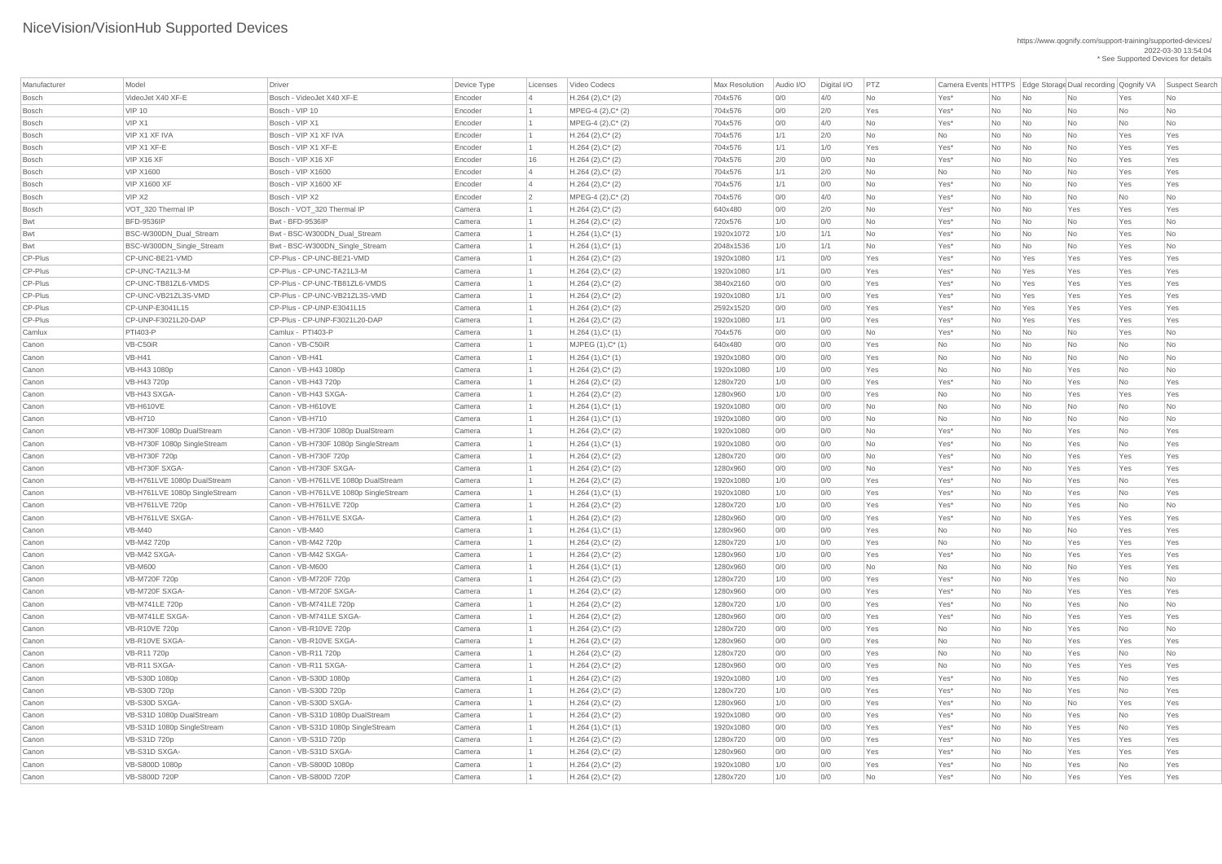| Manufacturer | Model                         | Driver                                | Device Type | Licenses       | Video Codecs         | <b>Max Resolution</b> | Audio I/O | Digital I/O | PTZ       |         |                |                             | Camera Events HTTPS Edge Storage Dual recording Qognify VA |           | Suspect Search |
|--------------|-------------------------------|---------------------------------------|-------------|----------------|----------------------|-----------------------|-----------|-------------|-----------|---------|----------------|-----------------------------|------------------------------------------------------------|-----------|----------------|
| <b>Bosch</b> | VideoJet X40 XF-E             | Bosch - VideoJet X40 XF-E             | Encoder     |                | $H.264 (2), C^*(2)$  | 704x576               | 0/0       | 4/0         | No        | Yes*    | No             | No                          | No                                                         | Yes       | No             |
| <b>Bosch</b> | <b>VIP 10</b>                 | Bosch - VIP 10                        | Encoder     |                | MPEG-4 (2), C* (2)   | 704x576               | 0/0       | 2/0         | Yes       | Yes*    | <b>No</b>      | No                          | No                                                         | No        | No             |
| <b>Bosch</b> | VIP X1                        | Bosch - VIP X1                        | Encoder     |                | $MPEG-4 (2), C^*(2)$ | 704x576               | 0/0       | 4/0         | No        | Yes*    | No             | $\overline{\mathsf{No}}$    | No                                                         | No        | <b>No</b>      |
| <b>Bosch</b> | VIP X1 XF IVA                 | Bosch - VIP X1 XF IVA                 | Encoder     |                | $H.264 (2), C^*(2)$  | 704x576               | 1/1       | 2/0         | No        | No      | No             | No                          | No                                                         | Yes       | Yes            |
| <b>Bosch</b> | VIP X1 XF-E                   | Bosch - VIP X1 XF-E                   | Encoder     |                | $H.264 (2), C^*(2)$  | 704x576               | 1/1       | 1/0         | Yes       | Yes*    | No             | No                          | No                                                         | Yes       | Yes            |
| <b>Bosch</b> | VIP X16 XF                    | Bosch - VIP X16 XF                    | Encoder     | 16             | $H.264 (2), C^*(2)$  | 704x576               | 2/0       | O/O         | <b>No</b> | Yes*    | No             | No                          | No                                                         | Yes       | Yes            |
| <b>Bosch</b> | <b>VIP X1600</b>              | Bosch - VIP X1600                     | Encoder     |                | $H.264 (2), C^*(2)$  | 704x576               | 1/1       | 2/0         | <b>No</b> | No      | No             | $\overline{\mathsf{No}}$    | <b>No</b>                                                  | Yes       | Yes            |
| <b>Bosch</b> | <b>VIP X1600 XF</b>           | Bosch - VIP X1600 XF                  | Encoder     | 4              | $H.264 (2), C^*(2)$  | 704x576               | 1/1       | O/O         | <b>No</b> | Yes*    | No             | No                          | No                                                         | Yes       | Yes            |
| <b>Bosch</b> | VIP X2                        | Bosch - VIP X2                        | Encoder     | $\overline{2}$ | $MPEG-4 (2), C^*(2)$ | 704x576               | 0/0       | 4/0         | <b>No</b> | Yes*    | No             | $\overline{\mathsf{No}}$    | No                                                         | No        | <b>No</b>      |
| <b>Bosch</b> | VOT_320 Thermal IP            | Bosch - VOT_320 Thermal IP            | Camera      |                | $H.264 (2), C^*(2)$  | 640x480               | 0/0       | 2/0         | No        | Yes*    | No             | $\overline{\mathsf{No}}$    | Yes                                                        | Yes       | Yes            |
| <b>Bwt</b>   | <b>BFD-9536IP</b>             | Bwt - BFD-9536IP                      | Camera      |                | $H.264 (2), C^*(2)$  | 720x576               | 1/0       | O/O         | <b>No</b> | Yes*    | No             | No                          | No                                                         | Yes       | No             |
| <b>Bwt</b>   | BSC-W300DN_Dual_Stream        | Bwt - BSC-W300DN_Dual_Stream          | Camera      |                | $H.264(1),C^*(1)$    | 1920x1072             | 1/0       | 1/1         | <b>No</b> | Yes*    | No             | No                          | No                                                         | Yes       | <b>No</b>      |
| <b>Bwt</b>   | BSC-W300DN_Single_Stream      | Bwt - BSC-W300DN_Single_Stream        | Camera      |                | $H.264(1),C^*(1)$    | 2048x1536             | 1/0       | 1/1         | No        | Yes*    | No             | $\overline{\mathsf{No}}$    | No                                                         | Yes       | No             |
| CP-Plus      | CP-UNC-BE21-VMD               | CP-Plus - CP-UNC-BE21-VMD             | Camera      |                | $H.264 (2), C^*(2)$  | 1920x1080             | 1/1       | O/O         | Yes       | Yes*    | No             | Yes                         | Yes                                                        | Yes       | Yes            |
| CP-Plus      | CP-UNC-TA21L3-M               | CP-Plus - CP-UNC-TA21L3-M             | Camera      |                | $H.264 (2), C^*(2)$  | 1920x1080             | 1/1       | O/O         | Yes       | Yes*    | No             | Yes                         | Yes                                                        | Yes       | Yes            |
| CP-Plus      | CP-UNC-TB81ZL6-VMDS           | CP-Plus - CP-UNC-TB81ZL6-VMDS         | Camera      |                | $H.264 (2), C^*(2)$  | 3840x2160             | 0/0       | 0/0         | Yes       | Yes*    | No             | Yes                         | Yes                                                        | Yes       | Yes            |
| CP-Plus      | CP-UNC-VB21ZL3S-VMD           | CP-Plus - CP-UNC-VB21ZL3S-VMD         | Camera      |                | $H.264 (2), C^*(2)$  | 1920x1080             | 1/1       | O/O         | Yes       | Yes*    | No             | Yes                         | Yes                                                        | Yes       | Yes            |
| CP-Plus      | CP-UNP-E3041L15               | CP-Plus - CP-UNP-E3041L15             | Camera      |                | $H.264 (2), C^*(2)$  | 2592x1520             | 0/0       | O/O         | Yes       | Yes*    | No             | Yes                         | Yes                                                        | Yes       | Yes            |
| CP-Plus      | CP-UNP-F3021L20-DAP           | CP-Plus - CP-UNP-F3021L20-DAP         | Camera      |                | $H.264 (2), C^*(2)$  | 1920x1080             | 1/1       | 0/0         | Yes       | Yes*    | No             | Yes                         | Yes                                                        | Yes       | Yes            |
| Camlux       | <b>PTI403-P</b>               | Camlux - PTI403-P                     | Camera      |                | $H.264(1),C^*(1)$    | 704x576               | 0/0       | 0/0         | <b>No</b> | Yes*    | No             | No                          | No                                                         | Yes       | <b>No</b>      |
| Canon        | VB-C50iR                      | Canon - VB-C50iR                      | Camera      |                | $MJPEG (1), C^* (1)$ | 640x480               | 0/0       | O/O         | Yes       | No      | No             | No                          | No                                                         | No        | <b>No</b>      |
| Canon        | $VB-H41$                      | Canon - VB-H41                        | Camera      |                | $H.264(1),C^*(1)$    | 1920x1080             | 0/0       | 0/0         | Yes       | No      | No             | $\overline{\mathsf{No}}$    | No                                                         | No        | No             |
| Canon        | VB-H43 1080p                  | Canon - VB-H43 1080p                  | Camera      |                | $H.264 (2), C^*(2)$  | 1920x1080             | 1/0       | 0/0         | Yes       | No      | No             | No                          | Yes                                                        | No        | <b>No</b>      |
| Canon        | VB-H43 720p                   | Canon - VB-H43 720p                   | Camera      |                | $H.264 (2), C^*(2)$  | 1280x720              | 1/0       | O/O         | Yes       | Yes*    | No             | No                          | Yes                                                        | No        | Yes            |
| Canon        | VB-H43 SXGA-                  | Canon - VB-H43 SXGA-                  | Camera      |                | $H.264 (2), C^*(2)$  | 1280x960              | 1/0       | 0/0         | Yes       | No      | <b>No</b>      | No                          | Yes                                                        | Yes       | Yes            |
| Canon        | <b>VB-H610VE</b>              | Canon - VB-H610VE                     | Camera      |                | $H.264(1),C^*(1)$    | 1920x1080             | 0/0       | 0/0         | No.       | No.     | No.            | No                          | No                                                         | No        | No             |
| Canon        | <b>VB-H710</b>                | Canon - VB-H710                       | Camera      |                | $H.264(1),C^*(1)$    | 1920x1080             | 0/0       | O/O         | No        | No      | <b>No</b>      | $\overline{\mathsf{No}}$    | No                                                         | No        | <b>No</b>      |
| Canon        | VB-H730F 1080p DualStream     | Canon - VB-H730F 1080p DualStream     | Camera      |                | $H.264 (2), C^*(2)$  | 1920x1080             | 0/0       | 0/0         | No        | Yes*    | N <sub>o</sub> | $\overline{\mathsf{No}}$    | Yes                                                        | No        | Yes            |
| Canon        | VB-H730F 1080p SingleStream   | Canon - VB-H730F 1080p SingleStream   | Camera      |                | $H.264(1),C^*(1)$    | 1920x1080             | 0/0       | 0/0         | No        | Yes*    | No             | $\overline{\mathsf{No}}$    | Yes                                                        | No        | Yes            |
| Canon        | VB-H730F 720p                 | Canon - VB-H730F 720p                 | Camera      |                | $H.264 (2), C^*(2)$  | 1280x720              | 0/0       | O/O         | <b>No</b> | Yes*    | No             | No                          | Yes                                                        | Yes       | Yes            |
| Canon        | VB-H730F SXGA-                | Canon - VB-H730F SXGA-                | Camera      |                | $H.264 (2), C^*(2)$  | 1280x960              | 0/0       | 0/0         | No        | Yes*    | No             | $\overline{\mathsf{No}}$    | Yes                                                        | Yes       | Yes            |
| Canon        | VB-H761LVE 1080p DualStream   | Canon - VB-H761LVE 1080p DualStream   | Camera      |                | $H.264 (2), C^*(2)$  | 1920x1080             | 1/0       | 0/0         | Yes       | Yes*    | No             | $\overline{\mathsf{No}}$    | Yes                                                        | No        | Yes            |
| Canon        | VB-H761LVE 1080p SingleStream | Canon - VB-H761LVE 1080p SingleStream | Camera      |                | $H.264(1),C^*(1)$    | 1920x1080             | 1/0       | O/O         | Yes       | Yes*    | No             | $\overline{\mathsf{No}}$    | Yes                                                        | No        | Yes            |
| Canon        | VB-H761LVE 720p               | Canon - VB-H761LVE 720p               | Camera      |                | $H.264 (2), C^*(2)$  | 1280x720              | 1/0       | 0/0         | Yes       | Yes*    | No             | $\overline{\mathsf{No}}$    | Yes                                                        | No        | No             |
| Canon        | VB-H761LVE SXGA-              | Canon - VB-H761LVE SXGA-              | Camera      |                | $H.264 (2), C^*(2)$  | 1280x960              | 0/0       | 0/0         | Yes       | Yes*    | No             | $\overline{\mathsf{No}}$    | Yes                                                        | Yes       | Yes            |
| Canon        | <b>VB-M40</b>                 | Canon - VB-M40                        | Camera      |                | $H.264(1),C^*(1)$    | 1280x960              | 0/0       | O/O         | Yes       | No      | No             | $\overline{\mathsf{No}}$    | No                                                         | Yes       | Yes            |
| Canon        | VB-M42 720p                   | Canon - VB-M42 720p                   | Camera      |                | $H.264 (2), C^*(2)$  | 1280x720              | 1/0       | O/O         | Yes       | No      | No             | $\overline{\mathsf{No}}$    | Yes                                                        | Yes       | Yes            |
| Canon        | VB-M42 SXGA-                  | Canon - VB-M42 SXGA-                  | Camera      |                | $H.264 (2), C^*(2)$  | 1280x960              | 1/0       | 0/0         | Yes       | Yes*    | No             | $\overline{\mathsf{No}}$    | Yes                                                        | Yes       | Yes            |
| Canon        | <b>VB-M600</b>                | Canon - VB-M600                       | Camera      |                | $H.264(1),C^*(1)$    | 1280x960              | 0/0       | O/O         | No        | No      | No             | $\overline{\mathsf{No}}$    | No                                                         | Yes       | Yes            |
| Canon        | VB-M720F 720p                 | Canon - VB-M720F 720p                 | Camera      |                | $H.264 (2), C^*(2)$  | 1280x720              | 1/0       | 0/0         | Yes       | Yes*    | No             | $\overline{\mathsf{No}}$    | Yes                                                        | No        | No             |
| Canon        | VB-M720F SXGA-                | Canon - VB-M720F SXGA-                | Camera      |                | $H.264 (2), C^*(2)$  | 1280x960              | 0/0       | 0/0         | Yes       | Yes*    | No             | $\overline{\mathsf{No}}$    | Yes                                                        | Yes       | Yes            |
| Canon        | VB-M741LE 720p                | Canon - VB-M741LE 720p                | Camera      |                | $H.264 (2), C^*(2)$  | 1280x720              | 1/0       | O/O         | Yes       | Yes*    | No             | No                          | Yes                                                        | No        | No             |
| Canon        | VB-M741LE SXGA-               | Canon - VB-M741LE SXGA-               | Camera      |                | $H.264 (2), C^*(2)$  | 1280x960              | 0/0       | 0/0         | Yes       | Yes*    | No             | No                          | Yes                                                        | Yes       | Yes            |
| Canon        | <b>VB-R10VE 720p</b>          | Canon - VB-R10VE 720p                 | Camera      |                | $H.264 (2), C^*(2)$  | 1280x720              | 0/0       | 0/0         | Yes       | No      | No             | $\overline{\mathsf{No}}$    | Yes                                                        | No        | No             |
| Canon        | VB-R10VE SXGA-                | Canon - VB-R10VE SXGA-                | Camera      |                | $H.264 (2), C^*(2)$  | 1280x960              | 0/0       | O/O         | Yes       | No      | No             | $\overline{\mathsf{No}}$    | Yes                                                        | Yes       | Yes            |
| Canon        | VB-R11 720p                   | Canon - VB-R11 720p                   | Camera      |                | $H.264 (2), C^*(2)$  | 1280x720              | 0/0       | 0/0         | Yes       | No      | No             | No                          | Yes                                                        | No        | No             |
| Canon        | VB-R11 SXGA-                  | Canon - VB-R11 SXGA-                  | Camera      |                | $H.264 (2), C^*(2)$  | 1280x960              | 0/0       | 0/0         | Yes       | No      | No             | $\overline{\mathsf{No}}$    | Yes                                                        | Yes       | Yes            |
| Canon        | VB-S30D 1080p                 | Canon - VB-S30D 1080p                 | Camera      |                | $H.264 (2), C^*(2)$  | 1920x1080             | 1/0       | O/O         | Yes       | Yes*    | No             | No                          | Yes                                                        | No        | Yes            |
| Canon        | VB-S30D 720p                  | Canon - VB-S30D 720p                  | Camera      |                | $H.264 (2), C^*(2)$  | 1280x720              | 1/0       | 0/0         | Yes       | Yes*    | No             | No                          | Yes                                                        | No        | Yes            |
| Canon        | VB-S30D SXGA-                 | Canon - VB-S30D SXGA-                 | Camera      |                | $H.264 (2), C^*(2)$  | 1280x960              | 1/0       | 0/0         | Yes       | Yes*    | No             | $\overline{\mathsf{No}}$    | No                                                         | Yes       | Yes            |
| Canon        | VB-S31D 1080p DualStream      | Canon - VB-S31D 1080p DualStream      | Camera      |                | $H.264 (2), C^*(2)$  | 1920x1080             | 0/0       | O/O         | Yes       | Yes*    | No             | No                          | Yes                                                        | No        | Yes            |
| Canon        | VB-S31D 1080p SingleStream    | Canon - VB-S31D 1080p SingleStream    | Camera      |                | $H.264(1),C^*(1)$    | 1920x1080             | O/O       | 0/0         | Yes       | Yes*    | <b>No</b>      | <b>No</b>                   | Yes                                                        | <b>No</b> | Yes            |
| Canon        | VB-S31D 720p                  | Canon - VB-S31D 720p                  | Camera      |                | $H.264 (2), C^*(2)$  | 1280x720              | 0/0       | 0/0         | Yes       | $Yes^*$ | No             | $\overline{\phantom{a}}$ No | Yes                                                        | Yes       | Yes            |
| Canon        | VB-S31D SXGA-                 | Canon - VB-S31D SXGA-                 | Camera      |                | $H.264 (2), C^*(2)$  | 1280x960              | 0/0       | 0/0         | Yes       | $Yes^*$ | No             | $\overline{\mathsf{No}}$    | Yes                                                        | Yes       | Yes            |
| Canon        | VB-S800D 1080p                | Canon - VB-S800D 1080p                | Camera      |                | $H.264 (2), C^*(2)$  | 1920x1080             | 1/0       | 0/0         | Yes       | Yes*    | No             | $\overline{\mathsf{No}}$    | Yes                                                        | No        | Yes            |
| Canon        | <b>VB-S800D 720P</b>          | Canon - VB-S800D 720P                 | Camera      |                | $H.264 (2), C^*(2)$  | 1280x720              | 1/0       | 0/0         | No        | Yes*    | No             | $\overline{\phantom{a}}$ No | Yes                                                        | Yes       | Yes            |
|              |                               |                                       |             |                |                      |                       |           |             |           |         |                |                             |                                                            |           |                |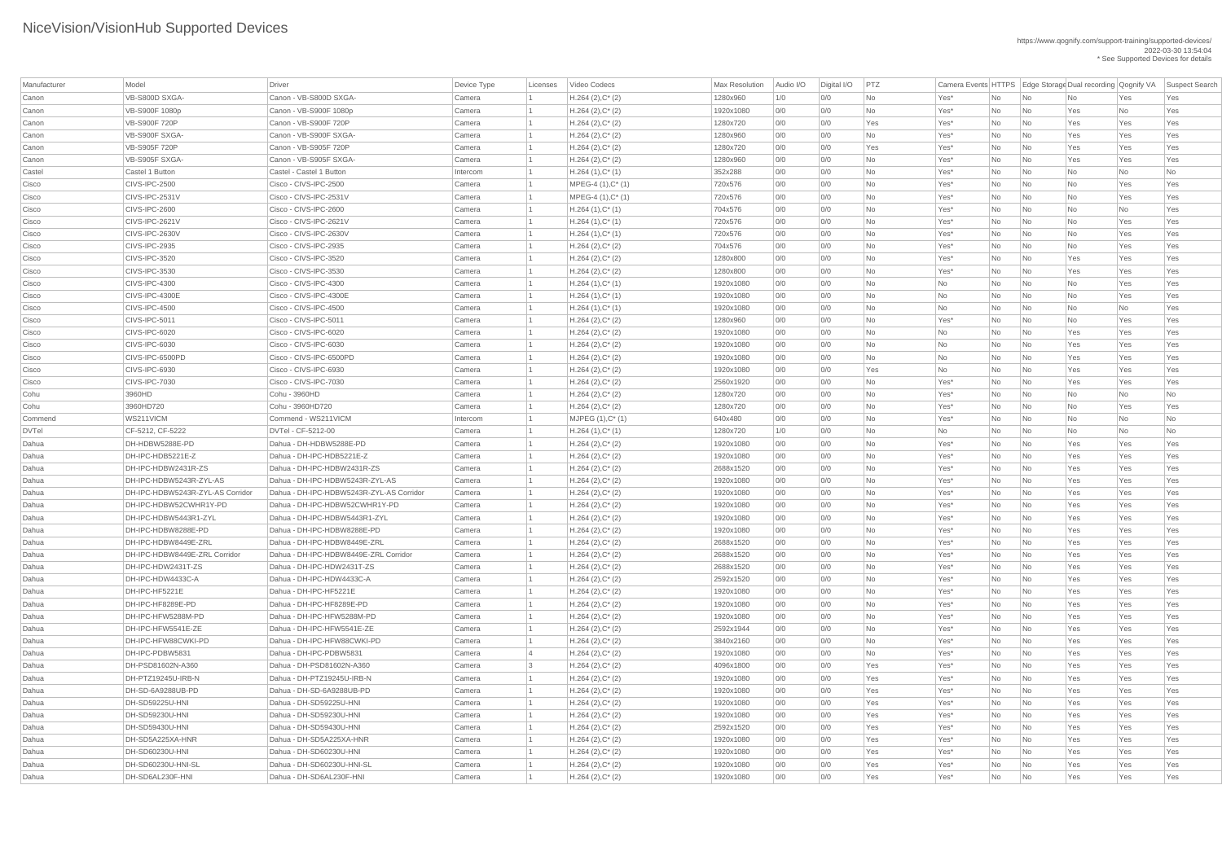| Manufacturer | Model                            | Driver                                   | Device Type | Licenses       | Video Codecs         | <b>Max Resolution</b> | Audio I/O | Digital I/O | PTZ       |           |     |                          |           |           | Camera Events HTTPS Edge Storage Dual recording Qognify VA Suspect Search |
|--------------|----------------------------------|------------------------------------------|-------------|----------------|----------------------|-----------------------|-----------|-------------|-----------|-----------|-----|--------------------------|-----------|-----------|---------------------------------------------------------------------------|
| Canon        | VB-S800D SXGA-                   | Canon - VB-S800D SXGA-                   | Camera      |                | $H.264 (2), C^*(2)$  | 1280x960              | 1/0       | 0/0         | <b>No</b> | Yes*      | No  | $\overline{\mathsf{No}}$ | No        | Yes       | Yes                                                                       |
| Canon        | VB-S900F 1080p                   | Canon - VB-S900F 1080p                   | Camera      |                | $H.264 (2), C^*(2)$  | 1920x1080             | 0/0       | 0/0         | No        | Yes*      | No  | $\overline{\mathsf{No}}$ | Yes       | No        | Yes                                                                       |
| Canon        | <b>VB-S900F 720P</b>             | Canon - VB-S900F 720P                    | Camera      |                | $H.264 (2), C^*(2)$  | 1280x720              | 0/0       | 0/0         | Yes       | Yes*      | No  | $\overline{\mathsf{No}}$ | Yes       | Yes       | Yes                                                                       |
| Canon        | VB-S900F SXGA-                   | Canon - VB-S900F SXGA-                   | Camera      |                | $H.264 (2), C^*(2)$  | 1280x960              | 0/0       | 0/0         | <b>No</b> | Yes*      | No  | $\overline{\mathsf{No}}$ | Yes       | Yes       | Yes                                                                       |
| Canon        | VB-S905F 720P                    | Canon - VB-S905F 720P                    | Camera      |                | $H.264 (2), C^*(2)$  | 1280x720              | 0/0       | 0/0         | Yes       | Yes*      | No  | $\overline{\mathsf{No}}$ | Yes       | Yes       | Yes                                                                       |
| Canon        | VB-S905F SXGA-                   | Canon - VB-S905F SXGA-                   | Camera      |                | $H.264 (2), C^*(2)$  | 1280x960              | 0/0       | 0/0         | <b>No</b> | Yes*      | No  | No                       | Yes       | Yes       | Yes                                                                       |
| Castel       | Castel 1 Button                  | Castel - Castel 1 Button                 | Intercom    |                | $H.264(1),C^*(1)$    | 352x288               | 0/0       | 0/0         | <b>No</b> | Yes*      | No  | $\overline{\mathsf{No}}$ | No        | No        | No                                                                        |
| Cisco        | CIVS-IPC-2500                    | Cisco - CIVS-IPC-2500                    | Camera      |                | $MPEG-4 (1), C^*(1)$ | 720x576               | 0/0       | 0/0         | No        | Yes*      | No  | $\overline{\mathsf{No}}$ | No        | Yes       | Yes                                                                       |
| Cisco        | CIVS-IPC-2531V                   | Cisco - CIVS-IPC-2531V                   | Camera      |                | $MPEG-4 (1), C^*(1)$ | 720x576               | 0/0       | 0/0         | <b>No</b> | Yes*      | No  | $\overline{\mathsf{No}}$ | No        | Yes       | Yes                                                                       |
| Cisco        | CIVS-IPC-2600                    | Cisco - CIVS-IPC-2600                    | Camera      |                | $H.264(1),C^*(1)$    | 704x576               | 0/0       | 0/0         | <b>No</b> | Yes*      | No  | $\overline{\mathsf{No}}$ | No        | No        | Yes                                                                       |
| Cisco        | CIVS-IPC-2621V                   | Cisco - CIVS-IPC-2621V                   | Camera      |                | $H.264(1),C^*(1)$    | 720x576               | 0/0       | 0/0         | No        | Yes*      | No  | $\overline{\mathsf{No}}$ | No        | Yes       | Yes                                                                       |
| Cisco        | CIVS-IPC-2630V                   | Cisco - CIVS-IPC-2630V                   | Camera      |                | $H.264(1),C^*(1)$    | 720x576               | 0/0       | 0/0         | No        | Yes*      | No  | No                       | No        | Yes       | Yes                                                                       |
| Cisco        | CIVS-IPC-2935                    | Cisco - CIVS-IPC-2935                    | Camera      |                | $H.264 (2), C^*(2)$  | 704x576               | 0/0       | 0/0         | <b>No</b> | Yes*      | No  | $\overline{\mathsf{No}}$ | No        | Yes       | Yes                                                                       |
| Cisco        | CIVS-IPC-3520                    | Cisco - CIVS-IPC-3520                    | Camera      |                | $H.264 (2), C^*(2)$  | 1280x800              | 0/0       | 0/0         | No        | Yes*      | No  | $\overline{\mathsf{No}}$ | Yes       | Yes       | Yes                                                                       |
| Cisco        | CIVS-IPC-3530                    | Cisco - CIVS-IPC-3530                    | Camera      |                | $H.264 (2), C^*(2)$  | 1280x800              | 0/0       | 0/0         | <b>No</b> | Yes*      | No  | $\overline{\mathsf{No}}$ | Yes       | Yes       | Yes                                                                       |
| Cisco        | CIVS-IPC-4300                    | Cisco - CIVS-IPC-4300                    | Camera      |                | $H.264(1),C^*(1)$    | 1920x1080             | 0/0       | 0/0         | <b>No</b> | No        | No  | $\overline{\mathsf{No}}$ | No        | Yes       | Yes                                                                       |
| Cisco        | CIVS-IPC-4300E                   | Cisco - CIVS-IPC-4300E                   | Camera      |                | $H.264(1),C^*(1)$    | 1920x1080             | 0/0       | 0/0         | No        | No        | No  | $\overline{\mathsf{No}}$ | No        | Yes       | Yes                                                                       |
| Cisco        | CIVS-IPC-4500                    | Cisco - CIVS-IPC-4500                    | Camera      |                | $H.264(1),C^*(1)$    | 1920x1080             | 0/0       | 0/0         | No        | No        | No  | $\overline{\mathsf{No}}$ | No        | No        | Yes                                                                       |
| Cisco        | CIVS-IPC-5011                    | Cisco - CIVS-IPC-5011                    | Camera      |                | $H.264 (2), C^*(2)$  | 1280x960              | 0/0       | 0/0         | <b>No</b> | Yes*      | No  | $\overline{\mathsf{No}}$ | No        | Yes       | Yes                                                                       |
| Cisco        | CIVS-IPC-6020                    | Cisco - CIVS-IPC-6020                    | Camera      |                | $H.264 (2), C^*(2)$  | 1920x1080             | 0/0       | 0/0         | No        | No        | No  | $\overline{\mathsf{No}}$ | Yes       | Yes       | Yes                                                                       |
| Cisco        | CIVS-IPC-6030                    | Cisco - CIVS-IPC-6030                    | Camera      |                | $H.264 (2), C^*(2)$  | 1920x1080             | 0/0       | 0/0         | No        | No        | No  | $\overline{\mathsf{No}}$ | Yes       | Yes       | Yes                                                                       |
| Cisco        | CIVS-IPC-6500PD                  | Cisco - CIVS-IPC-6500PD                  | Camera      |                | $H.264 (2), C^*(2)$  | 1920x1080             | 0/0       | 0/0         | <b>No</b> | <b>No</b> | No  | $\overline{\mathsf{No}}$ | Yes       | Yes       | Yes                                                                       |
| Cisco        | CIVS-IPC-6930                    | Cisco - CIVS-IPC-6930                    | Camera      |                | $H.264 (2), C^*(2)$  | 1920x1080             | 0/0       | 0/0         | Yes       | No        | No  | $\overline{\mathsf{No}}$ | Yes       | Yes       | Yes                                                                       |
| Cisco        | CIVS-IPC-7030                    | Cisco - CIVS-IPC-7030                    | Camera      |                | $H.264 (2), C^*(2)$  | 2560x1920             | 0/0       | 0/0         | No        | Yes*      | No  | $\overline{\mathsf{No}}$ | Yes       | Yes       | Yes                                                                       |
| Cohu         | 3960HD                           | Cohu - 3960HD                            | Camera      |                | $H.264 (2), C^*(2)$  | 1280x720              | O/O       | 0/0         | No        | Yes*      | No  | $\overline{\mathsf{No}}$ | No        | No        | No                                                                        |
| Cohu         | 3960HD720                        | Cohu - 3960HD720                         | Camera      |                | $H.264 (2), C^*(2)$  | 1280x720              | 0/0       | 0/0         | No        | Yes*      | No. | No                       | <b>No</b> | Yes       | Yes                                                                       |
| Commend      | WS211VICM                        | Commend - WS211VICM                      | Intercom    |                | $MJPEG (1), C^*(1)$  | 640x480               | 0/0       | 0/0         | No        | Yes*      |     | $\overline{\mathsf{No}}$ | No        | No        | No                                                                        |
| <b>DVTel</b> | CF-5212, CF-5222                 | DVTel - CF-5212-00                       | Camera      |                | $H.264(1),C^*(1)$    | 1280x720              | 1/0       | 0/0         | <b>No</b> | No        | No  | $\overline{\mathsf{No}}$ | No        | <b>No</b> | No                                                                        |
| Dahua        | DH-HDBW5288E-PD                  | Dahua - DH-HDBW5288E-PD                  |             |                | $H.264 (2), C^*(2)$  | 1920x1080             | O/O       | 0/0         | <b>No</b> | Yes*      | No  | $\overline{\mathsf{No}}$ |           | Yes       | Yes                                                                       |
| Dahua        | DH-IPC-HDB5221E-Z                | Dahua - DH-IPC-HDB5221E-Z                | Camera      |                |                      |                       |           |             | <b>No</b> |           | No  |                          | Yes       |           |                                                                           |
|              | DH-IPC-HDBW2431R-ZS              | Dahua - DH-IPC-HDBW2431R-ZS              | Camera      |                | $H.264 (2), C^*(2)$  | 1920x1080             | 0/0       | 0/0         |           | Yes*      | No  | No                       | Yes       | Yes       | Yes                                                                       |
| Dahua        |                                  | Dahua - DH-IPC-HDBW5243R-ZYL-AS          | Camera      |                | $H.264 (2), C^*(2)$  | 2688x1520             | 0/0       | 0/0         | <b>No</b> | Yes*      | No  | $\overline{\mathsf{No}}$ | Yes       | Yes       | Yes                                                                       |
| Dahua        | DH-IPC-HDBW5243R-ZYL-AS          |                                          | Camera      |                | $H.264 (2), C^*(2)$  | 1920x1080             | 0/0       | 0/0         | <b>No</b> | Yes*      | No  | $\overline{\mathsf{No}}$ | Yes       | Yes       | Yes                                                                       |
| Dahua        | DH-IPC-HDBW5243R-ZYL-AS Corridor | Dahua - DH-IPC-HDBW5243R-ZYL-AS Corridor | Camera      |                | $H.264 (2), C^*(2)$  | 1920x1080             | 0/0       | 0/0         | No        | Yes*      | No  | $\overline{\mathsf{No}}$ | Yes       | Yes       | Yes                                                                       |
| Dahua        | DH-IPC-HDBW52CWHR1Y-PD           | Dahua - DH-IPC-HDBW52CWHR1Y-PD           | Camera      |                | $H.264 (2), C^*(2)$  | 1920x1080             | 0/0       | 0/0         | <b>No</b> | Yes*      | No  | $\overline{\mathsf{No}}$ | Yes       | Yes       | Yes                                                                       |
| Dahua        | DH-IPC-HDBW5443R1-ZYL            | Dahua - DH-IPC-HDBW5443R1-ZYL            | Camera      |                | $H.264 (2), C^*(2)$  | 1920x1080             | 0/0       | 0/0         | <b>No</b> | Yes*      | No  | $\overline{\mathsf{No}}$ | Yes       | Yes       | Yes                                                                       |
| Dahua        | DH-IPC-HDBW8288E-PD              | Dahua - DH-IPC-HDBW8288E-PD              | Camera      |                | $H.264 (2), C^*(2)$  | 1920x1080             | 0/0       | 0/0         | <b>No</b> | Yes*      | No  | No                       | Yes       | Yes       | Yes                                                                       |
| Dahua        | DH-IPC-HDBW8449E-ZRL             | Dahua - DH-IPC-HDBW8449E-ZRL             | Camera      |                | $H.264 (2), C^*(2)$  | 2688x1520             | 0/0       | 0/0         | <b>No</b> | Yes*      | No  | $\overline{\mathsf{No}}$ | Yes       | Yes       | Yes                                                                       |
| Dahua        | DH-IPC-HDBW8449E-ZRL Corridor    | Dahua - DH-IPC-HDBW8449E-ZRL Corridor    | Camera      |                | $H.264 (2), C^*(2)$  | 2688x1520             | 0/0       | 0/0         | <b>No</b> | Yes*      | No  | $\overline{\mathsf{No}}$ | Yes       | Yes       | Yes                                                                       |
| Dahua        | DH-IPC-HDW2431T-ZS               | Dahua - DH-IPC-HDW2431T-ZS               | Camera      |                | $H.264 (2), C^*(2)$  | 2688x1520             | 0/0       | 0/0         | No        | Yes*      | No  | No                       | Yes       | Yes       | Yes                                                                       |
| Dahua        | DH-IPC-HDW4433C-A                | Dahua - DH-IPC-HDW4433C-A                | Camera      |                | $H.264 (2), C^*(2)$  | 2592x1520             | 0/0       | 0/0         | <b>No</b> | Yes*      | No  | $\overline{\mathsf{No}}$ | Yes       | Yes       | Yes                                                                       |
| Dahua        | DH-IPC-HF5221E                   | Dahua - DH-IPC-HF5221E                   | Camera      |                | $H.264 (2), C^*(2)$  | 1920x1080             | 0/0       | 0/0         | <b>No</b> | Yes*      | No  | $\overline{\mathsf{No}}$ | Yes       | Yes       | Yes                                                                       |
| Dahua        | DH-IPC-HF8289E-PD                | Dahua - DH-IPC-HF8289E-PD                | Camera      |                | $H.264 (2), C^*(2)$  | 1920x1080             | 0/0       | 0/0         | <b>No</b> | Yes*      | No  | No                       | Yes       | Yes       | Yes                                                                       |
| Dahua        | DH-IPC-HFW5288M-PD               | Dahua - DH-IPC-HFW5288M-PD               | Camera      |                | $H.264 (2), C^*(2)$  | 1920x1080             | 0/0       | 0/0         | <b>No</b> | Yes*      | No  | $\overline{\mathsf{No}}$ | Yes       | Yes       | Yes                                                                       |
| Dahua        | DH-IPC-HFW5541E-ZE               | Dahua - DH-IPC-HFW5541E-ZE               | Camera      |                | $H.264 (2), C^*(2)$  | 2592x1944             | 0/0       | 0/0         | <b>No</b> | Yes*      | No  | $\overline{\mathsf{No}}$ | Yes       | Yes       | Yes                                                                       |
| Dahua        | DH-IPC-HFW88CWKI-PD              | Dahua - DH-IPC-HFW88CWKI-PD              | Camera      |                | $H.264 (2), C^*(2)$  | 3840x2160             | 0/0       | 0/0         | <b>No</b> | Yes*      | No  | $\overline{\mathsf{No}}$ | Yes       | Yes       | Yes                                                                       |
| Dahua        | DH-IPC-PDBW5831                  | Dahua - DH-IPC-PDBW5831                  | Camera      |                | $H.264 (2), C^*(2)$  | 1920x1080             | 0/0       | 0/0         | <b>No</b> | Yes*      | No  | $\overline{\mathsf{No}}$ | Yes       | Yes       | Yes                                                                       |
| Dahua        | DH-PSD81602N-A360                | Dahua - DH-PSD81602N-A360                | Camera      | $\overline{3}$ | $H.264 (2), C^*(2)$  | 4096x1800             | 0/0       | 0/0         | Yes       | Yes*      | No  | $\overline{\mathsf{No}}$ | Yes       | Yes       | Yes                                                                       |
| Dahua        | DH-PTZ19245U-IRB-N               | Dahua - DH-PTZ19245U-IRB-N               | Camera      |                | $H.264 (2), C^*(2)$  | 1920x1080             | 0/0       | 0/0         | Yes       | Yes*      | No  | No                       | Yes       | Yes       | Yes                                                                       |
| Dahua        | DH-SD-6A9288UB-PD                | Dahua - DH-SD-6A9288UB-PD                | Camera      |                | $H.264 (2), C^*(2)$  | 1920x1080             | 0/0       | 0/0         | Yes       | Yes*      | No  | $\overline{\mathsf{No}}$ | Yes       | Yes       | Yes                                                                       |
| Dahua        | DH-SD59225U-HNI                  | Dahua - DH-SD59225U-HNI                  | Camera      |                | $H.264 (2), C^*(2)$  | 1920x1080             | 0/0       | 0/0         | Yes       | Yes*      | No  | $\overline{\mathsf{No}}$ | Yes       | Yes       | Yes                                                                       |
| Dahua        | DH-SD59230U-HNI                  | Dahua - DH-SD59230U-HNI                  | Camera      |                | $H.264 (2), C^*(2)$  | 1920x1080             | 0/0       | 0/0         | Yes       | Yes*      | No. | No                       | Yes       | Yes       | Yes                                                                       |
| Dahua        | <b>DH-SD59430U-HNI</b>           | Dahua - DH-SD59430U-HNI                  | Camera      |                | $H.264 (2), C^*(2)$  | 2592x1520             | 0/0       | 0/0         | Yes       | Yes*      | No  | $\overline{\mathsf{No}}$ | Yes       | Yes       | Yes                                                                       |
| Dahua        | DH-SD5A225XA-HNR                 | Dahua - DH-SD5A225XA-HNR                 | Camera      |                | $H.264 (2), C^*(2)$  | 1920x1080             | 0/0       | 0/0         | Yes       | $Yes^*$   | No  | N <sub>o</sub>           | Yes       | Yes       | Yes                                                                       |
| Dahua        | <b>DH-SD60230U-HNI</b>           | Dahua - DH-SD60230U-HNI                  | Camera      |                | $H.264 (2), C^*(2)$  | 1920x1080             | 0/0       | 0/0         | Yes       | $Yes^*$   | No  | $\overline{\mathsf{No}}$ | Yes       | Yes       | Yes                                                                       |
| Dahua        | DH-SD60230U-HNI-SL               | Dahua - DH-SD60230U-HNI-SL               | Camera      |                | $H.264 (2), C^*(2)$  | 1920x1080             | 0/0       | 0/0         | Yes       | Yes*      | No  | $\overline{\mathsf{No}}$ | Yes       | Yes       | Yes                                                                       |
| Dahua        | DH-SD6AL230F-HNI                 | Dahua - DH-SD6AL230F-HNI                 | Camera      |                | $H.264 (2), C^*(2)$  | 1920x1080             | 0/0       | 0/0         | Yes       | Yes*      | No  | $\overline{\mathsf{No}}$ | Yes       | Yes       | Yes                                                                       |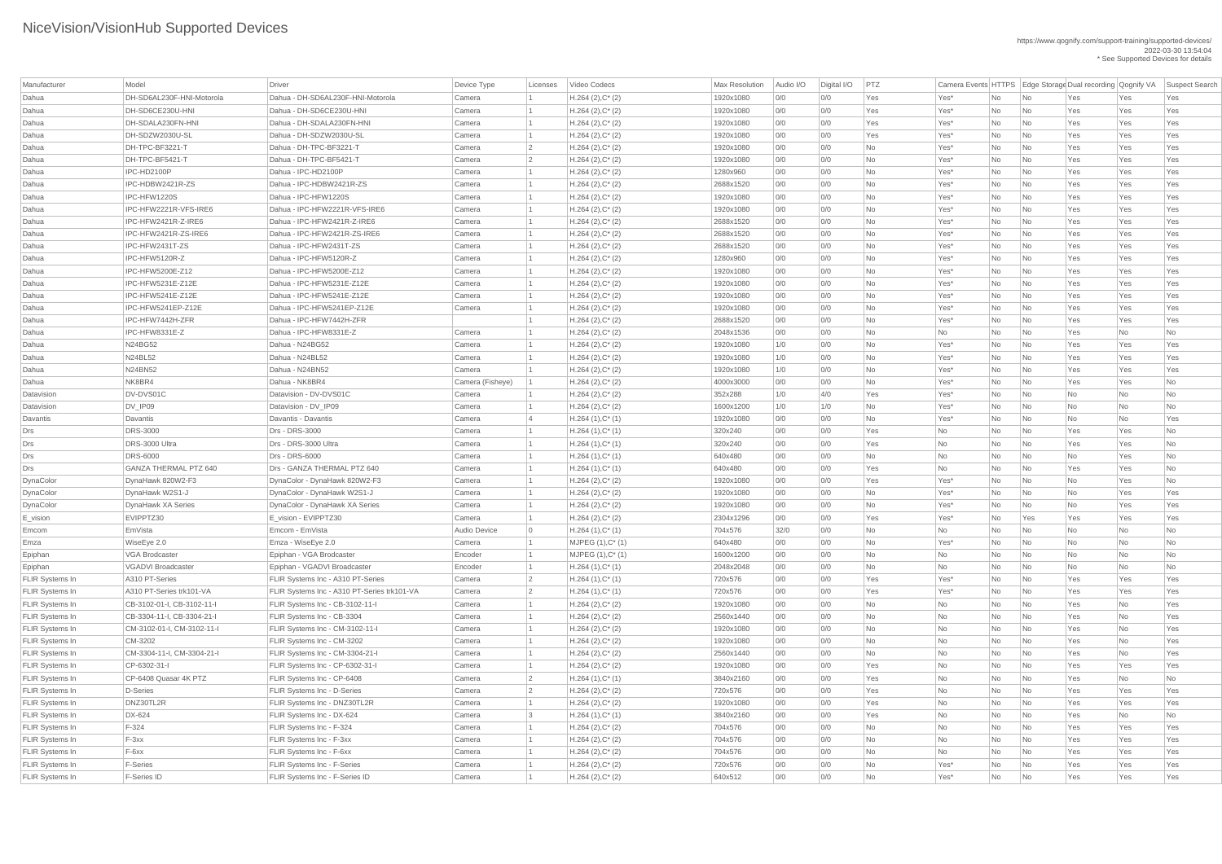| Manufacturer           | Model                                       | Driver                                                       | Device Type      | Licenses       | Video Codecs           | Max Resolution       | Audio I/O  | Digital I/O | PTZ        |                  |           |                             | Camera Events HTTPS Edge Storage Dual recording Qognify VA |           | Suspect Search |
|------------------------|---------------------------------------------|--------------------------------------------------------------|------------------|----------------|------------------------|----------------------|------------|-------------|------------|------------------|-----------|-----------------------------|------------------------------------------------------------|-----------|----------------|
| Dahua                  | DH-SD6AL230F-HNI-Motorola                   | Dahua - DH-SD6AL230F-HNI-Motorola                            | Camera           |                | $H.264 (2), C^*(2)$    | 1920x1080            | 0/0        | 0/0         | Yes        | Yes*             | No        | No                          | Yes                                                        | Yes       | Yes            |
| Dahua                  | DH-SD6CE230U-HNI                            | Dahua - DH-SD6CE230U-HNI                                     | Camera           |                | $H.264$ (2), $C^*$ (2) | 1920x1080            | 0/0        | 0/0         | Yes        | Yes*             | No        | No                          | Yes                                                        | Yes       | Yes            |
| Dahua                  | DH-SDALA230FN-HNI                           | Dahua - DH-SDALA230FN-HNI                                    | Camera           |                | $H.264 (2), C^*(2)$    | 1920x1080            | 0/0        | 0/0         | Yes        | Yes*             | No        | No                          | Yes                                                        | Yes       | Yes            |
| Dahua                  | DH-SDZW2030U-SL                             | Dahua - DH-SDZW2030U-SL                                      | Camera           |                | $H.264$ (2), $C^*$ (2) | 1920x1080            | 0/0        | 0/0         | Yes        | Yes*             | No        | No                          | Yes                                                        | Yes       | Yes            |
| Dahua                  | DH-TPC-BF3221-T                             | Dahua - DH-TPC-BF3221-T                                      | Camera           |                | $H.264 (2), C^*(2)$    | 1920x1080            | 0/0        | 0/0         | No         | Yes*             | No        | No                          | Yes                                                        | Yes       | Yes            |
| Dahua                  | DH-TPC-BF5421-T                             | Dahua - DH-TPC-BF5421-T                                      | Camera           |                | $H.264 (2), C^*(2)$    | 1920x1080            | 0/0        | 0/0         | No         | Yes*             | No        | No                          | Yes                                                        | Yes       | Yes            |
| Dahua                  | IPC-HD2100P                                 | Dahua - IPC-HD2100P                                          | Camera           |                | $H.264 (2), C^*(2)$    | 1280x960             | 0/0        | 0/0         | No         | Yes*             | No        | No                          | Yes                                                        | Yes       | Yes            |
| Dahua                  | IPC-HDBW2421R-ZS                            | Dahua - IPC-HDBW2421R-ZS                                     | Camera           |                | $H.264$ (2), $C^*$ (2) | 2688x1520            | 0/0        | 0/0         | <b>No</b>  | Yes*             | No        | No                          | Yes                                                        | Yes       | Yes            |
| Dahua                  | IPC-HFW1220S                                | Dahua - IPC-HFW1220S                                         | Camera           |                | $H.264 (2), C^*(2)$    | 1920x1080            | 0/0        | 0/0         | No         | Yes*             | No        | No                          | Yes                                                        | Yes       | Yes            |
| Dahua                  | IPC-HFW2221R-VFS-IRE6                       | Dahua - IPC-HFW2221R-VFS-IRE6                                | Camera           |                | $H.264$ (2), $C^*$ (2) | 1920x1080            | 0/0        | 0/0         | No         | Yes*             | No        | No                          | Yes                                                        | Yes       | Yes            |
| Dahua                  | IPC-HFW2421R-Z-IRE6                         | Dahua - IPC-HFW2421R-Z-IRE6                                  | Camera           |                | $H.264 (2), C^*(2)$    | 2688x1520            | 0/0        | 0/0         | <b>No</b>  | Yes*             | No        | No                          | Yes                                                        | Yes       | Yes            |
| Dahua                  | IPC-HFW2421R-ZS-IRE6                        | Dahua - IPC-HFW2421R-ZS-IRE6                                 | Camera           |                | $H.264 (2), C^*(2)$    | 2688x1520            | 0/0        | 0/0         | No         | Yes*             | No        | No                          | Yes                                                        | Yes       | Yes            |
| Dahua                  | IPC-HFW2431T-ZS                             | Dahua - IPC-HFW2431T-ZS                                      | Camera           |                | $H.264 (2), C^*(2)$    | 2688x1520            | 0/0        | 0/0         | No         | Yes*             | No        | No                          | Yes                                                        | Yes       | Yes            |
| Dahua                  | IPC-HFW5120R-Z                              | Dahua - IPC-HFW5120R-Z                                       | Camera           |                | $H.264 (2), C^*(2)$    | 1280x960             | 0/0        | 0/0         | <b>No</b>  | Yes*             | No        | No                          | Yes                                                        | Yes       | Yes            |
| Dahua                  | <b>IPC-HFW5200E-Z12</b>                     | Dahua - IPC-HFW5200E-Z12                                     | Camera           |                | $H.264$ (2), $C^*$ (2) | 1920x1080            | 0/0        | 0/0         | No         | Yes*             | No        | No                          | Yes                                                        | Yes       | Yes            |
| Dahua                  | <b>IPC-HFW5231E-Z12E</b>                    | Dahua - IPC-HFW5231E-Z12E                                    | Camera           |                | $H.264$ (2), $C^*$ (2) | 1920x1080            | 0/0        | 0/0         | No         | Yes*             | No        | No                          | Yes                                                        | Yes       | Yes            |
| Dahua                  | <b>IPC-HFW5241E-Z12E</b>                    | Dahua - IPC-HFW5241E-Z12E                                    | Camera           |                | $H.264(2),C^*(2)$      | 1920x1080            | 0/0        | 0/0         | No         | Yes*             | No        | No                          | Yes                                                        | Yes       | Yes            |
| Dahua                  | IPC-HFW5241EP-Z12E                          | Dahua - IPC-HFW5241EP-Z12E                                   | Camera           |                | $H.264 (2), C^*(2)$    | 1920x1080            | 0/0        | 0/0         | No         | Yes*             | No        | No                          | Yes                                                        | Yes       | Yes            |
| Dahua                  | IPC-HFW7442H-ZFR                            | Dahua - IPC-HFW7442H-ZFR                                     |                  |                | $H.264 (2), C^*(2)$    | 2688x1520            | 0/0        | 0/0         | No         | Yes <sup>*</sup> | No        | No                          | Yes                                                        | Yes       | Yes            |
| Dahua                  | IPC-HFW8331E-Z                              | Dahua - IPC-HFW8331E-Z                                       | Camera           |                | $H.264$ (2), $C^*$ (2) | 2048x1536            | 0/0        | 0/0         | <b>No</b>  | No               | No        | No                          | Yes                                                        | No        | <b>No</b>      |
| Dahua                  | N24BG52                                     | Dahua - N24BG52                                              | Camera           |                | $H.264 (2), C^*(2)$    | 1920x1080            | 1/0        | 0/0         | <b>No</b>  | Yes <sup>*</sup> | No        | No                          | Yes                                                        | Yes       | Yes            |
| Dahua                  | <b>N24BL52</b>                              | Dahua - N24BL52                                              | Camera           |                | $H.264$ (2), $C^*$ (2) | 1920x1080            | 1/0        | 0/0         | No         | Yes*             | No        | No                          | Yes                                                        | Yes       | Yes            |
| Dahua                  | <b>N24BN52</b>                              | Dahua - N24BN52                                              | Camera           |                |                        | 1920x1080            | 1/0        | 0/0         | <b>No</b>  | Yes*             | No        | No                          | Yes                                                        | Yes       | Yes            |
| Dahua                  | NK8BR4                                      | Dahua - NK8BR4                                               |                  |                | $H.264(2),C^*(2)$      |                      |            |             |            |                  |           |                             |                                                            |           |                |
| Datavision             | DV-DVS01C                                   | Datavision - DV-DVS01C                                       | Camera (Fisheye) |                | $H.264 (2), C^*(2)$    | 4000x3000<br>352x288 | 0/0<br>1/0 | 0/0<br>4/0  | No         | Yes*<br>Yes*     | No        | No                          | Yes                                                        | Yes       | No             |
|                        |                                             |                                                              | Camera           |                | $H.264 (2), C^*(2)$    |                      |            |             | Yes        |                  | No        | No                          | No                                                         | No        | No             |
| Datavision             | DV_IP09                                     | Datavision - DV_IP09                                         | Camera           |                | $H.264 (2), C^*(2)$    | 1600x1200            | 1/0        | 1/0         | No         | Yes*             | No        | No                          | No                                                         | No        | No             |
| Davantis               | Davantis                                    | Davantis - Davantis                                          | Camera           |                | $H.264(1),C^*(1)$      | 1920x1080            | 0/0        | 0/0         | <b>No</b>  | Yes*             | No        | No                          | No                                                         | No        | Yes            |
| Drs                    | <b>DRS-3000</b>                             | Drs - DRS-3000                                               | Camera           |                | $H.264(1),C^*(1)$      | 320x240              | 0/0        | 0/0         | Yes        | No               | No        | No                          | Yes                                                        | Yes       | No             |
| Drs                    | DRS-3000 Ultra<br><b>DRS-6000</b>           | Drs - DRS-3000 Ultra<br>Drs - DRS-6000                       | Camera           |                | $H.264(1),C^*(1)$      | 320x240              | 0/0        | 0/0         | Yes        | <b>No</b>        | No        | No                          | Yes                                                        | Yes       | No             |
| Drs                    | <b>GANZA THERMAL PTZ 640</b>                | Drs - GANZA THERMAL PTZ 640                                  | Camera           |                | $H.264(1),C^*(1)$      | 640x480              | 0/0        | 0/0         | <b>No</b>  | No               | No        | No                          | No                                                         | Yes       | No             |
| Drs                    |                                             |                                                              | Camera<br>Camera |                | $H.264(1),C^*(1)$      | 640x480              | 0/0        | 0/0<br>0/0  | Yes<br>Yes | No               | No        | No                          | Yes                                                        | Yes       | No             |
| DynaColor              | DynaHawk 820W2-F3                           | DynaColor - DynaHawk 820W2-F3<br>DynaColor - DynaHawk W2S1-J |                  |                | $H.264 (2), C^*(2)$    | 1920x1080            | 0/0        | 0/0         |            | Yes*             | No        | No                          | No                                                         | Yes       | No             |
| DynaColor              | DynaHawk W2S1-J                             |                                                              | Camera           |                | $H.264(2),C^*(2)$      | 1920x1080            | 0/0        |             | <b>No</b>  | Yes*             | No        | No                          | No                                                         | Yes       | Yes            |
| DynaColor              | <b>DynaHawk XA Series</b>                   | DynaColor - DynaHawk XA Series                               | Camera           |                | $H.264(2),C^*(2)$      | 1920x1080            | 0/0        | 0/0         | <b>No</b>  | Yes*             | No        | No                          | No                                                         | Yes       | Yes            |
| E_vision               | EVIPPTZ30                                   | E vision - EVIPPTZ30                                         | Camera           |                | $H.264 (2), C^*(2)$    | 2304x1296            | 0/0        | 0/0         | Yes        | Yes*             | No        | Yes                         | Yes                                                        | Yes       | Yes            |
| Emcom                  | EmVista                                     | Emcom - EmVista                                              | Audio Device     | $\Omega$       | $H.264(1),C^*(1)$      | 704x576              | 32/0       | 0/0         | <b>No</b>  | No               | No        | No                          | No                                                         | No        | No             |
| Emza                   | WiseEye 2.0                                 | Emza - WiseEye 2.0                                           | Camera           |                | $MJPEG (1), C^* (1)$   | 640x480              | 0/0        | 0/0         | <b>No</b>  | Yes*             | No        | No                          | No                                                         | No        | No             |
| Epiphan                | VGA Brodcaster<br><b>VGADVI Broadcaster</b> | Epiphan - VGA Brodcaster<br>Epiphan - VGADVI Broadcaster     | Encoder          |                | MJPEG (1), C* (1)      | 1600x1200            | 0/0        | 0/0         | No         | No               | No        | No                          | No                                                         | No        | No             |
| Epiphan                |                                             |                                                              | Encoder          |                | $H.264(1),C^*(1)$      | 2048x2048            | 0/0        | 0/0         | <b>No</b>  | No               | No        | No                          | No                                                         | No        | No             |
| FLIR Systems In        | A310 PT-Series                              | FLIR Systems Inc - A310 PT-Series                            | Camera           |                | $H.264(1),C^*(1)$      | 720x576              | 0/0        | 0/0         | Yes        | Yes*             | No        | No                          | Yes                                                        | Yes       | Yes            |
| FLIR Systems In        | A310 PT-Series trk101-VA                    | FLIR Systems Inc - A310 PT-Series trk101-VA                  | Camera           |                | $H.264(1),C^*(1)$      | 720x576              | 0/0        | 0/0         | Yes        | Yes*             | No        | No                          | Yes                                                        | Yes       | Yes            |
| FLIR Systems In        | CB-3102-01-I, CB-3102-11-I                  | FLIR Systems Inc - CB-3102-11-I                              | Camera           |                | $H.264(2),C^*(2)$      | 1920x1080            | 0/0        | 0/0         | No         | No               | No        | No                          | Yes                                                        | No        | Yes            |
| FLIR Systems In        | CB-3304-11-I, CB-3304-21-I                  | <b>FLIR Systems Inc - CB-3304</b>                            | Camera           |                | $H.264(2),C^*(2)$      | 2560x1440            | 0/0        | 0/0         | <b>No</b>  | No               | No        | No                          | Yes                                                        | No        | Yes            |
| FLIR Systems In        | CM-3102-01-I, CM-3102-11-I                  | FLIR Systems Inc - CM-3102-11-I                              | Camera           |                | $H.264(2),C^*(2)$      | 1920x1080            | 0/0        | 0/0         | No         | No               | No        | No                          | Yes                                                        | No        | Yes            |
| FLIR Systems In        | CM-3202                                     | FLIR Systems Inc - CM-3202                                   | Camera           |                | $H.264$ (2), $C^*$ (2) | 1920x1080            | 0/0        | 0/0         | <b>No</b>  | No               | No        | No                          | Yes                                                        | <b>No</b> | Yes            |
| FLIR Systems In        | CM-3304-11-I, CM-3304-21-I                  | FLIR Systems Inc - CM-3304-21-I                              | Camera           |                | $H.264(2),C^*(2)$      | 2560x1440            | 0/0        | 0/0         | <b>No</b>  | No               | No        | No                          | Yes                                                        | No        | Yes            |
| FLIR Systems In        | CP-6302-31-I                                | FLIR Systems Inc - CP-6302-31-I                              | Camera           |                | $H.264(2),C^*(2)$      | 1920x1080            | 0/0        | 0/0         | Yes        | No               | No        | No                          | Yes                                                        | Yes       | Yes            |
| FLIR Systems In        | CP-6408 Quasar 4K PTZ                       | FLIR Systems Inc - CP-6408                                   | Camera           | $\overline{2}$ | $H.264(1),C^*(1)$      | 3840x2160            | 0/0        | 0/0         | Yes        | No               | No        | No                          | Yes                                                        | No        | No             |
| FLIR Systems In        | D-Series                                    | <b>FLIR Systems Inc - D-Series</b>                           | Camera           |                | $H.264(2),C^*(2)$      | 720x576              | 0/0        | 0/0         | Yes        | No               | No        | No                          | Yes                                                        | Yes       | Yes            |
| FLIR Systems In        | DNZ30TL2R                                   | FLIR Systems Inc - DNZ30TL2R                                 | Camera           |                | $H.264(2),C^*(2)$      | 1920x1080            | 0/0        | 0/0         | Yes        | No               | No        | No                          | Yes                                                        | Yes       | Yes            |
| FLIR Systems In        | DX-624                                      | FLIR Systems Inc - DX-624                                    | Camera           |                | $H.264(1),C^*(1)$      | 3840x2160            | 0/0        | 0/0         | Yes        | No               | <b>No</b> | No                          | Yes                                                        | No        | <b>No</b>      |
| <b>FLIR Systems In</b> | F-324                                       | FLIR Systems Inc - F-324                                     | Camera           |                | $H.264 (2), C^*(2)$    | 704x576              | 0/0        | 0/0         | No         | No               | No        | No                          | Yes                                                        | Yes       | Yes            |
| FLIR Systems In        | $F-3xx$                                     | FLIR Systems Inc - F-3xx                                     | Camera           |                | $H.264 (2), C^*(2)$    | 704x576              | 0/0        | 0/0         | No         | No               | No        | $\overline{\mathsf{No}}$    | Yes                                                        | Yes       | Yes            |
| FLIR Systems In        | F-6xx                                       | FLIR Systems Inc - F-6xx                                     | Camera           |                | $H.264 (2), C^*(2)$    | 704x576              | 0/0        | 0/0         | No         | No               | No        | N <sub>0</sub>              | Yes                                                        | Yes       | Yes            |
| FLIR Systems In        | <b>F-Series</b>                             | <b>FLIR Systems Inc - F-Series</b>                           | Camera           |                | $H.264 (2), C^*(2)$    | 720x576              | 0/0        | 0/0         | <b>No</b>  | Yes*             | No        | $\overline{\mathsf{No}}$    | Yes                                                        | Yes       | Yes            |
| FLIR Systems In        | F-Series ID                                 | FLIR Systems Inc - F-Series ID                               | Camera           |                | $H.264 (2), C^*(2)$    | 640x512              | 0/0        | 0/0         | <b>No</b>  | Yes*             | No        | $\overline{\phantom{a}}$ No | Yes                                                        | Yes       | Yes            |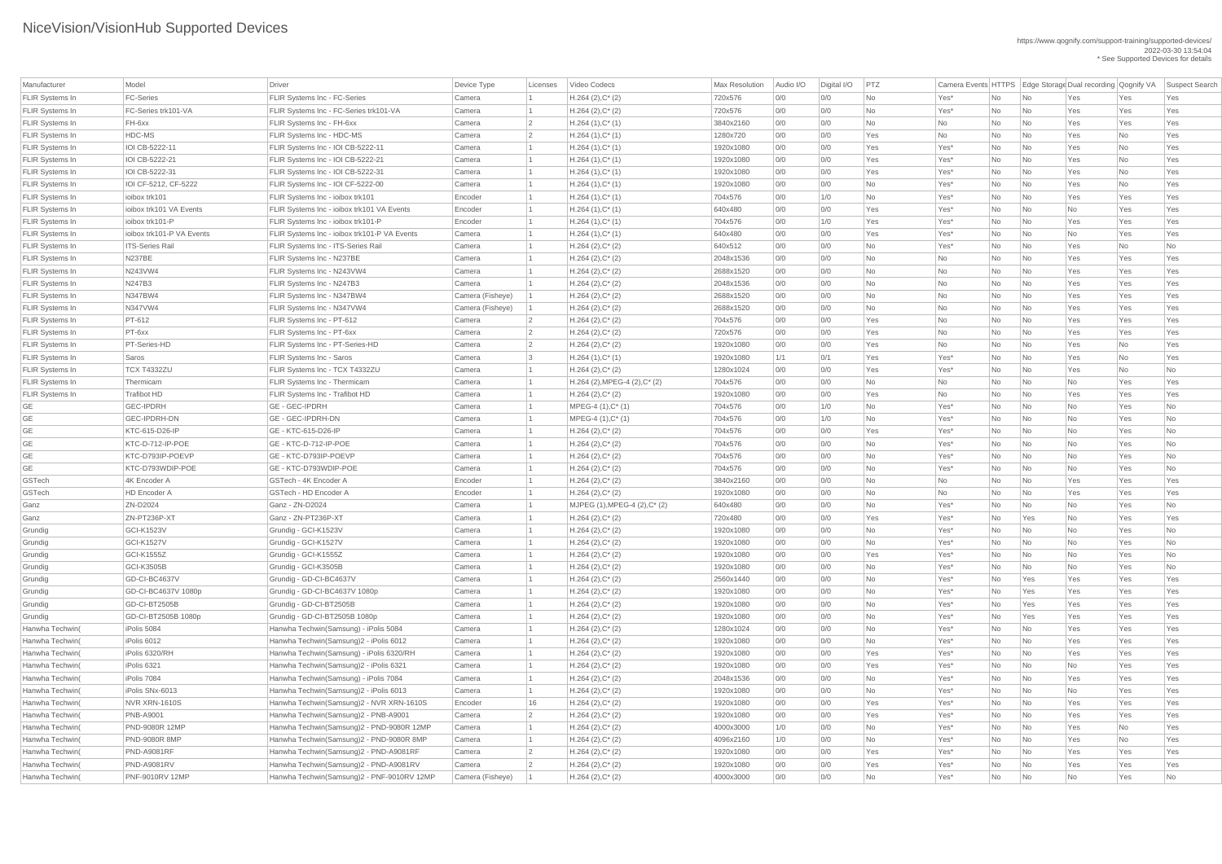| Manufacturer                       | Model                          | <b>Driver</b>                                                                   | Device Type      | Licenses       | Video Codecs                               | <b>Max Resolution</b>  | Audio I/O  | Digital I/O | PTZ             |                  |          |                                                      | Camera Events HTTPS Edge Storage Dual recording Qognify VA |            | <b>Suspect Search</b> |
|------------------------------------|--------------------------------|---------------------------------------------------------------------------------|------------------|----------------|--------------------------------------------|------------------------|------------|-------------|-----------------|------------------|----------|------------------------------------------------------|------------------------------------------------------------|------------|-----------------------|
| <b>FLIR Systems In</b>             | <b>FC-Series</b>               | <b>FLIR Systems Inc - FC-Series</b>                                             | Camera           |                | $H.264 (2), C^*(2)$                        | 720x576                | 0/0        | 0/0         | <b>No</b>       | Yes*             | No       | No                                                   | Yes                                                        | Yes        | Yes                   |
| <b>FLIR Systems In</b>             | FC-Series trk101-VA            | FLIR Systems Inc - FC-Series trk101-VA                                          | Camera           |                | $H.264 (2), C^*(2)$                        | 720x576                | 0/0        | 0/0         | No              | Yes*             | No       | No                                                   | Yes                                                        | Yes        | Yes                   |
| <b>FLIR Systems In</b>             | FH-6xx                         | <b>FLIR Systems Inc - FH-6xx</b>                                                | Camera           | $\overline{2}$ | $H.264(1),C^*(1)$                          | 3840x2160              | 0/0        | O/O         | <b>No</b>       | N <sub>o</sub>   | No       | $\overline{\mathsf{No}}$                             | Yes                                                        | Yes        | Yes                   |
| <b>FLIR Systems In</b>             | HDC-MS                         | FLIR Systems Inc - HDC-MS                                                       | Camera           | 2              | $H.264(1),C^*(1)$                          | 1280x720               | 0/0        | 0/0         | Yes             | N <sub>o</sub>   | No       | $\overline{\mathsf{No}}$                             | Yes                                                        | <b>No</b>  | Yes                   |
| <b>FLIR Systems In</b>             | IOI CB-5222-11                 | FLIR Systems Inc - IOI CB-5222-11                                               | Camera           |                | $H.264(1),C^*(1)$                          | 1920x1080              | 0/0        | 0/0         | Yes             | Yes*             | No       | $\overline{\mathsf{No}}$                             | Yes                                                        | No         | Yes                   |
| <b>FLIR Systems In</b>             | IOI CB-5222-21                 | FLIR Systems Inc - IOI CB-5222-21                                               | Camera           |                | $H.264(1),C^*(1)$                          | 1920x1080              | 0/0        | 0/0         | Yes             | Yes*             | No       | $\overline{\mathsf{No}}$                             | Yes                                                        | <b>No</b>  | Yes                   |
| <b>FLIR Systems In</b>             | IOI CB-5222-31                 | FLIR Systems Inc - IOI CB-5222-31                                               | Camera           |                | $H.264(1),C^*(1)$                          | 1920x1080              | 0/0        | O/O         | Yes             | Yes*             | No       | No                                                   | Yes                                                        | <b>No</b>  | Yes                   |
| <b>FLIR Systems In</b>             | IOI CF-5212, CF-5222           | FLIR Systems Inc - IOI CF-5222-00                                               | Camera           |                | $H.264(1),C^*(1)$                          | 1920x1080              | 0/0        | 0/0         | No              | Yes*             | No       | $\overline{\mathsf{No}}$                             | Yes                                                        | <b>No</b>  | Yes                   |
| <b>FLIR Systems In</b>             | ioibox trk101                  | FLIR Systems Inc - ioibox trk101                                                | Encoder          |                | $H.264(1),C^*(1)$                          | 704x576                | 0/0        | 1/0         | <b>No</b>       | Yes*             | No       | $\overline{\mathsf{No}}$                             | Yes                                                        | Yes        | Yes                   |
| <b>FLIR Systems In</b>             | ioibox trk101 VA Events        | FLIR Systems Inc - ioibox trk101 VA Events                                      | Encoder          |                | $H.264(1),C^*(1)$                          | 640x480                | 0/0        | O/O         | Yes             | Yes*             | No       | $\overline{\mathsf{No}}$                             | No                                                         | Yes        | Yes                   |
| <b>FLIR Systems In</b>             | ioibox trk101-P                | FLIR Systems Inc - ioibox trk101-P                                              | Encoder          |                | $H.264(1),C^*(1)$                          | 704x576                | 0/0        | 1/0         | Yes             | Yes*             | No       | $\overline{\mathsf{No}}$                             | Yes                                                        | Yes        | Yes                   |
| <b>FLIR Systems In</b>             | ioibox trk101-P VA Events      | FLIR Systems Inc - ioibox trk101-P VA Events                                    | Camera           |                | $H.264(1),C^*(1)$                          | 640x480                | 0/0        | O/O         | Yes             | Yes*             | No       | No                                                   | <b>No</b>                                                  | Yes        | Yes                   |
| <b>FLIR Systems In</b>             | <b>ITS-Series Rail</b>         | <b>FLIR Systems Inc - ITS-Series Rail</b>                                       | Camera           |                | $H.264 (2), C^*(2)$                        | 640x512                | 0/0        | O/O         | No              | Yes*             | No       | No                                                   | Yes                                                        | No         | <b>No</b>             |
| <b>FLIR Systems In</b>             | <b>N237BE</b>                  | <b>FLIR Systems Inc - N237BE</b>                                                | Camera           |                | $H.264 (2), C^*(2)$                        | 2048x1536              | 0/0        | O/O         | <b>No</b>       | N <sub>o</sub>   | No       | No                                                   | Yes                                                        | Yes        | Yes                   |
| <b>FLIR Systems In</b>             | N243VW4                        | FLIR Systems Inc - N243VW4                                                      | Camera           |                | $H.264 (2), C^*(2)$                        | 2688x1520              | 0/0        | 0/0         | <b>No</b>       | N <sub>o</sub>   | No       | $\overline{\mathsf{No}}$                             | Yes                                                        | Yes        | Yes                   |
| <b>FLIR Systems In</b>             | N247B3                         | FLIR Systems Inc - N247B3                                                       | Camera           |                | $H.264 (2), C^*(2)$                        | 2048x1536              | 0/0        | 0/0         | <b>No</b>       | No               | No       | $\overline{\mathsf{No}}$                             | Yes                                                        | Yes        | Yes                   |
| <b>FLIR Systems In</b>             | <b>N347BW4</b>                 | FLIR Systems Inc - N347BW4                                                      | Camera (Fisheye) |                | $H.264 (2), C^*(2)$                        | 2688x1520              | 0/0        | O/O         | <b>No</b>       | No               | No       | $\overline{\mathsf{No}}$                             | Yes                                                        | Yes        | Yes                   |
| <b>FLIR Systems In</b>             | N347VW4                        | FLIR Systems Inc - N347VW4                                                      | Camera (Fisheye) |                | $H.264 (2), C^*(2)$                        | 2688x1520              | 0/0        | O/O         | <b>No</b>       | No               | No       | No                                                   | Yes                                                        | Yes        | Yes                   |
| <b>FLIR Systems In</b>             | PT-612                         | FLIR Systems Inc - PT-612                                                       | Camera           | $\overline{2}$ | $H.264 (2), C^*(2)$                        | 704x576                | 0/0        | 0/0         | Yes             | N <sub>o</sub>   | No       | No                                                   | Yes                                                        | Yes        | Yes                   |
| <b>FLIR Systems In</b>             | PT-6xx                         | <b>FLIR Systems Inc - PT-6xx</b>                                                | Camera           | $\overline{2}$ | $H.264 (2), C^*(2)$                        | 720x576                | 0/0        | O/O         | Yes             | N <sub>o</sub>   | No       | No                                                   | Yes                                                        | Yes        | Yes                   |
| <b>FLIR Systems In</b>             | PT-Series-HD                   | <b>FLIR Systems Inc - PT-Series-HD</b>                                          | Camera           | $\overline{2}$ | $H.264 (2), C^*(2)$                        | 1920x1080              | 0/0        | O/O         | Yes             | N <sub>o</sub>   | No       | No                                                   | Yes                                                        | <b>No</b>  | Yes                   |
| <b>FLIR Systems In</b>             | Saros                          | FLIR Systems Inc - Saros                                                        | Camera           | 3              | $H.264(1),C^*(1)$                          | 1920x1080              | 1/1        | 0/1         | Yes             | Yes*             | No       | $\overline{\mathsf{No}}$                             | Yes                                                        | <b>No</b>  | Yes                   |
| <b>FLIR Systems In</b>             | <b>TCX T4332ZU</b>             | FLIR Systems Inc - TCX T4332ZU                                                  | Camera           |                | $H.264 (2), C^*(2)$                        | 1280x1024              | 0/0        | O/O         | Yes             | Yes*             | No       | $\overline{\mathsf{No}}$                             | Yes                                                        | <b>No</b>  | No                    |
| <b>FLIR Systems In</b>             | Thermicam                      | <b>FLIR Systems Inc - Thermicam</b>                                             | Camera           |                | $H.264$ (2), MPEG-4 (2), C* (2)            | 704x576                | 0/0        | O/O         | No              | No               | No       | $\overline{\mathsf{No}}$                             | No                                                         | Yes        | Yes                   |
| <b>FLIR Systems In</b>             | <b>Trafibot HD</b>             | <b>FLIR Systems Inc - Trafibot HD</b>                                           | Camera           |                | $H.264 (2), C^*(2)$                        | 1920x1080              | 0/0        | O/O         | Yes             | N <sub>o</sub>   | No       | No                                                   | Yes                                                        | Yes        | Yes                   |
| GE                                 | <b>GEC-IPDRH</b>               | <b>GE - GEC-IPDRH</b>                                                           | Camera           |                | MPEG-4 (1), C* (1)                         | 704x576                | 0/0        | 1/0         | No              | Yes <sup>*</sup> | No.      | $\overline{\mathsf{No}}$                             | No                                                         | Yes        | No.                   |
| <b>GE</b>                          | <b>GEC-IPDRH-DN</b>            | <b>GE - GEC-IPDRH-DN</b>                                                        | Camera           |                | $MPEG-4 (1), C^*(1)$                       | 704x576                | 0/0        | 1/0         | No              | Yes*             | No       | $\overline{\mathsf{No}}$                             | No                                                         | Yes        | No                    |
| <b>GE</b>                          | KTC-615-D26-IP                 | GE - KTC-615-D26-IP                                                             | Camera           |                | $H.264 (2), C^*(2)$                        | 704x576                | 0/0        | 0/0         | Yes             | Yes*             | No       | $\overline{\mathsf{No}}$                             | <b>No</b>                                                  | Yes        | No                    |
| <b>GE</b>                          | KTC-D-712-IP-POE               | GE-KTC-D-712-IP-POE                                                             | Camera           |                | $H.264 (2), C^*(2)$                        | 704x576                | 0/0        | 0/0         | No              | Yes*             | No       | $\overline{\mathsf{No}}$                             | No                                                         | Yes        | No                    |
| GE                                 | KTC-D793IP-POEVP               | GE - KTC-D793IP-POEVP                                                           | Camera           |                | $H.264 (2), C^*(2)$                        | 704x576                | 0/0        | 0/0         | <b>No</b>       | Yes*             | No       | No                                                   | No                                                         | Yes        | No                    |
| GE                                 | KTC-D793WDIP-POE               | GE - KTC-D793WDIP-POE                                                           | Camera           |                | $H.264 (2), C^*(2)$                        | 704x576                | 0/0        | O/O         | <b>No</b>       | Yes*             | No       | No                                                   | <b>No</b>                                                  | Yes        | <b>No</b>             |
| GSTech                             | 4K Encoder A                   | <b>GSTech - 4K Encoder A</b>                                                    | Encoder          |                | $H.264 (2), C^*(2)$                        | 3840x2160              | 0/0        | O/O         | <b>No</b>       | N <sub>o</sub>   | No       | No                                                   | Yes                                                        | Yes        | Yes                   |
| GSTech                             | <b>HD Encoder A</b>            | <b>GSTech - HD Encoder A</b>                                                    | Encoder          |                | $H.264 (2), C^*(2)$                        | 1920x1080              | 0/0        | 0/0         | No              | No               | No       | $\overline{\mathsf{No}}$                             | Yes                                                        | Yes        | Yes                   |
| Ganz                               | ZN-D2024                       | Ganz - ZN-D2024                                                                 | Camera           |                | MJPEG (1), MPEG-4 (2), C* (2)              | 640x480                | 0/0        | O/O         | <b>No</b>       | Yes*             | No       | No                                                   | No                                                         | Yes        | No                    |
| Ganz                               | ZN-PT236P-XT                   | Ganz - ZN-PT236P-XT                                                             | Camera           |                | $H.264 (2), C^*(2)$                        | 720x480                | 0/0        | 0/0         | Yes             | Yes*             | No       | Yes                                                  | No                                                         | Yes        | Yes                   |
| Grundig                            | <b>GCI-K1523V</b>              | Grundig - GCI-K1523V                                                            | Camera           |                | $H.264 (2), C^*(2)$                        | 1920x1080              | 0/0        | 0/0         | No              | Yes*             | No       | No                                                   | No                                                         | Yes        | No                    |
| Grundig                            | <b>GCI-K1527V</b>              | Grundig - GCI-K1527V                                                            | Camera           |                | $H.264 (2), C^*(2)$                        | 1920x1080              | 0/0        | O/O         | No              | Yes*             | No       | $\overline{\mathsf{No}}$                             | No                                                         | Yes        | No                    |
| Grundig                            | <b>GCI-K1555Z</b>              | Grundig - GCI-K1555Z                                                            | Camera           |                | $H.264 (2), C^*(2)$                        | 1920x1080              | 0/0        | 0/0         | Yes             | Yes*             | No       | No                                                   | No                                                         | Yes        | No                    |
| Grundig                            | <b>GCI-K3505B</b>              | Grundig - GCI-K3505B                                                            | Camera           |                | $H.264 (2), C^*(2)$                        | 1920x1080              | 0/0        | O/O         | <b>No</b>       | Yes*             | No       | $\overline{\mathsf{No}}$                             | No                                                         | Yes        | No                    |
| Grundig                            | GD-CI-BC4637V                  | Grundig - GD-CI-BC4637V                                                         | Camera           |                | $H.264 (2), C^*(2)$                        | 2560x1440              | 0/0        | 0/0         | <b>No</b>       | Yes*             | No       | Yes                                                  | Yes                                                        | Yes        | Yes                   |
| Grundig                            | GD-CI-BC4637V 1080p            | Grundig - GD-CI-BC4637V 1080p                                                   | Camera           |                | $H.264 (2), C^*(2)$                        | 1920x1080              | 0/0        | 0/0         | No              | Yes*             | No       | Yes                                                  | Yes                                                        | Yes        | Yes                   |
| Grundig                            | GD-CI-BT2505B                  | Grundig - GD-CI-BT2505B                                                         | Camera           |                | $H.264 (2), C^*(2)$                        | 1920x1080              | 0/0        | 0/0         | <b>No</b>       | Yes*             | No       | Yes                                                  | Yes                                                        | Yes        | Yes                   |
| Grundig                            | GD-CI-BT2505B 1080p            | Grundig - GD-CI-BT2505B 1080p                                                   | Camera           |                | $H.264 (2), C^*(2)$                        | 1920x1080              | 0/0        | 0/0         | <b>No</b>       | Yes*             | No       | Yes                                                  | Yes                                                        | Yes        | Yes                   |
| Hanwha Techwin(                    | iPolis 5084                    | Hanwha Techwin(Samsung) - iPolis 5084                                           | Camera           |                | $H.264 (2), C^*(2)$                        | 1280x1024              | 0/0        | O/O         | No              | Yes*             | No       | No                                                   | Yes                                                        | Yes        | Yes                   |
| Hanwha Techwin(                    | iPolis 6012                    | Hanwha Techwin(Samsung)2 - iPolis 6012                                          | Camera           |                | $H.264 (2), C^*(2)$                        | 1920x1080              | 0/0        | 0/0         | <b>No</b>       | Yes*             | No       | $\overline{\mathsf{No}}$                             | Yes                                                        | Yes        | Yes                   |
| Hanwha Techwin(                    | iPolis 6320/RH                 | Hanwha Techwin(Samsung) - iPolis 6320/RH                                        | Camera           |                | $H.264 (2), C^*(2)$                        | 1920x1080              | 0/0        | 0/0         | Yes             | Yes*             | No       | $\overline{\mathsf{No}}$                             | Yes                                                        | Yes        | Yes                   |
| Hanwha Techwin(                    | iPolis 6321                    | Hanwha Techwin(Samsung)2 - iPolis 6321                                          | Camera           |                | $H.264 (2), C^*(2)$                        | 1920x1080              | 0/0        | 0/0         | Yes             | Yes*             | No       | $\overline{\mathsf{No}}$                             | No                                                         | Yes        | Yes                   |
|                                    |                                |                                                                                 |                  |                |                                            |                        |            |             |                 |                  |          |                                                      |                                                            |            |                       |
| Hanwha Techwin(<br>Hanwha Techwin( | iPolis 7084<br>iPolis SNx-6013 | Hanwha Techwin(Samsung) - iPolis 7084<br>Hanwha Techwin(Samsung)2 - iPolis 6013 | Camera<br>Camera |                | $H.264 (2), C^*(2)$<br>$H.264 (2), C^*(2)$ | 2048x1536<br>1920x1080 | 0/0<br>0/0 | 0/0<br>O/O  | No<br><b>No</b> | Yes*<br>Yes*     | No<br>No | $\overline{\mathsf{No}}$<br>$\overline{\mathsf{No}}$ | Yes<br><b>No</b>                                           | Yes<br>Yes | Yes<br>Yes            |
|                                    |                                |                                                                                 |                  |                |                                            |                        |            |             |                 |                  |          |                                                      |                                                            |            |                       |
| Hanwha Techwin(                    | NVR XRN-1610S                  | Hanwha Techwin(Samsung)2 - NVR XRN-1610S                                        | Encoder          | 16             | $H.264 (2), C^*(2)$                        | 1920x1080              | 0/0        | O/O         | Yes             | Yes*             | No       | $\overline{\mathsf{No}}$                             | Yes                                                        | Yes        | Yes                   |
| Hanwha Techwin(                    | <b>PNB-A9001</b>               | Hanwha Techwin(Samsung)2 - PNB-A9001                                            | Camera           |                | $H.264 (2), C^*(2)$                        | 1920x1080              | 0/0        | 0/0         | Yes             | Yes*             | No       | No                                                   | Yes                                                        | Yes        | Yes                   |
| Hanwha Techwin(                    | <b>PND-9080R 12MP</b>          | Hanwha Techwin(Samsung)2 - PND-9080R 12MP                                       | Camera           |                | $H.264 (2), C^*(2)$                        | 4000x3000              | 1/0        | 0/0         | No              | Yes*             | No       |                                                      | Yes                                                        | No         | Yes                   |
| Hanwha Techwin(                    | <b>PND-9080R 8MP</b>           | Hanwha Techwin(Samsung)2 - PND-9080R 8MP                                        | Camera           |                | $H.264 (2), C^*(2)$                        | 4096x2160              | 1/0        | 0/0         | No              | Yes <sup>*</sup> | No       | $\overline{\mathsf{No}}$                             | Yes                                                        | No         | Yes                   |
| Hanwha Techwin(                    | PND-A9081RF                    | Hanwha Techwin(Samsung)2 - PND-A9081RF                                          | Camera           |                | $H.264 (2), C^*(2)$                        | 1920x1080              | 0/0        | 0/0         | Yes             | Yes*             | No       | $\overline{\phantom{a}}$ No                          | Yes                                                        | Yes        | Yes                   |
| Hanwha Techwin(                    | PND-A9081RV                    | Hanwha Techwin(Samsung)2 - PND-A9081RV                                          | Camera           |                | $H.264 (2), C^*(2)$                        | 1920x1080              | 0/0        | 0/0         | Yes             | Yes*             | No       | $\overline{\mathsf{No}}$                             | Yes                                                        | Yes        | Yes                   |
| Hanwha Techwin(                    | <b>PNF-9010RV 12MP</b>         | Hanwha Techwin(Samsung)2 - PNF-9010RV 12MP                                      | Camera (Fisheye) |                | $H.264 (2), C^*(2)$                        | 4000x3000              | 0/0        | 0/0         | No              | Yes*             | No       | $\overline{\phantom{a}}$ No                          | No                                                         | Yes        | No                    |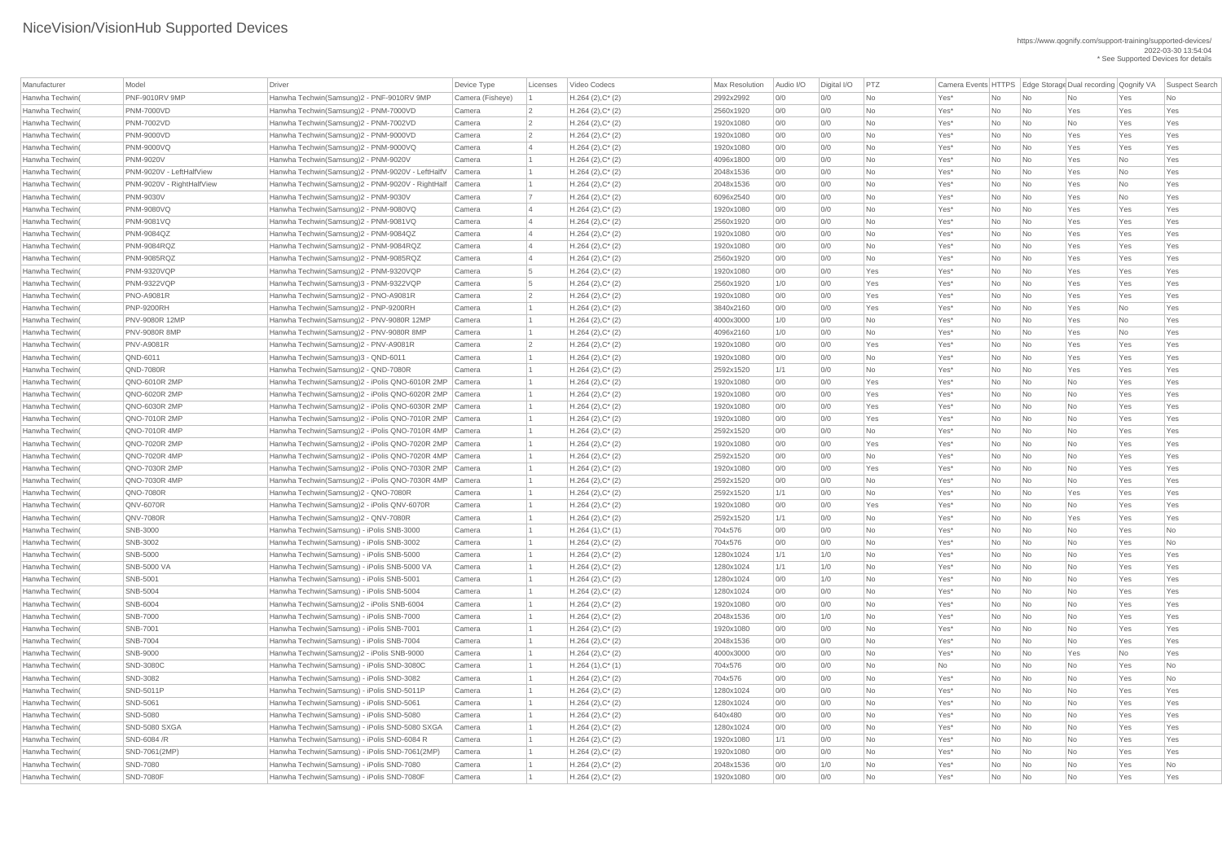| Manufacturer    | Model                     | Driver                                                   | Device Type      | Licenses        | Video Codecs           | Max Resolution | Audio I/O | Digital I/O | PTZ       | Camera Events HTTPS Edge Storage Dual recording Qognify VA |    |                             |           |     | Suspect Search           |
|-----------------|---------------------------|----------------------------------------------------------|------------------|-----------------|------------------------|----------------|-----------|-------------|-----------|------------------------------------------------------------|----|-----------------------------|-----------|-----|--------------------------|
| Hanwha Techwin( | PNF-9010RV 9MP            | Hanwha Techwin(Samsung)2 - PNF-9010RV 9MP                | Camera (Fisheye) |                 | $H.264(2),C^*(2)$      | 2992x2992      | 0/0       | 0/0         | <b>No</b> | Yes*                                                       | No | $\overline{\mathsf{No}}$    | No        | Yes | No.                      |
| Hanwha Techwin( | <b>PNM-7000VD</b>         | Hanwha Techwin(Samsung)2 - PNM-7000VD                    | Camera           |                 | $H.264 (2), C^*(2)$    | 2560x1920      | 0/0       | 0/0         | No        | Yes*                                                       | No | No                          | Yes       | Yes | Yes                      |
| Hanwha Techwin( | <b>PNM-7002VD</b>         | Hanwha Techwin(Samsung)2 - PNM-7002VD                    | Camera           | $\vert 2 \vert$ | $H.264$ (2), $C^*$ (2) | 1920x1080      | 0/0       | 0/0         | No        | Yes*                                                       | No | No                          | No        | Yes | Yes                      |
| Hanwha Techwin( | <b>PNM-9000VD</b>         | Hanwha Techwin(Samsung)2 - PNM-9000VD                    | Camera           |                 | $H.264 (2), C^*(2)$    | 1920x1080      | 0/0       | 0/0         | <b>No</b> | Yes*                                                       | No | No                          | Yes       | Yes | Yes                      |
| Hanwha Techwin( | <b>PNM-9000VQ</b>         | Hanwha Techwin(Samsung)2 - PNM-9000VQ                    | Camera           |                 | $H.264(2),C^*(2)$      | 1920x1080      | 0/0       | 0/0         | No        | Yes*                                                       | No | No                          | Yes       | Yes | Yes                      |
| Hanwha Techwin( | <b>PNM-9020V</b>          | Hanwha Techwin(Samsung)2 - PNM-9020V                     | Camera           |                 | $H.264(2),C^*(2)$      | 4096x1800      | 0/0       | 0/0         | <b>No</b> | Yes*                                                       | No | $\overline{\mathsf{No}}$    | Yes       | No  | Yes                      |
| Hanwha Techwin( | PNM-9020V - LeftHalfView  | Hanwha Techwin(Samsung)2 - PNM-9020V - LeftHalfV         | Camera           |                 | $H.264 (2), C^*(2)$    | 2048x1536      | 0/0       | 0/0         | <b>No</b> | Yes*                                                       | No | No                          | Yes       | No  | Yes                      |
| Hanwha Techwin( | PNM-9020V - RightHalfView | Hanwha Techwin(Samsung)2 - PNM-9020V - RightHalf         | Camera           |                 | $H.264 (2), C^*(2)$    | 2048x1536      | 0/0       | 0/0         | <b>No</b> | Yes*                                                       | No | No                          | Yes       | No  | Yes                      |
| Hanwha Techwin( | <b>PNM-9030V</b>          | Hanwha Techwin(Samsung)2 - PNM-9030V                     | Camera           |                 | $H.264 (2), C^*(2)$    | 6096x2540      | 0/0       | 0/0         | No        | Yes*                                                       | No | No                          | Yes       | No  | Yes                      |
| Hanwha Techwin( | <b>PNM-9080VQ</b>         | Hanwha Techwin(Samsung)2 - PNM-9080VQ                    | Camera           |                 | $H.264$ (2), $C^*$ (2) | 1920x1080      | 0/0       | 0/0         | <b>No</b> | Yes*                                                       | No | No                          | Yes       | Yes | Yes                      |
| Hanwha Techwin( | <b>PNM-9081VQ</b>         | Hanwha Techwin(Samsung)2 - PNM-9081VQ                    | Camera           |                 | $H.264 (2), C^*(2)$    | 2560x1920      | 0/0       | 0/0         | <b>No</b> | Yes*                                                       | No | No                          | Yes       | Yes | Yes                      |
| Hanwha Techwin( | <b>PNM-9084QZ</b>         | Hanwha Techwin(Samsung)2 - PNM-9084QZ                    | Camera           |                 | $H.264(2),C^*(2)$      | 1920x1080      | 0/0       | 0/0         | <b>No</b> | Yes*                                                       | No | $\overline{\mathsf{No}}$    | Yes       | Yes | Yes                      |
| Hanwha Techwin( | PNM-9084RQZ               | Hanwha Techwin(Samsung)2 - PNM-9084RQZ                   | Camera           |                 | $H.264 (2), C^*(2)$    | 1920x1080      | 0/0       | 0/0         | <b>No</b> | Yes*                                                       | No | No                          | Yes       | Yes | Yes                      |
| Hanwha Techwin( | <b>PNM-9085RQZ</b>        | Hanwha Techwin(Samsung)2 - PNM-9085RQZ                   | Camera           |                 | $H.264 (2), C^*(2)$    | 2560x1920      | O/O       | 0/0         | <b>No</b> | Yes*                                                       | No | No                          | Yes       | Yes | Yes                      |
| Hanwha Techwin( | <b>PNM-9320VQP</b>        | Hanwha Techwin(Samsung)2 - PNM-9320VQP                   | Camera           |                 |                        | 1920x1080      | 0/0       | 0/0         | Yes       | Yes*                                                       |    | No                          | Yes       | Yes | Yes                      |
|                 |                           |                                                          |                  |                 | $H.264$ (2), $C^*$ (2) |                |           |             |           |                                                            | No |                             |           |     |                          |
| Hanwha Techwin( | <b>PNM-9322VQP</b>        | Hanwha Techwin(Samsung)3 - PNM-9322VQP                   | Camera           |                 | $H.264 (2), C^*(2)$    | 2560x1920      | 1/0       | 0/0         | Yes       | Yes*                                                       | No | No                          | Yes       | Yes | Yes                      |
| Hanwha Techwin( | <b>PNO-A9081R</b>         | Hanwha Techwin(Samsung)2 - PNO-A9081R                    | Camera           |                 | $H.264$ (2), $C^*$ (2) | 1920x1080      | 0/0       | 0/0         | Yes       | Yes*                                                       | No | No                          | Yes       | Yes | Yes                      |
| Hanwha Techwin( | <b>PNP-9200RH</b>         | Hanwha Techwin(Samsung)2 - PNP-9200RH                    | Camera           |                 | $H.264(2),C^*(2)$      | 3840x2160      | 0/0       | 0/0         | Yes       | Yes*                                                       | No | $\overline{\mathsf{No}}$    | Yes       | No  | Yes                      |
| Hanwha Techwin( | <b>PNV-9080R 12MP</b>     | Hanwha Techwin(Samsung)2 - PNV-9080R 12MP                | Camera           |                 | $H.264 (2), C^*(2)$    | 4000x3000      | 1/0       | 0/0         | <b>No</b> | Yes*                                                       | No | No                          | Yes       | No  | Yes                      |
| Hanwha Techwin( | <b>PNV-9080R 8MP</b>      | Hanwha Techwin(Samsung)2 - PNV-9080R 8MP                 | Camera           |                 | $H.264 (2), C^*(2)$    | 4096x2160      | 1/0       | 0/0         | <b>No</b> | Yes*                                                       | No | No                          | Yes       | No  | Yes                      |
| Hanwha Techwin( | <b>PNV-A9081R</b>         | Hanwha Techwin(Samsung)2 - PNV-A9081R                    | Camera           |                 | $H.264 (2), C^*(2)$    | 1920x1080      | 0/0       | 0/0         | Yes       | Yes*                                                       | No | No                          | Yes       | Yes | Yes                      |
| Hanwha Techwin( | QND-6011                  | Hanwha Techwin(Samsung)3 - QND-6011                      | Camera           |                 | $H.264$ (2), $C^*$ (2) | 1920x1080      | 0/0       | 0/0         | <b>No</b> | Yes*                                                       | No | No                          | Yes       | Yes | Yes                      |
| Hanwha Techwin( | <b>QND-7080R</b>          | Hanwha Techwin(Samsung)2 - QND-7080R                     | Camera           |                 | $H.264 (2), C^*(2)$    | 2592x1520      | 1/1       | 0/0         | No        | Yes*                                                       | No | No                          | Yes       | Yes | Yes                      |
| Hanwha Techwin( | QNO-6010R 2MP             | Hanwha Techwin(Samsung)2 - iPolis QNO-6010R 2MP Camera   |                  |                 | $H.264(2),C^*(2)$      | 1920x1080      | 0/0       | 0/0         | Yes       | Yes*                                                       | No | $\overline{\mathsf{No}}$    | No        | Yes | Yes                      |
| Hanwha Techwin( | <b>QNO-6020R 2MP</b>      | Hanwha Techwin(Samsung)2 - iPolis QNO-6020R 2MP Camera   |                  |                 | $H.264 (2), C^*(2)$    | 1920x1080      | 0/0       | 0/0         | Yes       | Yes*                                                       | No | No                          | No        | Yes | Yes                      |
| Hanwha Techwin( | QNO-6030R 2MP             | Hanwha Techwin(Samsung)2 - iPolis QNO-6030R 2MP   Camera |                  |                 | $H.264 (2), C^*(2)$    | 1920x1080      | 0/0       | 0/0         | Yes       | Yes*                                                       | No | $\overline{\mathsf{No}}$    | No        | Yes | Yes                      |
| Hanwha Techwin( | QNO-7010R 2MP             | Hanwha Techwin(Samsung)2 - iPolis QNO-7010R 2MP Camera   |                  |                 | $H.264 (2), C^*(2)$    | 1920x1080      | 0/0       | 0/0         | Yes       | Yes*                                                       | No | No                          | No        | Yes | Yes                      |
| Hanwha Techwin( | <b>QNO-7010R 4MP</b>      | Hanwha Techwin(Samsung)2 - iPolis QNO-7010R 4MP Camera   |                  |                 | $H.264$ (2), $C^*$ (2) | 2592x1520      | 0/0       | 0/0         | <b>No</b> | Yes*                                                       | No | $\overline{\mathsf{No}}$    | No        | Yes | Yes                      |
| Hanwha Techwin( | QNO-7020R 2MP             | Hanwha Techwin(Samsung)2 - iPolis QNO-7020R 2MP Camera   |                  |                 | $H.264 (2), C^*(2)$    | 1920x1080      | 0/0       | 0/0         | Yes       | Yes*                                                       | No | No                          | No        | Yes | Yes                      |
| Hanwha Techwin( | QNO-7020R 4MP             | Hanwha Techwin(Samsung)2 - iPolis QNO-7020R 4MP Camera   |                  |                 | $H.264(2),C^*(2)$      | 2592x1520      | 0/0       | 0/0         | No        | Yes*                                                       | No | $\overline{\phantom{a}}$ No | No        | Yes | Yes                      |
| Hanwha Techwin( | <b>QNO-7030R 2MP</b>      | Hanwha Techwin(Samsung)2 - iPolis QNO-7030R 2MP Camera   |                  |                 | $H.264(2),C^*(2)$      | 1920x1080      | 0/0       | 0/0         | Yes       | Yes*                                                       | No | No                          | <b>No</b> | Yes | Yes                      |
| Hanwha Techwin( | QNO-7030R 4MP             | Hanwha Techwin(Samsung)2 - iPolis QNO-7030R 4MP   Camera |                  |                 | $H.264 (2), C^*(2)$    | 2592x1520      | 0/0       | 0/0         | <b>No</b> | Yes*                                                       | No | No                          | No        | Yes | Yes                      |
| Hanwha Techwin( | <b>QNO-7080R</b>          | Hanwha Techwin(Samsung)2 - QNO-7080R                     | Camera           |                 | $H.264 (2), C^*(2)$    | 2592x1520      | 1/1       | 0/0         | No        | Yes*                                                       | No | No                          | Yes       | Yes | Yes                      |
| Hanwha Techwin( | <b>QNV-6070R</b>          | Hanwha Techwin(Samsung)2 - iPolis QNV-6070R              | Camera           |                 | $H.264 (2), C^*(2)$    | 1920x1080      | 0/0       | 0/0         | Yes       | Yes*                                                       | No | $\overline{\mathsf{No}}$    | No        | Yes | Yes                      |
| Hanwha Techwin( | <b>QNV-7080R</b>          | Hanwha Techwin(Samsung)2 - QNV-7080R                     | Camera           |                 | $H.264(2),C^*(2)$      | 2592x1520      | 1/1       | 0/0         | <b>No</b> | Yes*                                                       | No | $\overline{\mathsf{No}}$    | Yes       | Yes | Yes                      |
| Hanwha Techwin( | SNB-3000                  | Hanwha Techwin(Samsung) - iPolis SNB-3000                | Camera           |                 | $H.264(1),C^*(1)$      | 704x576        | 0/0       | 0/0         | No        | Yes*                                                       | No | $\overline{\mathsf{No}}$    | No        | Yes | No                       |
| Hanwha Techwin( | SNB-3002                  | Hanwha Techwin(Samsung) - iPolis SNB-3002                | Camera           |                 | $H.264(2),C^*(2)$      | 704x576        | 0/0       | 0/0         | No        | Yes*                                                       | No | No                          | No        | Yes | No                       |
| Hanwha Techwin( | SNB-5000                  | Hanwha Techwin(Samsung) - iPolis SNB-5000                | Camera           |                 | $H.264 (2), C^*(2)$    | 1280x1024      | 1/1       | 1/0         | No        | Yes*                                                       | No | $\overline{\mathsf{No}}$    | No        | Yes | Yes                      |
| Hanwha Techwin( | <b>SNB-5000 VA</b>        | Hanwha Techwin(Samsung) - iPolis SNB-5000 VA             | Camera           |                 | $H.264 (2), C^*(2)$    | 1280x1024      | 1/1       | 1/0         | No        | Yes*                                                       | No | No                          | No        | Yes | Yes                      |
| Hanwha Techwin( | SNB-5001                  | Hanwha Techwin(Samsung) - iPolis SNB-5001                | Camera           |                 | $H.264$ (2), $C^*$ (2) | 1280x1024      | 0/0       | 1/0         | No        | Yes*                                                       | No | $\overline{\mathsf{No}}$    | No        | Yes | Yes                      |
| Hanwha Techwin( | SNB-5004                  | Hanwha Techwin(Samsung) - iPolis SNB-5004                | Camera           |                 | $H.264 (2), C^*(2)$    | 1280x1024      | 0/0       | 0/0         | <b>No</b> | Yes*                                                       | No | No                          | No        | Yes | Yes                      |
| Hanwha Techwin( | SNB-6004                  | Hanwha Techwin(Samsung)2 - iPolis SNB-6004               | Camera           |                 | $H.264(2),C^*(2)$      | 1920x1080      | 0/0       | 0/0         | No        | Yes*                                                       | No | $\overline{\mathsf{No}}$    | No        | Yes | Yes                      |
| Hanwha Techwin( | <b>SNB-7000</b>           | Hanwha Techwin(Samsung) - iPolis SNB-7000                | Camera           |                 | $H.264(2),C^*(2)$      | 2048x1536      | 0/0       | 1/0         | <b>No</b> | Yes*                                                       | No | No                          | No        | Yes | Yes                      |
| Hanwha Techwin( | <b>SNB-7001</b>           | Hanwha Techwin(Samsung) - iPolis SNB-7001                | Camera           |                 | $H.264 (2), C^*(2)$    | 1920x1080      | 0/0       | 0/0         | No        | Yes*                                                       | No | No                          | No        | Yes | Yes                      |
| Hanwha Techwin( | <b>SNB-7004</b>           | Hanwha Techwin(Samsung) - iPolis SNB-7004                | Camera           |                 | $H.264 (2), C^*(2)$    | 2048x1536      | 0/0       | 0/0         | No        | Yes*                                                       | No | No                          | <b>No</b> | Yes | Yes                      |
| Hanwha Techwin( | SNB-9000                  | Hanwha Techwin(Samsung)2 - iPolis SNB-9000               | Camera           |                 | $H.264 (2), C^*(2)$    | 4000x3000      | 0/0       | 0/0         | No        | Yes*                                                       | No | $\overline{\mathsf{No}}$    | Yes       | No  | Yes                      |
| Hanwha Techwin( | <b>SND-3080C</b>          | Hanwha Techwin(Samsung) - iPolis SND-3080C               | Camera           |                 | $H.264(1),C^*(1)$      | 704x576        | 0/0       | 0/0         | <b>No</b> | No                                                         | No | $\overline{\mathsf{No}}$    | No        | Yes | No                       |
| Hanwha Techwin( | SND-3082                  | Hanwha Techwin(Samsung) - iPolis SND-3082                | Camera           |                 | $H.264 (2), C^*(2)$    | 704x576        | 0/0       | 0/0         | <b>No</b> | Yes*                                                       | No | $\overline{\mathsf{No}}$    | No        | Yes | No                       |
| Hanwha Techwin( | <b>SND-5011P</b>          | Hanwha Techwin(Samsung) - iPolis SND-5011P               | Camera           |                 | $H.264(2),C^*(2)$      | 1280x1024      | 0/0       | 0/0         | No        | Yes*                                                       | No | $\overline{\mathsf{No}}$    | No        | Yes | Yes                      |
| Hanwha Techwin( | SND-5061                  | Hanwha Techwin(Samsung) - iPolis SND-5061                | Camera           |                 | $H.264 (2), C^*(2)$    | 1280x1024      | 0/0       | 0/0         | <b>No</b> | Yes*                                                       | No | $\overline{\mathsf{No}}$    | No        | Yes | Yes                      |
| Hanwha Techwin( | SND-5080                  | Hanwha Techwin(Samsung) - iPolis SND-5080                | Camera           |                 | $H.264 (2), C^*(2)$    | 640x480        | 0/0       | 0/0         | <b>No</b> | Yes*                                                       | No | No                          | <b>No</b> | Yes | Yes                      |
| Hanwha Techwin( | SND-5080 SXGA             | Hanwha Techwin(Samsung) - iPolis SND-5080 SXGA   Camera  |                  |                 | $H.264 (2), C^*(2)$    | 1280x1024      | 0/0       | 0/0         | No        | Yes*                                                       | No | $\overline{\mathsf{No}}$    | No        | Yes | Yes                      |
| Hanwha Techwin( | SND-6084 /R               | Hanwha Techwin(Samsung) - iPolis SND-6084 R              | Camera           |                 |                        | 1920x1080      | 1/1       | 0/0         | <b>No</b> | Yes*                                                       |    | N <sub>o</sub>              |           | Yes | Yes                      |
|                 |                           |                                                          |                  |                 | $H.264 (2), C^*(2)$    |                |           |             |           |                                                            | No |                             | No        |     |                          |
| Hanwha Techwin( | SND-7061(2MP)             | Hanwha Techwin(Samsung) - iPolis SND-7061(2MP)           | Camera           |                 | $H.264 (2), C^*(2)$    | 1920x1080      | 0/0       | 0/0         | No        | Yes*                                                       | No | $\overline{\mathsf{No}}$    | No        | Yes | Yes                      |
| Hanwha Techwin( | <b>SND-7080</b>           | Hanwha Techwin(Samsung) - iPolis SND-7080                | Camera           |                 | $H.264 (2), C^*(2)$    | 2048x1536      | 0/0       | 1/0         | <b>No</b> | Yes*                                                       | No | $\overline{\mathsf{No}}$    | No        | Yes | $\overline{\mathsf{No}}$ |
| Hanwha Techwin( | <b>SND-7080F</b>          | Hanwha Techwin(Samsung) - iPolis SND-7080F               | Camera           |                 | $H.264 (2), C^*(2)$    | 1920x1080      | 0/0       | 0/0         | No        | Yes*                                                       | No | $\overline{\mathsf{No}}$    | No        | Yes | Yes                      |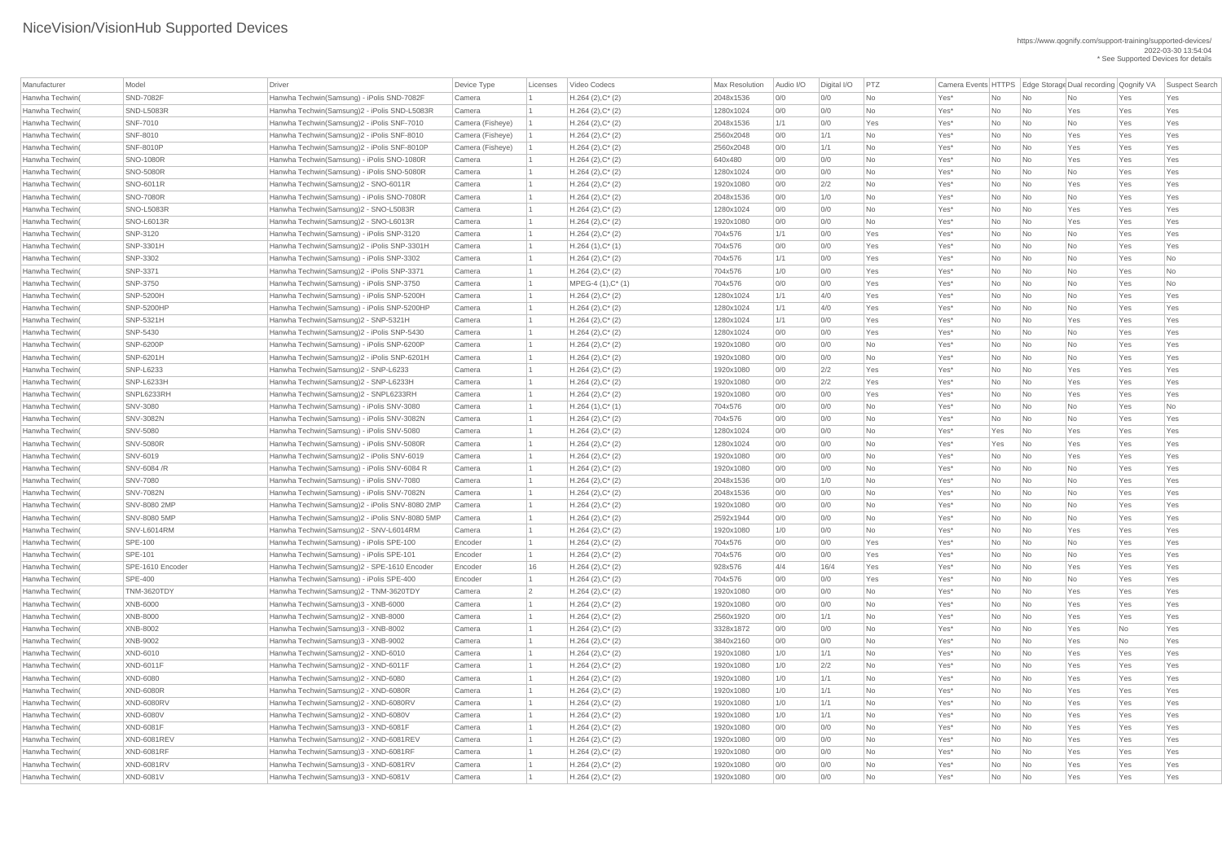| Manufacturer                       | Model              | Driver                                                                                   | Device Type        | Licenses | Video Codecs                               | <b>Max Resolution</b>  | Audio I/O  | Digital I/O | PTZ             |              |          |                                                      | Camera Events   HTTPS   Edge Storage Dual recording   Qognify VA |            | <b>Suspect Search</b> |
|------------------------------------|--------------------|------------------------------------------------------------------------------------------|--------------------|----------|--------------------------------------------|------------------------|------------|-------------|-----------------|--------------|----------|------------------------------------------------------|------------------------------------------------------------------|------------|-----------------------|
| Hanwha Techwin(                    | <b>SND-7082F</b>   | Hanwha Techwin(Samsung) - iPolis SND-7082F                                               | Camera             |          | $H.264 (2), C^*(2)$                        | 2048x1536              | 0/0        | 0/0         | No              | Yes*         | No       | $\overline{\phantom{a}}$ No                          | No.                                                              | Yes        | Yes                   |
| Hanwha Techwin(                    | <b>SND-L5083R</b>  | Hanwha Techwin(Samsung)2 - iPolis SND-L5083R                                             | Camera             |          | $H.264 (2), C^*(2)$                        | 1280x1024              | 0/0        | 0/0         | No              | Yes*         | No       | $\overline{\mathsf{No}}$                             | Yes                                                              | Yes        | Yes                   |
| Hanwha Techwin(                    | <b>SNF-7010</b>    | Hanwha Techwin(Samsung)2 - iPolis SNF-7010                                               | Camera (Fisheye)   |          | $H.264 (2), C^*(2)$                        | 2048x1536              | 1/1        | 0/0         | Yes             | Yes*         | No       | No                                                   | No                                                               | Yes        | Yes                   |
| Hanwha Techwin(                    | <b>SNF-8010</b>    | Hanwha Techwin(Samsung)2 - iPolis SNF-8010                                               | Camera (Fisheye)   |          | $H.264 (2), C^*(2)$                        | 2560x2048              | 0/0        | 1/1         | <b>No</b>       | Yes*         | No       | $\overline{\mathsf{No}}$                             | Yes                                                              | Yes        | Yes                   |
| Hanwha Techwin(                    | <b>SNF-8010P</b>   | Hanwha Techwin(Samsung)2 - iPolis SNF-8010P                                              | Camera (Fisheye)   |          | $H.264 (2), C^*(2)$                        | 2560x2048              | 0/0        | 1/1         | <b>No</b>       | Yes*         | No       | $\overline{\mathsf{No}}$                             | Yes                                                              | Yes        | Yes                   |
| Hanwha Techwin(                    | <b>SNO-1080R</b>   | Hanwha Techwin(Samsung) - iPolis SNO-1080R                                               | Camera             |          | $H.264 (2), C^*(2)$                        | 640x480                | 0/0        | 0/0         | <b>No</b>       | Yes*         | No       | No                                                   | Yes                                                              | Yes        | Yes                   |
| Hanwha Techwin(                    | <b>SNO-5080R</b>   | Hanwha Techwin(Samsung) - iPolis SNO-5080R                                               | Camera             |          | $H.264 (2), C^*(2)$                        | 1280x1024              | 0/0        | 0/0         | <b>No</b>       | Yes*         | No       | No                                                   | No                                                               | Yes        | Yes                   |
| Hanwha Techwin(                    | SNO-6011R          | Hanwha Techwin(Samsung)2 - SNO-6011R                                                     | Camera             |          | $H.264 (2), C^*(2)$                        | 1920x1080              | 0/0        | 2/2         | <b>No</b>       | Yes*         | No       | $\overline{\mathsf{No}}$                             | Yes                                                              | Yes        | Yes                   |
| Hanwha Techwin(                    | <b>SNO-7080R</b>   | Hanwha Techwin(Samsung) - iPolis SNO-7080R                                               | Camera             |          | $H.264 (2), C^*(2)$                        | 2048x1536              | 0/0        | 1/0         | No              | Yes*         | No       | No                                                   | No                                                               | Yes        | Yes                   |
| Hanwha Techwin(                    | <b>SNO-L5083R</b>  | Hanwha Techwin(Samsung)2 - SNO-L5083R                                                    | Camera             |          | $H.264 (2), C^*(2)$                        | 1280x1024              | 0/0        | 0/0         | <b>No</b>       | Yes*         | No       | $\overline{\mathsf{No}}$                             | Yes                                                              | Yes        | Yes                   |
| Hanwha Techwin(                    | <b>SNO-L6013R</b>  | Hanwha Techwin(Samsung)2 - SNO-L6013R                                                    | Camera             |          | $H.264 (2), C^*(2)$                        | 1920x1080              | 0/0        | 0/0         | <b>No</b>       | Yes*         | No       | No                                                   | Yes                                                              | Yes        | Yes                   |
| Hanwha Techwin(                    | SNP-3120           | Hanwha Techwin(Samsung) - iPolis SNP-3120                                                | Camera             |          | $H.264 (2), C^*(2)$                        | 704x576                | 1/1        | 0/0         | Yes             | Yes*         | No       | No                                                   | No                                                               | Yes        | Yes                   |
| Hanwha Techwin(                    | SNP-3301H          | Hanwha Techwin(Samsung)2 - iPolis SNP-3301H                                              | Camera             |          | $H.264(1),C^*(1)$                          | 704x576                | 0/0        | 0/0         | Yes             | Yes*         | No       | $\overline{\mathsf{No}}$                             | <b>No</b>                                                        | Yes        | Yes                   |
| Hanwha Techwin(                    | SNP-3302           | Hanwha Techwin(Samsung) - iPolis SNP-3302                                                | Camera             |          | $H.264 (2), C^*(2)$                        | 704x576                | 1/1        | 0/0         | Yes             | Yes*         | No       | No                                                   | No                                                               | Yes        | No                    |
| Hanwha Techwin(                    | SNP-3371           | Hanwha Techwin(Samsung)2 - iPolis SNP-3371                                               | Camera             |          | $H.264 (2), C^*(2)$                        | 704x576                | 1/0        | 0/0         | Yes             | Yes*         | No       | No                                                   | No                                                               | Yes        | No                    |
| Hanwha Techwin(                    | SNP-3750           | Hanwha Techwin(Samsung) - iPolis SNP-3750                                                | Camera             |          | MPEG-4 $(1),C^*$ $(1)$                     | 704x576                | 0/0        | 0/0         | Yes             | Yes*         | No       | No                                                   | No                                                               | Yes        | No                    |
| Hanwha Techwin(                    | <b>SNP-5200H</b>   | Hanwha Techwin(Samsung) - iPolis SNP-5200H                                               | Camera             |          | $H.264 (2), C^*(2)$                        | 1280x1024              | 1/1        | 4/0         | Yes             | Yes*         | No       | $\overline{\mathsf{No}}$                             | No                                                               | Yes        | Yes                   |
| Hanwha Techwin(                    | <b>SNP-5200HP</b>  | Hanwha Techwin(Samsung) - iPolis SNP-5200HP                                              | Camera             |          | $H.264 (2), C^*(2)$                        | 1280x1024              | 1/1        | 4/0         | Yes             | Yes*         | No       | No                                                   | No                                                               | Yes        | Yes                   |
| Hanwha Techwin(                    | SNP-5321H          | Hanwha Techwin(Samsung)2 - SNP-5321H                                                     | Camera             |          | $H.264 (2), C^*(2)$                        | 1280x1024              | 1/1        | 0/0         | Yes             | Yes*         | No       | $\overline{\mathsf{No}}$                             | Yes                                                              | Yes        | Yes                   |
| Hanwha Techwin(                    | SNP-5430           | Hanwha Techwin(Samsung)2 - iPolis SNP-5430                                               | Camera             |          | $H.264 (2), C^*(2)$                        | 1280x1024              | 0/0        | 0/0         | Yes             | Yes*         | No       | No                                                   | No                                                               | Yes        | Yes                   |
| Hanwha Techwin(                    | <b>SNP-6200P</b>   | Hanwha Techwin(Samsung) - iPolis SNP-6200P                                               | Camera             |          | $H.264 (2), C^*(2)$                        | 1920x1080              | 0/0        | 0/0         | <b>No</b>       | Yes*         | No       | No                                                   | No                                                               | Yes        | Yes                   |
| Hanwha Techwin(                    | <b>SNP-6201H</b>   | Hanwha Techwin(Samsung)2 - iPolis SNP-6201H                                              | Camera             |          | $H.264 (2), C^*(2)$                        | 1920x1080              | 0/0        | 0/0         | <b>No</b>       | Yes*         | No       | No                                                   | No                                                               | Yes        | Yes                   |
| Hanwha Techwin(                    | <b>SNP-L6233</b>   | Hanwha Techwin(Samsung)2 - SNP-L6233                                                     | Camera             |          | $H.264 (2), C^*(2)$                        | 1920x1080              | 0/0        | 2/2         | Yes             | Yes*         | No       | No                                                   | Yes                                                              | Yes        | Yes                   |
| Hanwha Techwin(                    | SNP-L6233H         | Hanwha Techwin(Samsung)2 - SNP-L6233H                                                    | Camera             |          | $H.264 (2), C^*(2)$                        | 1920x1080              | 0/0        | 2/2         | Yes             | Yes*         | No       | $\overline{\mathsf{No}}$                             | Yes                                                              | Yes        | Yes                   |
| Hanwha Techwin(                    | SNPL6233RH         | Hanwha Techwin(Samsung)2 - SNPL6233RH                                                    | Camera             |          | $H.264 (2), C^*(2)$                        | 1920x1080              | 0/0        | 0/0         | Yes             | Yes*         | No       | $\overline{\mathsf{No}}$                             | Yes                                                              | Yes        | Yes                   |
| Hanwha Techwin(                    | <b>SNV-3080</b>    | Hanwha Techwin(Samsung) - iPolis SNV-3080                                                | Camera             |          |                                            | 704x576                | 0/0        | 0/0         |                 |              |          | $\overline{\mathsf{No}}$                             | No                                                               |            |                       |
| Hanwha Techwin(                    | <b>SNV-3082N</b>   | Hanwha Techwin(Samsung) - iPolis SNV-3082N                                               | Camera             |          | $H.264(1),C^*(1)$                          | 704x576                | 0/0        | 0/0         | No<br>No        | Yes*<br>Yes* | No<br>No | $\overline{\mathsf{No}}$                             | No                                                               | Yes<br>Yes | No<br>Yes             |
| Hanwha Techwin(                    | <b>SNV-5080</b>    | Hanwha Techwin(Samsung) - iPolis SNV-5080                                                |                    |          | $H.264 (2), C^*(2)$<br>$H.264 (2), C^*(2)$ | 1280x1024              | 0/0        | 0/0         | No              | Yes*         |          |                                                      |                                                                  | Yes        | Yes                   |
| Hanwha Techwin(                    | <b>SNV-5080R</b>   | Hanwha Techwin(Samsung) - iPolis SNV-5080R                                               | Camera             |          |                                            |                        | 0/0        | 0/0         | No              | Yes*         | Yes      | $\overline{\mathsf{No}}$                             | Yes                                                              |            |                       |
| Hanwha Techwin(                    | SNV-6019           | Hanwha Techwin(Samsung)2 - iPolis SNV-6019                                               | Camera<br>Camera   |          | $H.264 (2), C^*(2)$<br>$H.264 (2), C^*(2)$ | 1280x1024<br>1920x1080 | 0/0        | 0/0         | No              | Yes*         | Yes      | $\overline{\mathsf{No}}$<br>$\overline{\mathsf{No}}$ | Yes<br>Yes                                                       | Yes<br>Yes | Yes<br>Yes            |
|                                    | SNV-6084 /R        | Hanwha Techwin(Samsung) - iPolis SNV-6084 R                                              |                    |          |                                            |                        |            |             | No              |              | No       |                                                      |                                                                  |            |                       |
| Hanwha Techwin(                    | <b>SNV-7080</b>    | Hanwha Techwin(Samsung) - iPolis SNV-7080                                                | Camera             |          | $H.264 (2), C^*(2)$                        | 1920x1080              | 0/0<br>0/0 | 0/0<br>1/0  | No              | Yes*<br>Yes* | No       | $\overline{\mathsf{No}}$<br>No                       | No<br>No                                                         | Yes        | Yes<br>Yes            |
| Hanwha Techwin(                    | <b>SNV-7082N</b>   | Hanwha Techwin(Samsung) - iPolis SNV-7082N                                               | Camera<br>Camera   |          | $H.264 (2), C^*(2)$                        | 2048x1536<br>2048x1536 | 0/0        | 0/0         | No              | Yes*         | No       | No                                                   | No                                                               | Yes<br>Yes | Yes                   |
| Hanwha Techwin(                    | SNV-8080 2MP       | Hanwha Techwin(Samsung)2 - iPolis SNV-8080 2MP                                           |                    |          | $H.264 (2), C^*(2)$                        |                        | 0/0        | 0/0         | No              | Yes*         | No       |                                                      |                                                                  |            | Yes                   |
| Hanwha Techwin(                    | SNV-8080 5MP       |                                                                                          | Camera             |          | $H.264 (2), C^*(2)$                        | 1920x1080              |            |             |                 | Yes*         | No       | No                                                   | No                                                               | Yes        |                       |
| Hanwha Techwin(<br>Hanwha Techwin( | SNV-L6014RM        | Hanwha Techwin(Samsung)2 - iPolis SNV-8080 5MP<br>Hanwha Techwin(Samsung)2 - SNV-L6014RM | Camera             |          | $H.264 (2), C^*(2)$                        | 2592x1944              | 0/0        | 0/0         | No<br><b>No</b> | Yes*         | No<br>No | $\overline{\mathsf{No}}$                             | No<br>Yes                                                        | Yes<br>Yes | Yes                   |
|                                    | <b>SPE-100</b>     | Hanwha Techwin(Samsung) - iPolis SPE-100                                                 | Camera<br>Encoder  |          | $H.264 (2), C^*(2)$                        | 1920x1080              | 1/0        | 0/0<br>0/0  | Yes             | Yes*         |          | $\overline{\mathsf{No}}$                             |                                                                  |            | Yes                   |
| Hanwha Techwin(                    | <b>SPE-101</b>     | Hanwha Techwin(Samsung) - iPolis SPE-101                                                 |                    |          | $H.264 (2), C^*(2)$                        | 704x576                | 0/0        | 0/0         | Yes             |              | No       | $\overline{\mathsf{No}}$                             | No                                                               | Yes        | Yes                   |
| Hanwha Techwin(<br>Hanwha Techwin( | SPE-1610 Encoder   | Hanwha Techwin(Samsung)2 - SPE-1610 Encoder                                              | Encoder<br>Encoder | 16       | $H.264 (2), C^*(2)$<br>$H.264 (2), C^*(2)$ | 704x576<br>928x576     | 0/0<br>4/4 | 16/4        | Yes             | Yes*<br>Yes* | No<br>No | No<br>$\overline{\mathsf{No}}$                       | No<br>Yes                                                        | Yes<br>Yes | Yes<br>Yes            |
| Hanwha Techwin(                    | <b>SPE-400</b>     | Hanwha Techwin(Samsung) - iPolis SPE-400                                                 |                    |          | $H.264 (2), C^*(2)$                        | 704x576                | 0/0        | 0/0         | Yes             | Yes*         |          | No                                                   | No                                                               | Yes        | Yes                   |
| Hanwha Techwin(                    | <b>TNM-3620TDY</b> | Hanwha Techwin(Samsung)2 - TNM-3620TDY                                                   | Encoder            |          |                                            |                        | 0/0        | 0/0         | No              | Yes*         | No       | No                                                   | Yes                                                              |            |                       |
| Hanwha Techwin(                    | XNB-6000           | Hanwha Techwin(Samsung)3 - XNB-6000                                                      | Camera<br>Camera   |          | $H.264 (2), C^*(2)$                        | 1920x1080              | 0/0        | 0/0         | No              | Yes*         | No<br>No | $\overline{\mathsf{No}}$                             | Yes                                                              | Yes<br>Yes | Yes<br>Yes            |
| Hanwha Techwin(                    | <b>XNB-8000</b>    | Hanwha Techwin(Samsung)2 - XNB-8000                                                      | Camera             |          | $H.264 (2), C^*(2)$<br>$H.264 (2), C^*(2)$ | 1920x1080<br>2560x1920 | 0/0        | 1/1         | No              | Yes*         | No       | No                                                   | Yes                                                              | Yes        | Yes                   |
|                                    | XNB-8002           | Hanwha Techwin(Samsung)3 - XNB-8002                                                      | Camera             |          |                                            |                        | 0/0        | 0/0         | No              | Yes*         |          | No                                                   | Yes                                                              |            | Yes                   |
| Hanwha Techwin(                    |                    |                                                                                          |                    |          | $H.264 (2), C^*(2)$                        | 3328x1872              |            |             |                 |              | No       |                                                      |                                                                  | No         |                       |
| Hanwha Techwin(                    | XNB-9002           | Hanwha Techwin(Samsung)3 - XNB-9002                                                      | Camera             |          | $H.264 (2), C^*(2)$                        | 3840x2160              | 0/0        | 0/0         | No              | Yes*         | No       | $\overline{\mathsf{No}}$                             | Yes                                                              | No         | Yes                   |
| Hanwha Techwin(                    | XND-6010           | Hanwha Techwin(Samsung)2 - XND-6010                                                      | Camera             |          | $H.264 (2), C^*(2)$                        | 1920x1080              | 1/0        | 1/1         | No              | Yes*         | No       | $\overline{\mathsf{No}}$                             | Yes                                                              | Yes        | Yes                   |
| Hanwha Techwin(                    | <b>XND-6011F</b>   | Hanwha Techwin(Samsung)2 - XND-6011F                                                     | Camera             |          | $H.264 (2), C^*(2)$                        | 1920x1080              | 1/0        | 2/2         | No              | Yes*         | No       | No                                                   | Yes                                                              | Yes        | Yes                   |
| Hanwha Techwin(                    | XND-6080           | Hanwha Techwin(Samsung)2 - XND-6080                                                      | Camera             |          | $H.264 (2), C^*(2)$                        | 1920x1080              | 1/0        | 1/1         | <b>No</b>       | Yes*         | No       | $\overline{\mathsf{No}}$                             | Yes                                                              | Yes        | Yes                   |
| Hanwha Techwin(                    | <b>XND-6080R</b>   | Hanwha Techwin(Samsung)2 - XND-6080R                                                     | Camera             |          | $H.264 (2), C^*(2)$                        | 1920x1080              | 1/0        | 1/1         | No              | Yes*         | No       | $\overline{\mathsf{No}}$                             | Yes                                                              | Yes        | Yes                   |
| Hanwha Techwin(                    | <b>XND-6080RV</b>  | Hanwha Techwin(Samsung)2 - XND-6080RV                                                    | Camera             |          | $H.264 (2), C^*(2)$                        | 1920x1080              | 1/0        | 1/1         | No              | Yes*         | No       | No                                                   | Yes                                                              | Yes        | Yes                   |
| Hanwha Techwin(                    | XND-6080\          | Hanwha Techwin(Samsung)2 - XND-6080V                                                     | Camera             |          | $H.264 (2), C^*(2)$                        | 1920x1080              | 1/0        | 1/1         | <b>No</b>       | Yes*         | No       | No                                                   | Yes                                                              | Yes        | Yes                   |
| Hanwha Techwin(                    | <b>XND-6081F</b>   | Hanwha Techwin(Samsung)3 - XND-6081F                                                     | Camera             |          | $H.264 (2), C^*(2)$                        | 1920x1080              | 0/0        | 0/0         | No              | Yes*         | No       | $\overline{\phantom{a}}$ No                          | Yes                                                              | Yes        | Yes                   |
| Hanwha Techwin(                    | XND-6081REV        | Hanwha Techwin(Samsung)2 - XND-6081REV                                                   | Camera             |          | $H.264 (2), C^*(2)$                        | 1920x1080              | 0/0        | 0/0         | No              | Yes*         | No       | N <sub>o</sub>                                       | Yes                                                              | Yes        | Yes                   |
| Hanwha Techwin(                    | <b>XND-6081RF</b>  | Hanwha Techwin(Samsung)3 - XND-6081RF                                                    | Camera             |          | $H.264 (2), C^*(2)$                        | 1920x1080              | 0/0        | 0/0         | No              | Yes*         | No       | $\overline{\mathsf{No}}$                             | Yes                                                              | Yes        | Yes                   |
| Hanwha Techwin(                    | <b>XND-6081RV</b>  | Hanwha Techwin(Samsung)3 - XND-6081RV                                                    | Camera             |          | $H.264 (2), C^*(2)$                        | 1920x1080              | 0/0        | 0/0         | No              | Yes*         | No       | $\overline{\mathsf{No}}$                             | Yes                                                              | Yes        | Yes                   |
| Hanwha Techwin(                    | <b>XND-6081V</b>   | Hanwha Techwin(Samsung)3 - XND-6081V                                                     | Camera             |          | $H.264 (2), C^*(2)$                        | 1920x1080              | 0/0        | 0/0         | No              | $Yes^*$      | No       | $\overline{\phantom{a}}$ No                          | Yes                                                              | Yes        | Yes                   |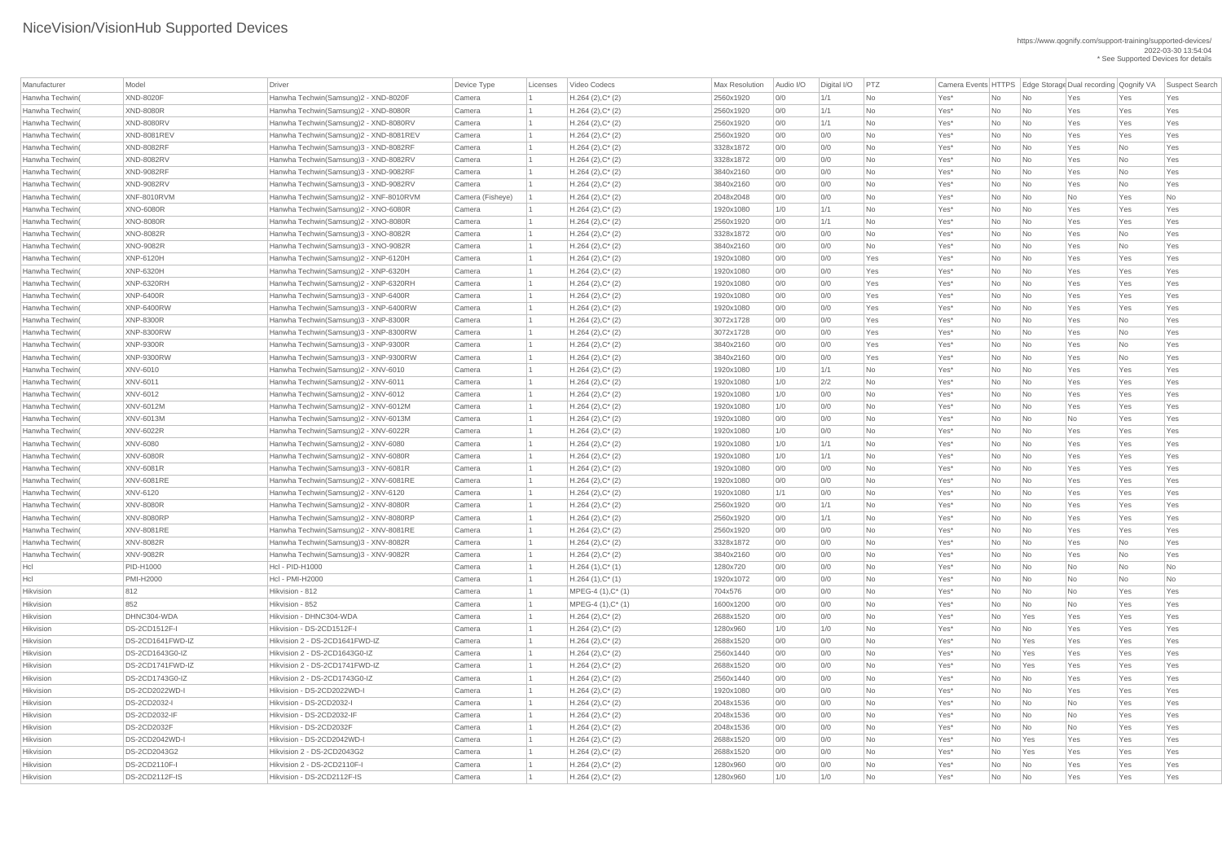| Manufacturer           | Model                 | Driver                                 | Device Type      | Licenses | Video Codecs        | <b>Max Resolution</b> | Audio I/O  | Digital I/O | PTZ             |      |           |                             | Camera Events HTTPS   Edge Storage Dual recording   Qognify VA |            | Suspect Search |
|------------------------|-----------------------|----------------------------------------|------------------|----------|---------------------|-----------------------|------------|-------------|-----------------|------|-----------|-----------------------------|----------------------------------------------------------------|------------|----------------|
| Hanwha Techwin(        | <b>XND-8020F</b>      | Hanwha Techwin(Samsung)2 - XND-8020F   | Camera           |          | $H.264 (2), C^*(2)$ | 2560x1920             | 0/0        | 1/1         | <b>No</b>       | Yes* | No        | $\overline{\mathsf{No}}$    | Yes                                                            | Yes        | Yes            |
| Hanwha Techwin(        | <b>XND-8080R</b>      | Hanwha Techwin(Samsung)2 - XND-8080R   | Camera           |          | $H.264 (2), C^*(2)$ | 2560x1920             | 0/0        | 1/1         | No              | Yes* | No        | $\overline{\mathsf{No}}$    | Yes                                                            | Yes        | Yes            |
| Hanwha Techwin(        | <b>XND-8080RV</b>     | Hanwha Techwin(Samsung)2 - XND-8080RV  | Camera           |          | $H.264 (2), C^*(2)$ | 2560x1920             | 0/0        | 1/1         | No              | Yes* | No        | $\overline{\mathsf{No}}$    | Yes                                                            | Yes        | Yes            |
| Hanwha Techwin(        | XND-8081REV           | Hanwha Techwin(Samsung)2 - XND-8081REV | Camera           |          | $H.264 (2), C^*(2)$ | 2560x1920             | 0/0        | 0/0         | <b>No</b>       | Yes* | No        | $\overline{\mathsf{No}}$    | Yes                                                            | Yes        | Yes            |
| Hanwha Techwin(        | <b>XND-8082RF</b>     | Hanwha Techwin(Samsung)3 - XND-8082RF  | Camera           |          | $H.264 (2), C^*(2)$ | 3328x1872             | 0/0        | 0/0         | <b>No</b>       | Yes* | No        | $\overline{\mathsf{No}}$    | Yes                                                            | No         | Yes            |
| Hanwha Techwin(        | <b>XND-8082RV</b>     | Hanwha Techwin(Samsung)3 - XND-8082RV  | Camera           |          | $H.264 (2), C^*(2)$ | 3328x1872             | 0/0        | 0/0         | <b>No</b>       | Yes* | No        | $\overline{\mathsf{No}}$    | Yes                                                            | No         | Yes            |
| Hanwha Techwin(        | <b>XND-9082RF</b>     | Hanwha Techwin(Samsung)3 - XND-9082RF  | Camera           |          | $H.264 (2), C^*(2)$ | 3840x2160             | 0/0        | 0/0         | <b>No</b>       | Yes* | No        | $\overline{\mathsf{No}}$    | Yes                                                            | No         | Yes            |
| Hanwha Techwin(        | <b>XND-9082RV</b>     | Hanwha Techwin(Samsung)3 - XND-9082RV  | Camera           |          | $H.264 (2), C^*(2)$ | 3840x2160             | 0/0        | 0/0         | <b>No</b>       | Yes* | No        | $\overline{\mathsf{No}}$    | Yes                                                            | No         | Yes            |
| Hanwha Techwin(        | XNF-8010RVM           | Hanwha Techwin(Samsung)2 - XNF-8010RVM | Camera (Fisheye) |          | $H.264 (2), C^*(2)$ | 2048x2048             | 0/0        | 0/0         | <b>No</b>       | Yes* | No        | $\overline{\mathsf{No}}$    | No                                                             | Yes        | No             |
| Hanwha Techwin(        | <b>XNO-6080R</b>      | Hanwha Techwin(Samsung)2 - XNO-6080R   | Camera           |          | $H.264 (2), C^*(2)$ | 1920x1080             | 1/0        | 1/1         | <b>No</b>       | Yes* | No        | $\overline{\mathsf{No}}$    | Yes                                                            | Yes        | Yes            |
| Hanwha Techwin(        | <b>XNO-8080R</b>      | Hanwha Techwin(Samsung)2 - XNO-8080R   | Camera           |          | $H.264 (2), C^*(2)$ | 2560x1920             | 0/0        | 1/1         | <b>No</b>       | Yes* | No        | $\overline{\mathsf{No}}$    | Yes                                                            | Yes        | Yes            |
| Hanwha Techwin(        | <b>XNO-8082R</b>      | Hanwha Techwin(Samsung)3 - XNO-8082R   | Camera           |          | $H.264 (2), C^*(2)$ | 3328x1872             | 0/0        | 0/0         | No              | Yes* | No        | $\overline{\mathsf{No}}$    | Yes                                                            | No         | Yes            |
| Hanwha Techwin(        | <b>XNO-9082R</b>      | Hanwha Techwin(Samsung)3 - XNO-9082R   | Camera           |          | $H.264 (2), C^*(2)$ | 3840x2160             | 0/0        | 0/0         | <b>No</b>       | Yes* | No        | No                          | Yes                                                            | No         | Yes            |
| Hanwha Techwin(        | <b>XNP-6120H</b>      | Hanwha Techwin(Samsung)2 - XNP-6120H   | Camera           |          | $H.264 (2), C^*(2)$ | 1920x1080             | O/O        | 0/0         | Yes             | Yes* | No        | $\overline{\mathsf{No}}$    | Yes                                                            | Yes        | Yes            |
| Hanwha Techwin(        | <b>XNP-6320H</b>      | Hanwha Techwin(Samsung)2 - XNP-6320H   | Camera           |          | $H.264 (2), C^*(2)$ | 1920x1080             | 0/0        | 0/0         | Yes             | Yes* | No        | $\overline{\mathsf{No}}$    | Yes                                                            | Yes        | Yes            |
| Hanwha Techwin(        | XNP-6320RH            | Hanwha Techwin(Samsung)2 - XNP-6320RH  | Camera           |          | $H.264 (2), C^*(2)$ | 1920x1080             | 0/0        | 0/0         | Yes             | Yes* | No        | $\overline{\mathsf{No}}$    | Yes                                                            | Yes        | Yes            |
| Hanwha Techwin(        | <b>XNP-6400R</b>      | Hanwha Techwin(Samsung)3 - XNP-6400R   | Camera           |          | $H.264 (2), C^*(2)$ | 1920x1080             | 0/0        | 0/0         | Yes             | Yes* | No        | $\overline{\mathsf{No}}$    | Yes                                                            | Yes        | Yes            |
| Hanwha Techwin(        | <b>XNP-6400RW</b>     | Hanwha Techwin(Samsung)3 - XNP-6400RW  | Camera           |          | $H.264 (2), C^*(2)$ | 1920x1080             | 0/0        | 0/0         | Yes             | Yes* | No        | $\overline{\mathsf{No}}$    | Yes                                                            | Yes        | Yes            |
| Hanwha Techwin(        | <b>XNP-8300R</b>      | Hanwha Techwin(Samsung)3 - XNP-8300R   | Camera           |          | $H.264 (2), C^*(2)$ | 3072x1728             | 0/0        | 0/0         | Yes             | Yes* | No        | $\overline{\mathsf{No}}$    | Yes                                                            | No         | Yes            |
| Hanwha Techwin(        | <b>XNP-8300RW</b>     | Hanwha Techwin(Samsung)3 - XNP-8300RW  | Camera           |          | $H.264 (2), C^*(2)$ | 3072x1728             | 0/0        | 0/0         | Yes             | Yes* | No        | $\overline{\mathsf{No}}$    | Yes                                                            | No         | Yes            |
| Hanwha Techwin(        | <b>XNP-9300R</b>      | Hanwha Techwin(Samsung)3 - XNP-9300R   | Camera           |          | $H.264 (2), C^*(2)$ | 3840x2160             | 0/0        | 0/0         | Yes             | Yes* | No        | $\overline{\mathsf{No}}$    | Yes                                                            | No         | Yes            |
| Hanwha Techwin(        | <b>XNP-9300RW</b>     | Hanwha Techwin(Samsung)3 - XNP-9300RW  | Camera           |          | $H.264 (2), C^*(2)$ | 3840x2160             | 0/0        | 0/0         | Yes             | Yes* | No        | $\overline{\mathsf{No}}$    | Yes                                                            | No         | Yes            |
| Hanwha Techwin(        | XNV-6010              | Hanwha Techwin(Samsung)2 - XNV-6010    | Camera           |          | $H.264 (2), C^*(2)$ | 1920x1080             | 1/0        | 1/1         | <b>No</b>       | Yes* | No        | $\overline{\mathsf{No}}$    | Yes                                                            | Yes        | Yes            |
| Hanwha Techwin(        | <b>XNV-6011</b>       | Hanwha Techwin(Samsung)2 - XNV-6011    | Camera           |          | $H.264 (2), C^*(2)$ | 1920x1080             | 1/0        | 2/2         | <b>No</b>       | Yes* | No        | $\overline{\mathsf{No}}$    | Yes                                                            | Yes        | Yes            |
| Hanwha Techwin(        | XNV-6012              | Hanwha Techwin(Samsung)2 - XNV-6012    | Camera           |          | $H.264 (2), C^*(2)$ | 1920x1080             | 1/0        | 0/0         | No              | Yes* | No        | No                          | Yes                                                            | Yes        | Yes            |
| Hanwha Techwin(        | XNV-6012M             | Hanwha Techwin(Samsung)2 - XNV-6012M   | Camera           |          | $H.264 (2), C^*(2)$ | 1920x1080             | 1/0        | 0/0         | No              | Yes* | No        | $\overline{\mathsf{No}}$    | Yes                                                            | Yes        | Yes            |
| Hanwha Techwin(        | XNV-6013M             | Hanwha Techwin(Samsung)2 - XNV-6013M   | Camera           |          | $H.264 (2), C^*(2)$ | 1920x1080             | 0/0        | 0/0         | <b>No</b>       | Yes* | No        | $\overline{\mathsf{No}}$    | No                                                             | Yes        | Yes            |
| Hanwha Techwin(        | <b>XNV-6022R</b>      | Hanwha Techwin(Samsung)2 - XNV-6022R   | Camera           |          | $H.264 (2), C^*(2)$ | 1920x1080             | 1/0        | 0/0         | No              | Yes* | No        | $\overline{\mathsf{No}}$    | Yes                                                            | Yes        | Yes            |
| Hanwha Techwin(        | XNV-6080              | Hanwha Techwin(Samsung)2 - XNV-6080    | Camera           |          | $H.264 (2), C^*(2)$ | 1920x1080             | 1/0        | 1/1         | <b>No</b>       | Yes* | No        | $\overline{\mathsf{No}}$    | Yes                                                            | Yes        | Yes            |
| Hanwha Techwin(        | <b>XNV-6080R</b>      | Hanwha Techwin(Samsung)2 - XNV-6080R   | Camera           |          | $H.264 (2), C^*(2)$ | 1920x1080             | 1/0        | 1/1         | No              | Yes* | No        | $\overline{\mathsf{No}}$    | Yes                                                            | Yes        | Yes            |
| Hanwha Techwin(        | <b>XNV-6081R</b>      | Hanwha Techwin(Samsung)3 - XNV-6081R   | Camera           |          | $H.264 (2), C^*(2)$ | 1920x1080             | 0/0        | 0/0         | No              | Yes* | No        | No                          | Yes                                                            | Yes        | Yes            |
| Hanwha Techwin(        | <b>XNV-6081RE</b>     | Hanwha Techwin(Samsung)2 - XNV-6081RE  | Camera           |          | $H.264 (2), C^*(2)$ | 1920x1080             | 0/0        | 0/0         | No              | Yes* | <b>No</b> | $\overline{\mathsf{No}}$    | Yes                                                            | Yes        | Yes            |
| Hanwha Techwin(        | XNV-6120              | Hanwha Techwin(Samsung)2 - XNV-6120    | Camera           |          | $H.264 (2), C^*(2)$ | 1920x1080             | 1/1        | 0/0         | <b>No</b>       | Yes* | No        | $\overline{\mathsf{No}}$    | Yes                                                            | Yes        | Yes            |
| Hanwha Techwin(        | <b>XNV-8080R</b>      | Hanwha Techwin(Samsung)2 - XNV-8080R   | Camera           |          | $H.264 (2), C^*(2)$ | 2560x1920             | 0/0        | 1/1         | <b>No</b>       | Yes* | No        | $\overline{\mathsf{No}}$    | Yes                                                            | Yes        | Yes            |
| Hanwha Techwin(        | <b>XNV-8080RP</b>     | Hanwha Techwin(Samsung)2 - XNV-8080RP  | Camera           |          | $H.264 (2), C^*(2)$ | 2560x1920             | O/O        | 1/1         | No              | Yes* | No        | $\overline{\mathsf{No}}$    | Yes                                                            | Yes        | Yes            |
| Hanwha Techwin(        | XNV-8081RE            | Hanwha Techwin(Samsung)2 - XNV-8081RE  | Camera           |          | $H.264 (2), C^*(2)$ | 2560x1920             | 0/0        | 0/0         | <b>No</b>       | Yes* | No        | $\overline{\mathsf{No}}$    | Yes                                                            | Yes        | Yes            |
| Hanwha Techwin(        | <b>XNV-8082R</b>      | Hanwha Techwin(Samsung)3 - XNV-8082R   | Camera           |          | $H.264 (2), C^*(2)$ | 3328x1872             | 0/0        | 0/0         | No              | Yes* | No        | No                          | Yes                                                            | No         | Yes            |
| Hanwha Techwin(        | <b>XNV-9082R</b>      | Hanwha Techwin(Samsung)3 - XNV-9082R   | Camera           |          | $H.264 (2), C^*(2)$ | 3840x2160             | 0/0        | 0/0         | No              | Yes* | No        | $\overline{\mathsf{No}}$    | Yes                                                            | No         | Yes            |
| Hcl                    | PID-H1000             | Hcl - PID-H1000                        | Camera           |          | $H.264(1),C^*(1)$   | 1280x720              | 0/0        | 0/0         | <b>No</b>       | Yes* | No        | $\overline{\mathsf{No}}$    | No                                                             | No         | No             |
| Hcl                    | <b>PMI-H2000</b>      | <b>Hcl - PMI-H2000</b>                 | Camera           |          | $H.264(1),C^*(1)$   | 1920x1072             | 0/0        | 0/0         | No              | Yes* | No        | $\overline{\mathsf{No}}$    | No                                                             | No         | No             |
| Hikvision              | 812                   | Hikvision - 812                        | Camera           |          | MPEG-4 (1), C* (1)  | 704x576               | 0/0        | 0/0         | No              | Yes* | No        | $\overline{\mathsf{No}}$    | No                                                             | Yes        | Yes            |
| Hikvision              | 852                   | Hikvision - 852                        | Camera           |          | $MPEG-4(1), C^*(1)$ | 1600x1200             | 0/0        | 0/0         | <b>No</b>       | Yes* | No        | $\overline{\mathsf{No}}$    | <b>No</b>                                                      | Yes        | Yes            |
| Hikvision              | DHNC304-WDA           | Hikvision - DHNC304-WDA                | Camera           |          | $H.264 (2), C^*(2)$ | 2688x1520             | 0/0        | 0/0         | No              | Yes* | No        | Yes                         | Yes                                                            | Yes        | Yes            |
| Hikvision              | <b>DS-2CD1512F-I</b>  | Hikvision - DS-2CD1512F-I              | Camera           |          | $H.264 (2), C^*(2)$ | 1280x960              | 1/0        | 1/0         | No              | Yes* | <b>No</b> | No                          | Yes                                                            | Yes        | Yes            |
| Hikvision              | DS-2CD1641FWD-IZ      | Hikvision 2 - DS-2CD1641FWD-IZ         | Camera           |          | $H.264 (2), C^*(2)$ | 2688x1520             | 0/0        | 0/0         | No              | Yes* | No        | Yes                         | Yes                                                            | Yes        | Yes            |
| Hikvision              | DS-2CD1643G0-IZ       | Hikvision 2 - DS-2CD1643G0-IZ          | Camera           |          | $H.264 (2), C^*(2)$ | 2560x1440             | 0/0        | 0/0         | No              | Yes* | No        | Yes                         | Yes                                                            | Yes        | Yes            |
| Hikvision              | DS-2CD1741FWD-IZ      | Hikvision 2 - DS-2CD1741FWD-IZ         | Camera           |          | $H.264 (2), C^*(2)$ | 2688x1520             | 0/0        | 0/0         | No              | Yes* | No        | Yes                         | Yes                                                            | Yes        | Yes            |
|                        |                       | Hikvision 2 - DS-2CD1743G0-IZ          |                  |          |                     |                       |            |             |                 |      |           |                             |                                                                |            |                |
| Hikvision              | DS-2CD1743G0-IZ       | Hikvision - DS-2CD2022WD-I             | Camera           |          | $H.264 (2), C^*(2)$ | 2560x1440             | 0/0        | 0/0         | <b>No</b><br>No | Yes* | No        | No                          | Yes                                                            | Yes        | Yes            |
| Hikvision<br>Hikvision | <b>DS-2CD2022WD-I</b> | Hikvision - DS-2CD2032-I               | Camera           |          | $H.264 (2), C^*(2)$ | 1920x1080             | 0/0<br>0/0 | 0/0         | No              | Yes* | No        | $\overline{\mathsf{No}}$    | Yes                                                            | Yes<br>Yes | Yes            |
|                        | <b>DS-2CD2032-I</b>   |                                        | Camera           |          | $H.264 (2), C^*(2)$ | 2048x1536             |            | 0/0         |                 | Yes* | No        | $\overline{\mathsf{No}}$    | No                                                             |            | Yes            |
| Hikvision              | <b>DS-2CD2032-IF</b>  | Hikvision - DS-2CD2032-IF              | Camera           |          | $H.264 (2), C^*(2)$ | 2048x1536             | 0/0        | 0/0         | <b>No</b>       | Yes* | <b>No</b> | $\overline{\mathsf{No}}$    | <b>No</b>                                                      | Yes        | Yes            |
| Hikvision              | <b>DS-2CD2032F</b>    | Hikvision - DS-2CD2032F                | Camera           |          | $H.264 (2), C^*(2)$ | 2048x1536             | 0/0        | 0/0         | No              | Yes* | No        | $\overline{\mathsf{No}}$    | No                                                             | Yes        | Yes            |
| Hikvision              | DS-2CD2042WD-I        | Hikvision - DS-2CD2042WD-I             | Camera           |          | $H.264 (2), C^*(2)$ | 2688x1520             | 0/0        | 0/0         | No              | Yes* | No        | Yes                         | Yes                                                            | Yes        | Yes            |
| Hikvision              | DS-2CD2043G2          | Hikvision 2 - DS-2CD2043G2             | Camera           |          | $H.264 (2), C^*(2)$ | 2688x1520             | 0/0        | 0/0         | No              | Yes* | No        | Yes                         | Yes                                                            | Yes        | Yes            |
| Hikvision              | <b>DS-2CD2110F-I</b>  | Hikvision 2 - DS-2CD2110F-I            | Camera           |          | $H.264 (2), C^*(2)$ | 1280x960              | 0/0        | 0/0         | No              | Yes* | No        | $\overline{\mathsf{No}}$    | Yes                                                            | Yes        | Yes            |
| Hikvision              | DS-2CD2112F-IS        | Hikvision - DS-2CD2112F-IS             | Camera           |          | $H.264 (2), C^*(2)$ | 1280x960              | 1/0        | 1/0         | No              | Yes* | No        | $\overline{\phantom{a}}$ No | Yes                                                            | Yes        | Yes            |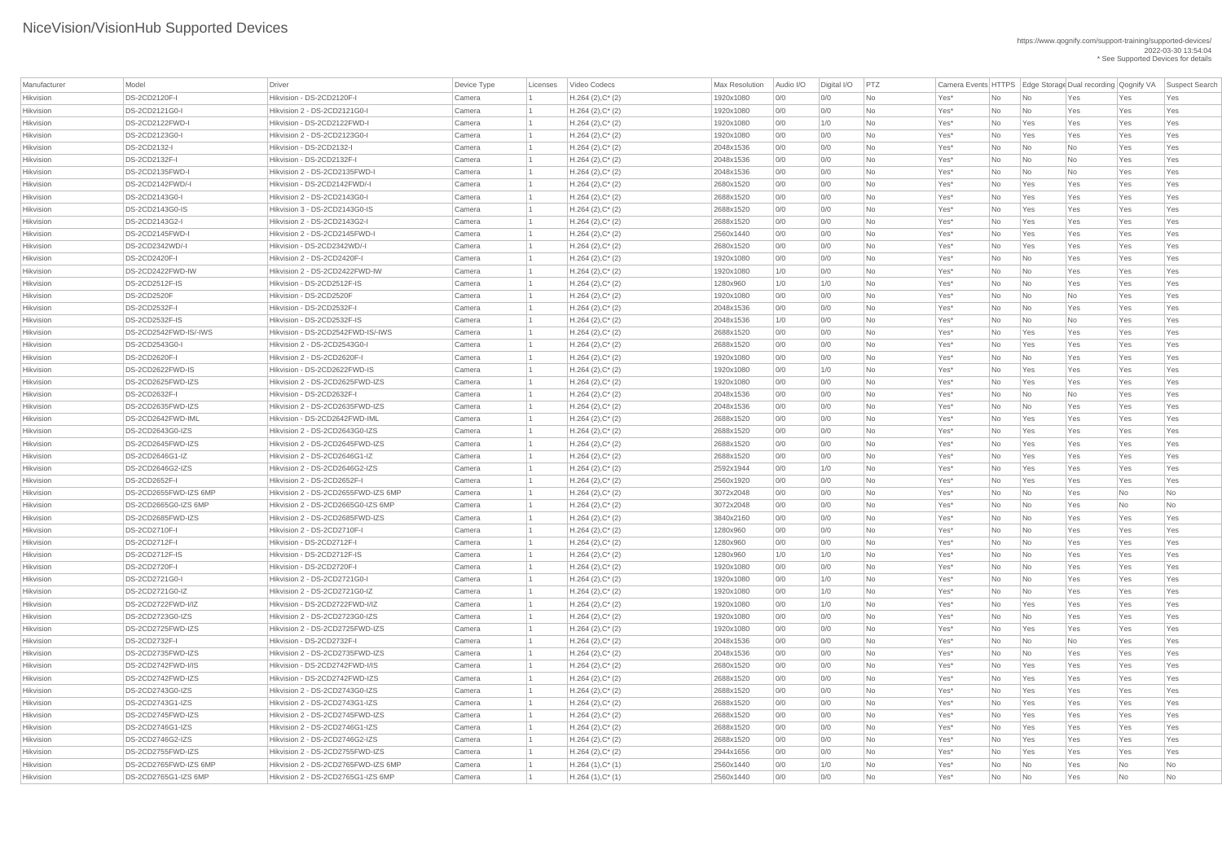| Manufacturer | Model                 | <b>Driver</b>                       | Device Type | Licenses | Video Codecs        | Max Resolution | Audio I/O | Digital I/O | PTZ       |      |    |                             | Camera Events HTTPS   Edge Storage Dual recording   Qognify VA |     | Suspect Search |
|--------------|-----------------------|-------------------------------------|-------------|----------|---------------------|----------------|-----------|-------------|-----------|------|----|-----------------------------|----------------------------------------------------------------|-----|----------------|
| Hikvision    | <b>DS-2CD2120F-I</b>  | Hikvision - DS-2CD2120F-I           | Camera      |          | $H.264 (2), C^*(2)$ | 1920x1080      | 0/0       | 0/0         | No        | Yes* | No | $\overline{\mathsf{No}}$    | Yes                                                            | Yes | Yes            |
| Hikvision    | DS-2CD2121G0-I        | Hikvision 2 - DS-2CD2121G0-I        | Camera      |          | $H.264 (2), C^*(2)$ | 1920x1080      | 0/0       | 0/0         | <b>No</b> | Yes* | No | $\overline{\mathsf{No}}$    | Yes                                                            | Yes | Yes            |
| Hikvision    | DS-2CD2122FWD-I       | Hikvision - DS-2CD2122FWD-I         | Camera      |          | $H.264 (2), C^*(2)$ | 1920x1080      | 0/0       | 1/0         | <b>No</b> | Yes* | No | Yes                         | Yes                                                            | Yes | Yes            |
| Hikvision    | DS-2CD2123G0-I        | Hikvision 2 - DS-2CD2123G0-I        | Camera      |          | $H.264 (2), C^*(2)$ | 1920x1080      | 0/0       | 0/0         | <b>No</b> | Yes* | No | Yes                         | Yes                                                            | Yes | Yes            |
| Hikvision    | DS-2CD2132-I          | Hikvision - DS-2CD2132-I            | Camera      |          | $H.264 (2), C^*(2)$ | 2048x1536      | 0/0       | 0/0         | No        | Yes* | No | $\overline{\mathsf{No}}$    | No                                                             | Yes | Yes            |
| Hikvision    | <b>DS-2CD2132F-I</b>  | Hikvision - DS-2CD2132F-I           | Camera      |          | $H.264 (2), C^*(2)$ | 2048x1536      | 0/0       | 0/0         | No        | Yes* | No | $\overline{\mathsf{No}}$    | No                                                             | Yes | Yes            |
| Hikvision    | DS-2CD2135FWD-I       | Hikvision 2 - DS-2CD2135FWD-I       | Camera      |          | $H.264 (2), C^*(2)$ | 2048x1536      | 0/0       | 0/0         | <b>No</b> | Yes* | No | No                          | No                                                             | Yes | Yes            |
| Hikvision    | DS-2CD2142FWD/-I      | Hikvision - DS-2CD2142FWD/-I        | Camera      |          | $H.264 (2), C^*(2)$ | 2680x1520      | 0/0       | 0/0         | <b>No</b> | Yes* | No | Yes                         | Yes                                                            | Yes | Yes            |
| Hikvision    | DS-2CD2143G0-I        | Hikvision 2 - DS-2CD2143G0-I        | Camera      |          | $H.264 (2), C^*(2)$ | 2688x1520      | 0/0       | 0/0         | <b>No</b> | Yes* | No | Yes                         | Yes                                                            | Yes | Yes            |
| Hikvision    | DS-2CD2143G0-IS       | Hikvision 3 - DS-2CD2143G0-IS       | Camera      |          | $H.264 (2), C^*(2)$ | 2688x1520      | 0/0       | 0/0         | <b>No</b> | Yes* | No | Yes                         | Yes                                                            | Yes | Yes            |
| Hikvision    | DS-2CD2143G2-I        | Hikvision 2 - DS-2CD2143G2-I        | Camera      |          | $H.264 (2), C^*(2)$ | 2688x1520      | 0/0       | 0/0         | No        | Yes* | No | Yes                         | Yes                                                            | Yes | Yes            |
| Hikvision    | DS-2CD2145FWD-I       | Hikvision 2 - DS-2CD2145FWD-I       | Camera      |          | $H.264(2),C^*(2)$   | 2560x1440      | 0/0       | 0/0         | No        | Yes* | No | Yes                         | Yes                                                            | Yes | Yes            |
| Hikvision    | DS-2CD2342WD/-I       | Hikvision - DS-2CD2342WD/-I         | Camera      |          | $H.264 (2), C^*(2)$ | 2680x1520      | 0/0       | 0/0         | No        | Yes* | No | Yes                         | Yes                                                            | Yes | Yes            |
| Hikvision    | <b>DS-2CD2420F-I</b>  | Hikvision 2 - DS-2CD2420F-I         | Camera      |          | $H.264 (2), C^*(2)$ | 1920x1080      | 0/0       | 0/0         | <b>No</b> | Yes* | No | $\overline{\mathsf{No}}$    | Yes                                                            | Yes | Yes            |
| Hikvision    | DS-2CD2422FWD-IW      | Hikvision 2 - DS-2CD2422FWD-IW      | Camera      |          | $H.264(2),C^*(2)$   | 1920x1080      | 1/0       | 0/0         | <b>No</b> | Yes* | No | $\overline{\mathsf{No}}$    | Yes                                                            | Yes | Yes            |
| Hikvision    | DS-2CD2512F-IS        | Hikvision - DS-2CD2512F-IS          | Camera      |          | $H.264 (2), C^*(2)$ | 1280x960       | 1/0       | 1/0         | No        | Yes* | No | No                          | Yes                                                            | Yes | Yes            |
| Hikvision    | <b>DS-2CD2520F</b>    | Hikvision - DS-2CD2520F             | Camera      |          | $H.264 (2), C^*(2)$ | 1920x1080      | 0/0       | 0/0         | <b>No</b> | Yes* | No | $\overline{\mathsf{No}}$    | No                                                             | Yes | Yes            |
| Hikvision    | <b>DS-2CD2532F-I</b>  | Hikvision - DS-2CD2532F-I           | Camera      |          | $H.264 (2), C^*(2)$ | 2048x1536      | 0/0       | 0/0         | No        | Yes* | No | $\overline{\mathsf{No}}$    | Yes                                                            | Yes | Yes            |
| Hikvision    | DS-2CD2532F-IS        | Hikvision - DS-2CD2532F-IS          | Camera      |          | $H.264 (2), C^*(2)$ | 2048x1536      | 1/0       | 0/0         | No        | Yes* | No | No                          | <b>No</b>                                                      | Yes | Yes            |
| Hikvision    | DS-2CD2542FWD-IS/-IWS | Hikvision - DS-2CD2542FWD-IS/-IWS   | Camera      |          | $H.264 (2), C^*(2)$ | 2688x1520      | 0/0       | 0/0         | <b>No</b> | Yes* | No | Yes                         | Yes                                                            | Yes | Yes            |
| Hikvision    | DS-2CD2543G0-I        | Hikvision 2 - DS-2CD2543G0-I        | Camera      |          | $H.264 (2), C^*(2)$ | 2688x1520      | 0/0       | 0/0         | <b>No</b> | Yes* | No | Yes                         | Yes                                                            | Yes | Yes            |
| Hikvision    | <b>DS-2CD2620F-I</b>  | Hikvision 2 - DS-2CD2620F-I         | Camera      |          | $H.264 (2), C^*(2)$ | 1920x1080      | 0/0       | 0/0         | <b>No</b> | Yes* | No | No                          | Yes                                                            | Yes | Yes            |
| Hikvision    | DS-2CD2622FWD-IS      | Hikvision - DS-2CD2622FWD-IS        | Camera      |          | $H.264 (2), C^*(2)$ | 1920x1080      | 0/0       | 1/0         | <b>No</b> | Yes* | No | Yes                         | Yes                                                            | Yes | Yes            |
| Hikvision    | DS-2CD2625FWD-IZS     | Hikvision 2 - DS-2CD2625FWD-IZS     | Camera      |          | $H.264 (2), C^*(2)$ | 1920x1080      | 0/0       | 0/0         | No        | Yes* | No | Yes                         | Yes                                                            | Yes | Yes            |
| Hikvision    | <b>DS-2CD2632F-I</b>  | Hikvision - DS-2CD2632F-I           | Camera      |          | $H.264 (2), C^*(2)$ | 2048x1536      | 0/0       | 0/0         | <b>No</b> | Yes* | No | No                          | No                                                             | Yes | Yes            |
| Hikvision    | DS-2CD2635FWD-IZS     | Hikvision 2 - DS-2CD2635FWD-IZS     | Camera      |          | $H.264 (2), C^*(2)$ | 2048x1536      | 0/0       | 0/0         | No        | Yes* | No | $\overline{\mathsf{No}}$    | Yes                                                            | Yes | Yes            |
| Hikvision    | DS-2CD2642FWD-IML     | Hikvision - DS-2CD2642FWD-IML       | Camera      |          | $H.264 (2), C^*(2)$ | 2688x1520      | 0/0       | 0/0         | <b>No</b> | Yes* | No | Yes                         | Yes                                                            | Yes | Yes            |
| Hikvision    | DS-2CD2643G0-IZS      | Hikvision 2 - DS-2CD2643G0-IZS      | Camera      |          | $H.264(2),C^*(2)$   | 2688x1520      | 0/0       | 0/0         | <b>No</b> | Yes* | No | Yes                         | Yes                                                            | Yes | Yes            |
| Hikvision    | DS-2CD2645FWD-IZS     | Hikvision 2 - DS-2CD2645FWD-IZS     | Camera      |          | $H.264 (2), C^*(2)$ | 2688x1520      | 0/0       | 0/0         | <b>No</b> | Yes* | No | Yes                         | Yes                                                            | Yes | Yes            |
| Hikvision    | DS-2CD2646G1-IZ       | Hikvision 2 - DS-2CD2646G1-IZ       | Camera      |          | $H.264 (2), C^*(2)$ | 2688x1520      | 0/0       | 0/0         | No        | Yes* | No | Yes                         | Yes                                                            | Yes | Yes            |
| Hikvision    | DS-2CD2646G2-IZS      | Hikvision 2 - DS-2CD2646G2-IZS      | Camera      |          | $H.264 (2), C^*(2)$ | 2592x1944      | 0/0       | 1/0         | No        | Yes* | No | Yes                         | Yes                                                            | Yes | Yes            |
| Hikvision    | <b>DS-2CD2652F-I</b>  | Hikvision 2 - DS-2CD2652F-I         | Camera      |          | $H.264 (2), C^*(2)$ | 2560x1920      | 0/0       | 0/0         | <b>No</b> | Yes* | No | Yes                         | Yes                                                            | Yes | Yes            |
| Hikvision    | DS-2CD2655FWD-IZS 6MP | Hikvision 2 - DS-2CD2655FWD-IZS 6MP | Camera      |          | $H.264 (2), C^*(2)$ | 3072x2048      | 0/0       | 0/0         | <b>No</b> | Yes* | No | No                          | Yes                                                            | No  | No             |
| Hikvision    | DS-2CD2665G0-IZS 6MP  | Hikvision 2 - DS-2CD2665G0-IZS 6MP  | Camera      |          | $H.264 (2), C^*(2)$ | 3072x2048      | 0/0       | 0/0         | <b>No</b> | Yes* | No | No                          | Yes                                                            | No  | No             |
| Hikvision    | DS-2CD2685FWD-IZS     | Hikvision 2 - DS-2CD2685FWD-IZS     | Camera      |          | $H.264 (2), C^*(2)$ | 3840x2160      | 0/0       | 0/0         | <b>No</b> | Yes* | No | $\overline{\mathsf{No}}$    | Yes                                                            | Yes | Yes            |
| Hikvision    | <b>DS-2CD2710F-I</b>  | Hikvision 2 - DS-2CD2710F-I         | Camera      |          | $H.264 (2), C^*(2)$ | 1280x960       | 0/0       | 0/0         | No        | Yes* | No | $\overline{\mathsf{No}}$    | Yes                                                            | Yes | Yes            |
| Hikvision    | <b>DS-2CD2712F-I</b>  | Hikvision - DS-2CD2712F-I           | Camera      |          | $H.264 (2), C^*(2)$ | 1280x960       | 0/0       | 0/0         | No        | Yes* | No | No                          | Yes                                                            | Yes | Yes            |
| Hikvision    | DS-2CD2712F-IS        | Hikvision - DS-2CD2712F-IS          | Camera      |          | $H.264 (2), C^*(2)$ | 1280x960       | 1/0       | 1/0         | <b>No</b> | Yes* | No | $\overline{\mathsf{No}}$    | Yes                                                            | Yes | Yes            |
| Hikvision    | <b>DS-2CD2720F-I</b>  | Hikvision - DS-2CD2720F-I           | Camera      |          | $H.264 (2), C^*(2)$ | 1920x1080      | 0/0       | 0/0         | <b>No</b> | Yes* | No | $\overline{\mathsf{No}}$    | Yes                                                            | Yes | Yes            |
| Hikvision    | DS-2CD2721G0-I        | Hikvision 2 - DS-2CD2721G0-I        | Camera      |          | $H.264(2),C^*(2)$   | 1920x1080      | 0/0       | 1/0         | <b>No</b> | Yes* | No | $\overline{\mathsf{No}}$    | Yes                                                            | Yes | Yes            |
| Hikvision    | DS-2CD2721G0-IZ       | Hikvision 2 - DS-2CD2721G0-IZ       | Camera      |          | $H.264 (2), C^*(2)$ | 1920x1080      | 0/0       | 1/0         | <b>No</b> | Yes* | No | $\overline{\mathsf{No}}$    | Yes                                                            | Yes | Yes            |
| Hikvision    | DS-2CD2722FWD-I/IZ    | Hikvision - DS-2CD2722FWD-I/IZ      | Camera      |          | $H.264(2),C^*(2)$   | 1920x1080      | 0/0       | 1/0         | No        | Yes* | No | Yes                         | Yes                                                            | Yes | Yes            |
| Hikvision    | DS-2CD2723G0-IZS      | Hikvision 2 - DS-2CD2723G0-IZS      | Camera      |          | $H.264 (2), C^*(2)$ | 1920x1080      | 0/0       | 0/0         | No        | Yes* | No | No                          | Yes                                                            | Yes | Yes            |
| Hikvision    | DS-2CD2725FWD-IZS     | Hikvision 2 - DS-2CD2725FWD-IZS     | Camera      |          | $H.264 (2), C^*(2)$ | 1920x1080      | 0/0       | 0/0         | <b>No</b> | Yes* | No | Yes                         | Yes                                                            | Yes | Yes            |
| Hikvision    | <b>DS-2CD2732F-I</b>  | Hikvision - DS-2CD2732F-I           | Camera      |          | $H.264 (2), C^*(2)$ | 2048x1536      | 0/0       | 0/0         | <b>No</b> | Yes* | No | $\overline{\mathsf{No}}$    | No                                                             | Yes | Yes            |
| Hikvision    | DS-2CD2735FWD-IZS     | Hikvision 2 - DS-2CD2735FWD-IZS     | Camera      |          | $H.264 (2), C^*(2)$ | 2048x1536      | 0/0       | 0/0         | <b>No</b> | Yes* | No | $\overline{\mathsf{No}}$    | Yes                                                            | Yes | Yes            |
| Hikvision    | DS-2CD2742FWD-I/IS    | Hikvision - DS-2CD2742FWD-I/IS      | Camera      |          | $H.264 (2), C^*(2)$ | 2680x1520      | 0/0       | 0/0         | No        | Yes* | No | Yes                         | Yes                                                            | Yes | Yes            |
| Hikvision    | DS-2CD2742FWD-IZS     | Hikvision - DS-2CD2742FWD-IZS       | Camera      |          | $H.264 (2), C^*(2)$ | 2688x1520      | 0/0       | 0/0         | No        | Yes* | No | Yes                         | Yes                                                            | Yes | Yes            |
| Hikvision    | DS-2CD2743G0-IZS      | Hikvision 2 - DS-2CD2743G0-IZS      | Camera      |          | $H.264 (2), C^*(2)$ | 2688x1520      | 0/0       | 0/0         | No        | Yes* | No | Yes                         | Yes                                                            | Yes | Yes            |
| Hikvision    | DS-2CD2743G1-IZS      | Hikvision 2 - DS-2CD2743G1-IZS      | Camera      |          | $H.264 (2), C^*(2)$ | 2688x1520      | 0/0       | 0/0         | <b>No</b> | Yes* | No | Yes                         | Yes                                                            | Yes | Yes            |
| Hikvision    | DS-2CD2745FWD-IZS     | Hikvision 2 - DS-2CD2745FWD-IZS     | Camera      |          | $H.264 (2), C^*(2)$ | 2688x1520      | 0/0       | 0/0         | <b>No</b> | Yes* | No | Yes                         | Yes                                                            | Yes | Yes            |
| Hikvision    | DS-2CD2746G1-IZS      | Hikvision 2 - DS-2CD2746G1-IZS      | Camera      |          | $H.264 (2), C^*(2)$ | 2688x1520      | 0/0       | 0/0         | No        | Yes* | No | Yes                         | Yes                                                            | Yes | Yes            |
| Hikvision    | DS-2CD2746G2-IZS      | Hikvision 2 - DS-2CD2746G2-IZS      | Camera      |          | $H.264 (2), C^*(2)$ | 2688x1520      | 0/0       | 0/0         | No        | Yes* | No | Yes                         | Yes                                                            | Yes | Yes            |
| Hikvision    | DS-2CD2755FWD-IZS     | Hikvision 2 - DS-2CD2755FWD-IZS     | Camera      |          | $H.264 (2), C^*(2)$ | 2944x1656      | 0/0       | 0/0         | No        | Yes* | No | Yes                         | Yes                                                            | Yes | Yes            |
| Hikvision    | DS-2CD2765FWD-IZS 6MP | Hikvision 2 - DS-2CD2765FWD-IZS 6MP | Camera      |          | $H.264(1),C^*(1)$   | 2560x1440      | 0/0       | 1/0         | No        | Yes* | No | $\overline{\phantom{a}}$ No | Yes                                                            | No  | No             |
| Hikvision    | DS-2CD2765G1-IZS 6MP  | Hikvision 2 - DS-2CD2765G1-IZS 6MP  | Camera      |          | $H.264(1),C^*(1)$   | 2560x1440      | 0/0       | 0/0         | <b>No</b> | Yes* | No | $\overline{\mathsf{No}}$    | Yes                                                            | No  | No             |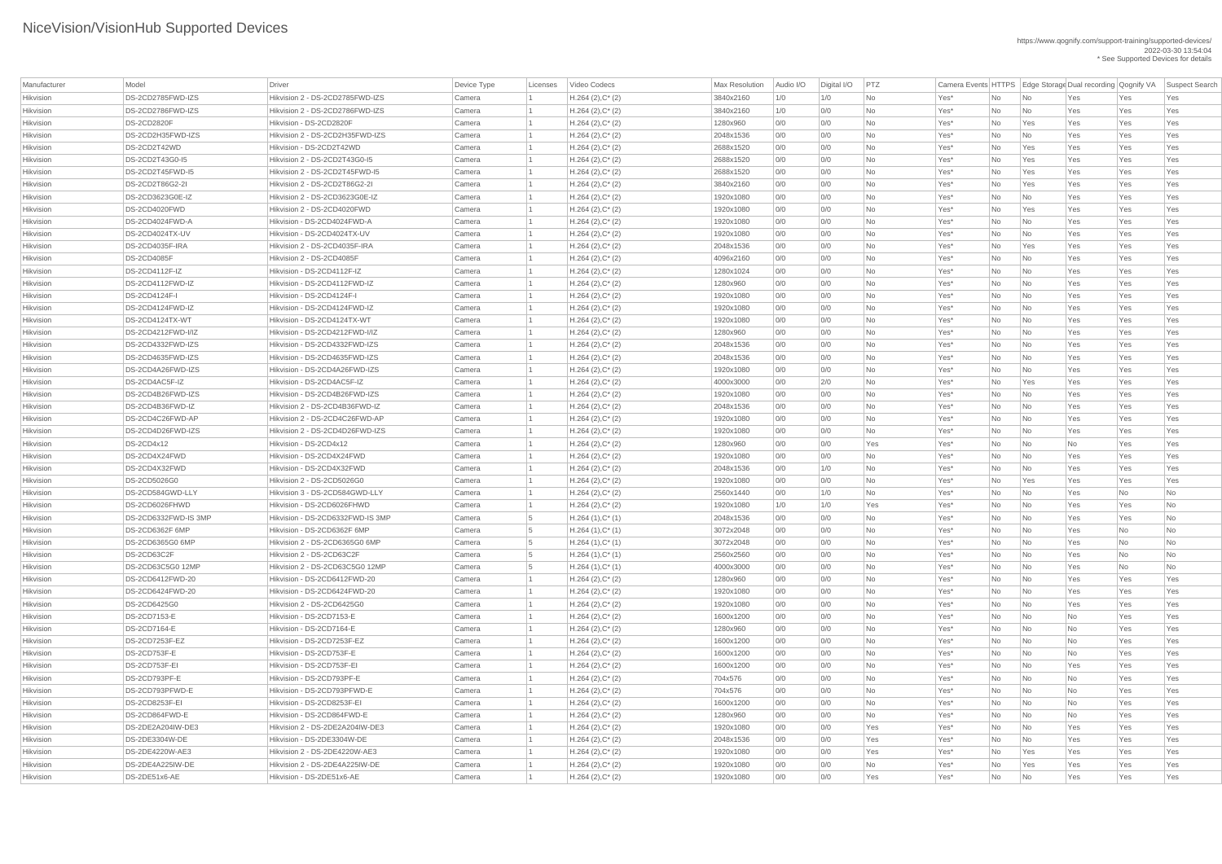| Manufacturer | Model                    | Driver                           | Device Type | Licenses | Video Codecs        | <b>Max Resolution</b> | Audio I/O | Digital I/O | PTZ       | Camera Events HTTPS Edge Storage Dual recording Qognify VA |      |                             |     |     | Suspect Search |
|--------------|--------------------------|----------------------------------|-------------|----------|---------------------|-----------------------|-----------|-------------|-----------|------------------------------------------------------------|------|-----------------------------|-----|-----|----------------|
| Hikvision    | DS-2CD2785FWD-IZS        | Hikvision 2 - DS-2CD2785FWD-IZS  | Camera      |          | $H.264 (2), C^*(2)$ | 3840x2160             | 1/0       | 1/0         | <b>No</b> | Yes*                                                       | No   | $\overline{\mathsf{No}}$    | Yes | Yes | Yes            |
| Hikvision    | DS-2CD2786FWD-IZS        | Hikvision 2 - DS-2CD2786FWD-IZS  | Camera      |          | $H.264 (2), C^*(2)$ | 3840x2160             | 1/0       | 0/0         | <b>No</b> | Yes*                                                       | No   | $\overline{\phantom{a}}$ No | Yes | Yes | Yes            |
| Hikvision    | <b>DS-2CD2820F</b>       | Hikvision - DS-2CD2820F          | Camera      |          | $H.264 (2), C^*(2)$ | 1280x960              | 0/0       | 0/0         | <b>No</b> | Yes*                                                       | No   | Yes                         | Yes | Yes | Yes            |
| Hikvision    | DS-2CD2H35FWD-IZS        | Hikvision 2 - DS-2CD2H35FWD-IZS  | Camera      |          | $H.264 (2), C^*(2)$ | 2048x1536             | O/O       | 0/0         | <b>No</b> | Yes*                                                       | No   | $\overline{\mathsf{No}}$    | Yes | Yes | Yes            |
| Hikvision    | DS-2CD2T42WD             | Hikvision - DS-2CD2T42WD         | Camera      |          | $H.264 (2), C^*(2)$ | 2688x1520             | 0/0       | 0/0         | <b>No</b> | Yes*                                                       | No   | Yes                         | Yes | Yes | Yes            |
| Hikvision    | DS-2CD2T43G0-I5          | Hikvision 2 - DS-2CD2T43G0-I5    | Camera      |          | $H.264 (2), C^*(2)$ | 2688x1520             | 0/0       | 0/0         | <b>No</b> | Yes*                                                       | No   | Yes                         | Yes | Yes | Yes            |
| Hikvision    | DS-2CD2T45FWD-I5         | Hikvision 2 - DS-2CD2T45FWD-I5   | Camera      |          | $H.264 (2), C^*(2)$ | 2688x1520             | 0/0       | 0/0         | <b>No</b> | Yes*                                                       | No   | Yes                         | Yes | Yes | Yes            |
| Hikvision    | DS-2CD2T86G2-2I          | Hikvision 2 - DS-2CD2T86G2-2I    | Camera      |          | $H.264 (2), C^*(2)$ | 3840x2160             | O/O       | 0/0         | <b>No</b> | Yes*                                                       | No   | Yes                         | Yes | Yes | Yes            |
| Hikvision    | DS-2CD3623G0E-IZ         | Hikvision 2 - DS-2CD3623G0E-IZ   | Camera      |          | $H.264 (2), C^*(2)$ | 1920x1080             | 0/0       | 0/0         | <b>No</b> | Yes*                                                       | No   | $\overline{\mathsf{No}}$    | Yes | Yes | Yes            |
| Hikvision    | DS-2CD4020FWD            | Hikvision 2 - DS-2CD4020FWD      | Camera      |          | $H.264 (2), C^*(2)$ | 1920x1080             | 0/0       | 0/0         | <b>No</b> | Yes*                                                       | No   | Yes                         | Yes | Yes | Yes            |
| Hikvision    | DS-2CD4024FWD-A          | Hikvision - DS-2CD4024FWD-A      | Camera      |          | $H.264 (2), C^*(2)$ | 1920x1080             | 0/0       | 0/0         | <b>No</b> | Yes*                                                       | No   | $\overline{\mathsf{No}}$    | Yes | Yes | Yes            |
| Hikvision    | <b>DS-2CD4024TX-UV</b>   | Hikvision - DS-2CD4024TX-UV      | Camera      |          | $H.264 (2), C^*(2)$ | 1920x1080             | 0/0       | 0/0         | <b>No</b> | Yes*                                                       | No   | $\overline{\phantom{a}}$ No | Yes | Yes | Yes            |
| Hikvision    | DS-2CD4035F-IRA          | Hikvision 2 - DS-2CD4035F-IRA    | Camera      |          | $H.264 (2), C^*(2)$ | 2048x1536             | 0/0       | 0/0         | <b>No</b> | Yes*                                                       | No   | Yes                         | Yes | Yes | Yes            |
| Hikvision    | <b>DS-2CD4085F</b>       | Hikvision 2 - DS-2CD4085F        | Camera      |          | $H.264 (2), C^*(2)$ | 4096x2160             | 0/0       | 0/0         | <b>No</b> | Yes*                                                       | No   | $\overline{\mathsf{No}}$    | Yes | Yes | Yes            |
| Hikvision    | DS-2CD4112F-IZ           | Hikvision - DS-2CD4112F-IZ       | Camera      |          | $H.264 (2), C^*(2)$ | 1280x1024             | 0/0       | 0/0         | <b>No</b> | Yes <sup>*</sup>                                           | No   | $\overline{\phantom{a}}$ No | Yes | Yes | Yes            |
| Hikvision    | DS-2CD4112FWD-IZ         | Hikvision - DS-2CD4112FWD-IZ     | Camera      |          | $H.264 (2), C^*(2)$ | 1280x960              | 0/0       | 0/0         | <b>No</b> | Yes*                                                       | No   | $\overline{\mathsf{No}}$    | Yes | Yes | Yes            |
| Hikvision    | <b>DS-2CD4124F-I</b>     | Hikvision - DS-2CD4124F-I        | Camera      |          | $H.264 (2), C^*(2)$ | 1920x1080             | 0/0       | 0/0         | <b>No</b> | Yes*                                                       | No   | $\overline{\mathsf{No}}$    | Yes | Yes | Yes            |
| Hikvision    | DS-2CD4124FWD-IZ         | Hikvision - DS-2CD4124FWD-IZ     | Camera      |          | $H.264 (2), C^*(2)$ | 1920x1080             | 0/0       | 0/0         | <b>No</b> | Yes*                                                       | No   | $\overline{\mathsf{No}}$    | Yes | Yes | Yes            |
| Hikvision    | <b>DS-2CD4124TX-WT</b>   | Hikvision - DS-2CD4124TX-WT      | Camera      |          | $H.264 (2), C^*(2)$ | 1920x1080             | 0/0       | 0/0         | <b>No</b> | Yes <sup>*</sup>                                           | No   | No                          | Yes | Yes | Yes            |
| Hikvision    | DS-2CD4212FWD-I/IZ       | Hikvision - DS-2CD4212FWD-I/IZ   | Camera      |          | $H.264 (2), C^*(2)$ | 1280x960              | O/O       | 0/0         | <b>No</b> | Yes*                                                       | No   | $\overline{\mathsf{No}}$    | Yes | Yes | Yes            |
| Hikvision    | DS-2CD4332FWD-IZS        | Hikvision - DS-2CD4332FWD-IZS    | Camera      |          | $H.264 (2), C^*(2)$ | 2048x1536             | 0/0       | 0/0         | No        | Yes <sup>*</sup>                                           | No   | $\overline{\mathsf{No}}$    | Yes | Yes | Yes            |
| Hikvision    | DS-2CD4635FWD-IZS        | Hikvision - DS-2CD4635FWD-IZS    | Camera      |          | $H.264 (2), C^*(2)$ | 2048x1536             | 0/0       | 0/0         | <b>No</b> | Yes*                                                       | No   | $\overline{\mathsf{No}}$    | Yes | Yes | Yes            |
| Hikvision    | DS-2CD4A26FWD-IZS        | Hikvision - DS-2CD4A26FWD-IZS    | Camera      |          | $H.264 (2), C^*(2)$ | 1920x1080             | O/O       | 0/0         | <b>No</b> | Yes*                                                       | No   | $\overline{\mathsf{No}}$    | Yes | Yes | Yes            |
| Hikvision    | DS-2CD4AC5F-IZ           | Hikvision - DS-2CD4AC5F-IZ       | Camera      |          | $H.264 (2), C^*(2)$ | 4000x3000             | 0/0       | 2/0         | <b>No</b> | Yes*                                                       | No   | Yes                         | Yes | Yes | Yes            |
| Hikvision    | DS-2CD4B26FWD-IZS        | Hikvision - DS-2CD4B26FWD-IZS    | Camera      |          | $H.264 (2), C^*(2)$ | 1920x1080             | 0/0       | 0/0         | <b>No</b> | Yes*                                                       | No   | No                          | Yes | Yes | Yes            |
| Hikvision    | DS-2CD4B36FWD-IZ         | Hikvision 2 - DS-2CD4B36FWD-IZ   | Camera      |          | $H.264 (2), C^*(2)$ | 2048x1536             | 0/0       | 0/0         | <b>No</b> | Yes*                                                       | No.  | $\overline{\mathsf{No}}$    | Yes | Yes | Yes            |
| Hikvision    | DS-2CD4C26FWD-AP         | Hikvision 2 - DS-2CD4C26FWD-AP   | Camera      |          | $H.264 (2), C^*(2)$ | 1920x1080             | 0/0       | 0/0         | No        | Yes <sup>*</sup>                                           | No   | $\overline{\mathsf{No}}$    | Yes | Yes | Yes            |
| Hikvision    | DS-2CD4D26FWD-IZS        | Hikvision 2 - DS-2CD4D26FWD-IZS  | Camera      |          | $H.264 (2), C^*(2)$ | 1920x1080             | 0/0       | 0/0         | No        | Yes*                                                       | No   | $\overline{\mathsf{No}}$    | Yes | Yes | Yes            |
| Hikvision    | <b>DS-2CD4x12</b>        | Hikvision - DS-2CD4x12           | Camera      |          | $H.264 (2), C^*(2)$ | 1280x960              | 0/0       | 0/0         | Yes       | Yes*                                                       | No   | $\overline{\mathsf{No}}$    | No  | Yes | Yes            |
| Hikvision    | DS-2CD4X24FWD            | Hikvision - DS-2CD4X24FWD        | Camera      |          | $H.264 (2), C^*(2)$ | 1920x1080             | 0/0       | 0/0         | No        | Yes*                                                       | No   | $\overline{\mathsf{No}}$    | Yes | Yes | Yes            |
| Hikvision    | DS-2CD4X32FWD            | Hikvision - DS-2CD4X32FWD        | Camera      |          | $H.264 (2), C^*(2)$ | 2048x1536             | 0/0       | 1/0         | No        | Yes*                                                       | No   | $\overline{\mathsf{No}}$    | Yes | Yes | Yes            |
| Hikvision    | DS-2CD5026G0             | Hikvision 2 - DS-2CD5026G0       | Camera      |          | $H.264 (2), C^*(2)$ | 1920x1080             | 0/0       | 0/0         | <b>No</b> | Yes*                                                       | No   | Yes                         | Yes | Yes | Yes            |
| Hikvision    | DS-2CD584GWD-LLY         | Hikvision 3 - DS-2CD584GWD-LLY   | Camera      |          | $H.264 (2), C^*(2)$ | 2560x1440             | 0/0       | 1/0         | No        | Yes <sup>*</sup>                                           | No   | $\overline{\mathsf{No}}$    | Yes | No  | No             |
| Hikvision    | DS-2CD6026FHWD           | Hikvision - DS-2CD6026FHWD       | Camera      |          | $H.264 (2), C^*(2)$ | 1920x1080             | 1/0       | 1/0         | Yes       | Yes*                                                       | No   | $\overline{\mathsf{No}}$    | Yes | Yes | No             |
| Hikvision    | DS-2CD6332FWD-IS 3MP     | Hikvision - DS-2CD6332FWD-IS 3MP | Camera      | - 5      | $H.264(1),C^*(1)$   | 2048x1536             | 0/0       | 0/0         | <b>No</b> | Yes*                                                       | No   | $\overline{\mathsf{No}}$    | Yes | Yes | No             |
| Hikvision    | DS-2CD6362F 6MP          | Hikvision - DS-2CD6362F 6MP      | Camera      | - 5      | $H.264(1),C^*(1)$   | 3072x2048             | 0/0       | 0/0         | No        | Yes*                                                       | No   | $\overline{\mathsf{No}}$    | Yes | No  | No             |
| Hikvision    | DS-2CD6365G0 6MP         | Hikvision 2 - DS-2CD6365G0 6MP   | Camera      | 5        | $H.264(1),C^*(1)$   | 3072x2048             | 0/0       | 0/0         | <b>No</b> | Yes*                                                       | No   | $\overline{\mathsf{No}}$    | Yes | No  | No             |
| Hikvision    | DS-2CD63C2F              | Hikvision 2 - DS-2CD63C2F        | Camera      | -5       | $H.264(1),C^*(1)$   | 2560x2560             | 0/0       | 0/0         | <b>No</b> | Yes*                                                       | No   | $\overline{\mathsf{No}}$    | Yes | No  | No             |
| Hikvision    | <b>DS-2CD63C5G0 12MP</b> | Hikvision 2 - DS-2CD63C5G0 12MP  | Camera      | - 5      | $H.264(1),C^*(1)$   | 4000x3000             | 0/0       | 0/0         | No        | Yes*                                                       | No   | $\overline{\mathsf{No}}$    | Yes | No  | No             |
| Hikvision    | DS-2CD6412FWD-20         | Hikvision - DS-2CD6412FWD-20     | Camera      |          | $H.264 (2), C^*(2)$ | 1280x960              | 0/0       | 0/0         | No        | Yes*                                                       | No   | $\overline{\mathsf{No}}$    | Yes | Yes | Yes            |
| Hikvision    | DS-2CD6424FWD-20         | Hikvision - DS-2CD6424FWD-20     | Camera      |          | $H.264 (2), C^*(2)$ | 1920x1080             | 0/0       | 0/0         | <b>No</b> | Yes*                                                       | No   | $\overline{\mathsf{No}}$    | Yes | Yes | Yes            |
| Hikvision    | <b>DS-2CD6425G0</b>      | Hikvision 2 - DS-2CD6425G0       | Camera      |          | $H.264 (2), C^*(2)$ | 1920x1080             | 0/0       | 0/0         | <b>No</b> | Yes*                                                       | No   | $\overline{\mathsf{No}}$    | Yes | Yes | Yes            |
| Hikvision    | DS-2CD7153-E             | Hikvision - DS-2CD7153-E         | Camera      |          | $H.264 (2), C^*(2)$ | 1600x1200             | 0/0       | 0/0         | No        | Yes*                                                       | No   | $\overline{\mathsf{No}}$    | No  | Yes | Yes            |
| Hikvision    | <b>DS-2CD7164-E</b>      | Hikvision - DS-2CD7164-E         | Camera      |          | $H.264 (2), C^*(2)$ | 1280x960              | 0/0       | 0/0         | <b>No</b> | Yes*                                                       | No   | $\overline{\mathsf{No}}$    | No  | Yes | Yes            |
| Hikvision    | DS-2CD7253F-EZ           | Hikvision - DS-2CD7253F-EZ       | Camera      |          | $H.264 (2), C^*(2)$ | 1600x1200             | 0/0       | 0/0         | No        | Yes*                                                       | No   | $\overline{\mathsf{No}}$    | No  | Yes | Yes            |
| Hikvision    | DS-2CD753F-E             | Hikvision - DS-2CD753F-E         | Camera      |          | $H.264 (2), C^*(2)$ | 1600x1200             | 0/0       | 0/0         | No        | Yes*                                                       | No   | $\overline{\mathsf{No}}$    | No  | Yes | Yes            |
| Hikvision    | DS-2CD753F-EI            | Hikvision - DS-2CD753F-EI        | Camera      |          | $H.264 (2), C^*(2)$ | 1600x1200             | 0/0       | 0/0         | <b>No</b> | Yes*                                                       | No   | $\overline{\mathsf{No}}$    | Yes | Yes | Yes            |
| Hikvision    | DS-2CD793PF-E            | Hikvision - DS-2CD793PF-E        | Camera      |          | $H.264 (2), C^*(2)$ | 704x576               | 0/0       | 0/0         | <b>No</b> | Yes*                                                       | No   | $\overline{\mathsf{No}}$    | No  | Yes | Yes            |
| Hikvision    | DS-2CD793PFWD-E          | Hikvision - DS-2CD793PFWD-E      | Camera      |          | $H.264 (2), C^*(2)$ | 704x576               | 0/0       | 0/0         | <b>No</b> | Yes*                                                       | No   | $\overline{\mathsf{No}}$    | No  | Yes | Yes            |
| Hikvision    | DS-2CD8253F-EI           | Hikvision - DS-2CD8253F-EI       | Camera      |          | $H.264 (2), C^*(2)$ | 1600x1200             | 0/0       | 0/0         | <b>No</b> | Yes*                                                       | No   | $\overline{\mathsf{No}}$    | No  | Yes | Yes            |
| Hikvision    | DS-2CD864FWD-E           | Hikvision - DS-2CD864FWD-E       | Camera      |          | $H.264 (2), C^*(2)$ | 1280x960              | O/O       | 0/0         | No        | Yes*                                                       | No l | $\overline{\mathsf{No}}$    | No  | Yes | Yes            |
| Hikvision    | DS-2DE2A204IW-DE3        | Hikvision 2 - DS-2DE2A204IW-DE3  | Camera      |          | $H.264 (2), C^*(2)$ | 1920x1080             | 0/0       | 0/0         | Yes       | Yes*                                                       | No   | No                          | Yes | Yes | Yes            |
| Hikvision    | DS-2DE3304W-DE           | Hikvision - DS-2DE3304W-DE       | Camera      |          | $H.264 (2), C^*(2)$ | 2048x1536             | 0/0       | 0/0         | Yes       | Yes*                                                       | No   | No                          | Yes | Yes | Yes            |
| Hikvision    | DS-2DE4220W-AE3          | Hikvision 2 - DS-2DE4220W-AE3    | Camera      |          | $H.264 (2), C^*(2)$ | 1920x1080             | 0/0       | 0/0         | Yes       | $Yes^*$                                                    | No   | Yes                         | Yes | Yes | Yes            |
| Hikvision    | DS-2DE4A225IW-DE         | Hikvision 2 - DS-2DE4A225IW-DE   | Camera      |          | $H.264 (2), C^*(2)$ | 1920x1080             | 0/0       | O/O         | No        | Yes*                                                       | No   | Yes                         | Yes | Yes | Yes            |
| Hikvision    | DS-2DE51x6-AE            | Hikvision - DS-2DE51x6-AE        | Camera      |          | $H.264 (2), C^*(2)$ | 1920x1080             | 0/0       | 0/0         | Yes       | Yes*                                                       | No   | $\overline{\mathsf{No}}$    | Yes | Yes | Yes            |
|              |                          |                                  |             |          |                     |                       |           |             |           |                                                            |      |                             |     |     |                |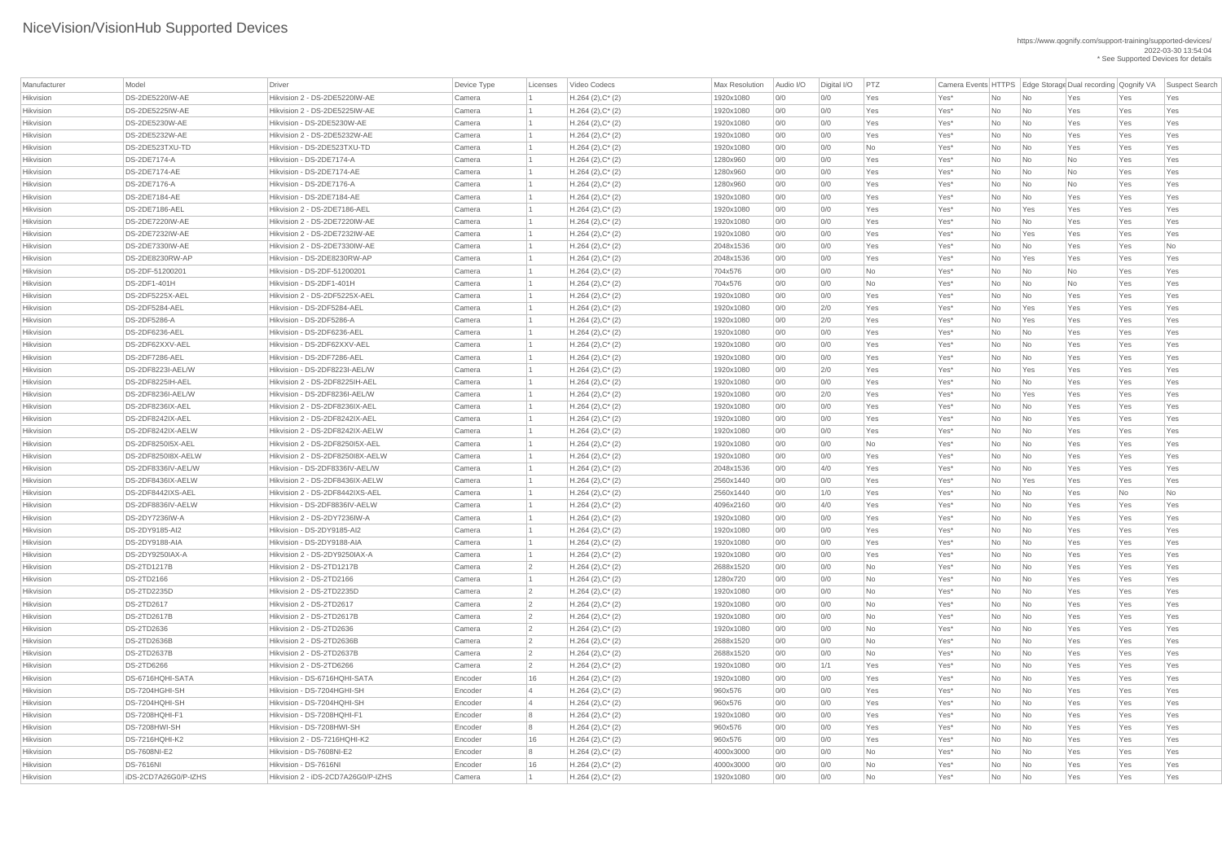| Manufacturer | Model                  | <b>Driver</b>                      | Device Type | Licenses        | Video Codecs           | <b>Max Resolution</b> | Audio I/O | Digital I/O | PTZ       |                  |      |                          |           |     | Camera Events HTTPS Edge Storage Dual recording Qognify VA Suspect Search |
|--------------|------------------------|------------------------------------|-------------|-----------------|------------------------|-----------------------|-----------|-------------|-----------|------------------|------|--------------------------|-----------|-----|---------------------------------------------------------------------------|
| Hikvision    | <b>DS-2DE5220IW-AE</b> | Hikvision 2 - DS-2DE5220IW-AE      | Camera      |                 | $H.264 (2), C^*(2)$    | 1920x1080             | 0/0       | 0/0         | Yes       | Yes*             | No   | $\overline{\mathsf{No}}$ | Yes       | Yes | Yes                                                                       |
| Hikvision    | DS-2DE5225IW-AE        | Hikvision 2 - DS-2DE5225IW-AE      | Camera      |                 | $H.264 (2), C^*(2)$    | 1920x1080             | O/O       | 0/0         | Yes       | Yes*             | No   | $\overline{\mathsf{No}}$ | Yes       | Yes | Yes                                                                       |
| Hikvision    | DS-2DE5230W-AE         | Hikvision - DS-2DE5230W-AE         | Camera      |                 | $H.264 (2), C^*(2)$    | 1920x1080             | 0/0       | 0/0         | Yes       | Yes*             | No   | $\overline{\mathsf{No}}$ | Yes       | Yes | Yes                                                                       |
| Hikvision    | <b>DS-2DE5232W-AE</b>  | Hikvision 2 - DS-2DE5232W-AE       | Camera      |                 | $H.264 (2), C^*(2)$    | 1920x1080             | O/O       | 0/0         | Yes       | Yes*             | No   | $\overline{\mathsf{No}}$ | Yes       | Yes | Yes                                                                       |
| Hikvision    | DS-2DE523TXU-TD        | Hikvision - DS-2DE523TXU-TD        | Camera      |                 | $H.264 (2), C^*(2)$    | 1920x1080             | 0/0       | 0/0         | <b>No</b> | Yes*             | No   | No                       | Yes       | Yes | Yes                                                                       |
| Hikvision    | <b>DS-2DE7174-A</b>    | Hikvision - DS-2DE7174-A           | Camera      |                 | $H.264 (2), C^*(2)$    | 1280x960              | 0/0       | 0/0         | Yes       | Yes*             | No   | $\overline{\mathsf{No}}$ | No        | Yes | Yes                                                                       |
| Hikvision    | <b>DS-2DE7174-AE</b>   | Hikvision - DS-2DE7174-AE          | Camera      |                 | $H.264 (2), C^*(2)$    | 1280x960              | 0/0       | 0/0         | Yes       | Yes <sup>*</sup> | No   | $\overline{\mathsf{No}}$ | No        | Yes | Yes                                                                       |
| Hikvision    | DS-2DE7176-A           | Hikvision - DS-2DE7176-A           | Camera      |                 | $H.264 (2), C^*(2)$    | 1280x960              | O/O       | 0/0         | Yes       | Yes*             | No   | No                       | <b>No</b> | Yes | Yes                                                                       |
| Hikvision    | <b>DS-2DE7184-AE</b>   | Hikvision - DS-2DE7184-AE          | Camera      |                 | $H.264 (2), C^*(2)$    | 1920x1080             | 0/0       | 0/0         | Yes       | Yes*             | No   | $\overline{\mathsf{No}}$ | Yes       | Yes | Yes                                                                       |
| Hikvision    | DS-2DE7186-AEL         | Hikvision 2 - DS-2DE7186-AEL       | Camera      |                 | $H.264 (2), C^*(2)$    | 1920x1080             | 0/0       | 0/0         | Yes       | Yes*             | No   | Yes                      | Yes       | Yes | Yes                                                                       |
| Hikvision    | <b>DS-2DE7220IW-AE</b> | Hikvision 2 - DS-2DE7220IW-AE      | Camera      |                 | $H.264 (2), C^*(2)$    | 1920x1080             |           |             | Yes       | Yes*             |      |                          |           |     | Yes                                                                       |
|              | DS-2DE7232IW-AE        |                                    | Camera      |                 |                        |                       | 0/0       | 0/0         |           |                  | No   | No                       | Yes       | Yes |                                                                           |
| Hikvision    |                        | Hikvision 2 - DS-2DE7232IW-AE      |             |                 | $H.264 (2), C^*(2)$    | 1920x1080             | 0/0       | 0/0         | Yes       | Yes <sup>*</sup> | No   | Yes                      | Yes       | Yes | Yes                                                                       |
| Hikvision    | DS-2DE7330IW-AE        | Hikvision 2 - DS-2DE7330IW-AE      | Camera      |                 | $H.264$ (2), $C^*$ (2) | 2048x1536             | 0/0       | 0/0         | Yes       | Yes*             | No   | $\overline{\mathsf{No}}$ | Yes       | Yes | No                                                                        |
| Hikvision    | DS-2DE8230RW-AP        | Hikvision - DS-2DE8230RW-AP        | Camera      |                 | $H.264 (2), C^*(2)$    | 2048x1536             | 0/0       | 0/0         | Yes       | Yes*             | No   | Yes                      | Yes       | Yes | Yes                                                                       |
| Hikvision    | DS-2DF-51200201        | Hikvision - DS-2DF-51200201        | Camera      |                 | $H.264(2),C^*(2)$      | 704x576               | 0/0       | 0/0         | No        | Yes*             | No   | $\overline{\mathsf{No}}$ | No        | Yes | Yes                                                                       |
| Hikvision    | DS-2DF1-401H           | Hikvision - DS-2DF1-401H           | Camera      |                 | $H.264 (2), C^*(2)$    | 704x576               | 0/0       | 0/0         | <b>No</b> | Yes <sup>*</sup> | No   | $\overline{\mathsf{No}}$ | No        | Yes | Yes                                                                       |
| Hikvision    | DS-2DF5225X-AEL        | Hikvision 2 - DS-2DF5225X-AEL      | Camera      |                 | $H.264 (2), C^*(2)$    | 1920x1080             | 0/0       | 0/0         | Yes       | Yes*             | No   | No                       | Yes       | Yes | Yes                                                                       |
| Hikvision    | DS-2DF5284-AEL         | Hikvision - DS-2DF5284-AEL         | Camera      |                 | $H.264 (2), C^*(2)$    | 1920x1080             | 0/0       | 2/0         | Yes       | Yes*             | No   | Yes                      | Yes       | Yes | Yes                                                                       |
| Hikvision    | <b>DS-2DF5286-A</b>    | Hikvision - DS-2DF5286-A           | Camera      |                 | $H.264 (2), C^*(2)$    | 1920x1080             | 0/0       | 2/0         | Yes       | Yes <sup>*</sup> | No   | Yes                      | Yes       | Yes | Yes                                                                       |
| Hikvision    | DS-2DF6236-AEL         | Hikvision - DS-2DF6236-AEL         | Camera      |                 | $H.264 (2), C^*(2)$    | 1920x1080             | 0/0       | 0/0         | Yes       | Yes*             | No   | $\overline{\mathsf{No}}$ | Yes       | Yes | Yes                                                                       |
| Hikvision    | DS-2DF62XXV-AEL        | Hikvision - DS-2DF62XXV-AEL        | Camera      |                 | $H.264 (2), C^*(2)$    | 1920x1080             | 0/0       | 0/0         | Yes       | Yes*             | No   | $\overline{\mathsf{No}}$ | Yes       | Yes | Yes                                                                       |
| Hikvision    | DS-2DF7286-AEL         | Hikvision - DS-2DF7286-AEL         | Camera      |                 | $H.264 (2), C^*(2)$    | 1920x1080             | 0/0       | 0/0         | Yes       | Yes <sup>*</sup> | No   | $\overline{\mathsf{No}}$ | Yes       | Yes | Yes                                                                       |
| Hikvision    | DS-2DF8223I-AEL/W      | Hikvision - DS-2DF8223I-AEL/W      | Camera      |                 | $H.264 (2), C^*(2)$    | 1920x1080             | O/O       | 2/0         | Yes       | Yes*             | No   | Yes                      | Yes       | Yes | Yes                                                                       |
| Hikvision    | DS-2DF8225IH-AEL       | Hikvision 2 - DS-2DF8225IH-AEL     | Camera      |                 | $H.264 (2), C^*(2)$    | 1920x1080             | 0/0       | 0/0         | Yes       | Yes <sup>*</sup> | No   | $\overline{\mathsf{No}}$ | Yes       | Yes | Yes                                                                       |
| Hikvision    | DS-2DF8236I-AEL/W      | Hikvision - DS-2DF8236I-AEL/W      | Camera      |                 | $H.264 (2), C^*(2)$    | 1920x1080             | 0/0       | 2/0         | Yes       | Yes <sup>*</sup> | No   | Yes                      | Yes       | Yes | Yes                                                                       |
| Hikvision    | DS-2DF8236IX-AEL       | Hikvision 2 - DS-2DF8236IX-AEL     | Camera      |                 | $H.264 (2), C^*(2)$    | 1920x1080             | 0/0       | 0/0         | Yes       | Yes*             | No.  | No                       | Yes       | Yes | Yes                                                                       |
| Hikvision    | DS-2DF8242IX-AEL       | Hikvision 2 - DS-2DF8242IX-AEL     | Camera      |                 | $H.264 (2), C^*(2)$    | 1920x1080             | 0/0       | 0/0         | Yes       | Yes*             | No   | $\overline{\mathsf{No}}$ | Yes       | Yes | Yes                                                                       |
| Hikvision    | DS-2DF8242IX-AELW      | Hikvision 2 - DS-2DF8242IX-AELW    | Camera      |                 | $H.264 (2), C^*(2)$    | 1920x1080             | 0/0       | 0/0         | Yes       | Yes*             | No   | $\overline{\mathsf{No}}$ | Yes       | Yes | Yes                                                                       |
| Hikvision    | DS-2DF8250I5X-AEL      | Hikvision 2 - DS-2DF8250I5X-AEL    | Camera      |                 | $H.264 (2), C^*(2)$    | 1920x1080             | 0/0       | 0/0         | <b>No</b> | Yes*             | No   | No                       | Yes       | Yes | Yes                                                                       |
| Hikvision    | DS-2DF8250I8X-AELW     | Hikvision 2 - DS-2DF8250I8X-AELW   | Camera      |                 | $H.264 (2), C^*(2)$    | 1920x1080             | 0/0       | 0/0         | Yes       | Yes*             | No   | No                       | Yes       | Yes | Yes                                                                       |
| Hikvision    | DS-2DF8336IV-AEL/W     | Hikvision - DS-2DF8336IV-AEL/W     | Camera      |                 | $H.264 (2), C^*(2)$    | 2048x1536             | 0/0       | 4/0         | Yes       | Yes <sup>*</sup> | No   | $\overline{\mathsf{No}}$ | Yes       | Yes | Yes                                                                       |
| Hikvision    | DS-2DF8436IX-AELW      | Hikvision 2 - DS-2DF8436IX-AELW    | Camera      |                 | $H.264 (2), C^*(2)$    | 2560x1440             | 0/0       | 0/0         | Yes       | Yes*             | No   | Yes                      | Yes       | Yes | Yes                                                                       |
| Hikvision    | DS-2DF8442IXS-AEL      | Hikvision 2 - DS-2DF8442IXS-AEL    | Camera      |                 | $H.264 (2), C^*(2)$    | 2560x1440             | 0/0       | 1/0         | Yes       | Yes*             | No   | No                       | Yes       | No  | No                                                                        |
| Hikvision    | DS-2DF8836IV-AELW      | Hikvision - DS-2DF8836IV-AELW      | Camera      |                 | $H.264 (2), C^*(2)$    | 4096x2160             | 0/0       | 4/0         | Yes       | Yes*             | No   | $\overline{\mathsf{No}}$ | Yes       | Yes | Yes                                                                       |
| Hikvision    | <b>DS-2DY7236IW-A</b>  | Hikvision 2 - DS-2DY7236IW-A       | Camera      |                 | $H.264 (2), C^*(2)$    | 1920x1080             | 0/0       | 0/0         | Yes       | Yes <sup>*</sup> | No   | $\overline{\mathsf{No}}$ | Yes       | Yes | Yes                                                                       |
| Hikvision    | DS-2DY9185-Al2         | Hikvision - DS-2DY9185-AI2         | Camera      |                 | $H.264 (2), C^*(2)$    | 1920x1080             | 0/0       | 0/0         | Yes       | Yes*             | No   | No                       | Yes       | Yes | Yes                                                                       |
| Hikvision    | DS-2DY9188-AIA         | Hikvision - DS-2DY9188-AIA         | Camera      |                 | $H.264 (2), C^*(2)$    | 1920x1080             | 0/0       | 0/0         | Yes       | Yes <sup>*</sup> | No   | $\overline{\mathsf{No}}$ | Yes       | Yes | Yes                                                                       |
| Hikvision    | <b>DS-2DY9250IAX-A</b> | Hikvision 2 - DS-2DY9250IAX-A      | Camera      |                 | $H.264 (2), C^*(2)$    | 1920x1080             | 0/0       | 0/0         | Yes       | Yes*             | No   | $\overline{\mathsf{No}}$ | Yes       | Yes | Yes                                                                       |
| Hikvision    | <b>DS-2TD1217B</b>     | Hikvision 2 - DS-2TD1217B          | Camera      |                 | $H.264 (2), C^*(2)$    | 2688x1520             | 0/0       | 0/0         | <b>No</b> | Yes*             | No   | No                       | Yes       | Yes | Yes                                                                       |
| Hikvision    | <b>DS-2TD2166</b>      | Hikvision 2 - DS-2TD2166           | Camera      |                 | $H.264 (2), C^*(2)$    | 1280x720              | 0/0       | 0/0         | <b>No</b> | Yes*             | No   | $\overline{\mathsf{No}}$ | Yes       | Yes | Yes                                                                       |
| Hikvision    | <b>DS-2TD2235D</b>     | Hikvision 2 - DS-2TD2235D          | Camera      | $\vert 2 \vert$ | $H.264 (2), C^*(2)$    | 1920x1080             | 0/0       | 0/0         | <b>No</b> | Yes*             | No   | $\overline{\mathsf{No}}$ | Yes       | Yes | Yes                                                                       |
| Hikvision    | <b>DS-2TD2617</b>      | Hikvision 2 - DS-2TD2617           | Camera      |                 | $H.264 (2), C^*(2)$    | 1920x1080             | 0/0       | 0/0         | <b>No</b> | Yes*             | No   | No                       | Yes       | Yes | Yes                                                                       |
| Hikvision    | <b>DS-2TD2617B</b>     | Hikvision 2 - DS-2TD2617B          | Camera      |                 | $H.264 (2), C^*(2)$    | 1920x1080             | 0/0       | 0/0         | <b>No</b> | Yes <sup>*</sup> | No   | $\overline{\mathsf{No}}$ | Yes       | Yes | Yes                                                                       |
| Hikvision    | <b>DS-2TD2636</b>      | Hikvision 2 - DS-2TD2636           | Camera      | $\vert$ 2       | $H.264 (2), C^*(2)$    | 1920x1080             | 0/0       | 0/0         | <b>No</b> | Yes <sup>*</sup> | No   | $\overline{\mathsf{No}}$ | Yes       | Yes | Yes                                                                       |
| Hikvision    | <b>DS-2TD2636B</b>     | Hikvision 2 - DS-2TD2636B          | Camera      |                 | $H.264 (2), C^*(2)$    | 2688x1520             | 0/0       | 0/0         | <b>No</b> | Yes*             | No   | No                       | Yes       | Yes | Yes                                                                       |
| Hikvision    | <b>DS-2TD2637B</b>     | Hikvision 2 - DS-2TD2637B          | Camera      |                 | $H.264(2),C^*(2)$      | 2688x1520             | 0/0       | 0/0         | No        | Yes*             | No   | $\overline{\mathsf{No}}$ | Yes       | Yes | Yes                                                                       |
| Hikvision    | <b>DS-2TD6266</b>      | Hikvision 2 - DS-2TD6266           | Camera      | $\vert 2 \vert$ | $H.264 (2), C^*(2)$    | 1920x1080             | 0/0       | 1/1         | Yes       | Yes <sup>*</sup> | No   | $\overline{\mathsf{No}}$ | Yes       | Yes | Yes                                                                       |
| Hikvision    | DS-6716HQHI-SATA       | Hikvision - DS-6716HQHI-SATA       | Encoder     | 16              | $H.264 (2), C^*(2)$    | 1920x1080             | 0/0       | 0/0         | Yes       | Yes*             | No   | No                       | Yes       | Yes | Yes                                                                       |
| Hikvision    | DS-7204HGHI-SH         | Hikvision - DS-7204HGHI-SH         | Encoder     |                 | $H.264 (2), C^*(2)$    | 960x576               | 0/0       | 0/0         | Yes       | Yes <sup>*</sup> | No   | $\overline{\mathsf{No}}$ | Yes       | Yes | Yes                                                                       |
| Hikvision    | DS-7204HQHI-SH         | Hikvision - DS-7204HQHI-SH         | Encoder     | $\overline{4}$  | $H.264 (2), C^*(2)$    | 960x576               | O/O       | 0/0         | Yes       | Yes <sup>*</sup> | No   | $\overline{\mathsf{No}}$ | Yes       | Yes | Yes                                                                       |
| Hikvision    | <b>DS-7208HQHI-F1</b>  | Hikvision - DS-7208HQHI-F1         | Encoder     |                 |                        | 1920x1080             | O/O       | 0/0         | Yes       | Yes*             |      |                          | Yes       |     | Yes                                                                       |
|              |                        |                                    |             |                 | $H.264 (2), C^*(2)$    |                       |           |             |           |                  | No l | No                       |           | Yes |                                                                           |
| Hikvision    | DS-7208HWI-SH          | Hikvision - DS-7208HWI-SH          | Encoder     |                 | $H.264 (2), C^*(2)$    | 960x576               | 0/0       | 0/0         | Yes       | Yes*             | No   | No                       | Yes       | Yes | Yes                                                                       |
| Hikvision    | DS-7216HQHI-K2         | Hikvision 2 - DS-7216HQHI-K2       | Encoder     | 16              | $H.264 (2), C^*(2)$    | 960x576               | 0/0       | 0/0         | Yes       | Yes*             | No   | $\overline{\mathsf{No}}$ | Yes       | Yes | Yes                                                                       |
| Hikvision    | <b>DS-7608NI-E2</b>    | Hikvision - DS-7608NI-E2           | Encoder     |                 | $H.264 (2), C^*(2)$    | 4000x3000             | 0/0       | 0/0         | No        | $Yes^*$          | No l | $\overline{\mathsf{No}}$ | Yes       | Yes | Yes                                                                       |
| Hikvision    | <b>DS-7616NI</b>       | Hikvision - DS-7616NI              | Encoder     | 16              | $H.264 (2), C^*(2)$    | 4000x3000             | 0/0       | 0/0         | No        | Yes*             | No   | No                       | Yes       | Yes | Yes                                                                       |
| Hikvision    | IDS-2CD7A26G0/P-IZHS   | Hikvision 2 - iDS-2CD7A26G0/P-IZHS | Camera      |                 | $H.264 (2), C^*(2)$    | 1920x1080             | 0/0       | 0/0         | No        | Yes*             | No   | $\overline{\mathsf{No}}$ | Yes       | Yes | Yes                                                                       |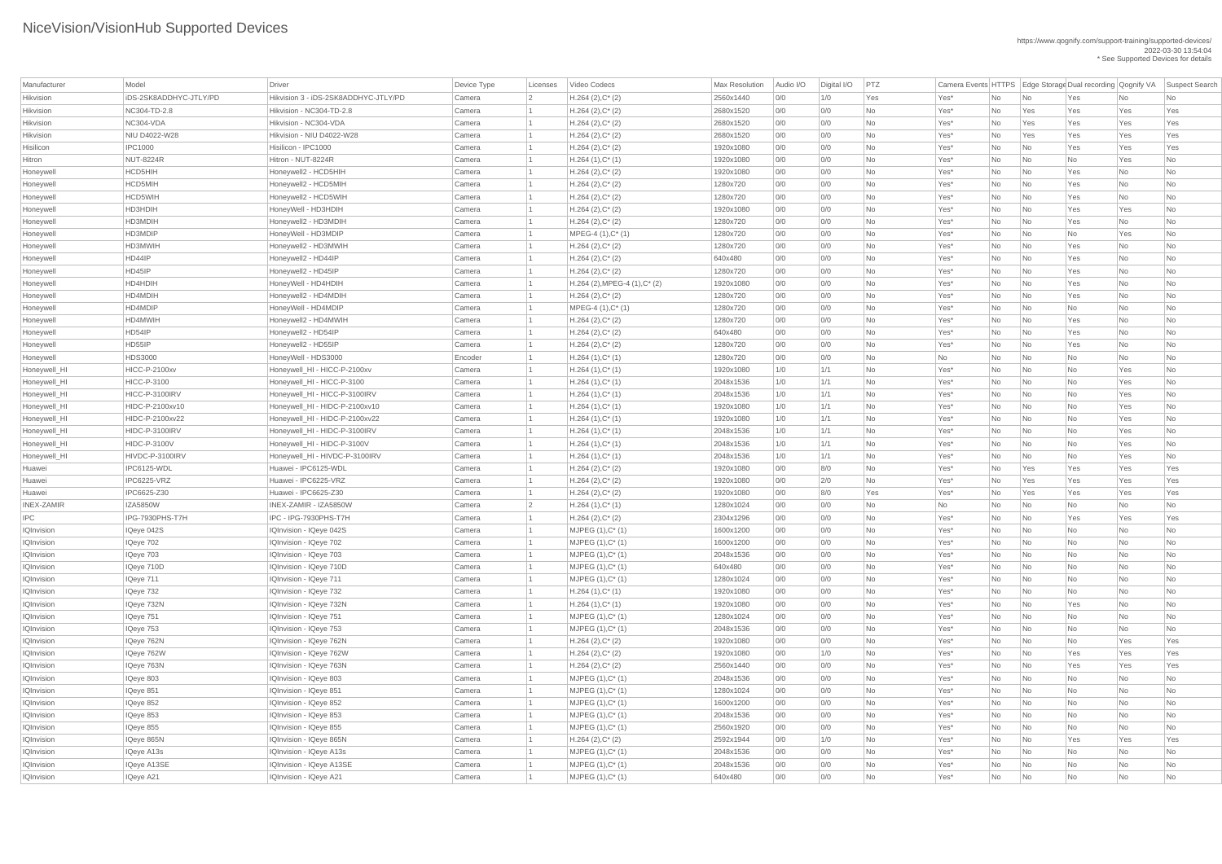| Manufacturer      | Model                  | Driver                               | Device Type | Licenses       | Video Codecs                    | <b>Max Resolution</b> | Audio I/O | Digital I/O | PTZ       |                  |           |                             | Camera Events HTTPS Edge Storage Dual recording Qognify VA |           | Suspect Search |
|-------------------|------------------------|--------------------------------------|-------------|----------------|---------------------------------|-----------------------|-----------|-------------|-----------|------------------|-----------|-----------------------------|------------------------------------------------------------|-----------|----------------|
| Hikvision         | iDS-2SK8ADDHYC-JTLY/PD | Hikvision 3 - iDS-2SK8ADDHYC-JTLY/PD | Camera      | $\overline{2}$ | $H.264 (2), C^*(2)$             | 2560x1440             | 0/0       | 1/0         | Yes       | Yes*             | No        | No                          | Yes                                                        | No        | No             |
| Hikvision         | NC304-TD-2.8           | Hikvision - NC304-TD-2.8             | Camera      |                | $H.264 (2), C^*(2)$             | 2680x1520             | 0/0       | 0/0         | No        | Yes*             | No        | Yes                         | Yes                                                        | Yes       | Yes            |
| Hikvision         | NC304-VDA              | Hikvision - NC304-VDA                | Camera      |                | $H.264 (2), C^*(2)$             | 2680x1520             | 0/0       | 0/0         | No        | Yes*             | No        | Yes                         | Yes                                                        | Yes       | Yes            |
| Hikvision         | NIU D4022-W28          | Hikvision - NIU D4022-W28            | Camera      |                | $H.264 (2), C^*(2)$             | 2680x1520             | 0/0       | 0/0         | No        | Yes*             | No        | Yes                         | Yes                                                        | Yes       | Yes            |
| Hisilicon         | <b>IPC1000</b>         | Hisilicon - IPC1000                  | Camera      |                | $H.264 (2), C^*(2)$             | 1920x1080             | 0/0       | 0/0         | No        | Yes*             | No        | No                          | Yes                                                        | Yes       | Yes            |
| Hitron            | <b>NUT-8224R</b>       | Hitron - NUT-8224R                   | Camera      |                | $H.264(1),C^*(1)$               | 1920x1080             | 0/0       | 0/0         | <b>No</b> | Yes*             | No        | No                          | No                                                         | Yes       | <b>No</b>      |
| Honeywell         | HCD5HIH                | Honeywell2 - HCD5HIH                 | Camera      |                | $H.264 (2), C^*(2)$             | 1920x1080             | 0/0       | 0/0         | No        | Yes*             | No        | No                          | Yes                                                        | No        | No             |
| Honeywell         | HCD5MIH                | Honeywell2 - HCD5MIH                 | Camera      |                | $H.264 (2), C^*(2)$             | 1280x720              | 0/0       | 0/0         | No        | Yes*             | No        | No                          | Yes                                                        | No        | No             |
| Honeywell         | HCD5WIH                | Honeywell2 - HCD5WIH                 | Camera      |                | $H.264 (2), C^*(2)$             | 1280x720              | 0/0       | 0/0         | No        | Yes*             | No        | No                          | Yes                                                        | <b>No</b> | <b>No</b>      |
| Honeywell         | HD3HDIH                | HoneyWell - HD3HDIH                  | Camera      |                | $H.264 (2), C^*(2)$             | 1920x1080             | 0/0       | 0/0         | No        | Yes*             | No        | $\overline{\mathsf{No}}$    | Yes                                                        | Yes       | No             |
| Honeywell         | HD3MDIH                | Honeywell2 - HD3MDIH                 | Camera      |                | $H.264 (2), C^*(2)$             | 1280x720              | 0/0       | 0/0         | No        | Yes*             | No        | $\overline{\phantom{a}}$ No | Yes                                                        | No        | No             |
| Honeywell         | HD3MDIP                | HoneyWell - HD3MDIP                  | Camera      |                | MPEG-4 (1), C* (1)              | 1280x720              | 0/0       | 0/0         | <b>No</b> | Yes*             | No        | No                          | No                                                         | Yes       | <b>No</b>      |
| Honeywell         | HD3MWIH                | Honeywell2 - HD3MWIH                 | Camera      |                | $H.264 (2), C^*(2)$             | 1280x720              | 0/0       | 0/0         | No        | Yes*             | No        | No                          | Yes                                                        | No        | No             |
| Honeywell         | HD44IP                 | Honeywell2 - HD44IP                  | Camera      |                | $H.264 (2), C^*(2)$             | 640x480               | 0/0       | 0/0         | No        | Yes*             | No        | $\overline{\phantom{a}}$ No | Yes                                                        | No        | No             |
| Honeywell         | HD45IP                 | Honeywell2 - HD45IP                  | Camera      |                | $H.264 (2), C^*(2)$             | 1280x720              | 0/0       | 0/0         | No        | Yes*             | No        | No                          | Yes                                                        | <b>No</b> | No             |
| Honeywell         | HD4HDIH                | HoneyWell - HD4HDIH                  | Camera      |                | $H.264$ (2), MPEG-4 (1), C* (2) | 1920x1080             | 0/0       | 0/0         | No        | Yes*             | No        | $\overline{\mathsf{No}}$    | Yes                                                        | No        | No             |
| Honeywell         | HD4MDIH                | Honeywell2 - HD4MDIH                 | Camera      |                | $H.264 (2), C^*(2)$             | 1280x720              | 0/0       | 0/0         | No        | Yes*             | No        | $\overline{\mathsf{No}}$    | Yes                                                        | No        | No             |
| Honeywell         | HD4MDIP                | HoneyWell - HD4MDIP                  | Camera      |                | $MPEG-4 (1), C^*(1)$            | 1280x720              | 0/0       | 0/0         | No        | Yes*             | No        | No                          | No                                                         | No        | No             |
| Honeywell         | HD4MWIH                | Honeywell2 - HD4MWIH                 | Camera      |                | $H.264 (2), C^*(2)$             | 1280x720              | 0/0       | 0/0         | No        | Yes*             | No        | No                          | Yes                                                        | No        | No             |
| Honeywell         | HD54IP                 | Honeywell2 - HD54IP                  | Camera      |                | $H.264 (2), C^*(2)$             | 640x480               | 0/0       | 0/0         | <b>No</b> | Yes*             | No        | $\overline{\mathsf{No}}$    | Yes                                                        | No        | No             |
| Honeywell         | HD55IP                 | Honeywell2 - HD55IP                  | Camera      |                | $H.264 (2), C^*(2)$             | 1280x720              | 0/0       | 0/0         | No        | Yes*             | No        | $\overline{\mathsf{No}}$    | Yes                                                        | No        | No             |
| Honeywell         | <b>HDS3000</b>         | HoneyWell - HDS3000                  | Encoder     |                | $H.264(1),C^*(1)$               | 1280x720              | 0/0       | 0/0         | No        | No               | No        | No                          | No                                                         | No        | No             |
| Honeywell_HI      | <b>HICC-P-2100xv</b>   | Honeywell_HI - HICC-P-2100xv         | Camera      |                | $H.264(1),C^*(1)$               | 1920x1080             | 1/0       | 1/1         | <b>No</b> | Yes*             | No        | $\overline{\mathsf{No}}$    | No                                                         | Yes       | No             |
| Honeywell_HI      | <b>HICC-P-3100</b>     | Honeywell_HI - HICC-P-3100           | Camera      |                | $H.264(1),C^*(1)$               | 2048x1536             | 1/0       | 1/1         | No        | Yes*             | No        | No                          | No                                                         | Yes       | No             |
| Honeywell_HI      | HICC-P-3100IRV         | Honeywell_HI - HICC-P-3100IRV        | Camera      |                | $H.264(1),C^*(1)$               | 2048x1536             | 1/0       | 1/1         | No        | Yes*             | No        | No                          | No                                                         | Yes       | No             |
| Honeywell_HI      | HIDC-P-2100xv10        | Honeywell_HI - HIDC-P-2100xv10       | Camera      |                | $H.264(1),C^*(1)$               | 1920x1080             | 1/0       | 1/1         | No.       | Yes <sup>*</sup> | No.       | $\overline{\mathsf{No}}$    | No                                                         | Yes       | No.            |
| Honeywell_HI      | HIDC-P-2100xv22        | Honeywell_HI - HIDC-P-2100xv22       | Camera      |                | $H.264(1),C^*(1)$               | 1920x1080             | 1/0       | 1/1         | No        | Yes*             | No        | No                          | <b>No</b>                                                  | Yes       | No             |
| Honeywell_HI      | HIDC-P-3100IRV         | Honeywell_HI - HIDC-P-3100IRV        | Camera      |                | $H.264(1),C^*(1)$               | 2048x1536             | 1/0       | 1/1         | No        | Yes*             | No        | $\overline{\mathsf{No}}$    | No                                                         | Yes       | No             |
| Honeywell_HI      | <b>HIDC-P-3100V</b>    | Honeywell_HI - HIDC-P-3100V          | Camera      |                | $H.264(1),C^*(1)$               | 2048x1536             | 1/0       | 1/1         | No        | Yes*             | No        | $\overline{\phantom{a}}$ No | No                                                         | Yes       | No             |
| Honeywell_HI      | HIVDC-P-3100IRV        | Honeywell_HI - HIVDC-P-3100IRV       | Camera      |                | $H.264(1),C^*(1)$               | 2048x1536             | 1/0       | 1/1         | No        | Yes*             | <b>No</b> | No                          | <b>No</b>                                                  | Yes       | <b>No</b>      |
| Huawei            | IPC6125-WDL            | Huawei - IPC6125-WDL                 | Camera      |                | $H.264 (2), C^*(2)$             | 1920x1080             | 0/0       | 8/0         | No        | Yes*             | No        | Yes                         | Yes                                                        | Yes       | Yes            |
| Huawei            | IPC6225-VRZ            | Huawei - IPC6225-VRZ                 | Camera      |                | $H.264 (2), C^*(2)$             | 1920x1080             | 0/0       | 2/0         | No        | Yes*             | No        | Yes                         | Yes                                                        | Yes       | Yes            |
| Huawei            | IPC6625-Z30            | Huawei - IPC6625-Z30                 | Camera      |                | $H.264 (2), C^*(2)$             | 1920x1080             | 0/0       | 8/0         | Yes       | Yes*             | No        | Yes                         | Yes                                                        | Yes       | Yes            |
| <b>INEX-ZAMIR</b> | <b>IZA5850W</b>        | INEX-ZAMIR - IZA5850W                | Camera      | $\overline{2}$ | $H.264(1),C^*(1)$               | 1280x1024             | 0/0       | 0/0         | No        | No               | No        | $\overline{\mathsf{No}}$    | No                                                         | <b>No</b> | No             |
| <b>IPC</b>        | IPG-7930PHS-T7H        | IPC - IPG-7930PHS-T7H                | Camera      |                | $H.264 (2), C^*(2)$             | 2304x1296             | 0/0       | 0/0         | No        | Yes*             | No        | $\overline{\mathsf{No}}$    | Yes                                                        | Yes       | Yes            |
| <b>IQInvision</b> | IQeye 042S             | IQInvision - IQeye 042S              | Camera      |                | $MJPEG (1), C^* (1)$            | 1600x1200             | 0/0       | 0/0         | No        | Yes*             | No        | $\overline{\mathsf{No}}$    | No                                                         | No        | No             |
| <b>IQInvision</b> | IQeye 702              | IQInvision - IQeye 702               | Camera      |                | $MJPEG (1), C^* (1)$            | 1600x1200             | 0/0       | 0/0         | <b>No</b> | Yes*             | No        | No                          | No                                                         | No        | <b>No</b>      |
| <b>IQInvision</b> | IQeye 703              | IQInvision - IQeye 703               | Camera      |                | $MJPEG (1), C^* (1)$            | 2048x1536             | 0/0       | 0/0         | No        | Yes*             | No        | $\overline{\mathsf{No}}$    | No                                                         | No        | No             |
| <b>IQInvision</b> | IQeye 710D             | IQInvision - IQeye 710D              | Camera      |                | $MJPEG (1), C^* (1)$            | 640x480               | 0/0       | 0/0         | No        | Yes*             | No        | $\overline{\mathsf{No}}$    | No                                                         | No        | No             |
| <b>IQInvision</b> | IQeye 711              | IQInvision - IQeye 711               | Camera      |                | $MJPEG (1), C^* (1)$            | 1280x1024             | 0/0       | 0/0         | No        | Yes*             | No        | $\overline{\mathsf{No}}$    | No                                                         | No        | No             |
| <b>IQInvision</b> | IQeye 732              | IQInvision - IQeye 732               | Camera      |                | $H.264(1),C^*(1)$               | 1920x1080             | 0/0       | 0/0         | No        | Yes*             | No        | $\overline{\mathsf{No}}$    | <b>No</b>                                                  | <b>No</b> | No             |
| <b>IQInvision</b> | IQeye 732N             | IQInvision - IQeye 732N              | Camera      |                | $H.264(1),C^*(1)$               | 1920x1080             | 0/0       | 0/0         | <b>No</b> | Yes*             | No        | $\overline{\mathsf{No}}$    | Yes                                                        | No        | <b>No</b>      |
| <b>IQInvision</b> | IQeye 751              | IQInvision - IQeye 751               | Camera      |                | $MJPEG (1), C^* (1)$            | 1280x1024             | 0/0       | 0/0         | No        | Yes*             | No        | No                          | No                                                         | No        | No             |
| <b>IQInvision</b> | IQeye 753              | IQInvision - IQeye 753               | Camera      |                | $MJPEG (1), C^* (1)$            | 2048x1536             | 0/0       | 0/0         | No        | Yes*             | No        | $\overline{\mathsf{No}}$    | No                                                         | No        | No             |
| <b>IQInvision</b> | IQeye 762N             | IQInvision - IQeye 762N              | Camera      |                | $H.264 (2), C^*(2)$             | 1920x1080             | 0/0       | 0/0         | No        | Yes*             | No        | $\overline{\mathsf{No}}$    | No                                                         | Yes       | Yes            |
| <b>IQInvision</b> | IQeye 762W             | IQInvision - IQeye 762W              | Camera      |                | $H.264 (2), C^*(2)$             | 1920x1080             | 0/0       | 1/0         | No        | Yes*             | No        | $\overline{\mathsf{No}}$    | Yes                                                        | Yes       | Yes            |
| <b>IQInvision</b> | IQeye 763N             | IQInvision - IQeye 763N              | Camera      |                | $H.264 (2), C^*(2)$             | 2560x1440             | 0/0       | 0/0         | No        | Yes*             | No        | $\overline{\mathsf{No}}$    | Yes                                                        | Yes       | Yes            |
| <b>IQInvision</b> | IQeye 803              | IQInvision - IQeye 803               | Camera      |                | $MJPEG (1), C^* (1)$            | 2048x1536             | 0/0       | 0/0         | <b>No</b> | Yes*             | No        | $\overline{\mathsf{No}}$    | No                                                         | <b>No</b> | No             |
| <b>IQInvision</b> | IQeye 851              | IQInvision - IQeye 851               | Camera      |                | $MJPEG (1), C^* (1)$            | 1280x1024             | 0/0       | 0/0         | No        | Yes*             | No        | $\overline{\mathsf{No}}$    | No                                                         | No        | No             |
| <b>IQInvision</b> | IQeye 852              | IQInvision - IQeye 852               | Camera      |                | $MJPEG (1), C^*(1)$             | 1600x1200             | 0/0       | 0/0         | No        | Yes*             | No        | $\overline{\mathsf{No}}$    | No                                                         | No        | No             |
| <b>IQInvision</b> | IQeye 853              | IQInvision - IQeye 853               | Camera      |                | $MJPEG (1), C^* (1)$            | 2048x1536             | 0/0       | 0/0         | <b>No</b> | Yes*             | No        | $\overline{\mathsf{No}}$    | No                                                         | <b>No</b> | <b>No</b>      |
| IQInvision        | IQeye 855              | IQInvision - IQeye 855               | Camera      |                | MJPEG (1), C* (1)               | 2560x1920             | 0/0       | 0/0         | <b>No</b> | Yes*             | No        |                             | <b>No</b>                                                  | <b>No</b> | <b>No</b>      |
| <b>IQInvision</b> | IQeye 865N             | IQInvision - IQeye 865N              | Camera      |                | $H.264 (2), C^*(2)$             | 2592x1944             | 0/0       | 1/0         | No        | Yes*             | No        | N <sub>o</sub>              | Yes                                                        | Yes       | Yes            |
| IQInvision        | <b>IQeye A13s</b>      | IQInvision - IQeye A13s              | Camera      |                | $MJPEG (1), C^* (1)$            | 2048x1536             | 0/0       | 0/0         | No        | Yes*             | No        | $\overline{\mathsf{No}}$    | No                                                         | No        | No             |
| <b>IQInvision</b> | IQeye A13SE            | IQInvision - IQeye A13SE             | Camera      |                | $MJPEG (1), C^* (1)$            | 2048x1536             | 0/0       | 0/0         | No        | Yes*             | No        | $\overline{\mathsf{No}}$    | No                                                         | No        | No             |
| <b>IQInvision</b> | IQeye A21              | IQInvision - IQeye A21               | Camera      |                | $MJPEG (1), C^* (1)$            | 640x480               | 0/0       | 0/0         | No        | $Yes^*$          | No        | $\overline{\phantom{a}}$ No | No                                                         | No        | No             |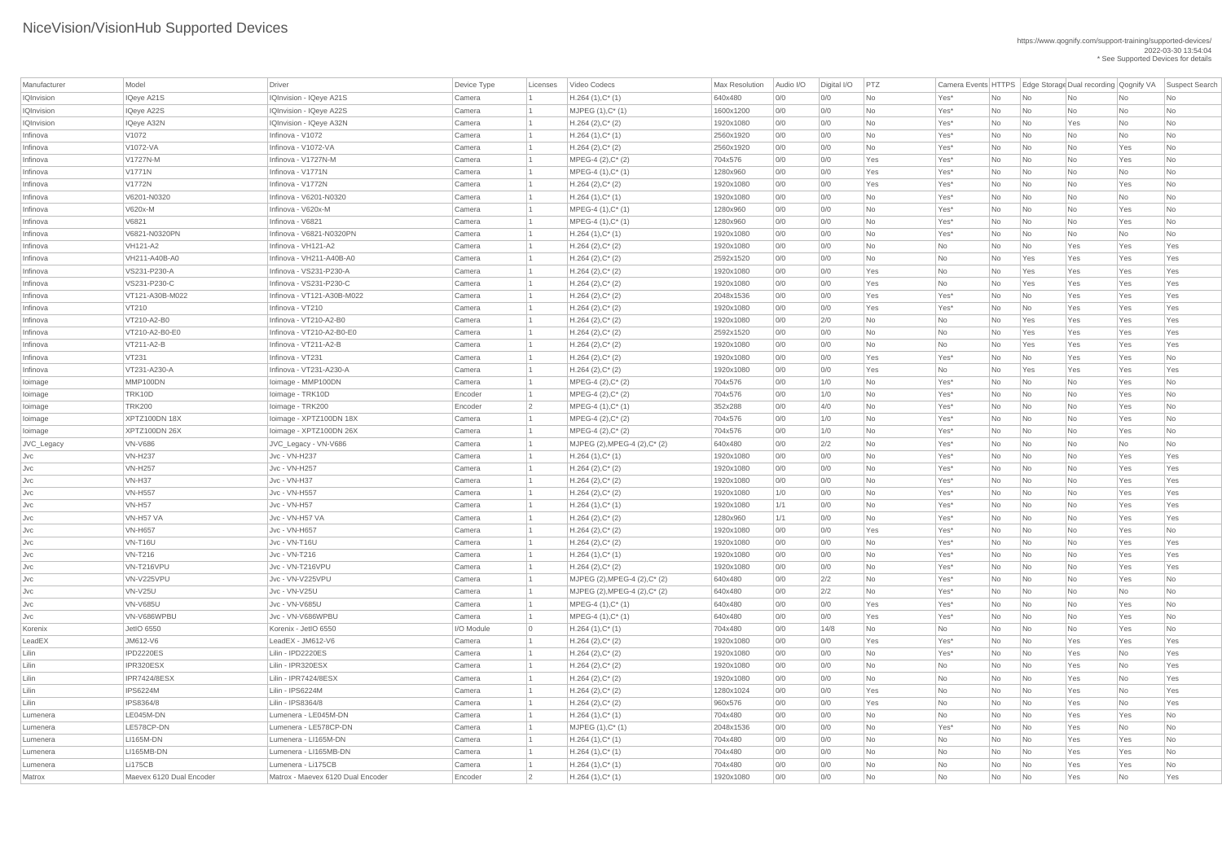| Manufacturer      | Model                    | <b>Driver</b>                     | Device Type | Licenses        | Video Codecs                  | Max Resolution | Audio I/O | Digital I/O | PTZ       |           |           |                             |           |           | Camera Events HTTPS Edge Storage Dual recording Qognify VA Suspect Search |
|-------------------|--------------------------|-----------------------------------|-------------|-----------------|-------------------------------|----------------|-----------|-------------|-----------|-----------|-----------|-----------------------------|-----------|-----------|---------------------------------------------------------------------------|
| <b>IQInvision</b> | IQeye A21S               | IQInvision - IQeye A21S           | Camera      |                 | $H.264(1),C^*(1)$             | 640x480        | 0/0       | O/O         | No        | Yes*      | No        | No                          | No        | No        | No                                                                        |
| <b>IQInvision</b> | IQeye A22S               | IQInvision - IQeye A22S           | Camera      |                 | $MJPEG (1), C^* (1)$          | 1600x1200      | 0/0       | 0/0         | No        | Yes*      | No        | No                          | No        | No        | No                                                                        |
| IQInvision        | <b>IQeye A32N</b>        | IQInvision - IQeye A32N           | Camera      |                 | $H.264 (2), C^*(2)$           | 1920x1080      | 0/0       | O/O         | <b>No</b> | Yes*      | No        | No                          | Yes       | <b>No</b> | <b>No</b>                                                                 |
| Infinova          | V1072                    | Infinova - V1072                  | Camera      |                 | $H.264(1),C^*(1)$             | 2560x1920      | 0/0       | 0/0         | <b>No</b> | Yes*      | No        | No                          | No        | No        | <b>No</b>                                                                 |
| Infinova          | V1072-VA                 | Infinova - V1072-VA               | Camera      |                 | $H.264 (2), C^*(2)$           | 2560x1920      | 0/0       | 0/0         | No        | Yes*      | No        | No                          | No        | Yes       | No                                                                        |
| Infinova          | V1727N-M                 | Infinova - V1727N-M               | Camera      |                 | $MPEG-4 (2), C^*(2)$          | 704x576        | 0/0       | 0/0         | Yes       | Yes*      | No        | No                          | No        | Yes       | <b>No</b>                                                                 |
| Infinova          | <b>V1771N</b>            | Infinova - V1771N                 | Camera      |                 | $MPEG-4 (1), C^*(1)$          | 1280x960       | 0/0       | O/O         | Yes       | Yes*      | No        | No                          | No        | <b>No</b> | <b>No</b>                                                                 |
| Infinova          | <b>V1772N</b>            | Infinova - V1772N                 | Camera      |                 | $H.264 (2), C^*(2)$           | 1920x1080      | 0/0       | 0/0         | Yes       | Yes*      | No        | No                          | No        | Yes       | No                                                                        |
| Infinova          | V6201-N0320              | Infinova - V6201-N0320            | Camera      |                 | $H.264(1),C^*(1)$             | 1920x1080      | 0/0       | O/O         | <b>No</b> | Yes*      | No        | No                          | No        | <b>No</b> | <b>No</b>                                                                 |
| Infinova          | V620x-M                  | Infinova - V620x-M                | Camera      |                 | $MPEG-4 (1), C^*(1)$          | 1280x960       | 0/0       | 0/0         | <b>No</b> | Yes*      | No        | No                          | No        | Yes       | No                                                                        |
| Infinova          | V6821                    | Infinova - V6821                  | Camera      |                 | $MPEG-4 (1), C^*(1)$          | 1280x960       | 0/0       | 0/0         | No        | Yes*      | No        | No                          | No        | Yes       | No                                                                        |
| Infinova          | V6821-N0320PN            | Infinova - V6821-N0320PN          | Camera      |                 | $H.264(1),C^*(1)$             | 1920x1080      | 0/0       | 0/0         | No        | Yes*      | No        | No                          | No        | No        | No                                                                        |
| Infinova          | <b>VH121-A2</b>          | Infinova - VH121-A2               | Camera      |                 | $H.264 (2), C^*(2)$           | 1920x1080      | 0/0       | O/O         | <b>No</b> | <b>No</b> | No        | No                          | Yes       | Yes       | Yes                                                                       |
| Infinova          | VH211-A40B-A0            | Infinova - VH211-A40B-A0          | Camera      |                 | $H.264 (2), C^*(2)$           | 2592x1520      | 0/0       | O/O         | No        | <b>No</b> | No        | Yes                         | Yes       | Yes       | Yes                                                                       |
| Infinova          | VS231-P230-A             | Infinova - VS231-P230-A           | Camera      |                 | $H.264 (2), C^*(2)$           | 1920x1080      | 0/0       | O/O         | Yes       | No        | No        | Yes                         | Yes       | Yes       | Yes                                                                       |
| Infinova          | VS231-P230-C             | Infinova - VS231-P230-C           | Camera      |                 | $H.264 (2), C^*(2)$           | 1920x1080      | 0/0       | 0/0         | Yes       | No        | No        | Yes                         | Yes       | Yes       | Yes                                                                       |
| Infinova          | VT121-A30B-M022          | Infinova - VT121-A30B-M022        | Camera      |                 | $H.264 (2), C^*(2)$           | 2048x1536      | 0/0       | 0/0         | Yes       | Yes*      | No        | No                          | Yes       | Yes       | Yes                                                                       |
| Infinova          | VT210                    | Infinova - VT210                  | Camera      |                 | $H.264 (2), C^*(2)$           | 1920x1080      | 0/0       | 0/0         | Yes       | Yes*      | No        | No                          | Yes       | Yes       | Yes                                                                       |
| Infinova          | VT210-A2-B0              | Infinova - VT210-A2-B0            | Camera      |                 | $H.264 (2), C^*(2)$           | 1920x1080      | 0/0       | 2/0         | <b>No</b> | <b>No</b> | No        | Yes                         | Yes       | Yes       | Yes                                                                       |
| Infinova          | VT210-A2-B0-E0           | Infinova - VT210-A2-B0-E0         | Camera      |                 | $H.264 (2), C^*(2)$           | 2592x1520      | 0/0       | 0/0         | No        | No        | No        | Yes                         | Yes       | Yes       | Yes                                                                       |
| Infinova          | VT211-A2-B               | Infinova - VT211-A2-B             | Camera      |                 | $H.264 (2), C^*(2)$           | 1920x1080      | 0/0       | O/O         | No        | No        | No        | Yes                         | Yes       | Yes       | Yes                                                                       |
| Infinova          | <b>VT231</b>             | Infinova - VT231                  | Camera      |                 | $H.264 (2), C^*(2)$           | 1920x1080      | 0/0       | 0/0         | Yes       | Yes*      | No        | No                          | Yes       | Yes       | No                                                                        |
| Infinova          | VT231-A230-A             | Infinova - VT231-A230-A           | Camera      |                 | $H.264 (2), C^*(2)$           | 1920x1080      | 0/0       | 0/0         | Yes       | No        | No        | Yes                         | Yes       | Yes       | Yes                                                                       |
| loimage           | MMP100DN                 | Ioimage - MMP100DN                | Camera      |                 | $MPEG-4 (2), C^*(2)$          | 704x576        | 0/0       | 1/0         | No        | Yes*      | No        | No                          | No        | Yes       | No                                                                        |
| loimage           | TRK10D                   | loimage - TRK10D                  | Encoder     |                 | $MPEG-4 (2), C^*(2)$          | 704x576        | 0/0       | 1/0         | <b>No</b> | Yes*      | No        | No                          | No        | Yes       | No                                                                        |
| loimage           | <b>TRK200</b>            | Ioimage - TRK200                  | Encoder     | $\vert 2 \vert$ | MPEG-4 (1), C* (1)            | 352x288        | 0/0       | 4/0         | No        | Yes*      | No        | No                          | No        | Yes       | No                                                                        |
| loimage           | XPTZ100DN 18X            | Ioimage - XPTZ100DN 18X           | Camera      |                 | MPEG-4 (2), C* (2)            | 704x576        | 0/0       | 1/0         | No        | Yes*      | No        | No                          | No        | Yes       | No                                                                        |
| loimage           | <b>XPTZ100DN 26X</b>     | loimage - XPTZ100DN 26X           | Camera      |                 | $MPEG-4 (2), C^*(2)$          | 704x576        | 0/0       | 1/0         | No        | Yes*      | No        | No                          | <b>No</b> | Yes       | No                                                                        |
| JVC_Legacy        | <b>VN-V686</b>           | JVC_Legacy - VN-V686              | Camera      |                 | MJPEG (2), MPEG-4 (2), C* (2) | 640x480        | 0/0       | 2/2         | <b>No</b> | Yes*      | No        | No                          | No        | No        | No                                                                        |
| Jvc               | <b>VN-H237</b>           | Jvc - VN-H237                     | Camera      |                 | $H.264(1),C^*(1)$             | 1920x1080      | 0/0       | 0/0         | No        | Yes*      | No        | No                          | No        | Yes       | Yes                                                                       |
| JVC               | <b>VN-H257</b>           | Jvc - VN-H257                     | Camera      |                 | $H.264 (2), C^*(2)$           | 1920x1080      | 0/0       | O/O         | <b>No</b> | Yes*      | <b>No</b> | No                          | <b>No</b> | Yes       | Yes                                                                       |
| Jvc               | <b>VN-H37</b>            | Jvc - VN-H37                      | Camera      |                 | $H.264 (2), C^*(2)$           | 1920x1080      | 0/0       | O/O         | <b>No</b> | Yes*      | No        | No                          | No        | Yes       | Yes                                                                       |
| Jvc               | <b>VN-H557</b>           | Jvc - VN-H557                     | Camera      |                 | $H.264 (2), C^*(2)$           | 1920x1080      | 1/0       | 0/0         | No        | Yes*      | No        | No                          | No        | Yes       | Yes                                                                       |
| Jvc               | <b>VN-H57</b>            | Jvc - VN-H57                      | Camera      |                 | $H.264(1),C^*(1)$             | 1920x1080      | 1/1       | O/O         | <b>No</b> | Yes*      | No        | No                          | <b>No</b> | Yes       | Yes                                                                       |
| JVC               | VN-H57 VA                | Jvc - VN-H57 VA                   | Camera      |                 | $H.264 (2), C^*(2)$           | 1280x960       | 1/1       | 0/0         | No        | Yes*      | No        | No                          | No        | Yes       | Yes                                                                       |
| Jvc               | <b>VN-H657</b>           | Jvc - VN-H657                     | Camera      |                 | $H.264 (2), C^*(2)$           | 1920x1080      | 0/0       | 0/0         | Yes       | Yes*      | No        | No                          | No        | Yes       | No                                                                        |
| Jvc               | VN-T16U                  | Jvc - VN-T16U                     | Camera      |                 | $H.264 (2), C^*(2)$           | 1920x1080      | 0/0       | O/O         | <b>No</b> | Yes*      | <b>No</b> | No                          | No        | Yes       | Yes                                                                       |
| JVC               | <b>VN-T216</b>           | Jvc - VN-T216                     | Camera      |                 | $H.264(1),C^*(1)$             | 1920x1080      | 0/0       | O/O         | <b>No</b> | Yes*      | No        | No                          | No        | Yes       | Yes                                                                       |
| Jvc               | VN-T216VPU               | Jvc - VN-T216VPU                  | Camera      |                 | $H.264 (2), C^*(2)$           | 1920x1080      | 0/0       | 0/0         | No        | Yes*      | No        | No                          | No        | Yes       | Yes                                                                       |
| JVC               | VN-V225VPU               | Jvc - VN-V225VPU                  | Camera      |                 | MJPEG (2), MPEG-4 (2), C* (2) | 640x480        | 0/0       | 2/2         | No        | Yes*      | No        | No                          | No        | Yes       | No                                                                        |
| JVC               | <b>VN-V25U</b>           | Jvc - VN-V25U                     | Camera      |                 | MJPEG (2), MPEG-4 (2), C* (2) | 640x480        | 0/0       | 2/2         | No        | $Yes*$    | No        | No                          | No        | No        | No                                                                        |
| JVC               | <b>VN-V685U</b>          | Jvc - VN-V685U                    | Camera      |                 | $MPEG-4 (1), C^*(1)$          | 640x480        | 0/0       | 0/0         | Yes       | Yes*      | No        | No                          | No        | Yes       | No                                                                        |
| JVC               | VN-V686WPBU              | Jvc - VN-V686WPBU                 | Camera      |                 | $MPEG-4 (1), C^*(1)$          | 640x480        | 0/0       | 0/0         | Yes       | Yes*      | No        | No                          | <b>No</b> | Yes       | No                                                                        |
| Korenix           | <b>JetIO 6550</b>        | Korenix - JetIO 6550              | I/O Module  | $\overline{0}$  | $H.264(1),C^*(1)$             | 704x480        | 0/0       | 14/8        | No        | No        | No        | No                          | No        | Yes       | No                                                                        |
| LeadEX            | JM612-V6                 | LeadEX - JM612-V6                 | Camera      |                 | $H.264 (2), C^*(2)$           | 1920x1080      | 0/0       | 0/0         | Yes       | Yes*      | No        | No                          | Yes       | Yes       | Yes                                                                       |
| Lilin             | IPD2220ES                | Lilin - IPD2220ES                 | Camera      |                 | $H.264 (2), C^*(2)$           | 1920x1080      | 0/0       | O/O         | No        | Yes*      | No        | No                          | Yes       | <b>No</b> | Yes                                                                       |
| Lilin             | IPR320ESX                | Lilin - IPR320ESX                 | Camera      |                 | $H.264 (2), C^*(2)$           | 1920x1080      | 0/0       | 0/0         | No        | No        | No        | No                          | Yes       | <b>No</b> | Yes                                                                       |
| Lilin             | IPR7424/8ESX             | Lilin - IPR7424/8ESX              | Camera      |                 | $H.264 (2), C^*(2)$           | 1920x1080      | 0/0       | 0/0         | No        | No        | No        | No                          | Yes       | <b>No</b> | Yes                                                                       |
| Lilin             | <b>IPS6224M</b>          | Lilin - IPS6224M                  | Camera      |                 | $H.264 (2), C^*(2)$           | 1280x1024      | 0/0       | O/O         | Yes       | No        | No        | No                          | Yes       | <b>No</b> | Yes                                                                       |
| Lilin             | IPS8364/8                | Lilin - IPS8364/8                 | Camera      |                 | $H.264 (2), C^*(2)$           | 960x576        | 0/0       | O/O         | Yes       | No        | No        | No                          | Yes       | <b>No</b> | Yes                                                                       |
| Lumenera          | LE045M-DN                | Lumenera - LE045M-DN              | Camera      |                 | $H.264(1),C^*(1)$             | 704x480        | 0/0       | O/O         | No        | No        | No        | No                          | Yes       | Yes       | No                                                                        |
| Lumenera          | LE578CP-DN               | Lumenera - LE578CP-DN             | Camera      |                 | $MJPEG (1), C^* (1)$          | 2048x1536      | 0/0       | O/O         | No        | Yes*      | No        | $\overline{\mathsf{No}}$    | Yes       | No        | No                                                                        |
| Lumenera          | LI165M-DN                | Lumenera - LI165M-DN              | Camera      |                 | $H.264(1),C^*(1)$             | 704x480        | 0/0       | 0/0         | No        | No        | No        | $\overline{\phantom{a}}$ No | Yes       | Yes       | No                                                                        |
| Lumenera          | LI165MB-DN               | Lumenera - LI165MB-DN             | Camera      |                 | $H.264(1),C^*(1)$             | 704x480        | 0/0       | 0/0         | No l      | No        | No        | $\overline{\mathsf{No}}$    | Yes       | Yes       | No                                                                        |
| Lumenera          | Li175CB                  | Lumenera - Li175CB                | Camera      |                 | $H.264(1),C^*(1)$             | 704x480        | 0/0       | 0/0         | No.       | No        | No        | $\overline{\mathsf{No}}$    | Yes       | Yes       | No                                                                        |
| Matrox            | Maevex 6120 Dual Encoder | Matrox - Maevex 6120 Dual Encoder | Encoder     |                 | $H.264(1),C^*(1)$             | 1920x1080      | 0/0       | 0/0         | No        | No        | No        | $\overline{\mathsf{No}}$    | Yes       | No        | Yes                                                                       |
|                   |                          |                                   |             |                 |                               |                |           |             |           |           |           |                             |           |           |                                                                           |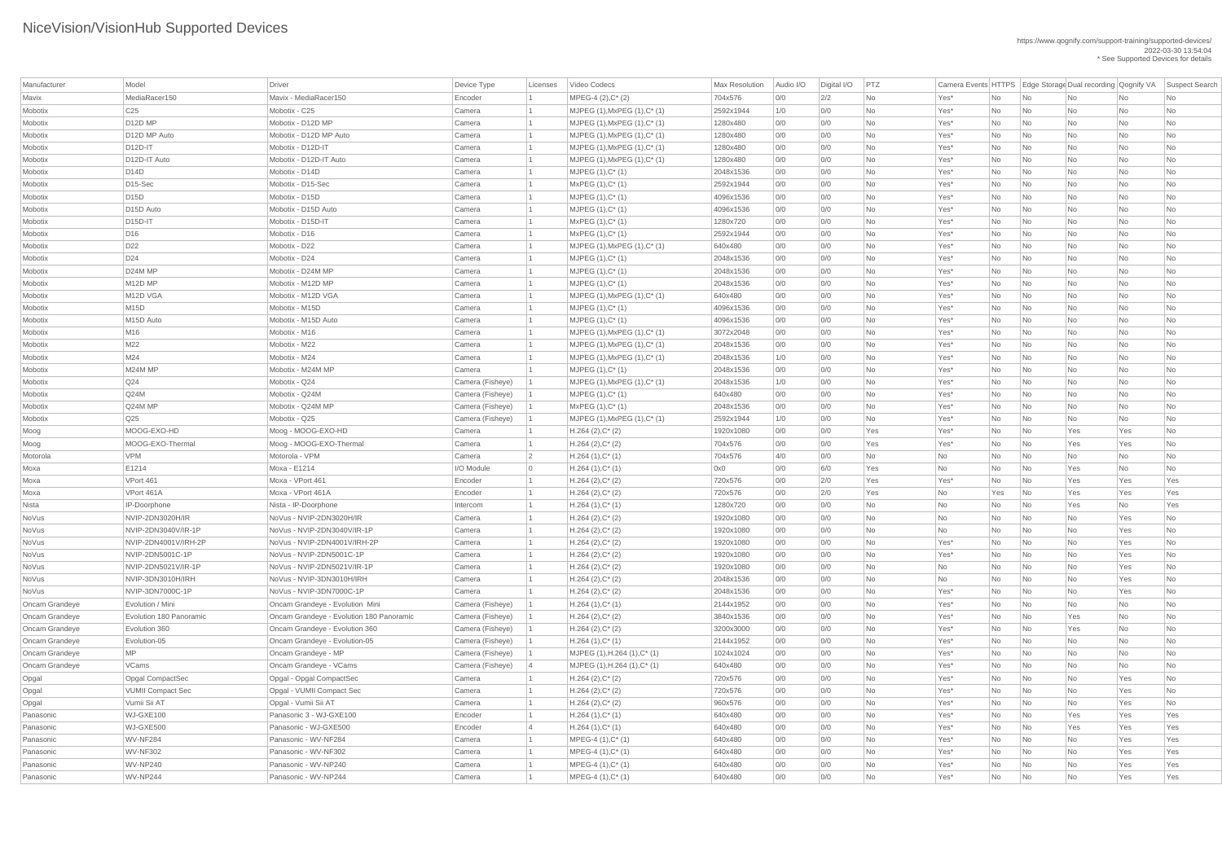| Manufacturer   | Model                           | Driver                                   | Device Type      | Licenses       | Video Codecs                    | <b>Max Resolution</b> | Audio I/O | Digital I/O | PTZ       | Camera Events HTTPS   Edge Storage Dual recording   Qognify VA |                |                             |     |           | Suspect Search |
|----------------|---------------------------------|------------------------------------------|------------------|----------------|---------------------------------|-----------------------|-----------|-------------|-----------|----------------------------------------------------------------|----------------|-----------------------------|-----|-----------|----------------|
| Mavix          | MediaRacer150                   | Mavix - MediaRacer150                    | Encoder          |                | MPEG-4 (2), C* (2)              | 704x576               | 0/0       | 2/2         | <b>No</b> | Yes*                                                           | No             | No                          | No  | No        | <b>No</b>      |
| Mobotix        | C <sub>25</sub>                 | Mobotix - C25                            | Camera           |                | $MJPEG (1), MxPEG (1), C^* (1)$ | 2592x1944             | 1/0       | 0/0         | No        | Yes*                                                           | No             | No                          | No  | No        | No             |
| Mobotix        | D <sub>12</sub> D <sub>MP</sub> | Mobotix - D12D MP                        | Camera           |                | $MJPEG (1), MxPEG (1), C^* (1)$ | 1280x480              | 0/0       | O/O         | No        | Yes*                                                           | No             | $\overline{\mathsf{No}}$    | No  | No        | No             |
| Mobotix        | D12D MP Auto                    | Mobotix - D12D MP Auto                   | Camera           |                | $MJPEG (1), MxPEG (1), C^* (1)$ | 1280x480              | 0/0       | 0/0         | <b>No</b> | Yes*                                                           | No             | No                          | No  | No        | <b>No</b>      |
| Mobotix        | $D12D-IT$                       | Mobotix - D12D-IT                        | Camera           |                | $MJPEG (1), MxPEG (1), C^* (1)$ | 1280x480              | 0/0       | 0/0         | <b>No</b> | Yes*                                                           | No             | No                          | No  | No        | No             |
| Mobotix        | D12D-IT Auto                    | Mobotix - D12D-IT Auto                   | Camera           |                | $MJPEG (1), MxPEG (1), C^* (1)$ | 1280x480              | 0/0       | O/O         | <b>No</b> | Yes*                                                           | No             | No                          | No  | No        | No             |
| Mobotix        | D14D                            | Mobotix - D14D                           | Camera           |                | $MJPEG (1), C^* (1)$            | 2048x1536             | 0/0       | O/O         | <b>No</b> | Yes*                                                           | No             | No                          | No  | No        | <b>No</b>      |
| Mobotix        | $D15-Sec$                       | Mobotix - D15-Sec                        | Camera           |                | $MxPEG (1), C^* (1)$            | 2592x1944             | 0/0       | 0/0         | No        | Yes*                                                           | No             | No                          | No  | No        | No             |
| Mobotix        | D15D                            | Mobotix - D15D                           | Camera           |                | $MJPEG (1), C^* (1)$            | 4096x1536             | 0/0       | O/O         | No        | Yes*                                                           | No             | $\overline{\mathsf{No}}$    | No  | No        | No             |
| Mobotix        | D <sub>15</sub> D Auto          | Mobotix - D15D Auto                      | Camera           |                | $MJPEG (1), C^*(1)$             | 4096x1536             | 0/0       | 0/0         | No        | Yes*                                                           | No             | No                          | No  | No        | No             |
| Mobotix        | $D15D-IT$                       | Mobotix - D15D-IT                        | Camera           |                | $MxPEG (1), C^* (1)$            | 1280x720              | 0/0       | 0/0         | No        | Yes*                                                           | No             | No                          | No  | No        | No             |
| Mobotix        | D <sub>16</sub>                 | Mobotix - D16                            | Camera           |                | $MxPEG (1), C^* (1)$            | 2592x1944             | 0/0       | O/O         | <b>No</b> | Yes*                                                           | No             | No                          | No  | No        | No             |
| Mobotix        | D <sub>22</sub>                 | Mobotix - D22                            | Camera           |                | $MJPEG (1), MxPEG (1), C^* (1)$ | 640x480               | 0/0       | O/O         | <b>No</b> | Yes*                                                           | No             | $\overline{\mathsf{No}}$    | No  | No        | No             |
| Mobotix        | D <sub>24</sub>                 | Mobotix - D24                            | Camera           |                | $MJPEG (1), C^* (1)$            | 2048x1536             | 0/0       | O/O         | <b>No</b> | Yes*                                                           | No             | No                          | No  | No        | <b>No</b>      |
| Mobotix        | D24M MP                         | Mobotix - D24M MP                        | Camera           |                | $MJPEG (1), C^* (1)$            | 2048x1536             | 0/0       | 0/0         | No        | Yes*                                                           | No             | $\overline{\mathsf{No}}$    | No  | No        | No             |
| Mobotix        | M12D MP                         | Mobotix - M12D MP                        | Camera           |                | $MJPEG (1), C^* (1)$            | 2048x1536             | 0/0       | 0/0         | No        | Yes*                                                           | No             | $\overline{\mathsf{No}}$    | No  | No        | No             |
| Mobotix        | M12D VGA                        | Mobotix - M12D VGA                       | Camera           |                | $MJPEG (1), MxPEG (1), C^* (1)$ | 640x480               | 0/0       | 0/0         | <b>No</b> | Yes*                                                           | No             | No                          | No  | No        | <b>No</b>      |
| Mobotix        | <b>M15D</b>                     | Mobotix - M15D                           | Camera           |                | $MJPEG (1), C^* (1)$            | 4096x1536             | 0/0       | 0/0         | No        | Yes*                                                           | No             | No                          | No  | No        | No             |
| Mobotix        | M15D Auto                       | Mobotix - M15D Auto                      | Camera           |                | $MJPEG (1), C^* (1)$            | 4096x1536             | 0/0       | O/O         | <b>No</b> | Yes*                                                           | No             | $\overline{\mathsf{No}}$    | No  | No        | <b>No</b>      |
| Mobotix        | M <sub>16</sub>                 | Mobotix - M16                            | Camera           |                | $MJPEG (1), MxPEG (1), C^* (1)$ | 3072x2048             | 0/0       | 0/0         | <b>No</b> | Yes*                                                           | No             | No                          | No  | No        | <b>No</b>      |
| Mobotix        | M22                             | Mobotix - M22                            | Camera           |                | $MJPEG (1), MxPEG (1), C^* (1)$ | 2048x1536             | 0/0       | 0/0         | No        | Yes*                                                           | No             | No                          | No  | No        | No             |
| Mobotix        | M24                             | Mobotix - M24                            | Camera           |                | MJPEG (1), MxPEG (1), C* (1)    | 2048x1536             | 1/0       | 0/0         | No        | Yes*                                                           | No             | $\overline{\mathsf{No}}$    | No  | No        | No             |
| Mobotix        | M24M MP                         | Mobotix - M24M MP                        | Camera           |                | $MJPEG (1), C^* (1)$            | 2048x1536             | 0/0       | 0/0         | <b>No</b> | Yes*                                                           | No             | No                          | No  | No        | <b>No</b>      |
| Mobotix        | Q24                             | Mobotix - Q24                            | Camera (Fisheye) |                | $MJPEG (1), MxPEG (1), C^* (1)$ | 2048x1536             | 1/0       | 0/0         | No        | Yes*                                                           | No             | No                          | No  | No        | No             |
| Mobotix        | Q24M                            | Mobotix - Q24M                           | Camera (Fisheye) |                | $MJPEG (1), C^* (1)$            | 640x480               | O/O       | 0/0         | <b>No</b> | Yes*                                                           | No             | No                          | No  | <b>No</b> | <b>No</b>      |
| Mobotix        | Q24M MP                         | Mobotix - Q24M MP                        | Camera (Fisheye) |                | MxPEG (1), C* (1)               | 2048x1536             | 0/0       | 0/0         | No        | Yes <sup>*</sup>                                               | No.            | No                          | No  | No        | No             |
| Mobotix        | Q <sub>25</sub>                 | Mobotix - Q25                            | Camera (Fisheye) |                | MJPEG (1), MxPEG (1), C* (1)    | 2592x1944             | 1/0       | 0/0         | No        | Yes*                                                           | No             | $\overline{\mathsf{No}}$    | No  | No        | No             |
| Moog           | MOOG-EXO-HD                     | Moog - MOOG-EXO-HD                       | Camera           |                | $H.264 (2), C^*(2)$             | 1920x1080             | 0/0       | O/O         | Yes       | Yes*                                                           | No             | $\overline{\mathsf{No}}$    | Yes | Yes       | No             |
| Moog           | MOOG-EXO-Thermal                | Moog - MOOG-EXO-Thermal                  | Camera           |                | $H.264 (2), C^*(2)$             | 704x576               | 0/0       | O/O         | Yes       | Yes*                                                           | No             | No                          | Yes | Yes       | No             |
| Motorola       | <b>VPM</b>                      | Motorola - VPM                           | Camera           | $\overline{2}$ | $H.264(1),C^*(1)$               | 704x576               | 4/0       | O/O         | No        | No                                                             | No             | No                          | No  | No        | No             |
| Moxa           | E1214                           | Moxa - E1214                             | I/O Module       | $\overline{0}$ | $H.264(1),C^*(1)$               | 0x0                   | 0/0       | 6/0         | Yes       | No                                                             | No             | $\overline{\mathsf{No}}$    | Yes | No        | No             |
| Moxa           | VPort 461                       | Moxa - VPort 461                         | Encoder          |                | $H.264 (2), C^*(2)$             | 720x576               | 0/0       | 2/0         | Yes       | Yes*                                                           | No             | No                          | Yes | Yes       | Yes            |
| Moxa           | VPort 461A                      | Moxa - VPort 461A                        | Encoder          |                | $H.264 (2), C^*(2)$             | 720x576               | 0/0       | 2/0         | Yes       | No                                                             | Yes            | No                          | Yes | Yes       | Yes            |
| Nista          | IP-Doorphone                    | Nista - IP-Doorphone                     | Intercom         |                | $H.264(1),C^*(1)$               | 1280x720              | 0/0       | O/O         | No        | No                                                             | No             | $\overline{\mathsf{No}}$    | Yes | No        | Yes            |
| NoVus          | NVIP-2DN3020H/IR                | NoVus - NVIP-2DN3020H/IR                 | Camera           |                | $H.264 (2), C^*(2)$             | 1920x1080             | 0/0       | O/O         | No        | No                                                             | No             | No                          | No  | Yes       | <b>No</b>      |
| NoVus          | NVIP-2DN3040V/IR-1P             | NoVus - NVIP-2DN3040V/IR-1P              | Camera           |                | $H.264 (2), C^*(2)$             | 1920x1080             | 0/0       | O/O         | No        | No                                                             | No             | No                          | No  | Yes       | No             |
| NoVus          | NVIP-2DN4001V/IRH-2P            | NoVus - NVIP-2DN4001V/IRH-2P             | Camera           |                | $H.264 (2), C^*(2)$             | 1920x1080             | 0/0       | O/O         | <b>No</b> | Yes*                                                           | No             | $\overline{\mathsf{No}}$    | No  | Yes       | <b>No</b>      |
| NoVus          | NVIP-2DN5001C-1P                | NoVus - NVIP-2DN5001C-1P                 | Camera           |                | $H.264 (2), C^*(2)$             | 1920x1080             | 0/0       | O/O         | <b>No</b> | Yes*                                                           | No             | $\overline{\mathsf{No}}$    | No  | Yes       | <b>No</b>      |
| NoVus          | NVIP-2DN5021V/IR-1P             | NoVus - NVIP-2DN5021V/IR-1P              | Camera           |                | $H.264 (2), C^*(2)$             | 1920x1080             | 0/0       | O/O         | <b>No</b> | No                                                             | No             | No                          | No  | Yes       | No             |
| NoVus          | NVIP-3DN3010H/IRH               | NoVus - NVIP-3DN3010H/IRH                | Camera           |                | $H.264 (2), C^*(2)$             | 2048x1536             | 0/0       | O/O         | <b>No</b> | No                                                             | No             | $\overline{\mathsf{No}}$    | No  | Yes       | No             |
| NoVus          | NVIP-3DN7000C-1P                | NoVus - NVIP-3DN7000C-1P                 | Camera           |                | $H.264 (2), C^*(2)$             | 2048x1536             | 0/0       | 0/0         | No        | Yes*                                                           | No             | No                          | No  | Yes       | <b>No</b>      |
| Oncam Grandeye | Evolution / Mini                | Oncam Grandeye - Evolution Mini          | Camera (Fisheye) |                | $H.264(1),C^*(1)$               | 2144x1952             | 0/0       | O/O         | <b>No</b> | Yes*                                                           | No             | No                          | No  | No        | <b>No</b>      |
| Oncam Grandeye | Evolution 180 Panoramic         | Oncam Grandeye - Evolution 180 Panoramic | Camera (Fisheye) |                | $H.264 (2), C^*(2)$             | 3840x1536             | 0/0       | O/O         | No        | Yes*                                                           | No             | $\overline{\mathsf{No}}$    | Yes | No        | No             |
| Oncam Grandeye | Evolution 360                   | Oncam Grandeye - Evolution 360           | Camera (Fisheye) |                | $H.264 (2), C^*(2)$             | 3200x3000             | 0/0       | O/O         | <b>No</b> | Yes*                                                           | No             | $\overline{\mathsf{No}}$    | Yes | No        | <b>No</b>      |
| Oncam Grandeye | Evolution-05                    | Oncam Grandeye - Evolution-05            | Camera (Fisheye) |                | $H.264(1),C^*(1)$               | 2144x1952             | 0/0       | O/O         | <b>No</b> | Yes*                                                           | No             | No                          | No  | No        | <b>No</b>      |
| Oncam Grandeye | <b>MP</b>                       | Oncam Grandeye - MP                      | Camera (Fisheye) |                | MJPEG (1), H.264 (1), C* (1)    | 1024x1024             | 0/0       | 0/0         | No        | Yes*                                                           | N <sub>o</sub> | $\overline{\mathsf{No}}$    | No  | No        | No             |
| Oncam Grandeye | <b>VCams</b>                    | Oncam Grandeye - VCams                   | Camera (Fisheye) | 4              | MJPEG (1), H.264 (1), C* (1)    | 640x480               | 0/0       | O/O         | No        | Yes*                                                           | No             | $\overline{\mathsf{No}}$    | No  | No        | No             |
| Opgal          | Opgal CompactSec                | Opgal - Opgal CompactSec                 | Camera           |                | $H.264 (2), C^*(2)$             | 720x576               | 0/0       | O/O         | <b>No</b> | Yes*                                                           | No             | No                          | No  | Yes       | <b>No</b>      |
| Opgal          | <b>VUMII Compact Sec</b>        | Opgal - VUMII Compact Sec                | Camera           |                | $H.264 (2), C^*(2)$             | 720x576               | 0/0       | O/O         | <b>No</b> | Yes*                                                           | No             | $\overline{\mathsf{No}}$    | No  | Yes       | No             |
| Opgal          | Vumii Sii AT                    | Opgal - Vumii Sii AT                     | Camera           |                | $H.264 (2), C^*(2)$             | 960x576               | 0/0       | O/O         | No        | Yes*                                                           | No             | $\overline{\mathsf{No}}$    | No  | Yes       | No             |
| Panasonic      | WJ-GXE100                       | Panasonic 3 - WJ-GXE100                  | Encoder          |                | $H.264(1),C^*(1)$               | 640x480               | O/O       | O/O         | <b>No</b> | Yes*                                                           | <b>No</b>      | No                          | Yes | Yes       | Yes            |
| Panasonic      | WJ-GXE500                       | Panasonic - WJ-GXE500                    | Encoder          |                | $H.264(1),C^*(1)$               | 640x480               | 0/0       | 0/0         | No        | Yes <sup>*</sup>                                               | No             | No                          | Yes | Yes       | Yes            |
| Panasonic      | WV-NF284                        | Panasonic - WV-NF284                     | Camera           |                | $MPEG-4 (1), C^*(1)$            | 640x480               | 0/0       | 0/0         | No        | Yes*                                                           | No             | $\overline{\mathsf{No}}$    | No  | Yes       | Yes            |
| Panasonic      | <b>WV-NF302</b>                 | Panasonic - WV-NF302                     | Camera           |                | $MPEG-4 (1), C^*(1)$            | 640x480               | 0/0       | 0/0         | No        | $Yes^*$                                                        | No             | $\overline{\phantom{a}}$ No | No  | Yes       | Yes            |
| Panasonic      | WV-NP240                        | Panasonic - WV-NP240                     | Camera           |                | $MPEG-4 (1), C^*(1)$            | 640x480               | 0/0       | 0/0         | No        | Yes*                                                           | No             | $\overline{\mathsf{No}}$    | No  | Yes       | Yes            |
| Panasonic      | WV-NP244                        | Panasonic - WV-NP244                     | Camera           |                | $MPEG-4 (1), C^*(1)$            | 640x480               | 0/0       | 0/0         | No        | Yes*                                                           | No             | $\overline{\phantom{a}}$ No | No  | Yes       | Yes            |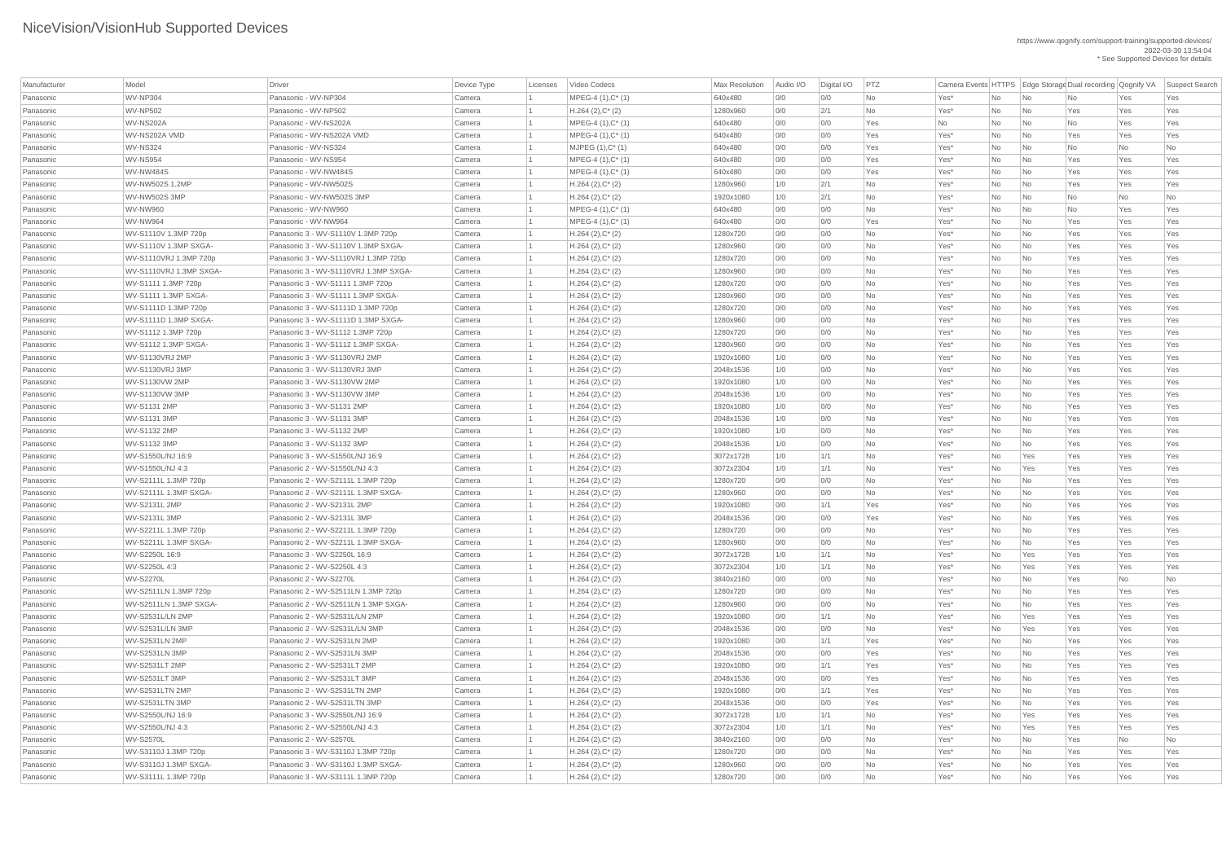| Manufacturer | Model                   | <b>Driver</b>                         | Device Type | Licenses | Video Codecs         | Max Resolution | Audio I/O | Digital I/O | PTZ            |           |                |                             |           |           | Camera Events HTTPS Edge Storage Dual recording Qognify VA Suspect Search |
|--------------|-------------------------|---------------------------------------|-------------|----------|----------------------|----------------|-----------|-------------|----------------|-----------|----------------|-----------------------------|-----------|-----------|---------------------------------------------------------------------------|
| Panasonic    | WV-NP304                | Panasonic - WV-NP304                  | Camera      |          | $MPEG-4 (1), C^*(1)$ | 640x480        | 0/0       | 0/0         | <b>No</b>      | Yes*      | <b>No</b>      | No                          | <b>No</b> | Yes       | Yes                                                                       |
| Panasonic    | <b>WV-NP502</b>         | Panasonic - WV-NP502                  | Camera      |          | $H.264 (2), C^*(2)$  | 1280x960       | 0/0       | 2/1         | <b>No</b>      | Yes*      | No             | No                          | Yes       | Yes       | Yes                                                                       |
| Panasonic    | WV-NS202A               | Panasonic - WV-NS202A                 | Camera      |          | $MPEG-4 (1), C^*(1)$ | 640x480        | O/O       | 0/0         | Yes            | <b>No</b> | No             | No                          | <b>No</b> | Yes       | Yes                                                                       |
| Panasonic    | WV-NS202A VMD           | Panasonic - WV-NS202A VMD             | Camera      |          | $MPEG-4 (1), C^*(1)$ | 640x480        | 0/0       | 0/0         | Yes            | Yes*      | <b>No</b>      | No                          | Yes       | Yes       | Yes                                                                       |
| Panasonic    | WV-NS324                | Panasonic - WV-NS324                  | Camera      |          | $MJPEG (1), C^* (1)$ | 640x480        | O/O       | 0/0         | Yes            | Yes*      | No             | No                          | <b>No</b> | No        | <b>No</b>                                                                 |
| Panasonic    | WV-NS954                | Panasonic - WV-NS954                  | Camera      |          | $MPEG-4 (1), C^*(1)$ | 640x480        | 0/0       | 0/0         | Yes            | Yes*      | No             | No                          | Yes       | Yes       | Yes                                                                       |
| Panasonic    | WV-NW484S               | Panasonic - WV-NW484S                 | Camera      |          | $MPEG-4 (1), C^*(1)$ | 640x480        | 0/0       | 0/0         | Yes            | Yes*      | No             | No                          | Yes       | Yes       | Yes                                                                       |
| Panasonic    | WV-NW502S 1.2MP         | Panasonic - WV-NW502S                 | Camera      |          | $H.264 (2), C^*(2)$  | 1280x960       | 1/0       | 2/1         | <b>No</b>      | Yes*      | No             | No                          | Yes       | Yes       | Yes                                                                       |
| Panasonic    | WV-NW502S 3MP           | Panasonic - WV-NW502S 3MP             | Camera      |          | $H.264 (2), C^*(2)$  | 1920x1080      | 1/0       | 2/1         | <b>No</b>      | Yes*      | No             | No                          | No        | No        | <b>No</b>                                                                 |
| Panasonic    | WV-NW960                | Panasonic - WV-NW960                  | Camera      |          | $MPEG-4 (1), C^*(1)$ | 640x480        | 0/0       | 0/0         | <b>No</b>      | Yes*      | No             | No                          | <b>No</b> | Yes       | Yes                                                                       |
| Panasonic    | WV-NW964                | Panasonic - WV-NW964                  | Camera      |          | $MPEG-4 (1), C^*(1)$ | 640x480        | O/O       | 0/0         | Yes            | Yes*      | No             | No                          | Yes       | Yes       | Yes                                                                       |
| Panasonic    | WV-S1110V 1.3MP 720p    | Panasonic 3 - WV-S1110V 1.3MP 720p    | Camera      |          | $H.264 (2), C^*(2)$  | 1280x720       | 0/0       | 0/0         | <b>No</b>      | Yes*      | No             | No                          | Yes       | Yes       | Yes                                                                       |
| Panasonic    | WV-S1110V 1.3MP SXGA-   | Panasonic 3 - WV-S1110V 1.3MP SXGA-   | Camera      |          | $H.264 (2), C^*(2)$  | 1280x960       | 0/0       | 0/0         | <b>No</b>      | Yes*      | No             | No                          | Yes       | Yes       | Yes                                                                       |
| Panasonic    | WV-S1110VRJ 1.3MP 720p  | Panasonic 3 - WV-S1110VRJ 1.3MP 720p  | Camera      |          | $H.264 (2), C^*(2)$  | 1280x720       | O/O       | 0/0         | N <sub>o</sub> | Yes*      | No             | No                          | Yes       | Yes       | Yes                                                                       |
| Panasonic    | WV-S1110VRJ 1.3MP SXGA- | Panasonic 3 - WV-S1110VRJ 1.3MP SXGA- | Camera      |          | $H.264 (2), C^*(2)$  | 1280x960       | 0/0       | 0/0         | <b>No</b>      | Yes*      | No             | No                          | Yes       | Yes       | Yes                                                                       |
| Panasonic    | WV-S1111 1.3MP 720p     | Panasonic 3 - WV-S1111 1.3MP 720p     | Camera      |          | $H.264 (2), C^*(2)$  | 1280x720       | 0/0       | 0/0         | <b>No</b>      | Yes*      | No             | No                          | Yes       | Yes       | Yes                                                                       |
| Panasonic    | WV-S1111 1.3MP SXGA-    | Panasonic 3 - WV-S1111 1.3MP SXGA-    | Camera      |          | $H.264 (2), C^*(2)$  | 1280x960       | 0/0       | 0/0         | <b>No</b>      | Yes*      | No             | No                          | Yes       | Yes       | Yes                                                                       |
| Panasonic    | WV-S1111D 1.3MP 720p    | Panasonic 3 - WV-S1111D 1.3MP 720p    | Camera      |          | $H.264 (2), C^*(2)$  | 1280x720       | 0/0       | 0/0         | <b>No</b>      | Yes*      | No             | No                          | Yes       | Yes       | Yes                                                                       |
| Panasonic    | WV-S1111D 1.3MP SXGA-   | Panasonic 3 - WV-S1111D 1.3MP SXGA-   | Camera      |          | $H.264 (2), C^*(2)$  | 1280x960       | 0/0       | 0/0         | <b>No</b>      | Yes*      | No             | No                          | Yes       | Yes       | Yes                                                                       |
| Panasonic    | WV-S1112 1.3MP 720p     | Panasonic 3 - WV-S1112 1.3MP 720p     | Camera      |          | $H.264 (2), C^*(2)$  | 1280x720       | 0/0       | 0/0         | <b>No</b>      | Yes*      | No             | No                          | Yes       | Yes       | Yes                                                                       |
| Panasonic    | WV-S1112 1.3MP SXGA-    | Panasonic 3 - WV-S1112 1.3MP SXGA-    | Camera      |          | $H.264 (2), C^*(2)$  | 1280x960       | 0/0       | 0/0         | <b>No</b>      | Yes*      | No             | No                          | Yes       | Yes       | Yes                                                                       |
| Panasonic    | WV-S1130VRJ 2MP         | Panasonic 3 - WV-S1130VRJ 2MP         | Camera      |          | $H.264 (2), C^*(2)$  | 1920x1080      | 1/0       | 0/0         | <b>No</b>      | Yes*      | No             | $\overline{\mathsf{No}}$    | Yes       | Yes       | Yes                                                                       |
| Panasonic    | WV-S1130VRJ3MP          | Panasonic 3 - WV-S1130VRJ 3MP         | Camera      |          | $H.264 (2), C^*(2)$  | 2048x1536      | 1/0       | 0/0         | <b>No</b>      | Yes*      | No             | No                          | Yes       | Yes       | Yes                                                                       |
| Panasonic    | WV-S1130VW 2MP          | Panasonic 3 - WV-S1130VW 2MP          | Camera      |          | $H.264 (2), C^*(2)$  | 1920x1080      | 1/0       | 0/0         | <b>No</b>      | Yes*      | No             | No                          | Yes       | Yes       | Yes                                                                       |
| Panasonic    | WV-S1130VW 3MP          | Panasonic 3 - WV-S1130VW 3MP          | Camera      |          | $H.264 (2), C^*(2)$  | 2048x1536      | 1/0       | 0/0         | <b>No</b>      | Yes*      | No             | No                          | Yes       | Yes       | Yes                                                                       |
| Panasonic    | WV-S1131 2MP            | Panasonic 3 - WV-S1131 2MP            | Camera      |          | $H.264 (2), C^*(2)$  | 1920x1080      | 1/0       | 0/0         | No             | Yes*      | No.            | $\overline{\mathsf{No}}$    | Yes       | Yes       | Yes                                                                       |
| Panasonic    | <b>WV-S1131 3MP</b>     | Panasonic 3 - WV-S1131 3MP            | Camera      |          | $H.264 (2), C^*(2)$  | 2048x1536      | 1/0       | 0/0         | <b>No</b>      | Yes*      | No             | No                          | Yes       | Yes       | Yes                                                                       |
| Panasonic    | WV-S1132 2MP            | Panasonic 3 - WV-S1132 2MP            | Camera      |          | $H.264 (2), C^*(2)$  | 1920x1080      | 1/0       | 0/0         | <b>No</b>      | Yes*      | No             | No                          | Yes       | Yes       | Yes                                                                       |
| Panasonic    | WV-S1132 3MP            | Panasonic 3 - WV-S1132 3MP            | Camera      |          | $H.264 (2), C^*(2)$  | 2048x1536      | 1/0       | 0/0         | <b>No</b>      | Yes*      | No             | No                          | Yes       | Yes       | Yes                                                                       |
| Panasonic    | WV-S1550L/NJ 16:9       | Panasonic 3 - WV-S1550L/NJ 16:9       | Camera      |          | $H.264 (2), C^*(2)$  | 3072x1728      | 1/0       | 1/1         | No             | Yes*      | No             | Yes                         | Yes       | Yes       | Yes                                                                       |
| Panasonic    | WV-S1550L/NJ 4:3        | Panasonic 2 - WV-S1550L/NJ 4:3        | Camera      |          | $H.264 (2), C^*(2)$  | 3072x2304      | 1/0       | 1/1         | <b>No</b>      | Yes*      | N <sub>o</sub> | Yes                         | Yes       | Yes       | Yes                                                                       |
| Panasonic    | WV-S2111L 1.3MP 720p    | Panasonic 2 - WV-S2111L 1.3MP 720p    | Camera      |          | $H.264 (2), C^*(2)$  | 1280x720       | 0/0       | 0/0         | <b>No</b>      | Yes*      | No             | No                          | Yes       | Yes       | Yes                                                                       |
| Panasonic    | WV-S2111L 1.3MP SXGA-   | Panasonic 2 - WV-S2111L 1.3MP SXGA-   | Camera      |          | $H.264 (2), C^*(2)$  | 1280x960       | 0/0       | 0/0         | <b>No</b>      | Yes*      | No             | No                          | Yes       | Yes       | Yes                                                                       |
| Panasonic    | <b>WV-S2131L 2MP</b>    | Panasonic 2 - WV-S2131L 2MP           | Camera      |          | $H.264 (2), C^*(2)$  | 1920x1080      | 0/0       | 1/1         | Yes            | Yes*      | No             | No                          | Yes       | Yes       | Yes                                                                       |
| Panasonic    | <b>WV-S2131L 3MP</b>    | Panasonic 2 - WV-S2131L 3MP           | Camera      |          | $H.264 (2), C^*(2)$  | 2048x1536      | 0/0       | 0/0         | Yes            | Yes*      | No             | No                          | Yes       | Yes       | Yes                                                                       |
| Panasonic    | WV-S2211L 1.3MP 720p    | Panasonic 2 - WV-S2211L 1.3MP 720p    | Camera      |          | $H.264 (2), C^*(2)$  | 1280x720       | 0/0       | 0/0         | No             | Yes*      | No             | No                          | Yes       | Yes       | Yes                                                                       |
| Panasonic    | WV-S2211L 1.3MP SXGA-   | Panasonic 2 - WV-S2211L 1.3MP SXGA-   | Camera      |          | $H.264 (2), C^*(2)$  | 1280x960       | 0/0       | 0/0         | <b>No</b>      | Yes*      | N <sub>o</sub> | No                          | Yes       | Yes       | Yes                                                                       |
| Panasonic    | WV-S2250L 16:9          | Panasonic 3 - WV-S2250L 16:9          | Camera      |          | $H.264 (2), C^*(2)$  | 3072x1728      | 1/0       | 1/1         | <b>No</b>      | Yes*      | No             | Yes                         | Yes       | Yes       | Yes                                                                       |
| Panasonic    | WV-S2250L 4:3           | Panasonic 2 - WV-S2250L 4:3           | Camera      |          | $H.264 (2), C^*(2)$  | 3072x2304      | 1/0       | 1/1         | <b>No</b>      | Yes*      | No             | Yes                         | Yes       | Yes       | Yes                                                                       |
| Panasonic    | <b>WV-S2270L</b>        | Panasonic 2 - WV-S2270L               | Camera      |          | $H.264 (2), C^*(2)$  | 3840x2160      | 0/0       | 0/0         | <b>No</b>      | Yes*      | No             | No                          | Yes       | <b>No</b> | No                                                                        |
| Panasonic    | WV-S2511LN 1.3MP 720p   | Panasonic 2 - WV-S2511LN 1.3MP 720p   | Camera      |          | $H.264 (2), C^*(2)$  | 1280x720       | 0/0       | 0/0         | <b>No</b>      | Yes*      | No             | N <sub>0</sub>              | Yes       | Yes       | Yes                                                                       |
| Panasonic    | WV-S2511LN 1.3MP SXGA-  | Panasonic 2 - WV-S2511LN 1.3MP SXGA-  | Camera      |          | $H.264 (2), C^*(2)$  | 1280x960       | 0/0       | O/O         | <b>No</b>      | Yes*      | No             | No                          | Yes       | Yes       | Yes                                                                       |
| Panasonic    | WV-S2531L/LN 2MP        | Panasonic 2 - WV-S2531L/LN 2MP        | Camera      |          | $H.264 (2), C^*(2)$  | 1920x1080      | 0/0       | 1/1         | <b>No</b>      | Yes*      | No             | Yes                         | Yes       | Yes       | Yes                                                                       |
| Panasonic    | WV-S2531L/LN 3MP        | Panasonic 2 - WV-S2531L/LN 3MP        | Camera      |          | $H.264 (2), C^*(2)$  | 2048x1536      | 0/0       | 0/0         | <b>No</b>      | Yes*      | No             | Yes                         | Yes       | Yes       | Yes                                                                       |
| Panasonic    | <b>WV-S2531LN 2MP</b>   | Panasonic 2 - WV-S2531LN 2MP          | Camera      |          | $H.264 (2), C^*(2)$  | 1920x1080      | 0/0       | 1/1         | Yes            | Yes*      | No             | No                          | Yes       | Yes       | Yes                                                                       |
| Panasonic    | WV-S2531LN 3MP          | Panasonic 2 - WV-S2531LN 3MP          | Camera      |          | $H.264 (2), C^*(2)$  | 2048x1536      | 0/0       | 0/0         | Yes            | Yes*      | No             | No                          | Yes       | Yes       | Yes                                                                       |
| Panasonic    | <b>WV-S2531LT 2MP</b>   | Panasonic 2 - WV-S2531LT 2MP          | Camera      |          | $H.264 (2), C^*(2)$  | 1920x1080      | 0/0       | 1/1         | Yes            | Yes*      | No             | No                          | Yes       | Yes       | Yes                                                                       |
| Panasonic    | WV-S2531LT 3MP          | Panasonic 2 - WV-S2531LT 3MP          | Camera      |          | $H.264 (2), C^*(2)$  | 2048x1536      | 0/0       | 0/0         | Yes            | Yes*      | No             | No                          | Yes       | Yes       | Yes                                                                       |
| Panasonic    | WV-S2531LTN 2MP         | Panasonic 2 - WV-S2531LTN 2MP         | Camera      |          | $H.264 (2), C^*(2)$  | 1920x1080      | 0/0       | 1/1         | Yes            | Yes*      | No             | No                          | Yes       | Yes       | Yes                                                                       |
| Panasonic    | WV-S2531LTN 3MP         | Panasonic 2 - WV-S2531LTN 3MP         | Camera      |          | $H.264 (2), C^*(2)$  | 2048x1536      | 0/0       | 0/0         | Yes            | Yes*      | No             | $\overline{\mathsf{No}}$    | Yes       | Yes       | Yes                                                                       |
| Panasonic    | WV-S2550L/NJ 16:9       | Panasonic 3 - WV-S2550L/NJ 16:9       | Camera      |          | $H.264 (2), C^*(2)$  | 3072x1728      | 1/0       | 1/1         | <b>No</b>      | Yes*      | No.            | Yes                         | Yes       | Yes       | Yes                                                                       |
| Panasonic    | WV-S2550L/NJ 4:3        | Panasonic 2 - WV-S2550L/NJ 4:3        | Camera      |          | $H.264 (2), C^*(2)$  | 3072x2304      | 1/0       | 1/1         | No             | Yes*      | No             | Yes                         | Yes       | Yes       | Yes                                                                       |
| Panasonic    | <b>WV-S2570L</b>        | Panasonic 2 - WV-S2570L               | Camera      |          | $H.264 (2), C^*(2)$  | 3840x2160      | 0/0       | 0/0         | No             | Yes*      | No             | No                          | Yes       | No        | No                                                                        |
| Panasonic    | WV-S3110J 1.3MP 720p    | Panasonic 3 - WV-S3110J 1.3MP 720p    | Camera      |          | $H.264 (2), C^*(2)$  | 1280x720       | 0/0       | 0/0         | No             | $Yes^*$   | No             | $\overline{\phantom{a}}$ No | Yes       | Yes       | Yes                                                                       |
| Panasonic    | WV-S3110J 1.3MP SXGA-   | Panasonic 3 - WV-S3110J 1.3MP SXGA-   | Camera      |          | $H.264 (2), C^*(2)$  | 1280x960       | 0/0       | 0/0         | No             | Yes*      | No             | $\overline{\mathsf{No}}$    | Yes       | Yes       | Yes                                                                       |
| Panasonic    | WV-S3111L 1.3MP 720p    | Panasonic 3 - WV-S3111L 1.3MP 720p    | Camera      |          | $H.264 (2), C^*(2)$  | 1280x720       | 0/0       | 0/0         | No             | Yes*      | No             | $\overline{\mathsf{No}}$    | Yes       | Yes       | Yes                                                                       |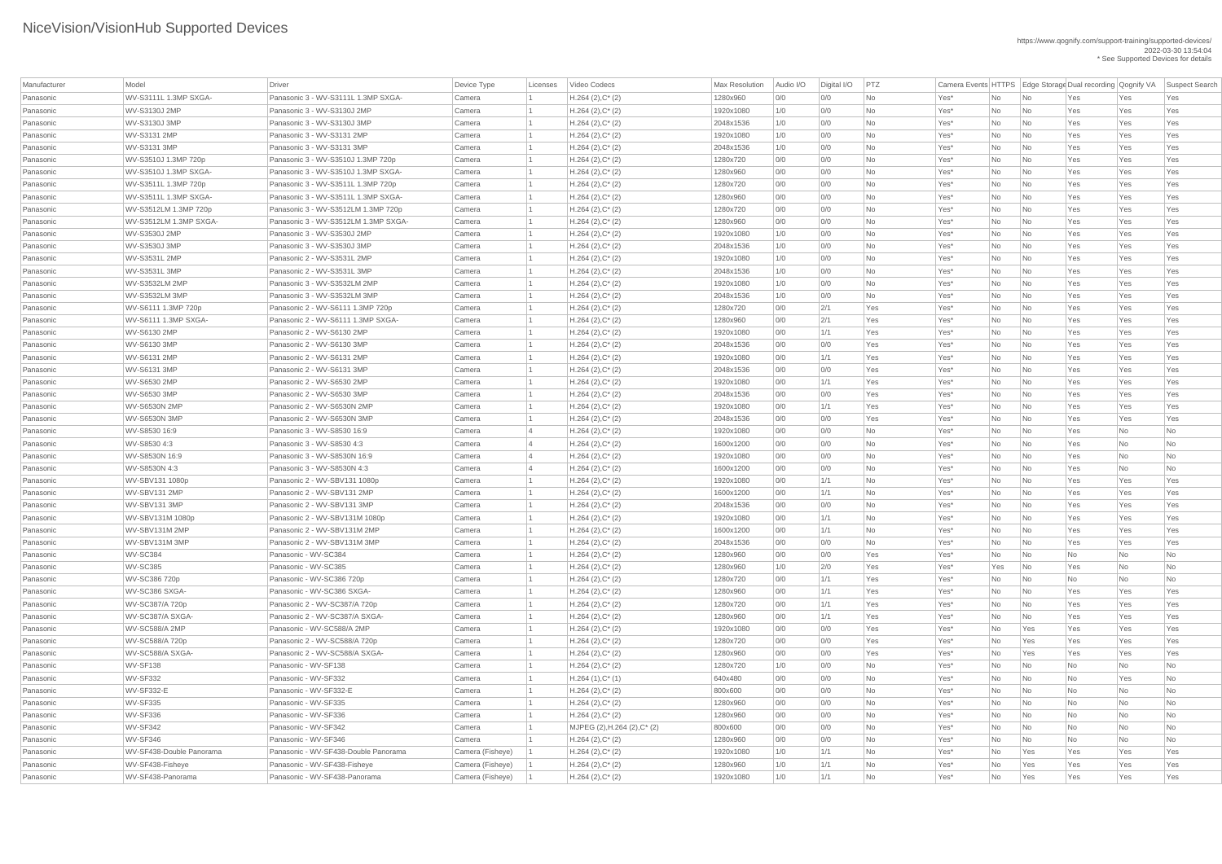| Manufacturer | Model                        | Driver                               | Device Type      | Licenses | Video Codecs                         | Max Resolution | Audio I/O | Digital I/O | PTZ        |      |     |                          |           |            | Camera Events HTTPS   Edge Storage Dual recording   Qognify VA   Suspect Search |
|--------------|------------------------------|--------------------------------------|------------------|----------|--------------------------------------|----------------|-----------|-------------|------------|------|-----|--------------------------|-----------|------------|---------------------------------------------------------------------------------|
| Panasonic    | WV-S3111L 1.3MP SXGA-        | Panasonic 3 - WV-S3111L 1.3MP SXGA-  | Camera           |          | $H.264 (2), C^*(2)$                  | 1280x960       | 0/0       | 0/0         | No         | Yes* | No  | No                       | Yes       | Yes        | Yes                                                                             |
| Panasonic    | WV-S3130J 2MP                | Panasonic 3 - WV-S3130J 2MP          | Camera           |          | $H.264 (2), C^*(2)$                  | 1920x1080      | 1/0       | 0/0         | <b>No</b>  | Yes* | No  | No                       | Yes       | Yes        | Yes                                                                             |
| Panasonic    | WV-S3130J 3MP                | Panasonic 3 - WV-S3130J 3MP          | Camera           |          | $H.264 (2), C^*(2)$                  | 2048x1536      | 1/0       | 0/0         | <b>No</b>  | Yes* | No  | No                       | Yes       | Yes        | Yes                                                                             |
| Panasonic    | WV-S3131 2MP                 | Panasonic 3 - WV-S3131 2MP           | Camera           |          | $H.264 (2), C^*(2)$                  | 1920x1080      | 1/0       | 0/0         | No         | Yes* | No  | No                       | Yes       | Yes        | Yes                                                                             |
| Panasonic    | WV-S3131 3MP                 | Panasonic 3 - WV-S3131 3MP           | Camera           |          | $H.264 (2), C^*(2)$                  | 2048x1536      | 1/0       | 0/0         | No         | Yes* | No  | No                       | Yes       | Yes        | Yes                                                                             |
| Panasonic    | WV-S3510J 1.3MP 720p         | Panasonic 3 - WV-S3510J 1.3MP 720p   | Camera           |          | $H.264 (2), C^*(2)$                  | 1280x720       | 0/0       | 0/0         | No         | Yes* | No  | No                       | Yes       | Yes        | Yes                                                                             |
| Panasonic    | WV-S3510J 1.3MP SXGA-        | Panasonic 3 - WV-S3510J 1.3MP SXGA-  | Camera           |          | $H.264 (2), C^*(2)$                  | 1280x960       | 0/0       | 0/0         | No         | Yes* | No  | No                       | Yes       | Yes        | Yes                                                                             |
| Panasonic    | WV-S3511L 1.3MP 720p         | Panasonic 3 - WV-S3511L 1.3MP 720p   | Camera           |          | $H.264 (2), C^*(2)$                  | 1280x720       | 0/0       | 0/0         | No         | Yes* | No  | No                       | Yes       | Yes        | Yes                                                                             |
| Panasonic    | WV-S3511L 1.3MP SXGA-        | Panasonic 3 - WV-S3511L 1.3MP SXGA-  | Camera           |          | $H.264 (2), C^*(2)$                  | 1280x960       | 0/0       | 0/0         | <b>No</b>  | Yes* | No  | <b>No</b>                | Yes       | Yes        | Yes                                                                             |
| Panasonic    | WV-S3512LM 1.3MP 720p        | Panasonic 3 - WV-S3512LM 1.3MP 720p  | Camera           |          | $H.264 (2), C^*(2)$                  | 1280x720       | 0/0       | 0/0         | No         | Yes* | No. | No                       | Yes       | Yes        | Yes                                                                             |
| Panasonic    | WV-S3512LM 1.3MP SXGA-       | Panasonic 3 - WV-S3512LM 1.3MP SXGA- | Camera           |          | $H.264 (2), C^*(2)$                  | 1280x960       | 0/0       | 0/0         | No         | Yes* | No  | No                       | Yes       | Yes        | Yes                                                                             |
| Panasonic    | WV-S3530J 2MP                | Panasonic 3 - WV-S3530J 2MP          | Camera           |          | $H.264 (2), C^*(2)$                  | 1920x1080      | 1/0       | 0/0         | No         | Yes* | No  | No                       | Yes       | Yes        | Yes                                                                             |
| Panasonic    | WV-S3530J 3MP                | Panasonic 3 - WV-S3530J 3MP          | Camera           |          | $H.264 (2), C^*(2)$                  | 2048x1536      | 1/0       | 0/0         | No         | Yes* | No  | $\overline{\mathsf{No}}$ | Yes       | Yes        | Yes                                                                             |
| Panasonic    | WV-S3531L 2MP                | Panasonic 2 - WV-S3531L 2MP          | Camera           |          | $H.264 (2), C^*(2)$                  | 1920x1080      | 1/0       | 0/0         | <b>No</b>  | Yes* | No  | No                       | Yes       | Yes        | Yes                                                                             |
| Panasonic    | WV-S3531L 3MP                | Panasonic 2 - WV-S3531L 3MP          | Camera           |          | $H.264 (2), C^*(2)$                  | 2048x1536      | 1/0       | 0/0         | <b>No</b>  | Yes* | No  | No                       | Yes       | Yes        | Yes                                                                             |
| Panasonic    | WV-S3532LM 2MP               | Panasonic 3 - WV-S3532LM 2MP         | Camera           |          | $H.264 (2), C^*(2)$                  | 1920x1080      | 1/0       | 0/0         | No         | Yes* | No  | No                       | Yes       | Yes        | Yes                                                                             |
| Panasonic    | WV-S3532LM 3MP               | Panasonic 3 - WV-S3532LM 3MP         | Camera           |          | $H.264 (2), C^*(2)$                  | 2048x1536      | 1/0       | 0/0         | No         | Yes* | No  | No                       | Yes       | Yes        | Yes                                                                             |
| Panasonic    | WV-S6111 1.3MP 720p          | Panasonic 2 - WV-S6111 1.3MP 720p    | Camera           |          | $H.264 (2), C^*(2)$                  | 1280x720       | 0/0       | 2/1         | Yes        | Yes* | No  | No                       | Yes       | Yes        | Yes                                                                             |
| Panasonic    | WV-S6111 1.3MP SXGA-         | Panasonic 2 - WV-S6111 1.3MP SXGA-   | Camera           |          | $H.264 (2), C^*(2)$                  | 1280x960       | 0/0       | 2/1         | Yes        | Yes* | No  | No                       | Yes       | Yes        | Yes                                                                             |
|              |                              | Panasonic 2 - WV-S6130 2MP           |                  |          |                                      |                | 0/0       | 1/1         | Yes        |      |     |                          |           |            |                                                                                 |
| Panasonic    | WV-S6130 2MP<br>WV-S6130 3MP | Panasonic 2 - WV-S6130 3MP           | Camera<br>Camera |          | $H.264 (2), C^*(2)$                  | 1920x1080      | 0/0       |             | Yes        | Yes* | No  | No                       | Yes       | Yes<br>Yes | Yes                                                                             |
| Panasonic    |                              | Panasonic 2 - WV-S6131 2MP           |                  |          | $H.264 (2), C^*(2)$                  | 2048x1536      |           | 0/0         |            | Yes* | No  | No                       | Yes       |            | Yes                                                                             |
| Panasonic    | WV-S6131 2MP                 |                                      | Camera           |          | $H.264 (2), C^*(2)$                  | 1920x1080      | 0/0       | 1/1         | Yes        | Yes* | No. | No                       | Yes       | Yes        | Yes                                                                             |
| Panasonic    | WV-S6131 3MP                 | Panasonic 2 - WV-S6131 3MP           | Camera           |          | $H.264 (2), C^*(2)$                  | 2048x1536      | 0/0       | 0/0         | Yes        | Yes* | No  | No                       | Yes       | Yes        | Yes                                                                             |
| Panasonic    | WV-S6530 2MP                 | Panasonic 2 - WV-S6530 2MP           | Camera           |          | $H.264 (2), C^*(2)$                  | 1920x1080      | 0/0       | 1/1         | Yes        | Yes* | No  | No                       | Yes       | Yes        | Yes                                                                             |
| Panasonic    | WV-S6530 3MP                 | Panasonic 2 - WV-S6530 3MP           | Camera           |          | $H.264 (2), C^*(2)$                  | 2048x1536      | 0/0       | 0/0         | <b>Yes</b> | Yes* | No  | No                       | Yes       | Yes        | Yes                                                                             |
| Panasonic    | <b>WV-S6530N 2MP</b>         | Panasonic 2 - WV-S6530N 2MP          | Camera           |          | $H.264 (2), C^*(2)$                  | 1920x1080      | 0/0       | 1/1         | Yes        | Yes* | No  | No                       | Yes       | Yes        | Yes                                                                             |
| Panasonic    | <b>WV-S6530N 3MP</b>         | Panasonic 2 - WV-S6530N 3MP          | Camera           |          | $H.264 (2), C^*(2)$                  | 2048x1536      | 0/0       | 0/0         | Yes        | Yes* | No  | No                       | Yes       | Yes        | Yes                                                                             |
| Panasonic    | WV-S8530 16:9                | Panasonic 3 - WV-S8530 16:9          | Camera           |          | $H.264 (2), C^*(2)$                  | 1920x1080      | 0/0       | 0/0         | <b>No</b>  | Yes* | No  | No                       | Yes       | No         | No                                                                              |
| Panasonic    | WV-S8530 4:3                 | Panasonic 3 - WV-S8530 4:3           | Camera           |          | $H.264 (2), C^*(2)$                  | 1600x1200      | 0/0       | 0/0         | No         | Yes* | No  | No                       | Yes       | No         | No                                                                              |
| Panasonic    | WV-S8530N 16:9               | Panasonic 3 - WV-S8530N 16:9         | Camera           |          | $H.264 (2), C^*(2)$                  | 1920x1080      | 0/0       | 0/0         | No         | Yes* | No  | No                       | Yes       | No         | No                                                                              |
| Panasonic    | WV-S8530N 4:3                | Panasonic 3 - WV-S8530N 4:3          | Camera           |          | $H.264 (2), C^*(2)$                  | 1600x1200      | 0/0       | 0/0         | <b>No</b>  | Yes* | No  | No                       | Yes       | No         | No                                                                              |
| Panasonic    | WV-SBV131 1080p              | Panasonic 2 - WV-SBV131 1080p        | Camera           |          | $H.264 (2), C^*(2)$                  | 1920x1080      | 0/0       | 1/1         | <b>No</b>  | Yes* | No  | No                       | Yes       | Yes        | Yes                                                                             |
| Panasonic    | WV-SBV131 2MP                | Panasonic 2 - WV-SBV131 2MP          | Camera           |          | $H.264 (2), C^*(2)$                  | 1600x1200      | 0/0       | 1/1         | <b>No</b>  | Yes* | No  | No                       | Yes       | Yes        | Yes                                                                             |
| Panasonic    | WV-SBV131 3MP                | Panasonic 2 - WV-SBV131 3MP          | Camera           |          | $H.264 (2), C^*(2)$                  | 2048x1536      | 0/0       | 0/0         | No         | Yes* | No  | No                       | Yes       | Yes        | Yes                                                                             |
| Panasonic    | WV-SBV131M 1080p             | Panasonic 2 - WV-SBV131M 1080p       | Camera           |          | $H.264 (2), C^*(2)$                  | 1920x1080      | 0/0       | 1/1         | No         | Yes* | No  | No                       | Yes       | Yes        | Yes                                                                             |
| Panasonic    | WV-SBV131M 2MP               | Panasonic 2 - WV-SBV131M 2MP         | Camera           |          | $H.264 (2), C^*(2)$                  | 1600x1200      | 0/0       | 1/1         | No         | Yes* | No  | No                       | Yes       | Yes        | Yes                                                                             |
| Panasonic    | WV-SBV131M 3MP               | Panasonic 2 - WV-SBV131M 3MP         | Camera           |          | $H.264 (2), C^*(2)$                  | 2048x1536      | 0/0       | 0/0         | <b>No</b>  | Yes* | No  | No                       | Yes       | Yes        | Yes                                                                             |
| Panasonic    | WV-SC384                     | Panasonic - WV-SC384                 | Camera           |          | $H.264 (2), C^*(2)$                  | 1280x960       | 0/0       | 0/0         | Yes        | Yes* | No  | No                       | No        | No         | No                                                                              |
| Panasonic    | WV-SC385                     | Panasonic - WV-SC385                 | Camera           |          | $H.264 (2), C^*(2)$                  | 1280x960       | 1/0       | 2/0         | Yes        | Yes* | Yes | No                       | Yes       | No         | No                                                                              |
| Panasonic    | WV-SC386 720p                | Panasonic - WV-SC386 720p            | Camera           |          | $H.264 (2), C^*(2)$                  | 1280x720       | 0/0       | 1/1         | <b>Yes</b> | Yes* | No  | No                       | No        | No         | No                                                                              |
| Panasonic    | WV-SC386 SXGA-               | Panasonic - WV-SC386 SXGA-           | Camera           |          | $H.264 (2), C^*(2)$                  | 1280x960       | 0/0       | 1/1         | Yes        | Yes* | No. | No                       | Yes       | Yes        | Yes                                                                             |
| Panasonic    | WV-SC387/A 720p              | Panasonic 2 - WV-SC387/A 720p        | Camera           |          | $H.264 (2), C^*(2)$                  | 1280x720       | 0/0       | 1/1         | Yes        | Yes* | No  | No                       | Yes       | Yes        | Yes                                                                             |
| Panasonic    | WV-SC387/A SXGA-             | Panasonic 2 - WV-SC387/A SXGA-       | Camera           |          | $H.264 (2), C^*(2)$                  | 1280x960       | 0/0       | 1/1         | Yes        | Yes* | No  | No                       | Yes       | Yes        | Yes                                                                             |
| Panasonic    | WV-SC588/A 2MP               | Panasonic - WV-SC588/A 2MP           | Camera           |          | $H.264 (2), C^*(2)$                  | 1920x1080      | 0/0       | 0/0         | <b>Yes</b> | Yes* | No  | Yes                      | Yes       | Yes        | Yes                                                                             |
| Panasonic    | WV-SC588/A 720p              | Panasonic 2 - WV-SC588/A 720p        | Camera           |          | $H.264 (2), C^*(2)$                  | 1280x720       | 0/0       | 0/0         | Yes        | Yes* | No  | Yes                      | Yes       | Yes        | Yes                                                                             |
| Panasonic    | WV-SC588/A SXGA-             | Panasonic 2 - WV-SC588/A SXGA-       | Camera           |          | $H.264 (2), C^*(2)$                  | 1280x960       | 0/0       | 0/0         | <b>Yes</b> | Yes* | No  | Yes                      | Yes       | Yes        | Yes                                                                             |
| Panasonic    | WV-SF138                     | Panasonic - WV-SF138                 | Camera           |          | $H.264 (2), C^*(2)$                  | 1280x720       | 1/0       | 0/0         | No         | Yes* | No. | No                       | No        | No         | No                                                                              |
| Panasonic    | WV-SF332                     | Panasonic - WV-SF332                 | Camera           |          | $H.264(1),C^*(1)$                    | 640x480        | 0/0       | 0/0         | No         | Yes* | No  | No                       | No        | Yes        | No                                                                              |
| Panasonic    | WV-SF332-E                   | Panasonic - WV-SF332-E               | Camera           |          | $H.264 (2), C^*(2)$                  | 800x600        | 0/0       | 0/0         | No         | Yes* | No  | No                       | No        | No         | No                                                                              |
| Panasonic    | WV-SF335                     | Panasonic - WV-SF335                 | Camera           |          | $H.264 (2), C^*(2)$                  | 1280x960       | 0/0       | 0/0         | No.        | Yes* | No. | No                       | No        | No         | No                                                                              |
| Panasonic    | WV-SF336                     | Panasonic - WV-SF336                 | Camera           |          | $H.264 (2), C^*(2)$                  | 1280x960       | 0/0       | 0/0         | No         | Yes* | No  | No                       | No        | <b>No</b>  | No                                                                              |
| Panasonic    | WV-SF342                     | Panasonic - WV-SF342                 | Camera           |          | MJPEG $(2)$ , H.264 $(2)$ , C* $(2)$ | 800x600        | 0/0       | 0/0         | No         | Yes* | No  | No                       | No        | No         | No                                                                              |
| Panasonic    | WV-SF346                     | Panasonic - WV-SF346                 | Camera           |          | $H.264 (2), C^*(2)$                  | 1280x960       | 0/0       | 0/0         | No         | Yes* | No  | N <sub>o</sub>           | <b>No</b> | No         | <b>No</b>                                                                       |
| Panasonic    | WV-SF438-Double Panorama     | Panasonic - WV-SF438-Double Panorama | Camera (Fisheye) |          | $H.264 (2), C^*(2)$                  | 1920x1080      | 1/0       | 1/1         | No         | Yes* | No  | Yes                      | Yes       | Yes        | Yes                                                                             |
| Panasonic    | WV-SF438-Fisheye             | Panasonic - WV-SF438-Fisheye         | Camera (Fisheye) |          | $H.264 (2), C^*(2)$                  | 1280x960       | 1/0       | 1/1         | No         | Yes* | No  | Yes                      | Yes       | Yes        | Yes                                                                             |
| Panasonic    | WV-SF438-Panorama            | Panasonic - WV-SF438-Panorama        | Camera (Fisheye) |          | $H.264 (2), C^*(2)$                  | 1920x1080      | 1/0       | 1/1         | No         | Yes* | No  | Yes                      | Yes       | Yes        | Yes                                                                             |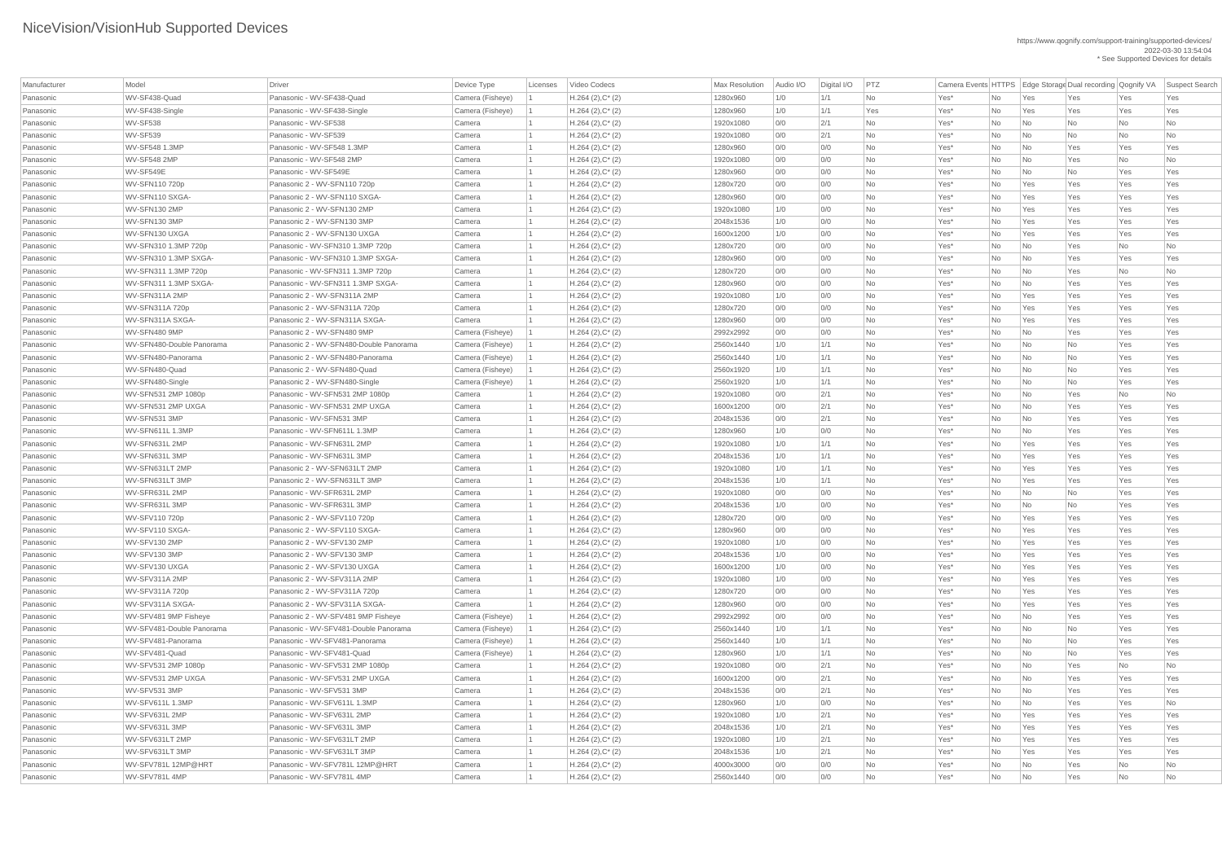| Manufacturer | Model                     | <b>Driver</b>                           | Device Type      | Licenses | Video Codecs           | <b>Max Resolution</b> | Audio I/O | Digital I/O | PTZ       |         |     |                          |           |           | Camera Events HTTPS   Edge Storage Dual recording Qognify VA   Suspect Search |
|--------------|---------------------------|-----------------------------------------|------------------|----------|------------------------|-----------------------|-----------|-------------|-----------|---------|-----|--------------------------|-----------|-----------|-------------------------------------------------------------------------------|
| Panasonic    | WV-SF438-Quad             | Panasonic - WV-SF438-Quad               | Camera (Fisheye) |          | $H.264$ (2), $C^*$ (2) | 1280x960              | 1/0       | 1/1         | <b>No</b> | Yes*    | No  | Yes                      | Yes       | Yes       | Yes                                                                           |
| Panasonic    | WV-SF438-Single           | Panasonic - WV-SF438-Single             | Camera (Fisheye) |          | $H.264 (2), C^*(2)$    | 1280x960              | 1/0       | 1/1         | Yes       | Yes*    | No  | Yes                      | Yes       | Yes       | Yes                                                                           |
| Panasonic    | WV-SF538                  | Panasonic - WV-SF538                    | Camera           |          | $H.264 (2), C^*(2)$    | 1920x1080             | 0/0       | 2/1         | <b>No</b> | Yes*    | No  | No                       | <b>No</b> | <b>No</b> | <b>No</b>                                                                     |
| Panasonic    | WV-SF539                  | Panasonic - WV-SF539                    | Camera           |          | $H.264(2),C^*(2)$      | 1920x1080             | 0/0       | 2/1         | <b>No</b> | Yes*    | No  | No                       | <b>No</b> | <b>No</b> | <b>No</b>                                                                     |
| Panasonic    | WV-SF548 1.3MP            | Panasonic - WV-SF548 1.3MP              | Camera           |          | $H.264 (2), C^*(2)$    | 1280x960              | 0/0       | 0/0         | No        | Yes*    | No  | No                       | Yes       | Yes       | Yes                                                                           |
| Panasonic    | <b>WV-SF548 2MP</b>       | Panasonic - WV-SF548 2MP                | Camera           |          | $H.264 (2), C^*(2)$    | 1920x1080             | 0/0       | O/O         | <b>No</b> | Yes*    | No  | No                       | Yes       | No        | No                                                                            |
| Panasonic    | WV-SF549E                 | Panasonic - WV-SF549E                   | Camera           |          | $H.264 (2), C^*(2)$    | 1280x960              | 0/0       | 0/0         | <b>No</b> | Yes*    | No  | No                       | No        | Yes       | Yes                                                                           |
| Panasonic    | WV-SFN110 720p            | Panasonic 2 - WV-SFN110 720p            | Camera           |          | $H.264 (2), C^*(2)$    | 1280x720              | 0/0       | 0/0         | <b>No</b> | Yes*    | No  | Yes                      | Yes       | Yes       | Yes                                                                           |
| Panasonic    | WV-SFN110 SXGA-           | Panasonic 2 - WV-SFN110 SXGA-           | Camera           |          | $H.264 (2), C^*(2)$    | 1280x960              | 0/0       | 0/0         | <b>No</b> | Yes*    | No  | Yes                      | Yes       | Yes       | Yes                                                                           |
| Panasonic    | WV-SFN130 2MP             | Panasonic 2 - WV-SFN130 2MP             | Camera           |          | $H.264(2),C^*(2)$      | 1920x1080             | 1/0       | 0/0         | <b>No</b> | Yes*    | No  | Yes                      | Yes       | Yes       | Yes                                                                           |
| Panasonic    | WV-SFN130 3MP             | Panasonic 2 - WV-SFN130 3MP             | Camera           |          | $H.264 (2), C^*(2)$    | 2048x1536             | 1/0       | 0/0         | <b>No</b> | Yes*    | No  | Yes                      | Yes       | Yes       | Yes                                                                           |
| Panasonic    | WV-SFN130 UXGA            | Panasonic 2 - WV-SFN130 UXGA            | Camera           |          | $H.264 (2), C^*(2)$    | 1600x1200             | 1/0       | O/O         | <b>No</b> | Yes*    | No  | Yes                      | Yes       | Yes       | Yes                                                                           |
| Panasonic    | WV-SFN310 1.3MP 720p      | Panasonic - WV-SFN310 1.3MP 720p        | Camera           |          | $H.264(2),C^*(2)$      | 1280x720              | 0/0       | 0/0         | <b>No</b> | Yes*    | No  | No                       | Yes       | <b>No</b> | <b>No</b>                                                                     |
| Panasonic    | WV-SFN310 1.3MP SXGA-     | Panasonic - WV-SFN310 1.3MP SXGA-       | Camera           |          | $H.264 (2), C^*(2)$    | 1280x960              | 0/0       | 0/0         | <b>No</b> | Yes*    | No  | No                       | Yes       | Yes       | Yes                                                                           |
| Panasonic    | WV-SFN311 1.3MP 720p      | Panasonic - WV-SFN311 1.3MP 720p        | Camera           |          | $H.264$ (2), $C^*$ (2) | 1280x720              | 0/0       | 0/0         | <b>No</b> | Yes*    | No  | No                       | Yes       | No        | No                                                                            |
| Panasonic    | WV-SFN311 1.3MP SXGA-     | Panasonic - WV-SFN311 1.3MP SXGA-       | Camera           |          | $H.264(2),C^*(2)$      | 1280x960              | 0/0       | 0/0         | <b>No</b> | Yes*    | No  | No                       | Yes       | Yes       | Yes                                                                           |
| Panasonic    | WV-SFN311A 2MP            | Panasonic 2 - WV-SFN311A 2MP            | Camera           |          | $H.264 (2), C^*(2)$    | 1920x1080             | 1/0       | 0/0         | <b>No</b> | Yes*    | No  | Yes                      | Yes       | Yes       | Yes                                                                           |
| Panasonic    | WV-SFN311A 720p           | Panasonic 2 - WV-SFN311A 720p           | Camera           |          | $H.264 (2), C^*(2)$    | 1280x720              | 0/0       | 0/0         | <b>No</b> | Yes*    | No  | Yes                      | Yes       | Yes       | Yes                                                                           |
| Panasonic    | WV-SFN311A SXGA-          | Panasonic 2 - WV-SFN311A SXGA-          | Camera           |          | $H.264 (2), C^*(2)$    | 1280x960              | 0/0       | 0/0         | <b>No</b> | Yes*    | No  | Yes                      | Yes       | Yes       | Yes                                                                           |
| Panasonic    | WV-SFN480 9MP             | Panasonic 2 - WV-SFN480 9MP             | Camera (Fisheye) |          | $H.264$ (2), $C^*$ (2) | 2992x2992             | 0/0       | 0/0         | <b>No</b> | Yes*    | No  | No                       | Yes       | Yes       | Yes                                                                           |
| Panasonic    | WV-SFN480-Double Panorama | Panasonic 2 - WV-SFN480-Double Panorama | Camera (Fisheye) |          | $H.264 (2), C^*(2)$    | 2560x1440             | 1/0       | 1/1         | <b>No</b> | Yes*    | No  | No                       | <b>No</b> | Yes       | Yes                                                                           |
| Panasonic    | WV-SFN480-Panorama        | Panasonic 2 - WV-SFN480-Panorama        | Camera (Fisheye) |          | $H.264(2),C^*(2)$      | 2560x1440             | 1/0       | 1/1         | <b>No</b> | Yes*    | No  | $\overline{\mathsf{No}}$ | <b>No</b> | Yes       | Yes                                                                           |
| Panasonic    | WV-SFN480-Quad            | Panasonic 2 - WV-SFN480-Quad            | Camera (Fisheye) |          | $H.264 (2), C^*(2)$    | 2560x1920             | 1/0       | 1/1         | <b>No</b> | Yes*    | No  | No                       | <b>No</b> | Yes       | Yes                                                                           |
| Panasonic    | WV-SFN480-Single          | Panasonic 2 - WV-SFN480-Single          | Camera (Fisheye) |          | $H.264 (2), C^*(2)$    | 2560x1920             | 1/0       | 1/1         | No        | Yes*    | No  | $\overline{\mathsf{No}}$ | <b>No</b> | Yes       | Yes                                                                           |
| Panasonic    | WV-SFN531 2MP 1080p       | Panasonic - WV-SFN531 2MP 1080p         | Camera           |          | $H.264 (2), C^*(2)$    | 1920x1080             | O/O       | 2/1         | <b>No</b> | Yes*    | No  | No                       | Yes       | No        | <b>No</b>                                                                     |
| Panasonic    | WV-SFN531 2MP UXGA        | Panasonic - WV-SFN531 2MP UXGA          | Camera           |          | $H.264 (2), C^*(2)$    | 1600x1200             | 0/0       | 2/1         | No        | Yes*    | No. | No                       | Yes       | Yes       | Yes                                                                           |
| Panasonic    | WV-SFN531 3MP             | Panasonic - WV-SFN531 3MP               | Camera           |          | $H.264 (2), C^*(2)$    | 2048x1536             | 0/0       | 2/1         | <b>No</b> | Yes*    | No  | $\overline{\mathsf{No}}$ | Yes       | Yes       | Yes                                                                           |
| Panasonic    | WV-SFN611L 1.3MP          | Panasonic - WV-SFN611L 1.3MP            | Camera           |          | $H.264(2),C^*(2)$      | 1280x960              | 1/0       | 0/0         | <b>No</b> | Yes*    | No  | No                       | Yes       | Yes       | Yes                                                                           |
| Panasonic    | WV-SFN631L 2MP            | Panasonic - WV-SFN631L 2MP              | Camera           |          | $H.264 (2), C^*(2)$    | 1920x1080             | 1/0       | 1/1         | <b>No</b> | Yes*    | No  | Yes                      | Yes       | Yes       | Yes                                                                           |
| Panasonic    | WV-SFN631L3MP             | Panasonic - WV-SFN631L 3MP              | Camera           |          | $H.264 (2), C^*(2)$    | 2048x1536             | 1/0       | 1/1         | <b>No</b> | Yes*    | No  | Yes                      | Yes       | Yes       | Yes                                                                           |
| Panasonic    | WV-SFN631LT 2MP           | Panasonic 2 - WV-SFN631LT 2MP           | Camera           |          | $H.264 (2), C^*(2)$    | 1920x1080             | 1/0       | 1/1         | <b>No</b> | Yes*    | No  | Yes                      | Yes       | Yes       | Yes                                                                           |
| Panasonic    | WV-SFN631LT 3MP           | Panasonic 2 - WV-SFN631LT 3MP           | Camera           |          | $H.264 (2), C^*(2)$    | 2048x1536             | 1/0       | 1/1         | <b>No</b> | Yes*    | No  | Yes                      | Yes       | Yes       | Yes                                                                           |
| Panasonic    | WV-SFR631L 2MP            | Panasonic - WV-SFR631L 2MP              | Camera           |          | $H.264 (2), C^*(2)$    | 1920x1080             | 0/0       | 0/0         | <b>No</b> | Yes*    | No  | $\overline{\mathsf{No}}$ | No        | Yes       | Yes                                                                           |
| Panasonic    | WV-SFR631L3MP             | Panasonic - WV-SFR631L 3MP              | Camera           |          | $H.264 (2), C^*(2)$    | 2048x1536             | 1/0       | 0/0         | <b>No</b> | Yes*    | No  | No                       | <b>No</b> | Yes       | Yes                                                                           |
| Panasonic    | WV-SFV110 720p            | Panasonic 2 - WV-SFV110 720p            | Camera           |          | $H.264 (2), C^*(2)$    | 1280x720              | O/O       | 0/0         | <b>No</b> | Yes*    | No  | Yes                      | Yes       | Yes       | Yes                                                                           |
| Panasonic    | WV-SFV110 SXGA-           | Panasonic 2 - WV-SFV110 SXGA-           | Camera           |          | $H.264 (2), C^*(2)$    | 1280x960              | 0/0       | 0/0         | <b>No</b> | Yes*    | No  | Yes                      | Yes       | Yes       | Yes                                                                           |
| Panasonic    | WV-SFV130 2MP             | Panasonic 2 - WV-SFV130 2MP             | Camera           |          | $H.264 (2), C^*(2)$    | 1920x1080             | 1/0       | O/O         | <b>No</b> | Yes*    | No  | Yes                      | Yes       | Yes       | Yes                                                                           |
| Panasonic    | WV-SFV130 3MP             | Panasonic 2 - WV-SFV130 3MP             | Camera           |          | $H.264 (2), C^*(2)$    | 2048x1536             | 1/0       | 0/0         | <b>No</b> | Yes*    | No  | Yes                      | Yes       | Yes       | Yes                                                                           |
| Panasonic    | WV-SFV130 UXGA            | Panasonic 2 - WV-SFV130 UXGA            | Camera           |          | $H.264 (2), C^*(2)$    | 1600x1200             | 1/0       | 0/0         | <b>No</b> | Yes*    | No  | Yes                      | Yes       | Yes       | Yes                                                                           |
| Panasonic    | WV-SFV311A 2MP            | Panasonic 2 - WV-SFV311A 2MP            | Camera           |          | $H.264(2),C^*(2)$      | 1920x1080             | 1/0       | 0/0         | <b>No</b> | Yes*    | No  | Yes                      | Yes       | Yes       | Yes                                                                           |
| Panasonic    | WV-SFV311A 720p           | Panasonic 2 - WV-SFV311A 720p           | Camera           |          | $H.264 (2), C^*(2)$    | 1280x720              | O/O       | 0/0         | <b>No</b> | Yes*    | No  | Yes                      | Yes       | Yes       | Yes                                                                           |
| Panasonic    | WV-SFV311A SXGA-          | Panasonic 2 - WV-SFV311A SXGA-          | Camera           |          | $H.264 (2), C^*(2)$    | 1280x960              | 0/0       | 0/0         | <b>No</b> | Yes*    | No  | Yes                      | Yes       | Yes       | Yes                                                                           |
| Panasonic    | WV-SFV481 9MP Fisheye     | Panasonic 2 - WV-SFV481 9MP Fisheye     | Camera (Fisheye) |          | $H.264 (2), C^*(2)$    | 2992x2992             | 0/0       | O/O         | <b>No</b> | Yes*    | No  | No                       | Yes       | Yes       | Yes                                                                           |
| Panasonic    | WV-SFV481-Double Panorama | Panasonic - WV-SFV481-Double Panorama   | Camera (Fisheye) |          | $H.264 (2), C^*(2)$    | 2560x1440             | 1/0       | 1/1         | <b>No</b> | Yes*    | No  | No                       | No        | Yes       | Yes                                                                           |
| Panasonic    | WV-SFV481-Panorama        | Panasonic - WV-SFV481-Panorama          | Camera (Fisheye) |          | $H.264 (2), C^*(2)$    | 2560x1440             | 1/0       | 1/1         | <b>No</b> | Yes*    | No  | $\overline{\mathsf{No}}$ | No        | Yes       | Yes                                                                           |
| Panasonic    | WV-SFV481-Quad            | Panasonic - WV-SFV481-Quad              | Camera (Fisheye) |          | $H.264 (2), C^*(2)$    | 1280x960              | 1/0       | 1/1         | <b>No</b> | Yes*    | No  | $\overline{\mathsf{No}}$ | <b>No</b> | Yes       | Yes                                                                           |
| Panasonic    | WV-SFV531 2MP 1080p       | Panasonic - WV-SFV531 2MP 1080p         | Camera           |          | $H.264 (2), C^*(2)$    | 1920x1080             | 0/0       | 2/1         | <b>No</b> | Yes*    | No  | N <sub>0</sub>           | Yes       | No        | No                                                                            |
| Panasonic    | WV-SFV531 2MP UXGA        | Panasonic - WV-SFV531 2MP UXGA          | Camera           |          | $H.264 (2), C^*(2)$    | 1600x1200             | 0/0       | 2/1         | <b>No</b> | Yes*    | No  | No                       | Yes       | Yes       | Yes                                                                           |
| Panasonic    | WV-SFV531 3MP             | Panasonic - WV-SFV531 3MP               | Camera           |          | $H.264 (2), C^*(2)$    | 2048x1536             | 0/0       | 2/1         | <b>No</b> | Yes*    | No  | No                       | Yes       | Yes       | Yes                                                                           |
| Panasonic    | WV-SFV611L 1.3MP          | Panasonic - WV-SFV611L 1.3MP            | Camera           |          | $H.264 (2), C^*(2)$    | 1280x960              | 1/0       | 0/0         | <b>No</b> | Yes*    | No  | No                       | Yes       | Yes       | No                                                                            |
| Panasonic    | WV-SFV631L 2MP            | Panasonic - WV-SFV631L 2MP              | Camera           |          | $H.264 (2), C^*(2)$    | 1920x1080             | 1/0       | 2/1         | <b>No</b> | Yes*    | No  | Yes                      | Yes       | Yes       | Yes                                                                           |
| Panasonic    | WV-SFV631L3MP             | Panasonic - WV-SFV631L 3MP              | Camera           |          | $H.264 (2), C^*(2)$    | 2048x1536             | 1/0       | 2/1         | No        | Yes*    | No  | Yes                      | Yes       | Yes       | Yes                                                                           |
| Panasonic    | WV-SFV631LT 2MP           | Panasonic - WV-SFV631LT 2MP             | Camera           |          | $H.264 (2), C^*(2)$    | 1920x1080             | 1/0       | 2/1         | No        | Yes*    | No  | Yes                      | Yes       | Yes       | Yes                                                                           |
| Panasonic    | WV-SFV631LT 3MP           | Panasonic - WV-SFV631LT 3MP             | Camera           |          | $H.264 (2), C^*(2)$    | 2048x1536             | 1/0       | 2/1         | No        | $Yes^*$ | No  | Yes                      | Yes       | Yes       | Yes                                                                           |
| Panasonic    | WV-SFV781L 12MP@HRT       | Panasonic - WV-SFV781L 12MP@HRT         | Camera           |          | $H.264 (2), C^*(2)$    | 4000x3000             | 0/0       | 0/0         | No        | Yes*    | No  | $\overline{\mathsf{No}}$ | Yes       | No        | No                                                                            |
| Panasonic    | WV-SFV781L 4MP            | Panasonic - WV-SFV781L 4MP              | Camera           |          | $H.264 (2), C^*(2)$    | 2560x1440             | 0/0       | 0/0         | No        | Yes*    | No  | $\overline{\mathsf{No}}$ | Yes       | No        | No                                                                            |
|              |                           |                                         |                  |          |                        |                       |           |             |           |         |     |                          |           |           |                                                                               |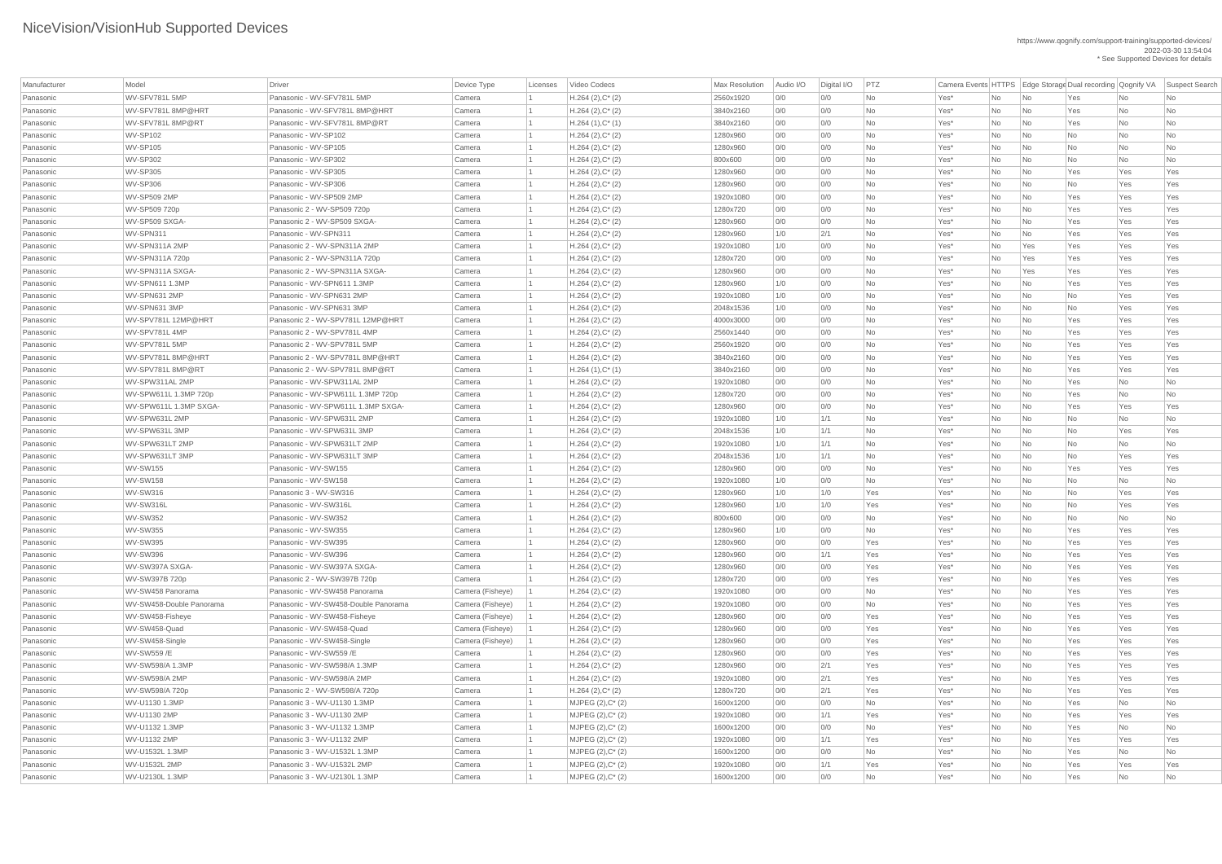| Manufacturer | Model                    | <b>Driver</b>                        | Device Type      | Licenses | Video Codecs          | <b>Max Resolution</b> | Audio I/O | Digital I/O | PTZ       |      |           |                             | Camera Events HTTPS Edge Storage Dual recording Qognify VA |     | Suspect Search |
|--------------|--------------------------|--------------------------------------|------------------|----------|-----------------------|-----------------------|-----------|-------------|-----------|------|-----------|-----------------------------|------------------------------------------------------------|-----|----------------|
| Panasonic    | WV-SFV781L 5MP           | Panasonic - WV-SFV781L 5MP           | Camera           |          | $H.264 (2), C^*(2)$   | 2560x1920             | 0/0       | 0/0         | No        | Yes* | No        | No                          | Yes                                                        | No  | No             |
| Panasonic    | WV-SFV781L 8MP@HRT       | Panasonic - WV-SFV781L 8MP@HRT       | Camera           |          | $H.264 (2), C^*(2)$   | 3840x2160             | 0/0       | 0/0         | <b>No</b> | Yes* | No        | No                          | Yes                                                        | No  | No             |
| Panasonic    | WV-SFV781L 8MP@RT        | Panasonic - WV-SFV781L 8MP@RT        | Camera           |          | $H.264(1),C^*(1)$     | 3840x2160             | 0/0       | 0/0         | No        | Yes* | No        | No                          | Yes                                                        | No  | No             |
| Panasonic    | WV-SP102                 | Panasonic - WV-SP102                 | Camera           |          | $H.264 (2), C^*(2)$   | 1280x960              | 0/0       | 0/0         | <b>No</b> | Yes* | No        | No                          | No                                                         | No  | No             |
| Panasonic    | WV-SP105                 | Panasonic - WV-SP105                 | Camera           |          | $H.264 (2), C^*(2)$   | 1280x960              | 0/0       | 0/0         | <b>No</b> | Yes* | No        | No                          | No                                                         | No  | No             |
| Panasonic    | <b>WV-SP302</b>          | Panasonic - WV-SP302                 | Camera           |          | $H.264 (2), C^*(2)$   | 800x600               | 0/0       | 0/0         | <b>No</b> | Yes* | No        | No                          | No                                                         | No  | No             |
| Panasonic    | WV-SP305                 | Panasonic - WV-SP305                 | Camera           |          | $H.264 (2), C^*(2)$   | 1280x960              | 0/0       | 0/0         | <b>No</b> | Yes* | No        | No                          | Yes                                                        | Yes | Yes            |
| Panasonic    | <b>WV-SP306</b>          | Panasonic - WV-SP306                 | Camera           |          | $H.264 (2), C^*(2)$   | 1280x960              | 0/0       | 0/0         | <b>No</b> | Yes* | No        | No                          | No                                                         | Yes | Yes            |
| Panasonic    | <b>WV-SP509 2MP</b>      | Panasonic - WV-SP509 2MP             | Camera           |          | $H.264(2),C^*(2)$     | 1920x1080             | 0/0       | 0/0         | No        | Yes* | No        | No                          | Yes                                                        | Yes | Yes            |
| Panasonic    | WV-SP509 720p            | Panasonic 2 - WV-SP509 720p          | Camera           |          | $H.264 (2), C^*(2)$   | 1280x720              | 0/0       | 0/0         | No        | Yes* | No        | No                          | Yes                                                        | Yes | Yes            |
| Panasonic    | WV-SP509 SXGA-           | Panasonic 2 - WV-SP509 SXGA-         | Camera           |          | $H.264 (2), C^*(2)$   | 1280x960              | 0/0       | 0/0         | No        | Yes* | No        | $\overline{\mathsf{No}}$    | Yes                                                        | Yes | Yes            |
| Panasonic    | WV-SPN311                | Panasonic - WV-SPN311                | Camera           |          | $H.264 (2), C^*(2)$   | 1280x960              | 1/0       | 2/1         | <b>No</b> | Yes* | No        | No                          | Yes                                                        | Yes | Yes            |
| Panasonic    | WV-SPN311A 2MP           | Panasonic 2 - WV-SPN311A 2MP         | Camera           |          | $H.264 (2), C^*(2)$   | 1920x1080             | 1/0       | 0/0         | <b>No</b> | Yes* | No        | Yes                         | Yes                                                        | Yes | Yes            |
| Panasonic    | WV-SPN311A 720p          | Panasonic 2 - WV-SPN311A 720p        | Camera           |          | $H.264 (2), C^*(2)$   | 1280x720              | 0/0       | 0/0         | <b>No</b> | Yes* | No        | Yes                         | Yes                                                        | Yes | Yes            |
| Panasonic    | WV-SPN311A SXGA-         | Panasonic 2 - WV-SPN311A SXGA-       | Camera           |          | $H.264(2),C^*(2)$     | 1280x960              | 0/0       | 0/0         | No        | Yes* | No        | Yes                         | Yes                                                        | Yes | Yes            |
| Panasonic    | WV-SPN611 1.3MP          | Panasonic - WV-SPN611 1.3MP          | Camera           |          | $H.264 (2), C^*(2)$   | 1280x960              | 1/0       | 0/0         | <b>No</b> | Yes* | No        | No                          | Yes                                                        | Yes | Yes            |
| Panasonic    | WV-SPN631 2MP            | Panasonic - WV-SPN631 2MP            | Camera           |          | $H.264 (2), C^*(2)$   | 1920x1080             | 1/0       | 0/0         | <b>No</b> | Yes* | No        | No                          | No                                                         | Yes | Yes            |
| Panasonic    | WV-SPN631 3MP            | Panasonic - WV-SPN631 3MP            | Camera           |          | $H.264 (2), C^*(2)$   | 2048x1536             | 1/0       | 0/0         | <b>No</b> | Yes* | No        | No                          | No                                                         | Yes | Yes            |
| Panasonic    | WV-SPV781L 12MP@HRT      | Panasonic 2 - WV-SPV781L 12MP@HRT    | Camera           |          | $H.264 (2), C^*(2)$   | 4000x3000             | 0/0       | 0/0         | <b>No</b> | Yes* | <b>No</b> | No                          | Yes                                                        | Yes | Yes            |
| Panasonic    | WV-SPV781L 4MP           | Panasonic 2 - WV-SPV781L 4MP         | Camera           |          | $H.264 (2), C^*(2)$   | 2560x1440             | 0/0       | 0/0         | No        | Yes* | No        | No                          | Yes                                                        | Yes | Yes            |
| Panasonic    | WV-SPV781L 5MP           | Panasonic 2 - WV-SPV781L 5MP         | Camera           |          | $H.264 (2), C^*(2)$   | 2560x1920             | 0/0       | 0/0         | No        | Yes* | No        | No                          | Yes                                                        | Yes | Yes            |
| Panasonic    | WV-SPV781L 8MP@HRT       | Panasonic 2 - WV-SPV781L 8MP@HRT     | Camera           |          | $H.264 (2), C^*(2)$   | 3840x2160             | 0/0       | 0/0         | No        | Yes* | No        | No                          | Yes                                                        | Yes | Yes            |
| Panasonic    | WV-SPV781L 8MP@RT        | Panasonic 2 - WV-SPV781L 8MP@RT      | Camera           |          | $H.264(1),C^*(1)$     | 3840x2160             | 0/0       | 0/0         | No        | Yes* | No        | N <sub>o</sub>              | Yes                                                        | Yes | Yes            |
| Panasonic    | WV-SPW311AL 2MP          | Panasonic - WV-SPW311AL 2MP          | Camera           |          | $H.264 (2), C^*(2)$   | 1920x1080             | 0/0       | 0/0         | No        | Yes* | No        | No                          | Yes                                                        | No  | No             |
| Panasonic    | WV-SPW611L 1.3MP 720p    | Panasonic - WV-SPW611L 1.3MP 720p    | Camera           |          | $H.264 (2), C^*(2)$   | 1280x720              | 0/0       | 0/0         | <b>No</b> | Yes* | No        | No                          | Yes                                                        | No  | No             |
| Panasonic    | WV-SPW611L 1.3MP SXGA-   | Panasonic - WV-SPW611L 1.3MP SXGA-   | Camera           |          | $H.264 (2), C^*(2)$   | 1280x960              | 0/0       | 0/0         | No        | Yes* | No        | No                          | Yes                                                        | Yes | Yes            |
| Panasonic    | WV-SPW631L 2MP           | Panasonic - WV-SPW631L 2MP           | Camera           |          | $H.264 (2), C^*(2)$   | 1920x1080             | 1/0       | 1/1         | No        | Yes* | No        | No                          | No                                                         | No  | No             |
| Panasonic    | WV-SPW631L3MP            | Panasonic - WV-SPW631L 3MP           | Camera           |          | $H.264 (2), C^*(2)$   | 2048x1536             | 1/0       | 1/1         | No        | Yes* | No        | No                          | <b>No</b>                                                  | Yes | Yes            |
| Panasonic    | WV-SPW631LT 2MP          | Panasonic - WV-SPW631LT 2MP          | Camera           |          | $H.264 (2), C^*(2)$   | 1920x1080             | 1/0       | 1/1         | No        | Yes* | No        | No                          | <b>No</b>                                                  | No  | No             |
| Panasonic    | WV-SPW631LT 3MP          | Panasonic - WV-SPW631LT 3MP          | Camera           |          | $H.264 (2), C^*(2)$   | 2048x1536             | 1/0       | 1/1         | No        | Yes* | No        | No                          | No                                                         | Yes | Yes            |
| Panasonic    | WV-SW155                 | Panasonic - WV-SW155                 | Camera           |          | $H.264 (2), C^*(2)$   | 1280x960              | 0/0       | 0/0         | No        | Yes* | No        | No                          | Yes                                                        | Yes | Yes            |
| Panasonic    | <b>WV-SW158</b>          | Panasonic - WV-SW158                 | Camera           |          | $H.264 (2), C^*(2)$   | 1920x1080             | 1/0       | 0/0         | No        | Yes* | No        | No                          | No                                                         | No  | No             |
| Panasonic    | WV-SW316                 | Panasonic 3 - WV-SW316               | Camera           |          | $H.264 (2), C^*(2)$   | 1280x960              | 1/0       | 1/0         | Yes       | Yes* | No        | No                          | No                                                         | Yes | Yes            |
| Panasonic    | WV-SW316L                | Panasonic - WV-SW316L                | Camera           |          | $H.264 (2), C^*(2)$   | 1280x960              | 1/0       | 1/0         | Yes       | Yes* | No        | No                          | <b>No</b>                                                  | Yes | Yes            |
| Panasonic    | <b>WV-SW352</b>          | Panasonic - WV-SW352                 | Camera           |          | $H.264(2),C^*(2)$     | 800x600               | 0/0       | 0/0         | <b>No</b> | Yes* | No        | N <sub>0</sub>              | No                                                         | No  | No             |
| Panasonic    | <b>WV-SW355</b>          | Panasonic - WV-SW355                 | Camera           |          | $H.264 (2), C^*(2)$   | 1280x960              | 1/0       | 0/0         | No        | Yes* | No        | No                          | Yes                                                        | Yes | Yes            |
| Panasonic    | WV-SW395                 | Panasonic - WV-SW395                 | Camera           |          | $H.264 (2), C^*(2)$   | 1280x960              | 0/0       | 0/0         | Yes       | Yes* | No        | No                          | Yes                                                        | Yes | Yes            |
| Panasonic    | WV-SW396                 | Panasonic - WV-SW396                 | Camera           |          | $H.264 (2), C^*(2)$   | 1280x960              | 0/0       | 1/1         | Yes       | Yes* | No        | No                          | Yes                                                        | Yes | Yes            |
| Panasonic    | WV-SW397A SXGA-          | Panasonic - WV-SW397A SXGA-          | Camera           |          | $H.264 (2), C^*(2)$   | 1280x960              | 0/0       | 0/0         | Yes       | Yes* | No        | No                          | Yes                                                        | Yes | Yes            |
| Panasonic    | WV-SW397B 720p           | Panasonic 2 - WV-SW397B 720p         | Camera           |          | $H.264 (2), C^*(2)$   | 1280x720              | 0/0       | 0/0         | Yes       | Yes* | No        | No                          | Yes                                                        | Yes | Yes            |
| Panasonic    | WV-SW458 Panorama        | Panasonic - WV-SW458 Panorama        | Camera (Fisheye) |          | $H.264 (2), C^*(2)$   | 1920x1080             | 0/0       | 0/0         | No        | Yes* | No        | N <sub>0</sub>              | Yes                                                        | Yes | Yes            |
| Panasonic    | WV-SW458-Double Panorama | Panasonic - WV-SW458-Double Panorama | Camera (Fisheye) |          | $H.264 (2), C^*(2)$   | 1920x1080             | 0/0       | 0/0         | No        | Yes* | No        | No                          | Yes                                                        | Yes | Yes            |
| Panasonic    | WV-SW458-Fisheye         | Panasonic - WV-SW458-Fisheye         | Camera (Fisheye) |          | $H.264 (2), C^*(2)$   | 1280x960              | 0/0       | 0/0         | Yes       | Yes* | No        | No                          | Yes                                                        | Yes | Yes            |
| Panasonic    | WV-SW458-Quad            | Panasonic - WV-SW458-Quad            | Camera (Fisheye) |          | $H.264 (2), C^*(2)$   | 1280x960              | 0/0       | 0/0         | Yes       | Yes* | No        | No                          | Yes                                                        | Yes | Yes            |
| Panasonic    | WV-SW458-Single          | Panasonic - WV-SW458-Single          | Camera (Fisheye) |          | $H.264 (2), C^*(2)$   | 1280x960              | 0/0       | 0/0         | Yes       | Yes* | No        | $\overline{\phantom{a}}$ No | Yes                                                        | Yes | Yes            |
| Panasonic    | WV-SW559 /E              | Panasonic - WV-SW559 /E              | Camera           |          | $H.264 (2), C^*(2)$   | 1280x960              | 0/0       | 0/0         | Yes       | Yes* | No        | No                          | Yes                                                        | Yes | Yes            |
| Panasonic    | WV-SW598/A 1.3MP         | Panasonic - WV-SW598/A 1.3MP         | Camera           |          | $H.264 (2), C^*(2)$   | 1280x960              | 0/0       | 2/1         | Yes       | Yes* | No        | N <sub>0</sub>              | Yes                                                        | Yes | Yes            |
| Panasonic    | WV-SW598/A 2MP           | Panasonic - WV-SW598/A 2MP           | Camera           |          | $H.264 (2), C^*(2)$   | 1920x1080             | 0/0       | 2/1         | Yes       | Yes* | No        | $\overline{\phantom{a}}$ No | Yes                                                        | Yes | Yes            |
| Panasonic    | WV-SW598/A 720p          | Panasonic 2 - WV-SW598/A 720p        | Camera           |          | $H.264 (2), C^*(2)$   | 1280x720              | 0/0       | 2/1         | Yes       | Yes* | No        | No                          | Yes                                                        | Yes | Yes            |
| Panasonic    | WV-U1130 1.3MP           | Panasonic 3 - WV-U1130 1.3MP         | Camera           |          | MJPEG (2), C* (2)     | 1600x1200             | 0/0       | 0/0         | <b>No</b> | Yes* | No        | No                          | Yes                                                        | No  | No             |
| Panasonic    | WV-U1130 2MP             | Panasonic 3 - WV-U1130 2MP           | Camera           |          | MJPEG $(2),C^*$ $(2)$ | 1920x1080             | 0/0       | 1/1         | Yes       | Yes* | No        | No                          | Yes                                                        | Yes | Yes            |
| Panasonic    | WV-U1132 1.3MP           | Panasonic 3 - WV-U1132 1.3MP         | Camera           |          | $MJPEG (2), C^*(2)$   | 1600x1200             | 0/0       | 0/0         | No        | Yes* | No        | No                          | Yes                                                        | No  | No             |
| Panasonic    | WV-U1132 2MP             | Panasonic 3 - WV-U1132 2MP           | Camera           |          | $MJPEG (2), C^* (2)$  | 1920x1080             | 0/0       | 1/1         | Yes       | Yes* | No        | N <sub>0</sub>              | Yes                                                        | Yes | Yes            |
| Panasonic    | WV-U1532L 1.3MP          | Panasonic 3 - WV-U1532L 1.3MP        | Camera           |          | $MJPEG (2), C^* (2)$  | 1600x1200             | 0/0       | 0/0         | No        | Yes* | No        | $\overline{\mathsf{No}}$    | Yes                                                        | No  | No             |
| Panasonic    | WV-U1532L 2MP            | Panasonic 3 - WV-U1532L 2MP          | Camera           |          | $MJPEG (2), C^* (2)$  | 1920x1080             | 0/0       | 1/1         | Yes       | Yes* | No        | No                          | Yes                                                        | Yes | Yes            |
| Panasonic    | WV-U2130L 1.3MP          | Panasonic 3 - WV-U2130L 1.3MP        | Camera           |          | MJPEG (2), C* (2)     | 1600x1200             | 0/0       | 0/0         | No        | Yes* | No        | $\overline{\mathsf{No}}$    | Yes                                                        | No  | No             |
|              |                          |                                      |                  |          |                       |                       |           |             |           |      |           |                             |                                                            |     |                |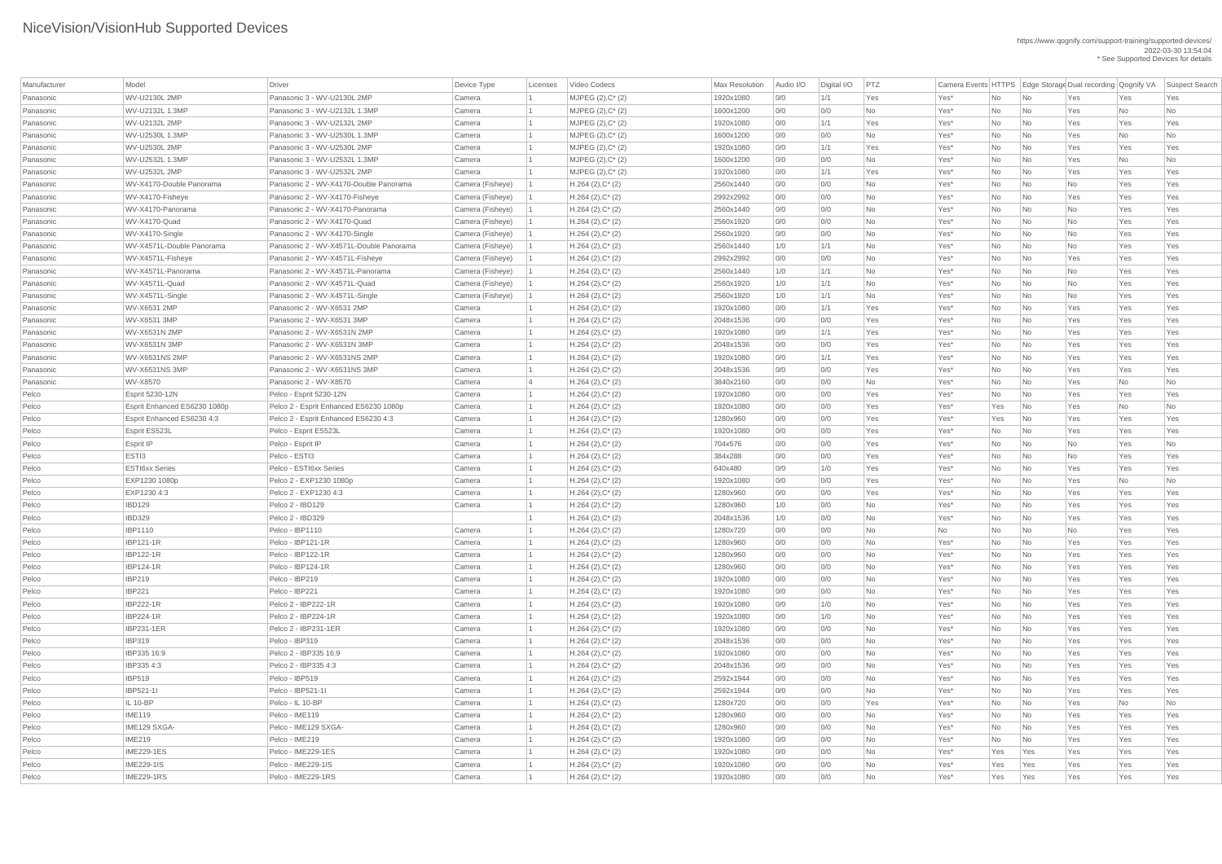| Manufacturer | Model                        | <b>Driver</b>                           | Device Type      | Licenses | Video Codecs          | <b>Max Resolution</b> | Audio I/O | Digital I/O | PTZ       |      |           |                          | Camera Events HTTPS   Edge Storage Dual recording   Qognify VA |     | Suspect Search |
|--------------|------------------------------|-----------------------------------------|------------------|----------|-----------------------|-----------------------|-----------|-------------|-----------|------|-----------|--------------------------|----------------------------------------------------------------|-----|----------------|
| Panasonic    | WV-U2130L 2MP                | Panasonic 3 - WV-U2130L 2MP             | Camera           |          | MJPEG (2), C* (2)     | 1920x1080             | 0/0       | 1/1         | Yes       | Yes* | No        | $\overline{\mathsf{No}}$ | Yes                                                            | Yes | Yes            |
| Panasonic    | WV-U2132L 1.3MP              | Panasonic 3 - WV-U2132L 1.3MP           | Camera           |          | MJPEG (2), C* (2)     | 1600x1200             | 0/0       | 0/0         | <b>No</b> | Yes* | <b>No</b> | $\overline{\mathsf{No}}$ | Yes                                                            | No  | No             |
| Panasonic    | WV-U2132L 2MP                | Panasonic 3 - WV-U2132L 2MP             | Camera           |          | MJPEG (2), C* (2)     | 1920x1080             | 0/0       | 1/1         | Yes       | Yes* | No        | $\overline{\mathsf{No}}$ | Yes                                                            | Yes | Yes            |
| Panasonic    | WV-U2530L 1.3MP              | Panasonic 3 - WV-U2530L 1.3MP           | Camera           |          | MJPEG $(2),C^*$ $(2)$ | 1600x1200             | 0/0       | 0/0         | <b>No</b> | Yes* | No        | $\overline{\mathsf{No}}$ | Yes                                                            | No  | No             |
| Panasonic    | WV-U2530L 2MP                | Panasonic 3 - WV-U2530L 2MP             | Camera           |          | MJPEG $(2),C^*$ $(2)$ | 1920x1080             | 0/0       | 1/1         | Yes       | Yes* | No        | $\overline{\mathsf{No}}$ | Yes                                                            | Yes | Yes            |
| Panasonic    | WV-U2532L 1.3MP              | Panasonic 3 - WV-U2532L 1.3MP           | Camera           |          | MJPEG $(2),C^*$ $(2)$ | 1600x1200             | 0/0       | 0/0         | <b>No</b> | Yes* | No        | No                       | Yes                                                            | No  | No             |
| Panasonic    | WV-U2532L 2MP                | Panasonic 3 - WV-U2532L 2MP             | Camera           |          | MJPEG (2), C* (2)     | 1920x1080             | 0/0       | 1/1         | Yes       | Yes* | No        | $\overline{\mathsf{No}}$ | Yes                                                            | Yes | Yes            |
| Panasonic    | WV-X4170-Double Panorama     | Panasonic 2 - WV-X4170-Double Panorama  | Camera (Fisheye) |          | $H.264 (2), C^*(2)$   | 2560x1440             | 0/0       | 0/0         | <b>No</b> | Yes* | No        | $\overline{\mathsf{No}}$ | No                                                             | Yes | Yes            |
| Panasonic    | WV-X4170-Fisheye             | Panasonic 2 - WV-X4170-Fisheye          | Camera (Fisheye) |          | $H.264 (2), C^*(2)$   | 2992x2992             | O/O       | 0/0         | <b>No</b> | Yes* | No        | $\overline{\mathsf{No}}$ | Yes                                                            | Yes | Yes            |
| Panasonic    | WV-X4170-Panorama            | Panasonic 2 - WV-X4170-Panorama         | Camera (Fisheye) |          | $H.264 (2), C^*(2)$   | 2560x1440             | 0/0       | 0/0         | No        | Yes* | No        | $\overline{\mathsf{No}}$ | No                                                             | Yes | Yes            |
| Panasonic    | WV-X4170-Quad                | Panasonic 2 - WV-X4170-Quad             | Camera (Fisheye) |          | $H.264 (2), C^*(2)$   | 2560x1920             | 0/0       | 0/0         | <b>No</b> | Yes* | No        | $\overline{\mathsf{No}}$ | <b>No</b>                                                      | Yes | Yes            |
| Panasonic    | WV-X4170-Single              | Panasonic 2 - WV-X4170-Single           | Camera (Fisheye) |          | $H.264 (2), C^*(2)$   | 2560x1920             | O/O       | 0/0         | <b>No</b> | Yes* | No        | No                       | No                                                             | Yes | Yes            |
| Panasonic    | WV-X4571L-Double Panorama    | Panasonic 2 - WV-X4571L-Double Panorama | Camera (Fisheye) |          | $H.264 (2), C^*(2)$   | 2560x1440             | 1/0       | 1/1         | <b>No</b> | Yes* | No        | $\overline{\mathsf{No}}$ | No                                                             | Yes | Yes            |
| Panasonic    | WV-X4571L-Fisheye            | Panasonic 2 - WV-X4571L-Fisheye         | Camera (Fisheye) |          | $H.264 (2), C^*(2)$   | 2992x2992             | O/O       | 0/0         | <b>No</b> | Yes* | No        | $\overline{\mathsf{No}}$ | Yes                                                            | Yes | Yes            |
| Panasonic    | WV-X4571L-Panorama           | Panasonic 2 - WV-X4571L-Panorama        | Camera (Fisheye) |          | $H.264 (2), C^*(2)$   | 2560x1440             | 1/0       | 1/1         | <b>No</b> | Yes* | No        | $\overline{\mathsf{No}}$ | No                                                             | Yes | Yes            |
| Panasonic    | WV-X4571L-Quad               | Panasonic 2 - WV-X4571L-Quad            | Camera (Fisheye) |          | $H.264 (2), C^*(2)$   | 2560x1920             | 1/0       | 1/1         | <b>No</b> | Yes* | No        | $\overline{\mathsf{No}}$ | No                                                             | Yes | Yes            |
| Panasonic    | WV-X4571L-Single             | Panasonic 2 - WV-X4571L-Single          | Camera (Fisheye) |          | $H.264 (2), C^*(2)$   | 2560x1920             | 1/0       | 1/1         | <b>No</b> | Yes* | No        | $\overline{\mathsf{No}}$ | No                                                             | Yes | Yes            |
| Panasonic    | WV-X6531 2MP                 | Panasonic 2 - WV-X6531 2MP              | Camera           |          | $H.264 (2), C^*(2)$   | 1920x1080             | 0/0       | 1/1         | Yes       | Yes* | No        | $\overline{\mathsf{No}}$ | Yes                                                            | Yes | Yes            |
| Panasonic    | WV-X6531 3MP                 | Panasonic 2 - WV-X6531 3MP              | Camera           |          | $H.264 (2), C^*(2)$   | 2048x1536             | 0/0       | 0/0         | Yes       | Yes* | No        | $\overline{\mathsf{No}}$ | Yes                                                            | Yes | Yes            |
| Panasonic    | WV-X6531N 2MP                | Panasonic 2 - WV-X6531N 2MP             | Camera           |          | $H.264 (2), C^*(2)$   | 1920x1080             | 0/0       | 1/1         | Yes       | Yes* | No        | $\overline{\mathsf{No}}$ | Yes                                                            | Yes | Yes            |
| Panasonic    | WV-X6531N 3MP                | Panasonic 2 - WV-X6531N 3MP             | Camera           |          | $H.264 (2), C^*(2)$   | 2048x1536             | 0/0       | 0/0         | Yes       | Yes* | No        | $\overline{\mathsf{No}}$ | Yes                                                            | Yes | Yes            |
| Panasonic    | WV-X6531NS 2MP               | Panasonic 2 - WV-X6531NS 2MP            | Camera           |          | $H.264 (2), C^*(2)$   | 1920x1080             | 0/0       | 1/1         | Yes       | Yes* | No        | $\overline{\mathsf{No}}$ | Yes                                                            | Yes | Yes            |
| Panasonic    | WV-X6531NS 3MP               | Panasonic 2 - WV-X6531NS 3MP            | Camera           |          | $H.264 (2), C^*(2)$   | 2048x1536             | 0/0       | 0/0         | Yes       | Yes* | <b>No</b> | $\overline{\mathsf{No}}$ | Yes                                                            | Yes | Yes            |
| Panasonic    | WV-X8570                     | Panasonic 2 - WV-X8570                  | Camera           |          | $H.264 (2), C^*(2)$   | 3840x2160             | 0/0       | 0/0         | <b>No</b> | Yes* | No        | No                       | Yes                                                            | No  | No             |
| Pelco        | <b>Esprit 5230-12N</b>       | Pelco - Esprit 5230-12N                 | Camera           |          | $H.264 (2), C^*(2)$   | 1920x1080             | 0/0       | 0/0         | Yes       | Yes* | No        | $\overline{\mathsf{No}}$ | Yes                                                            | Yes | Yes            |
| Pelco        | Esprit Enhanced ES6230 1080p | Pelco 2 - Esprit Enhanced ES6230 1080p  | Camera           |          | $H.264 (2), C^*(2)$   | 1920x1080             | 0/0       | 0/0         | Yes       | Yes* | Yes       | $\overline{\mathsf{No}}$ | Yes                                                            | No  | No             |
| Pelco        | Esprit Enhanced ES6230 4:3   | Pelco 2 - Esprit Enhanced ES6230 4:3    | Camera           |          | $H.264 (2), C^*(2)$   | 1280x960              | 0/0       | 0/0         | Yes       | Yes* | Yes       | $\overline{\mathsf{No}}$ | Yes                                                            | Yes | Yes            |
| Pelco        | <b>Esprit ES523L</b>         | Pelco - Esprit ES523L                   | Camera           |          | $H.264 (2), C^*(2)$   | 1920x1080             | 0/0       | 0/0         | Yes       | Yes* | No        | $\overline{\mathsf{No}}$ | Yes                                                            | Yes | Yes            |
| Pelco        | <b>Esprit IP</b>             | Pelco - Esprit IP                       | Camera           |          | $H.264 (2), C^*(2)$   | 704x576               | 0/0       | 0/0         | Yes       | Yes* | No        | $\overline{\mathsf{No}}$ | No                                                             | Yes | No             |
| Pelco        | ESTI3                        | Pelco - ESTI3                           | Camera           |          | $H.264 (2), C^*(2)$   | 384x288               | 0/0       | 0/0         | Yes       | Yes* | No        | $\overline{\mathsf{No}}$ | No                                                             | Yes | Yes            |
| Pelco        | <b>ESTI6xx Series</b>        | Pelco - ESTI6xx Series                  | Camera           |          | $H.264 (2), C^*(2)$   | 640x480               | 0/0       | 1/0         | Yes       | Yes* | No        | $\overline{\mathsf{No}}$ | Yes                                                            | Yes | Yes            |
| Pelco        | EXP1230 1080p                | Pelco 2 - EXP1230 1080p                 | Camera           |          | $H.264 (2), C^*(2)$   | 1920x1080             | 0/0       | 0/0         | Yes       | Yes* | No        | $\overline{\mathsf{No}}$ | Yes                                                            | No  | No             |
| Pelco        | EXP1230 4:3                  | Pelco 2 - EXP1230 4:3                   | Camera           |          | $H.264 (2), C^*(2)$   | 1280x960              | 0/0       | 0/0         | Yes       | Yes* | No        | $\overline{\mathsf{No}}$ | Yes                                                            | Yes | Yes            |
| Pelco        | <b>IBD129</b>                | Pelco 2 - IBD129                        | Camera           |          | $H.264 (2), C^*(2)$   | 1280x960              | 1/0       | 0/0         | <b>No</b> | Yes* | No        | $\overline{\mathsf{No}}$ | Yes                                                            | Yes | Yes            |
| Pelco        | <b>IBD329</b>                | Pelco 2 - IBD329                        |                  |          | $H.264 (2), C^*(2)$   | 2048x1536             | 1/0       | 0/0         | No        | Yes* | No        | $\overline{\mathsf{No}}$ | Yes                                                            | Yes | Yes            |
| Pelco        | <b>IBP1110</b>               | Pelco - IBP1110                         | Camera           |          | $H.264 (2), C^*(2)$   | 1280x720              | 0/0       | 0/0         | No        | No   | No        | $\overline{\mathsf{No}}$ | No                                                             | Yes | Yes            |
| Pelco        | <b>IBP121-1R</b>             | Pelco - IBP121-1R                       | Camera           |          | $H.264 (2), C^*(2)$   | 1280x960              | 0/0       | 0/0         | <b>No</b> | Yes* | No        | $\overline{\mathsf{No}}$ | Yes                                                            | Yes | Yes            |
| Pelco        | <b>IBP122-1R</b>             | Pelco - IBP122-1R                       | Camera           |          | $H.264 (2), C^*(2)$   | 1280x960              | 0/0       | 0/0         | <b>No</b> | Yes* | No        | $\overline{\mathsf{No}}$ | Yes                                                            | Yes | Yes            |
| Pelco        | <b>IBP124-1R</b>             | Pelco - IBP124-1R                       | Camera           |          | $H.264 (2), C^*(2)$   | 1280x960              | 0/0       | 0/0         | No        | Yes* | No        | $\overline{\mathsf{No}}$ | Yes                                                            | Yes | Yes            |
| Pelco        | <b>IBP219</b>                | Pelco - IBP219                          | Camera           |          | $H.264 (2), C^*(2)$   | 1920x1080             | 0/0       | 0/0         | <b>No</b> | Yes* | No        | $\overline{\mathsf{No}}$ | Yes                                                            | Yes | Yes            |
| Pelco        | <b>IBP221</b>                | Pelco - IBP221                          | Camera           |          | $H.264 (2), C^*(2)$   | 1920x1080             | 0/0       | 0/0         | <b>No</b> | Yes* | No        | $\overline{\mathsf{No}}$ | Yes                                                            | Yes | Yes            |
| Pelco        | <b>IBP222-1R</b>             | Pelco 2 - IBP222-1R                     | Camera           |          | $H.264 (2), C^*(2)$   | 1920x1080             | 0/0       | 1/0         | No        | Yes* | No        | $\overline{\mathsf{No}}$ | Yes                                                            | Yes | Yes            |
| Pelco        | <b>IBP224-1R</b>             | Pelco 2 - IBP224-1R                     | Camera           |          | $H.264 (2), C^*(2)$   | 1920x1080             | 0/0       | 1/0         | <b>No</b> | Yes* | No        | $\overline{\mathsf{No}}$ | Yes                                                            | Yes | Yes            |
| Pelco        | <b>IBP231-1ER</b>            | Pelco 2 - IBP231-1ER                    | Camera           |          | $H.264 (2), C^*(2)$   | 1920x1080             | 0/0       | 0/0         | <b>No</b> | Yes* | No        | $\overline{\mathsf{No}}$ | Yes                                                            | Yes | Yes            |
| Pelco        | <b>IBP319</b>                | Pelco - IBP319                          | Camera           |          | $H.264 (2), C^*(2)$   | 2048x1536             | 0/0       | 0/0         | <b>No</b> | Yes* | No        | $\overline{\mathsf{No}}$ | Yes                                                            | Yes | Yes            |
| Pelco        | IBP335 16:9                  | Pelco 2 - IBP335 16:9                   | Camera           |          | $H.264 (2), C^*(2)$   | 1920x1080             | 0/0       | 0/0         | <b>No</b> | Yes* | No        | $\overline{\mathsf{No}}$ | Yes                                                            | Yes | Yes            |
| Pelco        | IBP335 4:3                   | Pelco 2 - IBP335 4:3                    | Camera           |          | $H.264 (2), C^*(2)$   | 2048x1536             | 0/0       | 0/0         | <b>No</b> | Yes* | No        | $\overline{\mathsf{No}}$ | Yes                                                            | Yes | Yes            |
| Pelco        | <b>IBP519</b>                | Pelco - IBP519                          | Camera           |          | $H.264 (2), C^*(2)$   | 2592x1944             | 0/0       | 0/0         | No        | Yes* | No        | $\overline{\mathsf{No}}$ | Yes                                                            | Yes | Yes            |
| Pelco        | <b>IBP521-1I</b>             | Pelco - IBP521-1I                       | Camera           |          | $H.264 (2), C^*(2)$   | 2592x1944             | 0/0       | 0/0         | <b>No</b> | Yes* | No        | $\overline{\mathsf{No}}$ | Yes                                                            | Yes | Yes            |
| Pelco        | IL 10-BP                     | Pelco - IL 10-BP                        | Camera           |          | $H.264 (2), C^*(2)$   | 1280x720              | 0/0       | 0/0         | Yes       | Yes* | No        | $\overline{\mathsf{No}}$ | Yes                                                            | No  | No             |
| Pelco        | <b>IME119</b>                | Pelco - IME119                          | Camera           |          | $H.264 (2), C^*(2)$   | 1280x960              | 0/0       | 0/0         | <b>No</b> | Yes* | <b>No</b> | $\overline{\mathsf{No}}$ | Yes                                                            | Yes | Yes            |
| Pelco        | IME129 SXGA-                 | Pelco - IME129 SXGA-                    | Camera           |          | $H.264 (2), C^*(2)$   | 1280x960              | 0/0       | 0/0         | No        | Yes* | No        | N <sub>o</sub>           | Yes                                                            | Yes | Yes            |
| Pelco        | <b>IME219</b>                | Pelco - IME219                          | Camera           |          | $H.264 (2), C^*(2)$   | 1920x1080             | 0/0       | 0/0         | No        | Yes* | No        | N <sub>o</sub>           | Yes                                                            | Yes | Yes            |
| Pelco        | <b>IME229-1ES</b>            | Pelco - IME229-1ES                      | Camera           |          | $H.264 (2), C^*(2)$   | 1920x1080             | 0/0       | 0/0         | No        | Yes* | Yes       | Yes                      | Yes                                                            | Yes | Yes            |
| Pelco        | <b>IME229-1IS</b>            | Pelco - IME229-1IS                      | Camera           |          | $H.264 (2), C^*(2)$   | 1920x1080             | 0/0       | 0/0         | No        | Yes* | Yes       | Yes                      | Yes                                                            | Yes | Yes            |
| Pelco        | <b>IME229-1RS</b>            | Pelco - IME229-1RS                      | Camera           |          | $H.264 (2), C^*(2)$   | 1920x1080             | 0/0       | 0/0         | No        | Yes* | Yes       | Yes                      | Yes                                                            | Yes | Yes            |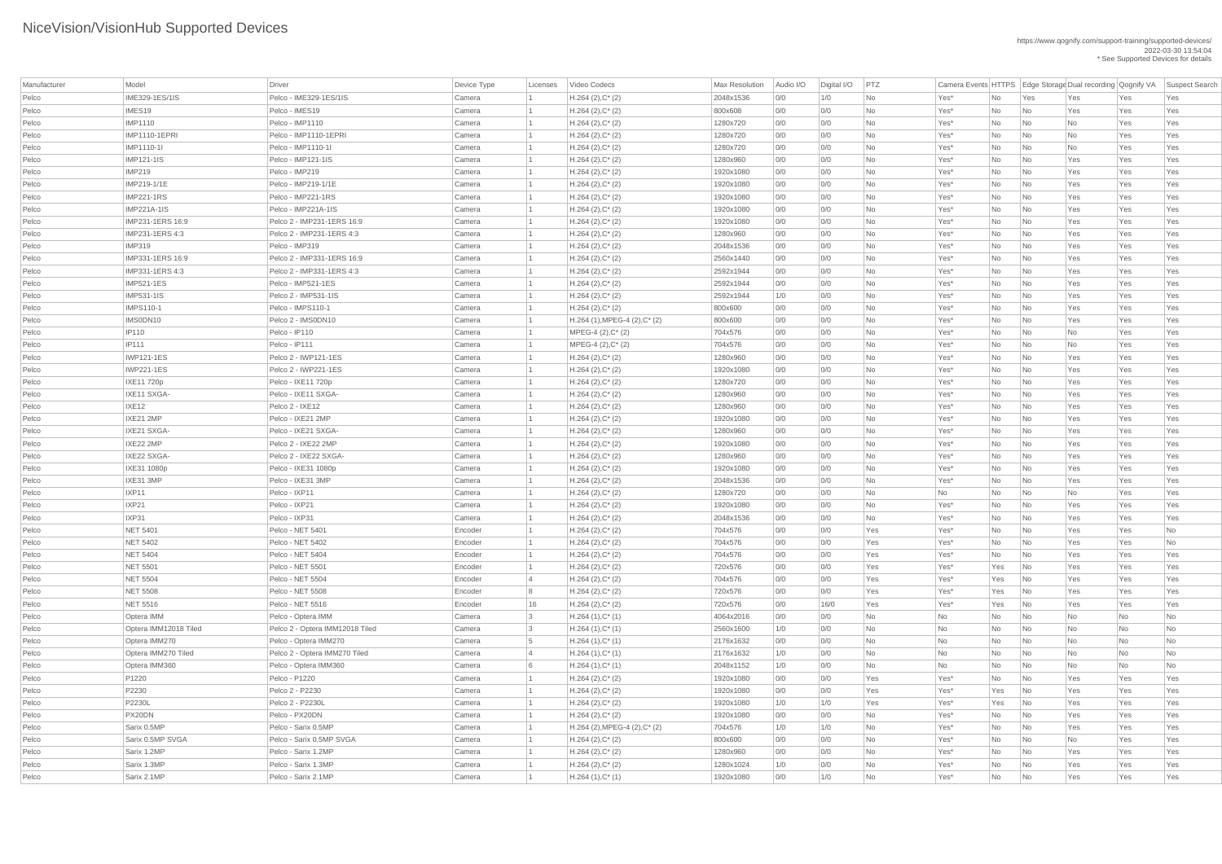| Manufacturer | Model                  | Driver                          | Device Type | Licenses | Video Codecs                    | Max Resolution | Audio I/O | Digital I/O   PTZ |     |              |           |     |     |           | Camera Events HTTPS Edge Storage Dual recording Qognify VA Suspect Search |
|--------------|------------------------|---------------------------------|-------------|----------|---------------------------------|----------------|-----------|-------------------|-----|--------------|-----------|-----|-----|-----------|---------------------------------------------------------------------------|
| Pelco        | <b>IME329-1ES/1IS</b>  | Pelco - IME329-1ES/1IS          | Camera      |          | $H.264 (2), C^*(2)$             | 2048x1536      | 0/0       | 1/0               | No  | Yes*         | No        | Yes | Yes | Yes       | Yes                                                                       |
| Pelco        | IMES <sub>19</sub>     | Pelco - IMES19                  | Camera      |          | $H.264 (2), C^*(2)$             | 800x608        | 0/0       | 0/0               | No  | Yes*         | No        | No  | Yes | Yes       | Yes                                                                       |
| Pelco        | <b>IMP1110</b>         | Pelco - IMP1110                 | Camera      |          | $H.264 (2), C^*(2)$             | 1280x720       | 0/0       | 0/0               | No  | Yes*         | No        | No  | No  | Yes       | Yes                                                                       |
| Pelco        | <b>IMP1110-1EPRI</b>   | Pelco - IMP1110-1EPRI           | Camera      |          | $H.264 (2), C^*(2)$             | 1280x720       | 0/0       | 0/0               | No  | Yes*         | No        | No  | No  | Yes       | Yes                                                                       |
| Pelco        | IMP1110-1I             | Pelco - IMP1110-1I              | Camera      |          | $H.264 (2), C^*(2)$             | 1280x720       | 0/0       | 0/0               | No  | Yes*         | No        | No  | No  | Yes       | Yes                                                                       |
| Pelco        | <b>IMP121-1IS</b>      | Pelco - IMP121-1IS              | Camera      |          | $H.264 (2), C^*(2)$             | 1280x960       | 0/0       | 0/0               | No  | Yes*         | No        | No  | Yes | Yes       | Yes                                                                       |
| Pelco        | <b>IMP219</b>          | Pelco - IMP219                  | Camera      |          | $H.264 (2), C^*(2)$             | 1920x1080      | 0/0       | 0/0               | No  | Yes*         | No        | No  | Yes | Yes       | Yes                                                                       |
| Pelco        | IMP219-1/1E            | Pelco - IMP219-1/1E             | Camera      |          | $H.264 (2), C^*(2)$             | 1920x1080      | 0/0       | 0/0               | No  | Yes*         | No        | No  | Yes | Yes       | Yes                                                                       |
| Pelco        | <b>IMP221-1RS</b>      | Pelco - IMP221-1RS              | Camera      |          | $H.264 (2), C^*(2)$             | 1920x1080      | 0/0       | 0/0               | No  | Yes*         | No        | No  | Yes | Yes       | Yes                                                                       |
| Pelco        | <b>IMP221A-1IS</b>     | Pelco - IMP221A-1IS             | Camera      |          | $H.264 (2), C^*(2)$             | 1920x1080      | 0/0       | 0/0               | No  | Yes*         | No        | No  | Yes | Yes       | Yes                                                                       |
| Pelco        | IMP231-1ERS 16:9       | Pelco 2 - IMP231-1ERS 16:9      | Camera      |          | $H.264 (2), C^*(2)$             | 1920x1080      | 0/0       | 0/0               | No  | Yes*         | No        | No  | Yes | Yes       | Yes                                                                       |
| Pelco        | IMP231-1ERS 4:3        | Pelco 2 - IMP231-1ERS 4:3       | Camera      |          | $H.264 (2), C^*(2)$             | 1280x960       | 0/0       | 0/0               | No  | Yes*         | <b>No</b> | No  | Yes | Yes       | Yes                                                                       |
| Pelco        | <b>IMP319</b>          | Pelco - IMP319                  | Camera      |          | $H.264 (2), C^*(2)$             | 2048x1536      | 0/0       | 0/0               | No  | Yes*         | No        | No  | Yes | Yes       | Yes                                                                       |
| Pelco        | IMP331-1ERS 16:9       | Pelco 2 - IMP331-1ERS 16:9      | Camera      |          | $H.264 (2), C^*(2)$             | 2560x1440      | 0/0       | 0/0               | No  | Yes*         | No        | No  | Yes | Yes       | Yes                                                                       |
| Pelco        | <b>IMP331-1ERS 4:3</b> | Pelco 2 - IMP331-1ERS 4:3       | Camera      |          | $H.264 (2), C^*(2)$             | 2592x1944      | 0/0       | 0/0               | No  | Yes*         | No        | No  | Yes | Yes       | Yes                                                                       |
| Pelco        | <b>IMP521-1ES</b>      | Pelco - IMP521-1ES              | Camera      |          | $H.264 (2), C^*(2)$             | 2592x1944      | 0/0       | 0/0               | No  | Yes*         | No        | No  | Yes | Yes       | Yes                                                                       |
| Pelco        | <b>IMP531-1IS</b>      | Pelco 2 - IMP531-1IS            | Camera      |          | $H.264 (2), C^*(2)$             | 2592x1944      | 1/0       | 0/0               | No  | Yes*         | No        | No  | Yes | Yes       | Yes                                                                       |
| Pelco        | <b>IMPS110-1</b>       | Pelco - IMPS110-1               | Camera      |          | $H.264 (2), C^*(2)$             | 800x600        | 0/0       | 0/0               | No  | Yes*         | No        | No  | Yes | Yes       | Yes                                                                       |
| Pelco        | IMS0DN10               | Pelco 2 - IMSODN10              | Camera      |          | $H.264$ (1), MPEG-4 (2), C* (2) | 800x600        | 0/0       | 0/0               | No  | Yes*         | No        | No  | Yes | Yes       | Yes                                                                       |
| Pelco        | <b>IP110</b>           | Pelco - IP110                   | Camera      |          | $MPEG-4 (2), C^*(2)$            | 704x576        | 0/0       | 0/0               | No  | Yes*         | No        | No  | No  | Yes       | Yes                                                                       |
| Pelco        | <b>IP111</b>           | Pelco - IP111                   | Camera      |          | $MPEG-4 (2), C^*(2)$            | 704x576        | 0/0       | 0/0               | No  | Yes*         | No        | No  | No  | Yes       | Yes                                                                       |
| Pelco        | <b>IWP121-1ES</b>      | Pelco 2 - IWP121-1ES            | Camera      |          | $H.264 (2), C^*(2)$             | 1280x960       | 0/0       | 0/0               | No  | Yes*         | No        | No  | Yes | Yes       | Yes                                                                       |
| Pelco        | <b>IWP221-1ES</b>      | Pelco 2 - IWP221-1ES            | Camera      |          | $H.264 (2), C^*(2)$             | 1920x1080      | 0/0       | 0/0               | No  | Yes*         | No        | No  | Yes | Yes       | Yes                                                                       |
| Pelco        | IXE11 720p             | Pelco - IXE11 720p              | Camera      |          | $H.264 (2), C^*(2)$             | 1280x720       | 0/0       | 0/0               | No  | Yes*         | No        | No  | Yes | Yes       | Yes                                                                       |
| Pelco        | IXE11 SXGA-            | Pelco - IXE11 SXGA-             | Camera      |          | $H.264 (2), C^*(2)$             | 1280x960       | 0/0       | 0/0               | No. | Yes*         | No        | No  | Yes | Yes       | Yes                                                                       |
| Pelco        | IXE12                  | Pelco 2 - IXE12                 | Camera      |          | $H.264$ (2), $C^*$ (2)          | 1280x960       | 0/0       | 0/0               | No  | Yes*         | No.       | No  | Yes | Yes       | Yes                                                                       |
| Pelco        | IXE21 2MP              | Pelco - IXE21 2MP               | Camera      |          | $H.264 (2), C^*(2)$             | 1920x1080      | 0/0       | 0/0               | No  | Yes*         | No        | No  | Yes | Yes       | Yes                                                                       |
| Pelco        | IXE21 SXGA-            | Pelco - IXE21 SXGA-             | Camera      |          | $H.264 (2), C^*(2)$             | 1280x960       | 0/0       | 0/0               | No  | Yes*         | No        | No  | Yes | Yes       | Yes                                                                       |
| Pelco        | IXE22 2MP              | Pelco 2 - IXE22 2MP             | Camera      |          | $H.264 (2), C^*(2)$             | 1920x1080      | 0/0       | O/O               | No  | Yes*         | No        | No  | Yes | Yes       | Yes                                                                       |
| Pelco        | IXE22 SXGA-            | Pelco 2 - IXE22 SXGA-           | Camera      |          | $H.264 (2), C^*(2)$             | 1280x960       | 0/0       | 0/0               | No  | Yes*         | <b>No</b> | No  | Yes | Yes       | Yes                                                                       |
| Pelco        | IXE31 1080p            | Pelco - IXE31 1080p             | Camera      |          | $H.264 (2), C^*(2)$             | 1920x1080      | 0/0       | 0/0               | No  | Yes*         | No        | No  | Yes | Yes       | Yes                                                                       |
| Pelco        | IXE31 3MP              | Pelco - IXE31 3MP               | Camera      |          | $H.264 (2), C^*(2)$             | 2048x1536      | 0/0       | O/O               | No  | Yes*         | No        | No  | Yes | Yes       | Yes                                                                       |
| Pelco        | IXP11                  | Pelco - IXP11                   | Camera      |          | $H.264 (2), C^*(2)$             | 1280x720       | 0/0       | 0/0               | No  | No           | No        | No  | No  | Yes       | Yes                                                                       |
| Pelco        | IXP21                  | Pelco - IXP21                   | Camera      |          | $H.264 (2), C^*(2)$             | 1920x1080      | 0/0       | 0/0               | No  | Yes*         | No        | No  | Yes | Yes       | Yes                                                                       |
| Pelco        | IXP31                  | Pelco - IXP31                   | Camera      |          | $H.264 (2), C^*(2)$             | 2048x1536      | 0/0       | O/O               | No  | Yes*         | <b>No</b> | No  | Yes | Yes       | Yes                                                                       |
| Pelco        | <b>NET 5401</b>        | Pelco - NET 5401                | Encoder     |          | $H.264 (2), C^*(2)$             | 704x576        | 0/0       | 0/0               | Yes | Yes*         | No        | No  | Yes | Yes       | <b>No</b>                                                                 |
| Pelco        | <b>NET 5402</b>        | Pelco - NET 5402                | Encoder     |          | $H.264 (2), C^*(2)$             | 704x576        | 0/0       | 0/0               | Yes | Yes*         | No        | No  | Yes | Yes       | <b>No</b>                                                                 |
| Pelco        | <b>NET 5404</b>        | Pelco - NET 5404                | Encoder     |          | $H.264 (2), C^*(2)$             | 704x576        | 0/0       | 0/0               | Yes | Yes*         | No        | No  | Yes | Yes       | Yes                                                                       |
| Pelco        | <b>NET 5501</b>        | Pelco - NET 5501                | Encoder     |          | $H.264 (2), C^*(2)$             | 720x576        | 0/0       | 0/0               | Yes | Yes*         | Yes       | No  | Yes | Yes       | Yes                                                                       |
| Pelco        | <b>NET 5504</b>        | Pelco - NET 5504                | Encoder     |          | $H.264 (2), C^*(2)$             | 704x576        | 0/0       | 0/0               | Yes | Yes*         | Yes       | No  | Yes | Yes       | Yes                                                                       |
| Pelco        | <b>NET 5508</b>        | Pelco - NET 5508                | Encoder     | 8        | $H.264 (2), C^*(2)$             | 720x576        | 0/0       | 0/0               | Yes | Yes*         | Yes       | No  | Yes | Yes       | Yes                                                                       |
| Pelco        | <b>NET 5516</b>        | Pelco - NET 5516                | Encoder     | 16       | $H.264 (2), C^*(2)$             | 720x576        | 0/0       | 16/0              | Yes | Yes*         | Yes       | No  | Yes | Yes       | Yes                                                                       |
| Pelco        | Optera IMM             | Pelco - Optera IMM              | Camera      | 3        | $H.264(1),C^*(1)$               | 4064x2016      | 0/0       | 0/0               | No  | No           | No        | No  | No  | No        | <b>No</b>                                                                 |
| Pelco        | Optera IMM12018 Tiled  | Pelco 2 - Optera IMM12018 Tiled | Camera      | - 3      | $H.264(1),C^*(1)$               | 2560x1600      | 1/0       | 0/0               | No  | No           | No        | No  | No  | No        | <b>No</b>                                                                 |
| Pelco        | Optera IMM270          | Pelco - Optera IMM270           | Camera      | 5        | $H.264(1),C^*(1)$               | 2176x1632      | 0/0       | 0/0               | No  | No           | No        | No  | No  | <b>No</b> | <b>No</b>                                                                 |
| Pelco        | Optera IMM270 Tiled    | Pelco 2 - Optera IMM270 Tiled   | Camera      |          | $H.264(1),C^*(1)$               | 2176x1632      | 1/0       | 0/0               | No  | No           | No        | No  | No  | No        | <b>No</b>                                                                 |
| Pelco        | Optera IMM360          | Pelco - Optera IMM360           | Camera      |          | $H.264(1),C^*(1)$               | 2048x1152      | 1/0       | 0/0               | No  | No           | No        | No  | No  | <b>No</b> | <b>No</b>                                                                 |
| Pelco        | P1220                  | Pelco - P1220                   | Camera      |          | $H.264 (2), C^*(2)$             | 1920x1080      | 0/0       |                   | Yes |              | No        | No  | Yes | Yes       | Yes                                                                       |
| Pelco        | P2230                  | Pelco 2 - P2230                 | Camera      |          | $H.264 (2), C^*(2)$             | 1920x1080      | 0/0       | 0/0<br>0/0        | Yes | Yes*<br>Yes* | Yes       | No  | Yes | Yes       | Yes                                                                       |
| Pelco        | P2230L                 | Pelco 2 - P2230L                | Camera      |          | $H.264 (2), C^*(2)$             | 1920x1080      | 1/0       | 1/0               | Yes | Yes*         | Yes       | No  | Yes | Yes       | Yes                                                                       |
|              | PX20DN                 | Pelco - PX20DN                  |             |          |                                 |                |           |                   |     |              |           |     |     |           |                                                                           |
| Pelco        |                        |                                 | Camera      |          | $H.264 (2), C^*(2)$             | 1920x1080      | 0/0       | 0/0               | No  | Yes*         | <b>No</b> | No  | Yes | Yes       | Yes                                                                       |
| Pelco        | Sarix 0.5MP            | Pelco - Sarix 0.5MP             | Camera      |          | H.264 (2),MPEG-4 (2),C* (2)     | 704x576        | 1/0       | 1/0               | No  | Yes*         | No        | No. | Yes | Yes       | Yes                                                                       |
| Pelco        | Sarix 0.5MP SVGA       | Pelco - Sarix 0.5MP SVGA        | Camera      |          | $H.264 (2), C^*(2)$             | 800x600        | 0/0       | 0/0               | No  | Yes*         | No        | No  | No  | Yes       | Yes                                                                       |
| Pelco        | Sarix 1.2MP            | Pelco - Sarix 1.2MP             | Camera      |          | $H.264 (2), C^*(2)$             | 1280x960       | 0/0       | 0/0               | No  | Yes*         | No        | No  | Yes | Yes       | Yes                                                                       |
| Pelco        | Sarix 1.3MP            | Pelco - Sarix 1.3MP             | Camera      |          | $H.264 (2), C^*(2)$             | 1280x1024      | 1/0       | 0/0               | No  | Yes*         | No        | No  | Yes | Yes       | Yes                                                                       |
| Pelco        | Sarix 2.1MP            | Pelco - Sarix 2.1MP             | Camera      |          | $H.264(1),C^*(1)$               | 1920x1080      | 0/0       | 1/0               | No  | Yes*         | No        | No  | Yes | Yes       | Yes                                                                       |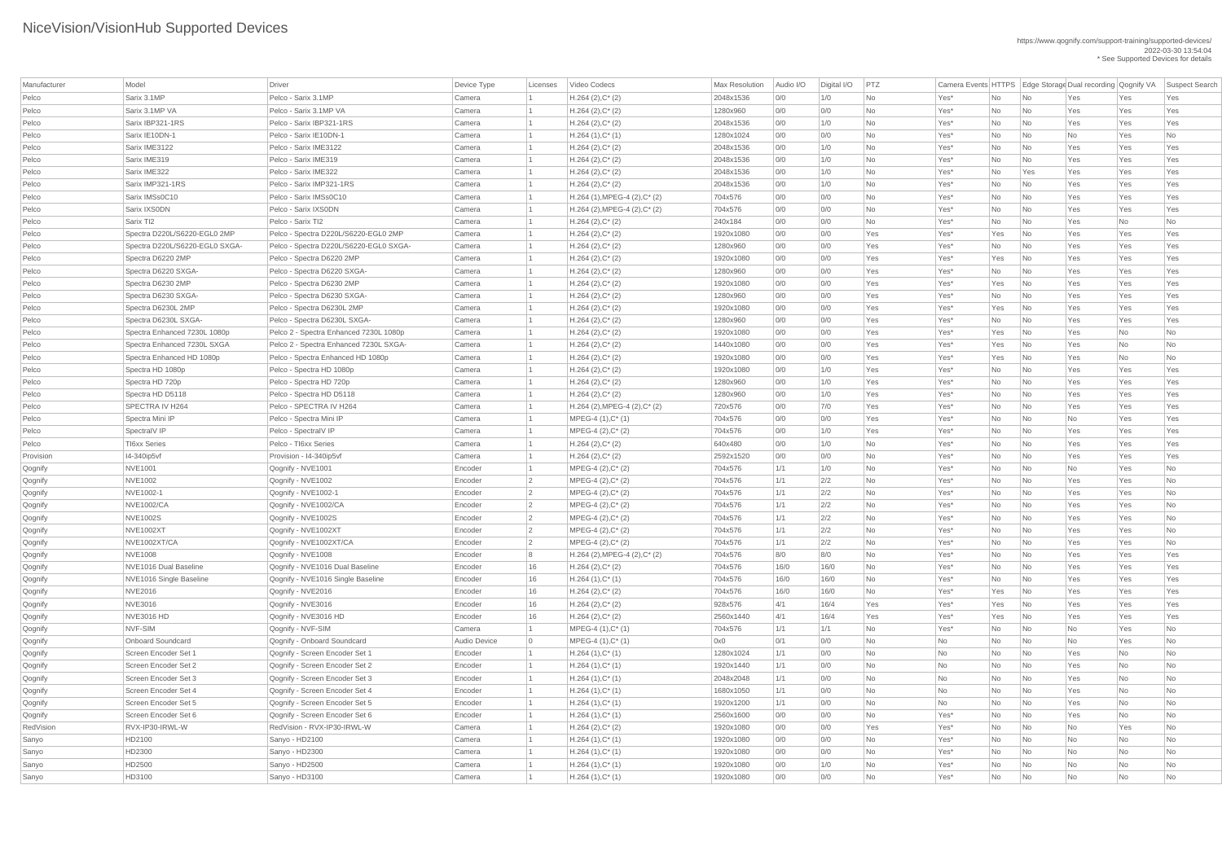| Manufacturer       | Model                          | Driver                                 | Device Type  | Licenses        | Video Codecs                                | <b>Max Resolution</b> | Audio I/O | Digital I/O | PTZ       |                  |                             |                             | Camera Events HTTPS Edge Storage Dual recording Qognify VA |            | Suspect Search |
|--------------------|--------------------------------|----------------------------------------|--------------|-----------------|---------------------------------------------|-----------------------|-----------|-------------|-----------|------------------|-----------------------------|-----------------------------|------------------------------------------------------------|------------|----------------|
| Pelco              | Sarix 3.1MP                    | Pelco - Sarix 3.1MP                    | Camera       |                 | $H.264 (2), C^*(2)$                         | 2048x1536             | 0/0       | 1/0         | <b>No</b> | Yes*             | No                          | No                          | Yes                                                        | Yes        | Yes            |
| Pelco              | Sarix 3.1MP VA                 | Pelco - Sarix 3.1MP VA                 | Camera       |                 | $H.264 (2), C^*(2)$                         | 1280x960              | 0/0       | O/O         | <b>No</b> | Yes*             | No                          | No                          | Yes                                                        | Yes        | Yes            |
| Pelco              | Sarix IBP321-1RS               | Pelco - Sarix IBP321-1RS               | Camera       |                 | $H.264 (2), C^*(2)$                         | 2048x1536             | 0/0       | 1/0         | <b>No</b> | Yes*             | No                          | $\overline{\mathsf{No}}$    | Yes                                                        | Yes        | Yes            |
| Pelco              | Sarix IE10DN-1                 | Pelco - Sarix IE10DN-1                 | Camera       |                 | $H.264(1),C^*(1)$                           | 1280x1024             | 0/0       | 0/0         | <b>No</b> | Yes*             | No                          | No                          | No                                                         | Yes        | No             |
| Pelco              | Sarix IME3122                  | Pelco - Sarix IME3122                  | Camera       |                 | $H.264 (2), C^*(2)$                         | 2048x1536             | 0/0       | 1/0         | <b>No</b> | Yes*             | No                          | No                          | Yes                                                        | Yes        | Yes            |
| Pelco              | Sarix IME319                   | Pelco - Sarix IME319                   | Camera       |                 | $H.264 (2), C^*(2)$                         | 2048x1536             | 0/0       | 1/0         | <b>No</b> | Yes*             | No                          | No                          | Yes                                                        | Yes        | Yes            |
| Pelco              | Sarix IME322                   | Pelco - Sarix IME322                   | Camera       |                 | $H.264 (2), C^*(2)$                         | 2048x1536             | 0/0       | 1/0         | <b>No</b> | Yes*             | No                          | Yes                         | Yes                                                        | Yes        | Yes            |
| Pelco              | Sarix IMP321-1RS               | Pelco - Sarix IMP321-1RS               | Camera       |                 | $H.264 (2), C^*(2)$                         | 2048x1536             | 0/0       | 1/0         | No        | Yes*             | No                          | No                          | Yes                                                        | Yes        | Yes            |
| Pelco              | Sarix IMSs0C10                 | Pelco - Sarix IMSs0C10                 | Camera       |                 | $H.264$ (1), MPEG-4 (2), C* (2)             | 704x576               | 0/0       | O/O         | <b>No</b> | Yes*             | No                          | No                          | Yes                                                        | Yes        | Yes            |
| Pelco              | Sarix IXS0DN                   | Pelco - Sarix IXSODN                   | Camera       |                 | $H.264$ (2), MPEG-4 (2), C <sup>*</sup> (2) | 704x576               | 0/0       | 0/0         | No        | Yes*             | No                          | $\overline{\mathsf{No}}$    | Yes                                                        | Yes        | Yes            |
| Pelco              | Sarix Tl <sub>2</sub>          | Pelco - Sarix Tl2                      | Camera       |                 | $H.264 (2), C^*(2)$                         | 240x184               | 0/0       | O/O         | <b>No</b> | Yes*             | No                          | No                          | Yes                                                        | No         | No             |
| Pelco              | Spectra D220L/S6220-EGL0 2MP   | Pelco - Spectra D220L/S6220-EGL0 2MP   | Camera       |                 | $H.264 (2), C^*(2)$                         | 1920x1080             | 0/0       | O/O         | Yes       | Yes*             | Yes                         | No                          | Yes                                                        | Yes        | Yes            |
| Pelco              | Spectra D220L/S6220-EGL0 SXGA- | Pelco - Spectra D220L/S6220-EGL0 SXGA- | Camera       |                 | $H.264 (2), C^*(2)$                         | 1280x960              | 0/0       | 0/0         | Yes       | Yes*             | No                          | $\overline{\mathsf{No}}$    | Yes                                                        | Yes        | Yes            |
| Pelco              | Spectra D6220 2MP              | Pelco - Spectra D6220 2MP              | Camera       |                 | $H.264 (2), C^*(2)$                         | 1920x1080             | 0/0       | O/O         | Yes       | Yes*             | Yes                         | No                          | Yes                                                        | Yes        | Yes            |
| Pelco              | Spectra D6220 SXGA-            | Pelco - Spectra D6220 SXGA-            | Camera       |                 | $H.264 (2), C^*(2)$                         | 1280x960              | 0/0       | O/O         | Yes       | Yes*             | No                          | No                          | Yes                                                        | Yes        | Yes            |
| Pelco              | Spectra D6230 2MP              | Pelco - Spectra D6230 2MP              | Camera       |                 | $H.264 (2), C^*(2)$                         | 1920x1080             | 0/0       | 0/0         | Yes       | Yes*             | Yes                         | N <sub>0</sub>              | Yes                                                        | Yes        | Yes            |
| Pelco              | Spectra D6230 SXGA-            | Pelco - Spectra D6230 SXGA-            | Camera       |                 | $H.264 (2), C^*(2)$                         | 1280x960              | 0/0       | O/O         | Yes       | Yes*             | No                          | No                          | Yes                                                        | Yes        | Yes            |
| Pelco              | Spectra D6230L 2MP             | Pelco - Spectra D6230L 2MP             | Camera       |                 | $H.264 (2), C^*(2)$                         | 1920x1080             | 0/0       | O/O         | Yes       | Yes*             | Yes                         | No                          | Yes                                                        | Yes        | Yes            |
| Pelco              | Spectra D6230L SXGA-           | Pelco - Spectra D6230L SXGA-           | Camera       |                 | $H.264 (2), C^*(2)$                         | 1280x960              | 0/0       | 0/0         | Yes       | Yes*             | No                          | $\overline{\mathsf{No}}$    | Yes                                                        | Yes        | Yes            |
| Pelco              | Spectra Enhanced 7230L 1080p   | Pelco 2 - Spectra Enhanced 7230L 1080p | Camera       |                 | $H.264 (2), C^*(2)$                         | 1920x1080             | 0/0       | O/O         | Yes       | Yes*             | Yes                         | No                          | Yes                                                        | No         | <b>No</b>      |
| Pelco              | Spectra Enhanced 7230L SXGA    | Pelco 2 - Spectra Enhanced 7230L SXGA- | Camera       |                 | $H.264 (2), C^*(2)$                         | 1440x1080             | 0/0       | O/O         | Yes       | Yes*             | Yes                         | No                          | Yes                                                        | No         | <b>No</b>      |
| Pelco              | Spectra Enhanced HD 1080p      | Pelco - Spectra Enhanced HD 1080p      | Camera       |                 | $H.264 (2), C^*(2)$                         | 1920x1080             | 0/0       | 0/0         | Yes       | Yes*             | Yes                         | N <sub>0</sub>              | Yes                                                        | No         | No             |
| Pelco              | Spectra HD 1080p               | Pelco - Spectra HD 1080p               | Camera       |                 | $H.264 (2), C^*(2)$                         | 1920x1080             | 0/0       | 1/0         | Yes       | Yes*             | No                          | No                          | Yes                                                        | Yes        | Yes            |
| Pelco              | Spectra HD 720p                | Pelco - Spectra HD 720p                | Camera       |                 | $H.264 (2), C^*(2)$                         | 1280x960              | 0/0       | 1/0         | Yes       | Yes*             | No                          | No                          | Yes                                                        | Yes        | Yes            |
| Pelco              | Spectra HD D5118               | Pelco - Spectra HD D5118               | Camera       |                 | $H.264 (2), C^*(2)$                         | 1280x960              | 0/0       | 1/0         | Yes       | Yes*             | <b>No</b>                   | No                          | Yes                                                        | Yes        | Yes            |
| Pelco              | SPECTRA IV H264                | Pelco - SPECTRA IV H264                | Camera       |                 | H.264 (2), MPEG-4 (2), C* (2)               | 720x576               | 0/0       | 7/0         | Yes       | Yes*             | No.                         | No                          | Yes                                                        | Yes        | Yes            |
| Pelco              | Spectra Mini IP                | Pelco - Spectra Mini IP                | Camera       |                 | $MPEG-4 (1), C^*(1)$                        | 704x576               | 0/0       | O/O         | Yes       | Yes*             | No                          | $\overline{\mathsf{No}}$    | No                                                         | Yes        | Yes            |
| Pelco              | SpectralV IP                   | Pelco - Spectral VIP                   | Camera       |                 | $MPEG-4 (2), C^*(2)$                        | 704x576               | 0/0       | 1/0         | Yes       | Yes*             | No                          | $\overline{\mathsf{No}}$    | Yes                                                        | Yes        | Yes            |
| Pelco              | <b>TI6xx Series</b>            | Pelco - TI6xx Series                   | Camera       |                 | $H.264 (2), C^*(2)$                         | 640x480               | 0/0       | 1/0         | No        | Yes*             | No                          | $\overline{\mathsf{No}}$    | Yes                                                        | Yes        | Yes            |
| Provision          | I4-340ip5vf                    | Provision - I4-340ip5vf                | Camera       |                 | $H.264 (2), C^*(2)$                         | 2592x1520             | 0/0       | O/O         | <b>No</b> | Yes*             | No                          | No                          | Yes                                                        | Yes        | Yes            |
| Qognify            | <b>NVE1001</b>                 | Qognify - NVE1001                      | Encoder      |                 | $MPEG-4 (2), C^*(2)$                        | 704x576               | 1/1       | 1/0         | No        | Yes*             | No                          | $\overline{\mathsf{No}}$    | No                                                         | Yes        | No             |
| Qognify            | <b>NVE1002</b>                 | Qognify - NVE1002                      | Encoder      | $\overline{2}$  | MPEG-4 (2), C* (2)                          | 704x576               | 1/1       | 2/2         | No        | Yes*             | No                          | $\overline{\mathsf{No}}$    | Yes                                                        | Yes        | <b>No</b>      |
| Qognify            | NVE1002-1                      | Qognify - NVE1002-1                    | Encoder      | $\overline{2}$  | $MPEG-4 (2), C^*(2)$                        | 704x576               | 1/1       | 2/2         | <b>No</b> | Yes*             | No                          | $\overline{\mathsf{No}}$    | Yes                                                        | Yes        | No             |
|                    | <b>NVE1002/CA</b>              | Qognify - NVE1002/CA                   | Encoder      | $\overline{2}$  | $MPEG-4 (2), C^*(2)$                        | 704x576               | 1/1       | 2/2         | No        | Yes*             | No                          | $\overline{\mathsf{No}}$    | Yes                                                        | Yes        | No             |
| Qognify            | <b>NVE1002S</b>                | Qognify - NVE1002S                     | Encoder      | $\vert 2 \vert$ | $MPEG-4 (2), C^*(2)$                        | 704x576               | 1/1       | 2/2         | No        | Yes*             | No                          | $\overline{\mathsf{No}}$    | Yes                                                        | Yes        | No             |
| Qognify<br>Qognify | <b>NVE1002XT</b>               | Qognify - NVE1002XT                    | Encoder      | $\overline{2}$  | $MPEG-4 (2), C^*(2)$                        | 704x576               | 1/1       | 2/2         | No        | Yes*             | No                          | $\overline{\mathsf{No}}$    | Yes                                                        | Yes        | No             |
|                    | NVE1002XT/CA                   | Qognify - NVE1002XT/CA                 | Encoder      | $\overline{2}$  |                                             | 704x576               | 1/1       | 2/2         | <b>No</b> | Yes*             | No                          | No                          | Yes                                                        | Yes        | No             |
| Qognify            | NVE1008                        |                                        |              |                 | $MPEG-4 (2), C^*(2)$                        | 704x576               |           |             | No        |                  |                             |                             |                                                            |            |                |
| Qognify            | NVE1016 Dual Baseline          | Qognify - NVE1008                      | Encoder      | 8               | $H.264$ (2), MPEG-4 (2), C* (2)             | 704x576               | 8/0       | 8/0<br>16/0 | <b>No</b> | Yes*             | No                          | $\overline{\mathsf{No}}$    | Yes                                                        | Yes<br>Yes | Yes            |
| Qognify            |                                | Qognify - NVE1016 Dual Baseline        | Encoder      | 16              | $H.264 (2), C^*(2)$                         |                       | 16/0      |             |           | Yes*             | No                          | $\overline{\mathsf{No}}$    | Yes                                                        |            | Yes            |
| Qognify            | NVE1016 Single Baseline        | Qognify - NVE1016 Single Baseline      | Encoder      | 16              | $H.264(1),C^*(1)$                           | 704x576               | 16/0      | 16/0        | No        | Yes*             | No                          | No                          | Yes                                                        | Yes        | Yes            |
| Qognify            | <b>NVE2016</b>                 | Qognify - NVE2016                      | Encoder      | 16              | $H.264 (2), C^*(2)$                         | 704x576               | 16/0      | 16/0        | No        | Yes*             | Yes                         | $\overline{\mathsf{No}}$    | Yes                                                        | Yes        | Yes            |
| Qognify            | <b>NVE3016</b>                 | Qognify - NVE3016                      | Encoder      | 16              | $H.264 (2), C^*(2)$                         | 928x576               | 4/1       | 16/4        | Yes       | Yes*             | Yes                         | No                          | Yes                                                        | Yes        | Yes            |
| Qognify            | <b>NVE3016 HD</b>              | Qognify - NVE3016 HD                   | Encoder      | 16              | $H.264 (2), C^*(2)$                         | 2560x1440             | 4/1       | 16/4        | Yes       | Yes*             | Yes                         | $\overline{\mathsf{No}}$    | Yes                                                        | Yes        | Yes            |
| Qognify            | NVF-SIM                        | Qognify - NVF-SIM                      | Camera       |                 | $MPEG-4 (1), C^*(1)$                        | 704x576               | 1/1       | 1/1         | No        | Yes*             | No                          | $\overline{\mathsf{No}}$    | No                                                         | Yes        | No             |
| Qognify            | <b>Onboard Soundcard</b>       | Qognify - Onboard Soundcard            | Audio Device | $\overline{0}$  | $MPEG-4 (1), C^*(1)$                        | 0x0                   | 0/1       | O/O         | No        | No               | No                          | $\overline{\mathsf{No}}$    | No                                                         | Yes        | No             |
| Qognify            | Screen Encoder Set 1           | Qognify - Screen Encoder Set 1         | Encoder      |                 | $H.264(1),C^*(1)$                           | 1280x1024             | 1/1       | 0/0         | <b>No</b> | No               | No                          | No                          | Yes                                                        | No         | <b>No</b>      |
| Qognify            | Screen Encoder Set 2           | Qognify - Screen Encoder Set 2         | Encoder      |                 | $H.264(1),C^*(1)$                           | 1920x1440             | 1/1       | 0/0         | No        | No               | No                          | $\overline{\mathsf{No}}$    | Yes                                                        | No         | No             |
| Qognify            | Screen Encoder Set 3           | Qognify - Screen Encoder Set 3         | Encoder      |                 | $H.264(1),C^*(1)$                           | 2048x2048             | 1/1       | O/O         | No        | No               | No                          | No                          | Yes                                                        | No         | <b>No</b>      |
| Qognify            | Screen Encoder Set 4           | Qognify - Screen Encoder Set 4         | Encoder      |                 | $H.264(1),C^*(1)$                           | 1680x1050             | 1/1       | O/O         | <b>No</b> | No               | No                          | No                          | Yes                                                        | No         | <b>No</b>      |
| Qognify            | Screen Encoder Set 5           | Qognify - Screen Encoder Set 5         | Encoder      |                 | $H.264(1),C^*(1)$                           | 1920x1200             | 1/1       | 0/0         | No        | No               | No                          | $\overline{\mathsf{No}}$    | Yes                                                        | No         | No             |
| Qognify            | Screen Encoder Set 6           | Qognify - Screen Encoder Set 6         | Encoder      |                 | $H.264(1),C^*(1)$                           | 2560x1600             | 0/0       | O/O         | <b>No</b> | Yes*             | No                          | No                          | Yes                                                        | <b>No</b>  | No             |
| RedVision          | RVX-IP30-IRWL-W                | RedVision - RVX-IP30-IRWL-W            | Camera       |                 | $H.264 (2), C^*(2)$                         | 1920x1080             | O/O       | 0/0         | Yes       | Yes*             | No                          | <b>No</b>                   | No                                                         | Yes        | <b>No</b>      |
| Sanyo              | HD2100                         | Sanyo - HD2100                         | Camera       |                 | $H.264(1),C^*(1)$                           | 1920x1080             | 0/0       | 0/0         | <b>No</b> | Yes*             | No                          | $\overline{\phantom{a}}$ No | No                                                         | No         | No             |
| Sanyo              | HD2300                         | Sanyo - HD2300                         | Camera       |                 | $H.264(1),C^*(1)$                           | 1920x1080             | 0/0       | 0/0         | No        | $Yes*$           | No                          | $\overline{\mathsf{No}}$    | No                                                         | No         | No             |
| Sanyo              | HD2500                         | Sanyo - HD2500                         | Camera       |                 | $H.264(1),C^*(1)$                           | 1920x1080             | 0/0       | 1/0         | No        | Yes*             | No                          | $\overline{\mathsf{No}}$    | No                                                         | No         | No             |
| Sanyo              | HD3100                         | Sanyo - HD3100                         | Camera       |                 | $H.264(1),C^*(1)$                           | 1920x1080             | 0/0       | 0/0         | No        | Yes <sup>*</sup> | $\overline{\phantom{1}}$ No | $\overline{\phantom{a}}$ No | No                                                         | No         | No             |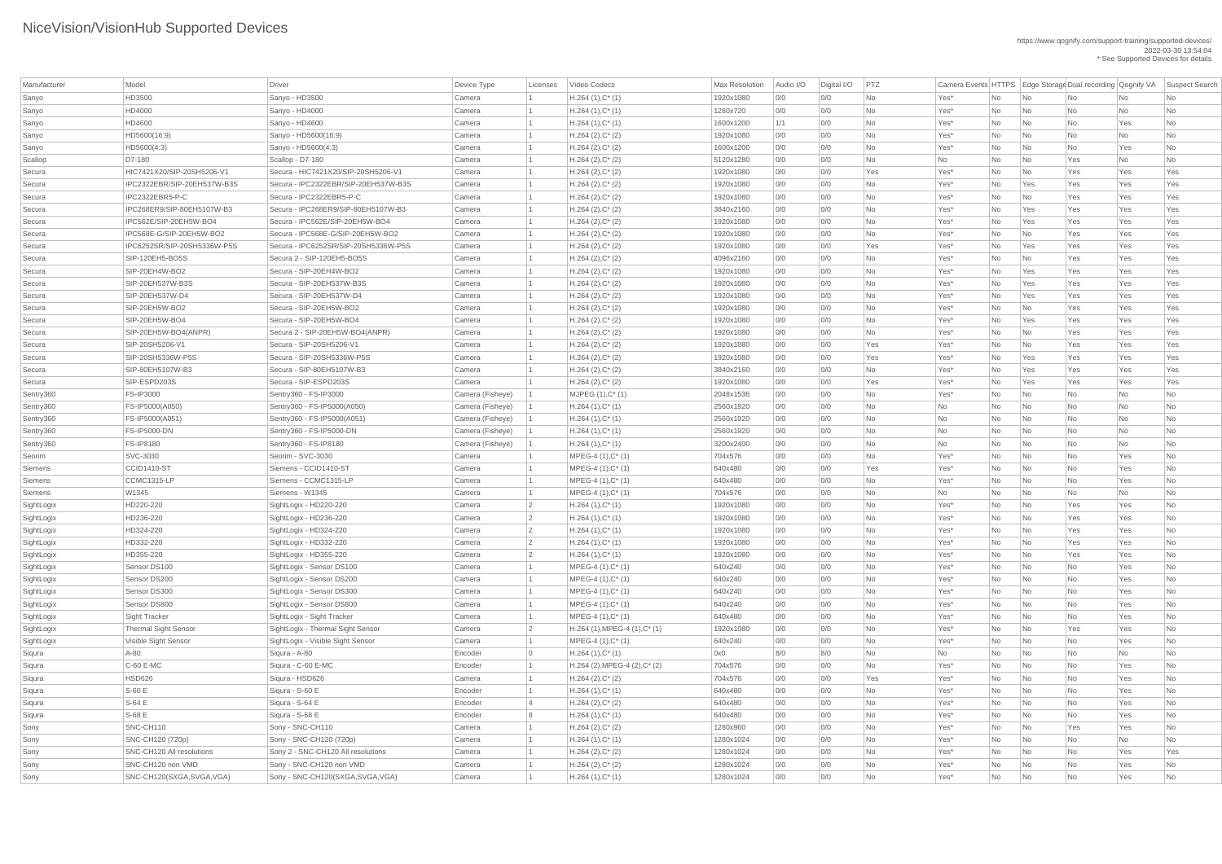| Manufacturer | Model                       | <b>Driver</b>                        | Device Type       | Licenses   | Video Codecs                                | <b>Max Resolution</b> | Audio I/O  | Digital I/O | PTZ       |      |     |                             |           |           | Camera Events HTTPS   Edge Storage Dual recording   Qognify VA   Suspect Search |
|--------------|-----------------------------|--------------------------------------|-------------------|------------|---------------------------------------------|-----------------------|------------|-------------|-----------|------|-----|-----------------------------|-----------|-----------|---------------------------------------------------------------------------------|
| Sanyo        | HD3500                      | Sanyo - HD3500                       | Camera            |            | $H.264(1),C^*(1)$                           | 1920x1080             | 0/0        | 0/0         | <b>No</b> | Yes* | No  | <b>No</b>                   | <b>No</b> | No        | No                                                                              |
| Sanyo        | HD4000                      | Sanyo - HD4000                       | Camera            |            | $H.264(1),C^*(1)$                           | 1280x720              | 0/0        | 0/0         | <b>No</b> | Yes* | No  | No                          | No        | No        | No                                                                              |
| Sanyo        | HD4600                      | Sanyo - HD4600                       | Camera            |            | $H.264(1),C^*(1)$                           | 1600x1200             | 1/1        | 0/0         | No        | Yes* | No  | No                          | No        | Yes       | No                                                                              |
| Sanyo        | HD5600(16:9)                | Sanyo - HD5600(16:9)                 | Camera            |            | $H.264 (2), C^*(2)$                         | 1920x1080             | 0/0        | 0/0         | No        | Yes* | No  | No                          | No        | No        | No                                                                              |
| Sanyo        | HD5600(4:3)                 | Sanyo - HD5600(4:3)                  | Camera            |            | $H.264 (2), C^*(2)$                         | 1600x1200             | 0/0        | 0/0         | <b>No</b> | Yes* | No  | No                          | No        | Yes       | No                                                                              |
| Scallop      | D7-180                      | Scallop - D7-180                     | Camera            |            | $H.264 (2), C^*(2)$                         | 5120x1280             | 0/0        | 0/0         | <b>No</b> | No   | No  | No                          | Yes       | No        | No                                                                              |
| Secura       | HIC7421X20/SIP-20SH5206-V1  | Secura - HIC7421X20/SIP-20SH5206-V1  | Camera            |            | $H.264 (2), C^*(2)$                         | 1920x1080             | 0/0        | 0/0         | Yes       | Yes* | No  | No                          | Yes       | Yes       | Yes                                                                             |
| Secura       | IPC2322EBR/SIP-20EH537W-B3S | Secura - IPC2322EBR/SIP-20EH537W-B3S | Camera            |            | $H.264 (2), C^*(2)$                         | 1920x1080             | 0/0        | 0/0         | <b>No</b> | Yes* | No  | Yes                         | Yes       | Yes       | Yes                                                                             |
| Secura       | IPC2322EBR5-P-C             | Secura - IPC2322EBR5-P-C             | Camera            |            | $H.264 (2), C^*(2)$                         | 1920x1080             | 0/0        | 0/0         | <b>No</b> | Yes* | No  | No                          | Yes       | Yes       | Yes                                                                             |
| Secura       | IPC268ER9/SIP-80EH5107W-B3  | Secura - IPC268ER9/SIP-80EH5107W-B3  | Camera            |            | $H.264 (2), C^*(2)$                         | 3840x2160             | 0/0        | 0/0         | No        | Yes* | No  | Yes                         | Yes       | Yes       | Yes                                                                             |
| Secura       | IPC562E/SIP-20EH5W-BO4      | Secura - IPC562E/SIP-20EH5W-BO4      | Camera            |            | $H.264 (2), C^*(2)$                         | 1920x1080             | 0/0        | 0/0         | <b>No</b> | Yes* | No  | Yes                         | Yes       | Yes       | Yes                                                                             |
| Secura       | IPC568E-G/SIP-20EH5W-BO2    | Secura - IPC568E-G/SIP-20EH5W-BO2    | Camera            |            | $H.264 (2), C^*(2)$                         | 1920x1080             | 0/0        | 0/0         | No        | Yes* | No  | No                          | Yes       | Yes       | Yes                                                                             |
| Secura       | IPC6252SR/SIP-20SH5336W-P5S | Secura - IPC6252SR/SIP-20SH5336W-P5S | Camera            |            | $H.264 (2), C^*(2)$                         | 1920x1080             | 0/0        | 0/0         | Yes       | Yes* | No  | Yes                         | Yes       | Yes       | Yes                                                                             |
| Secura       | SIP-120EH5-BO5S             | Secura 2 - SIP-120EH5-BO5S           | Camera            |            | $H.264 (2), C^*(2)$                         | 4096x2160             | O/O        | 0/0         | No        | Yes* | No  | No                          | Yes       | Yes       | Yes                                                                             |
| Secura       | SIP-20EH4W-BO2              | Secura - SIP-20EH4W-BO2              | Camera            |            | $H.264 (2), C^*(2)$                         | 1920x1080             | 0/0        | 0/0         | <b>No</b> | Yes* | No. | Yes                         | Yes       | Yes       | Yes                                                                             |
| Secura       | SIP-20EH537W-B3S            | Secura - SIP-20EH537W-B3S            | Camera            |            | $H.264 (2), C^*(2)$                         | 1920x1080             | 0/0        | 0/0         | <b>No</b> | Yes* | No  | Yes                         | Yes       | Yes       | Yes                                                                             |
| Secura       | SIP-20EH537W-D4             | Secura - SIP-20EH537W-D4             | Camera            |            | $H.264 (2), C^*(2)$                         | 1920x1080             | 0/0        | 0/0         | <b>No</b> | Yes* | No  | Yes                         | Yes       | Yes       | Yes                                                                             |
| Secura       | SIP-20EH5W-BO2              | Secura - SIP-20EH5W-BO2              | Camera            |            | $H.264 (2), C^*(2)$                         | 1920x1080             | 0/0        | 0/0         | <b>No</b> | Yes* | No  | No                          | Yes       | Yes       | Yes                                                                             |
| Secura       | SIP-20EH5W-BO4              | Secura - SIP-20EH5W-BO4              | Camera            |            | $H.264 (2), C^*(2)$                         | 1920x1080             | 0/0        | 0/0         | <b>No</b> | Yes* | No  | Yes                         | Yes       | Yes       | Yes                                                                             |
| Secura       | SIP-20EH5W-BO4(ANPR)        | Secura 2 - SIP-20EH5W-BO4(ANPR)      | Camera            |            | $H.264(2),C^*(2)$                           | 1920x1080             | 0/0        | 0/0         | No        | Yes* | No  | No                          | Yes       | Yes       | Yes                                                                             |
| Secura       | SIP-20SH5206-V1             | Secura - SIP-20SH5206-V1             | Camera            |            | $H.264 (2), C^*(2)$                         | 1920x1080             | 0/0        | 0/0         | Yes       | Yes* | No  | No                          | Yes       | Yes       | Yes                                                                             |
| Secura       | SIP-20SH5336W-P5S           | Secura - SIP-20SH5336W-P5S           | Camera            |            | $H.264 (2), C^*(2)$                         | 1920x1080             | 0/0        | 0/0         | Yes       | Yes* | No  | Yes                         | Yes       | Yes       | Yes                                                                             |
| Secura       | SIP-80EH5107W-B3            | Secura - SIP-80EH5107W-B3            | Camera            |            | $H.264 (2), C^*(2)$                         | 3840x2160             | 0/0        | 0/0         | <b>No</b> | Yes* | No  | Yes                         | Yes       | Yes       | Yes                                                                             |
| Secura       | SIP-ESPD203S                | Secura - SIP-ESPD203S                | Camera            |            | $H.264 (2), C^*(2)$                         | 1920x1080             | 0/0        | 0/0         | Yes       | Yes* | No  | Yes                         | Yes       | Yes       | Yes                                                                             |
| Sentry360    | <b>FS-IP3000</b>            | Sentry360 - FS-IP3000                | Camera (Fisheye)  |            | MJPEG (1), C* (1)                           | 2048x1536             | 0/0        | 0/0         | <b>No</b> | Yes* | No. | No.                         | No        | No        | No                                                                              |
| Sentry360    | FS-IP5000(A050)             | Sentry360 - FS-IP5000(A050)          | Camera (Fisheye)  |            | $H.264(1),C^*(1)$                           | 2560x1920             | 0/0        | 0/0         | No        | No   | No  | No                          | No        | No        | No                                                                              |
| Sentry360    | FS-IP5000(A051)             | Sentry360 - FS-IP5000(A051)          | Camera (Fisheye)  |            | $H.264(1),C^*(1)$                           | 2560x1920             | 0/0        | 0/0         | No        | No   | No  | No                          | No        | No        | No                                                                              |
| Sentry360    | <b>FS-IP5000-DN</b>         | Sentry360 - FS-IP5000-DN             | Camera (Fisheye)  |            | $H.264(1),C^*(1)$                           | 2560x1920             | 0/0        | 0/0         | <b>No</b> | No   | No  | No                          | No        | No        | No                                                                              |
| Sentry360    | <b>FS-IP8180</b>            | Sentry360 - FS-IP8180                | Camera (Fisheye)  |            | $H.264(1),C^*(1)$                           | 3200x2400             | 0/0        | 0/0         | No        | No   | No  | No                          | No        | No        | No                                                                              |
| Seorim       | SVC-3030                    | Seorim - SVC-3030                    | Camera            |            | $MPEG-4 (1), C^*(1)$                        | 704x576               | 0/0        | 0/0         | <b>No</b> | Yes* | No  | No                          | No        | Yes       | No                                                                              |
| Siemens      | <b>CCID1410-ST</b>          | Siemens - CCID1410-ST                | Camera            |            | MPEG-4 (1), C* (1)                          | 640x480               | 0/0        | 0/0         | Yes       | Yes* | No  | No                          | No        | Yes       | No                                                                              |
| Siemens      | CCMC1315-LP                 | Siemens - CCMC1315-LP                | Camera            |            | MPEG-4 (1), C* (1)                          | 640x480               | 0/0        | 0/0         | <b>No</b> | Yes* | No  | No                          | No        | Yes       | No                                                                              |
| Siemens      | W1345                       | Siemens - W1345                      | Camera            |            | MPEG-4 (1), C* (1)                          | 704x576               | 0/0        | 0/0         | No        | No   | No  | No                          | No        | No        | No                                                                              |
| SightLogix   | HD220-220                   | SightLogix - HD220-220               | Camera            |            | $H.264(1),C^*(1)$                           | 1920x1080             | O/O        | 0/0         | No        | Yes* | No  | No                          | Yes       | Yes       | No                                                                              |
| SightLogix   | HD236-220                   | SightLogix - HD236-220               | Camera            |            | $H.264(1),C^*(1)$                           | 1920x1080             | 0/0        | 0/0         | <b>No</b> | Yes* | No  | No                          | Yes       | Yes       | No                                                                              |
| SightLogix   | HD324-220                   | SightLogix - HD324-220               | Camera            |            | $H.264(1),C^*(1)$                           | 1920x1080             | 0/0        | 0/0         | No        | Yes* | No  | No                          | Yes       | Yes       | No                                                                              |
| SightLogix   | HD332-220                   | SightLogix - HD332-220               | Camera            |            | $H.264(1),C^*(1)$                           | 1920x1080             | O/O        | 0/0         | No        | Yes* | No  | No                          | Yes       | Yes       | No                                                                              |
| SightLogix   | HD355-220                   | SightLogix - HD355-220               | Camera            |            | $H.264(1),C^*(1)$                           | 1920x1080             | 0/0        | 0/0         | No        | Yes* | No  | No                          | Yes       | Yes       | No                                                                              |
| SightLogix   | Sensor DS100                | SightLogix - Sensor DS100            | Camera            |            | MPEG-4 (1), C* (1)                          | 640x240               | 0/0        | 0/0         | No        | Yes* | No  | No                          | No        | Yes       | No                                                                              |
| SightLogix   | Sensor DS200                | SightLogix - Sensor DS200            | Camera            |            | MPEG-4 $(1),C^*$ $(1)$                      | 640x240               | O/O        | 0/0         | No        | Yes* | No  | No                          | No        | Yes       | No                                                                              |
| SightLogix   | Sensor DS300                | SightLogix - Sensor DS300            | Camera            |            | $MPEG-4 (1), C^*(1)$                        | 640x240               | 0/0        | 0/0         | No        | Yes* | No  | No                          | No        | Yes       | No                                                                              |
| SightLogix   | Sensor DS800                | SightLogix - Sensor DS800            | Camera            |            | MPEG-4 (1), C* (1)                          | 640x240               | 0/0        | 0/0         | No        | Yes* | No  | No                          | No        | Yes       | No                                                                              |
| SightLogix   | <b>Sight Tracker</b>        | SightLogix - Sight Tracker           | Camera            |            | MPEG-4 (1), C* (1)                          | 640x480               | O/O        | 0/0         | No        | Yes* | No  | No                          | No        | Yes       | <b>No</b>                                                                       |
| SightLogix   | <b>Thermal Sight Sensor</b> | SightLogix - Thermal Sight Sensor    | Camera            |            | $H.264$ (1), MPEG-4 (1), C <sup>*</sup> (1) | 1920x1080             | 0/0        | 0/0         | <b>No</b> | Yes* | No  | No                          | Yes       | Yes       | No                                                                              |
| SightLogix   | Visible Sight Sensor        | SightLogix - Visible Sight Sensor    | Camera            |            | MPEG-4 (1), C* (1)                          | 640x240               | 0/0        | 0/0         | No        | Yes* | No  | No                          | No        | Yes       | No                                                                              |
| Siqura       | A-80                        | Siqura - A-80                        | Encoder           | $\bigcirc$ | $H.264(1),C^*(1)$                           | 0x0                   | 8/0        | 8/0         | <b>No</b> | No   | No  | No                          | No        | No        | No                                                                              |
| Siqura       | C-60 E-MC                   | Siqura - C-60 E-MC                   | Encoder           |            | $H.264$ (2), MPEG-4 (2), C* (2)             | 704x576               | 0/0        | 0/0         | <b>No</b> | Yes* | No  | No                          | No        | Yes       | No                                                                              |
|              | <b>HSD626</b>               | Siqura - HSD626                      |                   |            |                                             | 704x576               |            |             |           |      |     |                             |           |           |                                                                                 |
| Siqura       | S-60 E                      |                                      | Camera<br>Encoder |            | $H.264 (2), C^*(2)$                         |                       | 0/0<br>O/O | 0/0<br>0/0  | Yes<br>No | Yes* | No  | No                          | No        | Yes       | No                                                                              |
| Siqura       |                             | Siqura - S-60 E                      |                   |            | $H.264(1),C^*(1)$                           | 640x480               |            |             |           | Yes* | No  | No                          | No        | Yes       | No                                                                              |
| Siqura       | S-64 E                      | Siqura - S-64 E                      | Encoder           |            | $H.264 (2), C^*(2)$                         | 640x480               | 0/0        | 0/0         | <b>No</b> | Yes* | No  | No                          | No        | Yes       | No                                                                              |
| Siqura       | S-68 E                      | Siqura - S-68 E                      | Encoder           |            | $H.264(1),C^*(1)$                           | 640x480               | 0/0        | 0/0         | <b>No</b> | Yes* | No  | No                          | No        | Yes       | No                                                                              |
| Sony         | SNC-CH110                   | Sony - SNC-CH110                     | Camera            |            | $H.264 (2), C^*(2)$                         | 1280x960              | O/O        | 0/0         | No        | Yes* | No  | No                          | Yes       | Yes       | No                                                                              |
| Sony         | SNC-CH120 (720p)            | Sony - SNC-CH120 (720p)              | Camera            |            | $H.264(1),C^*(1)$                           | 1280x1024             | 0/0        | 0/0         | <b>No</b> | Yes* | No  | N <sub>o</sub>              | No        | <b>No</b> | No                                                                              |
| Sony         | SNC-CH120 All resolutions   | Sony 2 - SNC-CH120 All resolutions   | Camera            |            | $H.264 (2), C^*(2)$                         | 1280x1024             | 0/0        | 0/0         | No        | Yes* | No  | $\overline{\mathsf{No}}$    | No        | Yes       | Yes                                                                             |
| Sony         | SNC-CH120 non VMD           | Sony - SNC-CH120 non VMD             | Camera            |            | $H.264 (2), C^*(2)$                         | 1280x1024             | 0/0        | 0/0         | <b>No</b> | Yes* | No  | N <sub>o</sub>              | No        | Yes       | No                                                                              |
| Sony         | SNC-CH120(SXGA, SVGA, VGA)  | Sony - SNC-CH120(SXGA, SVGA, VGA)    | Camera            |            | $H.264(1),C^*(1)$                           | 1280x1024             | 0/0        | 0/0         | No        | Yes* | No  | $\overline{\phantom{a}}$ No | No        | Yes       | No                                                                              |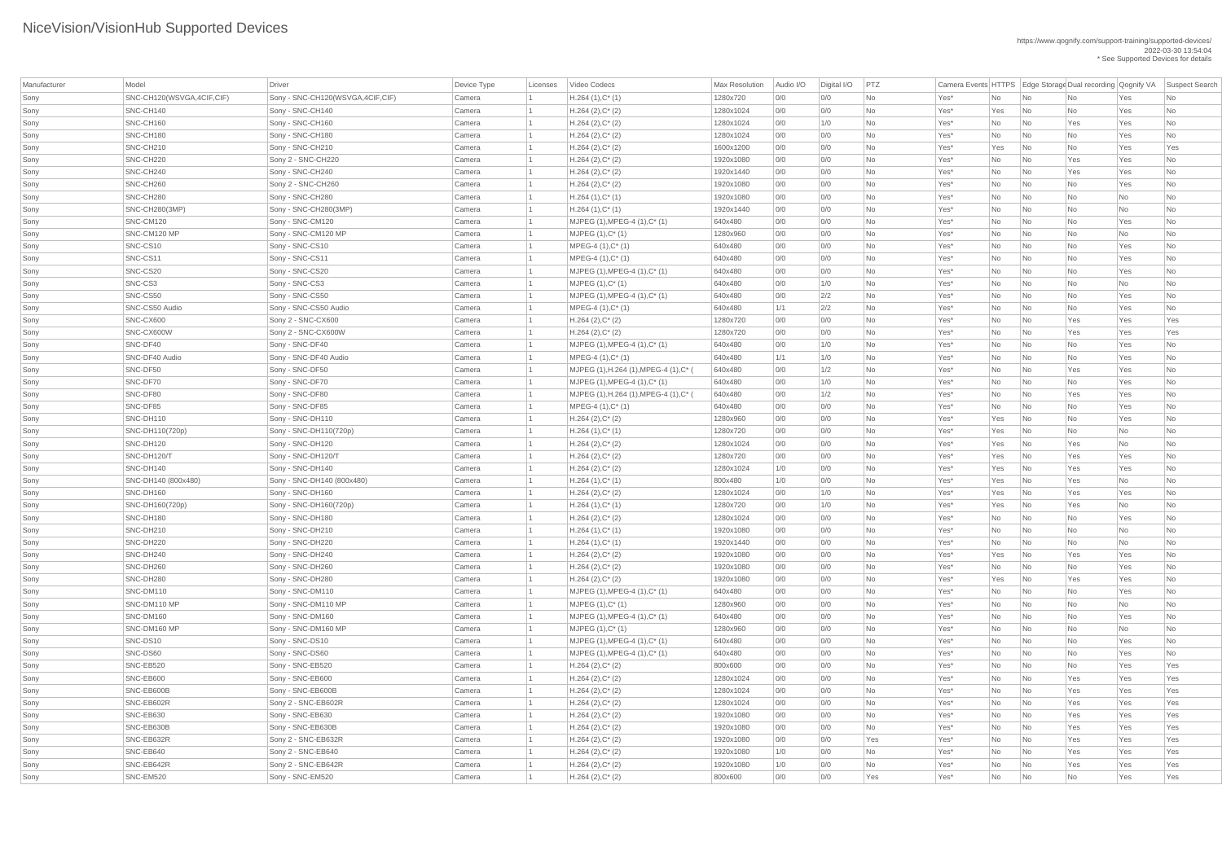| Manufacturer | Model                       | Driver                             | Device Type | Licenses | Video Codecs                           | <b>Max Resolution</b> | Audio I/O | Digital I/O | PTZ       |         |           |                             | Camera Events HTTPS   Edge Storage Dual recording Qognify VA |           | Suspect Search |
|--------------|-----------------------------|------------------------------------|-------------|----------|----------------------------------------|-----------------------|-----------|-------------|-----------|---------|-----------|-----------------------------|--------------------------------------------------------------|-----------|----------------|
| Sony         | SNC-CH120(WSVGA, 4CIF, CIF) | Sony - SNC-CH120(WSVGA, 4CIF, CIF) | Camera      |          | $H.264(1),C^*(1)$                      | 1280x720              | 0/0       | 0/0         | No        | Yes*    | No        | $\overline{\mathsf{No}}$    | No                                                           | Yes       | No             |
| Sony         | SNC-CH140                   | Sony - SNC-CH140                   | Camera      |          | $H.264 (2), C^*(2)$                    | 1280x1024             | 0/0       | 0/0         | <b>No</b> | Yes*    | Yes       | $\overline{\mathsf{No}}$    | <b>No</b>                                                    | Yes       | No             |
| Sony         | SNC-CH160                   | Sony - SNC-CH160                   | Camera      |          | $H.264 (2), C^*(2)$                    | 1280x1024             | 0/0       | 1/0         | No        | Yes*    | No        | $\overline{\mathsf{No}}$    | Yes                                                          | Yes       | No             |
| Sony         | SNC-CH180                   | Sony - SNC-CH180                   | Camera      |          | $H.264 (2), C^*(2)$                    | 1280x1024             | 0/0       | 0/0         | No        | Yes*    | No        | $\overline{\mathsf{No}}$    | No                                                           | Yes       | No             |
| Sony         | SNC-CH210                   | Sony - SNC-CH210                   | Camera      |          | $H.264 (2), C^*(2)$                    | 1600x1200             | 0/0       | 0/0         | No        | Yes*    | Yes       | $\overline{\mathsf{No}}$    | No                                                           | Yes       | Yes            |
| Sony         | SNC-CH220                   | Sony 2 - SNC-CH220                 | Camera      |          | $H.264 (2), C^*(2)$                    | 1920x1080             | 0/0       | 0/0         | No        | Yes*    | No        | No                          | Yes                                                          | Yes       | No             |
| Sony         | SNC-CH240                   | Sony - SNC-CH240                   | Camera      |          | $H.264 (2), C^*(2)$                    | 1920x1440             | 0/0       | 0/0         | No        | Yes*    | No        | $\overline{\mathsf{No}}$    | Yes                                                          | Yes       | No             |
| Sony         | SNC-CH260                   | Sony 2 - SNC-CH260                 | Camera      |          | $H.264 (2), C^*(2)$                    | 1920x1080             | 0/0       | 0/0         | No        | Yes*    | No        | No                          | No                                                           | Yes       | No             |
| Sony         | SNC-CH280                   | Sony - SNC-CH280                   | Camera      |          | $H.264(1),C^*(1)$                      | 1920x1080             | 0/0       | 0/0         | No        | Yes*    | No        | $\overline{\mathsf{No}}$    | No                                                           | <b>No</b> | <b>No</b>      |
| Sony         | <b>SNC-CH280(3MP)</b>       | Sony - SNC-CH280(3MP)              | Camera      |          | $H.264(1),C^*(1)$                      | 1920x1440             | 0/0       | 0/0         | No        | Yes*    | No        | $\overline{\mathsf{No}}$    | No                                                           | No        | No             |
| Sony         | SNC-CM120                   | Sony - SNC-CM120                   | Camera      |          | MJPEG (1), MPEG-4 (1), C* (1)          | 640x480               | 0/0       | 0/0         | No        | Yes*    | No        | $\overline{\mathsf{No}}$    | No                                                           | Yes       | No             |
| Sony         | SNC-CM120 MP                | Sony - SNC-CM120 MP                | Camera      |          | $MJPEG (1), C^* (1)$                   | 1280x960              | 0/0       | 0/0         | No        | Yes*    | No        | $\overline{\mathsf{No}}$    | No                                                           | No        | No             |
| Sony         | SNC-CS10                    | Sony - SNC-CS10                    | Camera      |          | $MPEG-4 (1), C^*(1)$                   | 640x480               | 0/0       | 0/0         | No        | Yes*    | No        | $\overline{\mathsf{No}}$    | No                                                           | Yes       | No             |
| Sony         | SNC-CS11                    | Sony - SNC-CS11                    | Camera      |          | $MPEG-4 (1), C^*(1)$                   | 640x480               | 0/0       | 0/0         | No        | Yes*    | No        | No                          | No                                                           | Yes       | <b>No</b>      |
| Sony         | SNC-CS20                    | Sony - SNC-CS20                    | Camera      |          | MJPEG (1), MPEG-4 (1), C* (1)          | 640x480               | 0/0       | 0/0         | No        | Yes*    | No        | No                          | No                                                           | Yes       | No             |
| Sony         | SNC-CS3                     | Sony - SNC-CS3                     | Camera      |          | $MJPEG (1), C^* (1)$                   | 640x480               | 0/0       | 1/0         | <b>No</b> | Yes*    | No        | $\overline{\mathsf{No}}$    | <b>No</b>                                                    | <b>No</b> | No             |
| Sony         | SNC-CS50                    | Sony - SNC-CS50                    | Camera      |          | MJPEG (1), MPEG-4 (1), C* (1)          | 640x480               | 0/0       | 2/2         | No        | Yes*    | No        | $\overline{\mathsf{No}}$    | <b>No</b>                                                    | Yes       | No             |
| Sony         | SNC-CS50 Audio              | Sony - SNC-CS50 Audio              | Camera      |          | $MPEG-4 (1), C^*(1)$                   | 640x480               | 1/1       | 2/2         | No        | Yes*    | No        | $\overline{\phantom{a}}$ No | No                                                           | Yes       | No             |
| Sony         | SNC-CX600                   | Sony 2 - SNC-CX600                 | Camera      |          | $H.264 (2), C^*(2)$                    | 1280x720              | 0/0       | 0/0         | No        | Yes*    | No        | $\overline{\mathsf{No}}$    | Yes                                                          | Yes       | Yes            |
| Sony         | SNC-CX600W                  | Sony 2 - SNC-CX600W                | Camera      |          | $H.264 (2), C^*(2)$                    | 1280x720              | 0/0       | 0/0         | <b>No</b> | Yes*    | No        | No                          | Yes                                                          | Yes       | Yes            |
| Sony         | SNC-DF40                    | Sony - SNC-DF40                    | Camera      |          | MJPEG (1), MPEG-4 (1), C* (1)          | 640x480               | 0/0       | 1/0         | No        | Yes*    | No        | No                          | No                                                           | Yes       | No             |
| Sony         | SNC-DF40 Audio              | Sony - SNC-DF40 Audio              | Camera      |          | $MPEG-4 (1), C^*(1)$                   | 640x480               | 1/1       | 1/0         | No        | Yes*    | No        | $\overline{\mathsf{No}}$    | No                                                           | Yes       | No             |
| Sony         | SNC-DF50                    | Sony - SNC-DF50                    | Camera      |          | MJPEG (1), H.264 (1), MPEG-4 (1), C* ( | 640x480               | 0/0       | 1/2         | <b>No</b> | Yes*    | No        | $\overline{\mathsf{No}}$    | Yes                                                          | Yes       | No             |
| Sony         | SNC-DF70                    | Sony - SNC-DF70                    | Camera      |          | $MJPEG (1), MPEG-4 (1), C^* (1)$       | 640x480               | 0/0       | 1/0         | No        | Yes*    | No        | $\overline{\mathsf{No}}$    | No                                                           | Yes       | No             |
| Sony         | SNC-DF80                    | Sony - SNC-DF80                    | Camera      |          | MJPEG (1), H.264 (1), MPEG-4 (1), C*   | 640x480               | 0/0       | 1/2         | No        | Yes*    | No        | No                          | Yes                                                          | Yes       | No             |
| Sony         | SNC-DF85                    | Sony - SNC-DF85                    | Camera      |          | MPEG-4 (1), C* (1)                     | 640x480               | 0/0       | 0/0         | No        | Yes*    | No        | $\overline{\mathsf{No}}$    | No                                                           | Yes       | No             |
| Sony         | SNC-DH110                   | Sony - SNC-DH110                   | Camera      |          | $H.264 (2), C^*(2)$                    | 1280x960              | 0/0       | 0/0         | No        | Yes*    | Yes       | $\overline{\mathsf{No}}$    | No                                                           | Yes       | No             |
| Sony         | SNC-DH110(720p)             | Sony - SNC-DH110(720p)             | Camera      |          | $H.264(1),C^*(1)$                      | 1280x720              | 0/0       | 0/0         | No        | Yes*    | Yes       | $\overline{\mathsf{No}}$    | No                                                           | No        | No             |
| Sony         | SNC-DH120                   | Sony - SNC-DH120                   | Camera      |          | $H.264 (2), C^*(2)$                    | 1280x1024             | 0/0       | 0/0         | No        | Yes*    | Yes       | $\overline{\mathsf{No}}$    | Yes                                                          | No        | No             |
| Sony         | SNC-DH120/T                 | Sony - SNC-DH120/T                 | Camera      |          | $H.264 (2), C^*(2)$                    | 1280x720              | 0/0       | 0/0         | No        | Yes*    | Yes       | $\overline{\mathsf{No}}$    | Yes                                                          | Yes       | No             |
| Sony         | SNC-DH140                   | Sony - SNC-DH140                   | Camera      |          | $H.264 (2), C^*(2)$                    | 1280x1024             | 1/0       | 0/0         | No        | Yes*    | Yes       | $\overline{\mathsf{No}}$    | Yes                                                          | Yes       | No             |
| Sony         | SNC-DH140 (800x480)         | Sony - SNC-DH140 (800x480)         | Camera      |          | $H.264(1),C^*(1)$                      | 800x480               | 1/0       | 0/0         | No        | Yes*    | Yes       | No                          | Yes                                                          | No        | No             |
| Sony         | SNC-DH160                   | Sony - SNC-DH160                   | Camera      |          | $H.264 (2), C^*(2)$                    | 1280x1024             | 0/0       | 1/0         | No        | Yes*    | Yes       | $\overline{\mathsf{No}}$    | Yes                                                          | Yes       | No             |
| Sony         | SNC-DH160(720p)             | Sony - SNC-DH160(720p)             | Camera      |          | $H.264(1),C^*(1)$                      | 1280x720              | 0/0       | 1/0         | No        | Yes*    | Yes       | $\overline{\mathsf{No}}$    | Yes                                                          | <b>No</b> | <b>No</b>      |
| Sony         | SNC-DH180                   | Sony - SNC-DH180                   | Camera      |          | $H.264 (2), C^*(2)$                    | 1280x1024             | 0/0       | 0/0         | No        | Yes*    | No        | $\overline{\mathsf{No}}$    | No                                                           | Yes       | No             |
| Sony         | SNC-DH210                   | Sony - SNC-DH210                   | Camera      |          | $H.264(1),C^*(1)$                      | 1920x1080             | 0/0       | 0/0         | No        | Yes*    | No        | $\overline{\mathsf{No}}$    | No                                                           | No        | No             |
| Sony         | SNC-DH220                   | Sony - SNC-DH220                   | Camera      |          | $H.264(1),C^*(1)$                      | 1920x1440             | 0/0       | 0/0         | <b>No</b> | Yes*    | No        | $\overline{\mathsf{No}}$    | <b>No</b>                                                    | <b>No</b> | No             |
| Sony         | SNC-DH240                   | Sony - SNC-DH240                   | Camera      |          | $H.264 (2), C^*(2)$                    | 1920x1080             | 0/0       | 0/0         | No        | Yes*    | Yes       | $\overline{\mathsf{No}}$    | Yes                                                          | Yes       | No             |
| Sony         | SNC-DH260                   | Sony - SNC-DH260                   | Camera      |          | $H.264 (2), C^*(2)$                    | 1920x1080             | 0/0       | 0/0         | No        | Yes*    | No        | $\overline{\mathsf{No}}$    | No                                                           | Yes       | No             |
| Sony         | SNC-DH280                   | Sony - SNC-DH280                   | Camera      |          | $H.264 (2), C^*(2)$                    | 1920x1080             | 0/0       | 0/0         | No        | Yes*    | Yes       | $\overline{\mathsf{No}}$    | Yes                                                          | Yes       | No             |
| Sony         | SNC-DM110                   | Sony - SNC-DM110                   | Camera      |          | MJPEG (1), MPEG-4 (1), C* (1)          | 640x480               | 0/0       | 0/0         | No        | Yes*    | No        | $\overline{\mathsf{No}}$    | No                                                           | Yes       | No             |
| Sony         | SNC-DM110 MP                | Sony - SNC-DM110 MP                | Camera      |          | $MJPEG (1), C^* (1)$                   | 1280x960              | 0/0       | 0/0         | No        | Yes*    | No        | $\overline{\mathsf{No}}$    | No                                                           | No        | No             |
| Sony         | SNC-DM160                   | Sony - SNC-DM160                   | Camera      |          | MJPEG (1), MPEG-4 (1), C* (1)          | 640x480               | 0/0       | 0/0         | No        | Yes*    | No        | $\overline{\mathsf{No}}$    | No                                                           | Yes       | No             |
| Sony         | SNC-DM160 MP                | Sony - SNC-DM160 MP                | Camera      |          | $MJPEG (1), C^* (1)$                   | 1280x960              | 0/0       | 0/0         | No        | Yes*    | No        | $\overline{\mathsf{No}}$    | <b>No</b>                                                    | No        | <b>No</b>      |
| Sony         | SNC-DS10                    | Sony - SNC-DS10                    | Camera      |          | MJPEG (1), MPEG-4 (1), C* (1)          | 640x480               | 0/0       | 0/0         | No        | Yes*    | No        | $\overline{\mathsf{No}}$    | No                                                           | Yes       | No             |
| Sony         | SNC-DS60                    | Sony - SNC-DS60                    | Camera      |          | MJPEG (1), MPEG-4 (1), C* (1)          | 640x480               | 0/0       | 0/0         | No        | Yes*    | No        | $\overline{\mathsf{No}}$    | No                                                           | Yes       | No             |
| Sony         | SNC-EB520                   | Sony - SNC-EB520                   | Camera      |          | $H.264 (2), C^*(2)$                    | 800x600               | 0/0       | 0/0         | No        | Yes*    | No        | $\overline{\mathsf{No}}$    | No                                                           | Yes       | Yes            |
| Sony         | SNC-EB600                   | Sony - SNC-EB600                   | Camera      |          | $H.264 (2), C^*(2)$                    | 1280x1024             | 0/0       | 0/0         | No        | Yes*    | No        | $\overline{\mathsf{No}}$    | Yes                                                          | Yes       | Yes            |
| Sony         | SNC-EB600B                  | Sony - SNC-EB600B                  | Camera      |          | $H.264 (2), C^*(2)$                    | 1280x1024             | 0/0       | 0/0         | No        | Yes*    | No        | No                          | Yes                                                          | Yes       | Yes            |
| Sony         | SNC-EB602R                  | Sony 2 - SNC-EB602R                | Camera      |          | $H.264 (2), C^*(2)$                    | 1280x1024             | 0/0       | 0/0         | No        | Yes*    | No        | No                          | Yes                                                          | Yes       | Yes            |
| Sony         | SNC-EB630                   | Sony - SNC-EB630                   | Camera      |          | $H.264 (2), C^*(2)$                    | 1920x1080             | 0/0       | 0/0         | No        | Yes*    | <b>No</b> | No                          | Yes                                                          | Yes       | Yes            |
| Sony         | SNC-EB630B                  | Sony - SNC-EB630B                  | Camera      |          | $H.264 (2), C^*(2)$                    | 1920x1080             | 0/0       | 0/0         | No        | Yes*    | No        | $\overline{\mathsf{No}}$    | Yes                                                          | Yes       | Yes            |
| Sony         | SNC-EB632R                  | Sony 2 - SNC-EB632R                | Camera      |          | $H.264 (2), C^*(2)$                    | 1920x1080             | 0/0       | 0/0         | Yes       | Yes*    | No        | N <sub>o</sub>              | Yes                                                          | Yes       | Yes            |
| Sony         | SNC-EB640                   | Sony 2 - SNC-EB640                 | Camera      |          | $H.264 (2), C^*(2)$                    | 1920x1080             | 1/0       | 0/0         | No        | Yes*    | No        | $\overline{\mathsf{No}}$    | Yes                                                          | Yes       | Yes            |
| Sony         | SNC-EB642R                  | Sony 2 - SNC-EB642R                | Camera      |          | $H.264 (2), C^*(2)$                    | 1920x1080             | 1/0       | 0/0         | No        | Yes*    | No        | $\overline{\mathsf{No}}$    | Yes                                                          | Yes       | Yes            |
| Sony         | SNC-EM520                   | Sony - SNC-EM520                   | Camera      |          | $H.264 (2), C^*(2)$                    | 800x600               | 0/0       | 0/0         | Yes       | $Yes^*$ | No        | $\overline{\mathsf{No}}$    | No                                                           | Yes       | Yes            |
|              |                             |                                    |             |          |                                        |                       |           |             |           |         |           |                             |                                                              |           |                |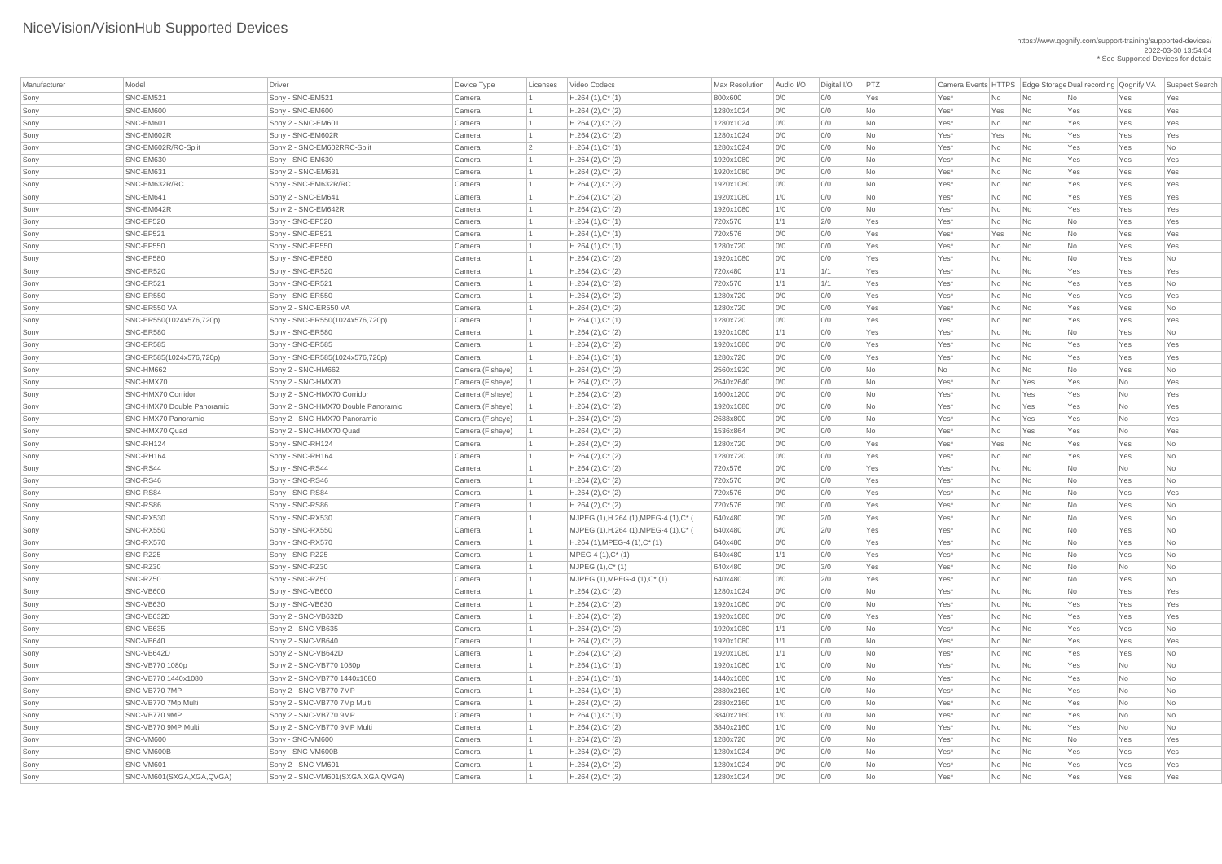| Manufacturer | Model                      | Driver                              | Device Type      | Licenses       | Video Codecs                                | Max Resolution | Audio I/O | Digital I/O | PTZ       | Camera Events HTTPS   Edge Storage Dual recording   Qognify VA |           |                             |           |           | Suspect Search |
|--------------|----------------------------|-------------------------------------|------------------|----------------|---------------------------------------------|----------------|-----------|-------------|-----------|----------------------------------------------------------------|-----------|-----------------------------|-----------|-----------|----------------|
|              |                            |                                     |                  |                |                                             |                |           |             |           |                                                                |           |                             |           |           |                |
| Sony         | SNC-EM521                  | Sony - SNC-EM521                    | Camera           |                | $H.264(1),C^*(1)$                           | 800x600        | 0/0       | 0/0         | Yes       | Yes*                                                           | No        | $\overline{\mathsf{No}}$    | <b>No</b> | Yes       | Yes            |
| Sony         | SNC-EM600                  | Sony - SNC-EM600                    | Camera           |                | $H.264 (2), C^*(2)$                         | 1280x1024      | 0/0       | 0/0         | <b>No</b> | Yes*                                                           | Yes       | $\overline{\mathsf{No}}$    | Yes       | Yes       | Yes            |
| Sony         | SNC-EM601                  | Sony 2 - SNC-EM601                  | Camera           |                | $H.264 (2), C^*(2)$                         | 1280x1024      | 0/0       | 0/0         | <b>No</b> | Yes*                                                           | No        | $\overline{\mathsf{No}}$    | Yes       | Yes       | Yes            |
| Sony         | SNC-EM602R                 | Sony - SNC-EM602R                   | Camera           |                | $H.264 (2), C^*(2)$                         | 1280x1024      | 0/0       | 0/0         | <b>No</b> | Yes*                                                           | Yes       | $\overline{\mathsf{No}}$    | Yes       | Yes       | Yes            |
| Sony         | SNC-EM602R/RC-Split        | Sony 2 - SNC-EM602RRC-Split         | Camera           | $\overline{2}$ | $H.264(1),C^*(1)$                           | 1280x1024      | 0/0       | 0/0         | No        | Yes*                                                           | No        | $\overline{\mathsf{No}}$    | Yes       | Yes       | No             |
| Sony         | SNC-EM630                  | Sony - SNC-EM630                    | Camera           |                | $H.264 (2), C^*(2)$                         | 1920x1080      | 0/0       | 0/0         | <b>No</b> | Yes*                                                           | No        | $\overline{\mathsf{No}}$    | Yes       | Yes       | Yes            |
| Sony         | SNC-EM631                  | Sony 2 - SNC-EM631                  | Camera           |                | $H.264 (2), C^*(2)$                         | 1920x1080      | 0/0       | 0/0         | <b>No</b> | Yes*                                                           | No        | $\overline{\mathsf{No}}$    | Yes       | Yes       | Yes            |
| Sony         | SNC-EM632R/RC              | Sony - SNC-EM632R/RC                | Camera           |                | $H.264 (2), C^*(2)$                         | 1920x1080      | 0/0       | 0/0         | No        | Yes*                                                           | No        | $\overline{\mathsf{No}}$    | Yes       | Yes       | Yes            |
| Sony         | SNC-EM641                  | Sony 2 - SNC-EM641                  | Camera           |                | $H.264 (2), C^*(2)$                         | 1920x1080      | 1/0       | 0/0         | <b>No</b> | Yes*                                                           | No        | $\overline{\mathsf{No}}$    | Yes       | Yes       | Yes            |
| Sony         | SNC-EM642R                 | Sony 2 - SNC-EM642R                 | Camera           |                | $H.264 (2), C^*(2)$                         | 1920x1080      | 1/0       | 0/0         | <b>No</b> | Yes*                                                           | No        | $\overline{\mathsf{No}}$    | Yes       | Yes       | Yes            |
| Sony         | SNC-EP520                  | Sony - SNC-EP520                    | Camera           |                | $H.264(1),C^*(1)$                           | 720x576        | 1/1       | 2/0         | Yes       | Yes*                                                           | No        | $\overline{\mathsf{No}}$    | No        | Yes       | Yes            |
| Sony         | SNC-EP521                  | Sony - SNC-EP521                    | Camera           |                | $H.264(1),C^*(1)$                           | 720x576        | 0/0       | 0/0         | Yes       | Yes*                                                           | Yes       | $\overline{\mathsf{No}}$    | No        | Yes       | Yes            |
| Sony         | SNC-EP550                  | Sony - SNC-EP550                    | Camera           |                | $H.264(1),C^*(1)$                           | 1280x720       | 0/0       | 0/0         | Yes       | Yes*                                                           | No        | $\overline{\mathsf{No}}$    | No        | Yes       | Yes            |
| Sony         | SNC-EP580                  | Sony - SNC-EP580                    | Camera           |                | $H.264 (2), C^*(2)$                         | 1920x1080      | 0/0       | 0/0         | Yes       | Yes*                                                           | No        | $\overline{\mathsf{No}}$    | No        | Yes       | No             |
| Sony         | SNC-ER520                  | Sony - SNC-ER520                    | Camera           |                | $H.264 (2), C^*(2)$                         | 720x480        | 1/1       | 1/1         | Yes       | Yes*                                                           | No        | $\overline{\mathsf{No}}$    | Yes       | Yes       | Yes            |
| Sony         | SNC-ER521                  | Sony - SNC-ER521                    | Camera           |                | $H.264 (2), C^*(2)$                         | 720x576        | 1/1       | 1/1         | Yes       | Yes*                                                           | No        | $\overline{\mathsf{No}}$    | Yes       | Yes       | No             |
| Sony         | SNC-ER550                  | Sony - SNC-ER550                    | Camera           |                | $H.264 (2), C^*(2)$                         | 1280x720       | 0/0       | 0/0         | Yes       | Yes*                                                           | No        | $\overline{\mathsf{No}}$    | Yes       | Yes       | Yes            |
| Sony         | SNC-ER550 VA               | Sony 2 - SNC-ER550 VA               | Camera           |                | $H.264 (2), C^*(2)$                         | 1280x720       | 0/0       | 0/0         | Yes       | Yes*                                                           | No        | $\overline{\mathsf{No}}$    | Yes       | Yes       | No             |
| Sony         | SNC-ER550(1024x576,720p)   | Sony - SNC-ER550(1024x576,720p)     | Camera           |                | $H.264(1),C^*(1)$                           | 1280x720       | 0/0       | 0/0         | Yes       | Yes*                                                           | No        | $\overline{\mathsf{No}}$    | Yes       | Yes       | Yes            |
| Sony         | SNC-ER580                  | Sony - SNC-ER580                    | Camera           |                | $H.264 (2), C^*(2)$                         | 1920x1080      | 1/1       | 0/0         | Yes       | Yes*                                                           | No        | $\overline{\mathsf{No}}$    | No        | Yes       | No             |
| Sony         | SNC-ER585                  | Sony - SNC-ER585                    | Camera           |                | $H.264 (2), C^*(2)$                         | 1920x1080      | 0/0       | 0/0         | Yes       | Yes*                                                           | No        | $\overline{\mathsf{No}}$    | Yes       | Yes       | Yes            |
| Sony         | SNC-ER585(1024x576,720p)   | Sony - SNC-ER585(1024x576,720p)     | Camera           |                | $H.264(1),C^*(1)$                           | 1280x720       | 0/0       | 0/0         | Yes       | Yes*                                                           | No        | $\overline{\mathsf{No}}$    | Yes       | Yes       | Yes            |
| Sony         | SNC-HM662                  | Sony 2 - SNC-HM662                  | Camera (Fisheye) |                | $H.264 (2), C^*(2)$                         | 2560x1920      | 0/0       | 0/0         | <b>No</b> | No                                                             | No        | $\overline{\mathsf{No}}$    | No        | Yes       | No             |
| Sony         | SNC-HMX70                  | Sony 2 - SNC-HMX70                  | Camera (Fisheye) |                | $H.264 (2), C^*(2)$                         | 2640x2640      | 0/0       | 0/0         | No        | Yes*                                                           | No        | Yes                         | Yes       | No        | Yes            |
| Sony         | SNC-HMX70 Corridor         | Sony 2 - SNC-HMX70 Corridor         | Camera (Fisheye) |                | $H.264 (2), C^*(2)$                         | 1600x1200      | 0/0       | 0/0         | <b>No</b> | Yes*                                                           | No        | Yes                         | Yes       | No        | Yes            |
| Sony         | SNC-HMX70 Double Panoramic | Sony 2 - SNC-HMX70 Double Panoramic | Camera (Fisheye) |                |                                             | 1920x1080      | 0/0       | 0/0         | <b>No</b> |                                                                | <b>No</b> | Yes                         |           |           | Yes            |
|              |                            |                                     |                  |                | $H.264 (2), C^*(2)$                         |                |           |             |           | Yes*                                                           |           |                             | Yes       | No        |                |
| Sony         | <b>SNC-HMX70 Panoramic</b> | Sony 2 - SNC-HMX70 Panoramic        | Camera (Fisheye) |                | $H.264 (2), C^*(2)$                         | 2688x800       | 0/0       | 0/0         | <b>No</b> | Yes*                                                           | No        | Yes                         | Yes       | No        | Yes            |
| Sony         | SNC-HMX70 Quad             | Sony 2 - SNC-HMX70 Quad             | Camera (Fisheye) |                | $H.264 (2), C^*(2)$                         | 1536x864       | 0/0       | 0/0         | <b>No</b> | Yes*                                                           | No        | Yes                         | Yes       | No        | Yes            |
| Sony         | SNC-RH124                  | Sony - SNC-RH124                    | Camera           |                | $H.264 (2), C^*(2)$                         | 1280x720       | 0/0       | 0/0         | Yes       | Yes*                                                           | Yes       | $\overline{\mathsf{No}}$    | Yes       | Yes       | <b>No</b>      |
| Sony         | SNC-RH164                  | Sony - SNC-RH164                    | Camera           |                | $H.264 (2), C^*(2)$                         | 1280x720       | 0/0       | 0/0         | Yes       | Yes*                                                           | No        | $\overline{\mathsf{No}}$    | Yes       | Yes       | <b>No</b>      |
| Sony         | SNC-RS44                   | Sony - SNC-RS44                     | Camera           |                | $H.264 (2), C^*(2)$                         | 720x576        | 0/0       | 0/0         | Yes       | Yes*                                                           | No        | $\overline{\mathsf{No}}$    | No        | No        | No             |
| Sony         | SNC-RS46                   | Sony - SNC-RS46                     | Camera           |                | $H.264 (2), C^*(2)$                         | 720x576        | 0/0       | 0/0         | Yes       | Yes*                                                           | No        | $\overline{\mathsf{No}}$    | <b>No</b> | Yes       | No             |
| Sony         | SNC-RS84                   | Sony - SNC-RS84                     | Camera           |                | $H.264 (2), C^*(2)$                         | 720x576        | 0/0       | 0/0         | Yes       | Yes*                                                           | No        | $\overline{\mathsf{No}}$    | No        | Yes       | Yes            |
| Sony         | SNC-RS86                   | Sony - SNC-RS86                     | Camera           |                | $H.264 (2), C^*(2)$                         | 720x576        | 0/0       | 0/0         | Yes       | Yes*                                                           | No        | $\overline{\mathsf{No}}$    | No        | Yes       | No             |
| Sony         | SNC-RX530                  | Sony - SNC-RX530                    | Camera           |                | MJPEG (1), H.264 (1), MPEG-4 (1), C*        | 640x480        | 0/0       | 2/0         | Yes       | Yes*                                                           | No        | $\overline{\mathsf{No}}$    | No        | Yes       | No             |
| Sony         | <b>SNC-RX550</b>           | Sony - SNC-RX550                    | Camera           |                | MJPEG (1), H.264 (1), MPEG-4 (1), C* (      | 640x480        | 0/0       | 2/0         | Yes       | Yes*                                                           | No        | $\overline{\mathsf{No}}$    | <b>No</b> | Yes       | No             |
| Sony         | SNC-RX570                  | Sony - SNC-RX570                    | Camera           |                | $H.264$ (1), MPEG-4 (1), C <sup>*</sup> (1) | 640x480        | 0/0       | 0/0         | Yes       | Yes*                                                           | No        | $\overline{\mathsf{No}}$    | No        | Yes       | No             |
| Sony         | SNC-RZ25                   | Sony - SNC-RZ25                     | Camera           |                | $MPEG-4 (1), C^*(1)$                        | 640x480        | 1/1       | 0/0         | Yes       | Yes*                                                           | No        | $\overline{\mathsf{No}}$    | No        | Yes       | No             |
| Sony         | SNC-RZ30                   | Sony - SNC-RZ30                     | Camera           |                | $MJPEG (1), C^* (1)$                        | 640x480        | O/O       | 3/0         | Yes       | Yes*                                                           | No        | $\overline{\mathsf{No}}$    | No        | <b>No</b> | No             |
| Sony         | SNC-RZ50                   | Sony - SNC-RZ50                     | Camera           |                | $MJPEG (1), MPEG-4 (1), C^* (1)$            | 640x480        | 0/0       | 2/0         | Yes       | Yes*                                                           | No        | $\overline{\mathsf{No}}$    | No        | Yes       | No             |
| Sony         | SNC-VB600                  | Sony - SNC-VB600                    | Camera           |                | $H.264 (2), C^*(2)$                         | 1280x1024      | 0/0       | 0/0         | <b>No</b> | Yes*                                                           | No        | $\overline{\mathsf{No}}$    | No        | Yes       | Yes            |
| Sony         | <b>SNC-VB630</b>           | Sony - SNC-VB630                    | Camera           |                | $H.264 (2), C^*(2)$                         | 1920x1080      | 0/0       | 0/0         | <b>No</b> | Yes*                                                           | No        | $\overline{\mathsf{No}}$    | Yes       | Yes       | Yes            |
| Sony         | SNC-VB632D                 | Sony 2 - SNC-VB632D                 | Camera           |                | $H.264 (2), C^*(2)$                         | 1920x1080      | 0/0       | 0/0         | Yes       | Yes*                                                           | No        | $\overline{\mathsf{No}}$    | Yes       | Yes       | Yes            |
| Sony         | SNC-VB635                  | Sony 2 - SNC-VB635                  | Camera           |                | $H.264 (2), C^*(2)$                         | 1920x1080      | 1/1       | 0/0         | <b>No</b> | Yes*                                                           | No        | $\overline{\mathsf{No}}$    | Yes       | Yes       | No             |
| Sony         | SNC-VB640                  | Sony 2 - SNC-VB640                  | Camera           |                | $H.264 (2), C^*(2)$                         | 1920x1080      | 1/1       | O/O         | <b>No</b> | Yes*                                                           | No        | $\overline{\mathsf{No}}$    | Yes       | Yes       | Yes            |
| Sony         | SNC-VB642D                 | Sony 2 - SNC-VB642D                 | Camera           |                | $H.264 (2), C^*(2)$                         | 1920x1080      | 1/1       | 0/0         | <b>No</b> | Yes*                                                           | No        | $\overline{\mathsf{No}}$    | Yes       | Yes       | No             |
| Sony         | SNC-VB770 1080p            | Sony 2 - SNC-VB770 1080p            | Camera           |                | $H.264(1),C^*(1)$                           | 1920x1080      | 1/0       | 0/0         | <b>No</b> | Yes*                                                           | No        | $\overline{\mathsf{No}}$    | Yes       | No        | No             |
| Sony         | SNC-VB770 1440x1080        | Sony 2 - SNC-VB770 1440x1080        | Camera           |                | $H.264(1),C^*(1)$                           | 1440x1080      | 1/0       | 0/0         | <b>No</b> | Yes*                                                           | No        | $\overline{\mathsf{No}}$    | Yes       | <b>No</b> | <b>No</b>      |
| Sony         | SNC-VB770 7MP              | Sony 2 - SNC-VB770 7MP              | Camera           |                | $H.264(1),C^*(1)$                           | 2880x2160      | 1/0       | 0/0         | <b>No</b> | Yes*                                                           | No        | $\overline{\mathsf{No}}$    | Yes       | <b>No</b> | No             |
|              |                            |                                     |                  |                |                                             |                |           |             |           |                                                                |           |                             |           |           | No             |
| Sony         | SNC-VB770 7Mp Multi        | Sony 2 - SNC-VB770 7Mp Multi        | Camera           |                | $H.264 (2), C^*(2)$                         | 2880x2160      | 1/0       | 0/0         | No        | Yes*                                                           | No        | $\overline{\mathsf{No}}$    | Yes       | No        |                |
| Sony         | SNC-VB770 9MP              | Sony 2 - SNC-VB770 9MP              | Camera           |                | $H.264(1),C^*(1)$                           | 3840x2160      | 1/0       | O/O         | <b>No</b> | Yes*                                                           | No        | $\overline{\mathsf{No}}$    | Yes       | No        | No             |
| Sony         | SNC-VB770 9MP Multi        | Sony 2 - SNC-VB770 9MP Multi        | Camera           |                | $H.264 (2), C^*(2)$                         | 3840x2160      | 1/0       | 0/0         | <b>No</b> | Yes*                                                           | <b>No</b> | $\overline{\mathsf{No}}$    | Yes       | No        | No             |
| Sony         | SNC-VM600                  | Sony - SNC-VM600                    | Camera           |                | $H.264 (2), C^*(2)$                         | 1280x720       | 0/0       | 0/0         | <b>No</b> | Yes*                                                           | No        | $\overline{\mathsf{No}}$    | No        | Yes       | Yes            |
| Sony         | SNC-VM600B                 | Sony - SNC-VM600B                   | Camera           |                | $H.264 (2), C^*(2)$                         | 1280x1024      | 0/0       | 0/0         | No        | Yes*                                                           | No        | $\overline{\mathsf{No}}$    | Yes       | Yes       | Yes            |
| Sony         | SNC-VM601                  | Sony 2 - SNC-VM601                  | Camera           |                | $H.264 (2), C^*(2)$                         | 1280x1024      | 0/0       | 0/0         | No        | Yes*                                                           | No        | $\overline{\mathsf{No}}$    | Yes       | Yes       | Yes            |
| Sony         | SNC-VM601(SXGA, XGA, QVGA) | Sony 2 - SNC-VM601(SXGA, XGA, QVGA) | Camera           |                | $H.264 (2), C^*(2)$                         | 1280x1024      | 0/0       | 0/0         | No        | Yes*                                                           | No        | $\overline{\phantom{a}}$ No | Yes       | Yes       | Yes            |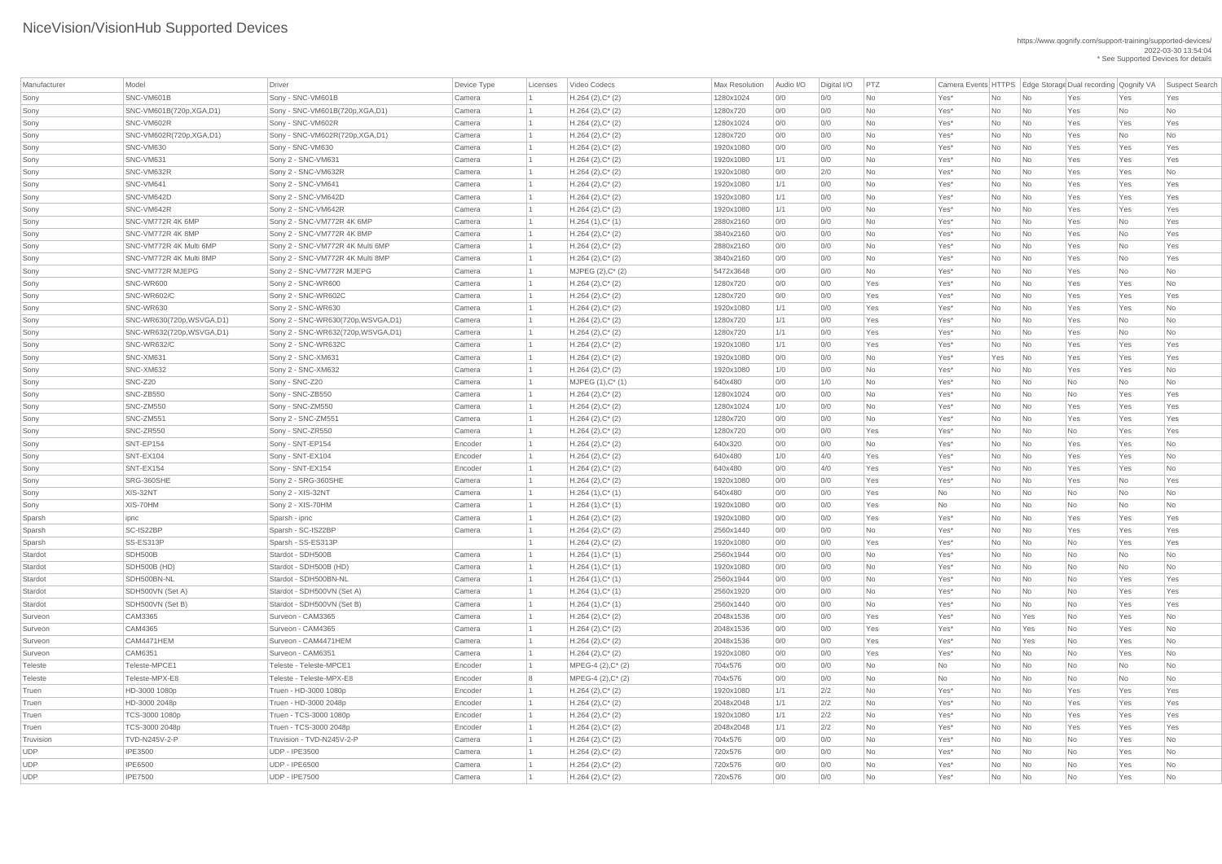| Manufacturer | Model                      | <b>Driver</b>                        | Device Type | Licenses | Video Codecs                               | Max Resolution | Audio I/O | Digital I/O | PTZ       | Camera Events HTTPS   Edge Storage Dual recording   Qognify VA |           |                             |            |           | <b>Suspect Search</b> |
|--------------|----------------------------|--------------------------------------|-------------|----------|--------------------------------------------|----------------|-----------|-------------|-----------|----------------------------------------------------------------|-----------|-----------------------------|------------|-----------|-----------------------|
| Sony         | SNC-VM601B                 | Sony - SNC-VM601B                    | Camera      |          | $H.264 (2), C^*(2)$                        | 1280x1024      | 0/0       | 0/0         | <b>No</b> | Yes*                                                           | No        | No                          | Yes        | Yes       | Yes                   |
| Sony         | SNC-VM601B(720p, XGA, D1)  | Sony - SNC-VM601B(720p, XGA, D1)     | Camera      |          | $H.264 (2), C^*(2)$                        | 1280x720       | 0/0       | 0/0         | No        | Yes*                                                           | No        | No                          | Yes        | No        | No                    |
| Sony         | SNC-VM602R                 | Sony - SNC-VM602R                    | Camera      |          | $H.264 (2), C^*(2)$                        | 1280x1024      | 0/0       | 0/0         | <b>No</b> | Yes*                                                           | No        | No                          | Yes        | Yes       | Yes                   |
| Sony         | SNC-VM602R(720p,XGA,D1)    | Sony - SNC-VM602R(720p,XGA,D1)       | Camera      |          | $H.264 (2), C^*(2)$                        | 1280x720       | 0/0       | 0/0         | <b>No</b> | Yes*                                                           | No        | No                          | Yes        | No        | No                    |
| Sony         | SNC-VM630                  | Sony - SNC-VM630                     | Camera      |          | $H.264 (2), C^*(2)$                        | 1920x1080      | 0/0       | 0/0         | <b>No</b> | Yes*                                                           | No        | No                          | Yes        | Yes       | Yes                   |
| Sony         | SNC-VM631                  | Sony 2 - SNC-VM631                   | Camera      |          | $H.264 (2), C^*(2)$                        | 1920x1080      | 1/1       | 0/0         | <b>No</b> | Yes*                                                           | No        | No                          | Yes        | Yes       | Yes                   |
| Sony         | SNC-VM632R                 | Sony 2 - SNC-VM632R                  | Camera      |          | $H.264 (2), C^*(2)$                        | 1920x1080      | 0/0       | 2/0         | <b>No</b> | Yes*                                                           | No        | No                          | Yes        | Yes       | No                    |
| Sony         | SNC-VM641                  | Sony 2 - SNC-VM641                   | Camera      |          | $H.264 (2), C^*(2)$                        | 1920x1080      | 1/1       | 0/0         | <b>No</b> | Yes*                                                           | No        | No                          | Yes        | Yes       | Yes                   |
| Sony         | SNC-VM642D                 | Sony 2 - SNC-VM642D                  | Camera      |          | $H.264 (2), C^*(2)$                        | 1920x1080      | 1/1       | 0/0         | <b>No</b> | Yes*                                                           | No        | No                          | Yes        | Yes       | Yes                   |
| Sony         | SNC-VM642R                 | Sony 2 - SNC-VM642R                  | Camera      |          | $H.264 (2), C^*(2)$                        | 1920x1080      | 1/1       | 0/0         | No        | Yes*                                                           | No        | No                          | Yes        | Yes       | Yes                   |
| Sony         | SNC-VM772R 4K 6MP          | Sony 2 - SNC-VM772R 4K 6MP           | Camera      |          | $H.264(1),C^*(1)$                          | 2880x2160      | 0/0       | 0/0         | No        | Yes*                                                           | No        | No                          | Yes        | No        | Yes                   |
| Sony         | SNC-VM772R 4K 8MP          | Sony 2 - SNC-VM772R 4K 8MP           | Camera      |          | $H.264 (2), C^*(2)$                        | 3840x2160      | 0/0       | 0/0         | <b>No</b> | Yes*                                                           | No        | No                          | Yes        | No        | Yes                   |
| Sony         | SNC-VM772R 4K Multi 6MP    | Sony 2 - SNC-VM772R 4K Multi 6MP     | Camera      |          | $H.264 (2), C^*(2)$                        | 2880x2160      | 0/0       | 0/0         | <b>No</b> | Yes*                                                           | No        | No                          | Yes        | No        | Yes                   |
| Sony         | SNC-VM772R 4K Multi 8MP    | Sony 2 - SNC-VM772R 4K Multi 8MP     | Camera      |          | $H.264 (2), C^*(2)$                        | 3840x2160      | 0/0       | 0/0         | No        | Yes*                                                           | <b>No</b> | No                          | Yes        | <b>No</b> | Yes                   |
| Sony         | <b>SNC-VM772R MJEPG</b>    | Sony 2 - SNC-VM772R MJEPG            | Camera      |          | MJPEG (2), C* (2)                          | 5472x3648      | 0/0       | 0/0         | <b>No</b> | Yes*                                                           | No        | No                          | Yes        | No        | No                    |
| Sony         | <b>SNC-WR600</b>           | Sony 2 - SNC-WR600                   | Camera      |          | $H.264 (2), C^*(2)$                        | 1280x720       | 0/0       | 0/0         | Yes       | Yes*                                                           | No        | No                          | Yes        | Yes       | No                    |
| Sony         | SNC-WR602/C                | Sony 2 - SNC-WR602C                  | Camera      |          | $H.264 (2), C^*(2)$                        | 1280x720       | 0/0       | 0/0         | Yes       | Yes*                                                           | No        | No                          | Yes        | Yes       | Yes                   |
| Sony         | SNC-WR630                  | Sony 2 - SNC-WR630                   | Camera      |          | $H.264 (2), C^*(2)$                        | 1920x1080      | 1/1       | 0/0         | Yes       | Yes*                                                           | No        | No                          | Yes        | Yes       | No                    |
| Sony         | SNC-WR630(720p, WSVGA, D1) | Sony 2 - SNC-WR630(720p, WSVGA, D1)  | Camera      |          | $H.264 (2), C^*(2)$                        | 1280x720       | 1/1       | 0/0         | Yes       | Yes*                                                           | No        | No                          | Yes        | No        | No                    |
| Sony         | SNC-WR632(720p, WSVGA, D1) | Sony 2 - SNC-WR632(720p, WSVGA, D1)  | Camera      |          | $H.264 (2), C^*(2)$                        | 1280x720       | 1/1       | 0/0         | Yes       | Yes*                                                           | <b>No</b> | No                          | Yes        | No        | No                    |
| Sony         | SNC-WR632/C                | Sony 2 - SNC-WR632C                  | Camera      |          | $H.264 (2), C^*(2)$                        | 1920x1080      | 1/1       | 0/0         | Yes       | Yes*                                                           | No        | No                          | Yes        | Yes       | Yes                   |
| Sony         | SNC-XM631                  | Sony 2 - SNC-XM631                   | Camera      |          | $H.264 (2), C^*(2)$                        | 1920x1080      | 0/0       | 0/0         | No        | Yes*                                                           | Yes       | No                          | Yes        | Yes       | Yes                   |
| Sony         | SNC-XM632                  | Sony 2 - SNC-XM632                   | Camera      |          | $H.264 (2), C^*(2)$                        | 1920x1080      | 1/0       | 0/0         | <b>No</b> | Yes*                                                           | No        | No                          | Yes        | Yes       | No                    |
| Sony         | SNC-Z20                    | Sony - SNC-Z20                       | Camera      |          | $MJPEG (1), C^*(1)$                        | 640x480        | 0/0       | 1/0         | <b>No</b> | Yes*                                                           | No        | No                          | No         | No        | No                    |
| Sony         | SNC-ZB550                  | Sony - SNC-ZB550                     | Camera      |          | $H.264 (2), C^*(2)$                        | 1280x1024      | 0/0       | 0/0         | <b>No</b> | Yes*                                                           | No        | No                          | <b>No</b>  | Yes       | Yes                   |
| Sony         | <b>SNC-ZM550</b>           | Sony - SNC-ZM550                     | Camera      |          |                                            | 1280x1024      | 1/0       | 0/0         |           |                                                                |           | No                          |            |           |                       |
| Sony         | SNC-ZM551                  | Sony 2 - SNC-ZM551                   | Camera      |          | $H.264 (2), C^*(2)$<br>$H.264 (2), C^*(2)$ | 1280x720       |           | 0/0         | No<br>No  | Yes*                                                           | No        |                             | Yes        | Yes       | Yes<br>Yes            |
|              | SNC-ZR550                  |                                      |             |          |                                            |                | 0/0       | 0/0         |           | Yes*                                                           | No        | No                          | Yes        | Yes       |                       |
| Sony         | SNT-EP154                  | Sony - SNC-ZR550                     | Camera      |          | $H.264 (2), C^*(2)$                        | 1280x720       | 0/0       |             | Yes       | Yes*                                                           | No        | No                          | No         | Yes       | Yes                   |
| Sony         | SNT-EX104                  | Sony - SNT-EP154<br>Sony - SNT-EX104 | Encoder     |          | $H.264 (2), C^*(2)$                        | 640x320        | 0/0       | 0/0         | No<br>Yes | Yes*                                                           | No        | No                          | Yes<br>Yes | Yes       | No                    |
| Sony         |                            |                                      | Encoder     |          | $H.264 (2), C^*(2)$                        | 640x480        | 1/0       | 4/0         |           | Yes*                                                           | No        | No                          |            | Yes       | No                    |
| Sony         | SNT-EX154                  | Sony - SNT-EX154                     | Encoder     |          | $H.264 (2), C^*(2)$                        | 640x480        | 0/0       | 4/0         | Yes       | Yes*                                                           | No        | No                          | Yes        | Yes       | No                    |
| Sony         | SRG-360SHE<br>XIS-32NT     | Sony 2 - SRG-360SHE                  | Camera      |          | $H.264 (2), C^*(2)$                        | 1920x1080      | 0/0       | 0/0         | Yes       | Yes <sup>*</sup>                                               | No        | No                          | Yes        | No        | Yes                   |
| Sony         |                            | Sony 2 - XIS-32NT                    | Camera      |          | $H.264(1),C^*(1)$                          | 640x480        | 0/0       | 0/0         | Yes       | No                                                             | No        | No                          | No         | No        | No                    |
| Sony         | XIS-70HM                   | Sony 2 - XIS-70HM                    | Camera      |          | $H.264(1),C^*(1)$                          | 1920x1080      | 0/0       | 0/0         | Yes       | No                                                             | No        | No                          | No         | No        | No                    |
| Sparsh       | ipnc<br>SC-IS22BP          | Sparsh - ipnc                        | Camera      |          | $H.264 (2), C^*(2)$                        | 1920x1080      | 0/0       | 0/0         | Yes       | Yes*                                                           | No        | No                          | Yes        | Yes       | Yes                   |
| Sparsh       |                            | Sparsh - SC-IS22BP                   | Camera      |          | $H.264 (2), C^*(2)$                        | 2560x1440      | 0/0       | 0/0         | No        | Yes*                                                           | No        | No                          | Yes        | Yes       | Yes                   |
| Sparsh       | SS-ES313P                  | Sparsh - SS-ES313P                   |             |          | $H.264 (2), C^*(2)$                        | 1920x1080      | 0/0       | 0/0         | Yes       | Yes*                                                           | No        | No                          | No         | Yes       | Yes                   |
| Stardot      | SDH500B                    | Stardot - SDH500B                    | Camera      |          | $H.264(1),C^*(1)$                          | 2560x1944      | 0/0       | 0/0         | No        | Yes*                                                           | No        | No                          | No         | No        | No                    |
| Stardot      | SDH500B (HD)               | Stardot - SDH500B (HD)               | Camera      |          | $H.264(1),C^*(1)$                          | 1920x1080      | 0/0       | 0/0         | No        | Yes*                                                           | No        | No                          | <b>No</b>  | No        | No                    |
| Stardot      | SDH500BN-NL                | Stardot - SDH500BN-NL                | Camera      |          | $H.264(1),C^*(1)$                          | 2560x1944      | 0/0       | 0/0         | No        | Yes*                                                           | No        | No                          | No         | Yes       | Yes                   |
| Stardot      | SDH500VN (Set A)           | Stardot - SDH500VN (Set A)           | Camera      |          | $H.264(1),C^*(1)$                          | 2560x1920      | 0/0       | 0/0         | No        | Yes*                                                           | No        | No                          | No         | Yes       | Yes                   |
| Stardot      | SDH500VN (Set B)           | Stardot - SDH500VN (Set B)           | Camera      |          | $H.264(1),C^*(1)$                          | 2560x1440      | 0/0       | 0/0         | No        | Yes*                                                           | No        | No                          | No         | Yes       | Yes                   |
| Surveon      | CAM3365                    | Surveon - CAM3365                    | Camera      |          | $H.264 (2), C^*(2)$                        | 2048x1536      | 0/0       | 0/0         | Yes       | Yes*                                                           | No        | Yes                         | No         | Yes       | No                    |
| Surveon      | CAM4365                    | Surveon - CAM4365                    | Camera      |          | $H.264 (2), C^*(2)$                        | 2048x1536      | 0/0       | 0/0         | Yes       | Yes*                                                           | No        | Yes                         | No         | Yes       | No                    |
| Surveon      | CAM4471HEM                 | Surveon - CAM4471HEM                 | Camera      |          | $H.264 (2), C^*(2)$                        | 2048x1536      | 0/0       | 0/0         | Yes       | Yes*                                                           | No        | Yes                         | No         | Yes       | No                    |
| Surveon      | CAM6351                    | Surveon - CAM6351                    | Camera      |          | $H.264 (2), C^*(2)$                        | 1920x1080      | 0/0       | 0/0         | Yes       | Yes*                                                           | No        | No                          | No         | Yes       | No                    |
| Teleste      | Teleste-MPCE1              | Teleste - Teleste-MPCE1              | Encoder     |          | MPEG-4 (2), C* (2)                         | 704x576        | 0/0       | 0/0         | No        | No                                                             | No        | No                          | No         | No        | No                    |
| Teleste      | Teleste-MPX-E8             | Teleste - Teleste-MPX-E8             | Encoder     |          | $MPEG-4 (2), C^*(2)$                       | 704x576        | 0/0       | 0/0         | No        | No                                                             | No        | No                          | No         | No        | No                    |
| Truen        | HD-3000 1080p              | Truen - HD-3000 1080p                | Encoder     |          | $H.264 (2), C^*(2)$                        | 1920x1080      | 1/1       | 2/2         | <b>No</b> | Yes*                                                           | No        | No                          | Yes        | Yes       | Yes                   |
| Truen        | HD-3000 2048p              | Truen - HD-3000 2048p                | Encoder     |          | $H.264 (2), C^*(2)$                        | 2048x2048      | 1/1       | 2/2         | No        | Yes*                                                           | No        | No                          | Yes        | Yes       | Yes                   |
| Truen        | TCS-3000 1080p             | Truen - TCS-3000 1080p               | Encoder     |          | $H.264 (2), C^*(2)$                        | 1920x1080      | 1/1       | 2/2         | No        | Yes*                                                           | No        | No                          | Yes        | Yes       | Yes                   |
| Truen        | TCS-3000 2048p             | Truen - TCS-3000 2048p               | Encoder     |          | $H.264 (2), C^*(2)$                        | 2048x2048      | 1/1       | 2/2         | No        | Yes*                                                           | <b>No</b> | $\overline{\mathsf{No}}$    | Yes        | Yes       | Yes                   |
| Truvision    | TVD-N245V-2-P              | Truvision - TVD-N245V-2-P            | Camera      |          | $H.264 (2), C^*(2)$                        | 704x576        | 0/0       | 0/0         | No        | Yes*                                                           | No        | $\overline{\mathsf{No}}$    | No         | Yes       | No                    |
| <b>UDP</b>   | <b>IPE3500</b>             | UDP - IPE3500                        | Camera      |          | $H.264 (2), C^*(2)$                        | 720x576        | 0/0       | 0/0         | No        | Yes*                                                           | No        | $\overline{\mathsf{No}}$    | No         | Yes       | No                    |
| <b>UDP</b>   | <b>IPE6500</b>             | <b>UDP - IPE6500</b>                 | Camera      |          | $H.264 (2), C^*(2)$                        | 720x576        | 0/0       | 0/0         | <b>No</b> | $Yes^*$                                                        | No        | $\overline{\mathsf{No}}$    | No         | Yes       | No                    |
| <b>UDP</b>   | <b>IPE7500</b>             | <b>UDP - IPE7500</b>                 | Camera      |          | $H.264 (2), C^*(2)$                        | 720x576        | 0/0       | 0/0         | No        | Yes*                                                           | No        | $\overline{\phantom{a}}$ No | No         | Yes       | No                    |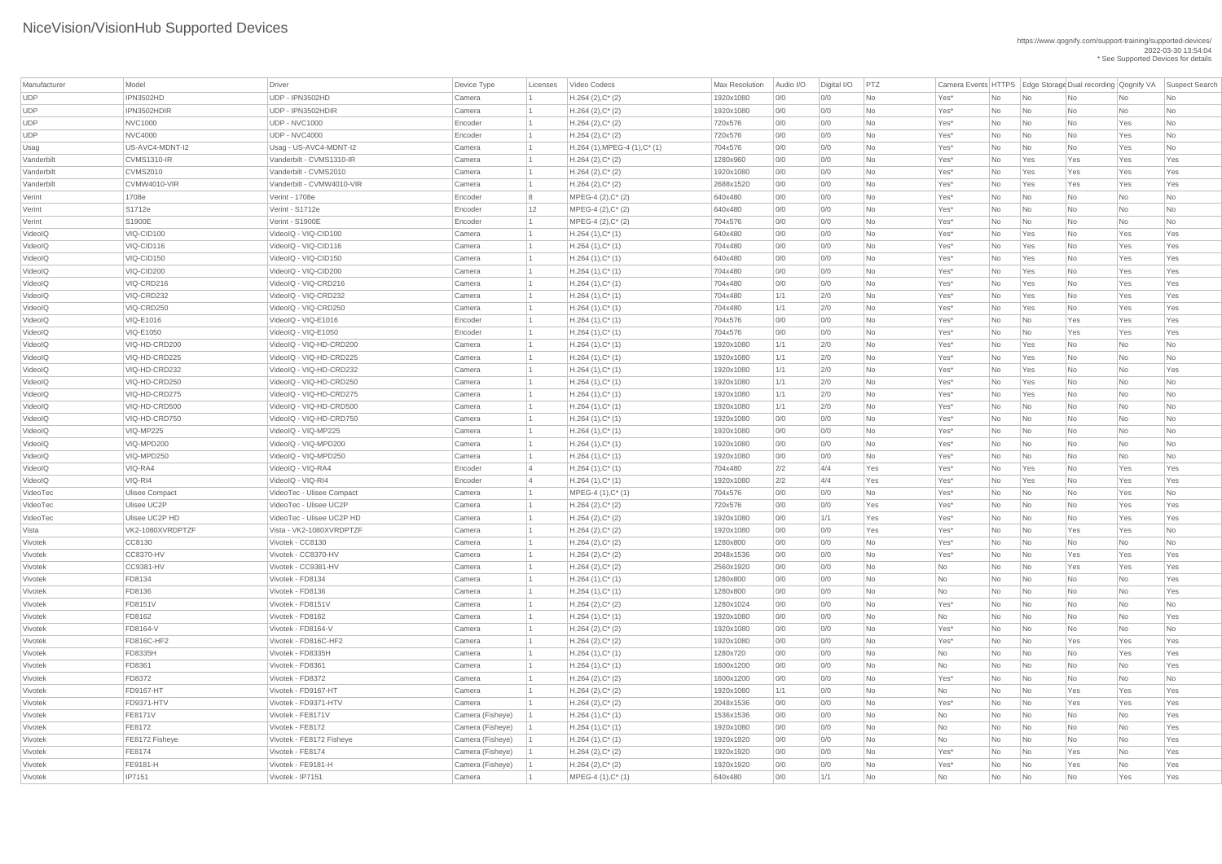| Manufacturer | Model                 | Driver                    | Device Type      | Licenses       | Video Codecs                                | <b>Max Resolution</b> | Audio I/O | Digital I/O | PTZ       |                          |    |                             | Camera Events HTTPS Edge Storage Dual recording Qognify VA |     | Suspect Search |
|--------------|-----------------------|---------------------------|------------------|----------------|---------------------------------------------|-----------------------|-----------|-------------|-----------|--------------------------|----|-----------------------------|------------------------------------------------------------|-----|----------------|
| <b>UDP</b>   | IPN3502HD             | UDP - IPN3502HD           | Camera           |                | $H.264 (2), C^*(2)$                         | 1920x1080             | 0/0       | 0/0         | No        | Yes*                     | No | No                          | No                                                         | No  | No             |
| <b>UDP</b>   | IPN3502HDIR           | UDP - IPN3502HDIR         | Camera           |                | $H.264 (2), C^*(2)$                         | 1920x1080             | 0/0       | 0/0         | No        | Yes*                     | No | No                          | <b>No</b>                                                  | No  | No             |
| <b>UDP</b>   | <b>NVC1000</b>        | <b>UDP - NVC1000</b>      | Encoder          |                | $H.264 (2), C^*(2)$                         | 720x576               | 0/0       | 0/0         | No        | Yes*                     | No | No                          | No                                                         | Yes | No             |
| <b>UDP</b>   | NVC4000               | <b>UDP - NVC4000</b>      | Encoder          |                | $H.264 (2), C^*(2)$                         | 720x576               | 0/0       | 0/0         | No        | Yes*                     | No | No                          | <b>No</b>                                                  | Yes | No             |
| Usag         | US-AVC4-MDNT-I2       | Usag - US-AVC4-MDNT-I2    | Camera           |                | $H.264$ (1), MPEG-4 (1), C <sup>*</sup> (1) | 704x576               | 0/0       | 0/0         | No        | Yes*                     | No | No                          | <b>No</b>                                                  | Yes | No             |
| Vanderbilt   | CVMS1310-IR           | Vanderbilt - CVMS1310-IR  | Camera           |                | $H.264 (2), C^*(2)$                         | 1280x960              | 0/0       | 0/0         | No        | Yes*                     | No | Yes                         | Yes                                                        | Yes | Yes            |
| Vanderbilt   | <b>CVMS2010</b>       | Vanderbilt - CVMS2010     | Camera           |                | $H.264 (2), C^*(2)$                         | 1920x1080             | 0/0       | 0/0         | No        | Yes*                     | No | Yes                         | Yes                                                        | Yes | Yes            |
| Vanderbilt   | CVMW4010-VIR          | Vanderbilt - CVMW4010-VIR | Camera           |                | $H.264 (2), C^*(2)$                         | 2688x1520             | 0/0       | 0/0         | No        | Yes*                     | No | Yes                         | Yes                                                        | Yes | Yes            |
| Verint       | 1708e                 | Verint - 1708e            | Encoder          |                | $MPEG-4 (2), C^*(2)$                        | 640x480               | 0/0       | 0/0         | No        | Yes*                     | No | No                          | No                                                         | No  | No             |
| Verint       | S1712e                | Verint - S1712e           | Encoder          | 12             | $MPEG-4 (2), C^*(2)$                        | 640x480               | 0/0       | 0/0         | No        | Yes*                     | No | $\overline{\mathsf{No}}$    | <b>No</b>                                                  | No  | No             |
| Verint       | S1900E                | Verint - S1900E           | Encoder          |                | $MPEG-4 (2), C^*(2)$                        | 704x576               | 0/0       | 0/0         | No        | Yes*                     | No | No                          | <b>No</b>                                                  | No  | No             |
| VideoIQ      | VIQ-CID100            | VideoIQ - VIQ-CID100      | Camera           |                | $H.264(1),C^*(1)$                           | 640x480               | 0/0       | 0/0         | <b>No</b> | Yes*                     | No | Yes                         | No                                                         | Yes | Yes            |
| VideoIQ      | VIQ-CID116            | VideoIQ - VIQ-CID116      | Camera           |                | $H.264(1),C^*(1)$                           | 704x480               | 0/0       | 0/0         | No        | Yes*                     | No | Yes                         | No                                                         | Yes | Yes            |
| VideoIQ      | VIQ-CID150            | VideoIQ - VIQ-CID150      | Camera           |                | $H.264(1),C^*(1)$                           | 640x480               | 0/0       | 0/0         | <b>No</b> | Yes*                     | No | Yes                         | <b>No</b>                                                  | Yes | Yes            |
| VideoIQ      | VIQ-CID200            | VideoIQ - VIQ-CID200      | Camera           |                | $H.264(1),C^*(1)$                           | 704x480               | 0/0       | 0/0         | No        | Yes*                     | No | Yes                         | No                                                         | Yes | Yes            |
| VideoIQ      | VIQ-CRD216            | VideoIQ - VIQ-CRD216      | Camera           |                | $H.264(1),C^*(1)$                           | 704x480               | 0/0       | 0/0         | No        | Yes*                     | No | Yes                         | <b>No</b>                                                  | Yes | Yes            |
| VideoIQ      | VIQ-CRD232            | VideoIQ - VIQ-CRD232      | Camera           |                | $H.264(1),C^*(1)$                           | 704x480               | 1/1       | 2/0         | No        | Yes*                     | No | Yes                         | <b>No</b>                                                  | Yes | Yes            |
| VideoIQ      | VIQ-CRD250            | VideoIQ - VIQ-CRD250      | Camera           |                | $H.264(1),C^*(1)$                           | 704x480               | 1/1       | 2/0         | <b>No</b> | Yes*                     | No | Yes                         | No                                                         | Yes | Yes            |
| VideoIQ      | <b>VIQ-E1016</b>      | VideoIQ - VIQ-E1016       | Encoder          |                | $H.264(1),C^*(1)$                           | 704x576               | 0/0       | 0/0         | No        | Yes*                     | No | No                          | Yes                                                        | Yes | Yes            |
| VideoIQ      | <b>VIQ-E1050</b>      | VideoIQ - VIQ-E1050       | Encoder          |                | $H.264(1),C^*(1)$                           | 704x576               | 0/0       | 0/0         | <b>No</b> | Yes*                     | No | No                          | Yes                                                        | Yes | Yes            |
| VideoIQ      | VIQ-HD-CRD200         | VideoIQ - VIQ-HD-CRD200   | Camera           |                | $H.264(1),C^*(1)$                           | 1920x1080             | 1/1       | 2/0         | No        | Yes*                     | No | Yes                         | No                                                         | No  | No             |
| VideoIQ      | VIQ-HD-CRD225         | VideoIQ - VIQ-HD-CRD225   | Camera           |                | $H.264(1),C^*(1)$                           | 1920x1080             | 1/1       | 2/0         | No        | Yes*                     | No | Yes                         | <b>No</b>                                                  | No  | No             |
| VideoIQ      | VIQ-HD-CRD232         | VideoIQ - VIQ-HD-CRD232   | Camera           |                | $H.264(1),C^*(1)$                           | 1920x1080             | 1/1       | 2/0         | No        | Yes*                     | No | Yes                         | <b>No</b>                                                  | No  | Yes            |
| VideoIQ      | VIQ-HD-CRD250         | VideoIQ - VIQ-HD-CRD250   | Camera           |                | $H.264(1),C^*(1)$                           | 1920x1080             | 1/1       | 2/0         | No        | Yes*                     | No | Yes                         | No                                                         | No  | No             |
| VideoIQ      | VIQ-HD-CRD275         | VideoIQ - VIQ-HD-CRD275   | Camera           |                | $H.264(1),C^*(1)$                           | 1920x1080             | 1/1       | 2/0         | <b>No</b> | Yes <sup>*</sup>         | No | Yes                         | No                                                         | No  | No             |
| VideoIQ      | VIQ-HD-CRD500         | VideoIQ - VIQ-HD-CRD500   | Camera           |                | $H.264(1),C^*(1)$                           | 1920x1080             | 1/1       | 2/0         | No        | Yes*                     | No | No                          | No                                                         | No. | No             |
| VideoIQ      | VIQ-HD-CRD750         | VideoIQ - VIQ-HD-CRD750   | Camera           |                | $H.264(1),C^*(1)$                           | 1920x1080             | 0/0       | 0/0         | No        | Yes*                     | No | No                          | No                                                         | No  | No             |
| VideoIQ      | VIQ-MP225             | VideoIQ - VIQ-MP225       | Camera           |                | $H.264(1),C^*(1)$                           | 1920x1080             | 0/0       | 0/0         | No        | Yes*                     | No | No                          | No                                                         | No  | No             |
| VideoIQ      | VIQ-MPD200            | VideoIQ - VIQ-MPD200      | Camera           |                | $H.264(1),C^*(1)$                           | 1920x1080             | 0/0       | 0/0         | No        | Yes*                     | No | No                          | No                                                         | No  | No             |
| VideoIQ      | VIQ-MPD250            | VideoIQ - VIQ-MPD250      | Camera           |                | $H.264(1),C^*(1)$                           | 1920x1080             | 0/0       | 0/0         | No        | Yes*                     | No | No                          | No                                                         | No  | No             |
| VideoIQ      | VIQ-RA4               | VideoIQ - VIQ-RA4         | Encoder          | $\overline{4}$ | $H.264(1),C^*(1)$                           | 704x480               | 2/2       | 4/4         | Yes       | Yes*                     | No | Yes                         | No                                                         | Yes | Yes            |
| VideoIQ      | VIQ-RI4               | VideoIQ - VIQ-RI4         | Encoder          | $\overline{4}$ | $H.264(1),C^*(1)$                           | 1920x1080             | 2/2       | 4/4         | Yes       | Yes*                     | No | Yes                         | No                                                         | Yes | Yes            |
| VideoTec     | <b>Ulisee Compact</b> | VideoTec - Ulisee Compact | Camera           |                | MPEG-4 (1), C* (1)                          | 704x576               | 0/0       | 0/0         | No        | Yes*                     | No | No                          | No                                                         | Yes | No             |
| VideoTec     | <b>Ulisee UC2P</b>    | VideoTec - Ulisee UC2P    | Camera           |                | $H.264 (2), C^*(2)$                         | 720x576               | 0/0       | 0/0         | Yes       | Yes*                     | No | No                          | No                                                         | Yes | Yes            |
| VideoTec     | Ulisee UC2P HD        | VideoTec - Ulisee UC2P HD | Camera           |                | $H.264 (2), C^*(2)$                         | 1920x1080             | 0/0       | 1/1         | Yes       | Yes*                     | No | No                          | No                                                         | Yes | Yes            |
| Vista        | VK2-1080XVRDPTZF      | Vista - VK2-1080XVRDPTZF  | Camera           |                | $H.264 (2), C^*(2)$                         | 1920x1080             | 0/0       | 0/0         | Yes       | Yes*                     | No | No                          | Yes                                                        | Yes | No             |
| Vivotek      | CC8130                | Vivotek - CC8130          | Camera           |                | $H.264 (2), C^*(2)$                         | 1280x800              | 0/0       | 0/0         | No        | Yes*                     | No | No                          | No                                                         | No  | No             |
| Vivotek      | CC8370-HV             | Vivotek - CC8370-HV       | Camera           |                | $H.264 (2), C^*(2)$                         | 2048x1536             | 0/0       | 0/0         | No        | Yes*                     | No | No                          | Yes                                                        | Yes | Yes            |
| Vivotek      | CC9381-HV             | Vivotek - CC9381-HV       | Camera           |                | $H.264 (2), C^*(2)$                         | 2560x1920             | 0/0       | 0/0         | No        | No                       | No | No                          | Yes                                                        | Yes | Yes            |
| Vivotek      | FD8134                | Vivotek - FD8134          | Camera           |                | $H.264(1),C^*(1)$                           | 1280x800              | 0/0       | 0/0         | No        | No                       | No | No                          | No                                                         | No  | Yes            |
| Vivotek      | <b>FD8136</b>         | Vivotek - FD8136          | Camera           |                | $H.264(1),C^*(1)$                           | 1280x800              | 0/0       | 0/0         | No        | No                       | No | No                          | No                                                         | No  | Yes            |
| Vivotek      | <b>FD8151V</b>        | Vivotek - FD8151V         | Camera           |                | $H.264 (2), C^*(2)$                         | 1280x1024             | 0/0       | 0/0         | <b>No</b> | Yes*                     | No | No                          | No                                                         | No  | No             |
| Vivotek      | FD8162                | Vivotek - FD8162          | Camera           |                | $H.264(1),C^*(1)$                           | 1920x1080             | 0/0       | 0/0         | No        | No                       | No | No                          | No                                                         | No  | Yes            |
| Vivotek      | <b>FD8164-V</b>       | Vivotek - FD8164-V        | Camera           |                | $H.264 (2), C^*(2)$                         | 1920x1080             | 0/0       | 0/0         | No        | $Yes*$                   | No | No                          | No                                                         | No  | No             |
| Vivotek      | <b>FD816C-HF2</b>     | Vivotek - FD816C-HF2      | Camera           |                | $H.264 (2), C^*(2)$                         | 1920x1080             | 0/0       | 0/0         | No        | Yes*                     | No | No                          | Yes                                                        | Yes | Yes            |
| Vivotek      | <b>FD8335H</b>        | Vivotek - FD8335H         | Camera           |                | $H.264(1),C^*(1)$                           | 1280x720              | 0/0       | 0/0         | No        | No                       | No | No                          | No                                                         | Yes | Yes            |
| Vivotek      | <b>FD8361</b>         | Vivotek - FD8361          | Camera           |                | $H.264(1),C^*(1)$                           | 1600x1200             | 0/0       | 0/0         | No        | No                       | No | No                          | No                                                         | No  | Yes            |
| Vivotek      | FD8372                | Vivotek - FD8372          | Camera           |                | $H.264 (2), C^*(2)$                         | 1600x1200             | 0/0       | 0/0         | No        | Yes*                     | No | No                          | No                                                         | No  | No             |
| Vivotek      | <b>FD9167-HT</b>      | Vivotek - FD9167-HT       | Camera           |                | $H.264 (2), C^*(2)$                         | 1920x1080             | 1/1       | 0/0         | No        | No                       | No | No                          | Yes                                                        | Yes | Yes            |
| Vivotek      | <b>FD9371-HTV</b>     | Vivotek - FD9371-HTV      | Camera           |                | $H.264 (2), C^*(2)$                         | 2048x1536             | 0/0       | 0/0         | No        | Yes <sup>*</sup>         | No | No                          | Yes                                                        | Yes | Yes            |
| Vivotek      | <b>FE8171V</b>        | Vivotek - FE8171V         | Camera (Fisheye) |                | $H.264(1),C^*(1)$                           | 1536x1536             | 0/0       | 0/0         | No        | No                       | No | No                          | No                                                         | No  | Yes            |
| Vivotek      | FE8172                | Vivotek - FE8172          | Camera (Fisheye) |                | $H.264(1),C^*(1)$                           | 1920x1080             | 0/0       | 0/0         | <b>No</b> | <b>No</b>                | No | No                          | No                                                         | No  | Yes            |
| Vivotek      | FE8172 Fisheye        | Vivotek - FE8172 Fisheye  | Camera (Fisheye) |                | $H.264(1),C^*(1)$                           | 1920x1920             | 0/0       | 0/0         | No        | No                       | No | $\overline{\mathsf{No}}$    | No                                                         | No  | Yes            |
| Vivotek      | FE8174                | Vivotek - FE8174          | Camera (Fisheye) |                | $H.264 (2), C^*(2)$                         | 1920x1920             | 0/0       | 0/0         | <b>No</b> | $Yes*$                   | No | $\overline{\mathsf{No}}$    | Yes                                                        | No  | Yes            |
| Vivotek      | FE9181-H              | Vivotek - FE9181-H        | Camera (Fisheye) |                | $H.264 (2), C^*(2)$                         | 1920x1920             | 0/0       | 0/0         | No        | Yes*                     | No | $\overline{\mathsf{No}}$    | Yes                                                        | No  | Yes            |
| Vivotek      | <b>IP7151</b>         | Vivotek - IP7151          | Camera           |                | $MPEG-4 (1), C^*(1)$                        | 640x480               | 0/0       | 1/1         | <b>No</b> | $\overline{\mathsf{No}}$ | No | $\overline{\phantom{a}}$ No | No                                                         | Yes | Yes            |
|              |                       |                           |                  |                |                                             |                       |           |             |           |                          |    |                             |                                                            |     |                |